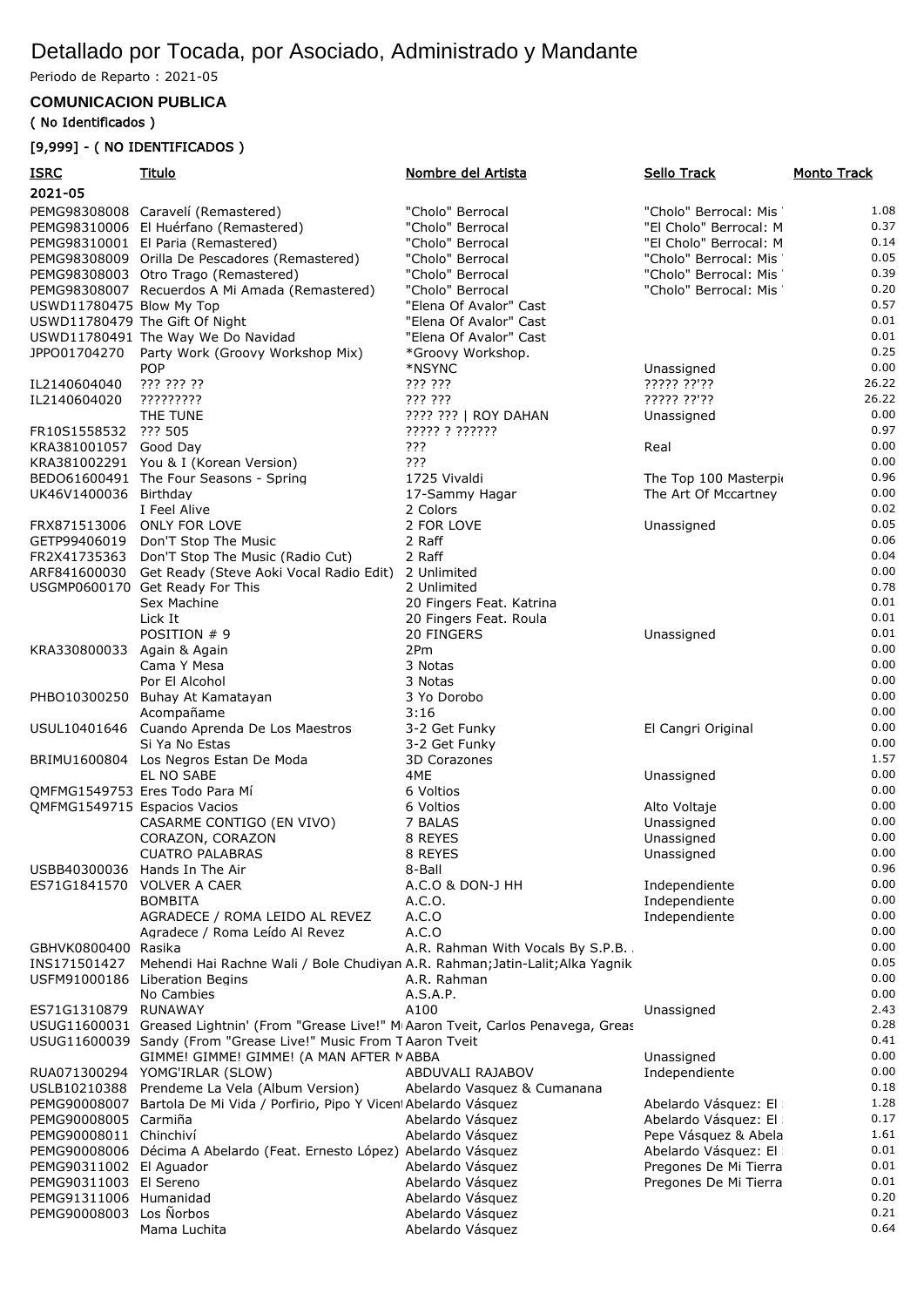## Detallado por Tocada, por Asociado, Administrado y Mandante

Periodo de Reparto : 2021-05

## **COMUNICACION PUBLICA**

## ( No Identificados )

## [9,999] - ( NO IDENTIFICADOS )

| <u>ISRC</u><br>2021-05       | <u>Titulo</u>                                                                                          | Nombre del Artista                         | Sello Track            | <b>Monto Track</b> |
|------------------------------|--------------------------------------------------------------------------------------------------------|--------------------------------------------|------------------------|--------------------|
|                              | PEMG98308008 Caravelí (Remastered)                                                                     | "Cholo" Berrocal                           | "Cholo" Berrocal: Mis  | 1.08               |
|                              | PEMG98310006 El Huérfano (Remastered)                                                                  | "Cholo" Berrocal                           | "El Cholo" Berrocal: M | 0.37               |
|                              | PEMG98310001 El Paria (Remastered)                                                                     | "Cholo" Berrocal                           | "El Cholo" Berrocal: M | 0.14               |
|                              | PEMG98308009 Orilla De Pescadores (Remastered)                                                         | "Cholo" Berrocal                           | "Cholo" Berrocal: Mis  | 0.05               |
|                              | PEMG98308003 Otro Trago (Remastered)                                                                   | "Cholo" Berrocal                           | "Cholo" Berrocal: Mis  | 0.39               |
|                              | PEMG98308007 Recuerdos A Mi Amada (Remastered)                                                         | "Cholo" Berrocal                           | "Cholo" Berrocal: Mis  | 0.20               |
| USWD11780475 Blow My Top     |                                                                                                        | "Elena Of Avalor" Cast                     |                        | 0.57               |
|                              | USWD11780479 The Gift Of Night                                                                         | "Elena Of Avalor" Cast                     |                        | 0.01               |
|                              | USWD11780491 The Way We Do Navidad                                                                     | "Elena Of Avalor" Cast                     |                        | 0.01               |
|                              | JPPO01704270 Party Work (Groovy Workshop Mix)                                                          | *Groovy Workshop.                          |                        | 0.25               |
|                              | <b>POP</b>                                                                                             | *NSYNC                                     | Unassigned             | 0.00               |
| IL2140604040                 | ??? ??? ??                                                                                             | ??? ???                                    | ????? ??'??            | 26.22              |
| IL2140604020                 | ?????????                                                                                              | ??? ???                                    | ????? ??'??            | 26.22<br>0.00      |
| FR10S1558532 ??? 505         | THE TUNE                                                                                               | ???? ???   ROY DAHAN<br>????? ? ??????     | Unassigned             | 0.97               |
| KRA381001057 Good Day        |                                                                                                        | ???                                        | Real                   | 0.00               |
|                              | KRA381002291 You & I (Korean Version)                                                                  | ???                                        |                        | 0.00               |
|                              | BEDO61600491 The Four Seasons - Spring                                                                 | 1725 Vivaldi                               | The Top 100 Masterpio  | 0.96               |
| UK46V1400036 Birthday        |                                                                                                        | 17-Sammy Hagar                             | The Art Of Mccartney   | 0.00               |
|                              | I Feel Alive                                                                                           | 2 Colors                                   |                        | 0.02               |
|                              | FRX871513006 ONLY FOR LOVE                                                                             | 2 FOR LOVE                                 | Unassigned             | 0.05               |
|                              | GETP99406019 Don'T Stop The Music                                                                      | 2 Raff                                     |                        | 0.06               |
|                              | FR2X41735363 Don'T Stop The Music (Radio Cut)                                                          | 2 Raff                                     |                        | 0.04               |
|                              | ARF841600030 Get Ready (Steve Aoki Vocal Radio Edit) 2 Unlimited                                       |                                            |                        | 0.00               |
|                              | USGMP0600170 Get Ready For This                                                                        | 2 Unlimited                                |                        | 0.78               |
|                              | Sex Machine                                                                                            | 20 Fingers Feat. Katrina                   |                        | 0.01               |
|                              | Lick It                                                                                                | 20 Fingers Feat. Roula                     |                        | 0.01               |
|                              | POSITION # 9                                                                                           | 20 FINGERS                                 | Unassigned             | 0.01               |
| KRA330800033                 | Again & Again                                                                                          | 2Pm                                        |                        | 0.00               |
|                              | Cama Y Mesa                                                                                            | 3 Notas                                    |                        | 0.00               |
|                              | Por El Alcohol                                                                                         | 3 Notas                                    |                        | 0.00               |
|                              | PHBO10300250 Buhay At Kamatayan                                                                        | 3 Yo Dorobo                                |                        | 0.00<br>0.00       |
|                              | Acompañame<br>USUL10401646 Cuando Aprenda De Los Maestros                                              | 3:16<br>3-2 Get Funky                      | El Cangri Original     | 0.00               |
|                              | Si Ya No Estas                                                                                         | 3-2 Get Funky                              |                        | 0.00               |
|                              | BRIMU1600804 Los Negros Estan De Moda                                                                  | 3D Corazones                               |                        | 1.57               |
|                              | EL NO SABE                                                                                             | 4ME                                        | Unassigned             | 0.00               |
|                              | QMFMG1549753 Eres Todo Para Mí                                                                         | 6 Voltios                                  |                        | 0.00               |
| QMFMG1549715 Espacios Vacios |                                                                                                        | 6 Voltios                                  | Alto Voltaje           | 0.00               |
|                              | CASARME CONTIGO (EN VIVO)                                                                              | 7 BALAS                                    | Unassigned             | 0.00               |
|                              | CORAZON, CORAZON                                                                                       | 8 REYES                                    | Unassigned             | 0.00               |
|                              | <b>CUATRO PALABRAS</b>                                                                                 | 8 REYES                                    | Unassigned             | 0.00               |
|                              | USBB40300036 Hands In The Air                                                                          | 8-Ball                                     |                        | 0.96               |
| ES71G1841570                 | <b>VOLVER A CAER</b>                                                                                   | A.C.O & DON-J HH                           | Independiente          | 0.00               |
|                              | <b>BOMBITA</b>                                                                                         | A.C.O.                                     | Independiente          | 0.00               |
|                              | AGRADECE / ROMA LEIDO AL REVEZ                                                                         | A.C.O                                      | Independiente          | 0.00<br>0.00       |
| GBHVK0800400 Rasika          | Agradece / Roma Leído Al Revez                                                                         | A.C.O<br>A.R. Rahman With Vocals By S.P.B. |                        | 0.00               |
| INS171501427                 | Mehendi Hai Rachne Wali / Bole Chudiyan A.R. Rahman; Jatin-Lalit; Alka Yagnik                          |                                            |                        | 0.05               |
|                              | USFM91000186 Liberation Begins                                                                         | A.R. Rahman                                |                        | 0.00               |
|                              | No Cambies                                                                                             | A.S.A.P.                                   |                        | 0.00               |
| ES71G1310879 RUNAWAY         |                                                                                                        | A100                                       | Unassigned             | 2.43               |
|                              | USUG11600031 Greased Lightnin' (From "Grease Live!" M <sub>'</sub> Aaron Tveit, Carlos Penavega, Greas |                                            |                        | 0.28               |
|                              | USUG11600039 Sandy (From "Grease Live!" Music From T Aaron Tveit                                       |                                            |                        | 0.41               |
|                              | GIMME! GIMME! GIMME! (A MAN AFTER MABBA                                                                |                                            | Unassigned             | 0.00               |
|                              | RUA071300294 YOMG'IRLAR (SLOW)                                                                         | ABDUVALI RAJABOV                           | Independiente          | 0.00               |
|                              | USLB10210388 Prendeme La Vela (Album Version)                                                          | Abelardo Vasquez & Cumanana                |                        | 0.18               |
|                              | PEMG90008007 Bartola De Mi Vida / Porfirio, Pipo Y Vicen Abelardo Vásquez                              |                                            | Abelardo Vásquez: El   | 1.28               |
| PEMG90008005 Carmiña         |                                                                                                        | Abelardo Vásquez                           | Abelardo Vásquez: El   | 0.17               |
| PEMG90008011 Chinchiví       |                                                                                                        | Abelardo Vásquez                           | Pepe Vásquez & Abela   | 1.61               |
|                              | PEMG90008006 Décima A Abelardo (Feat. Ernesto López) Abelardo Vásquez                                  |                                            | Abelardo Vásquez: El   | 0.01               |
| PEMG90311002 El Aguador      |                                                                                                        | Abelardo Vásquez                           | Pregones De Mi Tierra  | 0.01               |
| PEMG90311003 El Sereno       |                                                                                                        | Abelardo Vásquez                           | Pregones De Mi Tierra  | 0.01               |
| PEMG91311006 Humanidad       |                                                                                                        | Abelardo Vásquez                           |                        | 0.20<br>0.21       |
| PEMG90008003 Los Norbos      | Mama Luchita                                                                                           | Abelardo Vásquez<br>Abelardo Vásquez       |                        | 0.64               |
|                              |                                                                                                        |                                            |                        |                    |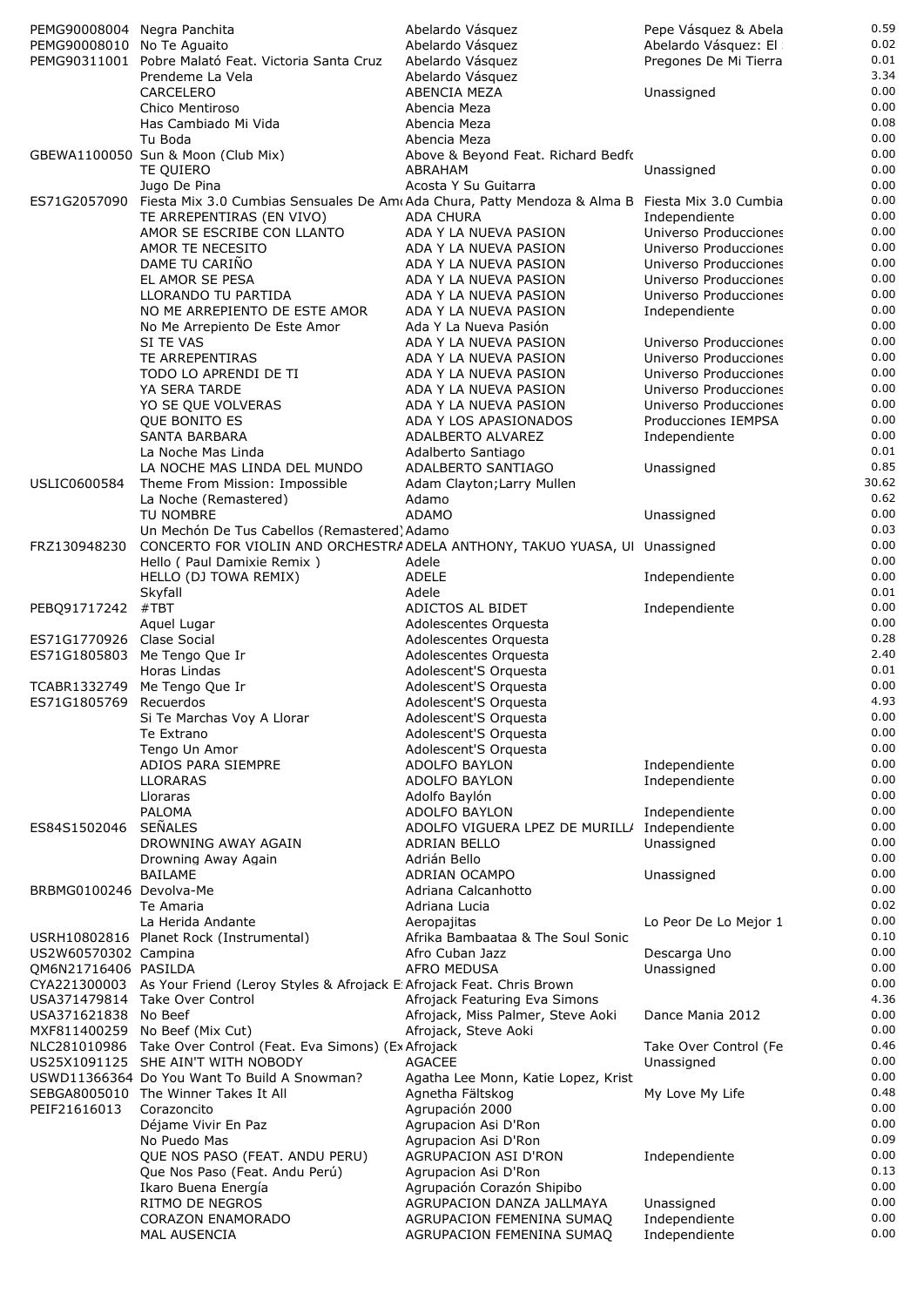| PEMG90008004 Negra Panchita |                                                                                                             | Abelardo Vásquez                             | Pepe Vásquez & Abela  | 0.59     |
|-----------------------------|-------------------------------------------------------------------------------------------------------------|----------------------------------------------|-----------------------|----------|
| PEMG90008010 No Te Aquaito  |                                                                                                             |                                              |                       | 0.02     |
|                             |                                                                                                             | Abelardo Vásquez                             | Abelardo Vásquez: El  |          |
|                             | PEMG90311001 Pobre Malató Feat. Victoria Santa Cruz                                                         | Abelardo Vásquez                             | Pregones De Mi Tierra | 0.01     |
|                             | Prendeme La Vela                                                                                            | Abelardo Vásquez                             |                       | 3.34     |
|                             | CARCELERO                                                                                                   | ABENCIA MEZA                                 | Unassigned            | 0.00     |
|                             | Chico Mentiroso                                                                                             | Abencia Meza                                 |                       | 0.00     |
|                             | Has Cambiado Mi Vida                                                                                        | Abencia Meza                                 |                       | 0.08     |
|                             | Tu Boda                                                                                                     | Abencia Meza                                 |                       | 0.00     |
|                             | GBEWA1100050 Sun & Moon (Club Mix)                                                                          | Above & Beyond Feat. Richard Bedfo           |                       | 0.00     |
|                             | TE QUIERO                                                                                                   | ABRAHAM                                      | Unassigned            | 0.00     |
|                             | Jugo De Pina                                                                                                | Acosta Y Su Guitarra                         |                       | $0.00\,$ |
|                             | ES71G2057090 Fiesta Mix 3.0 Cumbias Sensuales De Am Ada Chura, Patty Mendoza & Alma B Fiesta Mix 3.0 Cumbia |                                              |                       | 0.00     |
|                             |                                                                                                             | <b>ADA CHURA</b>                             |                       | 0.00     |
|                             | TE ARREPENTIRAS (EN VIVO)                                                                                   |                                              | Independiente         |          |
|                             | AMOR SE ESCRIBE CON LLANTO                                                                                  | ADA Y LA NUEVA PASION                        | Universo Producciones | 0.00     |
|                             | AMOR TE NECESITO                                                                                            | ADA Y LA NUEVA PASION                        | Universo Producciones | 0.00     |
|                             | DAME TU CARIÑO                                                                                              | ADA Y LA NUEVA PASION                        | Universo Producciones | 0.00     |
|                             | EL AMOR SE PESA                                                                                             | ADA Y LA NUEVA PASION                        | Universo Producciones | 0.00     |
|                             | LLORANDO TU PARTIDA                                                                                         | ADA Y LA NUEVA PASION                        | Universo Producciones | 0.00     |
|                             | NO ME ARREPIENTO DE ESTE AMOR                                                                               | ADA Y LA NUEVA PASION                        | Independiente         | 0.00     |
|                             | No Me Arrepiento De Este Amor                                                                               | Ada Y La Nueva Pasión                        |                       | 0.00     |
|                             | SI TE VAS                                                                                                   | ADA Y LA NUEVA PASION                        | Universo Producciones | 0.00     |
|                             | TE ARREPENTIRAS                                                                                             | ADA Y LA NUEVA PASION                        |                       | 0.00     |
|                             |                                                                                                             |                                              | Universo Producciones |          |
|                             | TODO LO APRENDI DE TI                                                                                       | ADA Y LA NUEVA PASION                        | Universo Producciones | 0.00     |
|                             | YA SERA TARDE                                                                                               | ADA Y LA NUEVA PASION                        | Universo Producciones | 0.00     |
|                             | YO SE QUE VOLVERAS                                                                                          | ADA Y LA NUEVA PASION                        | Universo Producciones | 0.00     |
|                             | QUE BONITO ES                                                                                               | ADA Y LOS APASIONADOS                        | Producciones IEMPSA   | 0.00     |
|                             | <b>SANTA BARBARA</b>                                                                                        | ADALBERTO ALVAREZ                            | Independiente         | 0.00     |
|                             | La Noche Mas Linda                                                                                          | Adalberto Santiago                           |                       | 0.01     |
|                             | LA NOCHE MAS LINDA DEL MUNDO                                                                                | ADALBERTO SANTIAGO                           | Unassigned            | 0.85     |
| USLIC0600584                | Theme From Mission: Impossible                                                                              | Adam Clayton; Larry Mullen                   |                       | 30.62    |
|                             |                                                                                                             |                                              |                       | 0.62     |
|                             | La Noche (Remastered)                                                                                       | Adamo                                        |                       |          |
|                             | TU NOMBRE                                                                                                   | <b>ADAMO</b>                                 | Unassigned            | 0.00     |
|                             | Un Mechón De Tus Cabellos (Remastered) Adamo                                                                |                                              |                       | 0.03     |
| FRZ130948230                | CONCERTO FOR VIOLIN AND ORCHESTRA ADELA ANTHONY, TAKUO YUASA, UI Unassigned                                 |                                              |                       | 0.00     |
|                             | Hello (Paul Damixie Remix)                                                                                  | Adele                                        |                       | 0.00     |
|                             | HELLO (DJ TOWA REMIX)                                                                                       | <b>ADELE</b>                                 | Independiente         | 0.00     |
|                             | Skyfall                                                                                                     | Adele                                        |                       | 0.01     |
| PEBQ91717242                | #TBT                                                                                                        | ADICTOS AL BIDET                             | Independiente         | 0.00     |
|                             | Aquel Lugar                                                                                                 | Adolescentes Orquesta                        |                       | 0.00     |
| ES71G1770926 Clase Social   |                                                                                                             |                                              |                       | 0.28     |
|                             |                                                                                                             | Adolescentes Orquesta                        |                       |          |
|                             | ES71G1805803 Me Tengo Que Ir                                                                                | Adolescentes Orquesta                        |                       | 2.40     |
|                             | Horas Lindas                                                                                                | Adolescent'S Orquesta                        |                       | 0.01     |
| TCABR1332749                | Me Tengo Que Ir                                                                                             | Adolescent'S Orquesta                        |                       | 0.00     |
| ES71G1805769 Recuerdos      |                                                                                                             | Adolescent'S Orquesta                        |                       | 4.93     |
|                             | Si Te Marchas Voy A Llorar                                                                                  | Adolescent'S Orquesta                        |                       | 0.00     |
|                             | Te Extrano                                                                                                  | Adolescent'S Orquesta                        |                       | 0.00     |
|                             | Tengo Un Amor                                                                                               | Adolescent'S Orquesta                        |                       | 0.00     |
|                             | ADIOS PARA SIEMPRE                                                                                          | ADOLFO BAYLON                                | Independiente         | 0.00     |
|                             | <b>LLORARAS</b>                                                                                             | ADOLFO BAYLON                                | Independiente         | 0.00     |
|                             |                                                                                                             |                                              |                       | 0.00     |
|                             | Lloraras                                                                                                    | Adolfo Baylón                                |                       |          |
|                             | PALOMA                                                                                                      | ADOLFO BAYLON                                | Independiente         | 0.00     |
| ES84S1502046                | SEÑALES                                                                                                     | ADOLFO VIGUERA LPEZ DE MURILL/ Independiente |                       | 0.00     |
|                             | DROWNING AWAY AGAIN                                                                                         | ADRIAN BELLO                                 | Unassigned            | 0.00     |
|                             | Drowning Away Again                                                                                         | Adrián Bello                                 |                       | 0.00     |
|                             | BAILAME                                                                                                     | ADRIAN OCAMPO                                | Unassigned            | 0.00     |
| BRBMG0100246 Devolva-Me     |                                                                                                             | Adriana Calcanhotto                          |                       | 0.00     |
|                             | Te Amaria                                                                                                   | Adriana Lucia                                |                       | 0.02     |
|                             | La Herida Andante                                                                                           | Aeropajitas                                  | Lo Peor De Lo Mejor 1 | 0.00     |
|                             | USRH10802816 Planet Rock (Instrumental)                                                                     | Afrika Bambaataa & The Soul Sonic            |                       | 0.10     |
|                             |                                                                                                             | Afro Cuban Jazz                              |                       | 0.00     |
| US2W60570302 Campina        |                                                                                                             |                                              | Descarga Uno          |          |
| QM6N21716406 PASILDA        |                                                                                                             | <b>AFRO MEDUSA</b>                           | Unassigned            | 0.00     |
|                             | CYA221300003 As Your Friend (Leroy Styles & Afrojack E: Afrojack Feat. Chris Brown                          |                                              |                       | 0.00     |
|                             | USA371479814 Take Over Control                                                                              | Afrojack Featuring Eva Simons                |                       | 4.36     |
| USA371621838 No Beef        |                                                                                                             | Afrojack, Miss Palmer, Steve Aoki            | Dance Mania 2012      | 0.00     |
|                             | MXF811400259 No Beef (Mix Cut)                                                                              | Afrojack, Steve Aoki                         |                       | 0.00     |
|                             | NLC281010986 Take Over Control (Feat. Eva Simons) (Ex Afrojack                                              |                                              | Take Over Control (Fe | 0.46     |
|                             | US25X1091125 SHE AIN'T WITH NOBODY                                                                          | <b>AGACEE</b>                                | Unassigned            | 0.00     |
|                             | USWD11366364 Do You Want To Build A Snowman?                                                                | Agatha Lee Monn, Katie Lopez, Krist          |                       | 0.00     |
|                             | SEBGA8005010 The Winner Takes It All                                                                        | Agnetha Fältskog                             | My Love My Life       | 0.48     |
| PEIF21616013                | Corazoncito                                                                                                 | Agrupación 2000                              |                       | 0.00     |
|                             |                                                                                                             |                                              |                       | 0.00     |
|                             | Déjame Vivir En Paz                                                                                         | Agrupacion Asi D'Ron                         |                       |          |
|                             | No Puedo Mas                                                                                                | Agrupacion Asi D'Ron                         |                       | 0.09     |
|                             | QUE NOS PASO (FEAT. ANDU PERU)                                                                              | <b>AGRUPACION ASI D'RON</b>                  | Independiente         | 0.00     |
|                             | Que Nos Paso (Feat. Andu Perú)                                                                              | Agrupacion Asi D'Ron                         |                       | 0.13     |
|                             | Ikaro Buena Energía                                                                                         | Agrupación Corazón Shipibo                   |                       | 0.00     |
|                             | RITMO DE NEGROS                                                                                             | AGRUPACION DANZA JALLMAYA                    | Unassigned            | 0.00     |
|                             | <b>CORAZON ENAMORADO</b>                                                                                    | AGRUPACION FEMENINA SUMAQ                    | Independiente         | 0.00     |
|                             | MAL AUSENCIA                                                                                                | AGRUPACION FEMENINA SUMAQ                    | Independiente         | 0.00     |
|                             |                                                                                                             |                                              |                       |          |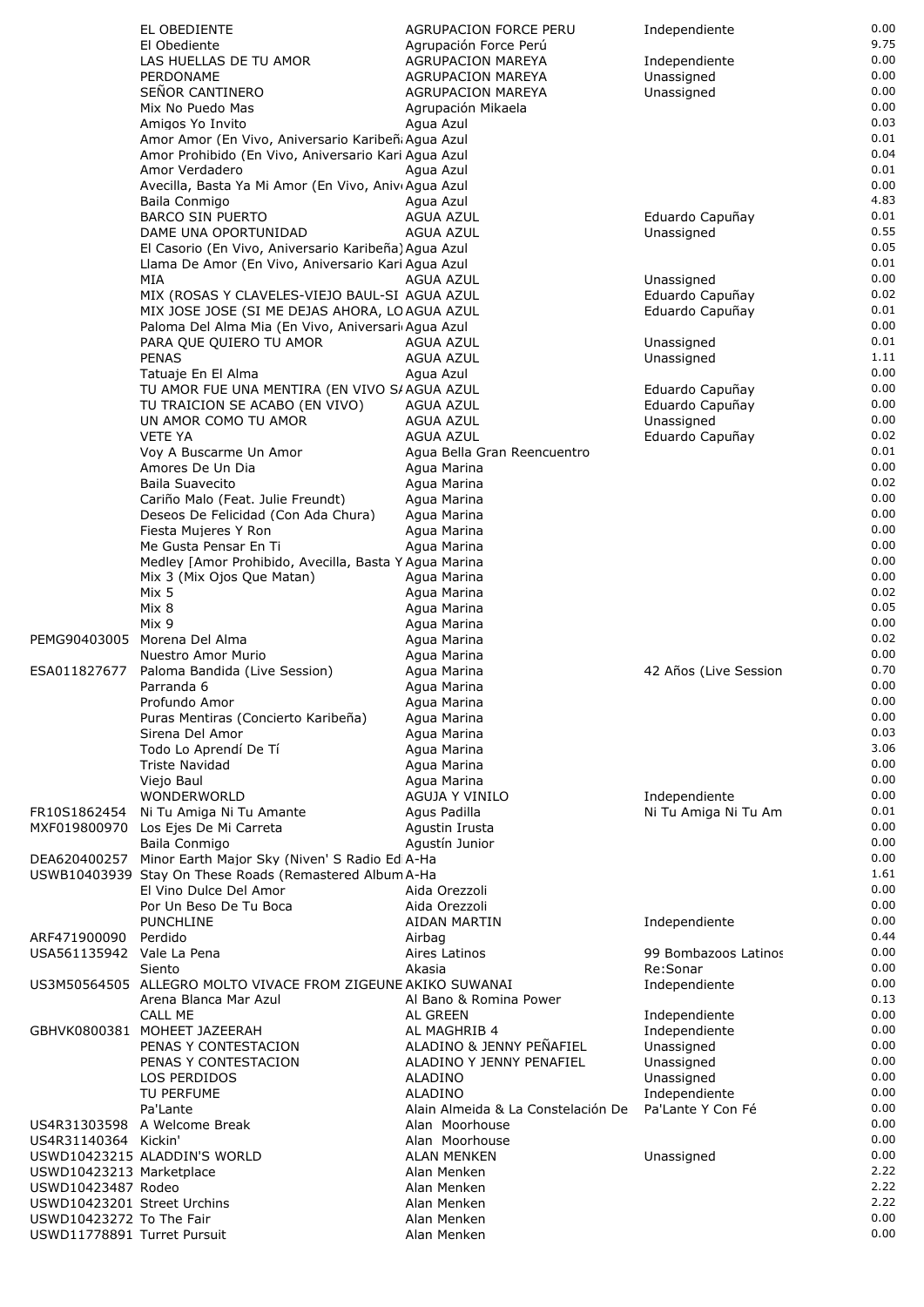|                             | EL OBEDIENTE                                                                                         | <b>AGRUPACION FORCE PERU</b>                         | Independiente                      | 0.00         |
|-----------------------------|------------------------------------------------------------------------------------------------------|------------------------------------------------------|------------------------------------|--------------|
|                             | El Obediente                                                                                         | Agrupación Force Perú                                |                                    | 9.75         |
|                             | LAS HUELLAS DE TU AMOR                                                                               | <b>AGRUPACION MAREYA</b>                             | Independiente                      | 0.00<br>0.00 |
|                             | PERDONAME<br>SEÑOR CANTINERO                                                                         | <b>AGRUPACION MAREYA</b><br><b>AGRUPACION MAREYA</b> | Unassigned<br>Unassigned           | 0.00         |
|                             | Mix No Puedo Mas                                                                                     | Agrupación Mikaela                                   |                                    | 0.00         |
|                             | Amigos Yo Invito                                                                                     | Agua Azul                                            |                                    | 0.03         |
|                             | Amor Amor (En Vivo, Aniversario Karibeñ Agua Azul                                                    |                                                      |                                    | 0.01         |
|                             | Amor Prohibido (En Vivo, Aniversario Kari Agua Azul                                                  |                                                      |                                    | 0.04         |
|                             | Amor Verdadero                                                                                       | Agua Azul                                            |                                    | 0.01         |
|                             | Avecilla, Basta Ya Mi Amor (En Vivo, Aniv Agua Azul<br>Baila Conmigo                                 | Agua Azul                                            |                                    | 0.00<br>4.83 |
|                             | <b>BARCO SIN PUERTO</b>                                                                              | AGUA AZUL                                            | Eduardo Capuñay                    | 0.01         |
|                             | DAME UNA OPORTUNIDAD                                                                                 | AGUA AZUL                                            | Unassigned                         | 0.55         |
|                             | El Casorio (En Vivo, Aniversario Karibeña) Agua Azul                                                 |                                                      |                                    | 0.05         |
|                             | Llama De Amor (En Vivo, Aniversario Kari Agua Azul                                                   |                                                      |                                    | 0.01         |
|                             | MIA                                                                                                  | AGUA AZUL                                            | Unassigned                         | 0.00         |
|                             | MIX (ROSAS Y CLAVELES-VIEJO BAUL-SI AGUA AZUL                                                        |                                                      | Eduardo Capuñay<br>Eduardo Capuñay | 0.02<br>0.01 |
|                             | MIX JOSE JOSE (SI ME DEJAS AHORA, LO AGUA AZUL<br>Paloma Del Alma Mia (En Vivo, Aniversari Agua Azul |                                                      |                                    | 0.00         |
|                             | PARA QUE QUIERO TU AMOR                                                                              | AGUA AZUL                                            | Unassigned                         | 0.01         |
|                             | <b>PENAS</b>                                                                                         | AGUA AZUL                                            | Unassigned                         | 1.11         |
|                             | Tatuaje En El Alma                                                                                   | Agua Azul                                            |                                    | 0.00         |
|                             | TU AMOR FUE UNA MENTIRA (EN VIVO S/AGUA AZUL                                                         |                                                      | Eduardo Capuñay                    | 0.00         |
|                             | TU TRAICION SE ACABO (EN VIVO)<br>UN AMOR COMO TU AMOR                                               | AGUA AZUL<br>AGUA AZUL                               | Eduardo Capuñay<br>Unassigned      | 0.00<br>0.00 |
|                             | <b>VETE YA</b>                                                                                       | AGUA AZUL                                            | Eduardo Capuñay                    | 0.02         |
|                             | Voy A Buscarme Un Amor                                                                               | Agua Bella Gran Reencuentro                          |                                    | 0.01         |
|                             | Amores De Un Dia                                                                                     | Agua Marina                                          |                                    | 0.00         |
|                             | <b>Baila Suavecito</b>                                                                               | Agua Marina                                          |                                    | 0.02         |
|                             | Cariño Malo (Feat. Julie Freundt)                                                                    | Agua Marina                                          |                                    | 0.00         |
|                             | Deseos De Felicidad (Con Ada Chura)                                                                  | Agua Marina                                          |                                    | 0.00         |
|                             | Fiesta Mujeres Y Ron<br>Me Gusta Pensar En Ti                                                        | Agua Marina<br>Agua Marina                           |                                    | 0.00<br>0.00 |
|                             | Medley [Amor Prohibido, Avecilla, Basta Y Agua Marina                                                |                                                      |                                    | 0.00         |
|                             | Mix 3 (Mix Ojos Que Matan)                                                                           | Agua Marina                                          |                                    | 0.00         |
|                             | Mix 5                                                                                                | Agua Marina                                          |                                    | 0.02         |
|                             | Mix 8                                                                                                | Agua Marina                                          |                                    | 0.05         |
|                             | Mix 9                                                                                                | Agua Marina                                          |                                    | 0.00         |
|                             | PEMG90403005 Morena Del Alma<br>Nuestro Amor Murio                                                   | Agua Marina                                          |                                    | 0.02<br>0.00 |
| ESA011827677                | Paloma Bandida (Live Session)                                                                        | Agua Marina<br>Agua Marina                           | 42 Años (Live Session              | 0.70         |
|                             | Parranda 6                                                                                           | Agua Marina                                          |                                    | 0.00         |
|                             | Profundo Amor                                                                                        | Agua Marina                                          |                                    | 0.00         |
|                             | Puras Mentiras (Concierto Karibeña)                                                                  | Agua Marina                                          |                                    | 0.00         |
|                             | Sirena Del Amor                                                                                      | Agua Marina                                          |                                    | 0.03         |
|                             | Todo Lo Aprendí De Tí                                                                                | Agua Marina                                          |                                    | 3.06         |
|                             | Triste Navidad<br>Viejo Baul                                                                         | Agua Marina<br>Agua Marina                           |                                    | 0.00<br>0.00 |
|                             | WONDERWORLD                                                                                          | AGUJA Y VINILO                                       | Independiente                      | 0.00         |
|                             | FR10S1862454 Ni Tu Amiga Ni Tu Amante                                                                | Agus Padilla                                         | Ni Tu Amiga Ni Tu Am               | 0.01         |
|                             | MXF019800970 Los Ejes De Mi Carreta                                                                  | Agustin Irusta                                       |                                    | 0.00         |
|                             | Baila Conmigo                                                                                        | Agustín Junior                                       |                                    | 0.00         |
|                             | DEA620400257 Minor Earth Major Sky (Niven' S Radio EdiA-Ha                                           |                                                      |                                    | 0.00         |
|                             | USWB10403939 Stay On These Roads (Remastered Album A-Ha<br>El Vino Dulce Del Amor                    | Aida Orezzoli                                        |                                    | 1.61<br>0.00 |
|                             | Por Un Beso De Tu Boca                                                                               | Aida Orezzoli                                        |                                    | 0.00         |
|                             | <b>PUNCHLINE</b>                                                                                     | AIDAN MARTIN                                         | Independiente                      | 0.00         |
| ARF471900090                | Perdido                                                                                              | Airbag                                               |                                    | 0.44         |
| USA561135942 Vale La Pena   |                                                                                                      | Aires Latinos                                        | 99 Bombazoos Latinos               | 0.00         |
|                             | Siento                                                                                               | Akasia                                               | Re:Sonar                           | 0.00         |
|                             | US3M50564505   ALLEGRO MOLTO VIVACE FROM ZIGEUNE AKIKO SUWANAI                                       |                                                      | Independiente                      | 0.00<br>0.13 |
|                             | Arena Blanca Mar Azul<br><b>CALL ME</b>                                                              | Al Bano & Romina Power<br>AL GREEN                   | Independiente                      | 0.00         |
|                             | GBHVK0800381 MOHEET JAZEERAH                                                                         | AL MAGHRIB 4                                         | Independiente                      | 0.00         |
|                             | PENAS Y CONTESTACION                                                                                 | ALADINO & JENNY PEÑAFIEL                             | Unassigned                         | 0.00         |
|                             | PENAS Y CONTESTACION                                                                                 | ALADINO Y JENNY PENAFIEL                             | Unassigned                         | 0.00         |
|                             | LOS PERDIDOS                                                                                         | ALADINO                                              | Unassigned                         | 0.00         |
|                             | TU PERFUME                                                                                           | ALADINO                                              | Independiente                      | 0.00         |
|                             | Pa'Lante                                                                                             | Alain Almeida & La Constelación De                   | Pa'Lante Y Con Fé                  | 0.00<br>0.00 |
| US4R31140364 Kickin'        | US4R31303598 A Welcome Break                                                                         | Alan Moorhouse<br>Alan Moorhouse                     |                                    | 0.00         |
|                             | USWD10423215 ALADDIN'S WORLD                                                                         | <b>ALAN MENKEN</b>                                   | Unassigned                         | 0.00         |
| USWD10423213 Marketplace    |                                                                                                      | Alan Menken                                          |                                    | 2.22         |
| USWD10423487 Rodeo          |                                                                                                      | Alan Menken                                          |                                    | 2.22         |
| USWD10423201 Street Urchins |                                                                                                      | Alan Menken                                          |                                    | 2.22         |
| USWD10423272 To The Fair    |                                                                                                      | Alan Menken                                          |                                    | 0.00<br>0.00 |
| USWD11778891 Turret Pursuit |                                                                                                      | Alan Menken                                          |                                    |              |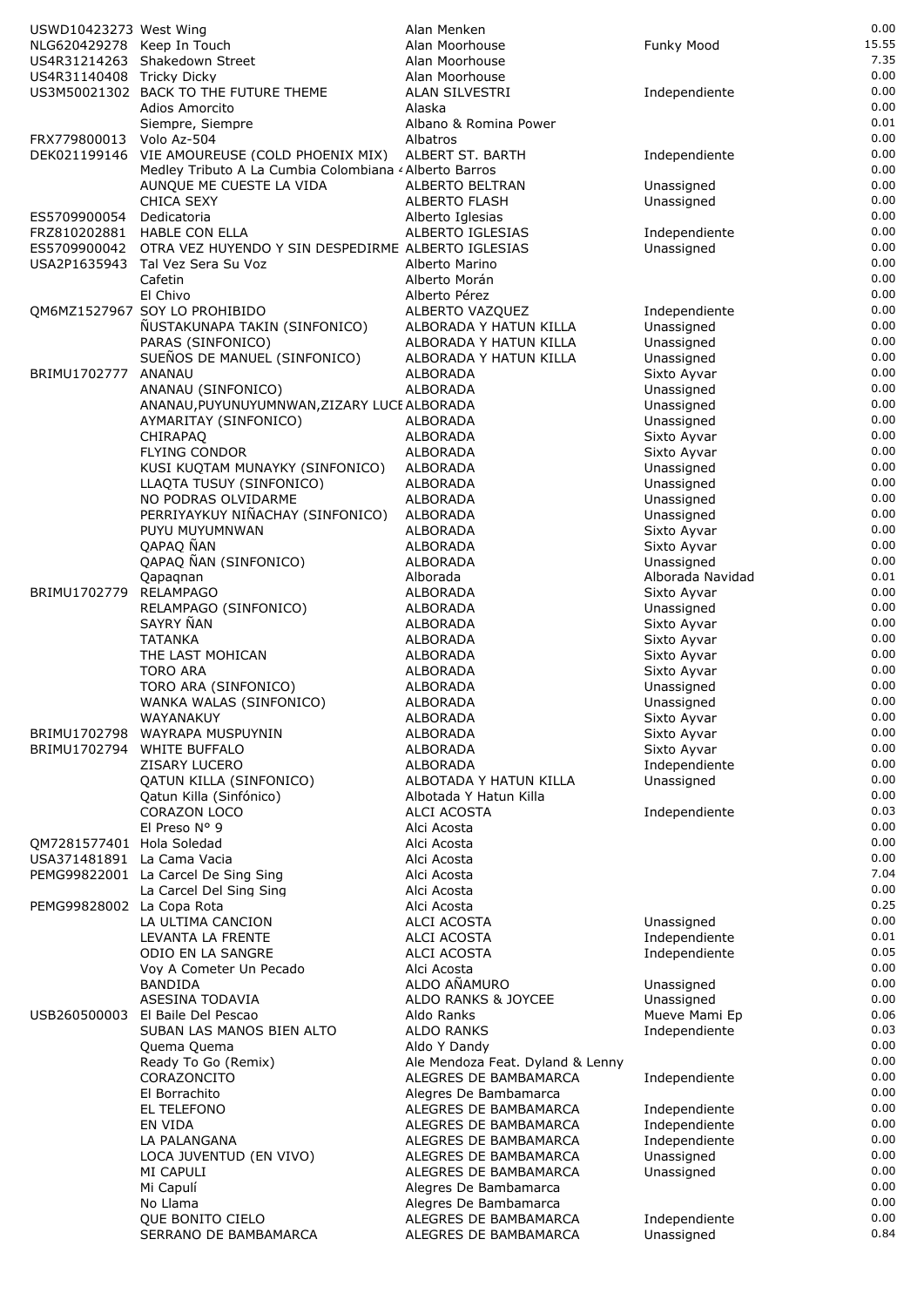| USWD10423273 West Wing     |                                                                | Alan Menken                                    |                              | 0.00         |
|----------------------------|----------------------------------------------------------------|------------------------------------------------|------------------------------|--------------|
| NLG620429278 Keep In Touch |                                                                | Alan Moorhouse                                 | Funky Mood                   | 15.55        |
|                            | US4R31214263 Shakedown Street                                  | Alan Moorhouse                                 |                              | 7.35         |
| US4R31140408 Tricky Dicky  | US3M50021302 BACK TO THE FUTURE THEME                          | Alan Moorhouse<br>ALAN SILVESTRI               | Independiente                | 0.00<br>0.00 |
|                            | Adios Amorcito                                                 | Alaska                                         |                              | 0.00         |
|                            | Siempre, Siempre                                               | Albano & Romina Power                          |                              | 0.01         |
| FRX779800013 Volo Az-504   |                                                                | Albatros                                       |                              | 0.00         |
|                            | DEK021199146 VIE AMOUREUSE (COLD PHOENIX MIX)                  | ALBERT ST. BARTH                               | Independiente                | 0.00         |
|                            | Medley Tributo A La Cumbia Colombiana < Alberto Barros         |                                                |                              | 0.00         |
|                            | AUNQUE ME CUESTE LA VIDA                                       | ALBERTO BELTRAN                                | Unassigned                   | 0.00<br>0.00 |
| ES5709900054               | <b>CHICA SEXY</b><br>Dedicatoria                               | <b>ALBERTO FLASH</b><br>Alberto Iglesias       | Unassigned                   | 0.00         |
|                            | FRZ810202881 HABLE CON ELLA                                    | ALBERTO IGLESIAS                               | Independiente                | 0.00         |
| ES5709900042               | OTRA VEZ HUYENDO Y SIN DESPEDIRME ALBERTO IGLESIAS             |                                                | Unassigned                   | 0.00         |
|                            | USA2P1635943 Tal Vez Sera Su Voz                               | Alberto Marino                                 |                              | 0.00         |
|                            | Cafetin                                                        | Alberto Morán                                  |                              | 0.00         |
|                            | El Chivo                                                       | Alberto Pérez                                  |                              | 0.00<br>0.00 |
|                            | QM6MZ1527967 SOY LO PROHIBIDO<br>ÑUSTAKUNAPA TAKIN (SINFONICO) | ALBERTO VAZQUEZ<br>ALBORADA Y HATUN KILLA      | Independiente<br>Unassigned  | 0.00         |
|                            | PARAS (SINFONICO)                                              | ALBORADA Y HATUN KILLA                         | Unassigned                   | 0.00         |
|                            | SUEÑOS DE MANUEL (SINFONICO)                                   | ALBORADA Y HATUN KILLA                         | Unassigned                   | 0.00         |
| BRIMU1702777               | ANANAU                                                         | <b>ALBORADA</b>                                | Sixto Ayvar                  | 0.00         |
|                            | ANANAU (SINFONICO)                                             | ALBORADA                                       | Unassigned                   | 0.00         |
|                            | ANANAU, PUYUNUYUMNWAN, ZIZARY LUCE ALBORADA                    |                                                | Unassigned                   | 0.00<br>0.00 |
|                            | AYMARITAY (SINFONICO)<br>CHIRAPAO                              | ALBORADA<br>ALBORADA                           | Unassigned<br>Sixto Ayvar    | 0.00         |
|                            | <b>FLYING CONDOR</b>                                           | <b>ALBORADA</b>                                | Sixto Ayvar                  | 0.00         |
|                            | KUSI KUQTAM MUNAYKY (SINFONICO)                                | ALBORADA                                       | Unassigned                   | 0.00         |
|                            | LLAQTA TUSUY (SINFONICO)                                       | ALBORADA                                       | Unassigned                   | 0.00         |
|                            | NO PODRAS OLVIDARME                                            | ALBORADA                                       | Unassigned                   | 0.00         |
|                            | PERRIYAYKUY NIÑACHAY (SINFONICO)                               | ALBORADA                                       | Unassigned                   | 0.00         |
|                            | PUYU MUYUMNWAN<br>QAPAQ NAN                                    | <b>ALBORADA</b><br>ALBORADA                    | Sixto Ayvar<br>Sixto Ayvar   | 0.00<br>0.00 |
|                            | QAPAQ ÑAN (SINFONICO)                                          | ALBORADA                                       | Unassigned                   | 0.00         |
|                            | Qapagnan                                                       | Alborada                                       | Alborada Navidad             | 0.01         |
| BRIMU1702779               | <b>RELAMPAGO</b>                                               | ALBORADA                                       | Sixto Ayvar                  | 0.00         |
|                            | RELAMPAGO (SINFONICO)                                          | ALBORADA                                       | Unassigned                   | 0.00         |
|                            | SAYRY ÑAN                                                      | ALBORADA                                       | Sixto Ayvar                  | 0.00<br>0.00 |
|                            | <b>TATANKA</b><br>THE LAST MOHICAN                             | ALBORADA<br>ALBORADA                           | Sixto Ayvar<br>Sixto Ayvar   | 0.00         |
|                            | <b>TORO ARA</b>                                                | ALBORADA                                       | Sixto Ayvar                  | 0.00         |
|                            | TORO ARA (SINFONICO)                                           | ALBORADA                                       | Unassigned                   | 0.00         |
|                            | WANKA WALAS (SINFONICO)                                        | ALBORADA                                       | Unassigned                   | 0.00         |
|                            | WAYANAKUY                                                      | <b>ALBORADA</b>                                | Sixto Ayvar                  | 0.00         |
|                            | BRIMU1702798 WAYRAPA MUSPUYNIN                                 | ALBORADA                                       | Sixto Ayvar                  | 0.00<br>0.00 |
|                            | BRIMU1702794 WHITE BUFFALO<br>ZISARY LUCERO                    | ALBORADA<br><b>ALBORADA</b>                    | Sixto Ayvar<br>Independiente | 0.00         |
|                            | QATUN KILLA (SINFONICO)                                        | ALBOTADA Y HATUN KILLA                         | Unassigned                   | 0.00         |
|                            | Qatun Killa (Sinfónico)                                        | Albotada Y Hatun Killa                         |                              | 0.00         |
|                            | CORAZON LOCO                                                   | ALCI ACOSTA                                    | Independiente                | 0.03         |
|                            | El Preso Nº 9                                                  | Alci Acosta                                    |                              | 0.00         |
| QM7281577401 Hola Soledad  |                                                                | Alci Acosta                                    |                              | 0.00         |
| USA371481891 La Cama Vacia | PEMG99822001 La Carcel De Sing Sing                            | Alci Acosta<br>Alci Acosta                     |                              | 0.00<br>7.04 |
|                            | La Carcel Del Sing Sing                                        | Alci Acosta                                    |                              | 0.00         |
| PEMG99828002 La Copa Rota  |                                                                | Alci Acosta                                    |                              | 0.25         |
|                            | LA ULTIMA CANCION                                              | ALCI ACOSTA                                    | Unassigned                   | 0.00         |
|                            | LEVANTA LA FRENTE                                              | ALCI ACOSTA                                    | Independiente                | 0.01         |
|                            | ODIO EN LA SANGRE                                              | ALCI ACOSTA                                    | Independiente                | 0.05         |
|                            | Voy A Cometer Un Pecado<br><b>BANDIDA</b>                      | Alci Acosta<br>ALDO AÑAMURO                    | Unassigned                   | 0.00<br>0.00 |
|                            | ASESINA TODAVIA                                                | ALDO RANKS & JOYCEE                            | Unassigned                   | 0.00         |
| USB260500003               | El Baile Del Pescao                                            | Aldo Ranks                                     | Mueve Mami Ep                | 0.06         |
|                            | SUBAN LAS MANOS BIEN ALTO                                      | <b>ALDO RANKS</b>                              | Independiente                | 0.03         |
|                            | Quema Quema                                                    | Aldo Y Dandy                                   |                              | 0.00         |
|                            | Ready To Go (Remix)                                            | Ale Mendoza Feat. Dyland & Lenny               |                              | 0.00<br>0.00 |
|                            | CORAZONCITO<br>El Borrachito                                   | ALEGRES DE BAMBAMARCA<br>Alegres De Bambamarca | Independiente                | 0.00         |
|                            | EL TELEFONO                                                    | ALEGRES DE BAMBAMARCA                          | Independiente                | 0.00         |
|                            | EN VIDA                                                        | ALEGRES DE BAMBAMARCA                          | Independiente                | 0.00         |
|                            | LA PALANGANA                                                   | ALEGRES DE BAMBAMARCA                          | Independiente                | 0.00         |
|                            | LOCA JUVENTUD (EN VIVO)                                        | ALEGRES DE BAMBAMARCA                          | Unassigned                   | 0.00         |
|                            | MI CAPULI                                                      | ALEGRES DE BAMBAMARCA                          | Unassigned                   | 0.00<br>0.00 |
|                            | Mi Capulí<br>No Llama                                          | Alegres De Bambamarca<br>Alegres De Bambamarca |                              | 0.00         |
|                            | QUE BONITO CIELO                                               | ALEGRES DE BAMBAMARCA                          | Independiente                | 0.00         |
|                            | SERRANO DE BAMBAMARCA                                          | ALEGRES DE BAMBAMARCA                          | Unassigned                   | 0.84         |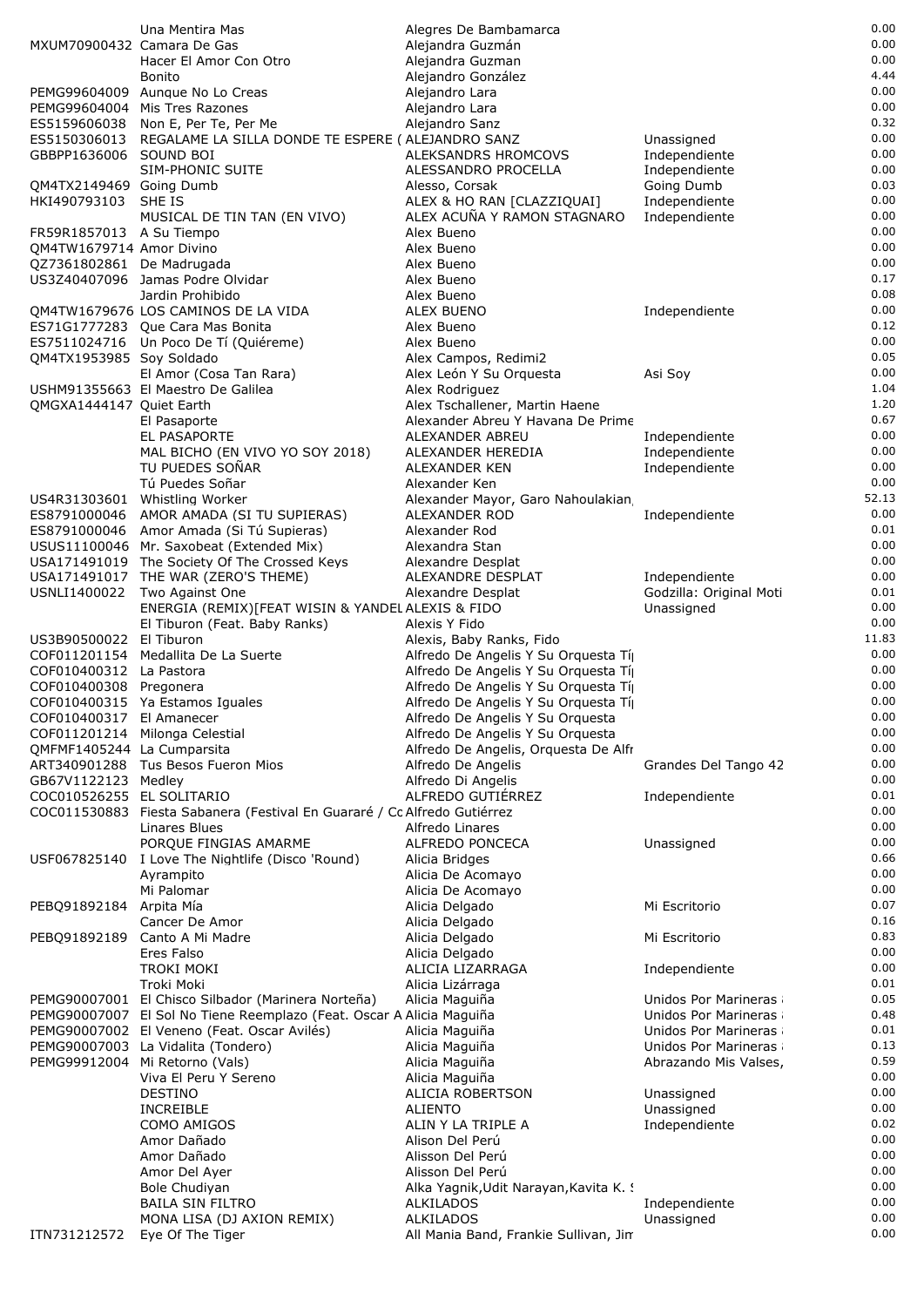|                            | Una Mentira Mas                                                                     | Alegres De Bambamarca                                                    |                          | 0.00          |
|----------------------------|-------------------------------------------------------------------------------------|--------------------------------------------------------------------------|--------------------------|---------------|
| MXUM70900432 Camara De Gas |                                                                                     | Alejandra Guzmán                                                         |                          | 0.00          |
|                            | Hacer El Amor Con Otro                                                              | Alejandra Guzman                                                         |                          | 0.00<br>4.44  |
|                            | <b>Bonito</b><br>PEMG99604009 Aunque No Lo Creas                                    | Alejandro González<br>Alejandro Lara                                     |                          | 0.00          |
|                            | PEMG99604004 Mis Tres Razones                                                       | Alejandro Lara                                                           |                          | 0.00          |
|                            | ES5159606038 Non E, Per Te, Per Me                                                  | Alejandro Sanz                                                           |                          | 0.32          |
|                            | ES5150306013 REGALAME LA SILLA DONDE TE ESPERE ( ALEJANDRO SANZ                     |                                                                          | Unassigned               | 0.00          |
| GBBPP1636006 SOUND BOI     |                                                                                     | ALEKSANDRS HROMCOVS                                                      | Independiente            | 0.00          |
|                            | SIM-PHONIC SUITE                                                                    | ALESSANDRO PROCELLA                                                      | Independiente            | 0.00          |
| OM4TX2149469 Going Dumb    |                                                                                     | Alesso, Corsak                                                           | Going Dumb               | 0.03          |
| HKI490793103               | SHE IS                                                                              | ALEX & HO RAN [CLAZZIQUAI]                                               | Independiente            | 0.00<br>0.00  |
| FR59R1857013 A Su Tiempo   | MUSICAL DE TIN TAN (EN VIVO)                                                        | ALEX ACUÑA Y RAMON STAGNARO<br>Alex Bueno                                | Independiente            | 0.00          |
| QM4TW1679714 Amor Divino   |                                                                                     | Alex Bueno                                                               |                          | 0.00          |
| QZ7361802861 De Madrugada  |                                                                                     | Alex Bueno                                                               |                          | 0.00          |
|                            | US3Z40407096 Jamas Podre Olvidar                                                    | Alex Bueno                                                               |                          | 0.17          |
|                            | Jardin Prohibido                                                                    | Alex Bueno                                                               |                          | 0.08          |
|                            | QM4TW1679676 LOS CAMINOS DE LA VIDA                                                 | ALEX BUENO                                                               | Independiente            | 0.00          |
|                            | ES71G1777283 Que Cara Mas Bonita                                                    | Alex Bueno                                                               |                          | 0.12          |
| QM4TX1953985 Soy Soldado   | ES7511024716 Un Poco De Tí (Quiéreme)                                               | Alex Bueno                                                               |                          | 0.00<br>0.05  |
|                            | El Amor (Cosa Tan Rara)                                                             | Alex Campos, Redimi2<br>Alex León Y Su Orquesta                          | Asi Sov                  | 0.00          |
|                            | USHM91355663 El Maestro De Galilea                                                  | Alex Rodriguez                                                           |                          | 1.04          |
| QMGXA1444147 Quiet Earth   |                                                                                     | Alex Tschallener, Martin Haene                                           |                          | 1.20          |
|                            | El Pasaporte                                                                        | Alexander Abreu Y Havana De Prime                                        |                          | 0.67          |
|                            | EL PASAPORTE                                                                        | ALEXANDER ABREU                                                          | Independiente            | 0.00          |
|                            | MAL BICHO (EN VIVO YO SOY 2018)                                                     | ALEXANDER HEREDIA                                                        | Independiente            | 0.00          |
|                            | TU PUEDES SOÑAR                                                                     | ALEXANDER KEN                                                            | Independiente            | 0.00          |
|                            | Tú Puedes Soñar<br>US4R31303601 Whistling Worker                                    | Alexander Ken<br>Alexander Mayor, Garo Nahoulakian                       |                          | 0.00<br>52.13 |
| ES8791000046               | AMOR AMADA (SI TU SUPIERAS)                                                         | ALEXANDER ROD                                                            | Independiente            | 0.00          |
|                            | ES8791000046 Amor Amada (Si Tú Supieras)                                            | Alexander Rod                                                            |                          | 0.01          |
|                            | USUS11100046 Mr. Saxobeat (Extended Mix)                                            | Alexandra Stan                                                           |                          | 0.00          |
|                            | USA171491019 The Society Of The Crossed Keys                                        | Alexandre Desplat                                                        |                          | 0.00          |
|                            | USA171491017 THE WAR (ZERO'S THEME)                                                 | ALEXANDRE DESPLAT                                                        | Independiente            | 0.00          |
| USNLI1400022               | Two Against One                                                                     | Alexandre Desplat                                                        | Godzilla: Original Moti  | 0.01          |
|                            | ENERGIA (REMIX) [FEAT WISIN & YANDEL ALEXIS & FIDO<br>El Tiburon (Feat. Baby Ranks) | Alexis Y Fido                                                            | Unassigned               | 0.00<br>0.00  |
| US3B90500022 El Tiburon    |                                                                                     | Alexis, Baby Ranks, Fido                                                 |                          | 11.83         |
| COF011201154               | Medallita De La Suerte                                                              | Alfredo De Angelis Y Su Orquesta Tíj                                     |                          | 0.00          |
| COF010400312 La Pastora    |                                                                                     | Alfredo De Angelis Y Su Orquesta Tíj                                     |                          | 0.00          |
| COF010400308 Pregonera     |                                                                                     | Alfredo De Angelis Y Su Orquesta Tíj                                     |                          | 0.00          |
|                            | COF010400315 Ya Estamos Iguales                                                     | Alfredo De Angelis Y Su Orquesta Tí                                      |                          | 0.00          |
| COF010400317 El Amanecer   |                                                                                     | Alfredo De Angelis Y Su Orquesta                                         |                          | 0.00<br>0.00  |
| QMFMF1405244 La Cumparsita | COF011201214 Milonga Celestial                                                      | Alfredo De Angelis Y Su Orquesta<br>Alfredo De Angelis, Orquesta De Alfr |                          | 0.00          |
|                            | ART340901288 Tus Besos Fueron Mios                                                  | Alfredo De Angelis                                                       | Grandes Del Tango 42     | 0.00          |
| GB67V1122123 Medlev        |                                                                                     | Alfredo Di Angelis                                                       |                          | 0.00          |
| COC010526255 EL SOLITARIO  |                                                                                     | ALFREDO GUTIÉRREZ                                                        | Independiente            | 0.01          |
|                            | COC011530883 Fiesta Sabanera (Festival En Guararé / Co Alfredo Gutiérrez            |                                                                          |                          | 0.00          |
|                            | Linares Blues                                                                       | Alfredo Linares                                                          |                          | 0.00          |
|                            | PORQUE FINGIAS AMARME                                                               | <b>ALFREDO PONCECA</b>                                                   | Unassigned               | 0.00<br>0.66  |
|                            | USF067825140 I Love The Nightlife (Disco 'Round)<br>Ayrampito                       | Alicia Bridges<br>Alicia De Acomayo                                      |                          | 0.00          |
|                            | Mi Palomar                                                                          | Alicia De Acomayo                                                        |                          | 0.00          |
| PEBQ91892184 Arpita Mía    |                                                                                     | Alicia Delgado                                                           | Mi Escritorio            | 0.07          |
|                            | Cancer De Amor                                                                      | Alicia Delgado                                                           |                          | 0.16          |
| PEBQ91892189               | Canto A Mi Madre                                                                    | Alicia Delgado                                                           | Mi Escritorio            | 0.83          |
|                            | Eres Falso                                                                          | Alicia Delgado                                                           |                          | 0.00          |
|                            | <b>TROKI MOKI</b>                                                                   | ALICIA LIZARRAGA                                                         | Independiente            | 0.00<br>0.01  |
|                            | Troki Moki<br>PEMG90007001 El Chisco Silbador (Marinera Norteña)                    | Alicia Lizárraga<br>Alicia Maguiña                                       | Unidos Por Marineras     | 0.05          |
|                            | PEMG90007007 El Sol No Tiene Reemplazo (Feat. Oscar A Alicia Maguiña                |                                                                          | Unidos Por Marineras     | 0.48          |
|                            | PEMG90007002 El Veneno (Feat. Oscar Avilés)                                         | Alicia Maguiña                                                           | Unidos Por Marineras     | 0.01          |
|                            | PEMG90007003 La Vidalita (Tondero)                                                  | Alicia Maguiña                                                           | Unidos Por Marineras     | 0.13          |
|                            | PEMG99912004 Mi Retorno (Vals)                                                      | Alicia Maguiña                                                           | Abrazando Mis Valses,    | 0.59          |
|                            | Viva El Peru Y Sereno                                                               | Alicia Maguiña                                                           |                          | 0.00          |
|                            | <b>DESTINO</b><br><b>INCREIBLE</b>                                                  | ALICIA ROBERTSON<br>ALIENTO                                              | Unassigned<br>Unassigned | 0.00<br>0.00  |
|                            | COMO AMIGOS                                                                         | ALIN Y LA TRIPLE A                                                       | Independiente            | 0.02          |
|                            | Amor Dañado                                                                         | Alison Del Perú                                                          |                          | 0.00          |
|                            | Amor Dañado                                                                         | Alisson Del Perú                                                         |                          | 0.00          |
|                            | Amor Del Ayer                                                                       | Alisson Del Perú                                                         |                          | 0.00          |
|                            | Bole Chudiyan                                                                       | Alka Yagnik, Udit Narayan, Kavita K. !                                   |                          | 0.00          |
|                            | <b>BAILA SIN FILTRO</b>                                                             | <b>ALKILADOS</b>                                                         | Independiente            | 0.00<br>0.00  |
| ITN731212572               | MONA LISA (DJ AXION REMIX)<br>Eye Of The Tiger                                      | <b>ALKILADOS</b><br>All Mania Band, Frankie Sullivan, Jin                | Unassigned               | 0.00          |
|                            |                                                                                     |                                                                          |                          |               |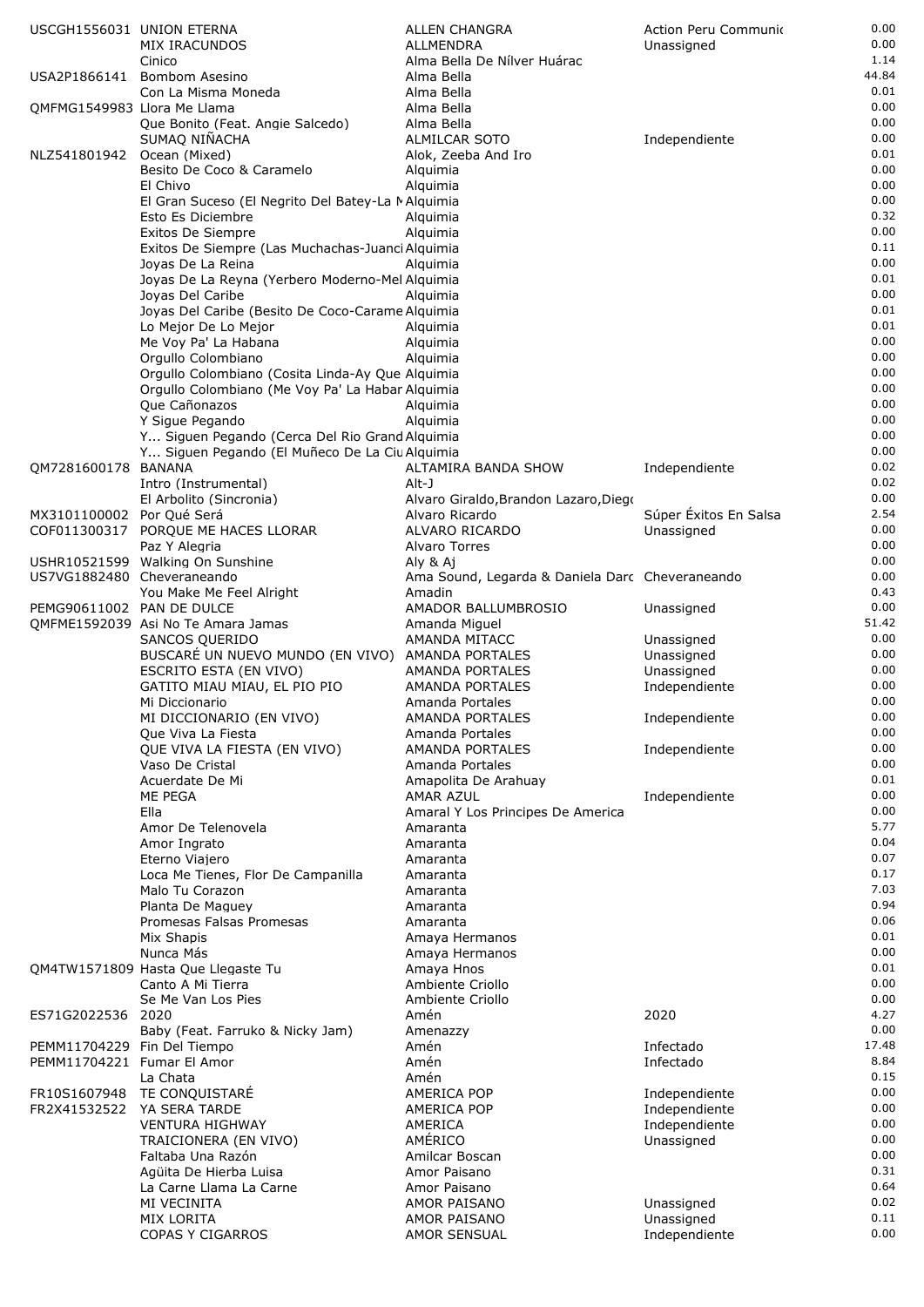| USCGH1556031 UNION ETERNA                                 | MIX IRACUNDOS<br>Cinico                                                    | <b>ALLEN CHANGRA</b><br><b>ALLMENDRA</b><br>Alma Bella De Nílver Huárac | Action Peru Communio<br>Unassigned | 0.00<br>0.00<br>1.14 |
|-----------------------------------------------------------|----------------------------------------------------------------------------|-------------------------------------------------------------------------|------------------------------------|----------------------|
|                                                           | USA2P1866141 Bombom Asesino<br>Con La Misma Moneda                         | Alma Bella<br>Alma Bella                                                |                                    | 44.84<br>0.01        |
| OMFMG1549983 Llora Me Llama                               |                                                                            | Alma Bella                                                              |                                    | 0.00                 |
|                                                           | Que Bonito (Feat. Angie Salcedo)                                           | Alma Bella                                                              |                                    | 0.00                 |
| NLZ541801942 Ocean (Mixed)                                | SUMAQ NINACHA                                                              | <b>ALMILCAR SOTO</b><br>Alok, Zeeba And Iro                             | Independiente                      | 0.00<br>0.01         |
|                                                           | Besito De Coco & Caramelo                                                  | Alquimia                                                                |                                    | 0.00                 |
|                                                           | El Chivo                                                                   | Alquimia                                                                |                                    | 0.00                 |
|                                                           | El Gran Suceso (El Negrito Del Batey-La MAlquimia                          |                                                                         |                                    | 0.00                 |
|                                                           | Esto Es Diciembre                                                          | Alquimia                                                                |                                    | 0.32<br>0.00         |
|                                                           | Exitos De Siempre<br>Exitos De Siempre (Las Muchachas-Juanci Alquimia      | Alquimia                                                                |                                    | 0.11                 |
|                                                           | Joyas De La Reina                                                          | Alguimia                                                                |                                    | 0.00                 |
|                                                           | Joyas De La Reyna (Yerbero Moderno-Mel Alquimia                            |                                                                         |                                    | 0.01                 |
|                                                           | Joyas Del Caribe                                                           | Alquimia                                                                |                                    | 0.00                 |
|                                                           | Joyas Del Caribe (Besito De Coco-Carame Alquimia<br>Lo Mejor De Lo Mejor   | Alquimia                                                                |                                    | 0.01<br>0.01         |
|                                                           | Me Voy Pa' La Habana                                                       | Alquimia                                                                |                                    | 0.00                 |
|                                                           | Orgullo Colombiano                                                         | Alguimia                                                                |                                    | 0.00                 |
|                                                           | Orgullo Colombiano (Cosita Linda-Ay Que Alquimia                           |                                                                         |                                    | 0.00                 |
|                                                           | Orgullo Colombiano (Me Voy Pa' La Habar Alquimia                           |                                                                         |                                    | 0.00<br>0.00         |
|                                                           | Que Cañonazos<br>Y Sigue Pegando                                           | Alquimia<br>Alquimia                                                    |                                    | 0.00                 |
|                                                           | Y Siguen Pegando (Cerca Del Rio Grand Alquimia                             |                                                                         |                                    | 0.00                 |
|                                                           | Y Siguen Pegando (El Muñeco De La Ciu Alguimia                             |                                                                         |                                    | 0.00                 |
| QM7281600178 BANANA                                       |                                                                            | ALTAMIRA BANDA SHOW                                                     | Independiente                      | 0.02                 |
|                                                           | Intro (Instrumental)<br>El Arbolito (Sincronia)                            | Alt-J<br>Alvaro Giraldo, Brandon Lazaro, Diego                          |                                    | 0.02<br>0.00         |
| MX3101100002 Por Qué Será                                 |                                                                            | Alvaro Ricardo                                                          | Súper Éxitos En Salsa              | 2.54                 |
| COF011300317                                              | PORQUE ME HACES LLORAR                                                     | ALVARO RICARDO                                                          | Unassigned                         | 0.00                 |
|                                                           | Paz Y Alegria                                                              | Alvaro Torres                                                           |                                    | 0.00                 |
|                                                           | USHR10521599 Walking On Sunshine                                           | Aly & Aj                                                                |                                    | 0.00<br>0.00         |
| US7VG1882480 Cheveraneando                                | You Make Me Feel Alright                                                   | Ama Sound, Legarda & Daniela Darc Cheveraneando<br>Amadin               |                                    | 0.43                 |
| PEMG90611002 PAN DE DULCE                                 |                                                                            | AMADOR BALLUMBROSIO                                                     | Unassigned                         | 0.00                 |
|                                                           | QMFME1592039 Asi No Te Amara Jamas                                         | Amanda Miguel                                                           |                                    | 51.42                |
|                                                           | SANCOS QUERIDO                                                             | AMANDA MITACC                                                           | Unassigned                         | 0.00<br>0.00         |
|                                                           | BUSCARÉ UN NUEVO MUNDO (EN VIVO) AMANDA PORTALES<br>ESCRITO ESTA (EN VIVO) | AMANDA PORTALES                                                         | Unassigned<br>Unassigned           | 0.00                 |
|                                                           | GATITO MIAU MIAU, EL PIO PIO                                               | AMANDA PORTALES                                                         | Independiente                      | 0.00                 |
|                                                           | Mi Diccionario                                                             | Amanda Portales                                                         |                                    | 0.00                 |
|                                                           | MI DICCIONARIO (EN VIVO)                                                   | AMANDA PORTALES                                                         | Independiente                      | 0.00<br>0.00         |
|                                                           | Que Viva La Fiesta<br>QUE VIVA LA FIESTA (EN VIVO)                         | Amanda Portales<br><b>AMANDA PORTALES</b>                               | Independiente                      | 0.00                 |
|                                                           | Vaso De Cristal                                                            | Amanda Portales                                                         |                                    | 0.00                 |
|                                                           | Acuerdate De Mi                                                            | Amapolita De Arahuay                                                    |                                    | 0.01                 |
|                                                           | ME PEGA                                                                    | AMAR AZUL                                                               | Independiente                      | 0.00                 |
|                                                           | Ella<br>Amor De Telenovela                                                 | Amaral Y Los Principes De America<br>Amaranta                           |                                    | 0.00<br>5.77         |
|                                                           | Amor Ingrato                                                               | Amaranta                                                                |                                    | 0.04                 |
|                                                           | Eterno Viajero                                                             | Amaranta                                                                |                                    | 0.07                 |
|                                                           | Loca Me Tienes, Flor De Campanilla                                         | Amaranta                                                                |                                    | 0.17                 |
|                                                           | Malo Tu Corazon<br>Planta De Maguey                                        | Amaranta<br>Amaranta                                                    |                                    | 7.03<br>0.94         |
|                                                           | Promesas Falsas Promesas                                                   | Amaranta                                                                |                                    | 0.06                 |
|                                                           | Mix Shapis                                                                 | Amaya Hermanos                                                          |                                    | 0.01                 |
|                                                           | Nunca Más                                                                  | Amaya Hermanos                                                          |                                    | 0.00                 |
|                                                           | QM4TW1571809 Hasta Que Llegaste Tu<br>Canto A Mi Tierra                    | Amaya Hnos<br>Ambiente Criollo                                          |                                    | 0.01<br>0.00         |
|                                                           | Se Me Van Los Pies                                                         | Ambiente Criollo                                                        |                                    | 0.00                 |
| ES71G2022536 2020                                         |                                                                            | Amén                                                                    | 2020                               | 4.27                 |
|                                                           | Baby (Feat. Farruko & Nicky Jam)                                           | Amenazzy                                                                |                                    | 0.00                 |
| PEMM11704229 Fin Del Tiempo<br>PEMM11704221 Fumar El Amor |                                                                            | Amén<br>Amén                                                            | Infectado<br>Infectado             | 17.48<br>8.84        |
|                                                           | La Chata                                                                   | Amén                                                                    |                                    | 0.15                 |
|                                                           | FR10S1607948 TE CONQUISTARÉ                                                | AMERICA POP                                                             | Independiente                      | 0.00                 |
| FR2X41532522                                              | YA SERA TARDE                                                              | AMERICA POP                                                             | Independiente                      | 0.00                 |
|                                                           | <b>VENTURA HIGHWAY</b><br>TRAICIONERA (EN VIVO)                            | AMERICA<br>AMÉRICO                                                      | Independiente<br>Unassigned        | 0.00<br>0.00         |
|                                                           | Faltaba Una Razón                                                          | Amilcar Boscan                                                          |                                    | 0.00                 |
|                                                           | Agüita De Hierba Luisa                                                     | Amor Paisano                                                            |                                    | 0.31                 |
|                                                           | La Carne Llama La Carne                                                    | Amor Paisano                                                            |                                    | 0.64                 |
|                                                           | <b>MI VECINITA</b>                                                         | AMOR PAISANO                                                            | Unassigned                         | 0.02<br>0.11         |
|                                                           | MIX LORITA<br>COPAS Y CIGARROS                                             | AMOR PAISANO<br>AMOR SENSUAL                                            | Unassigned<br>Independiente        | 0.00                 |
|                                                           |                                                                            |                                                                         |                                    |                      |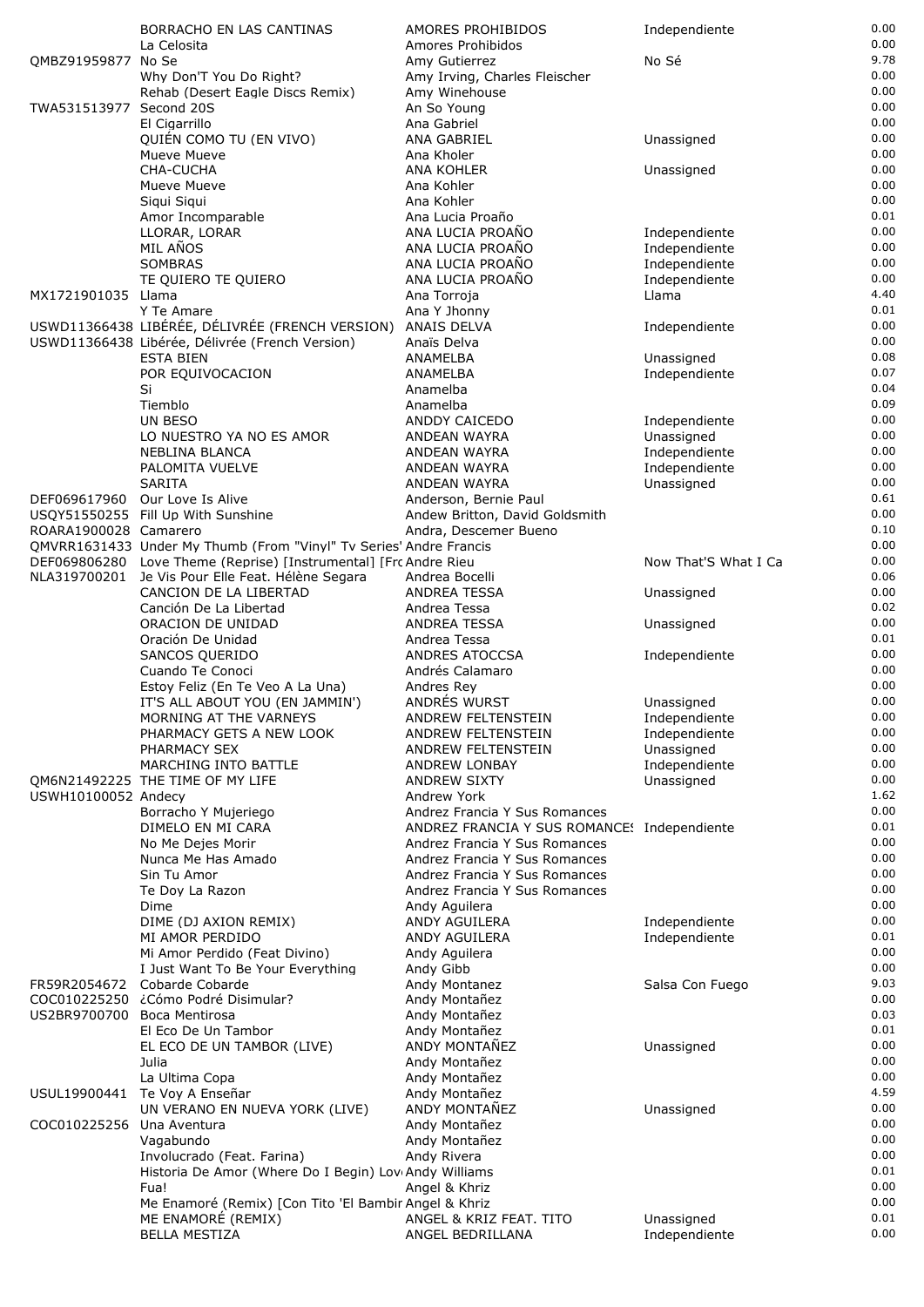|                             | BORRACHO EN LAS CANTINAS                                            | AMORES PROHIBIDOS                                                            | Independiente                  | 0.00         |
|-----------------------------|---------------------------------------------------------------------|------------------------------------------------------------------------------|--------------------------------|--------------|
|                             | La Celosita                                                         | Amores Prohibidos                                                            |                                | 0.00         |
| QMBZ91959877 No Se          |                                                                     | Amy Gutierrez                                                                | No Sé                          | 9.78         |
|                             | Why Don'T You Do Right?                                             | Amy Irving, Charles Fleischer                                                |                                | 0.00         |
| TWA531513977 Second 20S     | Rehab (Desert Eagle Discs Remix)                                    | Amy Winehouse<br>An So Young                                                 |                                | 0.00<br>0.00 |
|                             | El Cigarrillo                                                       | Ana Gabriel                                                                  |                                | 0.00         |
|                             | QUIÉN COMO TU (EN VIVO)                                             | ANA GABRIEL                                                                  | Unassigned                     | 0.00         |
|                             | Mueve Mueve                                                         | Ana Kholer                                                                   |                                | 0.00         |
|                             | CHA-CUCHA                                                           | ANA KOHLER                                                                   | Unassigned                     | 0.00         |
|                             | Mueve Mueve                                                         | Ana Kohler                                                                   |                                | 0.00         |
|                             | Siqui Siqui                                                         | Ana Kohler                                                                   |                                | 0.00         |
|                             | Amor Incomparable                                                   | Ana Lucia Proaño<br>ANA LUCIA PROAÑO                                         |                                | 0.01<br>0.00 |
|                             | LLORAR, LORAR<br>MIL AÑOS                                           | ANA LUCIA PROAÑO                                                             | Independiente<br>Independiente | 0.00         |
|                             | SOMBRAS                                                             | ANA LUCIA PROAÑO                                                             | Independiente                  | 0.00         |
|                             | TE QUIERO TE QUIERO                                                 | ANA LUCIA PROAÑO                                                             | Independiente                  | 0.00         |
| MX1721901035 Llama          |                                                                     | Ana Torroja                                                                  | Llama                          | 4.40         |
|                             | Y Te Amare                                                          | Ana Y Jhonny                                                                 |                                | 0.01         |
|                             | USWD11366438 LIBÉRÉE, DÉLIVRÉE (FRENCH VERSION)                     | ANAIS DELVA                                                                  | Independiente                  | 0.00<br>0.00 |
|                             | USWD11366438 Libérée, Délivrée (French Version)<br><b>ESTA BIEN</b> | Anaïs Delva<br>ANAMELBA                                                      | Unassigned                     | 0.08         |
|                             | POR EQUIVOCACION                                                    | ANAMELBA                                                                     | Independiente                  | 0.07         |
|                             | Si                                                                  | Anamelba                                                                     |                                | 0.04         |
|                             | Tiemblo                                                             | Anamelba                                                                     |                                | 0.09         |
|                             | UN BESO                                                             | ANDDY CAICEDO                                                                | Independiente                  | 0.00         |
|                             | LO NUESTRO YA NO ES AMOR                                            | ANDEAN WAYRA                                                                 | Unassigned                     | 0.00         |
|                             | <b>NEBLINA BLANCA</b>                                               | ANDEAN WAYRA                                                                 | Independiente                  | 0.00         |
|                             | PALOMITA VUELVE<br><b>SARITA</b>                                    | ANDEAN WAYRA<br>ANDEAN WAYRA                                                 | Independiente                  | 0.00<br>0.00 |
|                             | DEF069617960 Our Love Is Alive                                      | Anderson, Bernie Paul                                                        | Unassigned                     | 0.61         |
|                             | USQY51550255 Fill Up With Sunshine                                  | Andew Britton, David Goldsmith                                               |                                | 0.00         |
| ROARA1900028 Camarero       |                                                                     | Andra, Descemer Bueno                                                        |                                | 0.10         |
|                             | QMVRR1631433 Under My Thumb (From "Vinyl" Tv Series' Andre Francis  |                                                                              |                                | 0.00         |
|                             | DEF069806280 Love Theme (Reprise) [Instrumental] [Frc Andre Rieu    |                                                                              | Now That'S What I Ca           | 0.00         |
|                             | NLA319700201 Je Vis Pour Elle Feat. Hélène Segara                   | Andrea Bocelli                                                               |                                | 0.06         |
|                             | CANCION DE LA LIBERTAD<br>Canción De La Libertad                    | <b>ANDREA TESSA</b><br>Andrea Tessa                                          | Unassigned                     | 0.00<br>0.02 |
|                             | ORACION DE UNIDAD                                                   | <b>ANDREA TESSA</b>                                                          | Unassigned                     | 0.00         |
|                             | Oración De Unidad                                                   | Andrea Tessa                                                                 |                                | 0.01         |
|                             | SANCOS QUERIDO                                                      | ANDRES ATOCCSA                                                               | Independiente                  | 0.00         |
|                             | Cuando Te Conoci                                                    | Andrés Calamaro                                                              |                                | 0.00         |
|                             | Estoy Feliz (En Te Veo A La Una)                                    | Andres Rey                                                                   |                                | 0.00         |
|                             | IT'S ALL ABOUT YOU (EN JAMMIN')                                     | ANDRÉS WURST                                                                 | Unassigned                     | 0.00<br>0.00 |
|                             | MORNING AT THE VARNEYS<br>PHARMACY GETS A NEW LOOK                  | ANDREW FELTENSTEIN<br>ANDREW FELTENSTEIN                                     | Independiente<br>Independiente | 0.00         |
|                             | PHARMACY SEX                                                        | ANDREW FELTENSTEIN                                                           | Unassigned                     | 0.00         |
|                             | MARCHING INTO BATTLE                                                | ANDREW LONBAY                                                                | Independiente                  | 0.00         |
|                             | QM6N21492225 THE TIME OF MY LIFE                                    | <b>ANDREW SIXTY</b>                                                          | Unassigned                     | 0.00         |
| USWH10100052 Andecy         |                                                                     | Andrew York                                                                  |                                | 1.62         |
|                             | Borracho Y Mujeriego                                                | Andrez Francia Y Sus Romances                                                |                                | 0.00         |
|                             | DIMELO EN MI CARA<br>No Me Dejes Morir                              | ANDREZ FRANCIA Y SUS ROMANCE! Independiente<br>Andrez Francia Y Sus Romances |                                | 0.01<br>0.00 |
|                             | Nunca Me Has Amado                                                  | Andrez Francia Y Sus Romances                                                |                                | 0.00         |
|                             | Sin Tu Amor                                                         | Andrez Francia Y Sus Romances                                                |                                | 0.00         |
|                             | Te Doy La Razon                                                     | Andrez Francia Y Sus Romances                                                |                                | 0.00         |
|                             | Dime                                                                | Andy Aguilera                                                                |                                | 0.00         |
|                             | DIME (DJ AXION REMIX)                                               | ANDY AGUILERA                                                                | Independiente                  | 0.00         |
|                             | MI AMOR PERDIDO                                                     | ANDY AGUILERA                                                                | Independiente                  | 0.01         |
|                             | Mi Amor Perdido (Feat Divino)<br>I Just Want To Be Your Everything  | Andy Aguilera<br>Andy Gibb                                                   |                                | 0.00<br>0.00 |
| FR59R2054672                | Cobarde Cobarde                                                     | Andy Montanez                                                                | Salsa Con Fuego                | 9.03         |
|                             | COC010225250 ¿Cómo Podré Disimular?                                 | Andy Montañez                                                                |                                | 0.00         |
| US2BR9700700 Boca Mentirosa |                                                                     | Andy Montañez                                                                |                                | 0.03         |
|                             | El Eco De Un Tambor                                                 | Andy Montañez                                                                |                                | 0.01         |
|                             | EL ECO DE UN TAMBOR (LIVE)                                          | ANDY MONTAÑEZ                                                                | Unassigned                     | 0.00         |
|                             | Julia                                                               | Andy Montañez                                                                |                                | 0.00<br>0.00 |
|                             | La Ultima Copa<br>USUL19900441 Te Voy A Enseñar                     | Andy Montañez<br>Andy Montañez                                               |                                | 4.59         |
|                             | UN VERANO EN NUEVA YORK (LIVE)                                      | ANDY MONTAÑEZ                                                                | Unassigned                     | 0.00         |
| COC010225256 Una Aventura   |                                                                     | Andy Montañez                                                                |                                | 0.00         |
|                             | Vagabundo                                                           | Andy Montañez                                                                |                                | 0.00         |
|                             | Involucrado (Feat. Farina)                                          | Andy Rivera                                                                  |                                | 0.00         |
|                             | Historia De Amor (Where Do I Begin) Lov Andy Williams               |                                                                              |                                | 0.01         |
|                             | Fua!<br>Me Enamoré (Remix) [Con Tito 'El Bambir Angel & Khriz       | Angel & Khriz                                                                |                                | 0.00<br>0.00 |
|                             | ME ENAMORÉ (REMIX)                                                  | ANGEL & KRIZ FEAT. TITO                                                      | Unassigned                     | 0.01         |
|                             | <b>BELLA MESTIZA</b>                                                | ANGEL BEDRILLANA                                                             | Independiente                  | 0.00         |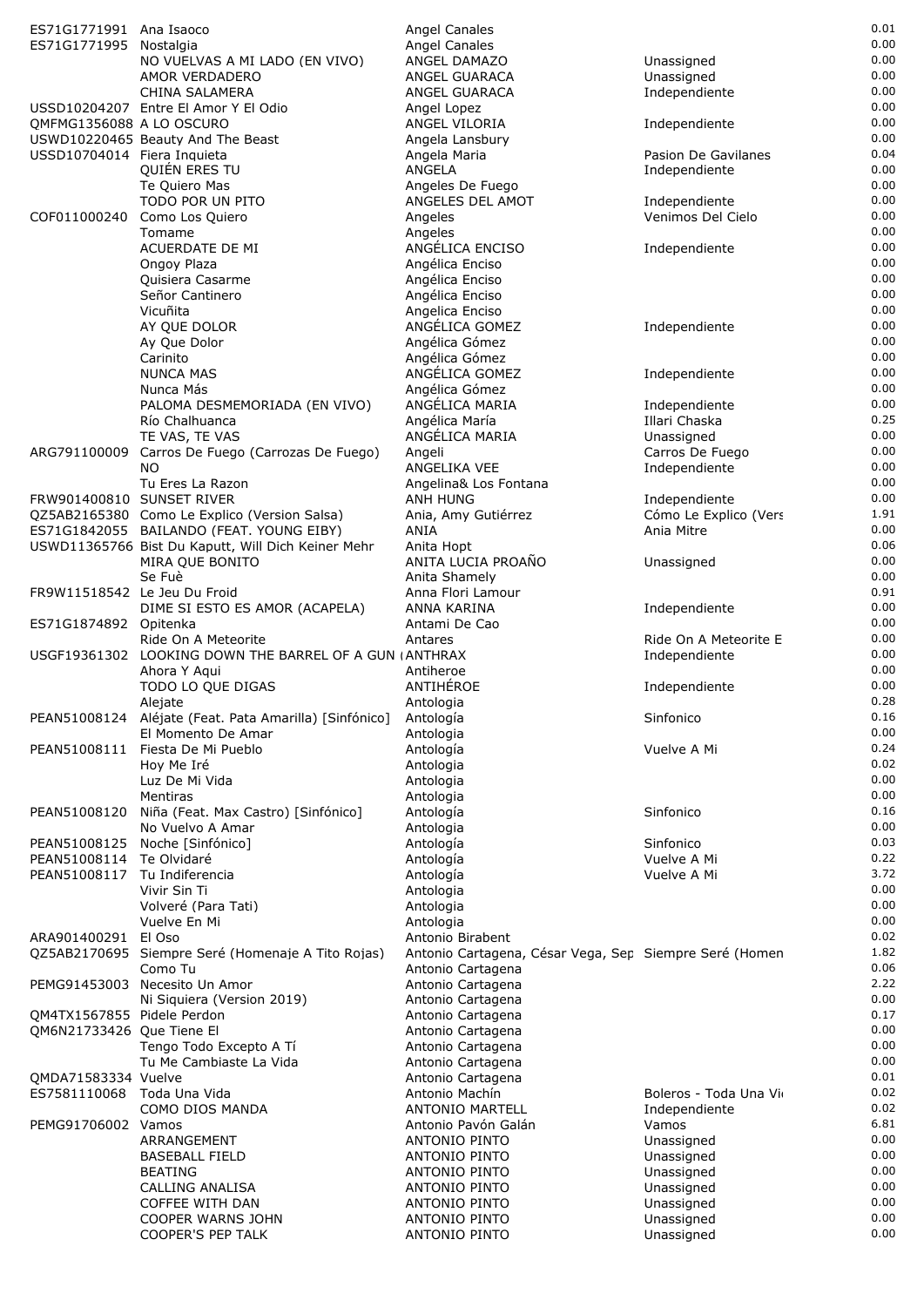| ES71G1771991 Ana Isaoco      |                                                                  | Angel Canales                                          |                       | 0.01         |
|------------------------------|------------------------------------------------------------------|--------------------------------------------------------|-----------------------|--------------|
| ES71G1771995 Nostalgia       |                                                                  | Angel Canales                                          |                       | 0.00         |
|                              | NO VUELVAS A MI LADO (EN VIVO)                                   | ANGEL DAMAZO                                           | Unassigned            | 0.00         |
|                              | AMOR VERDADERO                                                   | ANGEL GUARACA                                          | Unassigned            | 0.00         |
|                              | CHINA SALAMERA<br>USSD10204207 Entre El Amor Y El Odio           | ANGEL GUARACA                                          | Independiente         | 0.00<br>0.00 |
| QMFMG1356088 A LO OSCURO     |                                                                  | Angel Lopez<br>ANGEL VILORIA                           | Independiente         | 0.00         |
|                              | USWD10220465 Beauty And The Beast                                | Angela Lansbury                                        |                       | 0.00         |
| USSD10704014 Fiera Inquieta  |                                                                  | Angela Maria                                           | Pasion De Gavilanes   | 0.04         |
|                              | QUIÉN ERES TU                                                    | ANGELA                                                 | Independiente         | 0.00         |
|                              | Te Quiero Mas                                                    | Angeles De Fuego                                       |                       | 0.00         |
|                              | TODO POR UN PITO                                                 | ANGELES DEL AMOT                                       | Independiente         | 0.00         |
|                              | COF011000240 Como Los Quiero                                     | Angeles                                                | Venimos Del Cielo     | 0.00         |
|                              | Tomame                                                           | Angeles                                                |                       | 0.00         |
|                              | ACUERDATE DE MI                                                  | ANGÉLICA ENCISO                                        | Independiente         | 0.00         |
|                              | Ongoy Plaza                                                      | Angélica Enciso                                        |                       | 0.00         |
|                              | Quisiera Casarme                                                 | Angélica Enciso                                        |                       | 0.00         |
|                              | Señor Cantinero                                                  | Angélica Enciso                                        |                       | 0.00         |
|                              | Vicuñita                                                         | Angelica Enciso                                        |                       | 0.00         |
|                              | AY QUE DOLOR                                                     | ANGÉLICA GOMEZ                                         | Independiente         | 0.00         |
|                              | Ay Que Dolor                                                     | Angélica Gómez                                         |                       | 0.00         |
|                              | Carinito                                                         | Angélica Gómez                                         |                       | 0.00         |
|                              | <b>NUNCA MAS</b>                                                 | ANGÉLICA GOMEZ                                         | Independiente         | 0.00         |
|                              | Nunca Más                                                        | Angélica Gómez                                         |                       | 0.00         |
|                              | PALOMA DESMEMORIADA (EN VIVO)                                    | ANGÉLICA MARIA                                         | Independiente         | 0.00         |
|                              | Río Chalhuanca                                                   | Angélica María                                         | Illari Chaska         | 0.25         |
|                              | TE VAS, TE VAS                                                   | ANGÉLICA MARIA                                         | Unassigned            | 0.00<br>0.00 |
| ARG791100009                 | Carros De Fuego (Carrozas De Fuego)                              | Angeli                                                 | Carros De Fuego       | 0.00         |
|                              | NO.                                                              | ANGELIKA VEE                                           | Independiente         | 0.00         |
| FRW901400810 SUNSET RIVER    | Tu Eres La Razon                                                 | Angelina& Los Fontana<br>ANH HUNG                      | Independiente         | 0.00         |
|                              | QZ5AB2165380 Como Le Explico (Version Salsa)                     | Ania, Amy Gutiérrez                                    | Cómo Le Explico (Vers | 1.91         |
|                              | ES71G1842055 BAILANDO (FEAT. YOUNG EIBY)                         | ANIA                                                   | Ania Mitre            | 0.00         |
|                              | USWD11365766 Bist Du Kaputt, Will Dich Keiner Mehr               | Anita Hopt                                             |                       | 0.06         |
|                              | MIRA QUE BONITO                                                  | ANITA LUCIA PROAÑO                                     | Unassigned            | 0.00         |
|                              | Se Fuè                                                           | Anita Shamely                                          |                       | 0.00         |
| FR9W11518542 Le Jeu Du Froid |                                                                  | Anna Flori Lamour                                      |                       | 0.91         |
|                              | DIME SI ESTO ES AMOR (ACAPELA)                                   | ANNA KARINA                                            | Independiente         | 0.00         |
| ES71G1874892 Opitenka        |                                                                  | Antami De Cao                                          |                       | 0.00         |
|                              | Ride On A Meteorite                                              | Antares                                                | Ride On A Meteorite E | 0.00         |
|                              | USGF19361302 LOOKING DOWN THE BARREL OF A GUN (ANTHRAX           |                                                        | Independiente         | 0.00         |
|                              | Ahora Y Aqui                                                     | Antiheroe                                              |                       | 0.00         |
|                              | TODO LO QUE DIGAS                                                | ANTIHÉROE                                              | Independiente         | 0.00         |
|                              | Alejate                                                          | Antologia                                              |                       | 0.28         |
|                              | PEAN51008124 Aléjate (Feat. Pata Amarilla) [Sinfónico] Antología |                                                        | Sinfonico             | 0.16         |
|                              | El Momento De Amar                                               | Antologia                                              |                       | 0.00         |
| PEAN51008111                 | Fiesta De Mi Pueblo                                              | Antología                                              | Vuelve A Mi           | 0.24         |
|                              | Hov Me Iré                                                       | Antologia                                              |                       | 0.02         |
|                              | Luz De Mi Vida                                                   | Antologia                                              |                       | 0.00<br>0.00 |
| PEAN51008120                 | Mentiras                                                         | Antologia                                              | Sinfonico             | 0.16         |
|                              | Niña (Feat. Max Castro) [Sinfónico]<br>No Vuelvo A Amar          | Antología<br>Antologia                                 |                       | 0.00         |
| PEAN51008125                 | Noche [Sinfónico]                                                | Antología                                              | Sinfonico             | 0.03         |
| PEAN51008114                 | Te Olvidaré                                                      | Antología                                              | Vuelve A Mi           | 0.22         |
| PEAN51008117                 | Tu Indiferencia                                                  | Antología                                              | Vuelve A Mi           | 3.72         |
|                              | Vivir Sin Ti                                                     | Antologia                                              |                       | 0.00         |
|                              | Volveré (Para Tati)                                              | Antologia                                              |                       | 0.00         |
|                              | Vuelve En Mi                                                     | Antologia                                              |                       | 0.00         |
| ARA901400291                 | El Oso                                                           | Antonio Birabent                                       |                       | 0.02         |
|                              | QZ5AB2170695 Siempre Seré (Homenaje A Tito Rojas)                | Antonio Cartagena, César Vega, Sep Siempre Seré (Homen |                       | 1.82         |
|                              | Como Tu                                                          | Antonio Cartagena                                      |                       | 0.06         |
|                              | PEMG91453003 Necesito Un Amor                                    | Antonio Cartagena                                      |                       | 2.22         |
|                              | Ni Siquiera (Version 2019)                                       | Antonio Cartagena                                      |                       | 0.00         |
| QM4TX1567855 Pidele Perdon   |                                                                  | Antonio Cartagena                                      |                       | 0.17         |
| QM6N21733426 Que Tiene El    |                                                                  | Antonio Cartagena                                      |                       | 0.00         |
|                              | Tengo Todo Excepto A Tí                                          | Antonio Cartagena                                      |                       | 0.00         |
|                              | Tu Me Cambiaste La Vida                                          | Antonio Cartagena                                      |                       | 0.00         |
| QMDA71583334 Vuelve          |                                                                  | Antonio Cartagena                                      |                       | 0.01         |
| ES7581110068 Toda Una Vida   |                                                                  | Antonio Machín                                         | Boleros - Toda Una Vi | 0.02         |
|                              | COMO DIOS MANDA                                                  | ANTONIO MARTELL                                        | Independiente         | 0.02<br>6.81 |
| PEMG91706002 Vamos           | ARRANGEMENT                                                      | Antonio Pavón Galán<br>ANTONIO PINTO                   | Vamos<br>Unassigned   | 0.00         |
|                              | <b>BASEBALL FIELD</b>                                            | <b>ANTONIO PINTO</b>                                   | Unassigned            | 0.00         |
|                              | <b>BEATING</b>                                                   | <b>ANTONIO PINTO</b>                                   | Unassigned            | 0.00         |
|                              | CALLING ANALISA                                                  | ANTONIO PINTO                                          | Unassigned            | 0.00         |
|                              | COFFEE WITH DAN                                                  | <b>ANTONIO PINTO</b>                                   | Unassigned            | 0.00         |
|                              | COOPER WARNS JOHN                                                | <b>ANTONIO PINTO</b>                                   | Unassigned            | 0.00         |
|                              | COOPER'S PEP TALK                                                | ANTONIO PINTO                                          | Unassigned            | 0.00         |
|                              |                                                                  |                                                        |                       |              |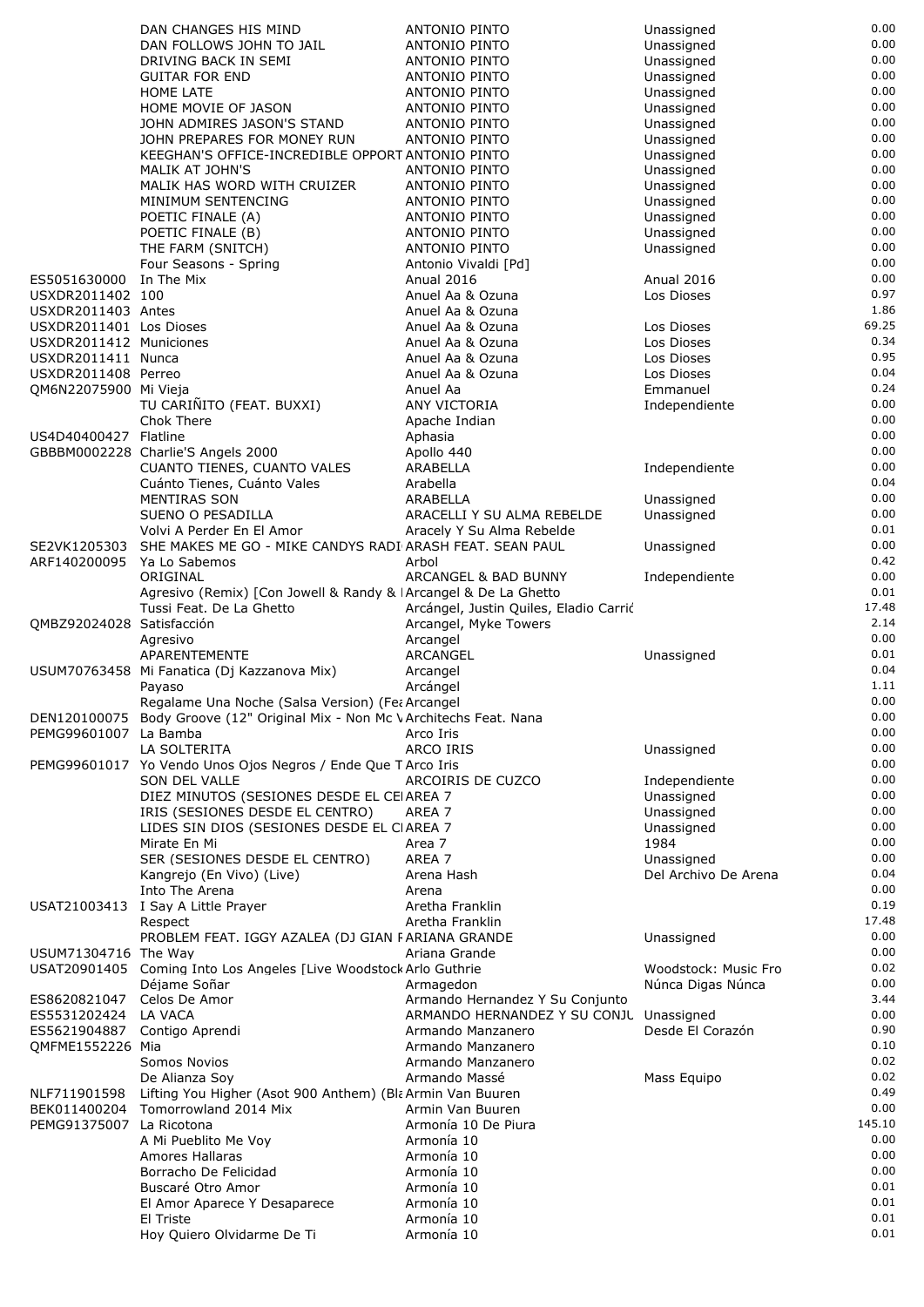|                                              | DAN CHANGES HIS MIND                                                        | ANTONIO PINTO                                | Unassigned               | 0.00         |
|----------------------------------------------|-----------------------------------------------------------------------------|----------------------------------------------|--------------------------|--------------|
|                                              | DAN FOLLOWS JOHN TO JAIL                                                    | <b>ANTONIO PINTO</b>                         | Unassigned               | 0.00         |
|                                              | DRIVING BACK IN SEMI                                                        | <b>ANTONIO PINTO</b>                         | Unassigned               | 0.00         |
|                                              | <b>GUITAR FOR END</b>                                                       | ANTONIO PINTO                                | Unassigned               | 0.00         |
|                                              | <b>HOME LATE</b>                                                            | ANTONIO PINTO                                | Unassigned               | 0.00         |
|                                              | HOME MOVIE OF JASON                                                         | ANTONIO PINTO                                | Unassigned               | 0.00         |
|                                              | JOHN ADMIRES JASON'S STAND                                                  | ANTONIO PINTO                                | Unassigned               | 0.00         |
|                                              | JOHN PREPARES FOR MONEY RUN                                                 | <b>ANTONIO PINTO</b>                         | Unassigned               | 0.00<br>0.00 |
|                                              | KEEGHAN'S OFFICE-INCREDIBLE OPPORT ANTONIO PINTO<br>MALIK AT JOHN'S         | <b>ANTONIO PINTO</b>                         | Unassigned               | 0.00         |
|                                              | MALIK HAS WORD WITH CRUIZER                                                 | ANTONIO PINTO                                | Unassigned<br>Unassigned | 0.00         |
|                                              | MINIMUM SENTENCING                                                          | ANTONIO PINTO                                | Unassigned               | 0.00         |
|                                              | POETIC FINALE (A)                                                           | ANTONIO PINTO                                | Unassigned               | 0.00         |
|                                              | POETIC FINALE (B)                                                           | <b>ANTONIO PINTO</b>                         | Unassigned               | 0.00         |
|                                              | THE FARM (SNITCH)                                                           | ANTONIO PINTO                                | Unassigned               | 0.00         |
|                                              | Four Seasons - Spring                                                       | Antonio Vivaldi [Pd]                         |                          | 0.00         |
| ES5051630000                                 | In The Mix                                                                  | Anual 2016                                   | <b>Anual 2016</b>        | 0.00         |
| USXDR2011402 100                             |                                                                             | Anuel Aa & Ozuna                             | Los Dioses               | 0.97         |
| USXDR2011403 Antes                           |                                                                             | Anuel Aa & Ozuna                             |                          | 1.86         |
| USXDR2011401 Los Dioses                      |                                                                             | Anuel Aa & Ozuna                             | Los Dioses               | 69.25        |
| USXDR2011412 Municiones                      |                                                                             | Anuel Aa & Ozuna                             | Los Dioses               | 0.34         |
| USXDR2011411 Nunca                           |                                                                             | Anuel Aa & Ozuna                             | Los Dioses               | 0.95         |
| USXDR2011408 Perreo<br>OM6N22075900 Mi Vieja |                                                                             | Anuel Aa & Ozuna<br>Anuel Aa                 | Los Dioses               | 0.04<br>0.24 |
|                                              | TU CARIÑITO (FEAT. BUXXI)                                                   | ANY VICTORIA                                 | Emmanuel                 | 0.00         |
|                                              | Chok There                                                                  | Apache Indian                                | Independiente            | 0.00         |
| US4D40400427 Flatline                        |                                                                             | Aphasia                                      |                          | 0.00         |
|                                              | GBBBM0002228 Charlie'S Angels 2000                                          | Apollo 440                                   |                          | 0.00         |
|                                              | CUANTO TIENES, CUANTO VALES                                                 | ARABELLA                                     | Independiente            | 0.00         |
|                                              | Cuánto Tienes, Cuánto Vales                                                 | Arabella                                     |                          | 0.04         |
|                                              | MENTIRAS SON                                                                | ARABELLA                                     | Unassigned               | 0.00         |
|                                              | SUENO O PESADILLA                                                           | ARACELLI Y SU ALMA REBELDE                   | Unassigned               | 0.00         |
|                                              | Volvi A Perder En El Amor                                                   | Aracely Y Su Alma Rebelde                    |                          | 0.01         |
|                                              | SE2VK1205303 SHE MAKES ME GO - MIKE CANDYS RADI ARASH FEAT. SEAN PAUL       |                                              | Unassigned               | 0.00         |
| ARF140200095                                 | Ya Lo Sabemos                                                               | Arbol                                        |                          | 0.42         |
|                                              | ORIGINAL                                                                    | ARCANGEL & BAD BUNNY                         | Independiente            | 0.00         |
|                                              | Agresivo (Remix) [Con Jowell & Randy & IArcangel & De La Ghetto             |                                              |                          | 0.01         |
|                                              | Tussi Feat. De La Ghetto                                                    | Arcángel, Justin Quiles, Eladio Carrió       |                          | 17.48        |
| QMBZ92024028 Satisfacción                    |                                                                             | Arcangel, Myke Towers                        |                          | 2.14         |
|                                              | Agresivo                                                                    | Arcangel                                     |                          | 0.00         |
|                                              | APARENTEMENTE                                                               | ARCANGEL                                     | Unassigned               | 0.01         |
|                                              | USUM70763458 Mi Fanatica (Dj Kazzanova Mix)                                 | Arcangel                                     |                          | 0.04         |
|                                              | Payaso                                                                      | Arcángel                                     |                          | 1.11         |
|                                              | Regalame Una Noche (Salsa Version) (Fea Arcangel                            |                                              |                          | 0.00<br>0.00 |
|                                              | DEN120100075 Body Groove (12" Original Mix - Non Mc V Architechs Feat. Nana |                                              |                          | 0.00         |
| PEMG99601007 La Bamba                        | LA SOLTERITA                                                                | Arco Iris<br>ARCO IRIS                       | Unassigned               | 0.00         |
|                                              | PEMG99601017 Yo Vendo Unos Ojos Negros / Ende Que T Arco Iris               |                                              |                          | 0.00         |
|                                              | SON DEL VALLE                                                               | ARCOIRIS DE CUZCO                            | Independiente            | 0.00         |
|                                              | DIEZ MINUTOS (SESIONES DESDE EL CEIAREA 7                                   |                                              | Unassigned               | 0.00         |
|                                              | IRIS (SESIONES DESDE EL CENTRO)                                             | AREA 7                                       | Unassigned               | 0.00         |
|                                              | LIDES SIN DIOS (SESIONES DESDE EL CIAREA 7                                  |                                              | Unassigned               | 0.00         |
|                                              | Mirate En Mi                                                                | Area 7                                       | 1984                     | 0.00         |
|                                              | SER (SESIONES DESDE EL CENTRO)                                              | AREA 7                                       | Unassigned               | 0.00         |
|                                              | Kangrejo (En Vivo) (Live)                                                   | Arena Hash                                   | Del Archivo De Arena     | 0.04         |
|                                              | Into The Arena                                                              | Arena                                        |                          | 0.00         |
|                                              | USAT21003413 I Say A Little Prayer                                          | Aretha Franklin                              |                          | 0.19         |
|                                              | Respect                                                                     | Aretha Franklin                              |                          | 17.48        |
|                                              | PROBLEM FEAT. IGGY AZALEA (DJ GIAN FARIANA GRANDE                           |                                              | Unassigned               | 0.00         |
| USUM71304716 The Way                         |                                                                             | Ariana Grande                                |                          | 0.00         |
|                                              | USAT20901405 Coming Into Los Angeles [Live Woodstock Arlo Guthrie           |                                              | Woodstock: Music Fro     | 0.02         |
| ES8620821047                                 | Déjame Soñar<br>Celos De Amor                                               | Armagedon<br>Armando Hernandez Y Su Conjunto | Núnca Digas Núnca        | 0.00<br>3.44 |
| ES5531202424                                 | LA VACA                                                                     | ARMANDO HERNANDEZ Y SU CONJL Unassigned      |                          | 0.00         |
|                                              | ES5621904887 Contigo Aprendi                                                | Armando Manzanero                            | Desde El Corazón         | 0.90         |
| QMFME1552226 Mia                             |                                                                             | Armando Manzanero                            |                          | 0.10         |
|                                              | Somos Novios                                                                | Armando Manzanero                            |                          | 0.02         |
|                                              | De Alianza Soy                                                              | Armando Massé                                | Mass Equipo              | 0.02         |
| NLF711901598                                 | Lifting You Higher (Asot 900 Anthem) (Bla Armin Van Buuren                  |                                              |                          | 0.49         |
| BEK011400204                                 | Tomorrowland 2014 Mix                                                       | Armin Van Buuren                             |                          | 0.00         |
| PEMG91375007 La Ricotona                     |                                                                             | Armonía 10 De Piura                          |                          | 145.10       |
|                                              | A Mi Pueblito Me Voy                                                        | Armonía 10                                   |                          | 0.00         |
|                                              | Amores Hallaras                                                             | Armonía 10                                   |                          | 0.00         |
|                                              | Borracho De Felicidad                                                       | Armonía 10                                   |                          | 0.00         |
|                                              | Buscaré Otro Amor                                                           | Armonía 10                                   |                          | 0.01         |
|                                              | El Amor Aparece Y Desaparece                                                | Armonía 10                                   |                          | 0.01         |
|                                              | El Triste                                                                   | Armonía 10                                   |                          | 0.01         |
|                                              | Hoy Quiero Olvidarme De Ti                                                  | Armonía 10                                   |                          | 0.01         |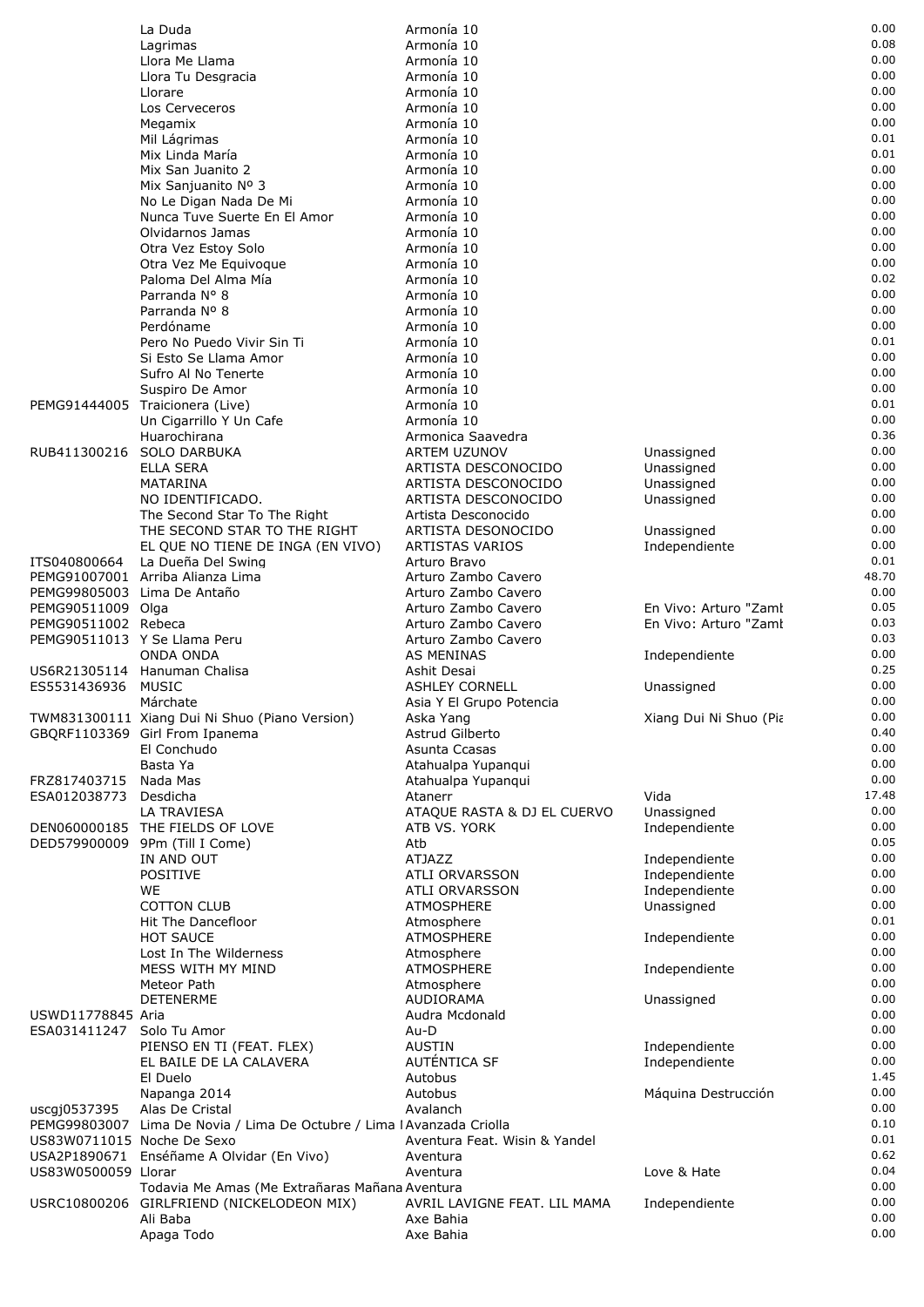|                              | La Duda                                                                | Armonía 10                    |                        | 0.00  |
|------------------------------|------------------------------------------------------------------------|-------------------------------|------------------------|-------|
|                              | Lagrimas                                                               | Armonía 10                    |                        | 0.08  |
|                              | Llora Me Llama                                                         | Armonía 10                    |                        | 0.00  |
|                              | Llora Tu Desgracia                                                     | Armonía 10                    |                        | 0.00  |
|                              | Llorare                                                                | Armonía 10                    |                        | 0.00  |
|                              | Los Cerveceros                                                         | Armonía 10                    |                        | 0.00  |
|                              | Megamix                                                                | Armonía 10                    |                        | 0.00  |
|                              | Mil Lágrimas                                                           | Armonía 10                    |                        | 0.01  |
|                              | Mix Linda María                                                        | Armonía 10                    |                        | 0.01  |
|                              | Mix San Juanito 2                                                      | Armonía 10                    |                        | 0.00  |
|                              | Mix Sanjuanito Nº 3                                                    | Armonía 10                    |                        | 0.00  |
|                              | No Le Digan Nada De Mi                                                 | Armonía 10                    |                        | 0.00  |
|                              | Nunca Tuve Suerte En El Amor                                           | Armonía 10                    |                        | 0.00  |
|                              |                                                                        |                               |                        | 0.00  |
|                              | Olvidarnos Jamas                                                       | Armonía 10                    |                        |       |
|                              | Otra Vez Estoy Solo                                                    | Armonía 10                    |                        | 0.00  |
|                              | Otra Vez Me Equivoque                                                  | Armonía 10                    |                        | 0.00  |
|                              | Paloma Del Alma Mía                                                    | Armonía 10                    |                        | 0.02  |
|                              | Parranda N° 8                                                          | Armonía 10                    |                        | 0.00  |
|                              | Parranda Nº 8                                                          | Armonía 10                    |                        | 0.00  |
|                              | Perdóname                                                              | Armonía 10                    |                        | 0.00  |
|                              | Pero No Puedo Vivir Sin Ti                                             | Armonía 10                    |                        | 0.01  |
|                              | Si Esto Se Llama Amor                                                  | Armonía 10                    |                        | 0.00  |
|                              | Sufro Al No Tenerte                                                    | Armonía 10                    |                        | 0.00  |
|                              | Suspiro De Amor                                                        | Armonía 10                    |                        | 0.00  |
|                              | PEMG91444005 Traicionera (Live)                                        | Armonía 10                    |                        | 0.01  |
|                              | Un Cigarrillo Y Un Cafe                                                | Armonía 10                    |                        | 0.00  |
|                              | Huarochirana                                                           | Armonica Saavedra             |                        | 0.36  |
|                              |                                                                        |                               |                        |       |
| RUB411300216 SOLO DARBUKA    |                                                                        | ARTEM UZUNOV                  | Unassigned             | 0.00  |
|                              | <b>ELLA SERA</b>                                                       | ARTISTA DESCONOCIDO           | Unassigned             | 0.00  |
|                              | MATARINA                                                               | ARTISTA DESCONOCIDO           | Unassigned             | 0.00  |
|                              | NO IDENTIFICADO.                                                       | ARTISTA DESCONOCIDO           | Unassigned             | 0.00  |
|                              | The Second Star To The Right                                           | Artista Desconocido           |                        | 0.00  |
|                              | THE SECOND STAR TO THE RIGHT                                           | ARTISTA DESONOCIDO            | Unassigned             | 0.00  |
|                              | EL QUE NO TIENE DE INGA (EN VIVO)                                      | ARTISTAS VARIOS               | Independiente          | 0.00  |
| ITS040800664                 | La Dueña Del Swing                                                     | Arturo Bravo                  |                        | 0.01  |
|                              | PEMG91007001 Arriba Alianza Lima                                       | Arturo Zambo Cavero           |                        | 48.70 |
| PEMG99805003 Lima De Antaño  |                                                                        | Arturo Zambo Cavero           |                        | 0.00  |
| PEMG90511009 Olga            |                                                                        | Arturo Zambo Cavero           | En Vivo: Arturo "Zaml  | 0.05  |
| PEMG90511002 Rebeca          |                                                                        | Arturo Zambo Cavero           | En Vivo: Arturo "Zaml  | 0.03  |
|                              |                                                                        |                               |                        |       |
| PEMG90511013 Y Se Llama Peru |                                                                        | Arturo Zambo Cavero           |                        | 0.03  |
|                              | <b>ONDA ONDA</b>                                                       | AS MENINAS                    | Independiente          | 0.00  |
|                              | US6R21305114 Hanuman Chalisa                                           | Ashit Desai                   |                        | 0.25  |
| ES5531436936                 | <b>MUSIC</b>                                                           | <b>ASHLEY CORNELL</b>         | Unassigned             | 0.00  |
|                              | Márchate                                                               | Asia Y El Grupo Potencia      |                        | 0.00  |
|                              | TWM831300111 Xiang Dui Ni Shuo (Piano Version)                         | Aska Yang                     | Xiang Dui Ni Shuo (Pia | 0.00  |
|                              | GBQRF1103369 Girl From Ipanema                                         | Astrud Gilberto               |                        | 0.40  |
|                              | El Conchudo                                                            | Asunta Ccasas                 |                        | 0.00  |
|                              | Basta Ya                                                               | Atahualpa Yupangui            |                        | 0.00  |
| FRZ817403715                 | Nada Mas                                                               | Atahualpa Yupangui            |                        | 0.00  |
| ESA012038773                 | Desdicha                                                               | Atanerr                       | Vida                   | 17.48 |
|                              | LA TRAVIESA                                                            | ATAQUE RASTA & DJ EL CUERVO   | Unassigned             | 0.00  |
|                              |                                                                        |                               |                        | 0.00  |
|                              | DEN060000185 THE FIELDS OF LOVE                                        | ATB VS. YORK                  | Independiente          |       |
|                              | DED579900009 9Pm (Till I Come)                                         | Atb                           |                        | 0.05  |
|                              | IN AND OUT                                                             | <b>ATJAZZ</b>                 | Independiente          | 0.00  |
|                              | <b>POSITIVE</b>                                                        | ATLI ORVARSSON                | Independiente          | 0.00  |
|                              | WE                                                                     | ATLI ORVARSSON                | Independiente          | 0.00  |
|                              | <b>COTTON CLUB</b>                                                     | <b>ATMOSPHERE</b>             | Unassigned             | 0.00  |
|                              | Hit The Dancefloor                                                     | Atmosphere                    |                        | 0.01  |
|                              | <b>HOT SAUCE</b>                                                       | <b>ATMOSPHERE</b>             | Independiente          | 0.00  |
|                              | Lost In The Wilderness                                                 | Atmosphere                    |                        | 0.00  |
|                              | MESS WITH MY MIND                                                      | <b>ATMOSPHERE</b>             | Independiente          | 0.00  |
|                              | Meteor Path                                                            | Atmosphere                    |                        | 0.00  |
|                              | <b>DETENERME</b>                                                       | <b>AUDIORAMA</b>              | Unassigned             | 0.00  |
| USWD11778845 Aria            |                                                                        | Audra Mcdonald                |                        | 0.00  |
|                              |                                                                        |                               |                        | 0.00  |
| ESA031411247                 | Solo Tu Amor                                                           | Au-D                          |                        |       |
|                              | PIENSO EN TI (FEAT. FLEX)                                              | <b>AUSTIN</b>                 | Independiente          | 0.00  |
|                              | EL BAILE DE LA CALAVERA                                                | AUTÉNTICA SF                  | Independiente          | 0.00  |
|                              | El Duelo                                                               | Autobus                       |                        | 1.45  |
|                              | Napanga 2014                                                           | Autobus                       | Máquina Destrucción    | 0.00  |
| uscqj0537395                 | Alas De Cristal                                                        | Avalanch                      |                        | 0.00  |
|                              | PEMG99803007 Lima De Novia / Lima De Octubre / Lima I Avanzada Criolla |                               |                        | 0.10  |
| US83W0711015 Noche De Sexo   |                                                                        | Aventura Feat. Wisin & Yandel |                        | 0.01  |
|                              | USA2P1890671 Enséñame A Olvidar (En Vivo)                              | Aventura                      |                        | 0.62  |
| US83W0500059 Llorar          |                                                                        | Aventura                      | Love & Hate            | 0.04  |
|                              | Todavia Me Amas (Me Extrañaras Mañana Aventura                         |                               |                        | 0.00  |
|                              | USRC10800206 GIRLFRIEND (NICKELODEON MIX)                              | AVRIL LAVIGNE FEAT. LIL MAMA  | Independiente          | 0.00  |
|                              | Ali Baba                                                               | Axe Bahia                     |                        | 0.00  |
|                              |                                                                        | Axe Bahia                     |                        | 0.00  |
|                              | Apaga Todo                                                             |                               |                        |       |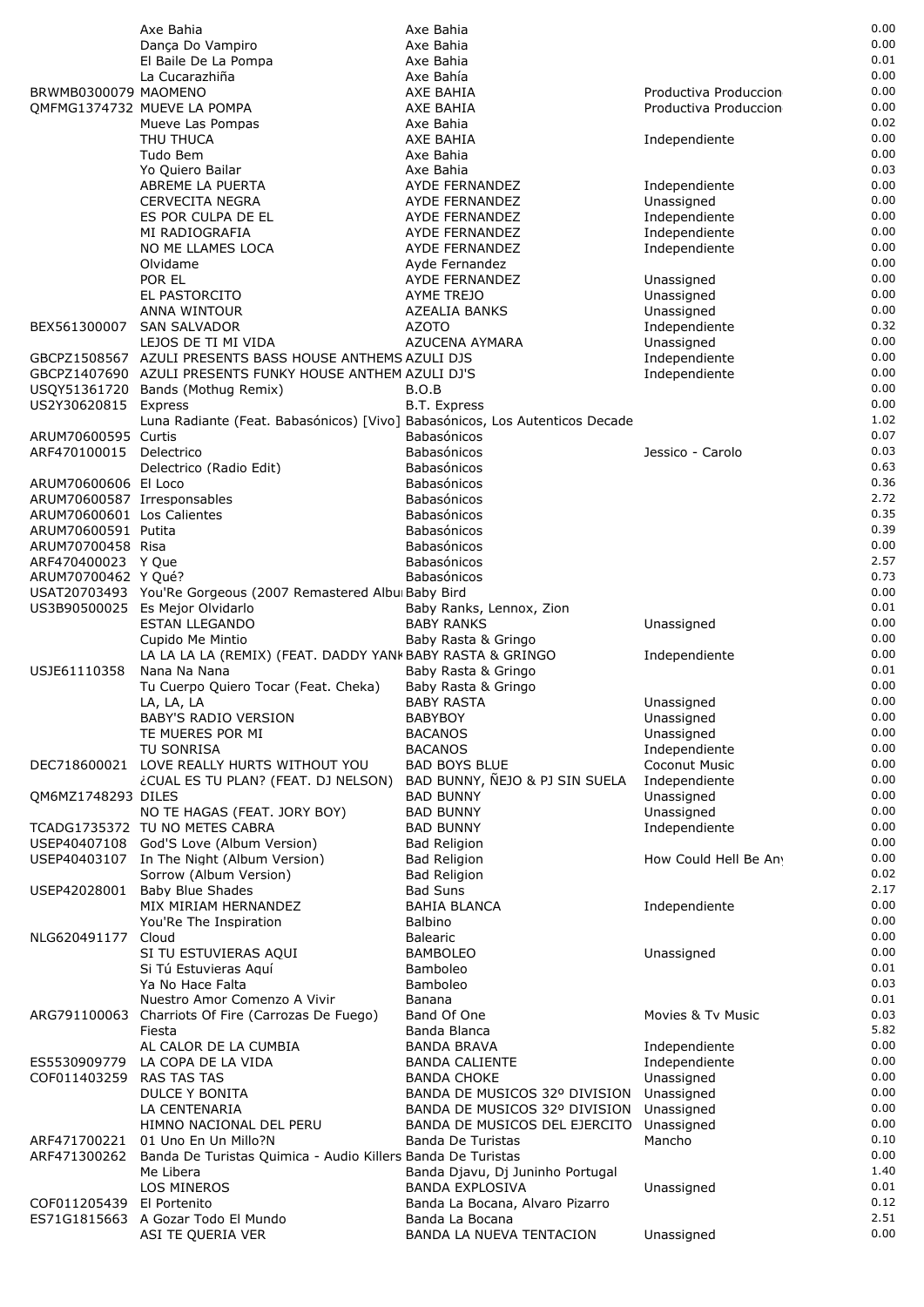|                                                           | Axe Bahia                                                                       | Axe Bahia                                          |                                | 0.00         |
|-----------------------------------------------------------|---------------------------------------------------------------------------------|----------------------------------------------------|--------------------------------|--------------|
|                                                           | Dança Do Vampiro                                                                | Axe Bahia                                          |                                | 0.00         |
|                                                           | El Baile De La Pompa                                                            | Axe Bahia                                          |                                | 0.01<br>0.00 |
| BRWMB0300079 MAOMENO                                      | La Cucarazhiña                                                                  | Axe Bahía<br>AXE BAHIA                             | Productiva Produccion          | 0.00         |
|                                                           | OMFMG1374732 MUEVE LA POMPA                                                     | AXE BAHIA                                          | Productiva Produccion          | 0.00         |
|                                                           | Mueve Las Pompas                                                                | Axe Bahia                                          |                                | 0.02         |
|                                                           | THU THUCA                                                                       | AXE BAHIA                                          | Independiente                  | 0.00         |
|                                                           | Tudo Bem                                                                        | Axe Bahia                                          |                                | 0.00         |
|                                                           | Yo Quiero Bailar                                                                | Axe Bahia                                          |                                | 0.03         |
|                                                           | ABREME LA PUERTA                                                                | AYDE FERNANDEZ                                     | Independiente                  | 0.00         |
|                                                           | <b>CERVECITA NEGRA</b><br>ES POR CULPA DE EL                                    | AYDE FERNANDEZ                                     | Unassigned                     | 0.00<br>0.00 |
|                                                           | MI RADIOGRAFIA                                                                  | AYDE FERNANDEZ<br>AYDE FERNANDEZ                   | Independiente<br>Independiente | 0.00         |
|                                                           | NO ME LLAMES LOCA                                                               | AYDE FERNANDEZ                                     | Independiente                  | 0.00         |
|                                                           | Olvidame                                                                        | Ayde Fernandez                                     |                                | 0.00         |
|                                                           | POR EL                                                                          | AYDE FERNANDEZ                                     | Unassigned                     | 0.00         |
|                                                           | EL PASTORCITO                                                                   | <b>AYME TREJO</b>                                  | Unassigned                     | 0.00         |
|                                                           | ANNA WINTOUR                                                                    | AZEALIA BANKS                                      | Unassigned                     | 0.00         |
| BEX561300007                                              | <b>SAN SALVADOR</b>                                                             | <b>AZOTO</b>                                       | Independiente                  | 0.32<br>0.00 |
|                                                           | LEJOS DE TI MI VIDA<br>GBCPZ1508567 AZULI PRESENTS BASS HOUSE ANTHEMS AZULI DJS | AZUCENA AYMARA                                     | Unassigned<br>Independiente    | 0.00         |
|                                                           | GBCPZ1407690 AZULI PRESENTS FUNKY HOUSE ANTHEM AZULI DJ'S                       |                                                    | Independiente                  | 0.00         |
|                                                           | USQY51361720 Bands (Mothug Remix)                                               | B.O.B                                              |                                | 0.00         |
| US2Y30620815                                              | Express                                                                         | B.T. Express                                       |                                | 0.00         |
|                                                           | Luna Radiante (Feat. Babasónicos) [Vivo] Babasónicos, Los Autenticos Decade     |                                                    |                                | 1.02         |
| ARUM70600595 Curtis                                       |                                                                                 | <b>Babasónicos</b>                                 |                                | 0.07         |
| ARF470100015 Delectrico                                   |                                                                                 | Babasónicos                                        | Jessico - Carolo               | 0.03         |
|                                                           | Delectrico (Radio Edit)                                                         | Babasónicos                                        |                                | 0.63         |
| ARUM70600606 El Loco                                      |                                                                                 | Babasónicos                                        |                                | 0.36<br>2.72 |
| ARUM70600587 Irresponsables<br>ARUM70600601 Los Calientes |                                                                                 | <b>Babasónicos</b><br>Babasónicos                  |                                | 0.35         |
| ARUM70600591 Putita                                       |                                                                                 | Babasónicos                                        |                                | 0.39         |
| ARUM70700458 Risa                                         |                                                                                 | Babasónicos                                        |                                | 0.00         |
| ARF470400023 Y Que                                        |                                                                                 | Babasónicos                                        |                                | 2.57         |
| ARUM70700462 Y Qué?                                       |                                                                                 | Babasónicos                                        |                                | 0.73         |
|                                                           | USAT20703493 You'Re Gorgeous (2007 Remastered Albu Baby Bird                    |                                                    |                                | 0.00         |
|                                                           | US3B90500025 Es Mejor Olvidarlo                                                 | Baby Ranks, Lennox, Zion                           |                                | 0.01         |
|                                                           | <b>ESTAN LLEGANDO</b>                                                           | <b>BABY RANKS</b>                                  | Unassigned                     | 0.00<br>0.00 |
|                                                           | Cupido Me Mintio<br>LA LA LA LA (REMIX) (FEAT. DADDY YANK BABY RASTA & GRINGO   | Baby Rasta & Gringo                                | Independiente                  | 0.00         |
| USJE61110358                                              | Nana Na Nana                                                                    | Baby Rasta & Gringo                                |                                | 0.01         |
|                                                           | Tu Cuerpo Quiero Tocar (Feat. Cheka)                                            | Baby Rasta & Gringo                                |                                | 0.00         |
|                                                           | LA, LA, LA                                                                      | <b>BABY RASTA</b>                                  | Unassigned                     | 0.00         |
|                                                           | BABY'S RADIO VERSION                                                            | <b>BABYBOY</b>                                     | Unassigned                     | 0.00         |
|                                                           | TE MUERES POR MI                                                                | <b>BACANOS</b>                                     | Unassigned                     | 0.00         |
|                                                           | TU SONRISA                                                                      | <b>BACANOS</b>                                     | Independiente                  | 0.00         |
| DEC718600021                                              | LOVE REALLY HURTS WITHOUT YOU                                                   | <b>BAD BOYS BLUE</b>                               | Coconut Music                  | 0.00<br>0.00 |
| QM6MZ1748293 DILES                                        | ¿CUAL ES TU PLAN? (FEAT. DJ NELSON)                                             | BAD BUNNY, NEJO & PJ SIN SUELA<br><b>BAD BUNNY</b> | Independiente<br>Unassigned    | 0.00         |
|                                                           | NO TE HAGAS (FEAT. JORY BOY)                                                    | <b>BAD BUNNY</b>                                   | Unassigned                     | 0.00         |
|                                                           | TCADG1735372 TU NO METES CABRA                                                  | <b>BAD BUNNY</b>                                   | Independiente                  | 0.00         |
|                                                           | USEP40407108 God'S Love (Album Version)                                         | <b>Bad Religion</b>                                |                                | 0.00         |
|                                                           | USEP40403107 In The Night (Album Version)                                       | <b>Bad Religion</b>                                | How Could Hell Be An           | 0.00         |
|                                                           | Sorrow (Album Version)                                                          | <b>Bad Religion</b>                                |                                | 0.02         |
| USEP42028001                                              | <b>Baby Blue Shades</b>                                                         | <b>Bad Suns</b>                                    |                                | 2.17         |
|                                                           | MIX MIRIAM HERNANDEZ                                                            | <b>BAHIA BLANCA</b>                                | Independiente                  | 0.00<br>0.00 |
| NLG620491177                                              | You'Re The Inspiration<br>Cloud                                                 | Balbino<br><b>Balearic</b>                         |                                | 0.00         |
|                                                           | SI TU ESTUVIERAS AQUI                                                           | <b>BAMBOLEO</b>                                    | Unassigned                     | 0.00         |
|                                                           | Si Tú Estuvieras Aguí                                                           | Bamboleo                                           |                                | 0.01         |
|                                                           | Ya No Hace Falta                                                                | <b>Bamboleo</b>                                    |                                | 0.03         |
|                                                           | Nuestro Amor Comenzo A Vivir                                                    | Banana                                             |                                | 0.01         |
| ARG791100063                                              | Charriots Of Fire (Carrozas De Fuego)                                           | Band Of One                                        | Movies & Tv Music              | 0.03         |
|                                                           | Fiesta                                                                          | Banda Blanca                                       |                                | 5.82         |
|                                                           | AL CALOR DE LA CUMBIA                                                           | <b>BANDA BRAVA</b>                                 | Independiente                  | 0.00<br>0.00 |
| ES5530909779<br>COF011403259                              | LA COPA DE LA VIDA<br><b>RAS TAS TAS</b>                                        | <b>BANDA CALIENTE</b><br><b>BANDA CHOKE</b>        | Independiente<br>Unassigned    | 0.00         |
|                                                           | DULCE Y BONITA                                                                  | BANDA DE MUSICOS 32º DIVISION                      | Unassigned                     | 0.00         |
|                                                           | LA CENTENARIA                                                                   | BANDA DE MUSICOS 32º DIVISION                      | Unassigned                     | 0.00         |
|                                                           | HIMNO NACIONAL DEL PERU                                                         | BANDA DE MUSICOS DEL EJERCITO                      | Unassigned                     | 0.00         |
| ARF471700221                                              | 01 Uno En Un Millo?N                                                            | Banda De Turistas                                  | Mancho                         | 0.10         |
| ARF471300262                                              | Banda De Turistas Quimica - Audio Killers Banda De Turistas                     |                                                    |                                | 0.00         |
|                                                           | Me Libera                                                                       | Banda Djavu, Dj Juninho Portugal                   |                                | 1.40         |
|                                                           | LOS MINEROS<br>El Portenito                                                     | <b>BANDA EXPLOSIVA</b>                             | Unassigned                     | 0.01<br>0.12 |
| COF011205439                                              | ES71G1815663 A Gozar Todo El Mundo                                              | Banda La Bocana, Alvaro Pizarro<br>Banda La Bocana |                                | 2.51         |
|                                                           | ASI TE QUERIA VER                                                               | BANDA LA NUEVA TENTACION                           | Unassigned                     | 0.00         |
|                                                           |                                                                                 |                                                    |                                |              |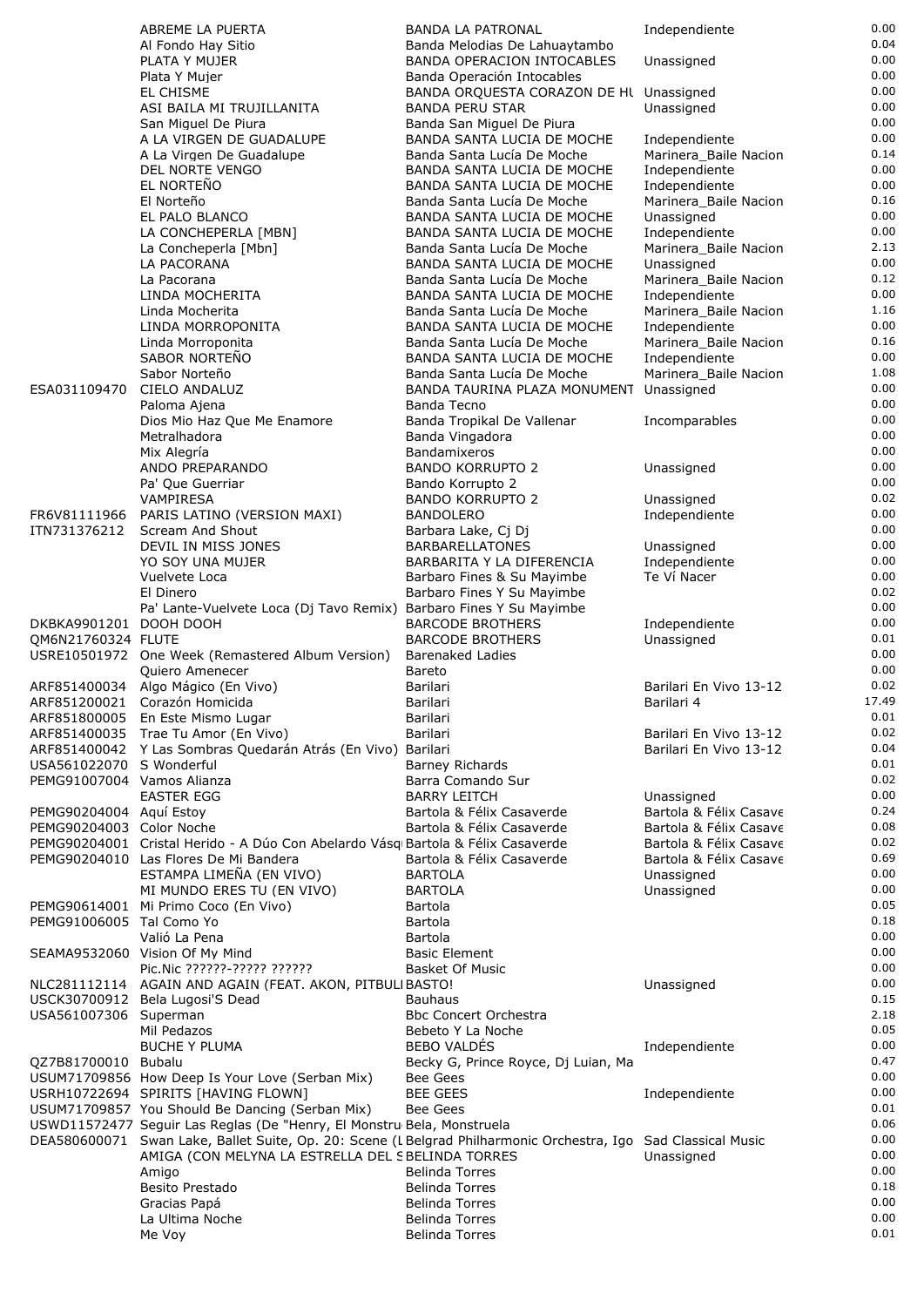|                            | ABREME LA PUERTA                                                                                                                                                                         | <b>BANDA LA PATRONAL</b>                                 | Independiente                          | 0.00         |
|----------------------------|------------------------------------------------------------------------------------------------------------------------------------------------------------------------------------------|----------------------------------------------------------|----------------------------------------|--------------|
|                            | Al Fondo Hay Sitio                                                                                                                                                                       | Banda Melodias De Lahuaytambo                            |                                        | 0.04         |
|                            | PLATA Y MUJER                                                                                                                                                                            | <b>BANDA OPERACION INTOCABLES</b>                        | Unassigned                             | 0.00         |
|                            | Plata Y Mujer                                                                                                                                                                            | Banda Operación Intocables                               |                                        | 0.00         |
|                            | EL CHISME<br>ASI BAILA MI TRUJILLANITA                                                                                                                                                   | BANDA ORQUESTA CORAZON DE Hl Unassigned                  |                                        | 0.00<br>0.00 |
|                            | San Miguel De Piura                                                                                                                                                                      | <b>BANDA PERU STAR</b><br>Banda San Miguel De Piura      | Unassigned                             | 0.00         |
|                            | A LA VIRGEN DE GUADALUPE                                                                                                                                                                 | BANDA SANTA LUCIA DE MOCHE                               | Independiente                          | 0.00         |
|                            | A La Virgen De Guadalupe                                                                                                                                                                 | Banda Santa Lucía De Moche                               | Marinera_Baile Nacion                  | 0.14         |
|                            | <b>DEL NORTE VENGO</b>                                                                                                                                                                   | BANDA SANTA LUCIA DE MOCHE                               | Independiente                          | 0.00         |
|                            | EL NORTEÑO                                                                                                                                                                               | BANDA SANTA LUCIA DE MOCHE                               | Independiente                          | 0.00         |
|                            | El Norteño                                                                                                                                                                               | Banda Santa Lucía De Moche                               | Marinera_Baile Nacion                  | 0.16<br>0.00 |
|                            | EL PALO BLANCO<br>LA CONCHEPERLA [MBN]                                                                                                                                                   | BANDA SANTA LUCIA DE MOCHE<br>BANDA SANTA LUCIA DE MOCHE | Unassigned<br>Independiente            | 0.00         |
|                            | La Concheperla [Mbn]                                                                                                                                                                     | Banda Santa Lucía De Moche                               | Marinera_Baile Nacion                  | 2.13         |
|                            | LA PACORANA                                                                                                                                                                              | BANDA SANTA LUCIA DE MOCHE                               | Unassigned                             | 0.00         |
|                            | La Pacorana                                                                                                                                                                              | Banda Santa Lucía De Moche                               | Marinera_Baile Nacion                  | 0.12         |
|                            | LINDA MOCHERITA                                                                                                                                                                          | BANDA SANTA LUCIA DE MOCHE                               | Independiente                          | 0.00         |
|                            | Linda Mocherita                                                                                                                                                                          | Banda Santa Lucía De Moche                               | Marinera Baile Nacion                  | 1.16<br>0.00 |
|                            | LINDA MORROPONITA<br>Linda Morroponita                                                                                                                                                   | BANDA SANTA LUCIA DE MOCHE<br>Banda Santa Lucía De Moche | Independiente<br>Marinera_Baile Nacion | 0.16         |
|                            | SABOR NORTENO                                                                                                                                                                            | BANDA SANTA LUCIA DE MOCHE                               | Independiente                          | 0.00         |
|                            | Sabor Norteño                                                                                                                                                                            | Banda Santa Lucía De Moche                               | Marinera_Baile Nacion                  | 1.08         |
| ESA031109470               | CIELO ANDALUZ                                                                                                                                                                            | BANDA TAURINA PLAZA MONUMENT Unassigned                  |                                        | 0.00         |
|                            | Paloma Ajena                                                                                                                                                                             | Banda Tecno                                              |                                        | 0.00         |
|                            | Dios Mio Haz Que Me Enamore                                                                                                                                                              | Banda Tropikal De Vallenar                               | Incomparables                          | 0.00         |
|                            | Metralhadora<br>Mix Alegría                                                                                                                                                              | Banda Vingadora<br><b>Bandamixeros</b>                   |                                        | 0.00<br>0.00 |
|                            | ANDO PREPARANDO                                                                                                                                                                          | <b>BANDO KORRUPTO 2</b>                                  | Unassigned                             | 0.00         |
|                            | Pa' Que Guerriar                                                                                                                                                                         | Bando Korrupto 2                                         |                                        | 0.00         |
|                            | VAMPIRESA                                                                                                                                                                                | <b>BANDO KORRUPTO 2</b>                                  | Unassigned                             | 0.02         |
| FR6V81111966               | PARIS LATINO (VERSION MAXI)                                                                                                                                                              | <b>BANDOLERO</b>                                         | Independiente                          | 0.00         |
| ITN731376212               | Scream And Shout                                                                                                                                                                         | Barbara Lake, Cj Dj                                      |                                        | 0.00         |
|                            | DEVIL IN MISS JONES                                                                                                                                                                      | <b>BARBARELLATONES</b>                                   | Unassigned                             | 0.00<br>0.00 |
|                            | YO SOY UNA MUJER<br>Vuelvete Loca                                                                                                                                                        | BARBARITA Y LA DIFERENCIA<br>Barbaro Fines & Su Mayimbe  | Independiente<br>Te Ví Nacer           | 0.00         |
|                            | El Dinero                                                                                                                                                                                | Barbaro Fines Y Su Mayimbe                               |                                        | 0.02         |
|                            | Pa' Lante-Vuelvete Loca (Dj Tavo Remix) Barbaro Fines Y Su Mayimbe                                                                                                                       |                                                          |                                        | 0.00         |
| DKBKA9901201 DOOH DOOH     |                                                                                                                                                                                          | <b>BARCODE BROTHERS</b>                                  | Independiente                          | 0.00         |
| OM6N21760324 FLUTE         |                                                                                                                                                                                          | <b>BARCODE BROTHERS</b>                                  | Unassigned                             | 0.01         |
|                            | USRE10501972 One Week (Remastered Album Version)                                                                                                                                         | Barenaked Ladies                                         |                                        | 0.00<br>0.00 |
|                            | Quiero Amenecer<br>ARF851400034 Algo Mágico (En Vivo)                                                                                                                                    | Bareto<br>Barilari                                       | Barilari En Vivo 13-12                 | 0.02         |
|                            | ARF851200021 Corazón Homicida                                                                                                                                                            | Barilari                                                 | Barilari 4                             | 17.49        |
|                            | ARF851800005 En Este Mismo Lugar                                                                                                                                                         | Barilari                                                 |                                        | 0.01         |
|                            | ARF851400035 Trae Tu Amor (En Vivo)                                                                                                                                                      | Barilari                                                 | Barilari En Vivo 13-12                 | 0.02         |
|                            | ARF851400042 Y Las Sombras Quedarán Atrás (En Vivo) Barilari                                                                                                                             |                                                          | Barilari En Vivo 13-12                 | 0.04         |
| USA561022070 S Wonderful   |                                                                                                                                                                                          | <b>Barney Richards</b>                                   |                                        | 0.01<br>0.02 |
| PEMG91007004 Vamos Alianza | <b>EASTER EGG</b>                                                                                                                                                                        | Barra Comando Sur<br><b>BARRY LEITCH</b>                 | Unassigned                             | 0.00         |
| PEMG90204004 Aquí Estoy    |                                                                                                                                                                                          | Bartola & Félix Casaverde                                | Bartola & Félix Casave                 | 0.24         |
| PEMG90204003 Color Noche   |                                                                                                                                                                                          | Bartola & Félix Casaverde                                | Bartola & Félix Casave                 | 0.08         |
|                            | PEMG90204001 Cristal Herido - A Dúo Con Abelardo Vásq Bartola & Félix Casaverde                                                                                                          |                                                          | Bartola & Félix Casave                 | 0.02         |
|                            | PEMG90204010 Las Flores De Mi Bandera                                                                                                                                                    | Bartola & Félix Casaverde                                | Bartola & Félix Casave                 | 0.69         |
|                            | ESTAMPA LIMEÑA (EN VIVO)                                                                                                                                                                 | <b>BARTOLA</b>                                           | Unassigned                             | 0.00         |
|                            | MI MUNDO ERES TU (EN VIVO)<br>PEMG90614001 Mi Primo Coco (En Vivo)                                                                                                                       | <b>BARTOLA</b><br>Bartola                                | Unassigned                             | 0.00<br>0.05 |
| PEMG91006005 Tal Como Yo   |                                                                                                                                                                                          | Bartola                                                  |                                        | 0.18         |
|                            | Valió La Pena                                                                                                                                                                            | Bartola                                                  |                                        | 0.00         |
|                            | SEAMA9532060 Vision Of My Mind                                                                                                                                                           | <b>Basic Element</b>                                     |                                        | 0.00         |
|                            | Pic.Nic ??????-????? ??????                                                                                                                                                              | Basket Of Music                                          |                                        | 0.00         |
|                            | NLC281112114 AGAIN AND AGAIN (FEAT. AKON, PITBULIBASTO!                                                                                                                                  |                                                          | Unassigned                             | 0.00         |
|                            | USCK30700912 Bela Lugosi'S Dead                                                                                                                                                          | <b>Bauhaus</b>                                           |                                        | 0.15<br>2.18 |
| USA561007306 Superman      | Mil Pedazos                                                                                                                                                                              | <b>Bbc Concert Orchestra</b><br>Bebeto Y La Noche        |                                        | 0.05         |
|                            | <b>BUCHE Y PLUMA</b>                                                                                                                                                                     | <b>BEBO VALDÉS</b>                                       | Independiente                          | 0.00         |
| QZ7B81700010 Bubalu        |                                                                                                                                                                                          | Becky G, Prince Royce, Dj Luian, Ma                      |                                        | 0.47         |
|                            | USUM71709856 How Deep Is Your Love (Serban Mix)                                                                                                                                          | Bee Gees                                                 |                                        | 0.00         |
|                            | USRH10722694 SPIRITS [HAVING FLOWN]                                                                                                                                                      | <b>BEE GEES</b>                                          | Independiente                          | 0.00         |
|                            | USUM71709857 You Should Be Dancing (Serban Mix)                                                                                                                                          | Bee Gees                                                 |                                        | 0.01         |
|                            | USWD11572477 Seguir Las Reglas (De "Henry, El Monstru Bela, Monstruela<br>DEA580600071 Swan Lake, Ballet Suite, Op. 20: Scene (L Belgrad Philharmonic Orchestra, Igo Sad Classical Music |                                                          |                                        | 0.06<br>0.00 |
|                            | AMIGA (CON MELYNA LA ESTRELLA DEL SBELINDA TORRES                                                                                                                                        |                                                          | Unassigned                             | 0.00         |
|                            | Amigo                                                                                                                                                                                    | <b>Belinda Torres</b>                                    |                                        | 0.00         |
|                            | Besito Prestado                                                                                                                                                                          | <b>Belinda Torres</b>                                    |                                        | 0.18         |
|                            | Gracias Papá                                                                                                                                                                             | <b>Belinda Torres</b>                                    |                                        | 0.00         |
|                            | La Ultima Noche                                                                                                                                                                          | <b>Belinda Torres</b>                                    |                                        | 0.00         |
|                            | Me Voy                                                                                                                                                                                   | <b>Belinda Torres</b>                                    |                                        | 0.01         |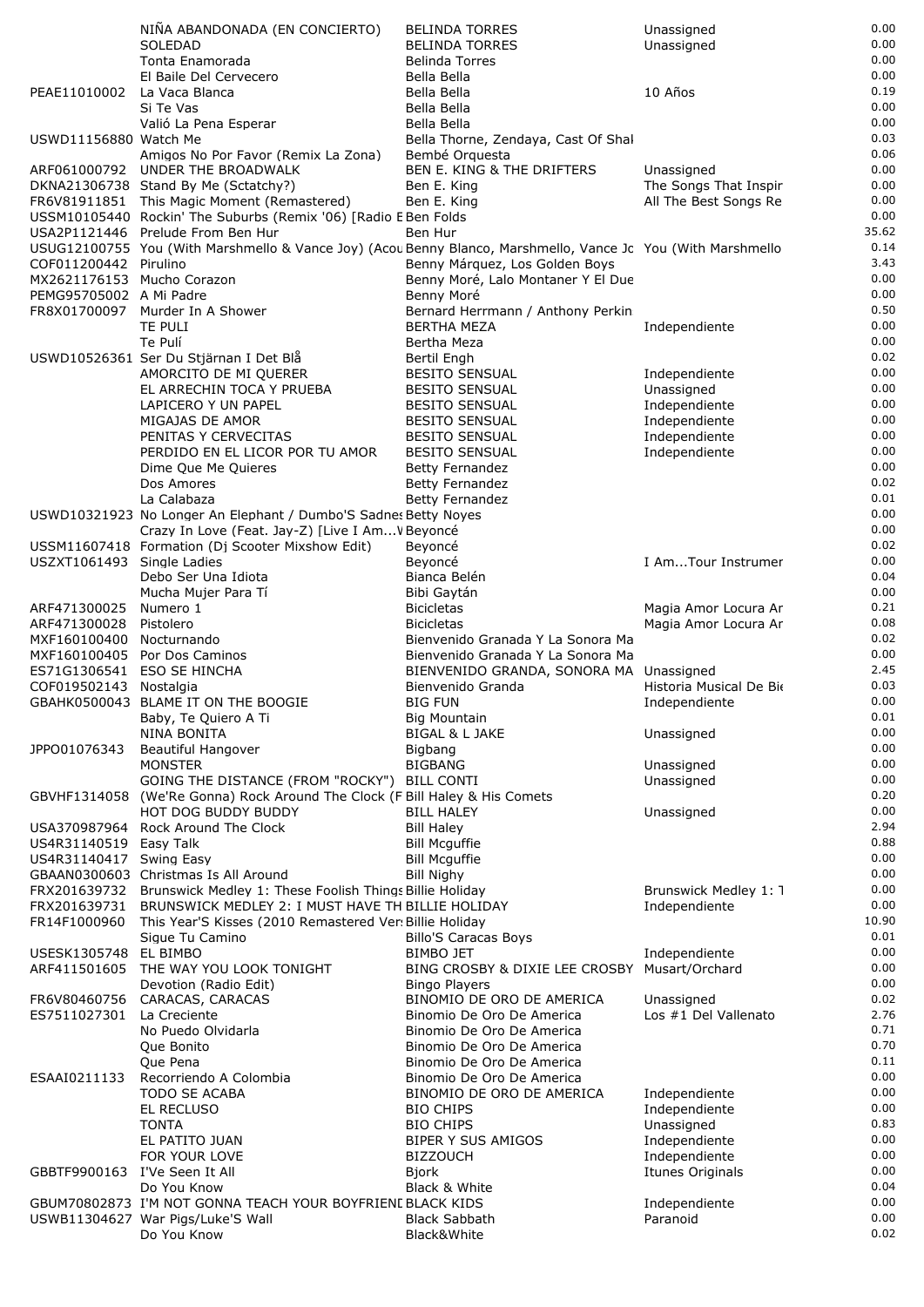|                               | NIÑA ABANDONADA (EN CONCIERTO)                                                                                            | <b>BELINDA TORRES</b>                                        | Unassigned                             | 0.00         |
|-------------------------------|---------------------------------------------------------------------------------------------------------------------------|--------------------------------------------------------------|----------------------------------------|--------------|
|                               | <b>SOLEDAD</b>                                                                                                            | <b>BELINDA TORRES</b>                                        | Unassigned                             | 0.00         |
|                               | Tonta Enamorada                                                                                                           | <b>Belinda Torres</b>                                        |                                        | 0.00         |
|                               | El Baile Del Cervecero                                                                                                    | Bella Bella                                                  |                                        | 0.00<br>0.19 |
| PEAE11010002 La Vaca Blanca   | Si Te Vas                                                                                                                 | Bella Bella<br>Bella Bella                                   | 10 Años                                | 0.00         |
|                               | Valió La Pena Esperar                                                                                                     | Bella Bella                                                  |                                        | 0.00         |
| USWD11156880 Watch Me         |                                                                                                                           | Bella Thorne, Zendaya, Cast Of Shal                          |                                        | 0.03         |
|                               | Amigos No Por Favor (Remix La Zona)                                                                                       | Bembé Orquesta                                               |                                        | 0.06         |
|                               | ARF061000792 UNDER THE BROADWALK                                                                                          | <b>BEN E. KING &amp; THE DRIFTERS</b>                        | Unassigned                             | 0.00         |
|                               | DKNA21306738 Stand By Me (Sctatchy?)                                                                                      | Ben E. King                                                  | The Songs That Inspir                  | 0.00         |
|                               | FR6V81911851 This Magic Moment (Remastered)                                                                               | Ben E. King                                                  | All The Best Songs Re                  | 0.00<br>0.00 |
|                               | USSM10105440 Rockin' The Suburbs (Remix '06) [Radio E Ben Folds<br>USA2P1121446 Prelude From Ben Hur                      | Ben Hur                                                      |                                        | 35.62        |
|                               | USUG12100755 You (With Marshmello & Vance Joy) (Acou Benny Blanco, Marshmello, Vance Jc You (With Marshmello              |                                                              |                                        | 0.14         |
| COF011200442 Pirulino         |                                                                                                                           | Benny Márquez, Los Golden Boys                               |                                        | 3.43         |
| MX2621176153 Mucho Corazon    |                                                                                                                           | Benny Moré, Lalo Montaner Y El Due                           |                                        | 0.00         |
| PEMG95705002 A Mi Padre       |                                                                                                                           | Benny Moré                                                   |                                        | 0.00         |
| FR8X01700097                  | Murder In A Shower                                                                                                        | Bernard Herrmann / Anthony Perkin                            |                                        | 0.50         |
|                               | TE PULI<br>Te Pulí                                                                                                        | <b>BERTHA MEZA</b>                                           | Independiente                          | 0.00<br>0.00 |
|                               | USWD10526361 Ser Du Stjärnan I Det Blå                                                                                    | Bertha Meza<br>Bertil Engh                                   |                                        | 0.02         |
|                               | AMORCITO DE MI QUERER                                                                                                     | <b>BESITO SENSUAL</b>                                        | Independiente                          | 0.00         |
|                               | EL ARRECHIN TOCA Y PRUEBA                                                                                                 | <b>BESITO SENSUAL</b>                                        | Unassigned                             | 0.00         |
|                               | LAPICERO Y UN PAPEL                                                                                                       | <b>BESITO SENSUAL</b>                                        | Independiente                          | 0.00         |
|                               | MIGAJAS DE AMOR                                                                                                           | <b>BESITO SENSUAL</b>                                        | Independiente                          | 0.00         |
|                               | PENITAS Y CERVECITAS                                                                                                      | <b>BESITO SENSUAL</b>                                        | Independiente                          | 0.00         |
|                               | PERDIDO EN EL LICOR POR TU AMOR                                                                                           | <b>BESITO SENSUAL</b>                                        | Independiente                          | 0.00<br>0.00 |
|                               | Dime Que Me Quieres<br>Dos Amores                                                                                         | <b>Betty Fernandez</b><br><b>Betty Fernandez</b>             |                                        | 0.02         |
|                               | La Calabaza                                                                                                               | <b>Betty Fernandez</b>                                       |                                        | 0.01         |
|                               | USWD10321923 No Longer An Elephant / Dumbo'S Sadnes Betty Noyes                                                           |                                                              |                                        | 0.00         |
|                               | Crazy In Love (Feat. Jay-Z) [Live I Am V Beyoncé                                                                          |                                                              |                                        | 0.00         |
|                               | USSM11607418 Formation (Dj Scooter Mixshow Edit)                                                                          | Beyoncé                                                      |                                        | 0.02         |
| USZXT1061493 Single Ladies    | Debo Ser Una Idiota                                                                                                       | Beyoncé<br>Bianca Belén                                      | I AmTour Instrumer                     | 0.00<br>0.04 |
|                               | Mucha Mujer Para Tí                                                                                                       | Bibi Gaytán                                                  |                                        | 0.00         |
| ARF471300025                  | Numero 1                                                                                                                  | <b>Bicicletas</b>                                            | Magia Amor Locura Ar                   | 0.21         |
| ARF471300028                  | Pistolero                                                                                                                 | <b>Bicicletas</b>                                            | Magia Amor Locura Ar                   | 0.08         |
| MXF160100400 Nocturnando      |                                                                                                                           | Bienvenido Granada Y La Sonora Ma                            |                                        | 0.02         |
|                               | MXF160100405 Por Dos Caminos                                                                                              | Bienvenido Granada Y La Sonora Ma                            |                                        | 0.00<br>2.45 |
| COF019502143 Nostalgia        | ES71G1306541 ESO SE HINCHA                                                                                                | BIENVENIDO GRANDA, SONORA MA Unassigned<br>Bienvenido Granda | Historia Musical De Bio                | 0.03         |
|                               | GBAHK0500043 BLAME IT ON THE BOOGIE                                                                                       | <b>BIG FUN</b>                                               | Independiente                          | 0.00         |
|                               | Baby, Te Quiero A Ti                                                                                                      | <b>Big Mountain</b>                                          |                                        | 0.01         |
|                               | NINA BONITA                                                                                                               | BIGAL & L JAKE                                               | Unassigned                             | 0.00         |
| JPPO01076343                  | Beautiful Hangover                                                                                                        | Bigbang                                                      |                                        | 0.00         |
|                               | <b>MONSTER</b><br>GOING THE DISTANCE (FROM "ROCKY")                                                                       | <b>BIGBANG</b><br><b>BILL CONTI</b>                          | Unassigned                             | 0.00<br>0.00 |
|                               | GBVHF1314058 (We'Re Gonna) Rock Around The Clock (F Bill Haley & His Comets                                               |                                                              | Unassigned                             | 0.20         |
|                               | HOT DOG BUDDY BUDDY                                                                                                       | <b>BILL HALEY</b>                                            | Unassigned                             | 0.00         |
|                               | USA370987964 Rock Around The Clock                                                                                        | <b>Bill Haley</b>                                            |                                        | 2.94         |
| US4R31140519 Easy Talk        |                                                                                                                           | <b>Bill Mcguffie</b>                                         |                                        | 0.88         |
| US4R31140417 Swing Easy       |                                                                                                                           | <b>Bill Mcguffie</b>                                         |                                        | 0.00         |
|                               | GBAAN0300603 Christmas Is All Around                                                                                      | <b>Bill Nighy</b>                                            |                                        | 0.00         |
| FRX201639731                  | FRX201639732 Brunswick Medley 1: These Foolish Things Billie Holiday<br>BRUNSWICK MEDLEY 2: I MUST HAVE TH BILLIE HOLIDAY |                                                              | Brunswick Medley 1: 1<br>Independiente | 0.00<br>0.00 |
| FR14F1000960                  | This Year'S Kisses (2010 Remastered Ver: Billie Holiday                                                                   |                                                              |                                        | 10.90        |
|                               | Sique Tu Camino                                                                                                           | <b>Billo'S Caracas Boys</b>                                  |                                        | 0.01         |
| USESK1305748 EL BIMBO         |                                                                                                                           | <b>BIMBO JET</b>                                             | Independiente                          | 0.00         |
| ARF411501605                  | THE WAY YOU LOOK TONIGHT                                                                                                  | BING CROSBY & DIXIE LEE CROSBY Musart/Orchard                |                                        | 0.00         |
|                               | Devotion (Radio Edit)                                                                                                     | <b>Bingo Players</b>                                         |                                        | 0.00         |
| FR6V80460756                  | CARACAS, CARACAS                                                                                                          | BINOMIO DE ORO DE AMERICA                                    | Unassigned                             | 0.02<br>2.76 |
| ES7511027301                  | La Creciente<br>No Puedo Olvidarla                                                                                        | Binomio De Oro De America<br>Binomio De Oro De America       | Los #1 Del Vallenato                   | 0.71         |
|                               | Que Bonito                                                                                                                | Binomio De Oro De America                                    |                                        | 0.70         |
|                               | Que Pena                                                                                                                  | Binomio De Oro De America                                    |                                        | 0.11         |
| ESAAI0211133                  | Recorriendo A Colombia                                                                                                    | Binomio De Oro De America                                    |                                        | 0.00         |
|                               | <b>TODO SE ACABA</b>                                                                                                      | BINOMIO DE ORO DE AMERICA                                    | Independiente                          | 0.00         |
|                               | EL RECLUSO                                                                                                                | <b>BIO CHIPS</b>                                             | Independiente                          | 0.00         |
|                               | <b>TONTA</b>                                                                                                              | <b>BIO CHIPS</b>                                             | Unassigned                             | 0.83         |
|                               | EL PATITO JUAN<br>FOR YOUR LOVE                                                                                           | BIPER Y SUS AMIGOS<br><b>BIZZOUCH</b>                        | Independiente<br>Independiente         | 0.00<br>0.00 |
| GBBTF9900163 I'Ve Seen It All |                                                                                                                           | <b>Bjork</b>                                                 | Itunes Originals                       | 0.00         |
|                               | Do You Know                                                                                                               | Black & White                                                |                                        | 0.04         |
|                               | GBUM70802873 I'M NOT GONNA TEACH YOUR BOYFRIENL BLACK KIDS                                                                |                                                              | Independiente                          | 0.00         |
|                               | USWB11304627 War Pigs/Luke'S Wall                                                                                         | <b>Black Sabbath</b>                                         | Paranoid                               | 0.00         |
|                               | Do You Know                                                                                                               | Black&White                                                  |                                        | 0.02         |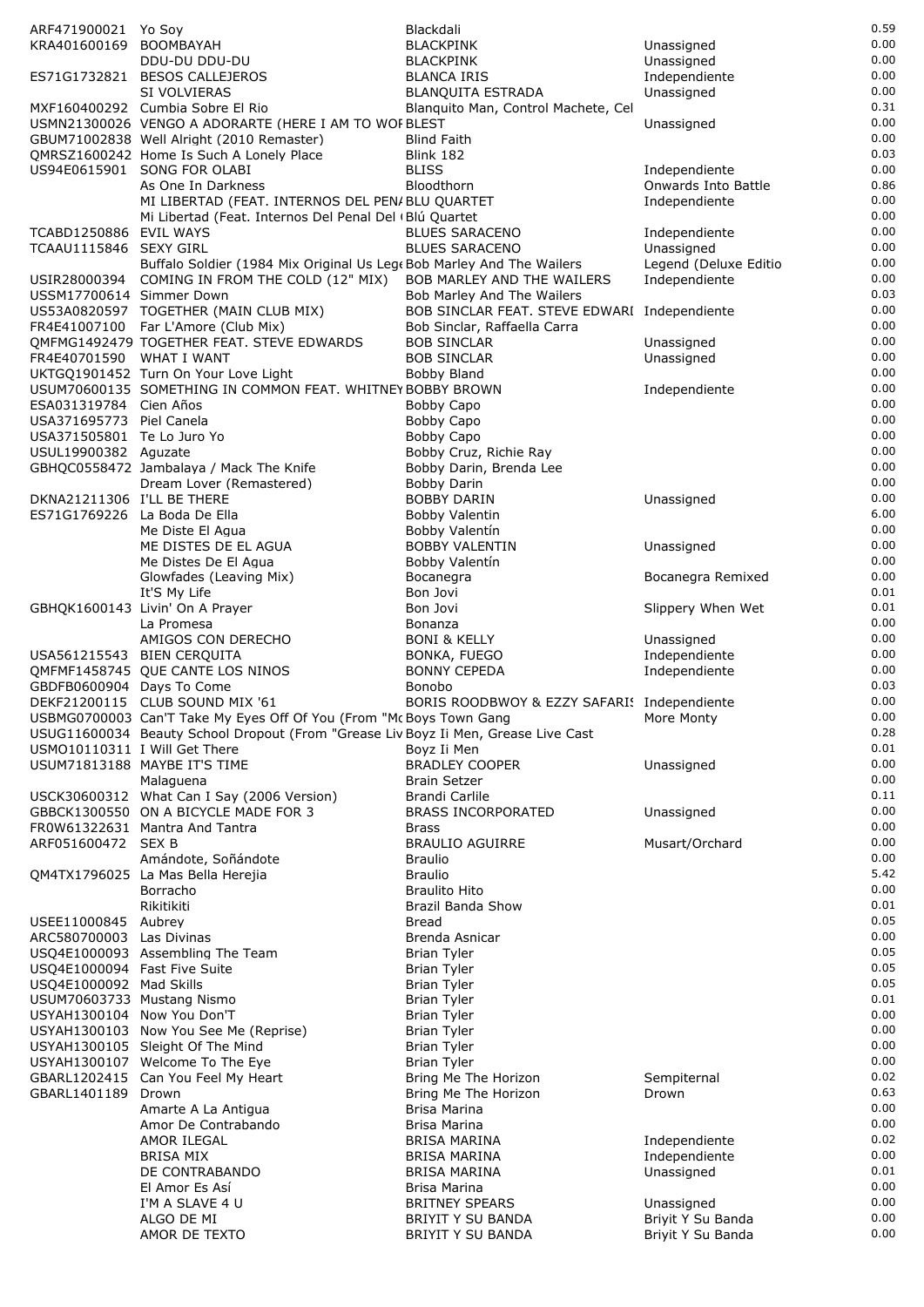| ARF471900021 Yo Soy           |                                                                                        | Blackdali                                    |                            | 0.59         |
|-------------------------------|----------------------------------------------------------------------------------------|----------------------------------------------|----------------------------|--------------|
| KRA401600169 BOOMBAYAH        |                                                                                        | <b>BLACKPINK</b>                             | Unassigned                 | 0.00         |
|                               | DDU-DU DDU-DU                                                                          | <b>BLACKPINK</b>                             | Unassigned                 | 0.00         |
|                               | ES71G1732821 BESOS CALLEJEROS                                                          | <b>BLANCA IRIS</b>                           | Independiente              | 0.00         |
|                               | SI VOLVIERAS                                                                           | <b>BLANQUITA ESTRADA</b>                     | Unassigned                 | 0.00         |
|                               | MXF160400292 Cumbia Sobre El Rio                                                       | Blanquito Man, Control Machete, Cel          |                            | 0.31         |
|                               | USMN21300026 VENGO A ADORARTE (HERE I AM TO WOF BLEST                                  |                                              | Unassigned                 | 0.00         |
|                               | GBUM71002838 Well Alright (2010 Remaster)                                              | <b>Blind Faith</b>                           |                            | 0.00         |
|                               | QMRSZ1600242 Home Is Such A Lonely Place                                               | Blink 182                                    |                            | 0.03         |
|                               | US94E0615901 SONG FOR OLABI                                                            | <b>BLISS</b>                                 | Independiente              | 0.00         |
|                               | As One In Darkness                                                                     | Bloodthorn                                   | <b>Onwards Into Battle</b> | 0.86         |
|                               | MI LIBERTAD (FEAT. INTERNOS DEL PEN/BLU QUARTET                                        |                                              | Independiente              | 0.00         |
|                               | Mi Libertad (Feat. Internos Del Penal Del (Blú Quartet                                 |                                              |                            | 0.00         |
| TCABD1250886 EVIL WAYS        |                                                                                        | <b>BLUES SARACENO</b>                        | Independiente              | 0.00         |
| TCAAU1115846 SEXY GIRL        |                                                                                        | <b>BLUES SARACENO</b>                        | Unassigned                 | 0.00         |
|                               | Buffalo Soldier (1984 Mix Original Us Lege Bob Marley And The Wailers                  |                                              | Legend (Deluxe Editio      | 0.00         |
|                               | USIR28000394 COMING IN FROM THE COLD (12" MIX) BOB MARLEY AND THE WAILERS              |                                              | Independiente              | 0.00         |
| USSM17700614 Simmer Down      |                                                                                        | Bob Marley And The Wailers                   |                            | 0.03         |
|                               | US53A0820597 TOGETHER (MAIN CLUB MIX)                                                  | BOB SINCLAR FEAT. STEVE EDWARI Independiente |                            | 0.00         |
|                               | FR4E41007100 Far L'Amore (Club Mix)                                                    | Bob Sinclar, Raffaella Carra                 |                            | 0.00         |
|                               | QMFMG1492479 TOGETHER FEAT. STEVE EDWARDS                                              | <b>BOB SINCLAR</b>                           | Unassigned                 | 0.00         |
| FR4E40701590 WHAT I WANT      |                                                                                        | <b>BOB SINCLAR</b>                           | Unassigned                 | 0.00         |
|                               | UKTGQ1901452 Turn On Your Love Light                                                   | Bobby Bland                                  |                            | 0.00         |
|                               | USUM70600135 SOMETHING IN COMMON FEAT. WHITNEY BOBBY BROWN                             |                                              | Independiente              | 0.00         |
| ESA031319784 Cien Años        |                                                                                        | Bobby Capo                                   |                            | 0.00         |
| USA371695773 Piel Canela      |                                                                                        | Bobby Capo                                   |                            | 0.00         |
| USA371505801 Te Lo Juro Yo    |                                                                                        | Bobby Capo                                   |                            | 0.00         |
| USUL19900382 Aguzate          |                                                                                        | Bobby Cruz, Richie Ray                       |                            | 0.00         |
|                               | GBHQC0558472 Jambalaya / Mack The Knife                                                | Bobby Darin, Brenda Lee                      |                            | 0.00         |
|                               | Dream Lover (Remastered)                                                               | <b>Bobby Darin</b>                           |                            | 0.00         |
| DKNA21211306 I'LL BE THERE    |                                                                                        | BOBBY DARIN                                  | Unassigned                 | 0.00         |
| ES71G1769226 La Boda De Ella  |                                                                                        | Bobby Valentin                               |                            | 6.00         |
|                               | Me Diste El Agua                                                                       | Bobby Valentín                               |                            | 0.00         |
|                               | ME DISTES DE EL AGUA                                                                   | <b>BOBBY VALENTIN</b>                        | Unassigned                 | 0.00         |
|                               | Me Distes De El Agua                                                                   | Bobby Valentín                               |                            | 0.00         |
|                               | Glowfades (Leaving Mix)                                                                | Bocanegra                                    | Bocanegra Remixed          | 0.00         |
|                               | It'S My Life                                                                           | Bon Jovi                                     |                            | 0.01         |
|                               | GBHQK1600143 Livin' On A Prayer                                                        | Bon Jovi                                     | Slippery When Wet          | 0.01         |
|                               | La Promesa                                                                             | Bonanza                                      |                            | 0.00         |
|                               | AMIGOS CON DERECHO                                                                     | <b>BONI &amp; KELLY</b>                      | Unassigned                 | 0.00         |
| USA561215543 BIEN CERQUITA    |                                                                                        | BONKA, FUEGO                                 | Independiente              | 0.00         |
|                               | QMFMF1458745 QUE CANTE LOS NINOS                                                       | <b>BONNY CEPEDA</b>                          | Independiente              | 0.00         |
| GBDFB0600904 Days To Come     |                                                                                        | <b>Bonobo</b>                                |                            | 0.03         |
|                               | DEKF21200115 CLUB SOUND MIX '61                                                        | BORIS ROODBWOY & EZZY SAFARI! Independiente  |                            | 0.00         |
|                               | USBMG0700003 Can'T Take My Eyes Off Of You (From "Mc Boys Town Gang Manumer More Monty |                                              |                            | 0.00         |
|                               | USUG11600034 Beauty School Dropout (From "Grease Liv Boyz Ii Men, Grease Live Cast     |                                              |                            | 0.28         |
| USMO10110311 I Will Get There |                                                                                        | Boyz Ii Men                                  |                            | 0.01         |
|                               | USUM71813188 MAYBE IT'S TIME                                                           | <b>BRADLEY COOPER</b>                        | Unassigned                 | 0.00         |
|                               | Malaguena                                                                              | <b>Brain Setzer</b>                          |                            | 0.00         |
|                               | USCK30600312 What Can I Say (2006 Version)                                             | Brandi Carlile                               |                            | 0.11<br>0.00 |
|                               | GBBCK1300550 ON A BICYCLE MADE FOR 3                                                   | <b>BRASS INCORPORATED</b>                    | Unassigned                 | 0.00         |
|                               | FR0W61322631 Mantra And Tantra                                                         | <b>Brass</b>                                 |                            | 0.00         |
| ARF051600472 SEX B            |                                                                                        | <b>BRAULIO AGUIRRE</b>                       | Musart/Orchard             | 0.00         |
|                               | Amándote, Soñándote                                                                    | <b>Braulio</b><br><b>Braulio</b>             |                            | 5.42         |
|                               | QM4TX1796025 La Mas Bella Herejia<br>Borracho                                          | <b>Braulito Hito</b>                         |                            | 0.00         |
|                               | Rikitikiti                                                                             | Brazil Banda Show                            |                            | 0.01         |
| USEE11000845 Aubrey           |                                                                                        | Bread                                        |                            | 0.05         |
| ARC580700003 Las Divinas      |                                                                                        | Brenda Asnicar                               |                            | 0.00         |
|                               | USQ4E1000093 Assembling The Team                                                       | <b>Brian Tyler</b>                           |                            | 0.05         |
| USQ4E1000094 Fast Five Suite  |                                                                                        | <b>Brian Tyler</b>                           |                            | 0.05         |
| USQ4E1000092 Mad Skills       |                                                                                        | <b>Brian Tyler</b>                           |                            | 0.05         |
| USUM70603733 Mustang Nismo    |                                                                                        | <b>Brian Tyler</b>                           |                            | 0.01         |
| USYAH1300104 Now You Don'T    |                                                                                        | <b>Brian Tyler</b>                           |                            | 0.00         |
|                               | USYAH1300103 Now You See Me (Reprise)                                                  | <b>Brian Tyler</b>                           |                            | 0.00         |
|                               | USYAH1300105 Sleight Of The Mind                                                       | <b>Brian Tyler</b>                           |                            | 0.00         |
|                               | USYAH1300107 Welcome To The Eye                                                        | <b>Brian Tyler</b>                           |                            | 0.00         |
|                               | GBARL1202415 Can You Feel My Heart                                                     | Bring Me The Horizon                         | Sempiternal                | 0.02         |
| GBARL1401189 Drown            |                                                                                        | Bring Me The Horizon                         | Drown                      | 0.63         |
|                               | Amarte A La Antigua                                                                    | Brisa Marina                                 |                            | 0.00         |
|                               | Amor De Contrabando                                                                    | Brisa Marina                                 |                            | 0.00         |
|                               | AMOR ILEGAL                                                                            | BRISA MARINA                                 | Independiente              | 0.02         |
|                               | <b>BRISA MIX</b>                                                                       | BRISA MARINA                                 | Independiente              | 0.0C         |
|                               | DE CONTRABANDO                                                                         | BRISA MARINA                                 | Unassigned                 | 0.01         |
|                               | El Amor Es Así                                                                         | Brisa Marina                                 |                            | 0.00         |
|                               | I'M A SLAVE 4 U                                                                        | <b>BRITNEY SPEARS</b>                        | Unassigned                 | 0.00         |
|                               | ALGO DE MI                                                                             | <b>BRIYIT Y SU BANDA</b>                     | Briyit Y Su Banda          | 0.00         |
|                               | AMOR DE TEXTO                                                                          | BRIYIT Y SU BANDA                            | Briyit Y Su Banda          | 0.0C         |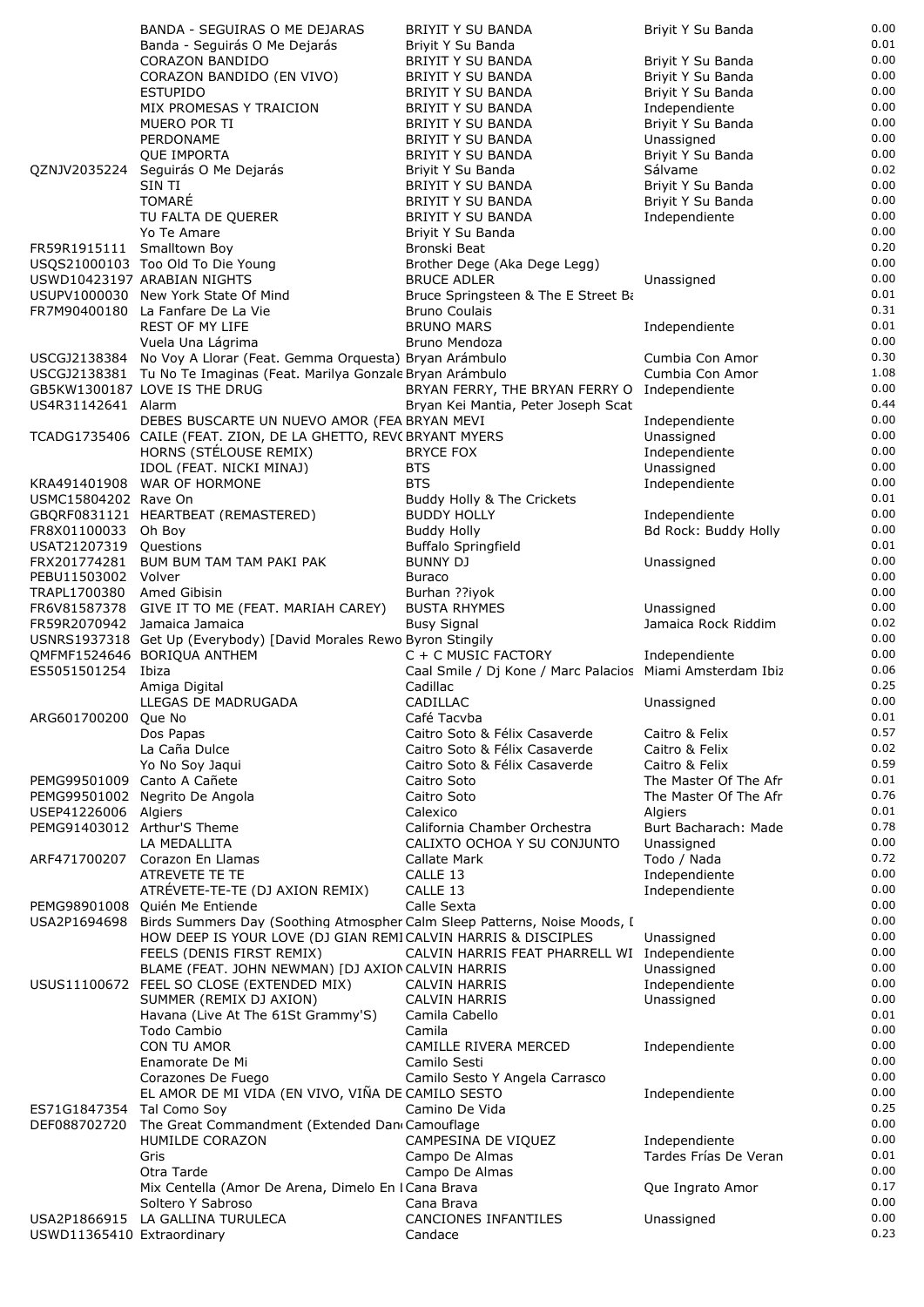|                             | BANDA - SEGUIRAS O ME DEJARAS                                             | BRIYIT Y SU BANDA                                         | Briyit Y Su Banda     | 0.00         |
|-----------------------------|---------------------------------------------------------------------------|-----------------------------------------------------------|-----------------------|--------------|
|                             | Banda - Seguirás O Me Dejarás                                             | Briyit Y Su Banda                                         |                       | 0.01         |
|                             | CORAZON BANDIDO                                                           | BRIYIT Y SU BANDA                                         | Briyit Y Su Banda     | 0.00         |
|                             | CORAZON BANDIDO (EN VIVO)                                                 | <b>BRIYIT Y SU BANDA</b>                                  | Briyit Y Su Banda     | 0.00         |
|                             |                                                                           |                                                           |                       |              |
|                             | <b>ESTUPIDO</b>                                                           | BRIYIT Y SU BANDA                                         | Briyit Y Su Banda     | 0.00         |
|                             | MIX PROMESAS Y TRAICION                                                   | <b>BRIYIT Y SU BANDA</b>                                  | Independiente         | 0.00         |
|                             | MUERO POR TI                                                              | <b>BRIYIT Y SU BANDA</b>                                  | Briyit Y Su Banda     | 0.00         |
|                             | PERDONAME                                                                 | BRIYIT Y SU BANDA                                         | Unassigned            | 0.00         |
|                             | <b>QUE IMPORTA</b>                                                        | <b>BRIYIT Y SU BANDA</b>                                  | Briyit Y Su Banda     | 0.00         |
|                             | QZNJV2035224 Seguirás O Me Dejarás                                        | Briyit Y Su Banda                                         | Sálvame               | 0.02         |
|                             | SIN TI                                                                    | BRIYIT Y SU BANDA                                         | Briyit Y Su Banda     | 0.00         |
|                             |                                                                           |                                                           |                       | 0.00         |
|                             | <b>TOMARÉ</b>                                                             | <b>BRIYIT Y SU BANDA</b>                                  | Briyit Y Su Banda     |              |
|                             | TU FALTA DE QUERER                                                        | BRIYIT Y SU BANDA                                         | Independiente         | 0.00         |
|                             | Yo Te Amare                                                               | Briyit Y Su Banda                                         |                       | 0.00         |
| FR59R1915111 Smalltown Boy  |                                                                           | Bronski Beat                                              |                       | 0.20         |
|                             | USQS21000103 Too Old To Die Young                                         | Brother Dege (Aka Dege Legg)                              |                       | 0.00         |
|                             | USWD10423197 ARABIAN NIGHTS                                               | <b>BRUCE ADLER</b>                                        | Unassigned            | 0.00         |
|                             | USUPV1000030 New York State Of Mind                                       | Bruce Springsteen & The E Street Ba                       |                       | 0.01         |
|                             | FR7M90400180 La Fanfare De La Vie                                         | <b>Bruno Coulais</b>                                      |                       | 0.31         |
|                             |                                                                           |                                                           |                       |              |
|                             | <b>REST OF MY LIFE</b>                                                    | <b>BRUNO MARS</b>                                         | Independiente         | 0.01         |
|                             | Vuela Una Lágrima                                                         | Bruno Mendoza                                             |                       | 0.00         |
|                             | USCGJ2138384 No Voy A Llorar (Feat. Gemma Orquesta) Bryan Arámbulo        |                                                           | Cumbia Con Amor       | 0.30         |
|                             | USCGJ2138381 Tu No Te Imaginas (Feat. Marilya Gonzale Bryan Arámbulo      |                                                           | Cumbia Con Amor       | 1.08         |
|                             | GB5KW1300187 LOVE IS THE DRUG                                             | BRYAN FERRY, THE BRYAN FERRY O Independiente              |                       | 0.00         |
| US4R31142641 Alarm          |                                                                           | Bryan Kei Mantia, Peter Joseph Scat                       |                       | 0.44         |
|                             | DEBES BUSCARTE UN NUEVO AMOR (FEA BRYAN MEVI                              |                                                           | Independiente         | 0.00         |
|                             |                                                                           |                                                           |                       |              |
|                             | TCADG1735406 CAILE (FEAT. ZION, DE LA GHETTO, REV( BRYANT MYERS           |                                                           | Unassigned            | 0.00         |
|                             | HORNS (STÉLOUSE REMIX)                                                    | <b>BRYCE FOX</b>                                          | Independiente         | 0.00         |
|                             | IDOL (FEAT. NICKI MINAJ)                                                  | <b>BTS</b>                                                | Unassigned            | 0.00         |
|                             | KRA491401908 WAR OF HORMONE                                               | <b>BTS</b>                                                | Independiente         | 0.00         |
| USMC15804202 Rave On        |                                                                           | Buddy Holly & The Crickets                                |                       | 0.01         |
|                             | GBQRF0831121 HEARTBEAT (REMASTERED)                                       | <b>BUDDY HOLLY</b>                                        | Independiente         | 0.00         |
|                             |                                                                           |                                                           |                       | 0.00         |
| FR8X01100033 Oh Boy         |                                                                           | <b>Buddy Holly</b>                                        | Bd Rock: Buddy Holly  |              |
| USAT21207319 Questions      |                                                                           | <b>Buffalo Springfield</b>                                |                       | 0.01         |
|                             | FRX201774281 BUM BUM TAM TAM PAKI PAK                                     | <b>BUNNY DJ</b>                                           | Unassigned            | 0.00         |
| PEBU11503002 Volver         |                                                                           | <b>Buraco</b>                                             |                       | 0.00         |
| TRAPL1700380 Amed Gibisin   |                                                                           | Burhan ??iyok                                             |                       | 0.00         |
|                             | FR6V81587378 GIVE IT TO ME (FEAT. MARIAH CAREY)                           | <b>BUSTA RHYMES</b>                                       | Unassigned            | 0.00         |
| FR59R2070942                | Jamaica Jamaica                                                           | <b>Busy Signal</b>                                        | Jamaica Rock Riddim   | 0.02         |
|                             | USNRS1937318 Get Up (Everybody) [David Morales Rewo Byron Stingily        |                                                           |                       | 0.00         |
|                             |                                                                           |                                                           |                       | 0.00         |
|                             | QMFMF1524646 BORIQUA ANTHEM                                               | C + C MUSIC FACTORY                                       | Independiente         |              |
| ES5051501254                | Ibiza                                                                     | Caal Smile / Dj Kone / Marc Palacios Miami Amsterdam Ibiz |                       | 0.06         |
|                             | Amiga Digital                                                             | Cadillac                                                  |                       | 0.25         |
|                             | LLEGAS DE MADRUGADA                                                       | CADILLAC                                                  | Unassigned            | 0.00         |
| ARG601700200                | Que No                                                                    | Café Tacvba                                               |                       | 0.01         |
|                             | Dos Papas                                                                 | Caitro Soto & Félix Casaverde                             | Caitro & Felix        | 0.57         |
|                             | La Caña Dulce                                                             | Caitro Soto & Félix Casaverde                             | Caitro & Felix        | 0.02         |
|                             |                                                                           |                                                           |                       | 0.59         |
|                             | Yo No Soy Jaqui                                                           | Caitro Soto & Félix Casaverde                             | Caitro & Felix        |              |
| PEMG99501009 Canto A Cañete |                                                                           | Caitro Soto                                               | The Master Of The Afr | 0.01         |
|                             | PEMG99501002 Negrito De Angola                                            | Caitro Soto                                               | The Master Of The Afr | 0.76         |
| USEP41226006 Algiers        |                                                                           | Calexico                                                  | Algiers               | 0.01         |
| PEMG91403012 Arthur'S Theme |                                                                           | California Chamber Orchestra                              |                       |              |
|                             |                                                                           |                                                           | Burt Bacharach: Made  | 0.78         |
| ARF471700207                |                                                                           |                                                           |                       | 0.00         |
|                             | LA MEDALLITA                                                              | CALIXTO OCHOA Y SU CONJUNTO                               | Unassigned            |              |
|                             | Corazon En Llamas                                                         | Callate Mark                                              | Todo / Nada           | 0.72         |
|                             | ATREVETE TE TE                                                            | CALLE 13                                                  | Independiente         | 0.00         |
|                             | ATRÉVETE-TE-TE (DJ AXION REMIX)                                           | CALLE 13                                                  | Independiente         | 0.00         |
| PEMG98901008                | Quién Me Entiende                                                         | Calle Sexta                                               |                       | 0.00         |
| USA2P1694698                | Birds Summers Day (Soothing Atmospher Calm Sleep Patterns, Noise Moods, I |                                                           |                       | 0.00         |
|                             | HOW DEEP IS YOUR LOVE (DJ GIAN REMICALVIN HARRIS & DISCIPLES              |                                                           | Unassigned            | 0.00         |
|                             |                                                                           |                                                           |                       | 0.00         |
|                             | FEELS (DENIS FIRST REMIX)                                                 | CALVIN HARRIS FEAT PHARRELL WI Independiente              |                       |              |
|                             | BLAME (FEAT. JOHN NEWMAN) [DJ AXION CALVIN HARRIS                         |                                                           | Unassigned            | 0.00         |
|                             | USUS11100672 FEEL SO CLOSE (EXTENDED MIX)                                 | <b>CALVIN HARRIS</b>                                      | Independiente         | 0.00         |
|                             | SUMMER (REMIX DJ AXION)                                                   | <b>CALVIN HARRIS</b>                                      | Unassigned            | 0.00         |
|                             | Havana (Live At The 61St Grammy'S)                                        | Camila Cabello                                            |                       | 0.01         |
|                             | Todo Cambio                                                               | Camila                                                    |                       | 0.00         |
|                             | CON TU AMOR                                                               | CAMILLE RIVERA MERCED                                     | Independiente         | 0.00         |
|                             | Enamorate De Mi                                                           | Camilo Sesti                                              |                       | 0.00         |
|                             |                                                                           |                                                           |                       | 0.00         |
|                             | Corazones De Fuego                                                        | Camilo Sesto Y Angela Carrasco                            |                       |              |
|                             | EL AMOR DE MI VIDA (EN VIVO, VIÑA DE CAMILO SESTO                         |                                                           | Independiente         | 0.00         |
| ES71G1847354                | Tal Como Soy                                                              | Camino De Vida                                            |                       | 0.25         |
| DEF088702720                | The Great Commandment (Extended Dan Camouflage                            |                                                           |                       | 0.00         |
|                             | HUMILDE CORAZON                                                           | CAMPESINA DE VIQUEZ                                       | Independiente         | 0.00         |
|                             | Gris                                                                      | Campo De Almas                                            | Tardes Frías De Veran | 0.01         |
|                             | Otra Tarde                                                                | Campo De Almas                                            |                       | 0.00         |
|                             |                                                                           |                                                           | Que Ingrato Amor      | 0.17         |
|                             | Mix Centella (Amor De Arena, Dimelo En I Cana Brava                       |                                                           |                       |              |
|                             | Soltero Y Sabroso                                                         | Cana Brava                                                |                       | 0.00         |
| USWD11365410 Extraordinary  | USA2P1866915 LA GALLINA TURULECA                                          | CANCIONES INFANTILES<br>Candace                           | Unassigned            | 0.00<br>0.23 |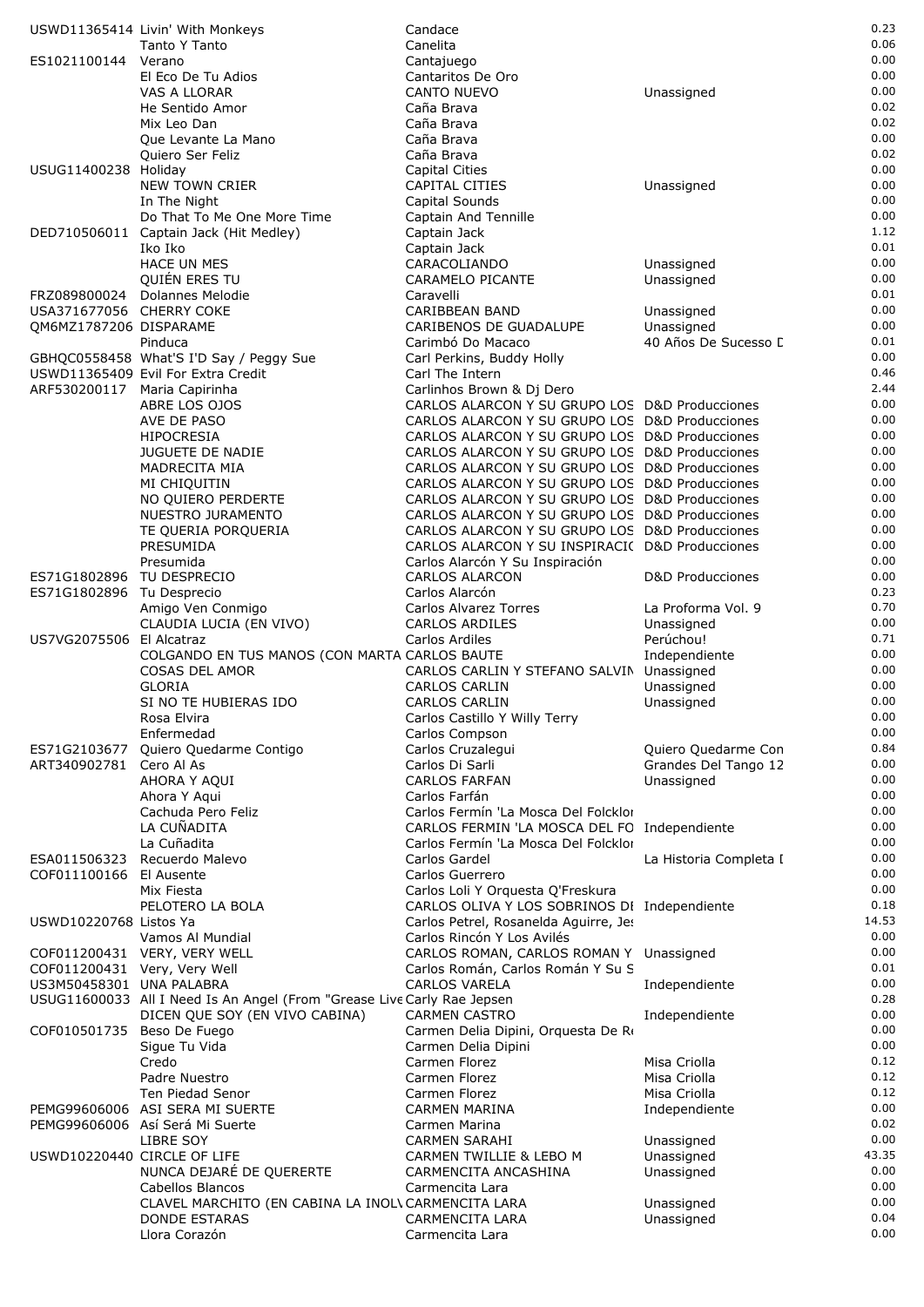|                              | USWD11365414 Livin' With Monkeys                                        | Candace                                                                                          |                                    | 0.23         |
|------------------------------|-------------------------------------------------------------------------|--------------------------------------------------------------------------------------------------|------------------------------------|--------------|
|                              | Tanto Y Tanto                                                           | Canelita                                                                                         |                                    | 0.06         |
| ES1021100144 Verano          |                                                                         | Cantajuego                                                                                       |                                    | 0.00         |
|                              | El Eco De Tu Adios<br>VAS A LLORAR                                      | Cantaritos De Oro<br>CANTO NUEVO                                                                 | Unassigned                         | 0.00<br>0.00 |
|                              | He Sentido Amor                                                         | Caña Brava                                                                                       |                                    | 0.02         |
|                              | Mix Leo Dan                                                             | Caña Brava                                                                                       |                                    | 0.02         |
|                              | Que Levante La Mano                                                     | Caña Brava                                                                                       |                                    | 0.00         |
|                              | Quiero Ser Feliz                                                        | Caña Brava                                                                                       |                                    | 0.02         |
| USUG11400238 Holiday         |                                                                         | Capital Cities                                                                                   |                                    | 0.00         |
|                              | <b>NEW TOWN CRIER</b>                                                   | CAPITAL CITIES                                                                                   | Unassigned                         | 0.00         |
|                              | In The Night<br>Do That To Me One More Time                             | Capital Sounds<br><b>Captain And Tennille</b>                                                    |                                    | 0.00<br>0.00 |
|                              | DED710506011 Captain Jack (Hit Medley)                                  | Captain Jack                                                                                     |                                    | 1.12         |
|                              | Iko Iko                                                                 | Captain Jack                                                                                     |                                    | 0.01         |
|                              | <b>HACE UN MES</b>                                                      | CARACOLIANDO                                                                                     | Unassigned                         | 0.00         |
|                              | QUIÉN ERES TU                                                           | CARAMELO PICANTE                                                                                 | Unassigned                         | 0.00         |
| FRZ089800024                 | Dolannes Melodie                                                        | Caravelli                                                                                        |                                    | 0.01         |
| USA371677056 CHERRY COKE     |                                                                         | CARIBBEAN BAND                                                                                   | Unassigned                         | 0.00         |
| QM6MZ1787206 DISPARAME       |                                                                         | CARIBENOS DE GUADALUPE                                                                           | Unassigned                         | 0.00<br>0.01 |
|                              | Pinduca<br>GBHQC0558458 What'S I'D Say / Peggy Sue                      | Carimbó Do Macaco<br>Carl Perkins, Buddy Holly                                                   | 40 Años De Sucesso [               | 0.00         |
|                              | USWD11365409 Evil For Extra Credit                                      | Carl The Intern                                                                                  |                                    | 0.46         |
| ARF530200117 Maria Capirinha |                                                                         | Carlinhos Brown & Dj Dero                                                                        |                                    | 2.44         |
|                              | ABRE LOS OJOS                                                           | CARLOS ALARCON Y SU GRUPO LOS D&D Producciones                                                   |                                    | 0.00         |
|                              | AVE DE PASO                                                             | CARLOS ALARCON Y SU GRUPO LOS D&D Producciones                                                   |                                    | 0.00         |
|                              | <b>HIPOCRESIA</b>                                                       | CARLOS ALARCON Y SU GRUPO LOS D&D Producciones                                                   |                                    | 0.00         |
|                              | <b>JUGUETE DE NADIE</b>                                                 | CARLOS ALARCON Y SU GRUPO LOS D&D Producciones                                                   |                                    | 0.00         |
|                              | MADRECITA MIA                                                           | CARLOS ALARCON Y SU GRUPO LOS D&D Producciones                                                   |                                    | 0.00<br>0.00 |
|                              | MI CHIQUITIN<br>NO QUIERO PERDERTE                                      | CARLOS ALARCON Y SU GRUPO LOS D&D Producciones<br>CARLOS ALARCON Y SU GRUPO LOS D&D Producciones |                                    | 0.00         |
|                              | NUESTRO JURAMENTO                                                       | CARLOS ALARCON Y SU GRUPO LOS D&D Producciones                                                   |                                    | 0.00         |
|                              | TE QUERIA PORQUERIA                                                     | CARLOS ALARCON Y SU GRUPO LOS D&D Producciones                                                   |                                    | 0.00         |
|                              | PRESUMIDA                                                               | CARLOS ALARCON Y SU INSPIRACI( D&D Producciones                                                  |                                    | 0.00         |
|                              | Presumida                                                               | Carlos Alarcón Y Su Inspiración                                                                  |                                    | 0.00         |
| ES71G1802896 TU DESPRECIO    |                                                                         | <b>CARLOS ALARCON</b>                                                                            | D&D Producciones                   | 0.00         |
| ES71G1802896 Tu Desprecio    |                                                                         | Carlos Alarcón                                                                                   |                                    | 0.23         |
|                              | Amigo Ven Conmigo                                                       | Carlos Alvarez Torres                                                                            | La Proforma Vol. 9                 | 0.70         |
| US7VG2075506 El Alcatraz     | CLAUDIA LUCIA (EN VIVO)                                                 | <b>CARLOS ARDILES</b>                                                                            | Unassigned<br>Perúchou!            | 0.00<br>0.71 |
|                              | COLGANDO EN TUS MANOS (CON MARTA CARLOS BAUTE                           | Carlos Ardiles                                                                                   | Independiente                      | 0.00         |
|                              | COSAS DEL AMOR                                                          | CARLOS CARLIN Y STEFANO SALVIN                                                                   | Unassigned                         | 0.00         |
|                              | <b>GLORIA</b>                                                           | <b>CARLOS CARLIN</b>                                                                             | Unassigned                         | 0.00         |
|                              | SI NO TE HUBIERAS IDO                                                   | <b>CARLOS CARLIN</b>                                                                             | Unassigned                         | 0.00         |
|                              | Rosa Elvira                                                             | Carlos Castillo Y Willy Terry                                                                    |                                    | 0.00         |
|                              | Enfermedad                                                              | Carlos Compson                                                                                   |                                    | 0.00         |
| ES71G2103677                 | Quiero Quedarme Contigo                                                 | Carlos Cruzalegui                                                                                | Quiero Quedarme Con                | 0.84         |
| ART340902781                 | Cero Al As<br>AHORA Y AQUI                                              | Carlos Di Sarli<br><b>CARLOS FARFAN</b>                                                          | Grandes Del Tango 12<br>Unassigned | 0.00<br>0.00 |
|                              | Ahora Y Aqui                                                            | Carlos Farfán                                                                                    |                                    | 0.00         |
|                              | Cachuda Pero Feliz                                                      | Carlos Fermín 'La Mosca Del Folcklor                                                             |                                    | 0.00         |
|                              | LA CUÑADITA                                                             | CARLOS FERMIN 'LA MOSCA DEL FO Independiente                                                     |                                    | 0.00         |
|                              | La Cuñadita                                                             | Carlos Fermín 'La Mosca Del Folcklor                                                             |                                    | 0.00         |
| ESA011506323                 | Recuerdo Malevo                                                         | Carlos Gardel                                                                                    | La Historia Completa I             | 0.00         |
| COF011100166 El Ausente      |                                                                         | Carlos Guerrero                                                                                  |                                    | 0.00         |
|                              | Mix Fiesta                                                              | Carlos Loli Y Orquesta Q'Freskura                                                                |                                    | 0.00<br>0.18 |
| USWD10220768 Listos Ya       | PELOTERO LA BOLA                                                        | CARLOS OLIVA Y LOS SOBRINOS DI Independiente<br>Carlos Petrel, Rosanelda Aguirre, Jes            |                                    | 14.53        |
|                              | Vamos Al Mundial                                                        | Carlos Rincón Y Los Avilés                                                                       |                                    | 0.00         |
|                              | COF011200431 VERY, VERY WELL                                            | CARLOS ROMAN, CARLOS ROMAN Y Unassigned                                                          |                                    | 0.00         |
| COF011200431 Very, Very Well |                                                                         | Carlos Román, Carlos Román Y Su S                                                                |                                    | 0.01         |
| US3M50458301 UNA PALABRA     |                                                                         | <b>CARLOS VARELA</b>                                                                             | Independiente                      | 0.00         |
|                              | USUG11600033 All I Need Is An Angel (From "Grease Live Carly Rae Jepsen |                                                                                                  |                                    | 0.28         |
|                              | DICEN QUE SOY (EN VIVO CABINA)                                          | <b>CARMEN CASTRO</b>                                                                             | Independiente                      | 0.00         |
| COF010501735 Beso De Fuego   |                                                                         | Carmen Delia Dipini, Orquesta De Ro                                                              |                                    | 0.00<br>0.00 |
|                              | Sigue Tu Vida<br>Credo                                                  | Carmen Delia Dipini<br>Carmen Florez                                                             | Misa Criolla                       | 0.12         |
|                              | Padre Nuestro                                                           | Carmen Florez                                                                                    | Misa Criolla                       | 0.12         |
|                              | Ten Piedad Senor                                                        | Carmen Florez                                                                                    | Misa Criolla                       | 0.12         |
|                              | PEMG99606006 ASI SERA MI SUERTE                                         | <b>CARMEN MARINA</b>                                                                             | Independiente                      | 0.00         |
|                              | PEMG99606006 Así Será Mi Suerte                                         | Carmen Marina                                                                                    |                                    | 0.02         |
|                              | LIBRE SOY                                                               | <b>CARMEN SARAHI</b>                                                                             | Unassigned                         | 0.00         |
| USWD10220440 CIRCLE OF LIFE  |                                                                         | CARMEN TWILLIE & LEBO M                                                                          | Unassigned                         | 43.35        |
|                              | NUNCA DEJARÉ DE QUERERTE                                                | CARMENCITA ANCASHINA                                                                             | Unassigned                         | 0.00<br>0.00 |
|                              | Cabellos Blancos<br>CLAVEL MARCHITO (EN CABINA LA INOLVCARMENCITA LARA  | Carmencita Lara                                                                                  | Unassigned                         | 0.00         |
|                              | <b>DONDE ESTARAS</b>                                                    | <b>CARMENCITA LARA</b>                                                                           | Unassigned                         | 0.04         |
|                              | Llora Corazón                                                           | Carmencita Lara                                                                                  |                                    | 0.00         |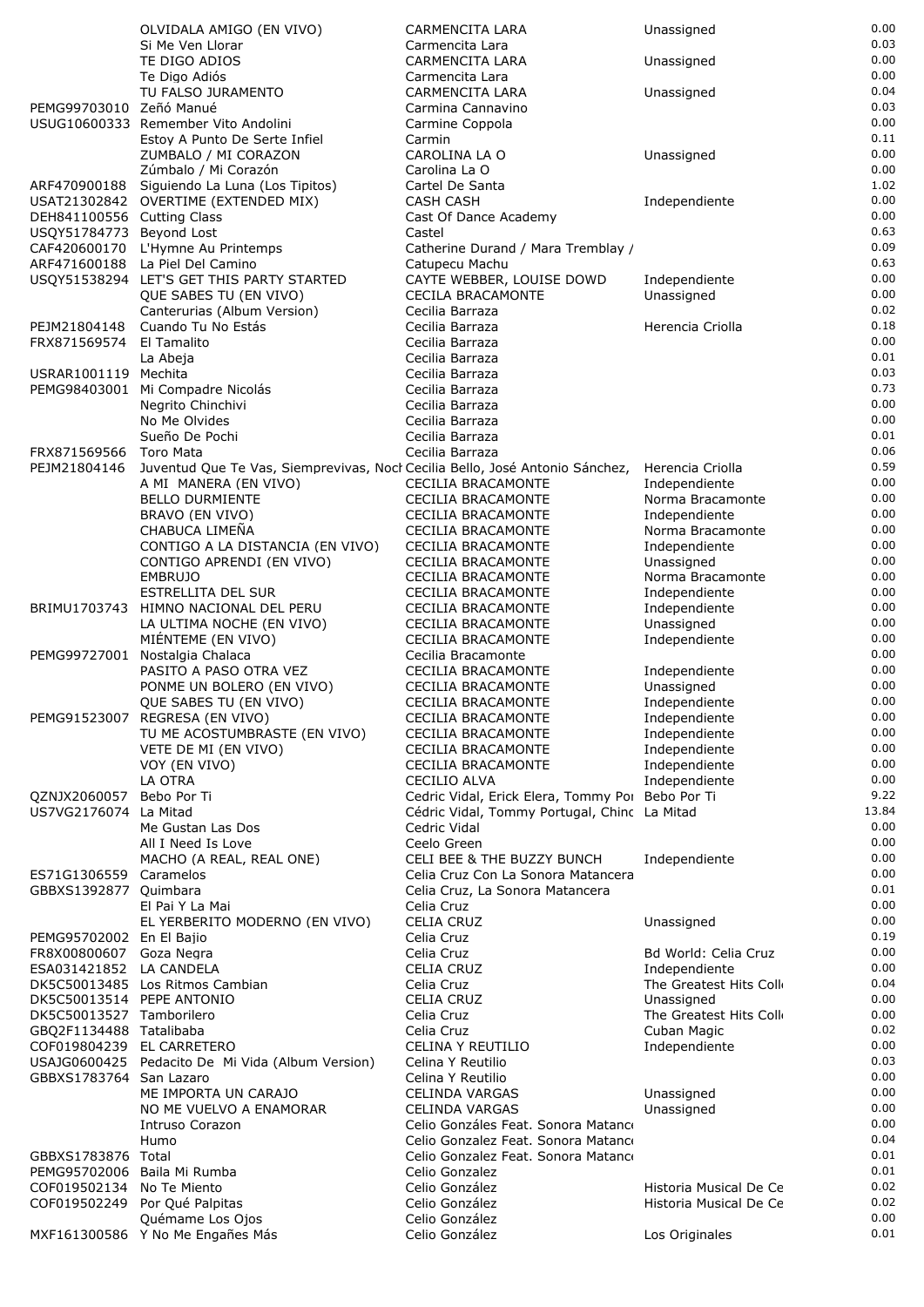|                                                       | OLVIDALA AMIGO (EN VIVO)                                                                  | CARMENCITA LARA                                                       | Unassigned                           | 0.00         |
|-------------------------------------------------------|-------------------------------------------------------------------------------------------|-----------------------------------------------------------------------|--------------------------------------|--------------|
|                                                       | Si Me Ven Llorar                                                                          | Carmencita Lara                                                       |                                      | 0.03         |
|                                                       | TE DIGO ADIOS<br>Te Digo Adiós                                                            | CARMENCITA LARA                                                       | Unassigned                           | 0.00<br>0.00 |
|                                                       | TU FALSO JURAMENTO                                                                        | Carmencita Lara<br>CARMENCITA LARA                                    | Unassigned                           | 0.04         |
| PEMG99703010 Zeñó Manué                               |                                                                                           | Carmina Cannavino                                                     |                                      | 0.03         |
|                                                       | USUG10600333 Remember Vito Andolini                                                       | Carmine Coppola                                                       |                                      | 0.00         |
|                                                       | Estoy A Punto De Serte Infiel                                                             | Carmin                                                                |                                      | 0.11         |
|                                                       | ZUMBALO / MI CORAZON                                                                      | CAROLINA LA O                                                         | Unassigned                           | 0.00         |
|                                                       | Zúmbalo / Mi Corazón                                                                      | Carolina La O                                                         |                                      | 0.00         |
| ARF470900188                                          | Siguiendo La Luna (Los Tipitos)                                                           | Cartel De Santa                                                       |                                      | 1.02<br>0.00 |
| DEH841100556 Cutting Class                            | USAT21302842 OVERTIME (EXTENDED MIX)                                                      | CASH CASH<br>Cast Of Dance Academy                                    | Independiente                        | 0.00         |
| USQY51784773 Beyond Lost                              |                                                                                           | Castel                                                                |                                      | 0.63         |
| CAF420600170                                          | L'Hymne Au Printemps                                                                      | Catherine Durand / Mara Tremblay /                                    |                                      | 0.09         |
|                                                       | ARF471600188 La Piel Del Camino                                                           | Catupecu Machu                                                        |                                      | 0.63         |
|                                                       | USQY51538294 LET'S GET THIS PARTY STARTED                                                 | CAYTE WEBBER, LOUISE DOWD                                             | Independiente                        | 0.00         |
|                                                       | QUE SABES TU (EN VIVO)                                                                    | <b>CECILA BRACAMONTE</b>                                              | Unassigned                           | 0.00         |
|                                                       | Canterurias (Album Version)                                                               | Cecilia Barraza                                                       |                                      | 0.02<br>0.18 |
| PEJM21804148<br>FRX871569574                          | Cuando Tu No Estás<br>El Tamalito                                                         | Cecilia Barraza<br>Cecilia Barraza                                    | Herencia Criolla                     | 0.00         |
|                                                       | La Abeja                                                                                  | Cecilia Barraza                                                       |                                      | 0.01         |
| USRAR1001119 Mechita                                  |                                                                                           | Cecilia Barraza                                                       |                                      | 0.03         |
| PEMG98403001                                          | Mi Compadre Nicolás                                                                       | Cecilia Barraza                                                       |                                      | 0.73         |
|                                                       | Nearito Chinchivi                                                                         | Cecilia Barraza                                                       |                                      | 0.00         |
|                                                       | No Me Olvides                                                                             | Cecilia Barraza                                                       |                                      | 0.00         |
| FRX871569566                                          | Sueño De Pochi                                                                            | Cecilia Barraza                                                       |                                      | 0.01<br>0.06 |
| PEJM21804146                                          | Toro Mata<br>Juventud Que Te Vas, Siemprevivas, Nocl Cecilia Bello, José Antonio Sánchez, | Cecilia Barraza                                                       | Herencia Criolla                     | 0.59         |
|                                                       | A MI MANERA (EN VIVO)                                                                     | <b>CECILIA BRACAMONTE</b>                                             | Independiente                        | 0.00         |
|                                                       | BELLO DURMIENTE                                                                           | CECILIA BRACAMONTE                                                    | Norma Bracamonte                     | 0.00         |
|                                                       | BRAVO (EN VIVO)                                                                           | <b>CECILIA BRACAMONTE</b>                                             | Independiente                        | 0.00         |
|                                                       | CHABUCA LIMEÑA                                                                            | <b>CECILIA BRACAMONTE</b>                                             | Norma Bracamonte                     | 0.00         |
|                                                       | CONTIGO A LA DISTANCIA (EN VIVO)                                                          | <b>CECILIA BRACAMONTE</b>                                             | Independiente                        | 0.00         |
|                                                       | CONTIGO APRENDI (EN VIVO)<br><b>EMBRUJO</b>                                               | <b>CECILIA BRACAMONTE</b><br><b>CECILIA BRACAMONTE</b>                | Unassigned<br>Norma Bracamonte       | 0.00<br>0.00 |
|                                                       | ESTRELLITA DEL SUR                                                                        | <b>CECILIA BRACAMONTE</b>                                             | Independiente                        | 0.00         |
| BRIMU1703743                                          | HIMNO NACIONAL DEL PERU                                                                   | <b>CECILIA BRACAMONTE</b>                                             | Independiente                        | 0.00         |
|                                                       | LA ULTIMA NOCHE (EN VIVO)                                                                 | <b>CECILIA BRACAMONTE</b>                                             | Unassigned                           | 0.00         |
|                                                       | MIÉNTEME (EN VIVO)                                                                        | <b>CECILIA BRACAMONTE</b>                                             | Independiente                        | 0.00         |
|                                                       | PEMG99727001 Nostalgia Chalaca<br>PASITO A PASO OTRA VEZ                                  | Cecilia Bracamonte<br><b>CECILIA BRACAMONTE</b>                       | Independiente                        | 0.00<br>0.00 |
|                                                       | PONME UN BOLERO (EN VIVO)                                                                 | <b>CECILIA BRACAMONTE</b>                                             | Unassigned                           | 0.00         |
|                                                       | QUE SABES TU (EN VIVO)                                                                    | <b>CECILIA BRACAMONTE</b>                                             | Independiente                        | 0.00         |
|                                                       | PEMG91523007 REGRESA (EN VIVO)                                                            | <b>CECILIA BRACAMONTE</b>                                             | Independiente                        | 0.00         |
|                                                       | TU ME ACOSTUMBRASTE (EN VIVO)                                                             | <b>CECILIA BRACAMONTE</b>                                             | Independiente                        | 0.00         |
|                                                       | VETE DE MI (EN VIVO)                                                                      | <b>CECILIA BRACAMONTE</b>                                             | Independiente<br>Independiente       | 0.00<br>0.00 |
|                                                       | VOY (EN VIVO)<br>LA OTRA                                                                  | <b>CECILIA BRACAMONTE</b><br>CECILIO ALVA                             | Independiente                        | 0.00         |
| QZNJX2060057                                          | Bebo Por Ti                                                                               | Cedric Vidal, Erick Elera, Tommy Por Bebo Por Ti                      |                                      | 9.22         |
| US7VG2176074 La Mitad                                 |                                                                                           | Cédric Vidal, Tommy Portugal, Chinc La Mitad                          |                                      | 13.84        |
|                                                       | Me Gustan Las Dos                                                                         | Cedric Vidal                                                          |                                      | 0.00         |
|                                                       | All I Need Is Love                                                                        | Ceelo Green                                                           |                                      | 0.00         |
|                                                       | MACHO (A REAL, REAL ONE)                                                                  | CELI BEE & THE BUZZY BUNCH                                            | Independiente                        | 0.00         |
| ES71G1306559<br>GBBXS1392877 Quimbara                 | Caramelos                                                                                 | Celia Cruz Con La Sonora Matancera<br>Celia Cruz, La Sonora Matancera |                                      | 0.00<br>0.01 |
|                                                       | El Pai Y La Mai                                                                           | Celia Cruz                                                            |                                      | 0.00         |
|                                                       | EL YERBERITO MODERNO (EN VIVO)                                                            | <b>CELIA CRUZ</b>                                                     | Unassigned                           | 0.00         |
| PEMG95702002 En El Bajio                              |                                                                                           | Celia Cruz                                                            |                                      | 0.19         |
| FR8X00800607 Goza Negra                               |                                                                                           | Celia Cruz                                                            | Bd World: Celia Cruz                 | 0.00         |
| ESA031421852 LA CANDELA                               |                                                                                           | <b>CELIA CRUZ</b>                                                     | Independiente                        | 0.00         |
|                                                       | DK5C50013485 Los Ritmos Cambian                                                           | Celia Cruz                                                            | The Greatest Hits Coll               | 0.04<br>0.00 |
| DK5C50013514 PEPE ANTONIO<br>DK5C50013527 Tamborilero |                                                                                           | <b>CELIA CRUZ</b><br>Celia Cruz                                       | Unassigned<br>The Greatest Hits Coll | 0.00         |
| GBQ2F1134488 Tatalibaba                               |                                                                                           | Celia Cruz                                                            | Cuban Magic                          | 0.02         |
| COF019804239 EL CARRETERO                             |                                                                                           | <b>CELINA Y REUTILIO</b>                                              | Independiente                        | 0.00         |
|                                                       | USAJG0600425 Pedacito De Mi Vida (Album Version)                                          | Celina Y Reutilio                                                     |                                      | 0.03         |
| GBBXS1783764 San Lazaro                               |                                                                                           | Celina Y Reutilio                                                     |                                      | 0.00         |
|                                                       | ME IMPORTA UN CARAJO                                                                      | <b>CELINDA VARGAS</b>                                                 | Unassigned                           | 0.00<br>0.00 |
|                                                       | NO ME VUELVO A ENAMORAR<br>Intruso Corazon                                                | CELINDA VARGAS<br>Celio Gonzáles Feat. Sonora Matanco                 | Unassigned                           | 0.00         |
|                                                       | Humo                                                                                      | Celio Gonzalez Feat. Sonora Matanco                                   |                                      | 0.04         |
| GBBXS1783876 Total                                    |                                                                                           | Celio Gonzalez Feat. Sonora Matanco                                   |                                      | 0.01         |
| PEMG95702006 Baila Mi Rumba                           |                                                                                           | Celio Gonzalez                                                        |                                      | 0.01         |
| COF019502134                                          | No Te Miento                                                                              | Celio González                                                        | Historia Musical De Ce               | 0.02         |
|                                                       | COF019502249 Por Qué Palpitas<br>Quémame Los Ojos                                         | Celio González<br>Celio González                                      | Historia Musical De Ce               | 0.02<br>0.00 |
|                                                       | MXF161300586 Y No Me Engañes Más                                                          | Celio González                                                        | Los Originales                       | 0.01         |
|                                                       |                                                                                           |                                                                       |                                      |              |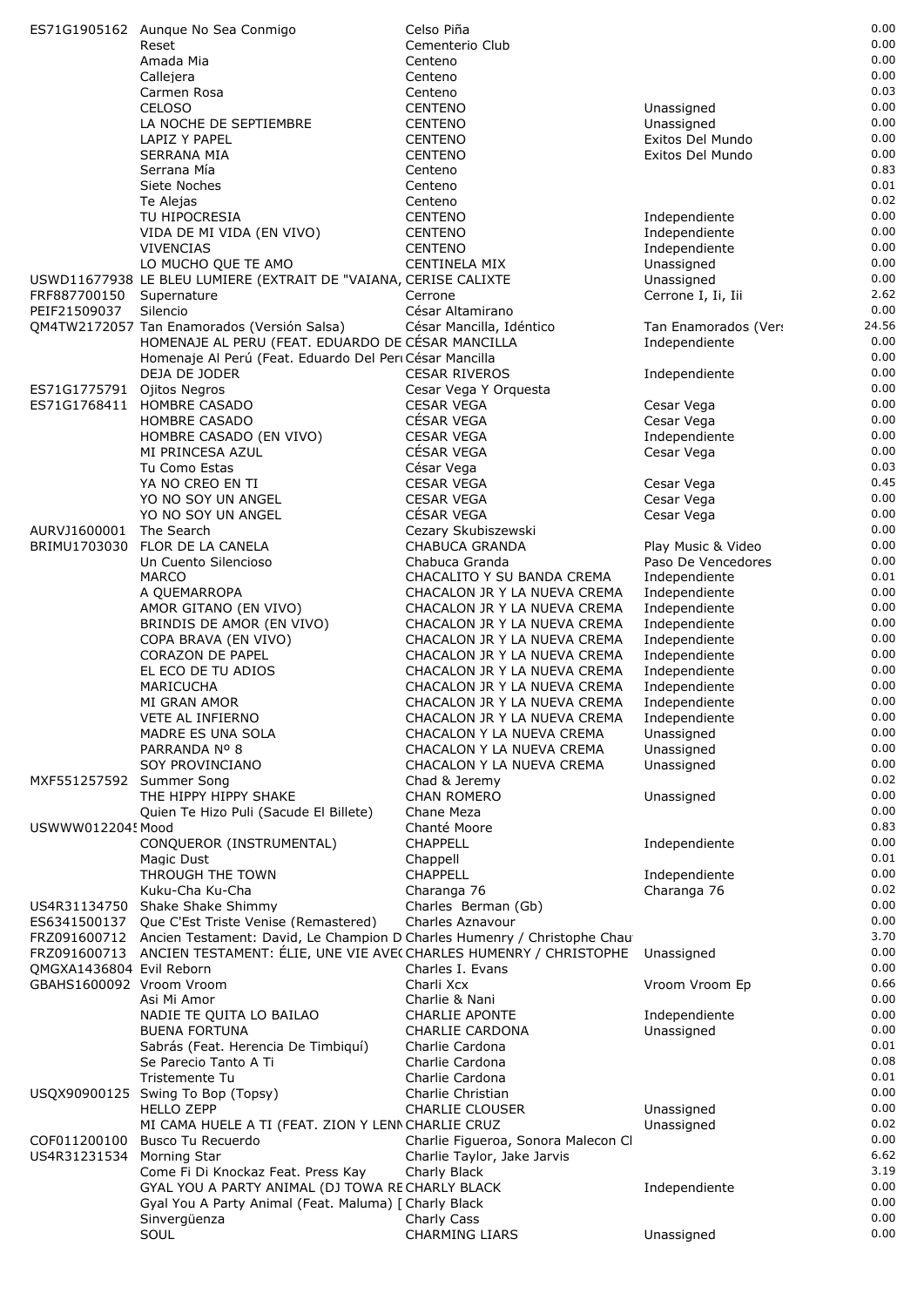|                          | ES71G1905162 Aunque No Sea Conmigo                                                      | Celso Piña                                                   |                                     | 0.00         |
|--------------------------|-----------------------------------------------------------------------------------------|--------------------------------------------------------------|-------------------------------------|--------------|
|                          | Reset                                                                                   | Cementerio Club                                              |                                     | 0.00         |
|                          | Amada Mia<br>Callejera                                                                  | Centeno<br>Centeno                                           |                                     | 0.00<br>0.00 |
|                          | Carmen Rosa                                                                             | Centeno                                                      |                                     | 0.03         |
|                          | <b>CELOSO</b>                                                                           | <b>CENTENO</b>                                               | Unassigned                          | 0.00         |
|                          | LA NOCHE DE SEPTIEMBRE                                                                  | <b>CENTENO</b>                                               | Unassigned                          | 0.00         |
|                          | LAPIZ Y PAPEL                                                                           | <b>CENTENO</b>                                               | Exitos Del Mundo                    | 0.00         |
|                          | <b>SERRANA MIA</b>                                                                      | <b>CENTENO</b>                                               | Exitos Del Mundo                    | 0.00<br>0.83 |
|                          | Serrana Mía<br>Siete Noches                                                             | Centeno<br>Centeno                                           |                                     | 0.01         |
|                          | Te Alejas                                                                               | Centeno                                                      |                                     | 0.02         |
|                          | TU HIPOCRESIA                                                                           | <b>CENTENO</b>                                               | Independiente                       | 0.00         |
|                          | VIDA DE MI VIDA (EN VIVO)                                                               | <b>CENTENO</b>                                               | Independiente                       | 0.00         |
|                          | <b>VIVENCIAS</b>                                                                        | <b>CENTENO</b>                                               | Independiente                       | 0.00         |
|                          | LO MUCHO QUE TE AMO<br>USWD11677938 LE BLEU LUMIERE (EXTRAIT DE "VAIANA, CERISE CALIXTE | CENTINELA MIX                                                | Unassigned<br>Unassigned            | 0.00<br>0.00 |
| FRF887700150             | Supernature                                                                             | Cerrone                                                      | Cerrone I, Ii, Iii                  | 2.62         |
| PEIF21509037             | Silencio                                                                                | César Altamirano                                             |                                     | 0.00         |
|                          | QM4TW2172057 Tan Enamorados (Versión Salsa)                                             | César Mancilla, Idéntico                                     | Tan Enamorados (Ver:                | 24.56        |
|                          | HOMENAJE AL PERU (FEAT. EDUARDO DE CÉSAR MANCILLA                                       |                                                              | Independiente                       | 0.00         |
|                          | Homenaje Al Perú (Feat. Eduardo Del Peri César Mancilla<br>DEJA DE JODER                | <b>CESAR RIVEROS</b>                                         | Independiente                       | 0.00<br>0.00 |
| ES71G1775791             | Ojitos Negros                                                                           | Cesar Vega Y Orquesta                                        |                                     | 0.00         |
| ES71G1768411             | <b>HOMBRE CASADO</b>                                                                    | <b>CESAR VEGA</b>                                            | Cesar Vega                          | 0.00         |
|                          | HOMBRE CASADO                                                                           | CÉSAR VEGA                                                   | Cesar Vega                          | 0.00         |
|                          | HOMBRE CASADO (EN VIVO)                                                                 | <b>CESAR VEGA</b>                                            | Independiente                       | 0.00         |
|                          | MI PRINCESA AZUL<br>Tu Como Estas                                                       | CÉSAR VEGA                                                   | Cesar Vega                          | 0.00<br>0.03 |
|                          | YA NO CREO EN TI                                                                        | César Vega<br><b>CESAR VEGA</b>                              | Cesar Vega                          | 0.45         |
|                          | YO NO SOY UN ANGEL                                                                      | <b>CESAR VEGA</b>                                            | Cesar Vega                          | 0.00         |
|                          | YO NO SOY UN ANGEL                                                                      | CÉSAR VEGA                                                   | Cesar Vega                          | 0.00         |
| AURVJ1600001             | The Search                                                                              | Cezary Skubiszewski                                          |                                     | 0.00         |
| BRIMU1703030             | FLOR DE LA CANELA                                                                       | <b>CHABUCA GRANDA</b>                                        | Play Music & Video                  | 0.00<br>0.00 |
|                          | Un Cuento Silencioso<br><b>MARCO</b>                                                    | Chabuca Granda<br>CHACALITO Y SU BANDA CREMA                 | Paso De Vencedores<br>Independiente | 0.01         |
|                          | A QUEMARROPA                                                                            | CHACALON JR Y LA NUEVA CREMA                                 | Independiente                       | 0.00         |
|                          | AMOR GITANO (EN VIVO)                                                                   | CHACALON JR Y LA NUEVA CREMA                                 | Independiente                       | 0.00         |
|                          | BRINDIS DE AMOR (EN VIVO)                                                               | CHACALON JR Y LA NUEVA CREMA                                 | Independiente                       | 0.00         |
|                          | COPA BRAVA (EN VIVO)                                                                    | CHACALON JR Y LA NUEVA CREMA                                 | Independiente                       | 0.00         |
|                          | <b>CORAZON DE PAPEL</b>                                                                 | CHACALON JR Y LA NUEVA CREMA                                 | Independiente                       | 0.00<br>0.00 |
|                          | EL ECO DE TU ADIOS<br><b>MARICUCHA</b>                                                  | CHACALON JR Y LA NUEVA CREMA<br>CHACALON JR Y LA NUEVA CREMA | Independiente<br>Independiente      | 0.00         |
|                          | MI GRAN AMOR                                                                            | CHACALON JR Y LA NUEVA CREMA                                 | Independiente                       | 0.00         |
|                          | VETE AL INFIERNO                                                                        | CHACALON JR Y LA NUEVA CREMA                                 | Independiente                       | 0.00         |
|                          | MADRE ES UNA SOLA                                                                       | CHACALON Y LA NUEVA CREMA                                    | Unassigned                          | 0.00         |
|                          | PARRANDA Nº 8                                                                           | CHACALON Y LA NUEVA CREMA                                    | Unassigned                          | 0.00<br>0.00 |
| MXF551257592 Summer Song | SOY PROVINCIANO                                                                         | CHACALON Y LA NUEVA CREMA<br>Chad & Jeremy                   | Unassigned                          | 0.02         |
|                          | THE HIPPY HIPPY SHAKE                                                                   | <b>CHAN ROMERO</b>                                           | Unassigned                          | 0.00         |
|                          | Quien Te Hizo Puli (Sacude El Billete)                                                  | Chane Meza                                                   |                                     | 0.00         |
| USWWW0122045 Mood        |                                                                                         | Chanté Moore                                                 |                                     | 0.83         |
|                          | CONQUEROR (INSTRUMENTAL)                                                                | <b>CHAPPELL</b>                                              | Independiente                       | 0.00<br>0.01 |
|                          | Magic Dust<br>THROUGH THE TOWN                                                          | Chappell<br><b>CHAPPELL</b>                                  | Independiente                       | 0.00         |
|                          | Kuku-Cha Ku-Cha                                                                         | Charanga 76                                                  | Charanga 76                         | 0.02         |
| US4R31134750             | Shake Shake Shimmy                                                                      | Charles Berman (Gb)                                          |                                     | 0.00         |
| ES6341500137             | Que C'Est Triste Venise (Remastered)                                                    | Charles Aznavour                                             |                                     | 0.00         |
|                          | FRZ091600712 Ancien Testament: David, Le Champion D Charles Humenry / Christophe Chau   |                                                              |                                     | 3.70         |
| QMGXA1436804 Evil Reborn | FRZ091600713 ANCIEN TESTAMENT: ÉLIE, UNE VIE AVE(CHARLES HUMENRY / CHRISTOPHE           | Charles I. Evans                                             | Unassigned                          | 0.00<br>0.00 |
| GBAHS1600092 Vroom Vroom |                                                                                         | Charli Xcx                                                   | Vroom Vroom Ep                      | 0.66         |
|                          | Asi Mi Amor                                                                             | Charlie & Nani                                               |                                     | 0.00         |
|                          | NADIE TE QUITA LO BAILAO                                                                | <b>CHARLIE APONTE</b>                                        | Independiente                       | 0.00         |
|                          | <b>BUENA FORTUNA</b>                                                                    | <b>CHARLIE CARDONA</b>                                       | Unassigned                          | 0.00         |
|                          | Sabrás (Feat. Herencia De Timbiquí)<br>Se Parecio Tanto A Ti                            | Charlie Cardona<br>Charlie Cardona                           |                                     | 0.01<br>0.08 |
|                          | Tristemente Tu                                                                          | Charlie Cardona                                              |                                     | 0.01         |
|                          | USQX90900125 Swing To Bop (Topsy)                                                       | Charlie Christian                                            |                                     | 0.00         |
|                          | <b>HELLO ZEPP</b>                                                                       | <b>CHARLIE CLOUSER</b>                                       | Unassigned                          | 0.00         |
|                          | MI CAMA HUELE A TI (FEAT. ZION Y LENN CHARLIE CRUZ                                      |                                                              | Unassigned                          | 0.02         |
| COF011200100             | Busco Tu Recuerdo                                                                       | Charlie Figueroa, Sonora Malecon Cl                          |                                     | 0.00<br>6.62 |
| US4R31231534             | Morning Star<br>Come Fi Di Knockaz Feat. Press Kay                                      | Charlie Taylor, Jake Jarvis<br>Charly Black                  |                                     | 3.19         |
|                          | GYAL YOU A PARTY ANIMAL (DJ TOWA RECHARLY BLACK                                         |                                                              | Independiente                       | 0.00         |
|                          | Gyal You A Party Animal (Feat. Maluma) [ Charly Black                                   |                                                              |                                     | 0.00         |
|                          | Sinvergüenza                                                                            | Charly Cass                                                  |                                     | 0.00         |
|                          | SOUL                                                                                    | <b>CHARMING LIARS</b>                                        | Unassigned                          | 0.00         |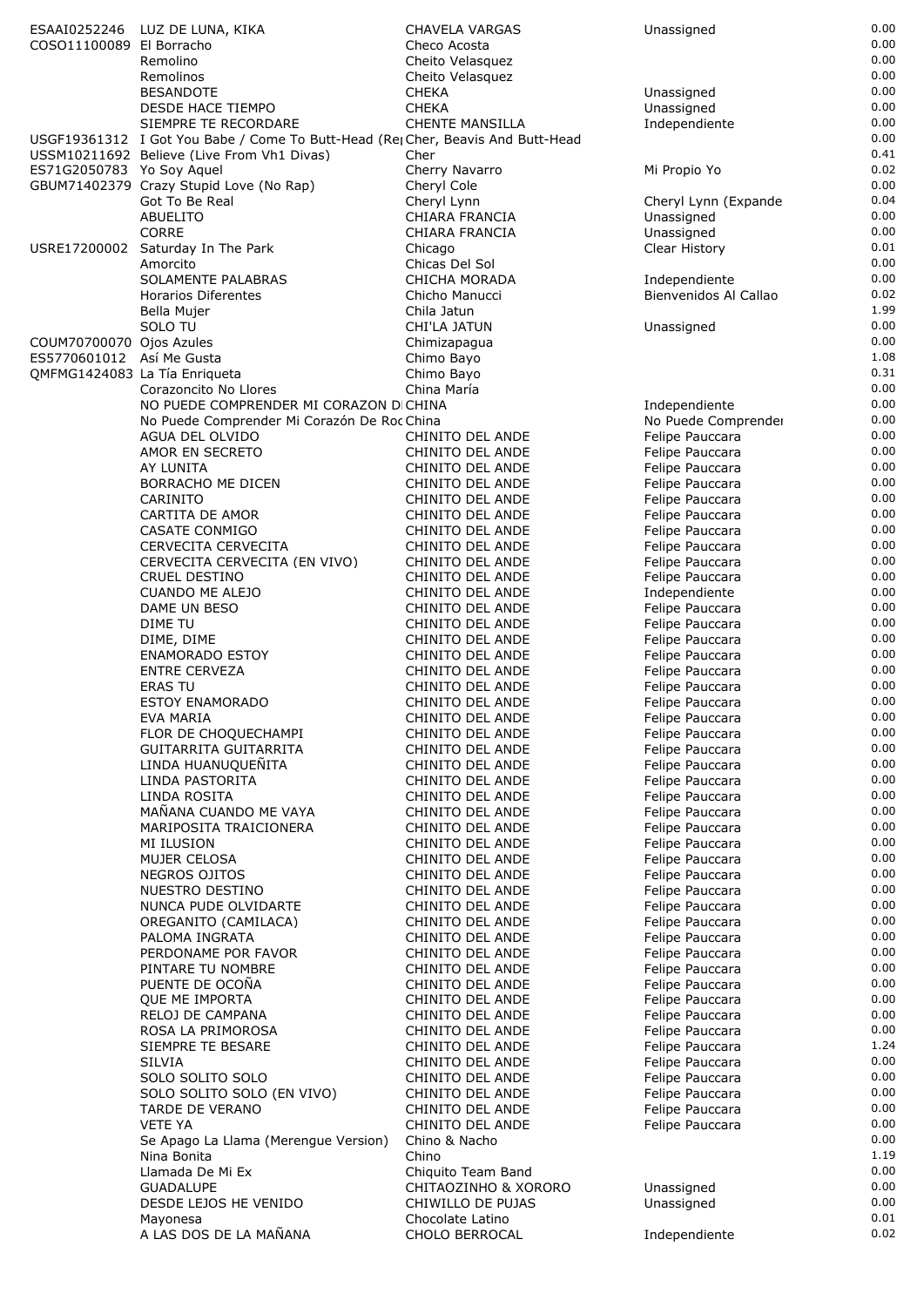|                                                       | ESAAI0252246 LUZ DE LUNA, KIKA                                                  | CHAVELA VARGAS                             | Unassigned                         | 0.00         |
|-------------------------------------------------------|---------------------------------------------------------------------------------|--------------------------------------------|------------------------------------|--------------|
| COSO11100089 El Borracho                              |                                                                                 | Checo Acosta                               |                                    | 0.00         |
|                                                       | Remolino                                                                        | Cheito Velasquez                           |                                    | 0.00         |
|                                                       | Remolinos                                                                       | Cheito Velasquez                           |                                    | 0.00<br>0.00 |
|                                                       | <b>BESANDOTE</b><br><b>DESDE HACE TIEMPO</b>                                    | <b>CHEKA</b><br><b>CHEKA</b>               | Unassigned<br>Unassigned           | 0.00         |
|                                                       | SIEMPRE TE RECORDARE                                                            | <b>CHENTE MANSILLA</b>                     | Independiente                      | 0.00         |
|                                                       | USGF19361312 I Got You Babe / Come To Butt-Head (Re; Cher, Beavis And Butt-Head |                                            |                                    | 0.00         |
|                                                       | USSM10211692 Believe (Live From Vh1 Divas)                                      | Cher                                       |                                    | 0.41         |
| ES71G2050783 Yo Soy Aquel                             |                                                                                 | Cherry Navarro                             | Mi Propio Yo                       | 0.02         |
|                                                       | GBUM71402379 Crazy Stupid Love (No Rap)                                         | Cheryl Cole                                |                                    | 0.00         |
|                                                       | Got To Be Real                                                                  | Cheryl Lynn                                | Cheryl Lynn (Expande               | 0.04         |
|                                                       | <b>ABUELITO</b><br><b>CORRE</b>                                                 | CHIARA FRANCIA<br>CHIARA FRANCIA           | Unassigned<br>Unassigned           | 0.00<br>0.00 |
|                                                       | USRE17200002 Saturday In The Park                                               | Chicago                                    | Clear History                      | 0.01         |
|                                                       | Amorcito                                                                        | Chicas Del Sol                             |                                    | 0.00         |
|                                                       | SOLAMENTE PALABRAS                                                              | CHICHA MORADA                              | Independiente                      | 0.00         |
|                                                       | Horarios Diferentes                                                             | Chicho Manucci                             | Bienvenidos Al Callao              | 0.02         |
|                                                       | Bella Mujer                                                                     | Chila Jatun                                |                                    | 1.99         |
|                                                       | SOLO TU                                                                         | CHI'LA JATUN                               | Unassigned                         | 0.00<br>0.00 |
| COUM70700070 Ojos Azules<br>ES5770601012 Así Me Gusta |                                                                                 | Chimizapagua<br>Chimo Bayo                 |                                    | 1.08         |
|                                                       | QMFMG1424083 La Tía Enriqueta                                                   | Chimo Bayo                                 |                                    | 0.31         |
|                                                       | Corazoncito No Llores                                                           | China María                                |                                    | 0.00         |
|                                                       | NO PUEDE COMPRENDER MI CORAZON DICHINA                                          |                                            | Independiente                      | 0.00         |
|                                                       | No Puede Comprender Mi Corazón De Roc China                                     |                                            | No Puede Comprender                | 0.00         |
|                                                       | AGUA DEL OLVIDO                                                                 | CHINITO DEL ANDE                           | Felipe Pauccara                    | 0.00         |
|                                                       | AMOR EN SECRETO                                                                 | CHINITO DEL ANDE                           | Felipe Pauccara                    | 0.00<br>0.00 |
|                                                       | AY LUNITA<br>BORRACHO ME DICEN                                                  | CHINITO DEL ANDE<br>CHINITO DEL ANDE       | Felipe Pauccara<br>Felipe Pauccara | 0.00         |
|                                                       | <b>CARINITO</b>                                                                 | CHINITO DEL ANDE                           | Felipe Pauccara                    | 0.00         |
|                                                       | CARTITA DE AMOR                                                                 | CHINITO DEL ANDE                           | Felipe Pauccara                    | 0.00         |
|                                                       | CASATE CONMIGO                                                                  | CHINITO DEL ANDE                           | Felipe Pauccara                    | 0.00         |
|                                                       | CERVECITA CERVECITA                                                             | CHINITO DEL ANDE                           | Felipe Pauccara                    | 0.00         |
|                                                       | CERVECITA CERVECITA (EN VIVO)                                                   | CHINITO DEL ANDE                           | Felipe Pauccara                    | 0.00         |
|                                                       | CRUEL DESTINO                                                                   | CHINITO DEL ANDE                           | Felipe Pauccara                    | 0.00<br>0.00 |
|                                                       | <b>CUANDO ME ALEJO</b><br>DAME UN BESO                                          | CHINITO DEL ANDE<br>CHINITO DEL ANDE       | Independiente<br>Felipe Pauccara   | 0.00         |
|                                                       | DIME TU                                                                         | CHINITO DEL ANDE                           | Felipe Pauccara                    | 0.00         |
|                                                       | DIME, DIME                                                                      | CHINITO DEL ANDE                           | Felipe Pauccara                    | 0.00         |
|                                                       | <b>ENAMORADO ESTOY</b>                                                          | CHINITO DEL ANDE                           | Felipe Pauccara                    | 0.00         |
|                                                       | <b>ENTRE CERVEZA</b>                                                            | CHINITO DEL ANDE                           | Felipe Pauccara                    | 0.00         |
|                                                       | <b>ERAS TU</b>                                                                  | CHINITO DEL ANDE                           | Felipe Pauccara                    | 0.00         |
|                                                       | <b>ESTOY ENAMORADO</b>                                                          | CHINITO DEL ANDE                           | Felipe Pauccara                    | 0.00         |
|                                                       | EVA MARIA<br>FLOR DE CHOQUECHAMPI                                               | CHINITO DEL ANDE<br>CHINITO DEL ANDE       | Felipe Pauccara<br>Felipe Pauccara | 0.00<br>0.00 |
|                                                       | GUITARRITA GUITARRITA                                                           | CHINITO DEL ANDE                           | Felipe Pauccara                    | 0.00         |
|                                                       | LINDA HUANUQUEÑITA                                                              | CHINITO DEL ANDE                           | Felipe Pauccara                    | 0.00         |
|                                                       | LINDA PASTORITA                                                                 | CHINITO DEL ANDE                           | Felipe Pauccara                    | 0.00         |
|                                                       | LINDA ROSITA                                                                    | CHINITO DEL ANDE                           | Felipe Pauccara                    | 0.0C         |
|                                                       | MAÑANA CUANDO ME VAYA                                                           | CHINITO DEL ANDE                           | Felipe Pauccara                    | 0.00<br>0.00 |
|                                                       | MARIPOSITA TRAICIONERA<br><b>MI ILUSION</b>                                     | CHINITO DEL ANDE<br>CHINITO DEL ANDE       | Felipe Pauccara<br>Felipe Pauccara | 0.00         |
|                                                       | MUJER CELOSA                                                                    | CHINITO DEL ANDE                           | Felipe Pauccara                    | 0.00         |
|                                                       | <b>NEGROS OJITOS</b>                                                            | CHINITO DEL ANDE                           | Felipe Pauccara                    | 0.00         |
|                                                       | NUESTRO DESTINO                                                                 | CHINITO DEL ANDE                           | Felipe Pauccara                    | 0.00         |
|                                                       | NUNCA PUDE OLVIDARTE                                                            | CHINITO DEL ANDE                           | Felipe Pauccara                    | 0.00         |
|                                                       | OREGANITO (CAMILACA)                                                            | CHINITO DEL ANDE                           | Felipe Pauccara                    | 0.00         |
|                                                       | PALOMA INGRATA<br>PERDONAME POR FAVOR                                           | CHINITO DEL ANDE<br>CHINITO DEL ANDE       | Felipe Pauccara<br>Felipe Pauccara | 0.00<br>0.00 |
|                                                       | PINTARE TU NOMBRE                                                               | CHINITO DEL ANDE                           | Felipe Pauccara                    | 0.00         |
|                                                       | PUENTE DE OCOÑA                                                                 | CHINITO DEL ANDE                           | Felipe Pauccara                    | 0.00         |
|                                                       | QUE ME IMPORTA                                                                  | CHINITO DEL ANDE                           | Felipe Pauccara                    | 0.00         |
|                                                       | RELOJ DE CAMPANA                                                                | CHINITO DEL ANDE                           | Felipe Pauccara                    | 0.0C         |
|                                                       | ROSA LA PRIMOROSA                                                               | CHINITO DEL ANDE                           | Felipe Pauccara                    | 0.00         |
|                                                       | SIEMPRE TE BESARE                                                               | CHINITO DEL ANDE                           | Felipe Pauccara                    | 1.24<br>0.00 |
|                                                       | <b>SILVIA</b><br>SOLO SOLITO SOLO                                               | CHINITO DEL ANDE<br>CHINITO DEL ANDE       | Felipe Pauccara<br>Felipe Pauccara | 0.00         |
|                                                       | SOLO SOLITO SOLO (EN VIVO)                                                      | CHINITO DEL ANDE                           | Felipe Pauccara                    | 0.00         |
|                                                       | <b>TARDE DE VERANO</b>                                                          | CHINITO DEL ANDE                           | Felipe Pauccara                    | 0.00         |
|                                                       | <b>VETE YA</b>                                                                  | CHINITO DEL ANDE                           | Felipe Pauccara                    | 0.00         |
|                                                       | Se Apago La Llama (Merengue Version)                                            | Chino & Nacho                              |                                    | 0.00         |
|                                                       | Nina Bonita                                                                     | Chino                                      |                                    | 1.19<br>0.00 |
|                                                       | Llamada De Mi Ex<br><b>GUADALUPE</b>                                            | Chiquito Team Band<br>CHITAOZINHO & XORORO | Unassigned                         | 0.00         |
|                                                       | DESDE LEJOS HE VENIDO                                                           | CHIWILLO DE PUJAS                          | Unassigned                         | 0.00         |
|                                                       | Mayonesa                                                                        | Chocolate Latino                           |                                    | 0.01         |
|                                                       | A LAS DOS DE LA MAÑANA                                                          | CHOLO BERROCAL                             | Independiente                      | 0.02         |
|                                                       |                                                                                 |                                            |                                    |              |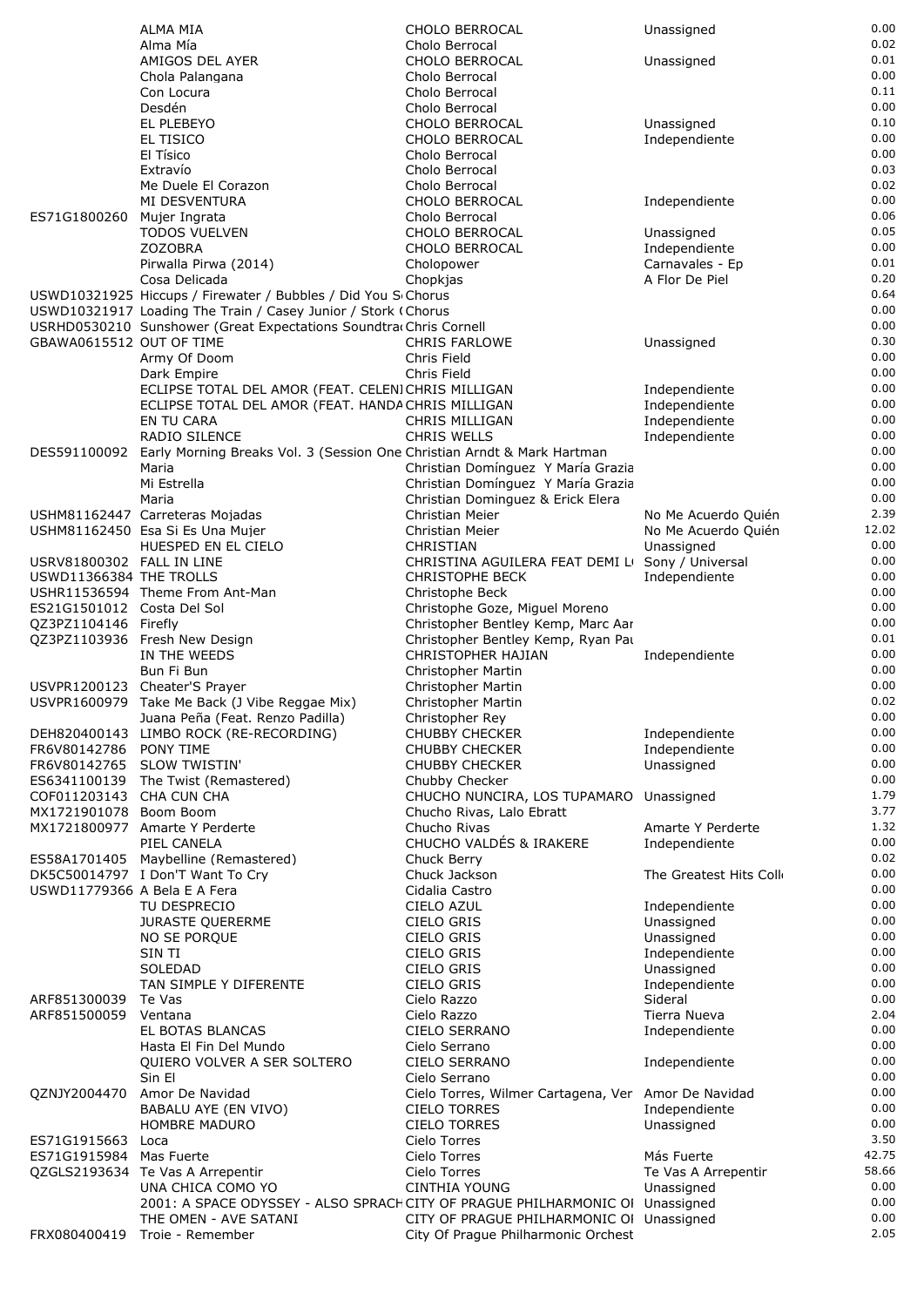|                              | <b>ALMA MIA</b>                                                                               | CHOLO BERROCAL                                                           | Unassigned                  | 0.00         |
|------------------------------|-----------------------------------------------------------------------------------------------|--------------------------------------------------------------------------|-----------------------------|--------------|
|                              | Alma Mía                                                                                      | Cholo Berrocal                                                           |                             | 0.02         |
|                              | AMIGOS DEL AYER                                                                               | CHOLO BERROCAL                                                           | Unassigned                  | 0.01         |
|                              | Chola Palangana                                                                               | Cholo Berrocal                                                           |                             | 0.00         |
|                              | Con Locura                                                                                    | Cholo Berrocal                                                           |                             | 0.11         |
|                              | Desdén<br>EL PLEBEYO                                                                          | Cholo Berrocal                                                           |                             | 0.00<br>0.10 |
|                              | EL TISICO                                                                                     | CHOLO BERROCAL<br>CHOLO BERROCAL                                         | Unassigned<br>Independiente | 0.00         |
|                              | El Tísico                                                                                     | Cholo Berrocal                                                           |                             | 0.00         |
|                              | Extravío                                                                                      | Cholo Berrocal                                                           |                             | 0.03         |
|                              | Me Duele El Corazon                                                                           | Cholo Berrocal                                                           |                             | 0.02         |
|                              | MI DESVENTURA                                                                                 | <b>CHOLO BERROCAL</b>                                                    | Independiente               | 0.00         |
| ES71G1800260                 | Mujer Ingrata                                                                                 | Cholo Berrocal                                                           |                             | 0.06         |
|                              | <b>TODOS VUELVEN</b>                                                                          | CHOLO BERROCAL                                                           | Unassigned                  | 0.05         |
|                              | <b>ZOZOBRA</b>                                                                                | CHOLO BERROCAL                                                           | Independiente               | 0.00         |
|                              | Pirwalla Pirwa (2014)                                                                         | Cholopower                                                               | Carnavales - Ep             | 0.01         |
|                              | Cosa Delicada<br>USWD10321925 Hiccups / Firewater / Bubbles / Did You SChorus                 | Chopkjas                                                                 | A Flor De Piel              | 0.20<br>0.64 |
|                              | USWD10321917 Loading The Train / Casey Junior / Stork (Chorus                                 |                                                                          |                             | 0.00         |
|                              | USRHD0530210 Sunshower (Great Expectations Soundtra Chris Cornell                             |                                                                          |                             | 0.00         |
| GBAWA0615512 OUT OF TIME     |                                                                                               | CHRIS FARLOWE                                                            | Unassigned                  | 0.30         |
|                              | Army Of Doom                                                                                  | Chris Field                                                              |                             | 0.00         |
|                              | Dark Empire                                                                                   | Chris Field                                                              |                             | 0.00         |
|                              | ECLIPSE TOTAL DEL AMOR (FEAT. CELENICHRIS MILLIGAN                                            |                                                                          | Independiente               | 0.00         |
|                              | ECLIPSE TOTAL DEL AMOR (FEAT. HANDA CHRIS MILLIGAN                                            |                                                                          | Independiente               | 0.00         |
|                              | EN TU CARA                                                                                    | CHRIS MILLIGAN                                                           | Independiente               | 0.00         |
|                              | <b>RADIO SILENCE</b>                                                                          | <b>CHRIS WELLS</b>                                                       | Independiente               | 0.00<br>0.00 |
|                              | DES591100092 Early Morning Breaks Vol. 3 (Session One Christian Arndt & Mark Hartman<br>Maria | Christian Domínguez Y María Grazia                                       |                             | 0.00         |
|                              | Mi Estrella                                                                                   | Christian Domínguez Y María Grazia                                       |                             | 0.00         |
|                              | Maria                                                                                         | Christian Dominguez & Erick Elera                                        |                             | 0.00         |
|                              | USHM81162447 Carreteras Mojadas                                                               | Christian Meier                                                          | No Me Acuerdo Quién         | 2.39         |
|                              | USHM81162450 Esa Si Es Una Mujer                                                              | Christian Meier                                                          | No Me Acuerdo Quién         | 12.02        |
|                              | HUESPED EN EL CIELO                                                                           | CHRISTIAN                                                                | Unassigned                  | 0.00         |
| USRV81800302 FALL IN LINE    |                                                                                               | CHRISTINA AGUILERA FEAT DEMI LI Sony / Universal                         |                             | 0.00         |
| USWD11366384 THE TROLLS      |                                                                                               | <b>CHRISTOPHE BECK</b>                                                   | Independiente               | 0.00         |
|                              | USHR11536594 Theme From Ant-Man                                                               | Christophe Beck                                                          |                             | 0.00         |
| ES21G1501012 Costa Del Sol   |                                                                                               | Christophe Goze, Miguel Moreno                                           |                             | 0.00<br>0.00 |
| QZ3PZ1104146 Firefly         | QZ3PZ1103936 Fresh New Design                                                                 | Christopher Bentley Kemp, Marc Aar<br>Christopher Bentley Kemp, Ryan Pat |                             | 0.01         |
|                              | IN THE WEEDS                                                                                  | CHRISTOPHER HAJIAN                                                       | Independiente               | 0.00         |
|                              | Bun Fi Bun                                                                                    | Christopher Martin                                                       |                             | 0.00         |
|                              | USVPR1200123 Cheater'S Prayer                                                                 | Christopher Martin                                                       |                             | 0.00         |
|                              | USVPR1600979 Take Me Back (J Vibe Reggae Mix)                                                 | Christopher Martin                                                       |                             | 0.02         |
|                              | Juana Peña (Feat. Renzo Padilla)                                                              | Christopher Rey                                                          |                             | 0.00         |
|                              | DEH820400143 LIMBO ROCK (RE-RECORDING)                                                        | <b>CHUBBY CHECKER</b>                                                    | Independiente               | 0.00         |
| FR6V80142786                 | PONY TIME                                                                                     | <b>CHUBBY CHECKER</b>                                                    | Independiente               | 0.00         |
| FR6V80142765                 | <b>SLOW TWISTIN'</b>                                                                          | <b>CHUBBY CHECKER</b>                                                    | Unassigned                  | 0.00<br>0.00 |
| COF011203143 CHA CUN CHA     | ES6341100139 The Twist (Remastered)                                                           | Chubby Checker<br>CHUCHO NUNCIRA, LOS TUPAMARO Unassigned                |                             | 1.79         |
| MX1721901078 Boom Boom       |                                                                                               | Chucho Rivas, Lalo Ebratt                                                |                             | 3.77         |
|                              | MX1721800977 Amarte Y Perderte                                                                | Chucho Rivas                                                             | Amarte Y Perderte           | 1.32         |
|                              | PIEL CANELA                                                                                   | CHUCHO VALDÉS & IRAKERE                                                  | Independiente               | 0.00         |
|                              | ES58A1701405 Maybelline (Remastered)                                                          | Chuck Berry                                                              |                             | 0.02         |
|                              | DK5C50014797 I Don'T Want To Cry                                                              | Chuck Jackson                                                            | The Greatest Hits Coll      | 0.00         |
| USWD11779366 A Bela E A Fera |                                                                                               | Cidalia Castro                                                           |                             | 0.00         |
|                              | TU DESPRECIO                                                                                  | CIELO AZUL                                                               | Independiente               | 0.00         |
|                              | <b>JURASTE QUERERME</b>                                                                       | CIELO GRIS                                                               | Unassigned                  | 0.00         |
|                              | NO SE PORQUE                                                                                  | CIELO GRIS                                                               | Unassigned                  | 0.00<br>0.00 |
|                              | SIN TI<br>SOLEDAD                                                                             | CIELO GRIS<br><b>CIELO GRIS</b>                                          | Independiente<br>Unassigned | 0.00         |
|                              | TAN SIMPLE Y DIFERENTE                                                                        | <b>CIELO GRIS</b>                                                        | Independiente               | 0.00         |
| ARF851300039                 | Te Vas                                                                                        | Cielo Razzo                                                              | Sideral                     | 0.00         |
| ARF851500059                 | Ventana                                                                                       | Cielo Razzo                                                              | Tierra Nueva                | 2.04         |
|                              | EL BOTAS BLANCAS                                                                              | CIELO SERRANO                                                            | Independiente               | 0.00         |
|                              | Hasta El Fin Del Mundo                                                                        | Cielo Serrano                                                            |                             | 0.00         |
|                              | QUIERO VOLVER A SER SOLTERO                                                                   | <b>CIELO SERRANO</b>                                                     | Independiente               | 0.00         |
|                              | Sin El                                                                                        | Cielo Serrano                                                            |                             | 0.00         |
| QZNJY2004470                 | Amor De Navidad                                                                               | Cielo Torres, Wilmer Cartagena, Ver Amor De Navidad                      |                             | 0.00<br>0.00 |
|                              | BABALU AYE (EN VIVO)<br><b>HOMBRE MADURO</b>                                                  | <b>CIELO TORRES</b><br><b>CIELO TORRES</b>                               | Independiente<br>Unassigned | 0.00         |
| ES71G1915663                 | Loca                                                                                          | Cielo Torres                                                             |                             | 3.50         |
| ES71G1915984                 | Mas Fuerte                                                                                    | Cielo Torres                                                             | Más Fuerte                  | 42.75        |
|                              | QZGLS2193634 Te Vas A Arrepentir                                                              | Cielo Torres                                                             | Te Vas A Arrepentir         | 58.66        |
|                              | UNA CHICA COMO YO                                                                             | <b>CINTHIA YOUNG</b>                                                     | Unassigned                  | 0.00         |
|                              | 2001: A SPACE ODYSSEY - ALSO SPRACH CITY OF PRAGUE PHILHARMONIC OI Unassigned                 |                                                                          |                             | 0.00         |
|                              | THE OMEN - AVE SATANI                                                                         | CITY OF PRAGUE PHILHARMONIC OI Unassigned                                |                             | 0.00         |
| FRX080400419                 | Troie - Remember                                                                              | City Of Prague Philharmonic Orchest                                      |                             | 2.05         |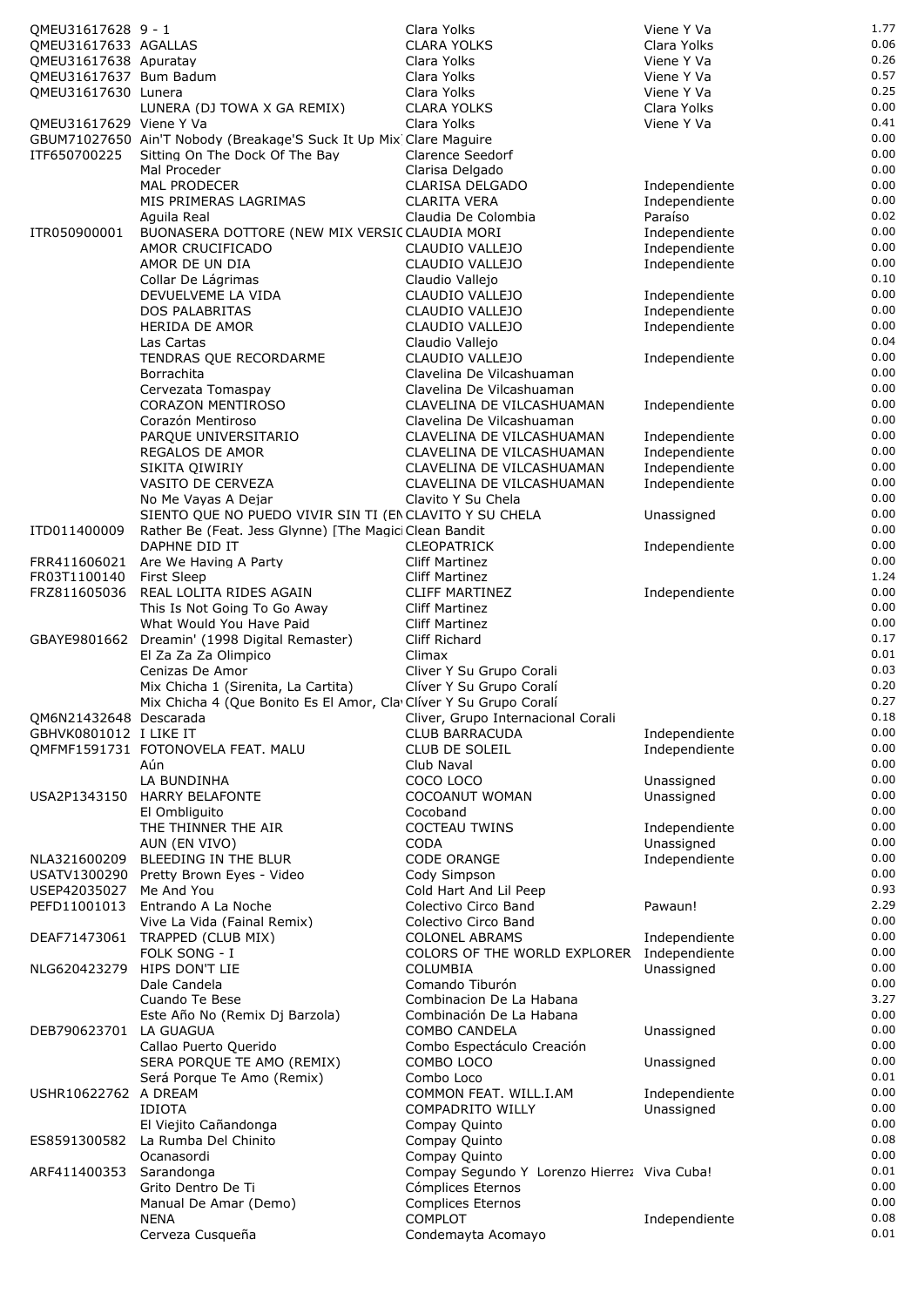| QMEU31617628 9 - 1      |                                                                           | Clara Yolks                                            | Viene Y Va                     | 1.77         |
|-------------------------|---------------------------------------------------------------------------|--------------------------------------------------------|--------------------------------|--------------|
| QMEU31617633 AGALLAS    |                                                                           | <b>CLARA YOLKS</b>                                     | Clara Yolks                    | 0.06         |
| QMEU31617638 Apuratay   |                                                                           | Clara Yolks                                            | Viene Y Va                     | 0.26         |
| QMEU31617637 Bum Badum  |                                                                           | Clara Yolks                                            | Viene Y Va                     | 0.57         |
| QMEU31617630 Lunera     |                                                                           | Clara Yolks                                            | Viene Y Va                     | 0.25         |
|                         | LUNERA (DJ TOWA X GA REMIX)                                               | <b>CLARA YOLKS</b>                                     | Clara Yolks                    | 0.00         |
| QMEU31617629 Viene Y Va |                                                                           | Clara Yolks                                            | Viene Y Va                     | 0.41         |
| ITF650700225            | GBUM71027650 Ain'T Nobody (Breakage'S Suck It Up Mix Clare Maguire        |                                                        |                                | 0.00<br>0.00 |
|                         | Sitting On The Dock Of The Bay<br>Mal Proceder                            | Clarence Seedorf<br>Clarisa Delgado                    |                                | 0.00         |
|                         | <b>MAL PRODECER</b>                                                       | CLARISA DELGADO                                        | Independiente                  | 0.00         |
|                         | MIS PRIMERAS LAGRIMAS                                                     | <b>CLARITA VERA</b>                                    | Independiente                  | 0.00         |
|                         | Aguila Real                                                               | Claudia De Colombia                                    | Paraíso                        | 0.02         |
| ITR050900001            | BUONASERA DOTTORE (NEW MIX VERSIC CLAUDIA MORI                            |                                                        | Independiente                  | 0.00         |
|                         | AMOR CRUCIFICADO                                                          | CLAUDIO VALLEJO                                        | Independiente                  | 0.00         |
|                         | AMOR DE UN DIA                                                            | CLAUDIO VALLEJO                                        | Independiente                  | 0.00         |
|                         | Collar De Lágrimas                                                        | Claudio Vallejo                                        |                                | 0.10         |
|                         | DEVUELVEME LA VIDA<br>DOS PALABRITAS                                      | CLAUDIO VALLEJO<br>CLAUDIO VALLEJO                     | Independiente<br>Independiente | 0.00<br>0.00 |
|                         | <b>HERIDA DE AMOR</b>                                                     | CLAUDIO VALLEJO                                        | Independiente                  | 0.00         |
|                         | Las Cartas                                                                | Claudio Vallejo                                        |                                | 0.04         |
|                         | TENDRAS QUE RECORDARME                                                    | CLAUDIO VALLEJO                                        | Independiente                  | 0.00         |
|                         | Borrachita                                                                | Clavelina De Vilcashuaman                              |                                | 0.00         |
|                         | Cervezata Tomaspay                                                        | Clavelina De Vilcashuaman                              |                                | 0.00         |
|                         | <b>CORAZON MENTIROSO</b>                                                  | CLAVELINA DE VILCASHUAMAN                              | Independiente                  | 0.00         |
|                         | Corazón Mentiroso                                                         | Clavelina De Vilcashuaman                              |                                | 0.00         |
|                         | PARQUE UNIVERSITARIO                                                      | CLAVELINA DE VILCASHUAMAN                              | Independiente                  | 0.00         |
|                         | REGALOS DE AMOR                                                           | CLAVELINA DE VILCASHUAMAN                              | Independiente                  | 0.00<br>0.00 |
|                         | SIKITA QIWIRIY<br>VASITO DE CERVEZA                                       | CLAVELINA DE VILCASHUAMAN<br>CLAVELINA DE VILCASHUAMAN | Independiente<br>Independiente | 0.00         |
|                         | No Me Vayas A Dejar                                                       | Clavito Y Su Chela                                     |                                | 0.00         |
|                         | SIENTO QUE NO PUEDO VIVIR SIN TI (EN CLAVITO Y SU CHELA                   |                                                        | Unassigned                     | 0.00         |
| ITD011400009            | Rather Be (Feat. Jess Glynne) [The Magici Clean Bandit                    |                                                        |                                | 0.00         |
|                         | DAPHNE DID IT                                                             | <b>CLEOPATRICK</b>                                     | Independiente                  | 0.00         |
|                         | FRR411606021 Are We Having A Party                                        | <b>Cliff Martinez</b>                                  |                                | 0.00         |
| FR03T1100140            | <b>First Sleep</b>                                                        | <b>Cliff Martinez</b>                                  |                                | 1.24         |
| FRZ811605036            | REAL LOLITA RIDES AGAIN                                                   | <b>CLIFF MARTINEZ</b>                                  | Independiente                  | 0.00         |
|                         | This Is Not Going To Go Away                                              | <b>Cliff Martinez</b>                                  |                                | 0.00<br>0.00 |
|                         | What Would You Have Paid<br>GBAYE9801662 Dreamin' (1998 Digital Remaster) | <b>Cliff Martinez</b><br>Cliff Richard                 |                                | 0.17         |
|                         | El Za Za Za Olimpico                                                      | Climax                                                 |                                | 0.01         |
|                         | Cenizas De Amor                                                           | Cliver Y Su Grupo Corali                               |                                | 0.03         |
|                         | Mix Chicha 1 (Sirenita, La Cartita)                                       | Clíver Y Su Grupo Coralí                               |                                | 0.20         |
|                         | Mix Chicha 4 (Que Bonito Es El Amor, Cla Clíver Y Su Grupo Coralí         |                                                        |                                | 0.27         |
| QM6N21432648 Descarada  |                                                                           | Cliver, Grupo Internacional Corali                     |                                | 0.18         |
| GBHVK0801012 I LIKE IT  |                                                                           | CLUB BARRACUDA                                         | Independiente                  | 0.00         |
|                         | QMFMF1591731 FOTONOVELA FEAT. MALU                                        | <b>CLUB DE SOLEIL</b>                                  | Independiente                  | 0.00         |
|                         | Aún<br>LA BUNDINHA                                                        | Club Naval<br>COCO LOCO                                | Unassigned                     | 0.00<br>0.00 |
|                         | USA2P1343150 HARRY BELAFONTE                                              | <b>COCOANUT WOMAN</b>                                  | Unassigned                     | 0.00         |
|                         | El Ombliquito                                                             | Cocoband                                               |                                | 0.00         |
|                         | THE THINNER THE AIR                                                       | <b>COCTEAU TWINS</b>                                   | Independiente                  | 0.00         |
|                         | AUN (EN VIVO)                                                             | CODA                                                   | Unassigned                     | 0.00         |
| NLA321600209            | BLEEDING IN THE BLUR                                                      | <b>CODE ORANGE</b>                                     | Independiente                  | 0.00         |
|                         | USATV1300290 Pretty Brown Eyes - Video                                    | Cody Simpson                                           |                                | 0.00         |
| USEP42035027            | Me And You                                                                | Cold Hart And Lil Peep                                 |                                | 0.93         |
| PEFD11001013            | Entrando A La Noche                                                       | Colectivo Circo Band                                   | Pawaun!                        | 2.29<br>0.00 |
|                         | Vive La Vida (Fainal Remix)<br>DEAF71473061 TRAPPED (CLUB MIX)            | Colectivo Circo Band<br><b>COLONEL ABRAMS</b>          | Independiente                  | 0.00         |
|                         | FOLK SONG - I                                                             | COLORS OF THE WORLD EXPLORER                           | Independiente                  | 0.00         |
| NLG620423279            | HIPS DON'T LIE                                                            | <b>COLUMBIA</b>                                        | Unassigned                     | 0.00         |
|                         | Dale Candela                                                              | Comando Tiburón                                        |                                | 0.00         |
|                         | Cuando Te Bese                                                            | Combinacion De La Habana                               |                                | 3.27         |
|                         | Este Año No (Remix Dj Barzola)                                            | Combinación De La Habana                               |                                | 0.00         |
| DEB790623701 LA GUAGUA  |                                                                           | <b>COMBO CANDELA</b>                                   | Unassigned                     | 0.00         |
|                         | Callao Puerto Querido                                                     | Combo Espectáculo Creación                             |                                | 0.00         |
|                         | SERA PORQUE TE AMO (REMIX)                                                | COMBO LOCO                                             | Unassigned                     | 0.00<br>0.01 |
| USHR10622762 A DREAM    | Será Porque Te Amo (Remix)                                                | Combo Loco<br>COMMON FEAT. WILL.I.AM                   | Independiente                  | 0.00         |
|                         | <b>IDIOTA</b>                                                             | <b>COMPADRITO WILLY</b>                                | Unassigned                     | 0.00         |
|                         | El Viejito Cañandonga                                                     | Compay Quinto                                          |                                | 0.00         |
|                         | ES8591300582 La Rumba Del Chinito                                         | Compay Quinto                                          |                                | 0.08         |
|                         | Ocanasordi                                                                | Compay Quinto                                          |                                | 0.00         |
| ARF411400353            | Sarandonga                                                                | Compay Segundo Y Lorenzo Hierrez Viva Cuba!            |                                | 0.01         |
|                         | Grito Dentro De Ti                                                        | Cómplices Eternos                                      |                                | 0.00         |
|                         | Manual De Amar (Demo)<br><b>NENA</b>                                      | Complices Eternos<br><b>COMPLOT</b>                    |                                | 0.00<br>0.08 |
|                         | Cerveza Cusqueña                                                          | Condemayta Acomayo                                     | Independiente                  | 0.01         |
|                         |                                                                           |                                                        |                                |              |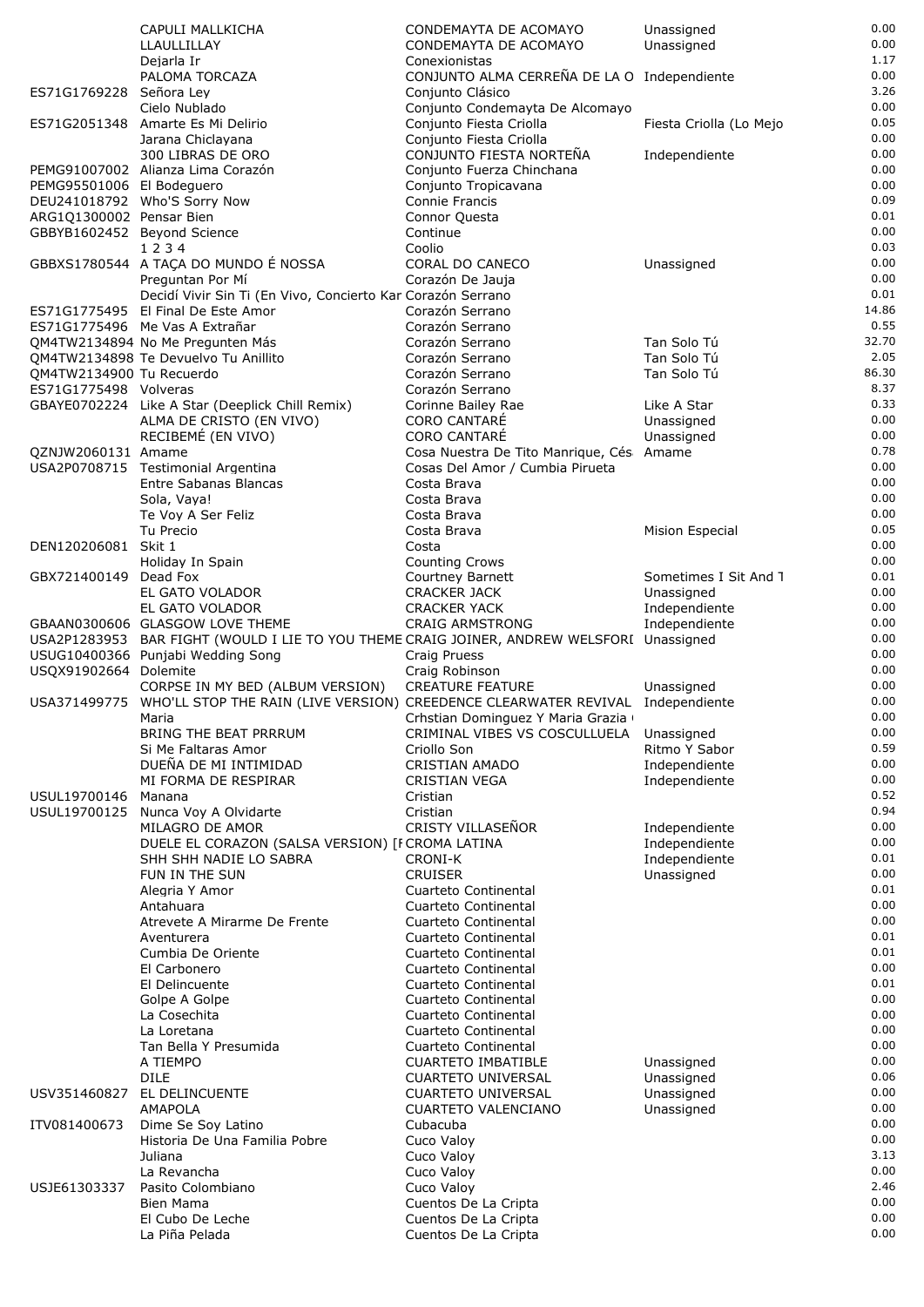|                             | CAPULI MALLKICHA                                                                                  | CONDEMAYTA DE ACOMAYO                                                         | Unassigned              | 0.00         |
|-----------------------------|---------------------------------------------------------------------------------------------------|-------------------------------------------------------------------------------|-------------------------|--------------|
|                             | LLAULLILLAY                                                                                       | CONDEMAYTA DE ACOMAYO                                                         | Unassigned              | 0.00         |
|                             | Dejarla Ir                                                                                        | Conexionistas                                                                 |                         | 1.17         |
|                             | PALOMA TORCAZA                                                                                    | CONJUNTO ALMA CERREÑA DE LA O Independiente                                   |                         | 0.00         |
| ES71G1769228 Señora Ley     |                                                                                                   | Conjunto Clásico                                                              |                         | 3.26<br>0.00 |
|                             | Cielo Nublado<br>ES71G2051348 Amarte Es Mi Delirio                                                | Conjunto Condemayta De Alcomayo<br>Conjunto Fiesta Criolla                    | Fiesta Criolla (Lo Mejo | 0.05         |
|                             | Jarana Chiclayana                                                                                 | Conjunto Fiesta Criolla                                                       |                         | 0.00         |
|                             | 300 LIBRAS DE ORO                                                                                 | CONJUNTO FIESTA NORTEÑA                                                       | Independiente           | 0.00         |
|                             | PEMG91007002 Alianza Lima Corazón                                                                 | Conjunto Fuerza Chinchana                                                     |                         | 0.00         |
| PEMG95501006 El Bodeguero   |                                                                                                   | Conjunto Tropicavana                                                          |                         | 0.00         |
|                             | DEU241018792 Who'S Sorry Now                                                                      | Connie Francis                                                                |                         | 0.09         |
| ARG1Q1300002 Pensar Bien    |                                                                                                   | Connor Questa                                                                 |                         | 0.01         |
| GBBYB1602452 Beyond Science |                                                                                                   | Continue                                                                      |                         | 0.00         |
|                             | 1234                                                                                              | Coolio                                                                        |                         | 0.03         |
|                             | GBBXS1780544 A TAÇA DO MUNDO É NOSSA                                                              | CORAL DO CANECO                                                               | Unassigned              | 0.00         |
|                             | Preguntan Por Mí                                                                                  | Corazón De Jauja                                                              |                         | 0.00<br>0.01 |
|                             | Decidí Vivir Sin Ti (En Vivo, Concierto Kar Corazón Serrano<br>ES71G1775495 El Final De Este Amor | Corazón Serrano                                                               |                         | 14.86        |
|                             | ES71G1775496 Me Vas A Extrañar                                                                    | Corazón Serrano                                                               |                         | 0.55         |
|                             | QM4TW2134894 No Me Pregunten Más                                                                  | Corazón Serrano                                                               | Tan Solo Tú             | 32.70        |
|                             | QM4TW2134898 Te Devuelvo Tu Anillito                                                              | Corazón Serrano                                                               | Tan Solo Tú             | 2.05         |
| QM4TW2134900 Tu Recuerdo    |                                                                                                   | Corazón Serrano                                                               | Tan Solo Tú             | 86.30        |
| ES71G1775498 Volveras       |                                                                                                   | Corazón Serrano                                                               |                         | 8.37         |
|                             | GBAYE0702224 Like A Star (Deeplick Chill Remix)                                                   | Corinne Bailey Rae                                                            | Like A Star             | 0.33         |
|                             | ALMA DE CRISTO (EN VIVO)                                                                          | <b>CORO CANTARÉ</b>                                                           | Unassigned              | 0.00         |
|                             | RECIBEMÉ (EN VIVO)                                                                                | <b>CORO CANTARE</b>                                                           | Unassigned              | 0.00         |
| QZNJW2060131 Amame          |                                                                                                   | Cosa Nuestra De Tito Manrique, Cés Amame                                      |                         | 0.78         |
|                             | USA2P0708715 Testimonial Argentina                                                                | Cosas Del Amor / Cumbia Pirueta                                               |                         | 0.00         |
|                             | Entre Sabanas Blancas                                                                             | Costa Brava                                                                   |                         | 0.00<br>0.00 |
|                             | Sola, Vaya!                                                                                       | Costa Brava                                                                   |                         | 0.00         |
|                             | Te Voy A Ser Feliz<br>Tu Precio                                                                   | Costa Brava<br>Costa Brava                                                    | Mision Especial         | 0.05         |
| DEN120206081 Skit 1         |                                                                                                   | Costa                                                                         |                         | 0.00         |
|                             | Holiday In Spain                                                                                  | <b>Counting Crows</b>                                                         |                         | 0.00         |
| GBX721400149 Dead Fox       |                                                                                                   | Courtney Barnett                                                              | Sometimes I Sit And 1   | 0.01         |
|                             | EL GATO VOLADOR                                                                                   | <b>CRACKER JACK</b>                                                           | Unassigned              | 0.00         |
|                             | EL GATO VOLADOR                                                                                   | <b>CRACKER YACK</b>                                                           | Independiente           | 0.00         |
|                             | GBAAN0300606 GLASGOW LOVE THEME                                                                   | <b>CRAIG ARMSTRONG</b>                                                        | Independiente           | 0.00         |
|                             | USA2P1283953 BAR FIGHT (WOULD I LIE TO YOU THEME CRAIG JOINER, ANDREW WELSFORI Unassigned         |                                                                               |                         | 0.00         |
|                             | USUG10400366 Punjabi Wedding Song                                                                 | Craig Pruess                                                                  |                         | 0.00         |
| USQX91902664 Dolemite       |                                                                                                   | Craig Robinson                                                                |                         | 0.00         |
|                             | CORPSE IN MY BED (ALBUM VERSION)                                                                  | <b>CREATURE FEATURE</b>                                                       | Unassigned              | 0.00         |
|                             | USA371499775 WHO'LL STOP THE RAIN (LIVE VERSION) CREEDENCE CLEARWATER REVIVAL Independiente       |                                                                               |                         | 0.00<br>0.00 |
|                             | Maria<br>BRING THE BEAT PRRRUM                                                                    | Crhstian Dominguez Y Maria Grazia<br>CRIMINAL VIBES VS COSCULLUELA Unassigned |                         | 0.00         |
|                             | Si Me Faltaras Amor                                                                               | Criollo Son                                                                   | Ritmo Y Sabor           | 0.59         |
|                             | DUEÑA DE MI INTIMIDAD                                                                             | <b>CRISTIAN AMADO</b>                                                         | Independiente           | 0.00         |
|                             | MI FORMA DE RESPIRAR                                                                              | <b>CRISTIAN VEGA</b>                                                          | Independiente           | 0.00         |
| USUL19700146                | Manana                                                                                            | Cristian                                                                      |                         | 0.52         |
| USUL19700125                | Nunca Voy A Olvidarte                                                                             | Cristian                                                                      |                         | 0.94         |
|                             | MILAGRO DE AMOR                                                                                   | CRISTY VILLASEÑOR                                                             | Independiente           | 0.00         |
|                             | DUELE EL CORAZON (SALSA VERSION) [FCROMA LATINA                                                   |                                                                               | Independiente           | 0.00         |
|                             | SHH SHH NADIE LO SABRA                                                                            | <b>CRONI-K</b>                                                                | Independiente           | 0.01         |
|                             | FUN IN THE SUN                                                                                    | <b>CRUISER</b>                                                                | Unassigned              | 0.00         |
|                             | Alegria Y Amor                                                                                    | Cuarteto Continental                                                          |                         | 0.01<br>0.00 |
|                             | Antahuara<br>Atrevete A Mirarme De Frente                                                         | Cuarteto Continental<br>Cuarteto Continental                                  |                         | 0.00         |
|                             | Aventurera                                                                                        | Cuarteto Continental                                                          |                         | 0.01         |
|                             | Cumbia De Oriente                                                                                 | Cuarteto Continental                                                          |                         | 0.01         |
|                             | El Carbonero                                                                                      | Cuarteto Continental                                                          |                         | 0.00         |
|                             | El Delincuente                                                                                    | Cuarteto Continental                                                          |                         | 0.01         |
|                             | Golpe A Golpe                                                                                     | Cuarteto Continental                                                          |                         | 0.00         |
|                             | La Cosechita                                                                                      | Cuarteto Continental                                                          |                         | 0.00         |
|                             | La Loretana                                                                                       | Cuarteto Continental                                                          |                         | 0.00         |
|                             | Tan Bella Y Presumida                                                                             | Cuarteto Continental                                                          |                         | 0.00         |
|                             | A TIEMPO                                                                                          | <b>CUARTETO IMBATIBLE</b>                                                     | Unassigned              | 0.00         |
|                             | <b>DILE</b>                                                                                       | <b>CUARTETO UNIVERSAL</b>                                                     | Unassigned              | 0.06<br>0.00 |
| USV351460827                | EL DELINCUENTE                                                                                    | <b>CUARTETO UNIVERSAL</b><br>CUARTETO VALENCIANO                              | Unassigned              | 0.00         |
| ITV081400673                | <b>AMAPOLA</b><br>Dime Se Soy Latino                                                              | Cubacuba                                                                      | Unassigned              | 0.00         |
|                             | Historia De Una Familia Pobre                                                                     | Cuco Valoy                                                                    |                         | 0.00         |
|                             | Juliana                                                                                           | Cuco Valoy                                                                    |                         | 3.13         |
|                             | La Revancha                                                                                       | Cuco Valoy                                                                    |                         | 0.00         |
| USJE61303337                | Pasito Colombiano                                                                                 | Cuco Valoy                                                                    |                         | 2.46         |
|                             | Bien Mama                                                                                         | Cuentos De La Cripta                                                          |                         | 0.00         |
|                             | El Cubo De Leche                                                                                  | Cuentos De La Cripta                                                          |                         | 0.00         |
|                             | La Piña Pelada                                                                                    | Cuentos De La Cripta                                                          |                         | 0.00         |
|                             |                                                                                                   |                                                                               |                         |              |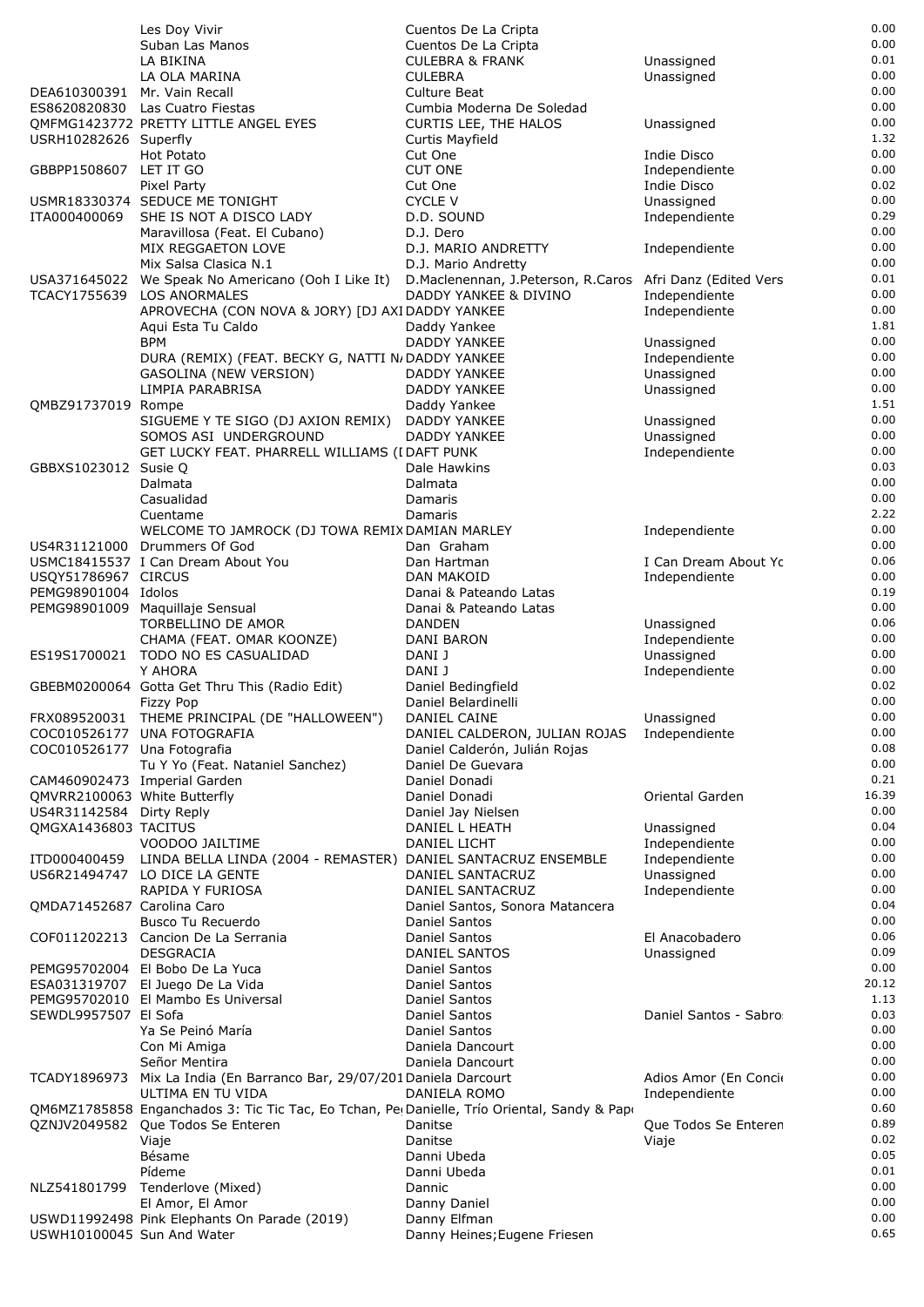|                              | Les Doy Vivir                                                                                                              | Cuentos De La Cripta                                      |                              | 0.00         |
|------------------------------|----------------------------------------------------------------------------------------------------------------------------|-----------------------------------------------------------|------------------------------|--------------|
|                              | Suban Las Manos                                                                                                            | Cuentos De La Cripta                                      |                              | 0.00         |
|                              | LA BIKINA                                                                                                                  | <b>CULEBRA &amp; FRANK</b>                                | Unassigned                   | 0.01         |
|                              | LA OLA MARINA                                                                                                              | <b>CULEBRA</b>                                            | Unassigned                   | 0.00         |
| DEA610300391 Mr. Vain Recall | ES8620820830 Las Cuatro Fiestas                                                                                            | Culture Beat                                              |                              | 0.00<br>0.00 |
|                              | QMFMG1423772 PRETTY LITTLE ANGEL EYES                                                                                      | Cumbia Moderna De Soledad<br><b>CURTIS LEE, THE HALOS</b> | Unassigned                   | 0.00         |
| USRH10282626 Superfly        |                                                                                                                            | Curtis Mayfield                                           |                              | 1.32         |
|                              | Hot Potato                                                                                                                 | Cut One                                                   | Indie Disco                  | 0.00         |
| GBBPP1508607 LET IT GO       |                                                                                                                            | <b>CUT ONE</b>                                            | Independiente                | 0.00         |
|                              | Pixel Party                                                                                                                | Cut One                                                   | Indie Disco                  | 0.02         |
|                              | USMR18330374 SEDUCE ME TONIGHT                                                                                             | <b>CYCLE V</b>                                            | Unassigned                   | 0.00         |
| ITA000400069                 | SHE IS NOT A DISCO LADY                                                                                                    | D.D. SOUND                                                | Independiente                | 0.29         |
|                              | Maravillosa (Feat. El Cubano)                                                                                              | D.J. Dero                                                 |                              | 0.00         |
|                              | MIX REGGAETON LOVE                                                                                                         | D.J. MARIO ANDRETTY                                       | Independiente                | 0.00         |
|                              | Mix Salsa Clasica N.1                                                                                                      | D.J. Mario Andretty                                       |                              | 0.00<br>0.01 |
| USA371645022<br>TCACY1755639 | We Speak No Americano (Ooh I Like It) D. Maclenennan, J. Peterson, R. Caros Afri Danz (Edited Vers<br><b>LOS ANORMALES</b> | DADDY YANKEE & DIVINO                                     | Independiente                | 0.00         |
|                              | APROVECHA (CON NOVA & JORY) [DJ AXIDADDY YANKEE                                                                            |                                                           | Independiente                | 0.00         |
|                              | Agui Esta Tu Caldo                                                                                                         | Daddy Yankee                                              |                              | 1.81         |
|                              | <b>BPM</b>                                                                                                                 | DADDY YANKEE                                              | Unassigned                   | 0.00         |
|                              | DURA (REMIX) (FEAT. BECKY G, NATTI N/DADDY YANKEE                                                                          |                                                           | Independiente                | 0.00         |
|                              | <b>GASOLINA (NEW VERSION)</b>                                                                                              | DADDY YANKEE                                              | Unassigned                   | 0.00         |
|                              | LIMPIA PARABRISA                                                                                                           | <b>DADDY YANKEE</b>                                       | Unassigned                   | 0.00         |
| QMBZ91737019 Rompe           |                                                                                                                            | Daddy Yankee                                              |                              | 1.51         |
|                              | SIGUEME Y TE SIGO (DJ AXION REMIX) DADDY YANKEE                                                                            |                                                           | Unassigned                   | 0.00         |
|                              | SOMOS ASI UNDERGROUND                                                                                                      | DADDY YANKEE                                              | Unassigned                   | 0.00<br>0.00 |
| GBBXS1023012 Susie Q         | GET LUCKY FEAT. PHARRELL WILLIAMS (I DAFT PUNK                                                                             | Dale Hawkins                                              | Independiente                | 0.03         |
|                              | Dalmata                                                                                                                    | Dalmata                                                   |                              | 0.00         |
|                              | Casualidad                                                                                                                 | Damaris                                                   |                              | 0.00         |
|                              | Cuentame                                                                                                                   | Damaris                                                   |                              | 2.22         |
|                              | WELCOME TO JAMROCK (DJ TOWA REMIX DAMIAN MARLEY                                                                            |                                                           | Independiente                | 0.00         |
|                              | US4R31121000 Drummers Of God                                                                                               | Dan Graham                                                |                              | 0.00         |
|                              | USMC18415537 I Can Dream About You                                                                                         | Dan Hartman                                               | I Can Dream About Yo         | 0.06         |
| USQY51786967 CIRCUS          |                                                                                                                            | <b>DAN MAKOID</b>                                         | Independiente                | 0.00         |
| PEMG98901004 Idolos          |                                                                                                                            | Danai & Pateando Latas                                    |                              | 0.19<br>0.00 |
|                              | PEMG98901009 Maquillaje Sensual<br><b>TORBELLINO DE AMOR</b>                                                               | Danai & Pateando Latas<br><b>DANDEN</b>                   | Unassigned                   | 0.06         |
|                              | CHAMA (FEAT. OMAR KOONZE)                                                                                                  | DANI BARON                                                | Independiente                | 0.00         |
|                              | ES19S1700021 TODO NO ES CASUALIDAD                                                                                         | DANI J                                                    | Unassigned                   | 0.00         |
|                              | Y AHORA                                                                                                                    | DANI J                                                    | Independiente                | 0.00         |
|                              | GBEBM0200064 Gotta Get Thru This (Radio Edit)                                                                              | Daniel Bedingfield                                        |                              | 0.02         |
|                              | <b>Fizzy Pop</b>                                                                                                           | Daniel Belardinelli                                       |                              | 0.00         |
|                              | FRX089520031 THEME PRINCIPAL (DE "HALLOWEEN")                                                                              | DANIEL CAINE                                              | Unassigned                   | 0.00         |
|                              | COC010526177 UNA FOTOGRAFIA                                                                                                | DANIEL CALDERON, JULIAN ROJAS                             | Independiente                | 0.00         |
| COC010526177 Una Fotografia  |                                                                                                                            | Daniel Calderón, Julián Rojas                             |                              | 0.08         |
|                              | Tu Y Yo (Feat. Nataniel Sanchez)                                                                                           | Daniel De Guevara<br>Daniel Donadi                        |                              | 0.00<br>0.21 |
| QMVRR2100063 White Butterfly | CAM460902473 Imperial Garden                                                                                               | Daniel Donadi                                             | Oriental Garden              | 16.39        |
| US4R31142584 Dirty Reply     |                                                                                                                            | Daniel Jay Nielsen                                        |                              | 0.00         |
| QMGXA1436803 TACITUS         |                                                                                                                            | DANIEL L HEATH                                            | Unassigned                   | 0.04         |
|                              | VOODOO JAILTIME                                                                                                            | DANIEL LICHT                                              | Independiente                | 0.00         |
| ITD000400459                 | LINDA BELLA LINDA (2004 - REMASTER) DANIEL SANTACRUZ ENSEMBLE                                                              |                                                           | Independiente                | 0.00         |
|                              | US6R21494747 LO DICE LA GENTE                                                                                              | DANIEL SANTACRUZ                                          | Unassigned                   | 0.00         |
|                              | RAPIDA Y FURIOSA                                                                                                           | DANIEL SANTACRUZ                                          | Independiente                | 0.00         |
| QMDA71452687 Carolina Caro   |                                                                                                                            | Daniel Santos, Sonora Matancera                           |                              | 0.04         |
|                              | Busco Tu Recuerdo                                                                                                          | Daniel Santos                                             |                              | 0.00         |
|                              | COF011202213 Cancion De La Serrania<br><b>DESGRACIA</b>                                                                    | Daniel Santos<br>DANIEL SANTOS                            | El Anacobadero<br>Unassigned | 0.06<br>0.09 |
|                              | PEMG95702004 El Bobo De La Yuca                                                                                            | Daniel Santos                                             |                              | 0.00         |
|                              | ESA031319707 El Juego De La Vida                                                                                           | Daniel Santos                                             |                              | 20.12        |
|                              | PEMG95702010 El Mambo Es Universal                                                                                         | Daniel Santos                                             |                              | 1.13         |
| SEWDL9957507 El Sofa         |                                                                                                                            | Daniel Santos                                             | Daniel Santos - Sabro        | 0.03         |
|                              | Ya Se Peinó María                                                                                                          | Daniel Santos                                             |                              | 0.00         |
|                              | Con Mi Amiga                                                                                                               | Daniela Dancourt                                          |                              | 0.00         |
|                              | Señor Mentira                                                                                                              | Daniela Dancourt                                          |                              | 0.00         |
| TCADY1896973                 | Mix La India (En Barranco Bar, 29/07/201 Daniela Darcourt                                                                  |                                                           | Adios Amor (En Concio        | 0.00         |
|                              | ULTIMA EN TU VIDA                                                                                                          | DANIELA ROMO                                              | Independiente                | 0.00<br>0.60 |
| QZNJV2049582                 | QM6MZ1785858 Enganchados 3: Tic Tic Tac, Eo Tchan, Pe(Danielle, Trío Oriental, Sandy & Pap<br>Que Todos Se Enteren         | Danitse                                                   | Que Todos Se Enteren         | 0.89         |
|                              | Viaje                                                                                                                      | Danitse                                                   | Viaje                        | 0.02         |
|                              | Bésame                                                                                                                     | Danni Ubeda                                               |                              | 0.05         |
|                              | Pídeme                                                                                                                     | Danni Ubeda                                               |                              | 0.01         |
|                              | NLZ541801799 Tenderlove (Mixed)                                                                                            | Dannic                                                    |                              | 0.00         |
|                              | El Amor, El Amor                                                                                                           | Danny Daniel                                              |                              | 0.00         |
|                              | USWD11992498 Pink Elephants On Parade (2019)                                                                               | Danny Elfman                                              |                              | 0.00         |
| USWH10100045 Sun And Water   |                                                                                                                            | Danny Heines; Eugene Friesen                              |                              | 0.65         |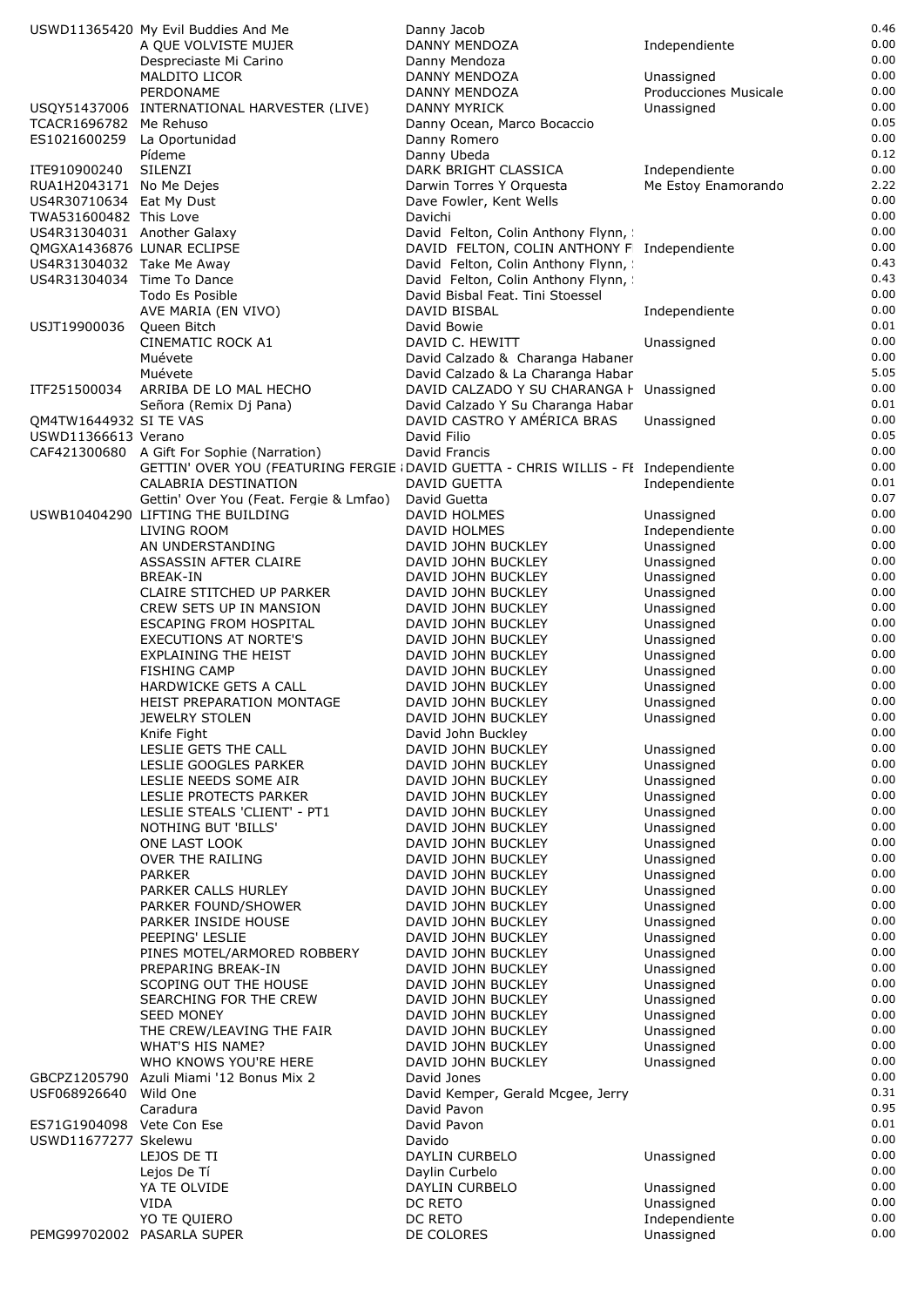|                             | USWD11365420 My Evil Buddies And Me                                                | Danny Jacob                                 |                              | 0.46         |
|-----------------------------|------------------------------------------------------------------------------------|---------------------------------------------|------------------------------|--------------|
|                             | A QUE VOLVISTE MUJER                                                               | DANNY MENDOZA                               | Independiente                | 0.00         |
|                             | Despreciaste Mi Carino                                                             | Danny Mendoza                               |                              | 0.00         |
|                             | <b>MALDITO LICOR</b>                                                               | DANNY MENDOZA                               | Unassigned                   | 0.00         |
|                             | PERDONAME                                                                          | DANNY MENDOZA                               | <b>Producciones Musicale</b> | 0.00         |
|                             | USQY51437006 INTERNATIONAL HARVESTER (LIVE)                                        | DANNY MYRICK                                | Unassigned                   | 0.00         |
| TCACR1696782 Me Rehuso      |                                                                                    | Danny Ocean, Marco Bocaccio                 |                              | 0.05         |
| ES1021600259 La Oportunidad |                                                                                    | Danny Romero                                |                              | 0.00         |
|                             | Pídeme                                                                             | Danny Ubeda                                 |                              | 0.12         |
| ITE910900240                | SILENZI                                                                            | DARK BRIGHT CLASSICA                        | Independiente                | 0.00         |
| RUA1H2043171 No Me Dejes    |                                                                                    | Darwin Torres Y Orquesta                    | Me Estoy Enamorando          | 2.22         |
| US4R30710634 Eat My Dust    |                                                                                    | Dave Fowler, Kent Wells                     |                              | 0.00         |
| TWA531600482 This Love      |                                                                                    | Davichi                                     |                              | 0.00         |
| US4R31304031 Another Galaxy |                                                                                    | David Felton, Colin Anthony Flynn,          |                              | 0.00         |
|                             | QMGXA1436876 LUNAR ECLIPSE                                                         | DAVID FELTON, COLIN ANTHONY F Independiente |                              | 0.00         |
| US4R31304032 Take Me Away   |                                                                                    | David Felton, Colin Anthony Flynn,          |                              | 0.43         |
| US4R31304034 Time To Dance  |                                                                                    | David Felton, Colin Anthony Flynn,          |                              | 0.43         |
|                             | Todo Es Posible                                                                    | David Bisbal Feat. Tini Stoessel            |                              | 0.00         |
|                             | AVE MARIA (EN VIVO)                                                                | DAVID BISBAL                                | Independiente                | 0.00         |
| USJT19900036                | Queen Bitch                                                                        | David Bowie                                 |                              | 0.01         |
|                             | CINEMATIC ROCK A1                                                                  | DAVID C. HEWITT                             | Unassigned                   | 0.00         |
|                             | Muévete                                                                            | David Calzado & Charanga Habaner            |                              | 0.00         |
|                             | Muévete                                                                            | David Calzado & La Charanga Habar           |                              | 5.05         |
| ITF251500034                | ARRIBA DE LO MAL HECHO                                                             | DAVID CALZADO Y SU CHARANGA F Unassigned    |                              | 0.00         |
|                             | Señora (Remix Dj Pana)                                                             | David Calzado Y Su Charanga Habar           |                              | 0.01         |
| QM4TW1644932 SI TE VAS      |                                                                                    | DAVID CASTRO Y AMÉRICA BRAS                 | Unassigned                   | 0.00         |
| USWD11366613 Verano         |                                                                                    | David Filio                                 |                              | 0.05         |
|                             |                                                                                    |                                             |                              | 0.00         |
|                             | CAF421300680 A Gift For Sophie (Narration)                                         | David Francis                               |                              |              |
|                             | GETTIN' OVER YOU (FEATURING FERGIE (DAVID GUETTA - CHRIS WILLIS - FI Independiente |                                             |                              | 0.00<br>0.01 |
|                             | CALABRIA DESTINATION                                                               | DAVID GUETTA                                | Independiente                |              |
|                             | Gettin' Over You (Feat. Fergie & Lmfao)                                            | David Guetta                                |                              | 0.07         |
|                             | USWB10404290 LIFTING THE BUILDING                                                  | DAVID HOLMES                                | Unassigned                   | 0.00         |
|                             | LIVING ROOM                                                                        | DAVID HOLMES                                | Independiente                | 0.00         |
|                             | AN UNDERSTANDING                                                                   | DAVID JOHN BUCKLEY                          | Unassigned                   | 0.00         |
|                             | ASSASSIN AFTER CLAIRE                                                              | DAVID JOHN BUCKLEY                          | Unassigned                   | 0.00         |
|                             | <b>BREAK-IN</b>                                                                    | DAVID JOHN BUCKLEY                          | Unassigned                   | 0.00         |
|                             | CLAIRE STITCHED UP PARKER                                                          | DAVID JOHN BUCKLEY                          | Unassigned                   | 0.00         |
|                             | CREW SETS UP IN MANSION                                                            | DAVID JOHN BUCKLEY                          | Unassigned                   | 0.00         |
|                             | <b>ESCAPING FROM HOSPITAL</b>                                                      | DAVID JOHN BUCKLEY                          | Unassigned                   | 0.00         |
|                             | <b>EXECUTIONS AT NORTE'S</b>                                                       | DAVID JOHN BUCKLEY                          | Unassigned                   | 0.00         |
|                             | EXPLAINING THE HEIST                                                               | DAVID JOHN BUCKLEY                          | Unassigned                   | 0.00         |
|                             | <b>FISHING CAMP</b>                                                                | DAVID JOHN BUCKLEY                          | Unassigned                   | 0.00         |
|                             | HARDWICKE GETS A CALL                                                              | DAVID JOHN BUCKLEY                          | Unassigned                   | 0.00         |
|                             | <b>HEIST PREPARATION MONTAGE</b>                                                   | DAVID JOHN BUCKLEY                          | Unassigned                   | 0.00         |
|                             | JEWELRY STOLEN                                                                     | DAVID JOHN BUCKLEY                          | Unassigned                   | 0.00         |
|                             | Knife Fight                                                                        | David John Buckley                          |                              | 0.00         |
|                             | LESLIE GETS THE CALL                                                               | DAVID JOHN BUCKLEY                          | Unassigned                   | 0.00         |
|                             | LESLIE GOOGLES PARKER                                                              | DAVID JOHN BUCKLEY                          | Unassigned                   | 0.00         |
|                             | LESLIE NEEDS SOME AIR                                                              | DAVID JOHN BUCKLEY                          | Unassigned                   | 0.00         |
|                             | LESLIE PROTECTS PARKER                                                             | DAVID JOHN BUCKLEY                          | Unassigned                   | 0.00         |
|                             | LESLIE STEALS 'CLIENT' - PT1                                                       | DAVID JOHN BUCKLEY                          | Unassigned                   | 0.00         |
|                             | NOTHING BUT 'BILLS'                                                                | DAVID JOHN BUCKLEY                          | Unassigned                   | 0.00         |
|                             | ONE LAST LOOK                                                                      | DAVID JOHN BUCKLEY                          | Unassigned                   | 0.00         |
|                             | OVER THE RAILING                                                                   | DAVID JOHN BUCKLEY                          | Unassigned                   | 0.00         |
|                             | <b>PARKER</b>                                                                      | DAVID JOHN BUCKLEY                          | Unassigned                   | 0.00         |
|                             | PARKER CALLS HURLEY                                                                | DAVID JOHN BUCKLEY                          | Unassigned                   | 0.00         |
|                             | PARKER FOUND/SHOWER                                                                | DAVID JOHN BUCKLEY                          | Unassigned                   | 0.00         |
|                             | PARKER INSIDE HOUSE                                                                | DAVID JOHN BUCKLEY                          | Unassigned                   | 0.00         |
|                             | PEEPING' LESLIE                                                                    | DAVID JOHN BUCKLEY                          | Unassigned                   | 0.00         |
|                             | PINES MOTEL/ARMORED ROBBERY                                                        | DAVID JOHN BUCKLEY                          | Unassigned                   | 0.00         |
|                             | PREPARING BREAK-IN                                                                 | DAVID JOHN BUCKLEY                          | Unassigned                   | 0.00         |
|                             | SCOPING OUT THE HOUSE                                                              | DAVID JOHN BUCKLEY                          |                              | 0.00         |
|                             |                                                                                    |                                             | Unassigned                   | 0.00         |
|                             | SEARCHING FOR THE CREW                                                             | DAVID JOHN BUCKLEY                          | Unassigned                   | 0.00         |
|                             | <b>SEED MONEY</b>                                                                  | DAVID JOHN BUCKLEY                          | Unassigned                   | 0.00         |
|                             | THE CREW/LEAVING THE FAIR                                                          | DAVID JOHN BUCKLEY                          | Unassigned                   | 0.00         |
|                             | WHAT'S HIS NAME?                                                                   | DAVID JOHN BUCKLEY                          | Unassigned                   | 0.00         |
|                             | WHO KNOWS YOU'RE HERE                                                              | DAVID JOHN BUCKLEY                          | Unassigned                   | 0.00         |
| GBCPZ1205790                | Azuli Miami '12 Bonus Mix 2                                                        | David Jones                                 |                              |              |
| USF068926640                | Wild One                                                                           | David Kemper, Gerald Mcgee, Jerry           |                              | 0.31         |
|                             | Caradura                                                                           | David Pavon                                 |                              | 0.95         |
| ES71G1904098 Vete Con Ese   |                                                                                    | David Pavon                                 |                              | 0.01         |
| USWD11677277 Skelewu        |                                                                                    | Davido                                      |                              | 0.00         |
|                             | LEJOS DE TI                                                                        | DAYLIN CURBELO                              | Unassigned                   | 0.00         |
|                             | Lejos De Tí                                                                        | Daylin Curbelo                              |                              | 0.00         |
|                             | YA TE OLVIDE                                                                       | DAYLIN CURBELO                              | Unassigned                   | 0.00         |
|                             | VIDA                                                                               | DC RETO                                     | Unassigned                   | 0.00         |
|                             | YO TE QUIERO                                                                       | DC RETO                                     | Independiente                | 0.00         |
|                             | PEMG99702002 PASARLA SUPER                                                         | DE COLORES                                  | Unassigned                   | 0.00         |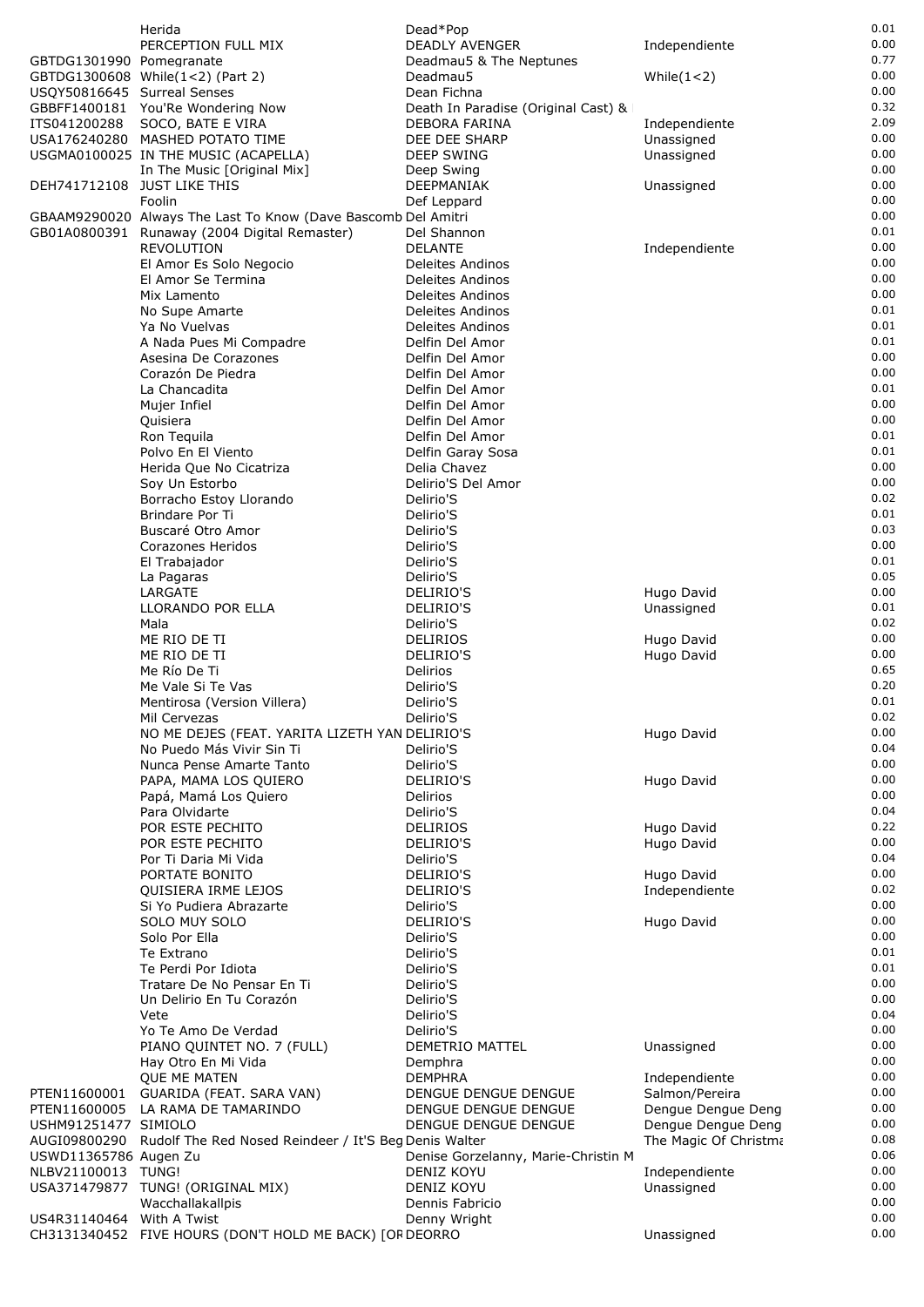|                             | Herida                                                             | Dead*Pop                            |                       | 0.01         |
|-----------------------------|--------------------------------------------------------------------|-------------------------------------|-----------------------|--------------|
|                             | PERCEPTION FULL MIX                                                | DEADLY AVENGER                      | Independiente         | 0.00         |
| GBTDG1301990 Pomegranate    |                                                                    | Deadmau5 & The Neptunes             |                       | 0.77         |
|                             | GBTDG1300608 While(1<2) (Part 2)                                   | Deadmau5                            | While $(1<2)$         | 0.00         |
| USQY50816645 Surreal Senses |                                                                    | Dean Fichna                         |                       | 0.00         |
|                             | GBBFF1400181 You'Re Wondering Now                                  | Death In Paradise (Original Cast) & |                       | 0.32         |
| ITS041200288                | SOCO, BATE E VIRA                                                  | DEBORA FARINA                       | Independiente         | 2.09         |
|                             | USA176240280 MASHED POTATO TIME                                    | DEE DEE SHARP                       | Unassigned            | 0.00<br>0.00 |
|                             | USGMA0100025 IN THE MUSIC (ACAPELLA)                               | <b>DEEP SWING</b>                   | Unassigned            | 0.00         |
|                             | In The Music [Original Mix]                                        | Deep Swing                          |                       | 0.00         |
|                             | DEH741712108 JUST LIKE THIS<br>Foolin                              | DEEPMANIAK<br>Def Leppard           | Unassigned            | 0.00         |
|                             | GBAAM9290020 Always The Last To Know (Dave Bascomb Del Amitri      |                                     |                       | 0.00         |
|                             | GB01A0800391 Runaway (2004 Digital Remaster)                       | Del Shannon                         |                       | 0.01         |
|                             | REVOLUTION                                                         | <b>DELANTE</b>                      | Independiente         | 0.00         |
|                             | El Amor Es Solo Negocio                                            | Deleites Andinos                    |                       | 0.00         |
|                             | El Amor Se Termina                                                 | Deleites Andinos                    |                       | 0.00         |
|                             | Mix Lamento                                                        | Deleites Andinos                    |                       | 0.00         |
|                             | No Supe Amarte                                                     | Deleites Andinos                    |                       | 0.01         |
|                             | Ya No Vuelvas                                                      | Deleites Andinos                    |                       | 0.01         |
|                             | A Nada Pues Mi Compadre                                            | Delfin Del Amor                     |                       | 0.01         |
|                             | Asesina De Corazones                                               | Delfin Del Amor                     |                       | 0.00         |
|                             | Corazón De Piedra                                                  | Delfin Del Amor                     |                       | 0.00         |
|                             | La Chancadita                                                      | Delfin Del Amor<br>Delfin Del Amor  |                       | 0.01<br>0.00 |
|                             | Mujer Infiel<br>Quisiera                                           | Delfin Del Amor                     |                       | 0.00         |
|                             | Ron Tequila                                                        | Delfin Del Amor                     |                       | 0.01         |
|                             | Polvo En El Viento                                                 | Delfin Garay Sosa                   |                       | 0.01         |
|                             | Herida Que No Cicatriza                                            | Delia Chavez                        |                       | 0.00         |
|                             | Soy Un Estorbo                                                     | Delirio'S Del Amor                  |                       | 0.00         |
|                             | Borracho Estoy Llorando                                            | Delirio'S                           |                       | 0.02         |
|                             | Brindare Por Ti                                                    | Delirio'S                           |                       | 0.01         |
|                             | Buscaré Otro Amor                                                  | Delirio'S                           |                       | 0.03         |
|                             | Corazones Heridos                                                  | Delirio'S                           |                       | 0.00         |
|                             | El Trabajador                                                      | Delirio'S                           |                       | 0.01         |
|                             | La Pagaras                                                         | Delirio'S                           |                       | 0.05         |
|                             | LARGATE                                                            | DELIRIO'S                           | Hugo David            | 0.00<br>0.01 |
|                             | LLORANDO POR ELLA<br>Mala                                          | DELIRIO'S<br>Delirio'S              | Unassigned            | 0.02         |
|                             | ME RIO DE TI                                                       | <b>DELIRIOS</b>                     | Hugo David            | 0.00         |
|                             | ME RIO DE TI                                                       | DELIRIO'S                           | Hugo David            | 0.00         |
|                             | Me Río De Ti                                                       | <b>Delirios</b>                     |                       | 0.65         |
|                             | Me Vale Si Te Vas                                                  | Delirio'S                           |                       | 0.20         |
|                             | Mentirosa (Version Villera)                                        | Delirio'S                           |                       | 0.01         |
|                             | Mil Cervezas                                                       | Delirio'S                           |                       | 0.02         |
|                             | NO ME DEJES (FEAT. YARITA LIZETH YAN DELIRIO'S                     |                                     | Hugo David            | 0.00         |
|                             | No Puedo Más Vivir Sin Ti                                          | Delirio'S                           |                       | 0.04         |
|                             | Nunca Pense Amarte Tanto                                           | Delirio'S                           |                       | 0.00         |
|                             | PAPA, MAMA LOS QUIERO                                              | DELIRIO'S                           | Hugo David            | 0.00         |
|                             | Papá, Mamá Los Quiero<br>Para Olvidarte                            | Delirios                            |                       | 0.00<br>0.04 |
|                             | POR ESTE PECHITO                                                   | Delirio'S<br><b>DELIRIOS</b>        | Hugo David            | 0.22         |
|                             | POR ESTE PECHITO                                                   | DELIRIO'S                           | Hugo David            | 0.00         |
|                             | Por Ti Daria Mi Vida                                               | Delirio'S                           |                       | 0.04         |
|                             | PORTATE BONITO                                                     | DELIRIO'S                           | Hugo David            | 0.00         |
|                             | QUISIERA IRME LEJOS                                                | <b>DELIRIO'S</b>                    | Independiente         | 0.02         |
|                             | Si Yo Pudiera Abrazarte                                            | Delirio'S                           |                       | 0.00         |
|                             | SOLO MUY SOLO                                                      | DELIRIO'S                           | Hugo David            | 0.00         |
|                             | Solo Por Ella                                                      | Delirio'S                           |                       | 0.00         |
|                             | Te Extrano                                                         | Delirio'S                           |                       | 0.01         |
|                             | Te Perdi Por Idiota                                                | Delirio'S                           |                       | 0.01         |
|                             | Tratare De No Pensar En Ti                                         | Delirio'S                           |                       | 0.00         |
|                             | Un Delirio En Tu Corazón                                           | Delirio'S                           |                       | 0.00         |
|                             | Vete                                                               | Delirio'S                           |                       | 0.04<br>0.00 |
|                             | Yo Te Amo De Verdad<br>PIANO QUINTET NO. 7 (FULL)                  | Delirio'S<br>DEMETRIO MATTEL        | Unassigned            | 0.00         |
|                             | Hay Otro En Mi Vida                                                | Demphra                             |                       | 0.00         |
|                             | QUE ME MATEN                                                       | <b>DEMPHRA</b>                      | Independiente         | 0.00         |
| PTEN11600001                | GUARIDA (FEAT. SARA VAN)                                           | DENGUE DENGUE DENGUE                | Salmon/Pereira        | 0.00         |
|                             | PTEN11600005 LA RAMA DE TAMARINDO                                  | DENGUE DENGUE DENGUE                | Dengue Dengue Deng    | 0.00         |
| USHM91251477 SIMIOLO        |                                                                    | DENGUE DENGUE DENGUE                | Dengue Dengue Deng    | 0.00         |
|                             | AUGI09800290 Rudolf The Red Nosed Reindeer / It'S Beg Denis Walter |                                     | The Magic Of Christma | 0.08         |
| USWD11365786 Augen Zu       |                                                                    | Denise Gorzelanny, Marie-Christin M |                       | 0.06         |
| NLBV21100013 TUNG!          |                                                                    | DENIZ KOYU                          | Independiente         | 0.00<br>0.00 |
|                             | USA371479877 TUNG! (ORIGINAL MIX)<br>Wacchallakallpis              | DENIZ KOYU<br>Dennis Fabricio       | Unassigned            | 0.00         |
| US4R31140464 With A Twist   |                                                                    | Denny Wright                        |                       | 0.00         |
|                             | CH3131340452 FIVE HOURS (DON'T HOLD ME BACK) [OR DEORRO            |                                     | Unassigned            | 0.00         |
|                             |                                                                    |                                     |                       |              |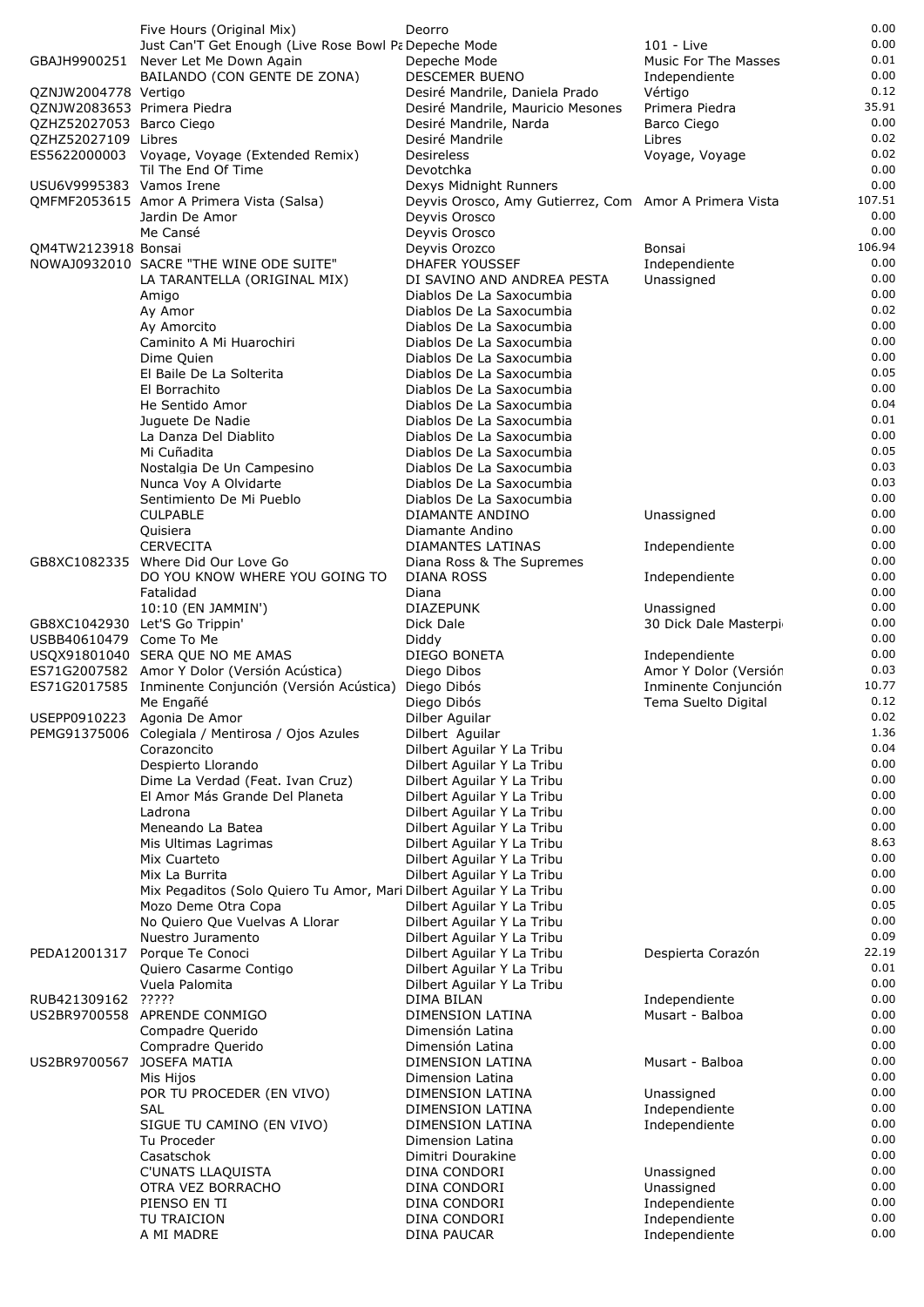|                             | Five Hours (Original Mix)                                           | Deorro                                                 |                       | 0.00   |
|-----------------------------|---------------------------------------------------------------------|--------------------------------------------------------|-----------------------|--------|
|                             | Just Can'T Get Enough (Live Rose Bowl Pa Depeche Mode               |                                                        | 101 - Live            | 0.00   |
|                             | GBAJH9900251 Never Let Me Down Again                                | Depeche Mode                                           | Music For The Masses  | 0.01   |
|                             | BAILANDO (CON GENTE DE ZONA)                                        | DESCEMER BUENO                                         | Independiente         | 0.00   |
| QZNJW2004778 Vertigo        |                                                                     | Desiré Mandrile, Daniela Prado                         | Vértigo               | 0.12   |
| QZNJW2083653 Primera Piedra |                                                                     | Desiré Mandrile, Mauricio Mesones                      | Primera Piedra        | 35.91  |
| QZHZ52027053 Barco Ciego    |                                                                     | Desiré Mandrile, Narda                                 | Barco Ciego           | 0.00   |
| QZHZ52027109 Libres         |                                                                     | Desiré Mandrile                                        | Libres                | 0.02   |
|                             | ES5622000003 Voyage, Voyage (Extended Remix)                        | <b>Desireless</b>                                      | Voyage, Voyage        | 0.02   |
|                             | Til The End Of Time                                                 | Devotchka                                              |                       | 0.00   |
| USU6V9995383 Vamos Irene    |                                                                     | Dexys Midnight Runners                                 |                       | 0.00   |
|                             | QMFMF2053615 Amor A Primera Vista (Salsa)                           | Deyvis Orosco, Amy Gutierrez, Com Amor A Primera Vista |                       | 107.51 |
|                             | Jardin De Amor                                                      | Deyvis Orosco                                          |                       | 0.00   |
|                             | Me Cansé                                                            | Deyvis Orosco                                          |                       | 0.00   |
| QM4TW2123918 Bonsai         |                                                                     | Deyvis Orozco                                          | Bonsai                | 106.94 |
|                             | NOWAJ0932010 SACRE "THE WINE ODE SUITE"                             | <b>DHAFER YOUSSEF</b>                                  | Independiente         | 0.00   |
|                             | LA TARANTELLA (ORIGINAL MIX)                                        | DI SAVINO AND ANDREA PESTA                             | Unassigned            | 0.00   |
|                             | Amigo                                                               | Diablos De La Saxocumbia                               |                       | 0.00   |
|                             | Ay Amor                                                             | Diablos De La Saxocumbia                               |                       | 0.02   |
|                             | Av Amorcito                                                         | Diablos De La Saxocumbia                               |                       | 0.00   |
|                             | Caminito A Mi Huarochiri                                            | Diablos De La Saxocumbia                               |                       | 0.00   |
|                             | Dime Quien                                                          | Diablos De La Saxocumbia                               |                       | 0.00   |
|                             | El Baile De La Solterita                                            | Diablos De La Saxocumbia                               |                       | 0.05   |
|                             | El Borrachito                                                       | Diablos De La Saxocumbia                               |                       | 0.00   |
|                             | He Sentido Amor                                                     | Diablos De La Saxocumbia                               |                       | 0.04   |
|                             | Juguete De Nadie                                                    | Diablos De La Saxocumbia                               |                       | 0.01   |
|                             | La Danza Del Diablito                                               | Diablos De La Saxocumbia                               |                       | 0.00   |
|                             | Mi Cuñadita                                                         | Diablos De La Saxocumbia                               |                       | 0.05   |
|                             | Nostalgia De Un Campesino                                           | Diablos De La Saxocumbia                               |                       | 0.03   |
|                             | Nunca Voy A Olvidarte                                               | Diablos De La Saxocumbia                               |                       | 0.03   |
|                             | Sentimiento De Mi Pueblo                                            | Diablos De La Saxocumbia                               |                       | 0.00   |
|                             | <b>CULPABLE</b>                                                     | DIAMANTE ANDINO                                        | Unassigned            | 0.00   |
|                             | Quisiera                                                            | Diamante Andino                                        |                       | 0.00   |
|                             | <b>CERVECITA</b>                                                    | DIAMANTES LATINAS                                      | Independiente         | 0.00   |
|                             | GB8XC1082335 Where Did Our Love Go                                  | Diana Ross & The Supremes                              |                       | 0.00   |
|                             | DO YOU KNOW WHERE YOU GOING TO                                      | DIANA ROSS                                             | Independiente         | 0.00   |
|                             | Fatalidad                                                           | Diana                                                  |                       | 0.00   |
|                             | 10:10 (EN JAMMIN')                                                  | <b>DIAZEPUNK</b>                                       | Unassigned            | 0.00   |
|                             | GB8XC1042930 Let'S Go Trippin'                                      | Dick Dale                                              | 30 Dick Dale Masterpi | 0.00   |
| USBB40610479 Come To Me     |                                                                     | Diddy                                                  |                       | 0.00   |
|                             | USQX91801040 SERA QUE NO ME AMAS                                    | DIEGO BONETA                                           | Independiente         | 0.00   |
|                             | ES71G2007582 Amor Y Dolor (Versión Acústica)                        | Diego Dibos                                            | Amor Y Dolor (Versiór | 0.03   |
|                             | ES71G2017585 Inminente Conjunción (Versión Acústica)                | Diego Dibós                                            | Inminente Conjunción  | 10.77  |
|                             | Me Engañé                                                           | Diego Dibós                                            | Tema Suelto Digital   | 0.12   |
|                             | USEPP0910223 Agonia De Amor                                         | Dilber Aguilar                                         |                       | 0.02   |
|                             | PEMG91375006 Colegiala / Mentirosa / Ojos Azules                    | Dilbert Aguilar                                        |                       | 1.36   |
|                             | Corazoncito                                                         | Dilbert Aguilar Y La Tribu                             |                       | 0.04   |
|                             | Despierto Llorando                                                  | Dilbert Aguilar Y La Tribu                             |                       | 0.00   |
|                             | Dime La Verdad (Feat. Ivan Cruz)                                    | Dilbert Aguilar Y La Tribu                             |                       | 0.00   |
|                             | El Amor Más Grande Del Planeta                                      | Dilbert Aguilar Y La Tribu                             |                       | 0.00   |
|                             | Ladrona                                                             | Dilbert Aguilar Y La Tribu                             |                       | 0.00   |
|                             | Meneando La Batea                                                   | Dilbert Aguilar Y La Tribu                             |                       | 0.00   |
|                             | Mis Ultimas Lagrimas                                                | Dilbert Aguilar Y La Tribu                             |                       | 8.63   |
|                             | Mix Cuarteto                                                        | Dilbert Aguilar Y La Tribu                             |                       | 0.00   |
|                             | Mix La Burrita                                                      | Dilbert Aguilar Y La Tribu                             |                       | 0.00   |
|                             | Mix Pegaditos (Solo Quiero Tu Amor, Mari Dilbert Aguilar Y La Tribu |                                                        |                       | 0.00   |
|                             | Mozo Deme Otra Copa                                                 | Dilbert Aguilar Y La Tribu                             |                       | 0.05   |
|                             | No Quiero Que Vuelvas A Llorar                                      | Dilbert Aguilar Y La Tribu                             |                       | 0.00   |
|                             | Nuestro Juramento                                                   | Dilbert Aguilar Y La Tribu                             |                       | 0.09   |
| PEDA12001317                | Porque Te Conoci                                                    | Dilbert Aguilar Y La Tribu                             | Despierta Corazón     | 22.19  |
|                             | Quiero Casarme Contigo                                              | Dilbert Aguilar Y La Tribu                             |                       | 0.01   |
|                             | Vuela Palomita                                                      | Dilbert Aguilar Y La Tribu                             |                       | 0.00   |
| RUB421309162 ?????          |                                                                     | DIMA BILAN                                             | Independiente         | 0.00   |
|                             | US2BR9700558 APRENDE CONMIGO                                        | DIMENSION LATINA                                       | Musart - Balboa       | 0.00   |
|                             | Compadre Querido                                                    | Dimensión Latina                                       |                       | 0.00   |
|                             | Compradre Querido                                                   | Dimensión Latina                                       |                       | 0.00   |
| US2BR9700567                | JOSEFA MATIA                                                        | DIMENSION LATINA                                       | Musart - Balboa       | 0.00   |
|                             | Mis Hijos                                                           | Dimension Latina                                       |                       | 0.00   |
|                             | POR TU PROCEDER (EN VIVO)                                           | DIMENSION LATINA                                       | Unassigned            | 0.00   |
|                             | <b>SAL</b>                                                          | DIMENSION LATINA                                       | Independiente         | 0.00   |
|                             | SIGUE TU CAMINO (EN VIVO)                                           | DIMENSION LATINA                                       | Independiente         | 0.00   |
|                             | Tu Proceder                                                         | Dimension Latina                                       |                       | 0.00   |
|                             | Casatschok                                                          | Dimitri Dourakine                                      |                       | 0.00   |
|                             | <b>C'UNATS LLAQUISTA</b>                                            | DINA CONDORI                                           | Unassigned            | 0.00   |
|                             | OTRA VEZ BORRACHO                                                   | DINA CONDORI                                           | Unassigned            | 0.00   |
|                             | PIENSO EN TI                                                        | DINA CONDORI                                           | Independiente         | 0.00   |
|                             | TU TRAICION                                                         | DINA CONDORI                                           | Independiente         | 0.00   |
|                             | A MI MADRE                                                          | <b>DINA PAUCAR</b>                                     | Independiente         | 0.00   |
|                             |                                                                     |                                                        |                       |        |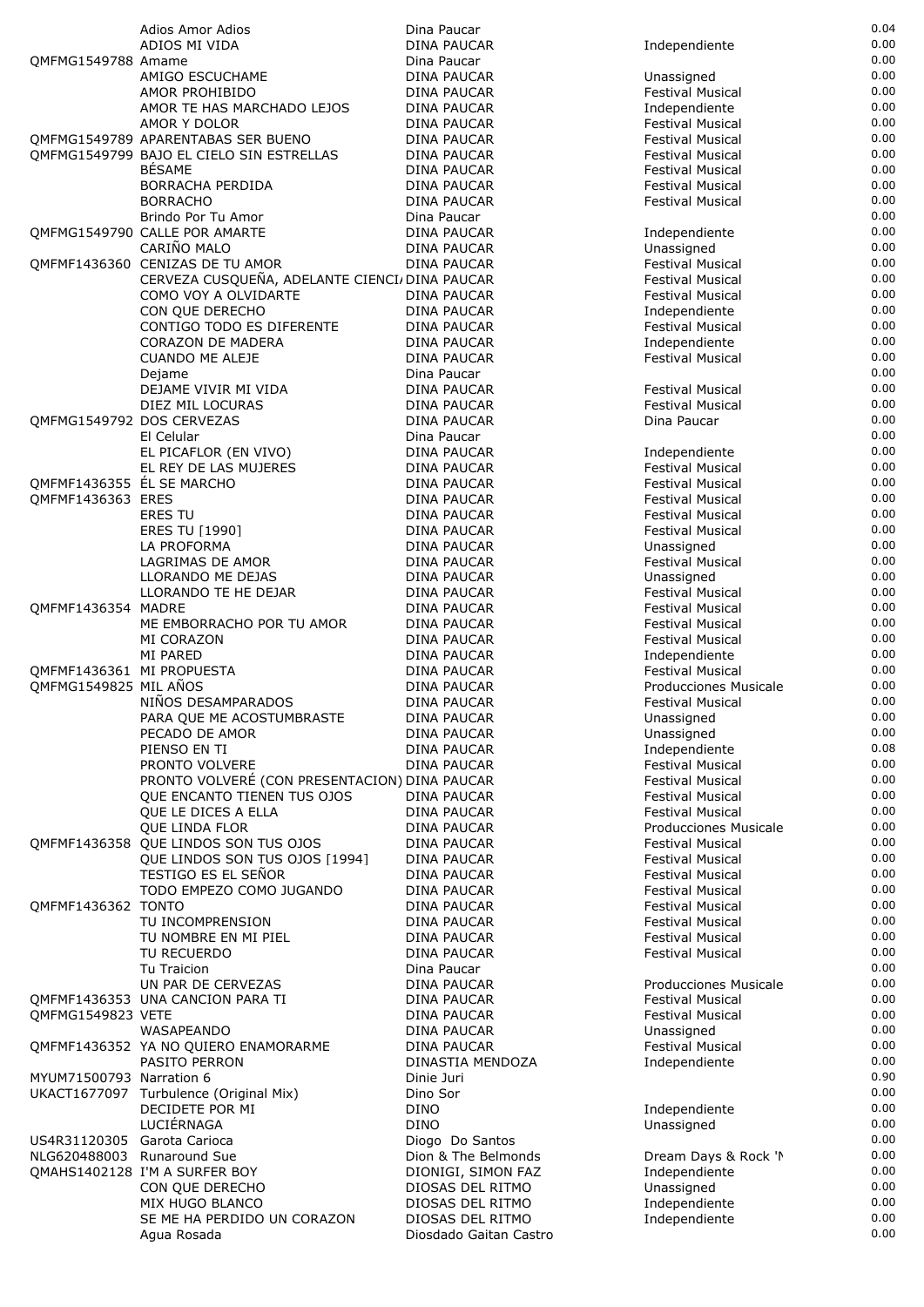|                             | Adios Amor Adios                               | Dina Paucar            |                         | 0.04 |
|-----------------------------|------------------------------------------------|------------------------|-------------------------|------|
|                             |                                                |                        |                         | 0.00 |
|                             | ADIOS MI VIDA                                  | <b>DINA PAUCAR</b>     | Independiente           |      |
| OMFMG1549788 Amame          |                                                | Dina Paucar            |                         | 0.00 |
|                             | AMIGO ESCUCHAME                                | DINA PAUCAR            | Unassigned              | 0.00 |
|                             | AMOR PROHIBIDO                                 | DINA PAUCAR            | <b>Festival Musical</b> | 0.00 |
|                             | AMOR TE HAS MARCHADO LEJOS                     | DINA PAUCAR            | Independiente           | 0.00 |
|                             | AMOR Y DOLOR                                   | DINA PAUCAR            | <b>Festival Musical</b> | 0.00 |
|                             | OMFMG1549789 APARENTABAS SER BUENO             |                        | <b>Festival Musical</b> | 0.00 |
|                             |                                                | DINA PAUCAR            |                         |      |
|                             | QMFMG1549799 BAJO EL CIELO SIN ESTRELLAS       | DINA PAUCAR            | Festival Musical        | 0.00 |
|                             | <b>BÉSAME</b>                                  | DINA PAUCAR            | Festival Musical        | 0.00 |
|                             | BORRACHA PERDIDA                               | <b>DINA PAUCAR</b>     | <b>Festival Musical</b> | 0.00 |
|                             | <b>BORRACHO</b>                                | <b>DINA PAUCAR</b>     | Festival Musical        | 0.00 |
|                             | Brindo Por Tu Amor                             | Dina Paucar            |                         | 0.00 |
|                             |                                                |                        |                         | 0.00 |
|                             | OMFMG1549790 CALLE POR AMARTE                  | <b>DINA PAUCAR</b>     | Independiente           |      |
|                             | CARIÑO MALO                                    | DINA PAUCAR            | Unassigned              | 0.00 |
|                             | QMFMF1436360 CENIZAS DE TU AMOR                | <b>DINA PAUCAR</b>     | Festival Musical        | 0.00 |
|                             | CERVEZA CUSQUEÑA, ADELANTE CIENCI/ DINA PAUCAR |                        | <b>Festival Musical</b> | 0.00 |
|                             | COMO VOY A OLVIDARTE                           | DINA PAUCAR            | <b>Festival Musical</b> | 0.00 |
|                             | CON QUE DERECHO                                | DINA PAUCAR            | Independiente           | 0.00 |
|                             | CONTIGO TODO ES DIFERENTE                      | DINA PAUCAR            | <b>Festival Musical</b> | 0.00 |
|                             |                                                |                        |                         | 0.00 |
|                             | <b>CORAZON DE MADERA</b>                       | <b>DINA PAUCAR</b>     | Independiente           |      |
|                             | <b>CUANDO ME ALEJE</b>                         | DINA PAUCAR            | Festival Musical        | 0.00 |
|                             | Dejame                                         | Dina Paucar            |                         | 0.00 |
|                             | DEJAME VIVIR MI VIDA                           | DINA PAUCAR            | <b>Festival Musical</b> | 0.00 |
|                             | DIEZ MIL LOCURAS                               | DINA PAUCAR            | <b>Festival Musical</b> | 0.00 |
| QMFMG1549792 DOS CERVEZAS   |                                                | DINA PAUCAR            | Dina Paucar             | 0.00 |
|                             |                                                |                        |                         | 0.00 |
|                             | El Celular                                     | Dina Paucar            |                         |      |
|                             | EL PICAFLOR (EN VIVO)                          | DINA PAUCAR            | Independiente           | 0.00 |
|                             | EL REY DE LAS MUJERES                          | <b>DINA PAUCAR</b>     | <b>Festival Musical</b> | 0.00 |
| QMFMF1436355 EL SE MARCHO   |                                                | DINA PAUCAR            | Festival Musical        | 0.00 |
| QMFMF1436363 ERES           |                                                | DINA PAUCAR            | Festival Musical        | 0.00 |
|                             | <b>ERES TU</b>                                 |                        |                         | 0.00 |
|                             |                                                | DINA PAUCAR            | Festival Musical        |      |
|                             | ERES TU [1990]                                 | DINA PAUCAR            | <b>Festival Musical</b> | 0.00 |
|                             | LA PROFORMA                                    | DINA PAUCAR            | Unassigned              | 0.00 |
|                             | LAGRIMAS DE AMOR                               | DINA PAUCAR            | <b>Festival Musical</b> | 0.00 |
|                             | LLORANDO ME DEJAS                              | DINA PAUCAR            | Unassigned              | 0.00 |
|                             | LLORANDO TE HE DEJAR                           | DINA PAUCAR            | Festival Musical        | 0.00 |
| QMFMF1436354 MADRE          |                                                | DINA PAUCAR            | Festival Musical        | 0.00 |
|                             |                                                |                        |                         |      |
|                             | ME EMBORRACHO POR TU AMOR                      | DINA PAUCAR            | Festival Musical        | 0.00 |
|                             | MI CORAZON                                     | DINA PAUCAR            | <b>Festival Musical</b> | 0.00 |
|                             | <b>MI PARED</b>                                | DINA PAUCAR            | Independiente           | 0.00 |
| QMFMF1436361 MI PROPUESTA   |                                                | DINA PAUCAR            | <b>Festival Musical</b> | 0.00 |
| QMFMG1549825 MIL ANOS       |                                                | DINA PAUCAR            | Producciones Musicale   | 0.00 |
|                             |                                                |                        |                         |      |
|                             | NIÑOS DESAMPARADOS                             | <b>DINA PAUCAR</b>     | Festival Musical        | 0.00 |
|                             | PARA QUE ME ACOSTUMBRASTE                      | DINA PAUCAR            | Unassigned              | 0.00 |
|                             | PECADO DE AMOR                                 | <b>DINA PAUCAR</b>     | Unassigned              | 0.00 |
|                             | PIENSO EN TI                                   | DINA PAUCAR            | Independiente           | 0.08 |
|                             | PRONTO VOLVERE                                 | DINA PAUCAR            | Festival Musical        | 0.00 |
|                             | PRONTO VOLVERÉ (CON PRESENTACION) DINA PAUCAR  |                        | <b>Festival Musical</b> | 0.00 |
|                             |                                                |                        |                         |      |
|                             | QUE ENCANTO TIENEN TUS OJOS                    | DINA PAUCAR            | <b>Festival Musical</b> | 0.00 |
|                             | QUE LE DICES A ELLA                            | DINA PAUCAR            | Festival Musical        | 0.00 |
|                             | <b>OUE LINDA FLOR</b>                          | <b>DINA PAUCAR</b>     | Producciones Musicale   | 0.00 |
|                             | QMFMF1436358 QUE LINDOS SON TUS OJOS           | <b>DINA PAUCAR</b>     | <b>Festival Musical</b> | 0.00 |
|                             | QUE LINDOS SON TUS OJOS [1994]                 | DINA PAUCAR            | <b>Festival Musical</b> | 0.00 |
|                             | TESTIGO ES EL SEÑOR                            | DINA PAUCAR            | Festival Musical        | 0.00 |
|                             |                                                |                        |                         | 0.00 |
|                             | TODO EMPEZO COMO JUGANDO                       | <b>DINA PAUCAR</b>     | Festival Musical        |      |
| QMFMF1436362 TONTO          |                                                | DINA PAUCAR            | Festival Musical        | 0.00 |
|                             | TU INCOMPRENSION                               | DINA PAUCAR            | Festival Musical        | 0.00 |
|                             | TU NOMBRE EN MI PIEL                           | DINA PAUCAR            | Festival Musical        | 0.00 |
|                             | TU RECUERDO                                    | DINA PAUCAR            | Festival Musical        | 0.00 |
|                             | Tu Traicion                                    | Dina Paucar            |                         | 0.00 |
|                             |                                                |                        |                         |      |
|                             | UN PAR DE CERVEZAS                             | DINA PAUCAR            | Producciones Musicale   | 0.00 |
|                             | QMFMF1436353 UNA CANCION PARA TI               | DINA PAUCAR            | <b>Festival Musical</b> | 0.00 |
| QMFMG1549823 VETE           |                                                | DINA PAUCAR            | <b>Festival Musical</b> | 0.00 |
|                             | WASAPEANDO                                     | DINA PAUCAR            | Unassigned              | 0.00 |
|                             | QMFMF1436352 YA NO QUIERO ENAMORARME           | <b>DINA PAUCAR</b>     | <b>Festival Musical</b> | 0.00 |
|                             |                                                | DINASTIA MENDOZA       |                         | 0.00 |
|                             | PASITO PERRON                                  |                        | Independiente           |      |
| MYUM71500793 Narration 6    |                                                | Dinie Juri             |                         | 0.90 |
|                             | UKACT1677097 Turbulence (Original Mix)         | Dino Sor               |                         | 0.00 |
|                             | DECIDETE POR MI                                | DINO                   | Independiente           | 0.00 |
|                             | LUCIÉRNAGA                                     | <b>DINO</b>            | Unassigned              | 0.00 |
| US4R31120305 Garota Carioca |                                                | Diogo Do Santos        |                         | 0.00 |
|                             |                                                |                        |                         | 0.00 |
| NLG620488003 Runaround Sue  |                                                | Dion & The Belmonds    | Dream Days & Rock 'I    |      |
|                             | OMAHS1402128 I'M A SURFER BOY                  | DIONIGI, SIMON FAZ     | Independiente           | 0.00 |
|                             | CON QUE DERECHO                                | DIOSAS DEL RITMO       | Unassigned              | 0.00 |
|                             | MIX HUGO BLANCO                                | DIOSAS DEL RITMO       | Independiente           | 0.00 |
|                             | SE ME HA PERDIDO UN CORAZON                    | DIOSAS DEL RITMO       | Independiente           | 0.00 |
|                             |                                                |                        |                         | 0.00 |
|                             | Agua Rosada                                    | Diosdado Gaitan Castro |                         |      |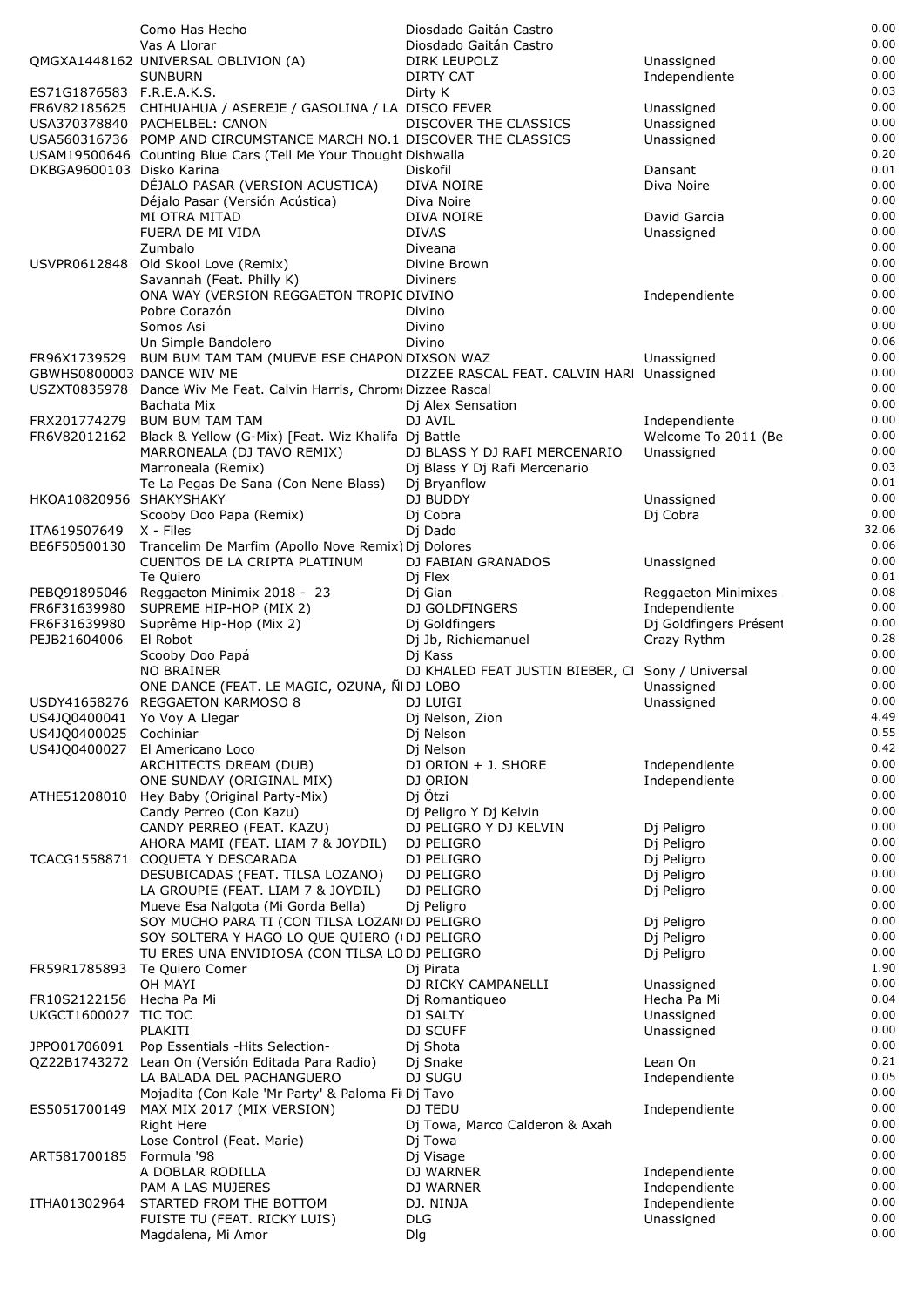|                              | Como Has Hecho                                                                             |            | Diosdado Gaitán Castro                            |                                       | 0.00          |
|------------------------------|--------------------------------------------------------------------------------------------|------------|---------------------------------------------------|---------------------------------------|---------------|
|                              | Vas A Llorar                                                                               |            | Diosdado Gaitán Castro                            |                                       | 0.00<br>0.00  |
|                              | QMGXA1448162 UNIVERSAL OBLIVION (A)<br><b>SUNBURN</b>                                      |            | DIRK LEUPOLZ<br><b>DIRTY CAT</b>                  | Unassigned<br>Independiente           | 0.00          |
| ES71G1876583 F.R.E.A.K.S.    |                                                                                            |            | Dirty K                                           |                                       | 0.03          |
|                              | FR6V82185625 CHIHUAHUA / ASEREJE / GASOLINA / LA DISCO FEVER                               |            |                                                   | Unassigned                            | 0.00          |
|                              | USA370378840 PACHELBEL: CANON                                                              |            | DISCOVER THE CLASSICS                             | Unassigned                            | 0.00          |
|                              | USA560316736 POMP AND CIRCUMSTANCE MARCH NO.1 DISCOVER THE CLASSICS                        |            |                                                   | Unassigned                            | 0.00<br>0.20  |
| DKBGA9600103 Disko Karina    | USAM19500646 Counting Blue Cars (Tell Me Your Thought Dishwalla                            |            | Diskofil                                          | Dansant                               | 0.01          |
|                              | DÉJALO PASAR (VERSION ACUSTICA)                                                            |            | DIVA NOIRE                                        | Diva Noire                            | 0.00          |
|                              | Déjalo Pasar (Versión Acústica)                                                            |            | Diva Noire                                        |                                       | 0.00          |
|                              | MI OTRA MITAD                                                                              |            | DIVA NOIRE                                        | David Garcia                          | 0.00          |
|                              | FUERA DE MI VIDA                                                                           |            | <b>DIVAS</b>                                      | Unassigned                            | 0.00          |
| USVPR0612848                 | Zumbalo<br>Old Skool Love (Remix)                                                          |            | Diveana<br>Divine Brown                           |                                       | 0.00<br>0.00  |
|                              | Savannah (Feat. Philly K)                                                                  |            | Diviners                                          |                                       | 0.00          |
|                              | ONA WAY (VERSION REGGAETON TROPIC DIVINO                                                   |            |                                                   | Independiente                         | 0.00          |
|                              | Pobre Corazón                                                                              |            | Divino                                            |                                       | 0.00          |
|                              | Somos Asi                                                                                  |            | Divino                                            |                                       | 0.00<br>0.06  |
|                              | Un Simple Bandolero<br>FR96X1739529 BUM BUM TAM TAM (MUEVE ESE CHAPON DIXSON WAZ           |            | Divino                                            | Unassigned                            | 0.00          |
| GBWHS0800003 DANCE WIV ME    |                                                                                            |            | DIZZEE RASCAL FEAT. CALVIN HARI Unassigned        |                                       | 0.00          |
|                              | USZXT0835978 Dance Wiv Me Feat. Calvin Harris, Chrom (Dizzee Rascal                        |            |                                                   |                                       | 0.00          |
|                              | Bachata Mix                                                                                |            | Dj Alex Sensation                                 |                                       | 0.00          |
| FRX201774279                 | <b>BUM BUM TAM TAM</b><br>FR6V82012162 Black & Yellow (G-Mix) [Feat. Wiz Khalifa Dj Battle |            | DJ AVIL                                           | Independiente                         | 0.00<br>0.00  |
|                              | MARRONEALA (DJ TAVO REMIX)                                                                 |            | DJ BLASS Y DJ RAFI MERCENARIO                     | Welcome To 2011 (Be<br>Unassigned     | 0.00          |
|                              | Marroneala (Remix)                                                                         |            | Dj Blass Y Dj Rafi Mercenario                     |                                       | 0.03          |
|                              | Te La Pegas De Sana (Con Nene Blass)                                                       |            | Dj Bryanflow                                      |                                       | 0.01          |
| HKOA10820956 SHAKYSHAKY      |                                                                                            |            | DJ BUDDY                                          | Unassigned                            | 0.00          |
|                              | Scooby Doo Papa (Remix)                                                                    |            | Dj Cobra                                          | Dj Cobra                              | 0.00<br>32.06 |
| ITA619507649<br>BE6F50500130 | X - Files<br>Trancelim De Marfim (Apollo Nove Remix) Dj Dolores                            |            | Dj Dado                                           |                                       | 0.06          |
|                              | CUENTOS DE LA CRIPTA PLATINUM                                                              |            | DJ FABIAN GRANADOS                                | Unassigned                            | 0.00          |
|                              | Te Quiero                                                                                  |            | Dj Flex                                           |                                       | 0.01          |
|                              | PEBQ91895046 Reggaeton Minimix 2018 - 23                                                   |            | Dj Gian                                           | Reggaeton Minimixes                   | 0.08          |
| FR6F31639980<br>FR6F31639980 | SUPREME HIP-HOP (MIX 2)<br>Suprême Hip-Hop (Mix 2)                                         |            | DJ GOLDFINGERS<br>Dj Goldfingers                  | Independiente                         | 0.00<br>0.00  |
| PEJB21604006                 | El Robot                                                                                   |            | Dj Jb, Richiemanuel                               | Dj Goldfingers Présent<br>Crazy Rythm | 0.28          |
|                              | Scooby Doo Papá                                                                            |            | Dj Kass                                           |                                       | 0.00          |
|                              | NO BRAINER                                                                                 |            | DJ KHALED FEAT JUSTIN BIEBER, CI Sony / Universal |                                       | 0.00          |
|                              | ONE DANCE (FEAT. LE MAGIC, OZUNA, ÑIDJ LOBO                                                |            |                                                   | Unassigned                            | 0.00          |
| US4JQ0400041 Yo Voy A Llegar | USDY41658276 REGGAETON KARMOSO 8                                                           |            | DJ LUIGI<br>Dj Nelson, Zion                       | Unassigned                            | 0.00<br>4.49  |
| US4JQ0400025 Cochiniar       |                                                                                            |            | Dj Nelson                                         |                                       | 0.55          |
| US4JQ0400027                 | El Americano Loco                                                                          |            | Dj Nelson                                         |                                       | 0.42          |
|                              | ARCHITECTS DREAM (DUB)                                                                     |            | DJ ORION + J. SHORE                               | Independiente                         | 0.00          |
| ATHE51208010                 | ONE SUNDAY (ORIGINAL MIX)<br>Hey Baby (Original Party-Mix)                                 |            | DJ ORION<br>Di Ötzi                               | Independiente                         | 0.00<br>0.00  |
|                              | Candy Perreo (Con Kazu)                                                                    |            | Dj Peligro Y Dj Kelvin                            |                                       | 0.00          |
|                              | CANDY PERREO (FEAT. KAZU)                                                                  |            | DJ PELIGRO Y DJ KELVIN                            | Dj Peligro                            | 0.00          |
|                              | AHORA MAMI (FEAT. LIAM 7 & JOYDIL)                                                         |            | DJ PELIGRO                                        | Di Peligro                            | 0.00          |
| TCACG1558871                 | COQUETA Y DESCARADA                                                                        |            | DJ PELIGRO                                        | Dj Peligro                            | 0.00<br>0.00  |
|                              | DESUBICADAS (FEAT. TILSA LOZANO)<br>LA GROUPIE (FEAT. LIAM 7 & JOYDIL)                     |            | DJ PELIGRO<br>DJ PELIGRO                          | Dj Peligro<br>Di Peligro              | 0.00          |
|                              | Mueve Esa Nalgota (Mi Gorda Bella)                                                         |            | Dj Peligro                                        |                                       | 0.00          |
|                              | SOY MUCHO PARA TI (CON TILSA LOZAN(DJ PELIGRO                                              |            |                                                   | Dj Peligro                            | 0.00          |
|                              | SOY SOLTERA Y HAGO LO QUE QUIERO ((DJ PELIGRO                                              |            |                                                   | Dj Peligro                            | 0.00          |
| FR59R1785893                 | TU ERES UNA ENVIDIOSA (CON TILSA LODJ PELIGRO<br>Te Quiero Comer                           |            | Di Pirata                                         | Dj Peligro                            | 0.00<br>1.90  |
|                              | OH MAYI                                                                                    |            | DJ RICKY CAMPANELLI                               | Unassigned                            | 0.00          |
| FR10S2122156                 | Hecha Pa Mi                                                                                |            | Dj Romantiqueo                                    | Hecha Pa Mi                           | 0.04          |
| UKGCT1600027 TIC TOC         |                                                                                            |            | DJ SALTY                                          | Unassigned                            | 0.00          |
|                              | PLAKITI                                                                                    |            | DJ SCUFF                                          | Unassigned                            | 0.00          |
| JPPO01706091                 | Pop Essentials -Hits Selection-<br>QZ22B1743272 Lean On (Versión Editada Para Radio)       |            | Dj Shota<br>Dj Snake                              | Lean On                               | 0.00<br>0.21  |
|                              | LA BALADA DEL PACHANGUERO                                                                  |            | DJ SUGU                                           | Independiente                         | 0.05          |
|                              | Mojadita (Con Kale 'Mr Party' & Paloma Fi Dj Tavo                                          |            |                                                   |                                       | 0.00          |
| ES5051700149                 | MAX MIX 2017 (MIX VERSION)                                                                 |            | DJ TEDU                                           | Independiente                         | 0.00          |
|                              | Right Here                                                                                 |            | Dj Towa, Marco Calderon & Axah                    |                                       | 0.00          |
| ART581700185                 | Lose Control (Feat. Marie)<br>Formula '98                                                  |            | Dj Towa<br>Dj Visage                              |                                       | 0.00<br>0.00  |
|                              | A DOBLAR RODILLA                                                                           |            | DJ WARNER                                         | Independiente                         | 0.00          |
|                              | PAM A LAS MUJERES                                                                          |            | DJ WARNER                                         | Independiente                         | 0.00          |
| ITHA01302964                 | STARTED FROM THE BOTTOM                                                                    |            | DJ. NINJA                                         | Independiente                         | 0.00          |
|                              | FUISTE TU (FEAT. RICKY LUIS)                                                               | <b>DLG</b> |                                                   | Unassigned                            | 0.00<br>0.00  |
|                              | Magdalena, Mi Amor                                                                         | Dlg        |                                                   |                                       |               |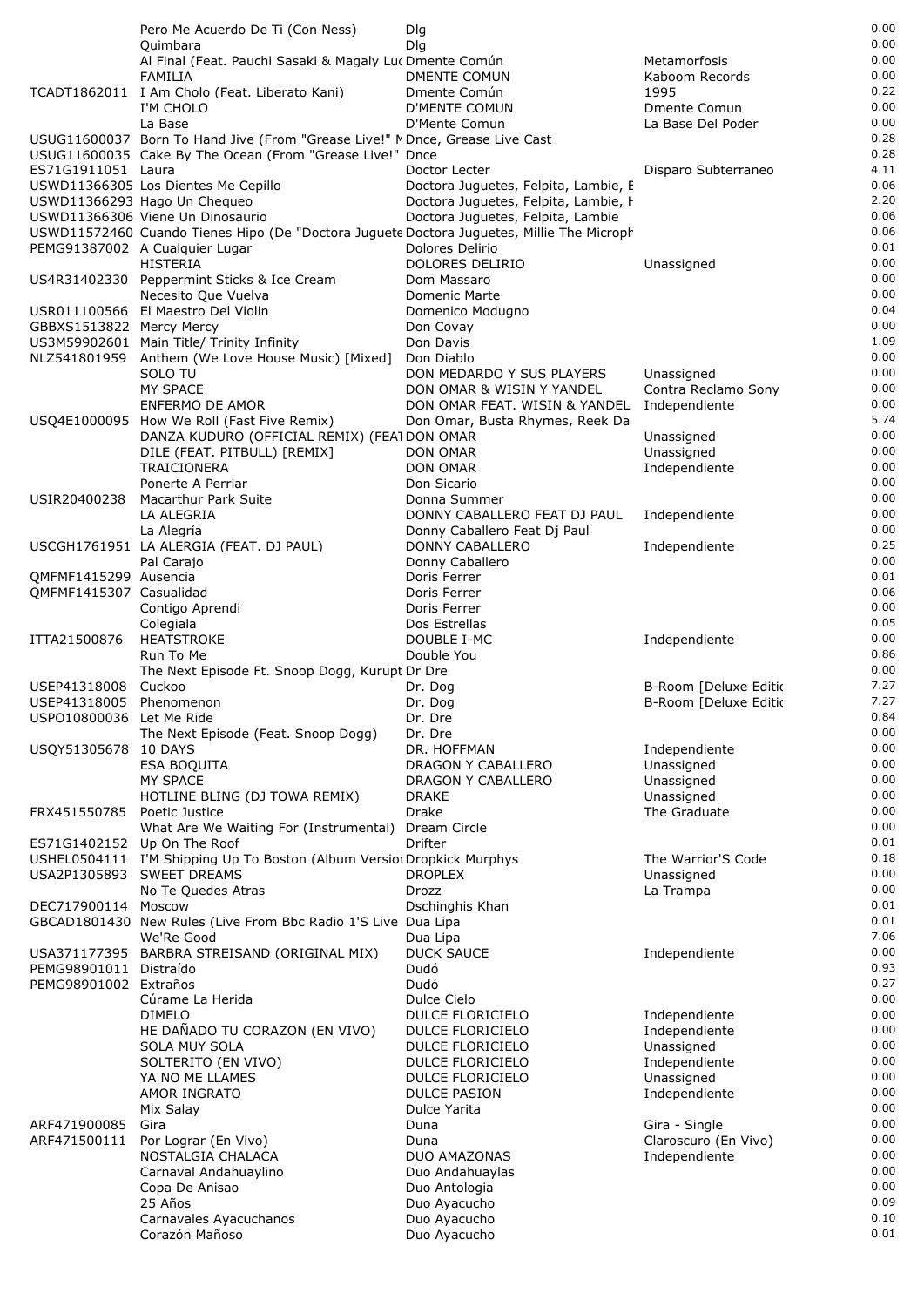|                          | Pero Me Acuerdo De Ti (Con Ness)                                                                                            | Dlg                                     |                             | 0.00         |
|--------------------------|-----------------------------------------------------------------------------------------------------------------------------|-----------------------------------------|-----------------------------|--------------|
|                          | Quimbara                                                                                                                    | Dlg                                     |                             | 0.00         |
|                          | Al Final (Feat. Pauchi Sasaki & Magaly Luc Dmente Común                                                                     |                                         | Metamorfosis                | 0.00         |
|                          | FAMILIA                                                                                                                     | DMENTE COMUN                            | Kaboom Records              | 0.00<br>0.22 |
|                          | TCADT1862011 I Am Cholo (Feat. Liberato Kani)<br>I'M CHOLO                                                                  | Dmente Común<br><b>D'MENTE COMUN</b>    | 1995<br><b>Dmente Comun</b> | 0.00         |
|                          | La Base                                                                                                                     | D'Mente Comun                           | La Base Del Poder           | 0.00         |
|                          | USUG11600037 Born To Hand Jive (From "Grease Live!" MDnce, Grease Live Cast                                                 |                                         |                             | 0.28         |
|                          | USUG11600035 Cake By The Ocean (From "Grease Live!" Dnce                                                                    |                                         |                             | 0.28         |
| ES71G1911051 Laura       |                                                                                                                             | Doctor Lecter                           | Disparo Subterraneo         | 4.11         |
|                          | USWD11366305 Los Dientes Me Cepillo                                                                                         | Doctora Juguetes, Felpita, Lambie, E    |                             | 0.06         |
|                          | USWD11366293 Hago Un Chequeo                                                                                                | Doctora Juguetes, Felpita, Lambie, I    |                             | 2.20         |
|                          | USWD11366306 Viene Un Dinosaurio                                                                                            | Doctora Juguetes, Felpita, Lambie       |                             | 0.06<br>0.06 |
|                          | USWD11572460 Cuando Tienes Hipo (De "Doctora Juguete Doctora Juguetes, Millie The Microph<br>PEMG91387002 A Cualquier Lugar | Dolores Delirio                         |                             | 0.01         |
|                          | <b>HISTERIA</b>                                                                                                             | DOLORES DELIRIO                         | Unassigned                  | 0.00         |
|                          | US4R31402330 Peppermint Sticks & Ice Cream                                                                                  | Dom Massaro                             |                             | 0.00         |
|                          | Necesito Que Vuelva                                                                                                         | Domenic Marte                           |                             | 0.00         |
|                          | USR011100566 El Maestro Del Violin                                                                                          | Domenico Modugno                        |                             | 0.04         |
| GBBXS1513822 Mercy Mercy |                                                                                                                             | Don Covay                               |                             | 0.00         |
|                          | US3M59902601 Main Title/ Trinity Infinity<br>NLZ541801959 Anthem (We Love House Music) [Mixed]                              | Don Davis                               |                             | 1.09<br>0.00 |
|                          | SOLO TU                                                                                                                     | Don Diablo<br>DON MEDARDO Y SUS PLAYERS | Unassigned                  | 0.00         |
|                          | <b>MY SPACE</b>                                                                                                             | DON OMAR & WISIN Y YANDEL               | Contra Reclamo Sony         | 0.00         |
|                          | ENFERMO DE AMOR                                                                                                             | DON OMAR FEAT. WISIN & YANDEL           | Independiente               | 0.00         |
|                          | USQ4E1000095 How We Roll (Fast Five Remix)                                                                                  | Don Omar, Busta Rhymes, Reek Da         |                             | 5.74         |
|                          | DANZA KUDURO (OFFICIAL REMIX) (FEATDON OMAR                                                                                 |                                         | Unassigned                  | 0.00         |
|                          | DILE (FEAT. PITBULL) [REMIX]                                                                                                | DON OMAR                                | Unassigned                  | 0.00         |
|                          | <b>TRAICIONERA</b>                                                                                                          | DON OMAR                                | Independiente               | 0.00<br>0.00 |
| USIR20400238             | Ponerte A Perriar<br>Macarthur Park Suite                                                                                   | Don Sicario<br>Donna Summer             |                             | 0.00         |
|                          | LA ALEGRIA                                                                                                                  | DONNY CABALLERO FEAT DJ PAUL            | Independiente               | 0.00         |
|                          | La Alegría                                                                                                                  | Donny Caballero Feat Dj Paul            |                             | 0.00         |
|                          | USCGH1761951 LA ALERGIA (FEAT. DJ PAUL)                                                                                     | DONNY CABALLERO                         | Independiente               | 0.25         |
|                          | Pal Carajo                                                                                                                  | Donny Caballero                         |                             | 0.00         |
| QMFMF1415299 Ausencia    |                                                                                                                             | Doris Ferrer                            |                             | 0.01         |
| QMFMF1415307 Casualidad  |                                                                                                                             | Doris Ferrer                            |                             | 0.06         |
|                          | Contigo Aprendi<br>Colegiala                                                                                                | Doris Ferrer<br>Dos Estrellas           |                             | 0.00<br>0.05 |
| ITTA21500876             | <b>HEATSTROKE</b>                                                                                                           | DOUBLE I-MC                             | Independiente               | 0.00         |
|                          | Run To Me                                                                                                                   | Double You                              |                             | 0.86         |
|                          | The Next Episode Ft. Snoop Dogg, Kurupt Dr Dre                                                                              |                                         |                             | 0.00         |
| USEP41318008             | Cuckoo                                                                                                                      | Dr. Dog                                 | B-Room [Deluxe Editio       | 7.27         |
| USEP41318005 Phenomenon  |                                                                                                                             | Dr. Dog                                 | B-Room [Deluxe Editio       | 7.27         |
| USPO10800036 Let Me Ride |                                                                                                                             | Dr. Dre                                 |                             | 0.84         |
|                          | The Next Episode (Feat. Snoop Dogg)<br>10 DAYS                                                                              | Dr. Dre<br>DR. HOFFMAN                  |                             | 0.00<br>0.00 |
| USQY51305678             | <b>ESA BOQUITA</b>                                                                                                          | DRAGON Y CABALLERO                      | Independiente<br>Unassigned | 0.00         |
|                          | <b>MY SPACE</b>                                                                                                             | DRAGON Y CABALLERO                      | Unassigned                  | 0.00         |
|                          | HOTLINE BLING (DJ TOWA REMIX)                                                                                               | DRAKE                                   | Unassigned                  | 0.00         |
| FRX451550785             | Poetic Justice                                                                                                              | <b>Drake</b>                            | The Graduate                | 0.00         |
|                          | What Are We Waiting For (Instrumental)                                                                                      | Dream Circle                            |                             | 0.00         |
|                          | ES71G1402152 Up On The Roof                                                                                                 | Drifter                                 |                             | 0.01         |
|                          | USHEL0504111 I'M Shipping Up To Boston (Album Version Dropkick Murphys<br>USA2P1305893 SWEET DREAMS                         | <b>DROPLEX</b>                          | The Warrior'S Code          | 0.18<br>0.00 |
|                          | No Te Quedes Atras                                                                                                          | Drozz                                   | Unassigned<br>La Trampa     | 0.00         |
| DEC717900114 Moscow      |                                                                                                                             | Dschinghis Khan                         |                             | 0.01         |
|                          | GBCAD1801430 New Rules (Live From Bbc Radio 1'S Live Dua Lipa                                                               |                                         |                             | 0.01         |
|                          | We'Re Good                                                                                                                  | Dua Lipa                                |                             | 7.06         |
|                          | USA371177395 BARBRA STREISAND (ORIGINAL MIX)                                                                                | <b>DUCK SAUCE</b>                       | Independiente               | 0.00         |
| PEMG98901011 Distraído   |                                                                                                                             | Dudó                                    |                             | 0.93         |
| PEMG98901002 Extraños    | Cúrame La Herida                                                                                                            | Dudó<br>Dulce Cielo                     |                             | 0.27<br>0.00 |
|                          | <b>DIMELO</b>                                                                                                               | DULCE FLORICIELO                        | Independiente               | 0.00         |
|                          | HE DAÑADO TU CORAZON (EN VIVO)                                                                                              | <b>DULCE FLORICIELO</b>                 | Independiente               | 0.00         |
|                          | SOLA MUY SOLA                                                                                                               | DULCE FLORICIELO                        | Unassigned                  | 0.00         |
|                          | SOLTERITO (EN VIVO)                                                                                                         | <b>DULCE FLORICIELO</b>                 | Independiente               | 0.00         |
|                          | YA NO ME LLAMES                                                                                                             | <b>DULCE FLORICIELO</b>                 | Unassigned                  | 0.00         |
|                          | <b>AMOR INGRATO</b>                                                                                                         | <b>DULCE PASION</b>                     | Independiente               | 0.00<br>0.00 |
| ARF471900085             | Mix Salay<br>Gira                                                                                                           | Dulce Yarita<br>Duna                    | Gira - Single               | 0.00         |
| ARF471500111             | Por Lograr (En Vivo)                                                                                                        | Duna                                    | Claroscuro (En Vivo)        | 0.00         |
|                          | NOSTALGIA CHALACA                                                                                                           | DUO AMAZONAS                            | Independiente               | 0.00         |
|                          | Carnaval Andahuaylino                                                                                                       | Duo Andahuaylas                         |                             | 0.00         |
|                          | Copa De Anisao                                                                                                              | Duo Antologia                           |                             | 0.00         |
|                          | 25 Años                                                                                                                     | Duo Ayacucho                            |                             | 0.09         |
|                          | Carnavales Ayacuchanos                                                                                                      | Duo Ayacucho                            |                             | 0.10         |
|                          | Corazón Mañoso                                                                                                              | Duo Ayacucho                            |                             | 0.01         |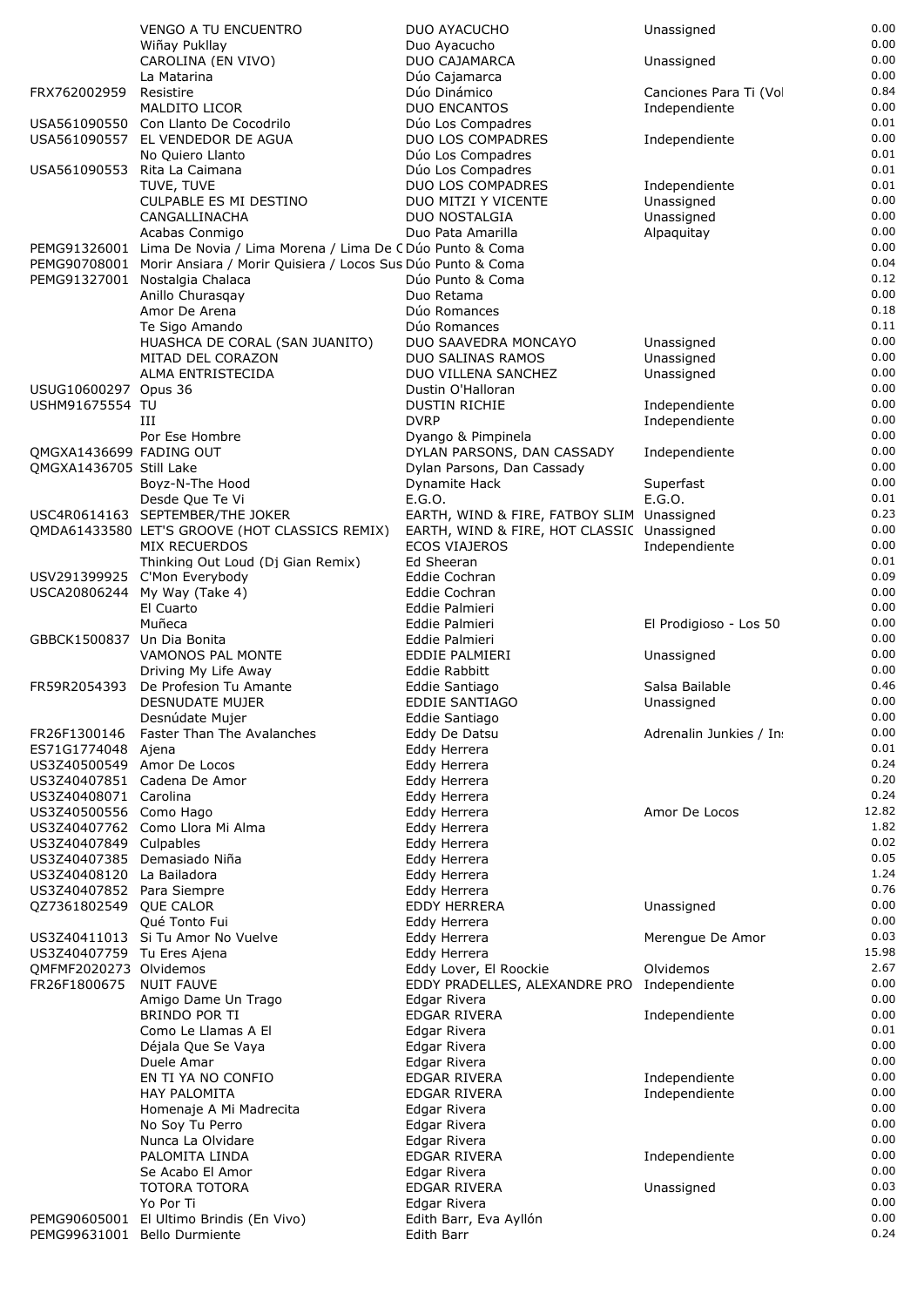|                                                      | VENGO A TU ENCUENTRO                                                                                       | DUO AYACUCHO                                            | Unassigned               | 0.00          |
|------------------------------------------------------|------------------------------------------------------------------------------------------------------------|---------------------------------------------------------|--------------------------|---------------|
|                                                      | Wiñay Pukllay                                                                                              | Duo Ayacucho                                            |                          | 0.00          |
|                                                      | CAROLINA (EN VIVO)<br>La Matarina                                                                          | DUO CAJAMARCA<br>Dúo Cajamarca                          | Unassigned               | 0.00<br>0.00  |
| FRX762002959                                         | Resistire                                                                                                  | Dúo Dinámico                                            | Canciones Para Ti (Vo    | 0.84          |
|                                                      | <b>MALDITO LICOR</b>                                                                                       | <b>DUO ENCANTOS</b>                                     | Independiente            | 0.00          |
|                                                      | USA561090550 Con Llanto De Cocodrilo                                                                       | Dúo Los Compadres                                       |                          | 0.01          |
|                                                      | USA561090557 EL VENDEDOR DE AGUA                                                                           | DUO LOS COMPADRES                                       | Independiente            | 0.00          |
|                                                      | No Quiero Llanto<br>USA561090553 Rita La Caimana                                                           | Dúo Los Compadres<br>Dúo Los Compadres                  |                          | 0.01<br>0.01  |
|                                                      | TUVE, TUVE                                                                                                 | DUO LOS COMPADRES                                       | Independiente            | 0.01          |
|                                                      | <b>CULPABLE ES MI DESTINO</b>                                                                              | DUO MITZI Y VICENTE                                     | Unassigned               | 0.00          |
|                                                      | CANGALLINACHA                                                                                              | DUO NOSTALGIA                                           | Unassigned               | 0.00          |
|                                                      | Acabas Conmigo                                                                                             | Duo Pata Amarilla                                       | Alpaquitay               | 0.00          |
|                                                      | PEMG91326001 Lima De Novia / Lima Morena / Lima De C Dúo Punto & Coma                                      |                                                         |                          | 0.00          |
|                                                      | PEMG90708001 Morir Ansiara / Morir Quisiera / Locos Sus Dúo Punto & Coma<br>PEMG91327001 Nostalgia Chalaca | Dúo Punto & Coma                                        |                          | 0.04<br>0.12  |
|                                                      | Anillo Churasqay                                                                                           | Duo Retama                                              |                          | 0.00          |
|                                                      | Amor De Arena                                                                                              | Dúo Romances                                            |                          | 0.18          |
|                                                      | Te Sigo Amando                                                                                             | Dúo Romances                                            |                          | 0.11          |
|                                                      | HUASHCA DE CORAL (SAN JUANITO)                                                                             | DUO SAAVEDRA MONCAYO                                    | Unassigned               | 0.00          |
|                                                      | MITAD DEL CORAZON<br>ALMA ENTRISTECIDA                                                                     | <b>DUO SALINAS RAMOS</b><br>DUO VILLENA SANCHEZ         | Unassigned<br>Unassigned | 0.00<br>0.00  |
| USUG10600297 Opus 36                                 |                                                                                                            | Dustin O'Halloran                                       |                          | 0.00          |
| USHM91675554 TU                                      |                                                                                                            | <b>DUSTIN RICHIE</b>                                    | Independiente            | 0.00          |
|                                                      | Ш                                                                                                          | <b>DVRP</b>                                             | Independiente            | 0.00          |
|                                                      | Por Ese Hombre                                                                                             | Dyango & Pimpinela                                      |                          | 0.00          |
| QMGXA1436699 FADING OUT                              |                                                                                                            | DYLAN PARSONS, DAN CASSADY                              | Independiente            | 0.00<br>0.00  |
| QMGXA1436705 Still Lake                              | Boyz-N-The Hood                                                                                            | Dylan Parsons, Dan Cassady<br>Dynamite Hack             | Superfast                | 0.00          |
|                                                      | Desde Que Te Vi                                                                                            | E.G.O.                                                  | E.G.O.                   | 0.01          |
|                                                      | USC4R0614163 SEPTEMBER/THE JOKER                                                                           | EARTH, WIND & FIRE, FATBOY SLIM Unassigned              |                          | 0.23          |
|                                                      | QMDA61433580 LET'S GROOVE (HOT CLASSICS REMIX)                                                             | EARTH, WIND & FIRE, HOT CLASSIC Unassigned              |                          | 0.00          |
|                                                      | <b>MIX RECUERDOS</b>                                                                                       | <b>ECOS VIAJEROS</b>                                    | Independiente            | 0.00          |
|                                                      | Thinking Out Loud (Dj Gian Remix)<br>USV291399925 C'Mon Everybody                                          | Ed Sheeran<br>Eddie Cochran                             |                          | 0.01<br>0.09  |
|                                                      | USCA20806244 My Way (Take 4)                                                                               | Eddie Cochran                                           |                          | 0.00          |
|                                                      | El Cuarto                                                                                                  | Eddie Palmieri                                          |                          | 0.00          |
|                                                      | Muñeca                                                                                                     | Eddie Palmieri                                          | El Prodigioso - Los 50   | 0.00          |
| GBBCK1500837 Un Dia Bonita                           |                                                                                                            | Eddie Palmieri                                          |                          | 0.00          |
|                                                      | VAMONOS PAL MONTE                                                                                          | EDDIE PALMIERI                                          | Unassigned               | 0.00<br>0.00  |
| FR59R2054393                                         | Driving My Life Away<br>De Profesion Tu Amante                                                             | Eddie Rabbitt<br>Eddie Santiago                         | Salsa Bailable           | 0.46          |
|                                                      | DESNUDATE MUJER                                                                                            | <b>EDDIE SANTIAGO</b>                                   | Unassigned               | 0.00          |
|                                                      | Desnúdate Mujer                                                                                            | Eddie Santiago                                          |                          | 0.00          |
| FR26F1300146                                         | Faster Than The Avalanches                                                                                 | Eddy De Datsu                                           | Adrenalin Junkies / In   | 0.00          |
| ES71G1774048                                         | Ajena                                                                                                      | Eddy Herrera                                            |                          | 0.01<br>0.24  |
| US3Z40500549 Amor De Locos                           | US3Z40407851 Cadena De Amor                                                                                | Eddy Herrera<br>Eddy Herrera                            |                          | 0.20          |
| US3Z40408071 Carolina                                |                                                                                                            | Eddy Herrera                                            |                          | 0.24          |
| US3Z40500556 Como Hago                               |                                                                                                            | Eddy Herrera                                            | Amor De Locos            | 12.82         |
|                                                      | US3Z40407762 Como Llora Mi Alma                                                                            | Eddy Herrera                                            |                          | 1.82          |
| US3Z40407849 Culpables                               |                                                                                                            | Eddy Herrera                                            |                          | 0.02          |
| US3Z40407385<br>US3Z40408120                         | Demasiado Niña<br>La Bailadora                                                                             | Eddy Herrera<br>Eddy Herrera                            |                          | 0.05<br>1.24  |
| US3Z40407852 Para Siempre                            |                                                                                                            | Eddy Herrera                                            |                          | 0.76          |
| QZ7361802549 QUE CALOR                               |                                                                                                            | EDDY HERRERA                                            | Unassigned               | 0.00          |
|                                                      | Qué Tonto Fui                                                                                              | Eddy Herrera                                            |                          | 0.00          |
|                                                      | US3Z40411013 Si Tu Amor No Vuelve                                                                          | Eddy Herrera                                            | Merengue De Amor         | 0.03          |
| US3Z40407759 Tu Eres Ajena<br>OMFMF2020273 Olvidemos |                                                                                                            | Eddy Herrera                                            | Olvidemos                | 15.98<br>2.67 |
| FR26F1800675                                         | <b>NUIT FAUVE</b>                                                                                          | Eddy Lover, El Roockie<br>EDDY PRADELLES, ALEXANDRE PRO | Independiente            | 0.00          |
|                                                      | Amigo Dame Un Trago                                                                                        | Edgar Rivera                                            |                          | 0.00          |
|                                                      | BRINDO POR TI                                                                                              | EDGAR RIVERA                                            | Independiente            | 0.00          |
|                                                      | Como Le Llamas A El                                                                                        | Edgar Rivera                                            |                          | 0.01          |
|                                                      | Déjala Que Se Vaya                                                                                         | Edgar Rivera                                            |                          | 0.00<br>0.00  |
|                                                      | Duele Amar<br>EN TI YA NO CONFIO                                                                           | Edgar Rivera<br>EDGAR RIVERA                            | Independiente            | 0.00          |
|                                                      | <b>HAY PALOMITA</b>                                                                                        | EDGAR RIVERA                                            | Independiente            | 0.00          |
|                                                      | Homenaje A Mi Madrecita                                                                                    | Edgar Rivera                                            |                          | 0.00          |
|                                                      | No Soy Tu Perro                                                                                            | Edgar Rivera                                            |                          | 0.00          |
|                                                      | Nunca La Olvidare                                                                                          | Edgar Rivera                                            |                          | 0.00<br>0.00  |
|                                                      | PALOMITA LINDA<br>Se Acabo El Amor                                                                         | EDGAR RIVERA<br>Edgar Rivera                            | Independiente            | 0.00          |
|                                                      | <b>TOTORA TOTORA</b>                                                                                       | EDGAR RIVERA                                            | Unassigned               | 0.03          |
|                                                      | Yo Por Ti                                                                                                  | Edgar Rivera                                            |                          | 0.00          |
|                                                      | PEMG90605001 El Ultimo Brindis (En Vivo)                                                                   | Edith Barr, Eva Ayllón                                  |                          | 0.00          |
|                                                      | PEMG99631001 Bello Durmiente                                                                               | Edith Barr                                              |                          | 0.24          |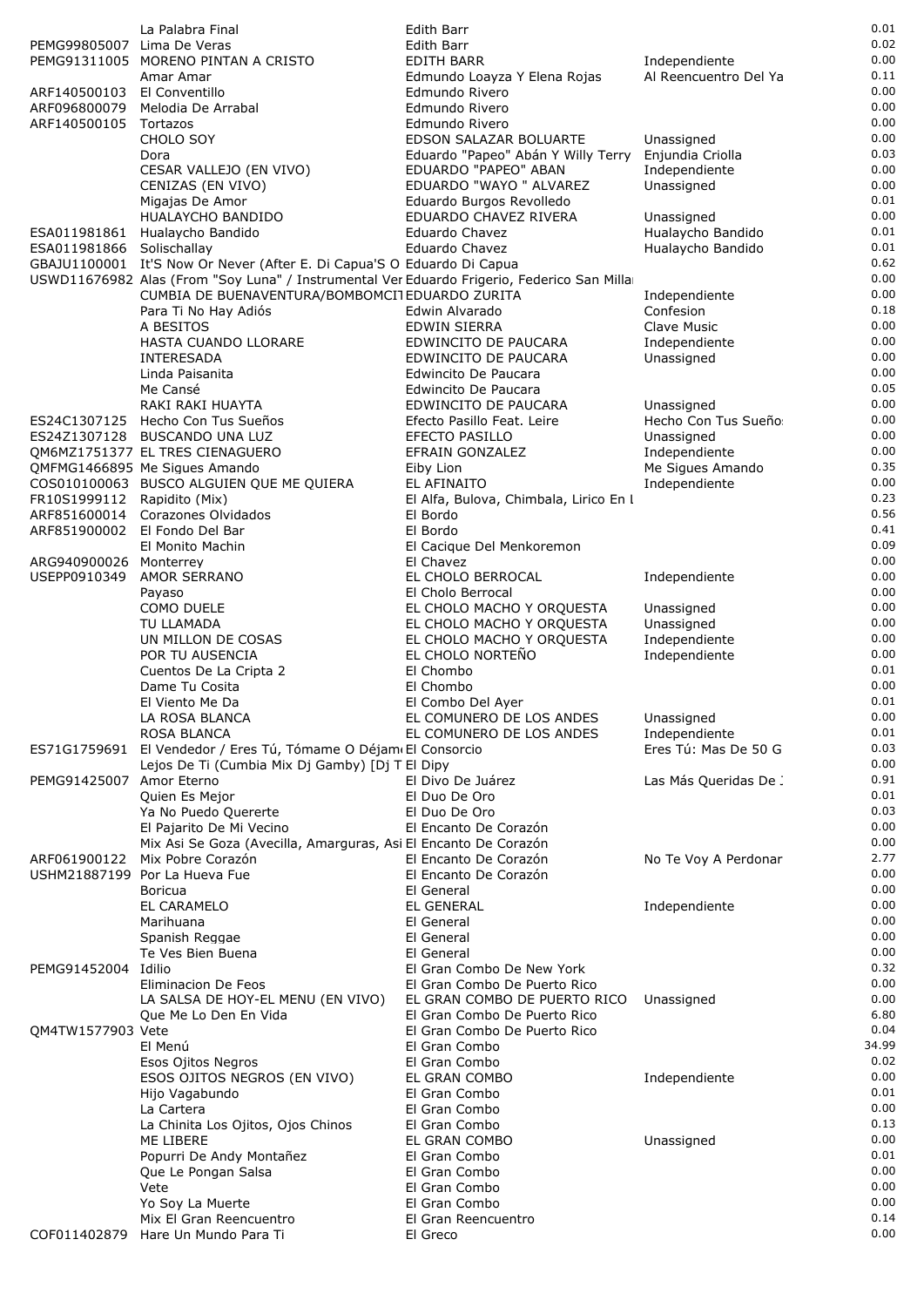|                             | La Palabra Final                                                                                      | Edith Barr                                                   |                                        | 0.01         |
|-----------------------------|-------------------------------------------------------------------------------------------------------|--------------------------------------------------------------|----------------------------------------|--------------|
| PEMG99805007 Lima De Veras  | PEMG91311005 MORENO PINTAN A CRISTO                                                                   | Edith Barr                                                   |                                        | 0.02<br>0.00 |
|                             | Amar Amar                                                                                             | EDITH BARR<br>Edmundo Loayza Y Elena Rojas                   | Independiente<br>Al Reencuentro Del Ya | 0.11         |
| ARF140500103 El Conventillo |                                                                                                       | Edmundo Rivero                                               |                                        | 0.00         |
| ARF096800079                | Melodia De Arrabal                                                                                    | Edmundo Rivero                                               |                                        | 0.00         |
| ARF140500105                | Tortazos                                                                                              | Edmundo Rivero                                               |                                        | 0.00         |
|                             | CHOLO SOY<br>Dora                                                                                     | EDSON SALAZAR BOLUARTE                                       | Unassigned                             | 0.00<br>0.03 |
|                             | CESAR VALLEJO (EN VIVO)                                                                               | Eduardo "Papeo" Abán Y Willy Terry<br>EDUARDO "PAPEO" ABAN   | Enjundia Criolla<br>Independiente      | 0.00         |
|                             | CENIZAS (EN VIVO)                                                                                     | EDUARDO "WAYO " ALVAREZ                                      | Unassigned                             | 0.00         |
|                             | Migajas De Amor                                                                                       | Eduardo Burgos Revolledo                                     |                                        | 0.01         |
|                             | HUALAYCHO BANDIDO                                                                                     | EDUARDO CHAVEZ RIVERA                                        | Unassigned                             | 0.00<br>0.01 |
| ESA011981866 Solischallay   | ESA011981861 Hualaycho Bandido                                                                        | Eduardo Chavez<br>Eduardo Chavez                             | Hualaycho Bandido<br>Hualaycho Bandido | 0.01         |
|                             | GBAJU1100001 It'S Now Or Never (After E. Di Capua'S O Eduardo Di Capua                                |                                                              |                                        | 0.62         |
|                             | USWD11676982 Alas (From "Soy Luna" / Instrumental Ver Eduardo Frigerio, Federico San Milla            |                                                              |                                        | 0.00         |
|                             | CUMBIA DE BUENAVENTURA/BOMBOMCITEDUARDO ZURITA                                                        |                                                              | Independiente                          | 0.00         |
|                             | Para Ti No Hay Adiós<br>A BESITOS                                                                     | Edwin Alvarado<br><b>EDWIN SIERRA</b>                        | Confesion<br>Clave Music               | 0.18<br>0.00 |
|                             | HASTA CUANDO LLORARE                                                                                  | EDWINCITO DE PAUCARA                                         | Independiente                          | 0.00         |
|                             | INTERESADA                                                                                            | EDWINCITO DE PAUCARA                                         | Unassigned                             | 0.00         |
|                             | Linda Paisanita                                                                                       | Edwincito De Paucara                                         |                                        | 0.00         |
|                             | Me Cansé                                                                                              | Edwincito De Paucara                                         |                                        | 0.05<br>0.00 |
|                             | RAKI RAKI HUAYTA<br>ES24C1307125 Hecho Con Tus Sueños                                                 | EDWINCITO DE PAUCARA<br>Efecto Pasillo Feat. Leire           | Unassigned<br>Hecho Con Tus Sueño      | 0.00         |
|                             | ES24Z1307128 BUSCANDO UNA LUZ                                                                         | EFECTO PASILLO                                               | Unassigned                             | 0.00         |
|                             | QM6MZ1751377 EL TRES CIENAGUERO                                                                       | EFRAIN GONZALEZ                                              | Independiente                          | 0.00         |
|                             | QMFMG1466895 Me Sigues Amando                                                                         | Eiby Lion                                                    | Me Sigues Amando                       | 0.35         |
|                             | COS010100063 BUSCO ALGUIEN QUE ME QUIERA                                                              | EL AFINAITO                                                  | Independiente                          | 0.00<br>0.23 |
| FR10S1999112 Rapidito (Mix) | ARF851600014 Corazones Olvidados                                                                      | El Alfa, Bulova, Chimbala, Lirico En I<br>El Bordo           |                                        | 0.56         |
|                             | ARF851900002 El Fondo Del Bar                                                                         | El Bordo                                                     |                                        | 0.41         |
|                             | El Monito Machin                                                                                      | El Cacique Del Menkoremon                                    |                                        | 0.09         |
| ARG940900026 Monterrey      |                                                                                                       | El Chavez                                                    |                                        | 0.00<br>0.00 |
| USEPP0910349                | <b>AMOR SERRANO</b><br>Payaso                                                                         | EL CHOLO BERROCAL<br>El Cholo Berrocal                       | Independiente                          | 0.00         |
|                             | COMO DUELE                                                                                            | EL CHOLO MACHO Y ORQUESTA                                    | Unassigned                             | 0.00         |
|                             | TU LLAMADA                                                                                            | EL CHOLO MACHO Y ORQUESTA                                    | Unassigned                             | 0.00         |
|                             | UN MILLON DE COSAS                                                                                    | EL CHOLO MACHO Y ORQUESTA                                    | Independiente                          | 0.00         |
|                             | POR TU AUSENCIA<br>Cuentos De La Cripta 2                                                             | EL CHOLO NORTEÑO<br>El Chombo                                | Independiente                          | 0.00<br>0.01 |
|                             | Dame Tu Cosita                                                                                        | El Chombo                                                    |                                        | 0.00         |
|                             | El Viento Me Da                                                                                       | El Combo Del Ayer                                            |                                        | 0.01         |
|                             | LA ROSA BLANCA                                                                                        | EL COMUNERO DE LOS ANDES                                     | Unassigned                             | 0.00         |
|                             | <b>ROSA BLANCA</b>                                                                                    | EL COMUNERO DE LOS ANDES                                     | Independiente<br>Eres Tú: Mas De 50 G  | 0.01<br>0.03 |
| ES71G1759691                | El Vendedor / Eres Tú, Tómame O Déjam El Consorcio<br>Lejos De Ti (Cumbia Mix Dj Gamby) [Dj T El Dipy |                                                              |                                        | 0.00         |
| PEMG91425007 Amor Eterno    |                                                                                                       | El Divo De Juárez                                            | Las Más Queridas De .                  | 0.91         |
|                             | Quien Es Mejor                                                                                        | El Duo De Oro                                                |                                        | 0.01         |
|                             | Ya No Puedo Quererte                                                                                  | El Duo De Oro                                                |                                        | 0.03         |
|                             | El Pajarito De Mi Vecino<br>Mix Asi Se Goza (Avecilla, Amarguras, Asi El Encanto De Corazón           | El Encanto De Corazón                                        |                                        | 0.00<br>0.00 |
| ARF061900122                | Mix Pobre Corazón                                                                                     | El Encanto De Corazón                                        | No Te Voy A Perdonar                   | 2.77         |
|                             | USHM21887199 Por La Hueva Fue                                                                         | El Encanto De Corazón                                        |                                        | 0.00         |
|                             | <b>Boricua</b>                                                                                        | El General                                                   |                                        | 0.00         |
|                             | EL CARAMELO                                                                                           | EL GENERAL                                                   | Independiente                          | 0.00<br>0.00 |
|                             | Marihuana<br>Spanish Reggae                                                                           | El General<br>El General                                     |                                        | 0.00         |
|                             | Te Ves Bien Buena                                                                                     | El General                                                   |                                        | 0.00         |
| PEMG91452004 Idilio         |                                                                                                       | El Gran Combo De New York                                    |                                        | 0.32         |
|                             | Eliminacion De Feos                                                                                   | El Gran Combo De Puerto Rico                                 |                                        | 0.00         |
|                             | LA SALSA DE HOY-EL MENU (EN VIVO)<br>Que Me Lo Den En Vida                                            | EL GRAN COMBO DE PUERTO RICO<br>El Gran Combo De Puerto Rico | Unassigned                             | 0.00<br>6.80 |
| QM4TW1577903 Vete           |                                                                                                       | El Gran Combo De Puerto Rico                                 |                                        | 0.04         |
|                             | El Menú                                                                                               | El Gran Combo                                                |                                        | 34.99        |
|                             | Esos Ojitos Negros                                                                                    | El Gran Combo                                                |                                        | 0.02         |
|                             | ESOS OJITOS NEGROS (EN VIVO)                                                                          | EL GRAN COMBO                                                | Independiente                          | 0.00<br>0.01 |
|                             | Hijo Vagabundo<br>La Cartera                                                                          | El Gran Combo<br>El Gran Combo                               |                                        | 0.00         |
|                             | La Chinita Los Ojitos, Ojos Chinos                                                                    | El Gran Combo                                                |                                        | 0.13         |
|                             | ME LIBERE                                                                                             | EL GRAN COMBO                                                | Unassigned                             | 0.00         |
|                             | Popurri De Andy Montañez                                                                              | El Gran Combo                                                |                                        | 0.01         |
|                             | Que Le Pongan Salsa<br>Vete                                                                           | El Gran Combo<br>El Gran Combo                               |                                        | 0.00<br>0.00 |
|                             | Yo Soy La Muerte                                                                                      | El Gran Combo                                                |                                        | 0.00         |
|                             | Mix El Gran Reencuentro                                                                               | El Gran Reencuentro                                          |                                        | 0.14         |
|                             | COF011402879 Hare Un Mundo Para Ti                                                                    | El Greco                                                     |                                        | 0.00         |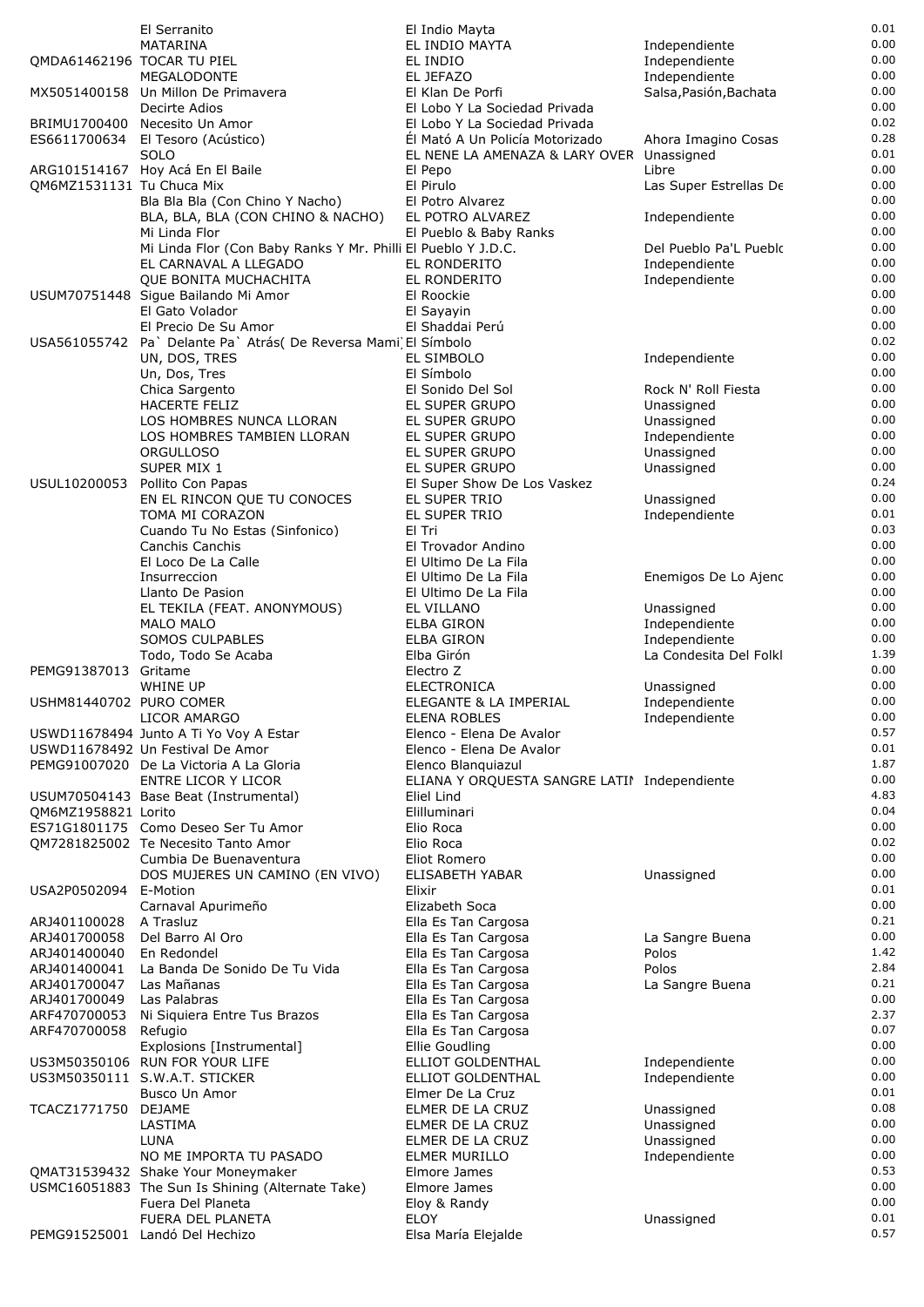|                            | El Serranito                                                    | El Indio Mayta                                                   |                                         | 0.01         |
|----------------------------|-----------------------------------------------------------------|------------------------------------------------------------------|-----------------------------------------|--------------|
|                            | MATARINA                                                        | EL INDIO MAYTA                                                   | Independiente                           | 0.00         |
| QMDA61462196 TOCAR TU PIEL |                                                                 | EL INDIO                                                         | Independiente                           | 0.00         |
|                            | <b>MEGALODONTE</b>                                              | EL JEFAZO                                                        | Independiente                           | 0.00         |
|                            | MX5051400158 Un Millon De Primavera                             | El Klan De Porfi                                                 | Salsa, Pasión, Bachata                  | 0.00         |
|                            | Decirte Adios<br>BRIMU1700400 Necesito Un Amor                  | El Lobo Y La Sociedad Privada                                    |                                         | 0.00<br>0.02 |
|                            |                                                                 | El Lobo Y La Sociedad Privada<br>Él Mató A Un Policía Motorizado |                                         | 0.28         |
|                            | ES6611700634 El Tesoro (Acústico)<br>SOLO                       | EL NENE LA AMENAZA & LARY OVER                                   | Ahora Imagino Cosas<br>Unassigned       | 0.01         |
|                            | ARG101514167 Hoy Acá En El Baile                                | El Pepo                                                          | Libre                                   | 0.00         |
| QM6MZ1531131 Tu Chuca Mix  |                                                                 | El Pirulo                                                        | Las Super Estrellas De                  | 0.00         |
|                            | Bla Bla Bla (Con Chino Y Nacho)                                 | El Potro Alvarez                                                 |                                         | 0.00         |
|                            | BLA, BLA, BLA (CON CHINO & NACHO)                               | EL POTRO ALVAREZ                                                 | Independiente                           | 0.00         |
|                            | Mi Linda Flor                                                   | El Pueblo & Baby Ranks                                           |                                         | 0.00         |
|                            | Mi Linda Flor (Con Baby Ranks Y Mr. Philli El Pueblo Y J.D.C.   |                                                                  | Del Pueblo Pa'L Pueblo                  | 0.00         |
|                            | EL CARNAVAL A LLEGADO                                           | EL RONDERITO                                                     | Independiente                           | 0.00         |
|                            | <b>OUE BONITA MUCHACHITA</b>                                    | EL RONDERITO                                                     | Independiente                           | 0.00         |
|                            | USUM70751448 Sigue Bailando Mi Amor                             | El Roockie                                                       |                                         | 0.00         |
|                            | El Gato Volador                                                 | El Sayayin                                                       |                                         | 0.00         |
|                            | El Precio De Su Amor                                            | El Shaddai Perú                                                  |                                         | 0.00         |
|                            | USA561055742 Pa` Delante Pa` Atrás( De Reversa Mami) El Símbolo |                                                                  |                                         | 0.02         |
|                            | UN, DOS, TRES                                                   | EL SIMBOLO                                                       | Independiente                           | 0.00         |
|                            | Un, Dos, Tres                                                   | El Símbolo                                                       |                                         | 0.00         |
|                            | Chica Sargento<br><b>HACERTE FELIZ</b>                          | El Sonido Del Sol<br>EL SUPER GRUPO                              | Rock N' Roll Fiesta<br>Unassigned       | 0.00<br>0.00 |
|                            | LOS HOMBRES NUNCA LLORAN                                        | EL SUPER GRUPO                                                   | Unassigned                              | 0.00         |
|                            | LOS HOMBRES TAMBIEN LLORAN                                      | EL SUPER GRUPO                                                   | Independiente                           | 0.00         |
|                            | <b>ORGULLOSO</b>                                                | EL SUPER GRUPO                                                   | Unassigned                              | 0.00         |
|                            | SUPER MIX 1                                                     | EL SUPER GRUPO                                                   | Unassigned                              | 0.00         |
| USUL10200053               | Pollito Con Papas                                               | El Super Show De Los Vaskez                                      |                                         | 0.24         |
|                            | EN EL RINCON QUE TU CONOCES                                     | EL SUPER TRIO                                                    | Unassigned                              | 0.00         |
|                            | TOMA MI CORAZON                                                 | EL SUPER TRIO                                                    | Independiente                           | 0.01         |
|                            | Cuando Tu No Estas (Sinfonico)                                  | El Tri                                                           |                                         | 0.03         |
|                            | Canchis Canchis                                                 | El Trovador Andino                                               |                                         | 0.00         |
|                            | El Loco De La Calle                                             | El Ultimo De La Fila                                             |                                         | 0.00         |
|                            | Insurreccion                                                    | El Ultimo De La Fila                                             | Enemigos De Lo Ajenc                    | 0.00         |
|                            | Llanto De Pasion                                                | El Ultimo De La Fila                                             |                                         | 0.00         |
|                            | EL TEKILA (FEAT. ANONYMOUS)                                     | EL VILLANO                                                       | Unassigned                              | 0.00         |
|                            | <b>MALO MALO</b>                                                | <b>ELBA GIRON</b>                                                | Independiente                           | 0.00<br>0.00 |
|                            | SOMOS CULPABLES                                                 | ELBA GIRON<br>Elba Girón                                         | Independiente<br>La Condesita Del Folkl | 1.39         |
| PEMG91387013               | Todo, Todo Se Acaba<br>Gritame                                  | Electro Z                                                        |                                         | 0.00         |
|                            | WHINE UP                                                        | ELECTRONICA                                                      | Unassigned                              | 0.00         |
| USHM81440702 PURO COMER    |                                                                 | ELEGANTE & LA IMPERIAL                                           | Independiente                           | 0.00         |
|                            | LICOR AMARGO                                                    | ELENA ROBLES                                                     | Independiente                           | 0.00         |
|                            | USWD11678494 Junto A Ti Yo Voy A Estar                          | Elenco - Elena De Avalor                                         |                                         | 0.57         |
|                            | USWD11678492 Un Festival De Amor                                | Elenco - Elena De Avalor                                         |                                         | 0.01         |
|                            | PEMG91007020 De La Victoria A La Gloria                         | Elenco Blanguiazul                                               |                                         | 1.87         |
|                            | ENTRE LICOR Y LICOR                                             | ELIANA Y ORQUESTA SANGRE LATI! Independiente                     |                                         | 0.00         |
|                            | USUM70504143 Base Beat (Instrumental)                           | Eliel Lind                                                       |                                         | 4.83         |
| QM6MZ1958821 Lorito        |                                                                 | Elilluminari                                                     |                                         | 0.04         |
|                            | ES71G1801175 Como Deseo Ser Tu Amor                             | Elio Roca                                                        |                                         | 0.00         |
|                            | QM7281825002 Te Necesito Tanto Amor                             | Elio Roca                                                        |                                         | 0.02<br>0.00 |
|                            | Cumbia De Buenaventura<br>DOS MUJERES UN CAMINO (EN VIVO)       | Eliot Romero<br><b>ELISABETH YABAR</b>                           | Unassigned                              | 0.00         |
| USA2P0502094 E-Motion      |                                                                 | Elixir                                                           |                                         | 0.01         |
|                            | Carnaval Apurimeño                                              | Elizabeth Soca                                                   |                                         | 0.00         |
| ARJ401100028               | A Trasluz                                                       | Ella Es Tan Cargosa                                              |                                         | 0.21         |
| ARJ401700058               | Del Barro Al Oro                                                | Ella Es Tan Cargosa                                              | La Sangre Buena                         | 0.00         |
| ARJ401400040               | En Redondel                                                     | Ella Es Tan Cargosa                                              | Polos                                   | 1.42         |
| ARJ401400041               | La Banda De Sonido De Tu Vida                                   | Ella Es Tan Cargosa                                              | Polos                                   | 2.84         |
| ARJ401700047               | Las Mañanas                                                     | Ella Es Tan Cargosa                                              | La Sangre Buena                         | 0.21         |
| ARJ401700049               | Las Palabras                                                    | Ella Es Tan Cargosa                                              |                                         | 0.00         |
| ARF470700053               | Ni Siquiera Entre Tus Brazos                                    | Ella Es Tan Cargosa                                              |                                         | 2.37         |
| ARF470700058               | Refugio                                                         | Ella Es Tan Cargosa                                              |                                         | 0.07         |
|                            | Explosions [Instrumental]                                       | Ellie Goudling                                                   |                                         | 0.00         |
|                            | US3M50350106 RUN FOR YOUR LIFE                                  | ELLIOT GOLDENTHAL                                                | Independiente                           | 0.00         |
|                            | US3M50350111 S.W.A.T. STICKER                                   | ELLIOT GOLDENTHAL                                                | Independiente                           | 0.00<br>0.01 |
| TCACZ1771750 DEJAME        | Busco Un Amor                                                   | Elmer De La Cruz<br>ELMER DE LA CRUZ                             |                                         | 0.08         |
|                            | LASTIMA                                                         | ELMER DE LA CRUZ                                                 | Unassigned<br>Unassigned                | 0.00         |
|                            | LUNA                                                            | ELMER DE LA CRUZ                                                 | Unassigned                              | 0.00         |
|                            | NO ME IMPORTA TU PASADO                                         | <b>ELMER MURILLO</b>                                             | Independiente                           | 0.00         |
|                            | QMAT31539432 Shake Your Moneymaker                              | Elmore James                                                     |                                         | 0.53         |
|                            | USMC16051883 The Sun Is Shining (Alternate Take)                | Elmore James                                                     |                                         | 0.00         |
|                            | Fuera Del Planeta                                               | Eloy & Randy                                                     |                                         | 0.00         |
|                            | FUERA DEL PLANETA                                               | <b>ELOY</b>                                                      | Unassigned                              | 0.01         |
|                            | PEMG91525001 Landó Del Hechizo                                  | Elsa María Elejalde                                              |                                         | 0.57         |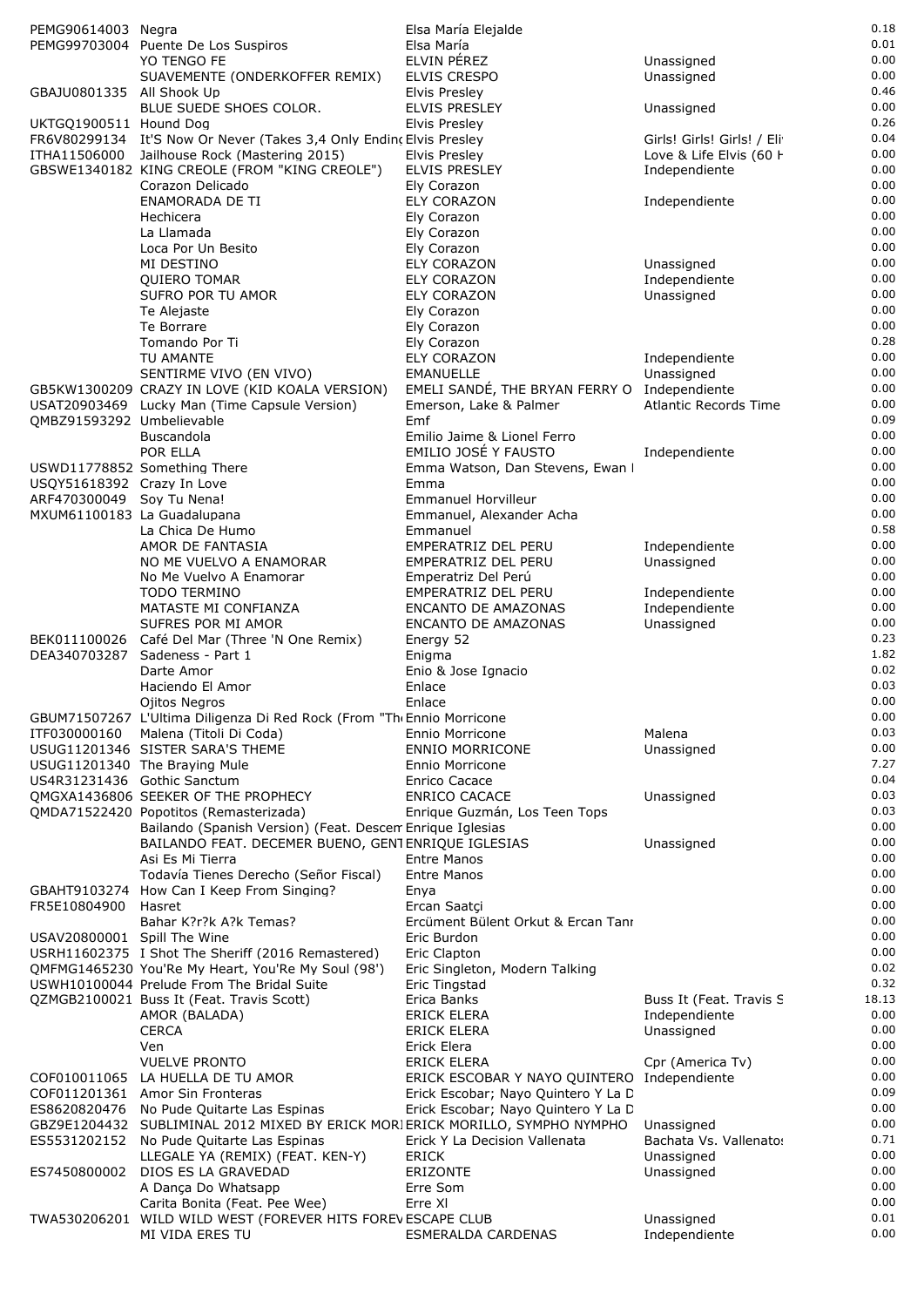| PEMG90614003 Negra          |                                                                                                               | Elsa María Elejalde                               |                                          | 0.18         |
|-----------------------------|---------------------------------------------------------------------------------------------------------------|---------------------------------------------------|------------------------------------------|--------------|
|                             | PEMG99703004 Puente De Los Suspiros                                                                           | Elsa María                                        |                                          | 0.01<br>0.00 |
|                             | YO TENGO FE<br>SUAVEMENTE (ONDERKOFFER REMIX)                                                                 | ELVIN PÉREZ<br>ELVIS CRESPO                       | Unassigned<br>Unassigned                 | 0.00         |
| GBAJU0801335 All Shook Up   |                                                                                                               | Elvis Presley                                     |                                          | 0.46         |
|                             | BLUE SUEDE SHOES COLOR.                                                                                       | <b>ELVIS PRESLEY</b>                              | Unassigned                               | 0.00         |
| UKTGQ1900511 Hound Dog      |                                                                                                               | Elvis Presley                                     |                                          | 0.26         |
|                             | FR6V80299134 It'S Now Or Never (Takes 3,4 Only Ending Elvis Presley                                           |                                                   | Girls! Girls! Girls! / Eli               | 0.04<br>0.00 |
|                             | ITHA11506000 Jailhouse Rock (Mastering 2015)<br>GBSWE1340182 KING CREOLE (FROM "KING CREOLE")                 | Elvis Presley<br><b>ELVIS PRESLEY</b>             | Love & Life Elvis (60 H<br>Independiente | 0.00         |
|                             | Corazon Delicado                                                                                              | Ely Corazon                                       |                                          | 0.00         |
|                             | <b>ENAMORADA DE TI</b>                                                                                        | <b>ELY CORAZON</b>                                | Independiente                            | 0.00         |
|                             | Hechicera                                                                                                     | Ely Corazon                                       |                                          | 0.00         |
|                             | La Llamada                                                                                                    | Ely Corazon                                       |                                          | 0.00         |
|                             | Loca Por Un Besito<br>MI DESTINO                                                                              | Ely Corazon<br>ELY CORAZON                        | Unassigned                               | 0.00<br>0.00 |
|                             | <b>QUIERO TOMAR</b>                                                                                           | <b>ELY CORAZON</b>                                | Independiente                            | 0.00         |
|                             | SUFRO POR TU AMOR                                                                                             | <b>ELY CORAZON</b>                                | Unassigned                               | 0.00         |
|                             | Te Alejaste                                                                                                   | Ely Corazon                                       |                                          | 0.00         |
|                             | Te Borrare                                                                                                    | Ely Corazon                                       |                                          | 0.00<br>0.28 |
|                             | Tomando Por Ti<br>TU AMANTE                                                                                   | Ely Corazon<br><b>ELY CORAZON</b>                 | Independiente                            | 0.00         |
|                             | SENTIRME VIVO (EN VIVO)                                                                                       | <b>EMANUELLE</b>                                  | Unassigned                               | 0.00         |
|                             | GB5KW1300209 CRAZY IN LOVE (KID KOALA VERSION)                                                                | EMELI SANDÉ, THE BRYAN FERRY O Independiente      |                                          | 0.00         |
|                             | USAT20903469 Lucky Man (Time Capsule Version)                                                                 | Emerson, Lake & Palmer                            | Atlantic Records Time                    | 0.00         |
| QMBZ91593292 Umbelievable   | Buscandola                                                                                                    | Emf<br>Emilio Jaime & Lionel Ferro                |                                          | 0.09<br>0.00 |
|                             | POR ELLA                                                                                                      | EMILIO JOSÉ Y FAUSTO                              | Independiente                            | 0.00         |
|                             | USWD11778852 Something There                                                                                  | Emma Watson, Dan Stevens, Ewan I                  |                                          | 0.00         |
| USQY51618392 Crazy In Love  |                                                                                                               | Emma                                              |                                          | 0.00         |
| ARF470300049 Soy Tu Nena!   |                                                                                                               | <b>Emmanuel Horvilleur</b>                        |                                          | 0.00         |
| MXUM61100183 La Guadalupana | La Chica De Humo                                                                                              | Emmanuel, Alexander Acha                          |                                          | 0.00<br>0.58 |
|                             | AMOR DE FANTASIA                                                                                              | Emmanuel<br>EMPERATRIZ DEL PERU                   | Independiente                            | 0.00         |
|                             | NO ME VUELVO A ENAMORAR                                                                                       | EMPERATRIZ DEL PERU                               | Unassigned                               | 0.00         |
|                             | No Me Vuelvo A Enamorar                                                                                       | Emperatriz Del Perú                               |                                          | 0.00         |
|                             | TODO TERMINO                                                                                                  | EMPERATRIZ DEL PERU                               | Independiente                            | 0.00         |
|                             | MATASTE MI CONFIANZA<br>SUFRES POR MI AMOR                                                                    | <b>ENCANTO DE AMAZONAS</b><br>ENCANTO DE AMAZONAS | Independiente<br>Unassigned              | 0.00<br>0.00 |
|                             | BEK011100026 Café Del Mar (Three 'N One Remix)                                                                | Energy 52                                         |                                          | 0.23         |
| DEA340703287                | Sadeness - Part 1                                                                                             | Enigma                                            |                                          | 1.82         |
|                             | Darte Amor                                                                                                    | Enio & Jose Ignacio                               |                                          | 0.02         |
|                             | Haciendo El Amor                                                                                              | Enlace                                            |                                          | 0.03<br>0.00 |
|                             | Ojitos Negros<br>GBUM71507267 L'Ultima Diligenza Di Red Rock (From "The Ennio Morricone                       | Enlace                                            |                                          | 0.00         |
|                             | ITF030000160 Malena (Titoli Di Coda)                                                                          | Ennio Morricone                                   | Malena                                   | 0.03         |
|                             | USUG11201346 SISTER SARA'S THEME                                                                              | <b>ENNIO MORRICONE</b>                            | Unassigned                               | 0.00         |
|                             | USUG11201340 The Braying Mule                                                                                 | Ennio Morricone                                   |                                          | 7.27         |
| US4R31231436 Gothic Sanctum | OMGXA1436806 SEEKER OF THE PROPHECY                                                                           | <b>Enrico Cacace</b><br><b>ENRICO CACACE</b>      | Unassigned                               | 0.04<br>0.03 |
|                             | QMDA71522420 Popotitos (Remasterizada)                                                                        | Enrique Guzmán, Los Teen Tops                     |                                          | 0.03         |
|                             | Bailando (Spanish Version) (Feat. Descen Enrique Iglesias                                                     |                                                   |                                          | 0.00         |
|                             | BAILANDO FEAT. DECEMER BUENO, GENTENRIQUE IGLESIAS                                                            |                                                   | Unassigned                               | 0.00         |
|                             | Asi Es Mi Tierra<br>Todavía Tienes Derecho (Señor Fiscal)                                                     | <b>Entre Manos</b><br><b>Entre Manos</b>          |                                          | 0.00<br>0.00 |
|                             | GBAHT9103274 How Can I Keep From Singing?                                                                     | Enya                                              |                                          | 0.00         |
| FR5E10804900                | Hasret                                                                                                        | Ercan Saatci                                      |                                          | 0.00         |
|                             | Bahar K?r?k A?k Temas?                                                                                        | Ercüment Bülent Orkut & Ercan Tanı                |                                          | 0.00         |
| USAV20800001 Spill The Wine |                                                                                                               | Eric Burdon                                       |                                          | 0.00         |
|                             | USRH11602375 I Shot The Sheriff (2016 Remastered)<br>QMFMG1465230 You'Re My Heart, You'Re My Soul (98')       | Eric Clapton<br>Eric Singleton, Modern Talking    |                                          | 0.00<br>0.02 |
|                             | USWH10100044 Prelude From The Bridal Suite                                                                    | Eric Tingstad                                     |                                          | 0.32         |
|                             | QZMGB2100021 Buss It (Feat. Travis Scott)                                                                     | Erica Banks                                       | Buss It (Feat. Travis S                  | 18.13        |
|                             | AMOR (BALADA)                                                                                                 | ERICK ELERA                                       | Independiente                            | 0.00         |
|                             | <b>CERCA</b><br>Ven                                                                                           | ERICK ELERA<br>Erick Elera                        | Unassigned                               | 0.00<br>0.00 |
|                             | <b>VUELVE PRONTO</b>                                                                                          | ERICK ELERA                                       | Cpr (America Tv)                         | 0.00         |
|                             | COF010011065 LA HUELLA DE TU AMOR                                                                             | ERICK ESCOBAR Y NAYO QUINTERO Independiente       |                                          | 0.00         |
|                             | COF011201361 Amor Sin Fronteras                                                                               | Erick Escobar; Nayo Quintero Y La D               |                                          | 0.09         |
|                             | ES8620820476 No Pude Quitarte Las Espinas                                                                     | Erick Escobar; Nayo Quintero Y La D               |                                          | 0.00         |
| ES5531202152                | GBZ9E1204432 SUBLIMINAL 2012 MIXED BY ERICK MORI ERICK MORILLO, SYMPHO NYMPHO<br>No Pude Quitarte Las Espinas | Erick Y La Decision Vallenata                     | Unassigned<br>Bachata Vs. Vallenato:     | 0.00<br>0.71 |
|                             | LLEGALE YA (REMIX) (FEAT. KEN-Y)                                                                              | <b>ERICK</b>                                      | Unassigned                               | 0.00         |
| ES7450800002                | DIOS ES LA GRAVEDAD                                                                                           | ERIZONTE                                          | Unassigned                               | 0.00         |
|                             | A Dança Do Whatsapp                                                                                           | Erre Som                                          |                                          | 0.00         |
|                             | Carita Bonita (Feat. Pee Wee)<br>TWA530206201 WILD WILD WEST (FOREVER HITS FOREVESCAPE CLUB                   | Erre XI                                           | Unassigned                               | 0.00<br>0.01 |
|                             | MI VIDA ERES TU                                                                                               | <b>ESMERALDA CARDENAS</b>                         | Independiente                            | 0.00         |
|                             |                                                                                                               |                                                   |                                          |              |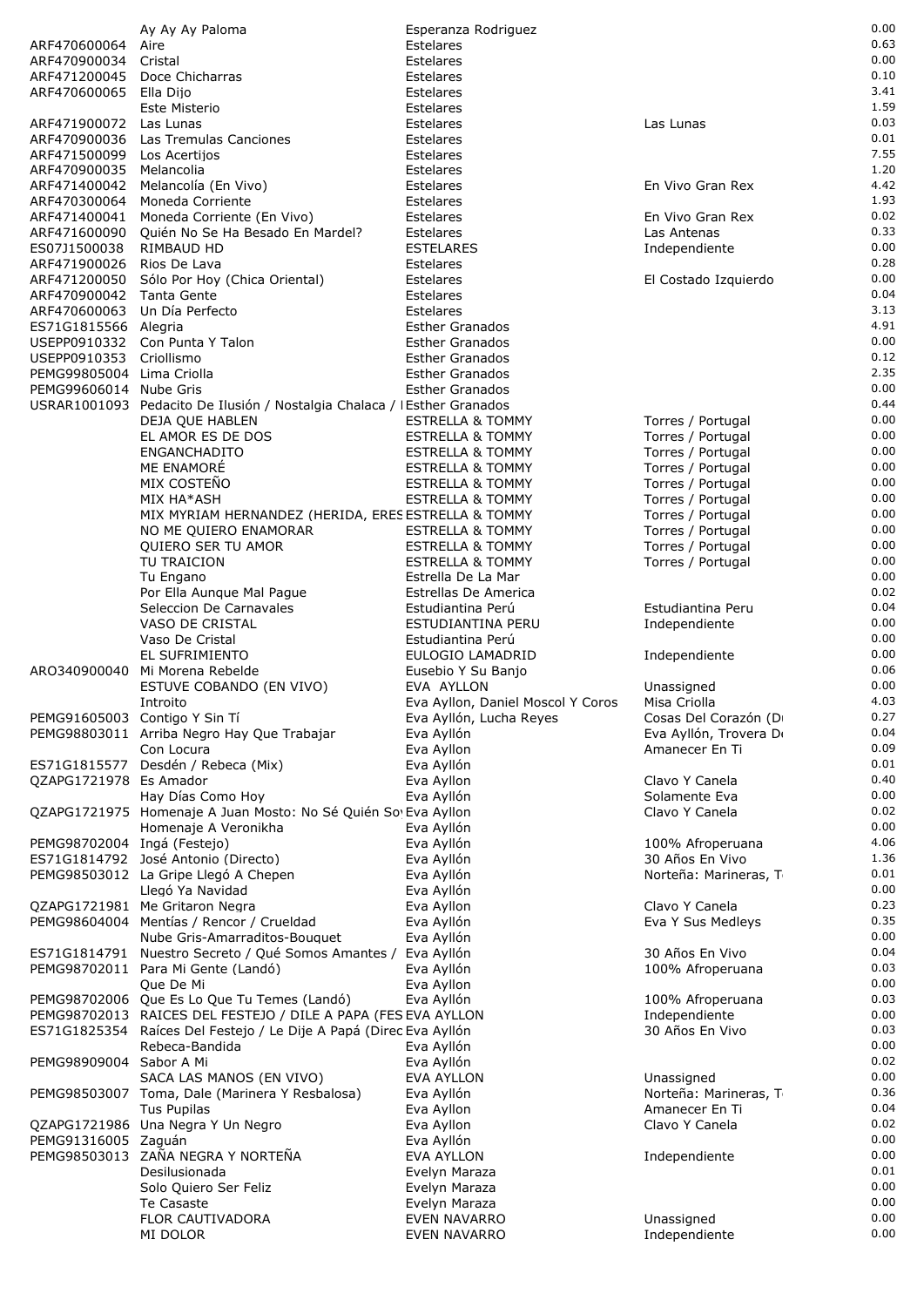|                              | Ay Ay Ay Paloma                                                                       | Esperanza Rodriguez                              |                                 | 0.00         |
|------------------------------|---------------------------------------------------------------------------------------|--------------------------------------------------|---------------------------------|--------------|
| ARF470600064                 | Aire                                                                                  | Estelares                                        |                                 | 0.63         |
| ARF470900034                 | Cristal                                                                               | Estelares                                        |                                 | 0.00         |
| ARF471200045                 | Doce Chicharras                                                                       | Estelares                                        |                                 | 0.10         |
| ARF470600065                 | Ella Dijo                                                                             | Estelares                                        |                                 | 3.41         |
|                              | Este Misterio                                                                         | Estelares                                        |                                 | 1.59         |
| ARF471900072                 | Las Lunas                                                                             | Estelares                                        | Las Lunas                       | 0.03         |
| ARF470900036                 | Las Tremulas Canciones                                                                | Estelares                                        |                                 | 0.01         |
| ARF471500099                 | Los Acertijos                                                                         | Estelares                                        |                                 | 7.55         |
| ARF470900035                 | Melancolia                                                                            | Estelares                                        |                                 | 1.20         |
| ARF471400042                 | Melancolía (En Vivo)                                                                  | Estelares                                        | En Vivo Gran Rex                | 4.42         |
| ARF470300064                 | Moneda Corriente                                                                      | Estelares                                        |                                 | 1.93         |
| ARF471400041                 | Moneda Corriente (En Vivo)                                                            | Estelares                                        | En Vivo Gran Rex                | 0.02         |
| ARF471600090                 | Quién No Se Ha Besado En Mardel?                                                      | Estelares                                        | Las Antenas                     | 0.33         |
| ES07J1500038                 | RIMBAUD HD                                                                            | <b>ESTELARES</b>                                 | Independiente                   | 0.00         |
| ARF471900026                 | Rios De Lava                                                                          | Estelares                                        |                                 | 0.28         |
| ARF471200050                 | Sólo Por Hoy (Chica Oriental)                                                         | Estelares                                        | El Costado Izquierdo            | 0.00         |
| ARF470900042                 | Tanta Gente                                                                           | Estelares                                        |                                 | 0.04         |
| ARF470600063                 | Un Día Perfecto                                                                       | Estelares                                        |                                 | 3.13         |
| ES71G1815566 Alegria         |                                                                                       | <b>Esther Granados</b>                           |                                 | 4.91<br>0.00 |
| USEPP0910332<br>USEPP0910353 | Con Punta Y Talon<br>Criollismo                                                       | <b>Esther Granados</b><br><b>Esther Granados</b> |                                 | 0.12         |
| PEMG99805004 Lima Criolla    |                                                                                       | <b>Esther Granados</b>                           |                                 | 2.35         |
| PEMG99606014 Nube Gris       |                                                                                       | <b>Esther Granados</b>                           |                                 | 0.00         |
|                              | USRAR1001093 Pedacito De Ilusión / Nostalgia Chalaca / IEsther Granados               |                                                  |                                 | 0.44         |
|                              | DEJA QUE HABLEN                                                                       | <b>ESTRELLA &amp; TOMMY</b>                      | Torres / Portugal               | 0.00         |
|                              | EL AMOR ES DE DOS                                                                     | <b>ESTRELLA &amp; TOMMY</b>                      | Torres / Portugal               | 0.00         |
|                              | <b>ENGANCHADITO</b>                                                                   | <b>ESTRELLA &amp; TOMMY</b>                      | Torres / Portugal               | 0.00         |
|                              | ME ENAMORÉ                                                                            | <b>ESTRELLA &amp; TOMMY</b>                      | Torres / Portugal               | 0.00         |
|                              | MIX COSTEÑO                                                                           | <b>ESTRELLA &amp; TOMMY</b>                      | Torres / Portugal               | 0.00         |
|                              | MIX HA*ASH                                                                            | <b>ESTRELLA &amp; TOMMY</b>                      | Torres / Portugal               | 0.00         |
|                              | MIX MYRIAM HERNANDEZ (HERIDA, ERES ESTRELLA & TOMMY                                   |                                                  | Torres / Portugal               | 0.00         |
|                              | NO ME QUIERO ENAMORAR                                                                 | <b>ESTRELLA &amp; TOMMY</b>                      | Torres / Portugal               | 0.00         |
|                              | QUIERO SER TU AMOR                                                                    | <b>ESTRELLA &amp; TOMMY</b>                      | Torres / Portugal               | 0.00         |
|                              | TU TRAICION                                                                           | <b>ESTRELLA &amp; TOMMY</b>                      | Torres / Portugal               | 0.00         |
|                              | Tu Engano                                                                             | Estrella De La Mar                               |                                 | 0.00         |
|                              | Por Ella Aunque Mal Pague                                                             | Estrellas De America                             |                                 | 0.02         |
|                              | Seleccion De Carnavales                                                               | Estudiantina Perú                                | Estudiantina Peru               | 0.04         |
|                              | VASO DE CRISTAL                                                                       | ESTUDIANTINA PERU                                | Independiente                   | 0.00         |
|                              | Vaso De Cristal                                                                       | Estudiantina Perú                                |                                 | 0.00         |
|                              | EL SUFRIMIENTO                                                                        | EULOGIO LAMADRID                                 | Independiente                   | 0.00         |
| ARO340900040                 | Mi Morena Rebelde                                                                     | Eusebio Y Su Banjo                               |                                 | 0.06         |
|                              | ESTUVE COBANDO (EN VIVO)                                                              | EVA AYLLON                                       | Unassigned                      | 0.00         |
|                              | Introito                                                                              | Eva Ayllon, Daniel Moscol Y Coros                | Misa Criolla                    | 4.03         |
|                              | PEMG91605003 Contigo Y Sin Tí                                                         | Eva Ayllón, Lucha Reyes                          | Cosas Del Corazón (D            | 0.27         |
|                              | PEMG98803011 Arriba Negro Hay Que Trabajar                                            | Eva Ayllón                                       | Eva Ayllón, Trovera D           | 0.04         |
|                              | Con Locura                                                                            | Eva Ayllon                                       | Amanecer En Ti                  | 0.09         |
| ES71G1815577                 | Desdén / Rebeca (Mix)                                                                 | Eva Ayllón                                       |                                 | 0.01         |
| QZAPG1721978 Es Amador       |                                                                                       | Eva Ayllon                                       | Clavo Y Canela                  | 0.40<br>0.00 |
|                              | Hay Días Como Hoy                                                                     | Eva Ayllón                                       | Solamente Eva<br>Clavo Y Canela | 0.02         |
|                              | QZAPG1721975 Homenaje A Juan Mosto: No Sé Quién So Eva Ayllon<br>Homenaje A Veronikha | Eva Ayllón                                       |                                 | 0.00         |
| PEMG98702004 Ingá (Festejo)  |                                                                                       | Eva Ayllón                                       | 100% Afroperuana                | 4.06         |
|                              | ES71G1814792 José Antonio (Directo)                                                   | Eva Ayllón                                       | 30 Años En Vivo                 | 1.36         |
|                              | PEMG98503012 La Gripe Llegó A Chepen                                                  | Eva Ayllón                                       | Norteña: Marineras, T           | 0.01         |
|                              | Llegó Ya Navidad                                                                      | Eva Ayllón                                       |                                 | 0.00         |
|                              | QZAPG1721981 Me Gritaron Negra                                                        | Eva Ayllon                                       | Clavo Y Canela                  | 0.23         |
|                              | PEMG98604004 Mentías / Rencor / Crueldad                                              | Eva Ayllón                                       | Eva Y Sus Medleys               | 0.35         |
|                              | Nube Gris-Amarraditos-Bouquet                                                         | Eva Ayllón                                       |                                 | 0.00         |
|                              | ES71G1814791 Nuestro Secreto / Qué Somos Amantes / Eva Ayllón                         |                                                  | 30 Años En Vivo                 | 0.04         |
|                              | PEMG98702011 Para Mi Gente (Landó)                                                    | Eva Ayllón                                       | 100% Afroperuana                | 0.03         |
|                              | Que De Mi                                                                             | Eva Ayllon                                       |                                 | 0.00         |
|                              | PEMG98702006 Que Es Lo Que Tu Temes (Landó)                                           | Eva Ayllón                                       | 100% Afroperuana                | 0.03         |
|                              | PEMG98702013 RAICES DEL FESTEJO / DILE A PAPA (FES EVA AYLLON                         |                                                  | Independiente                   | 0.00         |
|                              | ES71G1825354 Raíces Del Festejo / Le Dije A Papá (Direc Eva Ayllón                    |                                                  | 30 Años En Vivo                 | 0.03         |
|                              | Rebeca-Bandida                                                                        | Eva Ayllón                                       |                                 | 0.00         |
| PEMG98909004 Sabor A Mi      |                                                                                       | Eva Ayllón                                       |                                 | 0.02         |
|                              | SACA LAS MANOS (EN VIVO)                                                              | <b>EVA AYLLON</b>                                | Unassigned                      | 0.00         |
|                              | PEMG98503007 Toma, Dale (Marinera Y Resbalosa)                                        | Eva Ayllón                                       | Norteña: Marineras, T           | 0.36         |
|                              | <b>Tus Pupilas</b>                                                                    | Eva Ayllon                                       | Amanecer En Ti                  | 0.04         |
|                              | QZAPG1721986 Una Negra Y Un Negro                                                     | Eva Ayllon                                       | Clavo Y Canela                  | 0.02         |
| PEMG91316005 Zaguán          |                                                                                       | Eva Ayllón                                       |                                 | 0.00         |
|                              | PEMG98503013 ZAÑA NEGRA Y NORTEÑA                                                     | EVA AYLLON                                       | Independiente                   | 0.00         |
|                              | Desilusionada                                                                         | Evelyn Maraza                                    |                                 | 0.01<br>0.00 |
|                              | Solo Quiero Ser Feliz<br>Te Casaste                                                   | Evelyn Maraza<br>Evelyn Maraza                   |                                 | 0.00         |
|                              | FLOR CAUTIVADORA                                                                      | <b>EVEN NAVARRO</b>                              | Unassigned                      | 0.00         |
|                              | MI DOLOR                                                                              | <b>EVEN NAVARRO</b>                              | Independiente                   | 0.00         |
|                              |                                                                                       |                                                  |                                 |              |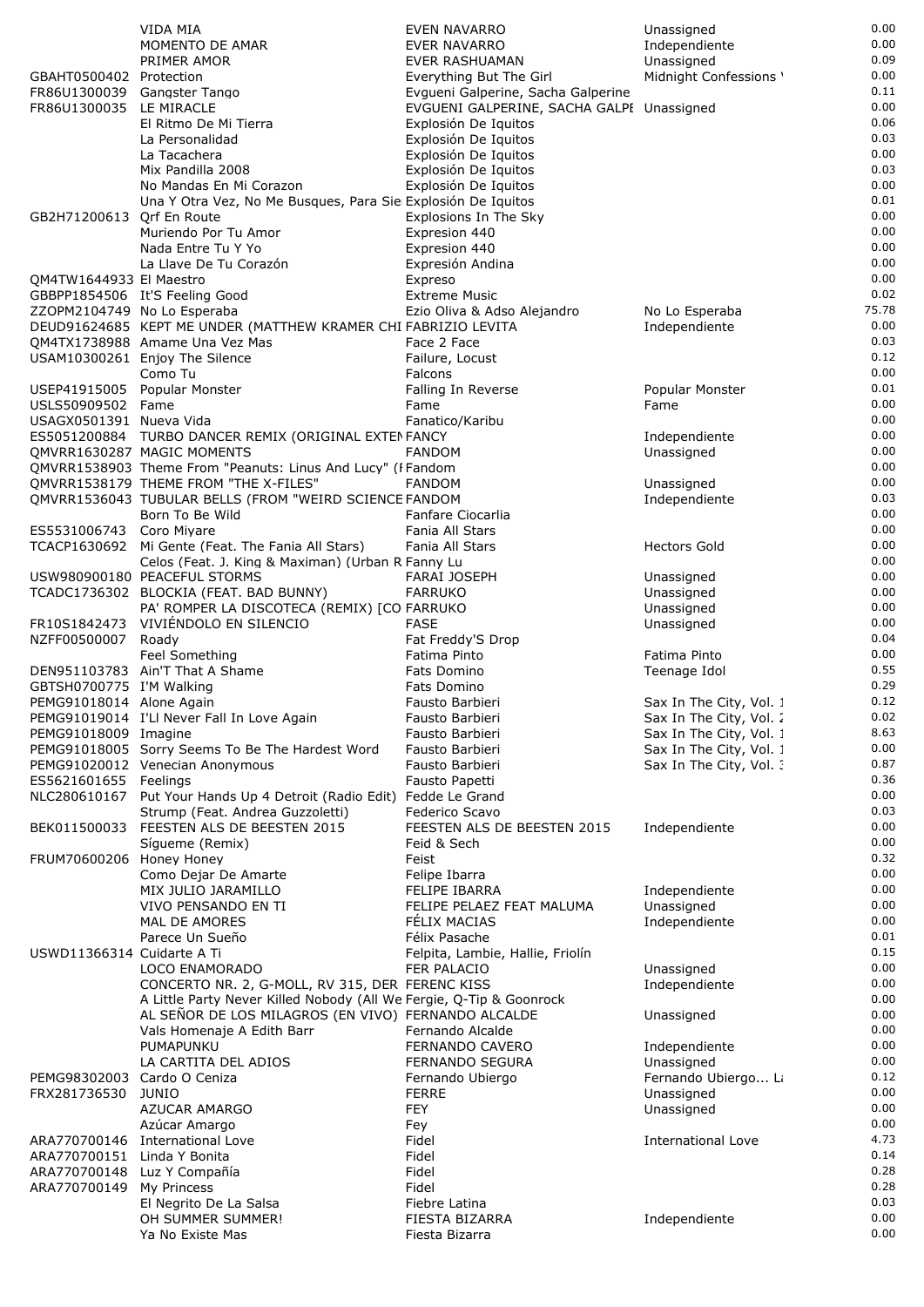|                             | <b>VIDA MIA</b>                                                     | EVEN NAVARRO                              | Unassigned              | 0.00  |
|-----------------------------|---------------------------------------------------------------------|-------------------------------------------|-------------------------|-------|
|                             | MOMENTO DE AMAR                                                     | <b>EVER NAVARRO</b>                       | Independiente           | 0.00  |
|                             | PRIMER AMOR                                                         | EVER RASHUAMAN                            |                         | 0.09  |
|                             |                                                                     |                                           | Unassigned              |       |
| GBAHT0500402 Protection     |                                                                     | Everything But The Girl                   | Midnight Confessions '  | 0.00  |
| FR86U1300039 Gangster Tango |                                                                     | Evgueni Galperine, Sacha Galperine        |                         | 0.11  |
| FR86U1300035 LE MIRACLE     |                                                                     | EVGUENI GALPERINE, SACHA GALPI Unassigned |                         | 0.00  |
|                             | El Ritmo De Mi Tierra                                               | Explosión De Iquitos                      |                         | 0.06  |
|                             | La Personalidad                                                     | Explosión De Iquitos                      |                         | 0.03  |
|                             | La Tacachera                                                        | Explosión De Iquitos                      |                         | 0.00  |
|                             | Mix Pandilla 2008                                                   | Explosión De Iquitos                      |                         | 0.03  |
|                             | No Mandas En Mi Corazon                                             | Explosión De Iquitos                      |                         | 0.00  |
|                             | Una Y Otra Vez, No Me Busques, Para Sie Explosión De Iquitos        |                                           |                         | 0.01  |
| GB2H71200613 Orf En Route   |                                                                     | Explosions In The Sky                     |                         | 0.00  |
|                             | Muriendo Por Tu Amor                                                | Expresion 440                             |                         | 0.00  |
|                             | Nada Entre Tu Y Yo                                                  | Expresion 440                             |                         | 0.00  |
|                             |                                                                     |                                           |                         | 0.00  |
|                             | La Llave De Tu Corazón                                              | Expresión Andina                          |                         | 0.00  |
| QM4TW1644933 El Maestro     |                                                                     | Expreso                                   |                         |       |
|                             | GBBPP1854506 It'S Feeling Good                                      | <b>Extreme Music</b>                      |                         | 0.02  |
| ZZOPM2104749 No Lo Esperaba |                                                                     | Ezio Oliva & Adso Alejandro               | No Lo Esperaba          | 75.78 |
|                             | DEUD91624685 KEPT ME UNDER (MATTHEW KRAMER CHI FABRIZIO LEVITA      |                                           | Independiente           | 0.00  |
|                             | QM4TX1738988 Amame Una Vez Mas                                      | Face 2 Face                               |                         | 0.03  |
|                             | USAM10300261 Enjoy The Silence                                      | Failure, Locust                           |                         | 0.12  |
|                             | Como Tu                                                             | Falcons                                   |                         | 0.00  |
|                             | USEP41915005 Popular Monster                                        | Falling In Reverse                        | Popular Monster         | 0.01  |
| USLS50909502 Fame           |                                                                     | Fame                                      | Fame                    | 0.00  |
| USAGX0501391 Nueva Vida     |                                                                     | Fanatico/Karibu                           |                         | 0.00  |
|                             |                                                                     |                                           |                         | 0.00  |
|                             | ES5051200884 TURBO DANCER REMIX (ORIGINAL EXTEN FANCY               |                                           | Independiente           |       |
|                             | OMVRR1630287 MAGIC MOMENTS                                          | <b>FANDOM</b>                             | Unassigned              | 0.00  |
|                             | QMVRR1538903 Theme From "Peanuts: Linus And Lucy" (FFandom          |                                           |                         | 0.00  |
|                             | QMVRR1538179 THEME FROM "THE X-FILES"                               | <b>FANDOM</b>                             | Unassigned              | 0.00  |
|                             | QMVRR1536043 TUBULAR BELLS (FROM "WEIRD SCIENCE FANDOM              |                                           | Independiente           | 0.03  |
|                             | Born To Be Wild                                                     | Fanfare Ciocarlia                         |                         | 0.00  |
| ES5531006743 Coro Miyare    |                                                                     | Fania All Stars                           |                         | 0.00  |
|                             | TCACP1630692 Mi Gente (Feat. The Fania All Stars)                   | Fania All Stars                           | <b>Hectors Gold</b>     | 0.00  |
|                             | Celos (Feat. J. King & Maximan) (Urban R Fanny Lu                   |                                           |                         | 0.00  |
|                             | USW980900180 PEACEFUL STORMS                                        | <b>FARAI JOSEPH</b>                       | Unassigned              | 0.00  |
|                             | TCADC1736302 BLOCKIA (FEAT. BAD BUNNY)                              | <b>FARRUKO</b>                            | Unassigned              | 0.00  |
|                             |                                                                     |                                           |                         | 0.00  |
|                             | PA' ROMPER LA DISCOTECA (REMIX) [CO FARRUKO                         |                                           | Unassigned              |       |
|                             | FR10S1842473 VIVIÉNDOLO EN SILENCIO                                 | FASE                                      | Unassigned              | 0.00  |
| NZFF00500007 Roady          |                                                                     | Fat Freddy'S Drop                         |                         | 0.04  |
|                             | Feel Something                                                      | Fatima Pinto                              | Fatima Pinto            | 0.00  |
|                             | DEN951103783 Ain'T That A Shame                                     | Fats Domino                               | Teenage Idol            | 0.55  |
| GBTSH0700775 I'M Walking    |                                                                     | Fats Domino                               |                         | 0.29  |
| PEMG91018014 Alone Again    |                                                                     | Fausto Barbieri                           | Sax In The City, Vol. 1 | 0.12  |
|                             | PEMG91019014 I'Ll Never Fall In Love Again                          | Fausto Barbieri                           | Sax In The City, Vol. 2 | 0.02  |
| PEMG91018009 Imagine        |                                                                     | Fausto Barbieri                           | Sax In The City, Vol. 1 | 8.63  |
|                             | PEMG91018005 Sorry Seems To Be The Hardest Word                     | Fausto Barbieri                           | Sax In The City, Vol. 1 | 0.00  |
|                             | PEMG91020012 Venecian Anonymous                                     | Fausto Barbieri                           | Sax In The City, Vol. : | 0.87  |
|                             |                                                                     |                                           |                         |       |
| ES5621601655 Feelings       |                                                                     | Fausto Papetti                            |                         | 0.36  |
| NLC280610167                | Put Your Hands Up 4 Detroit (Radio Edit) Fedde Le Grand             |                                           |                         | 0.00  |
|                             | Strump (Feat. Andrea Guzzoletti)                                    | Federico Scavo                            |                         | 0.03  |
|                             | BEK011500033 FEESTEN ALS DE BEESTEN 2015                            | FEESTEN ALS DE BEESTEN 2015               | Independiente           | 0.00  |
|                             | Síqueme (Remix)                                                     | Feid & Sech                               |                         | 0.00  |
| FRUM70600206 Honey Honey    |                                                                     | Feist                                     |                         | 0.32  |
|                             | Como Dejar De Amarte                                                | Felipe Ibarra                             |                         | 0.00  |
|                             | MIX JULIO JARAMILLO                                                 | <b>FELIPE IBARRA</b>                      | Independiente           | 0.00  |
|                             | VIVO PENSANDO EN TI                                                 | FELIPE PELAEZ FEAT MALUMA                 | Unassigned              | 0.00  |
|                             | MAL DE AMORES                                                       | FÉLIX MACIAS                              | Independiente           | 0.00  |
|                             | Parece Un Sueño                                                     | Félix Pasache                             |                         | 0.01  |
|                             |                                                                     |                                           |                         |       |
| USWD11366314 Cuidarte A Ti  |                                                                     | Felpita, Lambie, Hallie, Friolín          |                         | 0.15  |
|                             | LOCO ENAMORADO                                                      | FER PALACIO                               | Unassigned              | 0.00  |
|                             | CONCERTO NR. 2, G-MOLL, RV 315, DER FERENC KISS                     |                                           | Independiente           | 0.00  |
|                             | A Little Party Never Killed Nobody (All We Fergie, Q-Tip & Goonrock |                                           |                         | 0.00  |
|                             | AL SEÑOR DE LOS MILAGROS (EN VIVO) FERNANDO ALCALDE                 |                                           | Unassigned              | 0.00  |
|                             | Vals Homenaje A Edith Barr                                          | Fernando Alcalde                          |                         | 0.00  |
|                             | PUMAPUNKU                                                           | FERNANDO CAVERO                           | Independiente           | 0.00  |
|                             | LA CARTITA DEL ADIOS                                                | FERNANDO SEGURA                           | Unassigned              | 0.00  |
| PEMG98302003 Cardo O Ceniza |                                                                     | Fernando Ubiergo                          | Fernando Ubiergo Li     | 0.12  |
| FRX281736530                | <b>JUNIO</b>                                                        | <b>FERRE</b>                              | Unassigned              | 0.00  |
|                             |                                                                     | <b>FEY</b>                                |                         | 0.00  |
|                             | AZUCAR AMARGO                                                       |                                           | Unassigned              |       |
|                             | Azúcar Amargo                                                       | Fey                                       |                         | 0.00  |
|                             | ARA770700146 International Love                                     | Fidel                                     | International Love      | 4.73  |
| ARA770700151                | Linda Y Bonita                                                      | Fidel                                     |                         | 0.14  |
| ARA770700148                | Luz Y Compañía                                                      | Fidel                                     |                         | 0.28  |
| ARA770700149                | My Princess                                                         | Fidel                                     |                         | 0.28  |
|                             | El Negrito De La Salsa                                              | Fiebre Latina                             |                         | 0.03  |
|                             | OH SUMMER SUMMER!                                                   | FIESTA BIZARRA                            | Independiente           | 0.00  |
|                             | Ya No Existe Mas                                                    | Fiesta Bizarra                            |                         | 0.00  |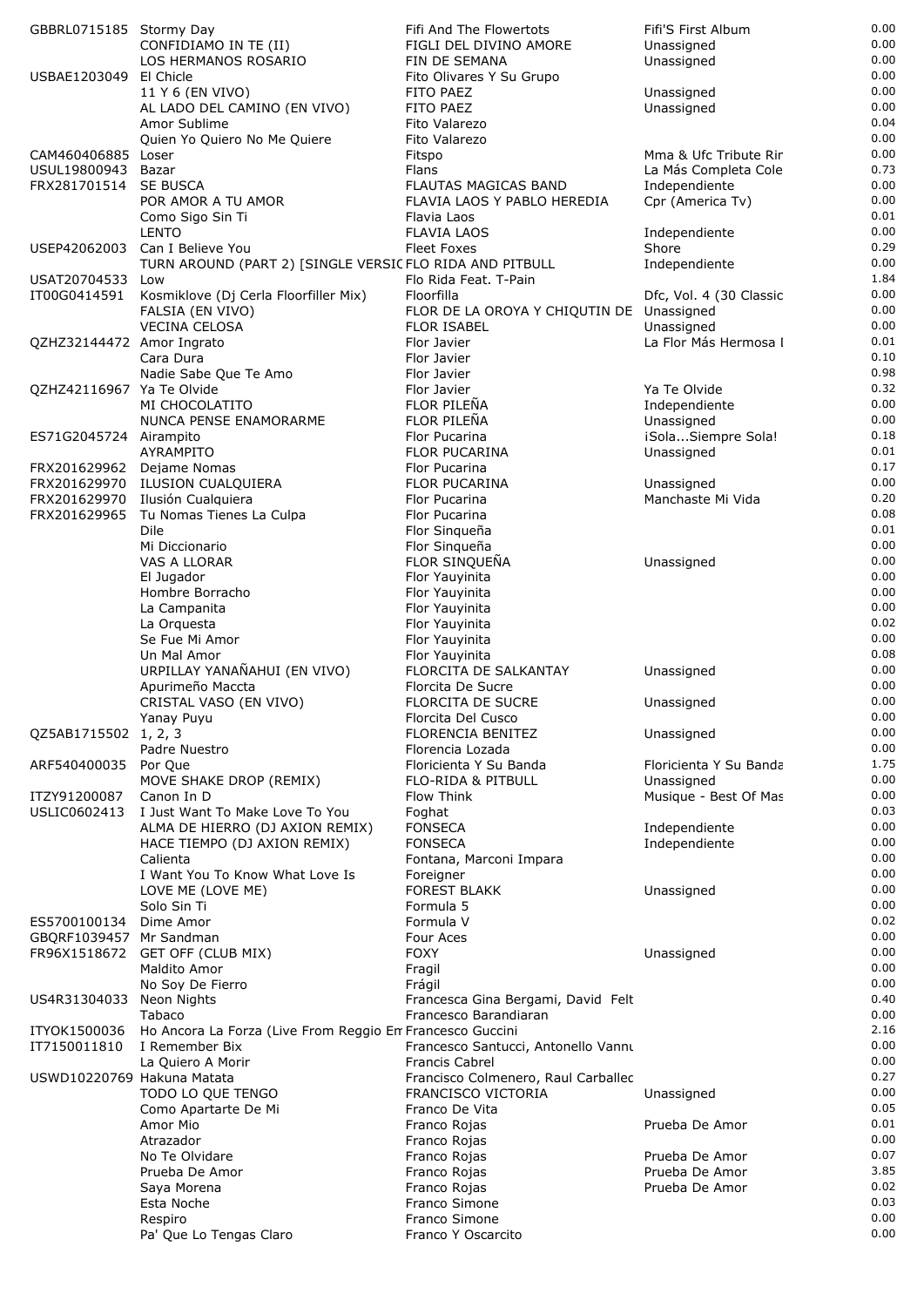| GBBRL0715185 Stormy Day                 |                                                                             | Fifi And The Flowertots                        | Fifi'S First Album                    | 0.00         |
|-----------------------------------------|-----------------------------------------------------------------------------|------------------------------------------------|---------------------------------------|--------------|
|                                         | CONFIDIAMO IN TE (II)                                                       | FIGLI DEL DIVINO AMORE                         | Unassigned                            | 0.00         |
| USBAE1203049                            | LOS HERMANOS ROSARIO<br>El Chicle                                           | FIN DE SEMANA<br>Fito Olivares Y Su Grupo      | Unassigned                            | 0.00<br>0.00 |
|                                         | 11 Y 6 (EN VIVO)                                                            | FITO PAEZ                                      | Unassigned                            | 0.00         |
|                                         | AL LADO DEL CAMINO (EN VIVO)                                                | FITO PAEZ                                      | Unassigned                            | 0.00         |
|                                         | Amor Sublime                                                                | Fito Valarezo                                  |                                       | 0.04         |
|                                         | Quien Yo Quiero No Me Quiere                                                | Fito Valarezo                                  |                                       | 0.00         |
| CAM460406885 Loser                      |                                                                             | Fitspo                                         | Mma & Ufc Tribute Rir                 | 0.00         |
| USUL19800943<br>FRX281701514            | Bazar<br><b>SE BUSCA</b>                                                    | Flans<br>FLAUTAS MAGICAS BAND                  | La Más Completa Cole<br>Independiente | 0.73<br>0.00 |
|                                         | POR AMOR A TU AMOR                                                          | FLAVIA LAOS Y PABLO HEREDIA                    | Cpr (America Tv)                      | 0.00         |
|                                         | Como Sigo Sin Ti                                                            | Flavia Laos                                    |                                       | 0.01         |
|                                         | <b>LENTO</b>                                                                | <b>FLAVIA LAOS</b>                             | Independiente                         | 0.00         |
| USEP42062003                            | Can I Believe You                                                           | <b>Fleet Foxes</b>                             | Shore                                 | 0.29         |
|                                         | TURN AROUND (PART 2) [SINGLE VERSIC FLO RIDA AND PITBULL                    |                                                | Independiente                         | 0.00<br>1.84 |
| USAT20704533<br>IT00G0414591            | Low<br>Kosmiklove (Dj Cerla Floorfiller Mix)                                | Flo Rida Feat. T-Pain<br>Floorfilla            | Dfc, Vol. 4 (30 Classic               | 0.00         |
|                                         | FALSIA (EN VIVO)                                                            | FLOR DE LA OROYA Y CHIQUTIN DE Unassigned      |                                       | 0.00         |
|                                         | <b>VECINA CELOSA</b>                                                        | <b>FLOR ISABEL</b>                             | Unassigned                            | 0.00         |
| QZHZ32144472 Amor Ingrato               |                                                                             | Flor Javier                                    | La Flor Más Hermosa I                 | 0.01         |
|                                         | Cara Dura                                                                   | Flor Javier                                    |                                       | 0.10         |
| QZHZ42116967 Ya Te Olvide               | Nadie Sabe Que Te Amo                                                       | Flor Javier                                    | Ya Te Olvide                          | 0.98<br>0.32 |
|                                         | MI CHOCOLATITO                                                              | Flor Javier<br>FLOR PILEÑA                     | Independiente                         | 0.00         |
|                                         | NUNCA PENSE ENAMORARME                                                      | FLOR PILEÑA                                    | Unassigned                            | 0.00         |
| ES71G2045724 Airampito                  |                                                                             | Flor Pucarina                                  | iSolaSiempre Sola!                    | 0.18         |
|                                         | AYRAMPITO                                                                   | <b>FLOR PUCARINA</b>                           | Unassigned                            | 0.01         |
| FRX201629962 Dejame Nomas               |                                                                             | Flor Pucarina                                  |                                       | 0.17         |
| FRX201629970                            | FRX201629970 ILUSION CUALQUIERA                                             | <b>FLOR PUCARINA</b>                           | Unassigned<br>Manchaste Mi Vida       | 0.00<br>0.20 |
| FRX201629965                            | Ilusión Cualquiera<br>Tu Nomas Tienes La Culpa                              | Flor Pucarina<br>Flor Pucarina                 |                                       | 0.08         |
|                                         | Dile                                                                        | Flor Singueña                                  |                                       | 0.01         |
|                                         | Mi Diccionario                                                              | Flor Sinqueña                                  |                                       | 0.00         |
|                                         | VAS A LLORAR                                                                | FLOR SINQUEÑA                                  | Unassigned                            | 0.00         |
|                                         | El Jugador                                                                  | Flor Yauyinita                                 |                                       | 0.00         |
|                                         | Hombre Borracho                                                             | Flor Yauyinita                                 |                                       | 0.00<br>0.00 |
|                                         | La Campanita<br>La Orquesta                                                 | Flor Yauyinita<br>Flor Yauyinita               |                                       | 0.02         |
|                                         | Se Fue Mi Amor                                                              | Flor Yauyinita                                 |                                       | 0.00         |
|                                         | Un Mal Amor                                                                 | Flor Yauyinita                                 |                                       | 0.08         |
|                                         | URPILLAY YANAÑAHUI (EN VIVO)                                                | FLORCITA DE SALKANTAY                          | Unassigned                            | 0.00         |
|                                         | Apurimeño Maccta                                                            | Florcita De Sucre                              |                                       | 0.00         |
|                                         | CRISTAL VASO (EN VIVO)<br>Yanay Puyu                                        | <b>FLORCITA DE SUCRE</b><br>Florcita Del Cusco | Unassigned                            | 0.00<br>0.00 |
| QZ5AB1715502 1, 2, 3                    |                                                                             | <b>FLORENCIA BENITEZ</b>                       | Unassigned                            | 0.00         |
|                                         | Padre Nuestro                                                               | Florencia Lozada                               |                                       | 0.00         |
| ARF540400035                            | Por Que                                                                     | Floricienta Y Su Banda                         | Floricienta Y Su Banda                | 1.75         |
|                                         | MOVE SHAKE DROP (REMIX)                                                     | FLO-RIDA & PITBULL                             | Unassigned                            | 0.00         |
| ITZY91200087                            | Canon In D                                                                  | Flow Think                                     | Musique - Best Of Mas                 | 0.00         |
| USLIC0602413                            | I Just Want To Make Love To You                                             | Foghat                                         |                                       | 0.03<br>0.00 |
|                                         | ALMA DE HIERRO (DJ AXION REMIX)<br>HACE TIEMPO (DJ AXION REMIX)             | <b>FONSECA</b><br><b>FONSECA</b>               | Independiente<br>Independiente        | 0.00         |
|                                         | Calienta                                                                    | Fontana, Marconi Impara                        |                                       | 0.00         |
|                                         | I Want You To Know What Love Is                                             | Foreigner                                      |                                       | 0.00         |
|                                         | LOVE ME (LOVE ME)                                                           | <b>FOREST BLAKK</b>                            | Unassigned                            | 0.00         |
|                                         | Solo Sin Ti                                                                 | Formula 5                                      |                                       | 0.00         |
| ES5700100134<br>GBQRF1039457 Mr Sandman | Dime Amor                                                                   | Formula V<br>Four Aces                         |                                       | 0.02<br>0.00 |
| FR96X1518672                            | GET OFF (CLUB MIX)                                                          | <b>FOXY</b>                                    | Unassigned                            | 0.00         |
|                                         | Maldito Amor                                                                | Fragil                                         |                                       | 0.00         |
|                                         | No Soy De Fierro                                                            | Frágil                                         |                                       | 0.00         |
| US4R31304033 Neon Nights                |                                                                             | Francesca Gina Bergami, David Felt             |                                       | 0.40         |
|                                         | Tabaco                                                                      | Francesco Barandiaran                          |                                       | 0.00<br>2.16 |
| ITYOK1500036<br>IT7150011810            | Ho Ancora La Forza (Live From Reggio En Francesco Guccini<br>I Remember Bix | Francesco Santucci, Antonello Vannu            |                                       | 0.00         |
|                                         | La Quiero A Morir                                                           | <b>Francis Cabrel</b>                          |                                       | 0.00         |
| USWD10220769 Hakuna Matata              |                                                                             | Francisco Colmenero, Raul Carballec            |                                       | 0.27         |
|                                         | TODO LO QUE TENGO                                                           | FRANCISCO VICTORIA                             | Unassigned                            | 0.00         |
|                                         | Como Apartarte De Mi                                                        | Franco De Vita                                 |                                       | 0.05         |
|                                         | Amor Mio                                                                    | Franco Rojas                                   | Prueba De Amor                        | 0.01         |
|                                         | Atrazador<br>No Te Olvidare                                                 | Franco Rojas<br>Franco Rojas                   | Prueba De Amor                        | 0.00<br>0.07 |
|                                         | Prueba De Amor                                                              | Franco Rojas                                   | Prueba De Amor                        | 3.85         |
|                                         | Saya Morena                                                                 | Franco Rojas                                   | Prueba De Amor                        | 0.02         |
|                                         | Esta Noche                                                                  | Franco Simone                                  |                                       | 0.03         |
|                                         | Respiro                                                                     | Franco Simone                                  |                                       | 0.00         |
|                                         | Pa' Que Lo Tengas Claro                                                     | Franco Y Oscarcito                             |                                       | 0.00         |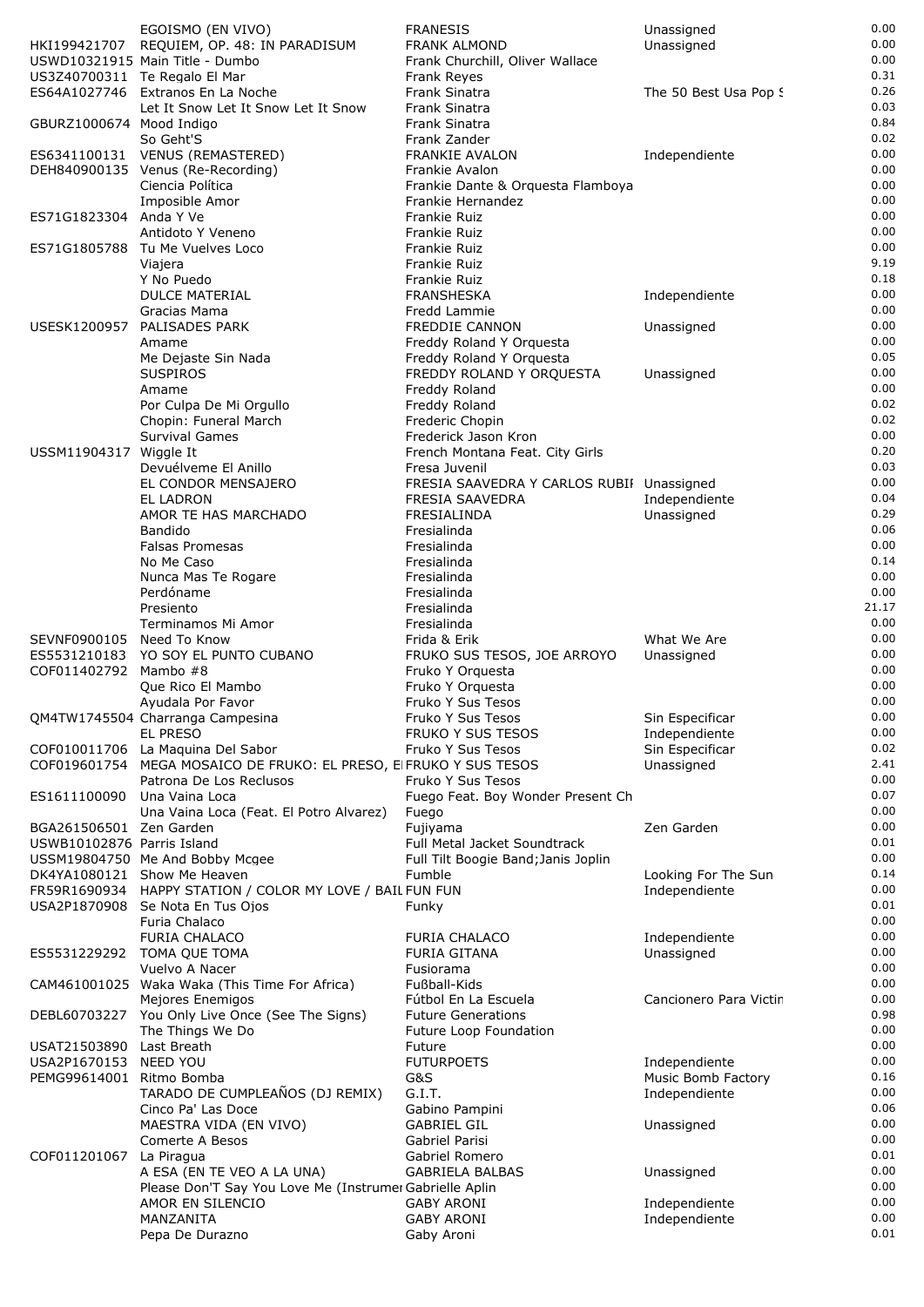|                            | EGOISMO (EN VIVO)                                                                             | <b>FRANESIS</b>                                        | Unassigned             | 0.00         |
|----------------------------|-----------------------------------------------------------------------------------------------|--------------------------------------------------------|------------------------|--------------|
|                            | HKI199421707 REQUIEM, OP. 48: IN PARADISUM                                                    | <b>FRANK ALMOND</b>                                    | Unassigned             | 0.00         |
|                            | USWD10321915 Main Title - Dumbo                                                               | Frank Churchill, Oliver Wallace                        |                        | 0.00         |
|                            | US3Z40700311 Te Regalo El Mar                                                                 | Frank Reyes                                            |                        | 0.31         |
|                            | ES64A1027746 Extranos En La Noche                                                             | Frank Sinatra                                          | The 50 Best Usa Pop !  | 0.26         |
|                            | Let It Snow Let It Snow Let It Snow                                                           | Frank Sinatra                                          |                        | 0.03         |
| GBURZ1000674 Mood Indigo   |                                                                                               | Frank Sinatra                                          |                        | 0.84         |
|                            | So Geht'S                                                                                     | Frank Zander                                           |                        | 0.02         |
|                            | ES6341100131 VENUS (REMASTERED)                                                               | <b>FRANKIE AVALON</b>                                  | Independiente          | 0.00         |
|                            | DEH840900135 Venus (Re-Recording)                                                             | Frankie Avalon                                         |                        | 0.00<br>0.00 |
|                            | Ciencia Política<br>Imposible Amor                                                            | Frankie Dante & Orquesta Flamboya<br>Frankie Hernandez |                        | 0.00         |
| ES71G1823304 Anda Y Ve     |                                                                                               | Frankie Ruiz                                           |                        | 0.00         |
|                            | Antidoto Y Veneno                                                                             | Frankie Ruiz                                           |                        | 0.00         |
|                            | ES71G1805788 Tu Me Vuelves Loco                                                               | Frankie Ruiz                                           |                        | 0.00         |
|                            | Viajera                                                                                       | Frankie Ruiz                                           |                        | 9.19         |
|                            | Y No Puedo                                                                                    | Frankie Ruiz                                           |                        | 0.18         |
|                            | <b>DULCE MATERIAL</b>                                                                         | <b>FRANSHESKA</b>                                      | Independiente          | 0.00         |
|                            | Gracias Mama                                                                                  | Fredd Lammie                                           |                        | 0.00         |
| USESK1200957               | PALISADES PARK                                                                                | <b>FREDDIE CANNON</b>                                  | Unassigned             | 0.00         |
|                            | Amame                                                                                         | Freddy Roland Y Orquesta                               |                        | 0.00         |
|                            | Me Dejaste Sin Nada                                                                           | Freddy Roland Y Orquesta                               |                        | 0.05         |
|                            | <b>SUSPIROS</b>                                                                               | FREDDY ROLAND Y ORQUESTA                               | Unassigned             | 0.00         |
|                            | Amame                                                                                         | Freddy Roland                                          |                        | 0.00         |
|                            | Por Culpa De Mi Orgullo<br>Chopin: Funeral March                                              | Freddy Roland                                          |                        | 0.02<br>0.02 |
|                            | <b>Survival Games</b>                                                                         | Frederic Chopin<br>Frederick Jason Kron                |                        | 0.00         |
| USSM11904317 Wiggle It     |                                                                                               | French Montana Feat. City Girls                        |                        | 0.20         |
|                            | Devuélveme El Anillo                                                                          | Fresa Juvenil                                          |                        | 0.03         |
|                            | EL CONDOR MENSAJERO                                                                           | FRESIA SAAVEDRA Y CARLOS RUBII Unassigned              |                        | 0.00         |
|                            | EL LADRON                                                                                     | <b>FRESIA SAAVEDRA</b>                                 | Independiente          | 0.04         |
|                            | AMOR TE HAS MARCHADO                                                                          | FRESIALINDA                                            | Unassigned             | 0.29         |
|                            | Bandido                                                                                       | Fresialinda                                            |                        | 0.06         |
|                            | <b>Falsas Promesas</b>                                                                        | Fresialinda                                            |                        | 0.00         |
|                            | No Me Caso                                                                                    | Fresialinda                                            |                        | 0.14         |
|                            | Nunca Mas Te Rogare                                                                           | Fresialinda                                            |                        | 0.00         |
|                            | Perdóname                                                                                     | Fresialinda                                            |                        | 0.00         |
|                            | Presiento                                                                                     | Fresialinda                                            |                        | 21.17        |
|                            | Terminamos Mi Amor                                                                            | Fresialinda                                            |                        | 0.00         |
| SEVNF0900105 Need To Know  |                                                                                               | Frida & Erik                                           | What We Are            | 0.00         |
| ES5531210183               | YO SOY EL PUNTO CUBANO                                                                        | FRUKO SUS TESOS, JOE ARROYO                            | Unassigned             | 0.00         |
| COF011402792               | Mambo #8                                                                                      | Fruko Y Orquesta                                       |                        | 0.00         |
|                            | Que Rico El Mambo                                                                             | Fruko Y Orquesta                                       |                        | 0.00         |
|                            | Ayudala Por Favor                                                                             | Fruko Y Sus Tesos                                      |                        | 0.00         |
|                            | QM4TW1745504 Charranga Campesina                                                              | Fruko Y Sus Tesos                                      | Sin Especificar        | 0.00         |
|                            | EL PRESO                                                                                      | FRUKO Y SUS TESOS                                      | Independiente          | 0.00<br>0.02 |
|                            | COF010011706 La Maquina Del Sabor                                                             | Fruko Y Sus Tesos                                      | Sin Especificar        | 2.41         |
|                            | COF019601754 MEGA MOSAICO DE FRUKO: EL PRESO, EI FRUKO Y SUS TESOS<br>Patrona De Los Reclusos | Fruko Y Sus Tesos                                      | Unassigned             | 0.00         |
| ES1611100090               | Una Vaina Loca                                                                                | Fuego Feat. Boy Wonder Present Ch                      |                        | 0.07         |
|                            | Una Vaina Loca (Feat. El Potro Alvarez)                                                       | Fuego                                                  |                        | 0.00         |
| BGA261506501 Zen Garden    |                                                                                               | Fujiyama                                               | Zen Garden             | 0.00         |
| USWB10102876 Parris Island |                                                                                               | Full Metal Jacket Soundtrack                           |                        | 0.01         |
|                            | USSM19804750 Me And Bobby Mcgee                                                               | Full Tilt Boogie Band; Janis Joplin                    |                        | 0.00         |
|                            | DK4YA1080121 Show Me Heaven                                                                   | Fumble                                                 | Looking For The Sun    | 0.14         |
|                            | FR59R1690934 HAPPY STATION / COLOR MY LOVE / BAIL FUN FUN                                     |                                                        | Independiente          | 0.00         |
|                            | USA2P1870908 Se Nota En Tus Ojos                                                              | Funky                                                  |                        | 0.01         |
|                            | Furia Chalaco                                                                                 |                                                        |                        | 0.00         |
|                            | <b>FURIA CHALACO</b>                                                                          | <b>FURIA CHALACO</b>                                   | Independiente          | 0.00         |
|                            | ES5531229292 TOMA QUE TOMA                                                                    | <b>FURIA GITANA</b>                                    | Unassigned             | 0.00         |
|                            | Vuelvo A Nacer                                                                                | Fusiorama                                              |                        | 0.00         |
|                            | CAM461001025 Waka Waka (This Time For Africa)                                                 | Fußball-Kids                                           |                        | 0.00         |
|                            | Mejores Enemigos                                                                              | Fútbol En La Escuela                                   | Cancionero Para Victir | 0.00         |
|                            | DEBL60703227 You Only Live Once (See The Signs)                                               | <b>Future Generations</b>                              |                        | 0.98<br>0.00 |
| USAT21503890 Last Breath   | The Things We Do                                                                              | Future Loop Foundation                                 |                        | 0.00         |
| USA2P1670153               |                                                                                               |                                                        |                        |              |
|                            |                                                                                               | Future                                                 |                        |              |
|                            | <b>NEED YOU</b>                                                                               | <b>FUTURPOETS</b>                                      | Independiente          | 0.00         |
|                            | PEMG99614001 Ritmo Bomba                                                                      | G&S                                                    | Music Bomb Factory     | 0.16         |
|                            | TARADO DE CUMPLEAÑOS (DJ REMIX)                                                               | G.I.T.                                                 | Independiente          | 0.00<br>0.06 |
|                            | Cinco Pa' Las Doce                                                                            | Gabino Pampini<br><b>GABRIEL GIL</b>                   |                        | 0.00         |
|                            | MAESTRA VIDA (EN VIVO)<br>Comerte A Besos                                                     | Gabriel Parisi                                         | Unassigned             | 0.00         |
| COF011201067               | La Piragua                                                                                    | Gabriel Romero                                         |                        | 0.01         |
|                            | A ESA (EN TE VEO A LA UNA)                                                                    | <b>GABRIELA BALBAS</b>                                 | Unassigned             | 0.00         |
|                            | Please Don'T Say You Love Me (Instrumer Gabrielle Aplin                                       |                                                        |                        | 0.00         |
|                            | AMOR EN SILENCIO                                                                              | <b>GABY ARONI</b>                                      | Independiente          | 0.00         |
|                            | MANZANITA<br>Pepa De Durazno                                                                  | <b>GABY ARONI</b><br>Gaby Aroni                        | Independiente          | 0.00<br>0.01 |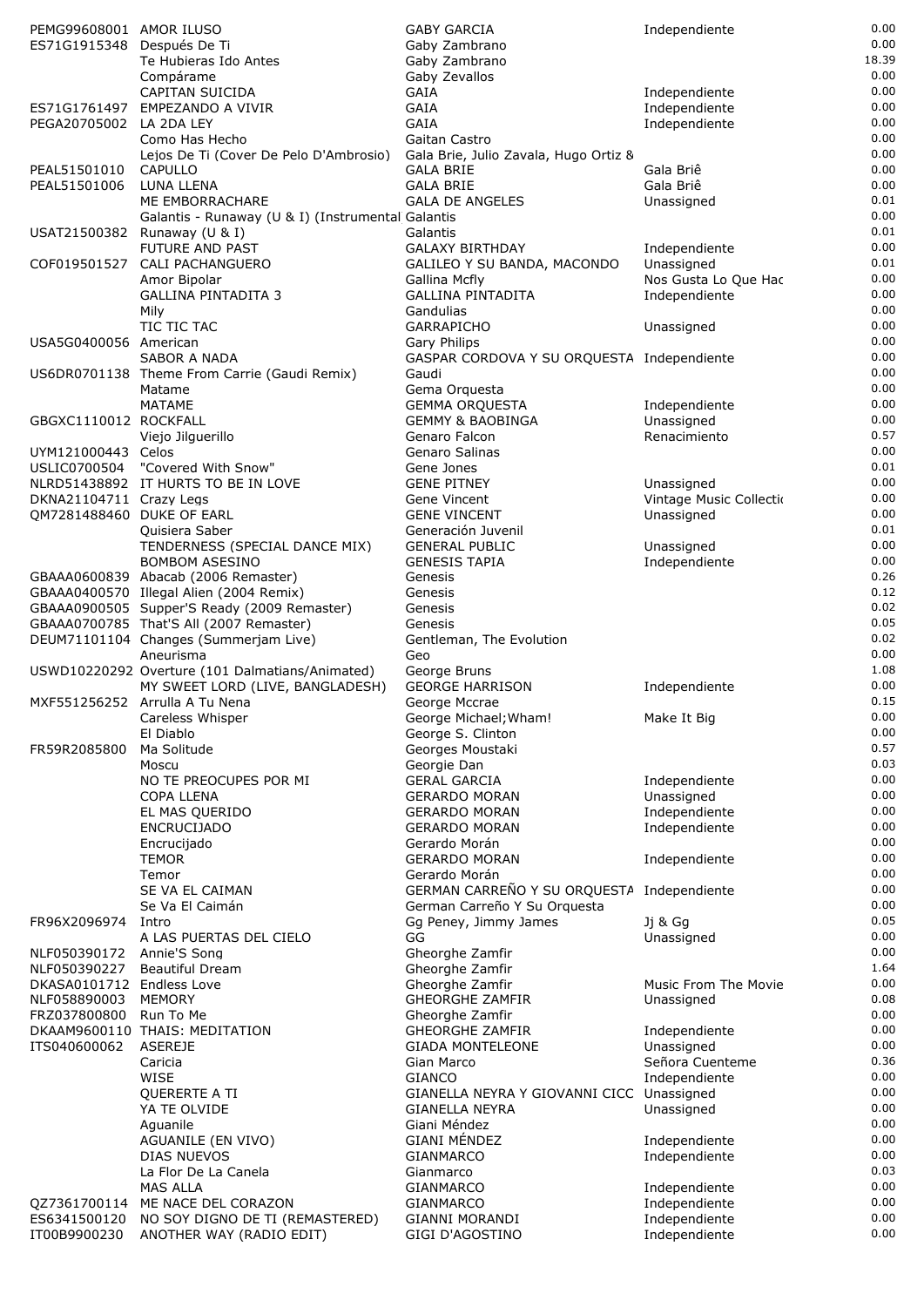| PEMG99608001 AMOR ILUSO                 |                                                   | <b>GABY GARCIA</b>                           | Independiente                  | 0.00         |
|-----------------------------------------|---------------------------------------------------|----------------------------------------------|--------------------------------|--------------|
| ES71G1915348 Después De Ti              |                                                   | Gaby Zambrano                                |                                | 0.00         |
|                                         | Te Hubieras Ido Antes                             | Gaby Zambrano                                |                                | 18.39        |
|                                         | Compárame                                         | Gaby Zevallos                                |                                | 0.00         |
|                                         | CAPITAN SUICIDA                                   | GAIA                                         | Independiente                  | 0.00<br>0.00 |
| ES71G1761497<br>PEGA20705002 LA 2DA LEY | EMPEZANDO A VIVIR                                 | GAIA<br>GAIA                                 | Independiente<br>Independiente | 0.00         |
|                                         | Como Has Hecho                                    | Gaitan Castro                                |                                | 0.00         |
|                                         | Lejos De Ti (Cover De Pelo D'Ambrosio)            | Gala Brie, Julio Zavala, Hugo Ortiz 8        |                                | 0.00         |
| PEAL51501010                            | CAPULLO                                           | <b>GALA BRIE</b>                             | Gala Briê                      | 0.00         |
| PEAL51501006                            | LUNA LLENA                                        | <b>GALA BRIE</b>                             | Gala Briê                      | 0.00         |
|                                         | ME EMBORRACHARE                                   | <b>GALA DE ANGELES</b>                       | Unassigned                     | 0.01         |
|                                         | Galantis - Runaway (U & I) (Instrumental Galantis |                                              |                                | 0.00         |
|                                         | USAT21500382 Runaway (U & I)                      | Galantis                                     |                                | 0.01         |
|                                         | <b>FUTURE AND PAST</b>                            | <b>GALAXY BIRTHDAY</b>                       | Independiente                  | 0.00         |
| COF019501527                            | CALI PACHANGUERO                                  | GALILEO Y SU BANDA, MACONDO                  | Unassigned                     | 0.01         |
|                                         | Amor Bipolar                                      | Gallina Mcfly                                | Nos Gusta Lo Que Hac           | 0.00         |
|                                         | <b>GALLINA PINTADITA 3</b>                        | <b>GALLINA PINTADITA</b>                     | Independiente                  | 0.00         |
|                                         | Mily                                              | Gandulias                                    |                                | 0.00         |
|                                         | TIC TIC TAC                                       | <b>GARRAPICHO</b>                            | Unassigned                     | 0.00         |
| USA5G0400056 American                   |                                                   | Gary Philips                                 |                                | 0.00         |
|                                         | <b>SABOR A NADA</b>                               | GASPAR CORDOVA Y SU ORQUESTA Independiente   |                                | 0.00         |
|                                         | US6DR0701138 Theme From Carrie (Gaudi Remix)      | Gaudi                                        |                                | 0.00         |
|                                         | Matame                                            | Gema Orquesta                                |                                | 0.00         |
|                                         | <b>MATAME</b>                                     | <b>GEMMA ORQUESTA</b>                        | Independiente                  | 0.00         |
| GBGXC1110012 ROCKFALL                   |                                                   | <b>GEMMY &amp; BAOBINGA</b>                  | Unassigned                     | 0.00<br>0.57 |
|                                         | Viejo Jilguerillo                                 | Genaro Falcon                                | Renacimiento                   | 0.00         |
| UYM121000443 Celos                      | USLIC0700504 "Covered With Snow"                  | Genaro Salinas                               |                                | 0.01         |
|                                         | NLRD51438892 IT HURTS TO BE IN LOVE               | Gene Jones<br><b>GENE PITNEY</b>             | Unassigned                     | 0.00         |
| DKNA21104711 Crazy Legs                 |                                                   | Gene Vincent                                 | Vintage Music Collectio        | 0.00         |
| QM7281488460 DUKE OF EARL               |                                                   | <b>GENE VINCENT</b>                          | Unassigned                     | 0.00         |
|                                         | Quisiera Saber                                    | Generación Juvenil                           |                                | 0.01         |
|                                         | TENDERNESS (SPECIAL DANCE MIX)                    | <b>GENERAL PUBLIC</b>                        | Unassigned                     | 0.00         |
|                                         | <b>BOMBOM ASESINO</b>                             | <b>GENESIS TAPIA</b>                         | Independiente                  | 0.00         |
|                                         | GBAAA0600839 Abacab (2006 Remaster)               | Genesis                                      |                                | 0.26         |
|                                         | GBAAA0400570 Illegal Alien (2004 Remix)           | Genesis                                      |                                | 0.12         |
|                                         | GBAAA0900505 Supper'S Ready (2009 Remaster)       | Genesis                                      |                                | 0.02         |
|                                         | GBAAA0700785 That'S All (2007 Remaster)           | Genesis                                      |                                | 0.05         |
|                                         | DEUM71101104 Changes (Summerjam Live)             | Gentleman, The Evolution                     |                                | 0.02         |
|                                         | Aneurisma                                         | Geo                                          |                                | 0.00         |
|                                         | USWD10220292 Overture (101 Dalmatians/Animated)   | George Bruns                                 |                                | 1.08         |
|                                         | MY SWEET LORD (LIVE, BANGLADESH)                  | <b>GEORGE HARRISON</b>                       | Independiente                  | 0.00         |
|                                         | MXF551256252 Arrulla A Tu Nena                    | George Mccrae                                |                                | 0.15         |
|                                         | Careless Whisper                                  | George Michael; Wham!                        | Make It Big                    | 0.00         |
|                                         | El Diablo                                         | George S. Clinton                            |                                | 0.00         |
| FR59R2085800                            | Ma Solitude                                       | Georges Moustaki                             |                                | 0.57         |
|                                         | Moscu                                             | Georgie Dan                                  |                                | 0.03<br>0.00 |
|                                         | NO TE PREOCUPES POR MI                            | <b>GERAL GARCIA</b>                          | Independiente                  | 0.00         |
|                                         | <b>COPA LLENA</b>                                 | <b>GERARDO MORAN</b><br><b>GERARDO MORAN</b> | Unassigned                     | 0.00         |
|                                         | EL MAS QUERIDO<br><b>ENCRUCIJADO</b>              | <b>GERARDO MORAN</b>                         | Independiente<br>Independiente | 0.00         |
|                                         | Encrucijado                                       | Gerardo Morán                                |                                | 0.00         |
|                                         | <b>TEMOR</b>                                      | <b>GERARDO MORAN</b>                         | Independiente                  | 0.00         |
|                                         | Temor                                             | Gerardo Morán                                |                                | 0.00         |
|                                         | SE VA EL CAIMAN                                   | GERMAN CARREÑO Y SU ORQUESTA                 | Independiente                  | 0.00         |
|                                         | Se Va El Caimán                                   | German Carreño Y Su Orquesta                 |                                | 0.00         |
| FR96X2096974                            | Intro                                             | Gq Peney, Jimmy James                        | Jj & Gg                        | 0.05         |
|                                         | A LAS PUERTAS DEL CIELO                           | GG                                           | Unassigned                     | 0.00         |
| NLF050390172                            | Annie'S Song                                      | Gheorghe Zamfir                              |                                | 0.00         |
| NLF050390227                            | <b>Beautiful Dream</b>                            | Gheorghe Zamfir                              |                                | 1.64         |
| DKASA0101712 Endless Love               |                                                   | Gheorghe Zamfir                              | Music From The Movie           | 0.00         |
| NLF058890003                            | <b>MEMORY</b>                                     | <b>GHEORGHE ZAMFIR</b>                       | Unassigned                     | 0.08         |
| FRZ037800800                            | Run To Me                                         | Gheorghe Zamfir                              |                                | 0.00         |
|                                         | DKAAM9600110 THAIS: MEDITATION                    | <b>GHEORGHE ZAMFIR</b>                       | Independiente                  | 0.00         |
| ITS040600062                            | <b>ASEREJE</b>                                    | <b>GIADA MONTELEONE</b>                      | Unassigned                     | 0.00         |
|                                         | Caricia                                           | Gian Marco                                   | Señora Cuenteme                | 0.36         |
|                                         | <b>WISE</b>                                       | <b>GIANCO</b>                                | Independiente                  | 0.00         |
|                                         | QUERERTE A TI                                     | GIANELLA NEYRA Y GIOVANNI CICC Unassigned    |                                | 0.00         |
|                                         | YA TE OLVIDE                                      | <b>GIANELLA NEYRA</b>                        | Unassigned                     | 0.00         |
|                                         | Aquanile                                          | Giani Méndez                                 |                                | 0.00<br>0.00 |
|                                         | AGUANILE (EN VIVO)<br><b>DIAS NUEVOS</b>          | <b>GIANI MÉNDEZ</b>                          | Independiente                  | 0.00         |
|                                         | La Flor De La Canela                              | <b>GIANMARCO</b><br>Gianmarco                | Independiente                  | 0.03         |
|                                         | <b>MAS ALLA</b>                                   | <b>GIANMARCO</b>                             | Independiente                  | 0.00         |
| QZ7361700114                            | ME NACE DEL CORAZON                               | <b>GIANMARCO</b>                             | Independiente                  | 0.00         |
| ES6341500120                            | NO SOY DIGNO DE TI (REMASTERED)                   | <b>GIANNI MORANDI</b>                        | Independiente                  | 0.00         |
| IT00B9900230                            | ANOTHER WAY (RADIO EDIT)                          | GIGI D'AGOSTINO                              | Independiente                  | 0.00         |
|                                         |                                                   |                                              |                                |              |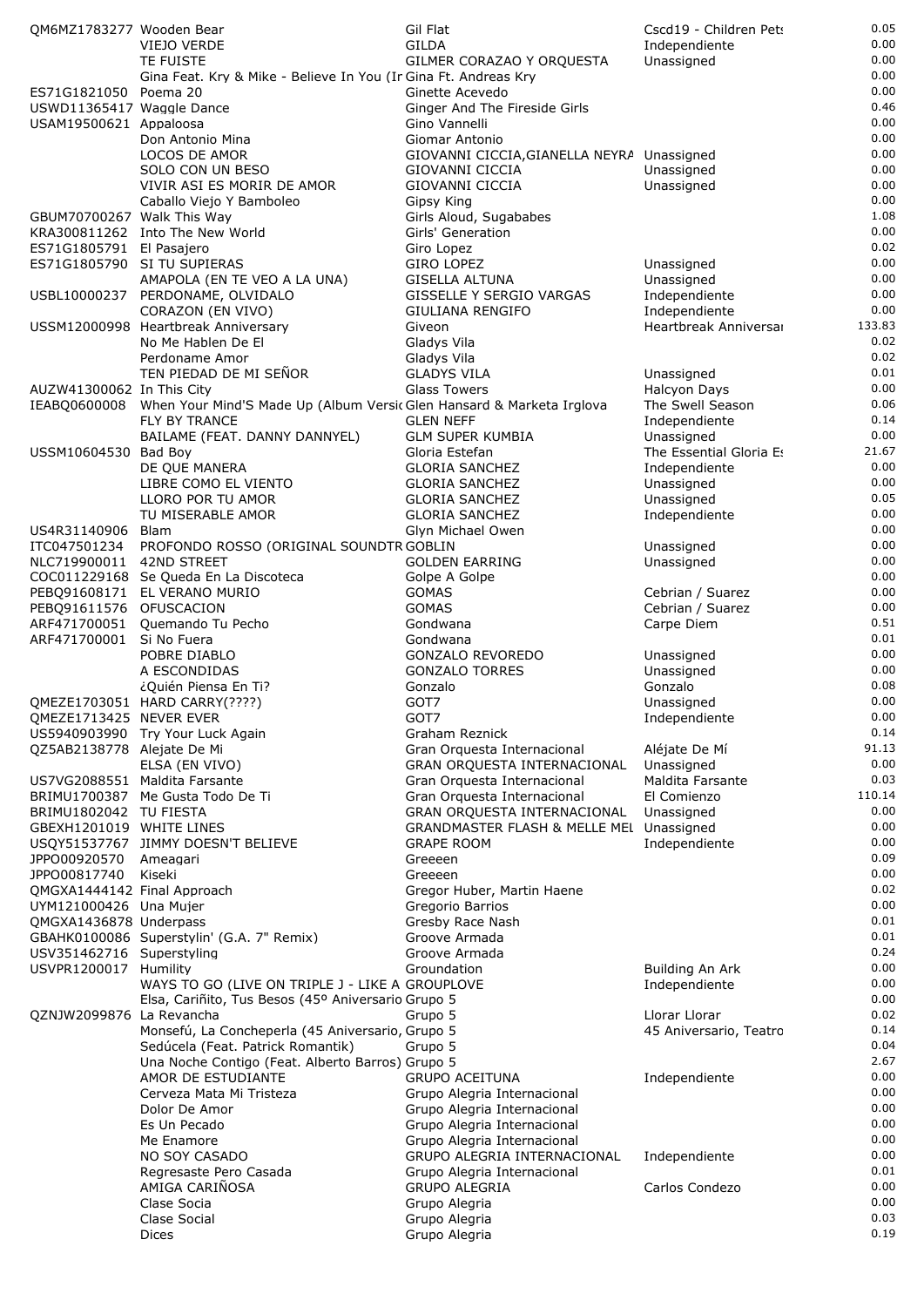| OM6MZ1783277 Wooden Bear    |                                                                                    | Gil Flat                                   | Cscd19 - Children Pet:  | 0.05   |
|-----------------------------|------------------------------------------------------------------------------------|--------------------------------------------|-------------------------|--------|
|                             | VIEJO VERDE                                                                        | <b>GILDA</b>                               | Independiente           | 0.00   |
|                             | TE FUISTE                                                                          | GILMER CORAZAO Y ORQUESTA                  | Unassigned              | 0.00   |
|                             | Gina Feat. Kry & Mike - Believe In You (In Gina Ft. Andreas Kry                    |                                            |                         | 0.00   |
| ES71G1821050 Poema 20       |                                                                                    | Ginette Acevedo                            |                         | 0.00   |
| USWD11365417 Waggle Dance   |                                                                                    | Ginger And The Fireside Girls              |                         | 0.46   |
| USAM19500621 Appaloosa      |                                                                                    | Gino Vannelli                              |                         | 0.00   |
|                             | Don Antonio Mina                                                                   | Giomar Antonio                             |                         | 0.00   |
|                             | LOCOS DE AMOR                                                                      | GIOVANNI CICCIA, GIANELLA NEYRA Unassigned |                         | 0.00   |
|                             | SOLO CON UN BESO                                                                   | GIOVANNI CICCIA                            | Unassigned              | 0.00   |
|                             | VIVIR ASI ES MORIR DE AMOR                                                         | GIOVANNI CICCIA                            | Unassigned              | 0.00   |
|                             | Caballo Viejo Y Bamboleo                                                           | Gipsy King                                 |                         | 0.00   |
| GBUM70700267 Walk This Way  |                                                                                    | Girls Aloud, Sugababes                     |                         | 1.08   |
|                             | KRA300811262 Into The New World                                                    | Girls' Generation                          |                         | 0.00   |
| ES71G1805791 El Pasajero    |                                                                                    | Giro Lopez                                 |                         | 0.02   |
|                             | ES71G1805790 SI TU SUPIERAS                                                        | <b>GIRO LOPEZ</b>                          | Unassigned              | 0.00   |
|                             | AMAPOLA (EN TE VEO A LA UNA)                                                       | <b>GISELLA ALTUNA</b>                      | Unassigned              | 0.00   |
|                             | USBL10000237 PERDONAME, OLVIDALO                                                   | GISSELLE Y SERGIO VARGAS                   | Independiente           | 0.00   |
|                             | CORAZON (EN VIVO)                                                                  | GIULIANA RENGIFO                           | Independiente           | 0.00   |
|                             | USSM12000998 Heartbreak Anniversary                                                | Giveon                                     | Heartbreak Anniversal   | 133.83 |
|                             | No Me Hablen De El                                                                 | Gladys Vila                                |                         | 0.02   |
|                             | Perdoname Amor                                                                     | Gladys Vila                                |                         | 0.02   |
|                             | TEN PIEDAD DE MI SEÑOR                                                             | <b>GLADYS VILA</b>                         | Unassigned              | 0.01   |
| AUZW41300062 In This City   |                                                                                    | <b>Glass Towers</b>                        | Halcyon Days            | 0.00   |
|                             |                                                                                    |                                            | The Swell Season        | 0.06   |
|                             | IEABQ0600008 When Your Mind'S Made Up (Album Versic Glen Hansard & Marketa Irglova |                                            |                         |        |
|                             | <b>FLY BY TRANCE</b>                                                               | <b>GLEN NEFF</b>                           | Independiente           | 0.14   |
|                             | BAILAME (FEAT. DANNY DANNYEL)                                                      | <b>GLM SUPER KUMBIA</b>                    | Unassigned              | 0.00   |
| USSM10604530 Bad Boy        |                                                                                    | Gloria Estefan                             | The Essential Gloria Es | 21.67  |
|                             | DE QUE MANERA                                                                      | <b>GLORIA SANCHEZ</b>                      | Independiente           | 0.00   |
|                             | LIBRE COMO EL VIENTO                                                               | <b>GLORIA SANCHEZ</b>                      | Unassigned              | 0.00   |
|                             | LLORO POR TU AMOR                                                                  | <b>GLORIA SANCHEZ</b>                      | Unassigned              | 0.05   |
|                             | TU MISERABLE AMOR                                                                  | <b>GLORIA SANCHEZ</b>                      | Independiente           | 0.00   |
| US4R31140906                | Blam                                                                               | Glyn Michael Owen                          |                         | 0.00   |
| ITC047501234                | PROFONDO ROSSO (ORIGINAL SOUNDTR GOBLIN                                            |                                            | Unassigned              | 0.00   |
| NLC719900011                | 42ND STREET                                                                        | <b>GOLDEN EARRING</b>                      | Unassigned              | 0.00   |
|                             | COC011229168 Se Queda En La Discoteca                                              | Golpe A Golpe                              |                         | 0.00   |
|                             | PEBQ91608171 EL VERANO MURIO                                                       | <b>GOMAS</b>                               | Cebrian / Suarez        | 0.00   |
| PEBQ91611576 OFUSCACION     |                                                                                    | <b>GOMAS</b>                               | Cebrian / Suarez        | 0.00   |
| ARF471700051                | Quemando Tu Pecho                                                                  | Gondwana                                   | Carpe Diem              | 0.51   |
| ARF471700001                | Si No Fuera                                                                        | Gondwana                                   |                         | 0.01   |
|                             | POBRE DIABLO                                                                       | GONZALO REVOREDO                           | Unassigned              | 0.00   |
|                             | A ESCONDIDAS                                                                       | <b>GONZALO TORRES</b>                      | Unassigned              | 0.00   |
|                             |                                                                                    |                                            |                         | 0.08   |
|                             | ¿Quién Piensa En Ti?                                                               | Gonzalo                                    | Gonzalo                 |        |
|                             | QMEZE1703051 HARD CARRY(????)                                                      | GOT7                                       | Unassigned              | 0.00   |
| QMEZE1/13425 NEVER EVER     |                                                                                    | GOT /                                      | Independiente           | 0.00   |
|                             | US5940903990 Try Your Luck Again                                                   | Graham Reznick                             |                         | 0.14   |
| QZ5AB2138778 Alejate De Mi  |                                                                                    | Gran Orquesta Internacional                | Aléjate De Mí           | 91.13  |
|                             | ELSA (EN VIVO)                                                                     | GRAN ORQUESTA INTERNACIONAL                | Unassigned              | 0.00   |
|                             | US7VG2088551 Maldita Farsante                                                      | Gran Orquesta Internacional                | <b>Maldita Farsante</b> | 0.03   |
|                             | BRIMU1700387 Me Gusta Todo De Ti                                                   | Gran Orquesta Internacional                | El Comienzo             | 110.14 |
| BRIMU1802042 TU FIESTA      |                                                                                    | GRAN ORQUESTA INTERNACIONAL                | Unassigned              | 0.00   |
| GBEXH1201019 WHITE LINES    |                                                                                    | GRANDMASTER FLASH & MELLE MEL Unassigned   |                         | 0.00   |
|                             | USQY51537767 JIMMY DOESN'T BELIEVE                                                 | <b>GRAPE ROOM</b>                          | Independiente           | 0.00   |
| JPPO00920570                | Ameagari                                                                           | Greeeen                                    |                         | 0.09   |
| JPPO00817740                | Kiseki                                                                             | Greeeen                                    |                         | 0.00   |
| OMGXA1444142 Final Approach |                                                                                    | Gregor Huber, Martin Haene                 |                         | 0.02   |
| UYM121000426 Una Mujer      |                                                                                    | Gregorio Barrios                           |                         | 0.00   |
| QMGXA1436878 Underpass      |                                                                                    | Gresby Race Nash                           |                         | 0.01   |
|                             | GBAHK0100086 Superstylin' (G.A. 7" Remix)                                          | Groove Armada                              |                         | 0.01   |
| USV351462716 Superstyling   |                                                                                    | Groove Armada                              |                         | 0.24   |
| USVPR1200017 Humility       |                                                                                    | Groundation                                | Building An Ark         | 0.00   |
|                             | WAYS TO GO (LIVE ON TRIPLE J - LIKE A GROUPLOVE                                    |                                            | Independiente           | 0.00   |
|                             | Elsa, Cariñito, Tus Besos (45º Aniversario Grupo 5                                 |                                            |                         | 0.00   |
| QZNJW2099876 La Revancha    |                                                                                    | Grupo 5                                    | Llorar Llorar           | 0.02   |
|                             | Monsefú, La Concheperla (45 Aniversario, Grupo 5                                   |                                            |                         | 0.14   |
|                             |                                                                                    |                                            | 45 Aniversario, Teatro  | 0.04   |
|                             | Sedúcela (Feat. Patrick Romantik)                                                  | Grupo 5                                    |                         |        |
|                             | Una Noche Contigo (Feat. Alberto Barros) Grupo 5                                   |                                            |                         | 2.67   |
|                             | AMOR DE ESTUDIANTE                                                                 | <b>GRUPO ACEITUNA</b>                      | Independiente           | 0.00   |
|                             | Cerveza Mata Mi Tristeza                                                           | Grupo Alegria Internacional                |                         | 0.00   |
|                             | Dolor De Amor                                                                      | Grupo Alegria Internacional                |                         | 0.00   |
|                             | Es Un Pecado                                                                       | Grupo Alegria Internacional                |                         | 0.00   |
|                             | Me Enamore                                                                         | Grupo Alegria Internacional                |                         | 0.00   |
|                             | NO SOY CASADO                                                                      | GRUPO ALEGRIA INTERNACIONAL                | Independiente           | 0.00   |
|                             | Regresaste Pero Casada                                                             | Grupo Alegria Internacional                |                         | 0.01   |
|                             | AMIGA CARIÑOSA                                                                     | <b>GRUPO ALEGRIA</b>                       | Carlos Condezo          | 0.00   |
|                             | Clase Socia                                                                        | Grupo Alegria                              |                         | 0.00   |
|                             | Clase Social                                                                       | Grupo Alegria                              |                         | 0.03   |
|                             | <b>Dices</b>                                                                       | Grupo Alegria                              |                         | 0.19   |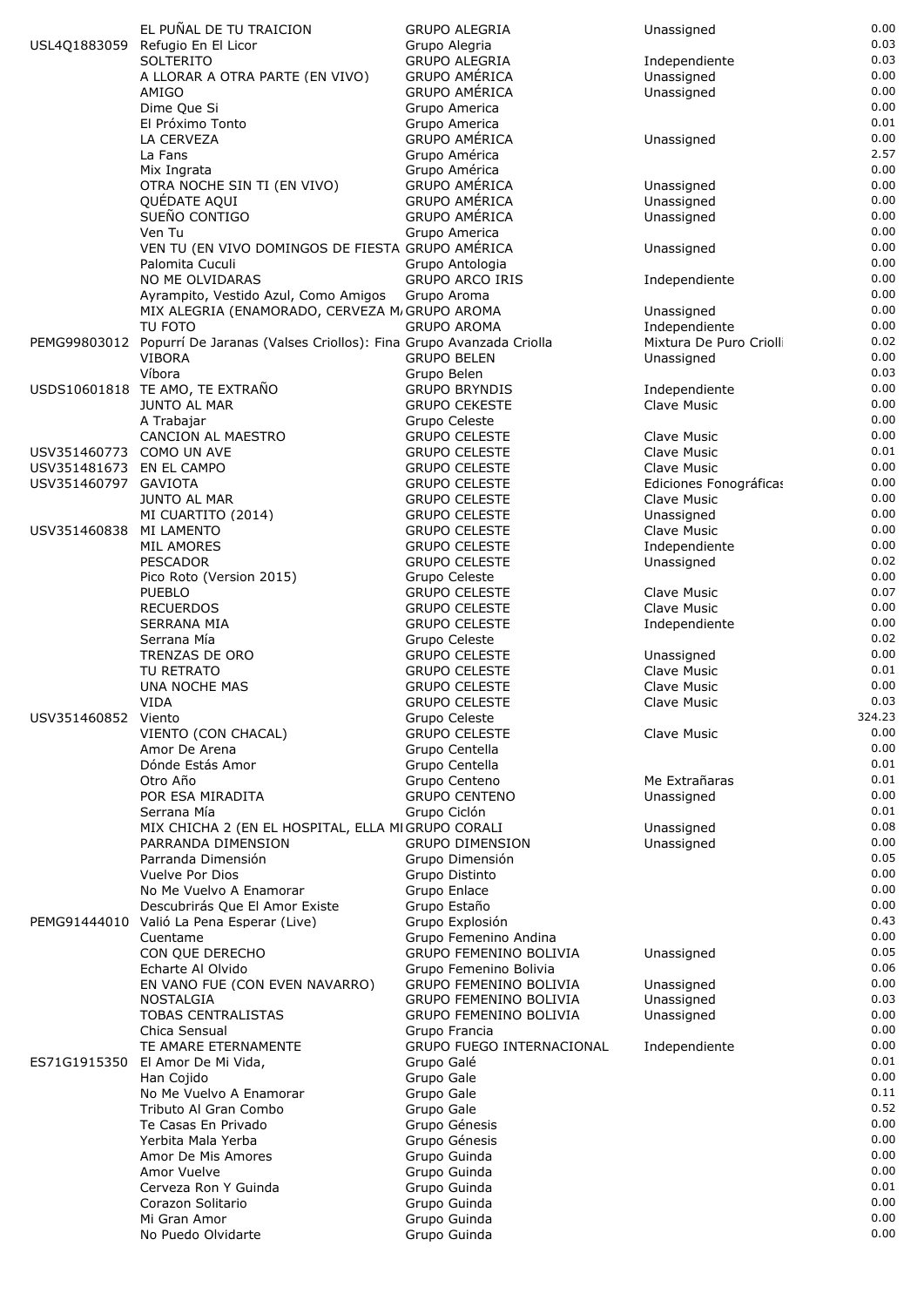|                          | EL PUÑAL DE TU TRAICION                                                        | <b>GRUPO ALEGRIA</b>                                   | Unassigned                   | 0.00         |
|--------------------------|--------------------------------------------------------------------------------|--------------------------------------------------------|------------------------------|--------------|
|                          | USL4Q1883059 Refugio En El Licor                                               | Grupo Alegria                                          |                              | 0.03         |
|                          | <b>SOLTERITO</b>                                                               | <b>GRUPO ALEGRIA</b>                                   | Independiente                | 0.03         |
|                          | A LLORAR A OTRA PARTE (EN VIVO)                                                | <b>GRUPO AMÉRICA</b>                                   | Unassigned                   | 0.00         |
|                          | AMIGO                                                                          | <b>GRUPO AMÉRICA</b>                                   | Unassigned                   | 0.00<br>0.00 |
|                          | Dime Que Si<br>El Próximo Tonto                                                | Grupo America<br>Grupo America                         |                              | 0.01         |
|                          | LA CERVEZA                                                                     | <b>GRUPO AMÉRICA</b>                                   | Unassigned                   | 0.00         |
|                          | La Fans                                                                        | Grupo América                                          |                              | 2.57         |
|                          | Mix Ingrata                                                                    | Grupo América                                          |                              | 0.00         |
|                          | OTRA NOCHE SIN TI (EN VIVO)                                                    | <b>GRUPO AMÉRICA</b>                                   | Unassigned                   | 0.00         |
|                          | QUÉDATE AQUI                                                                   | <b>GRUPO AMÉRICA</b>                                   | Unassigned                   | 0.00         |
|                          | SUEÑO CONTIGO                                                                  | <b>GRUPO AMÉRICA</b>                                   | Unassigned                   | 0.00         |
|                          | Ven Tu                                                                         | Grupo America                                          |                              | 0.00         |
|                          | VEN TU (EN VIVO DOMINGOS DE FIESTA GRUPO AMÉRICA<br>Palomita Cuculi            | Grupo Antologia                                        | Unassigned                   | 0.00<br>0.00 |
|                          | NO ME OLVIDARAS                                                                | <b>GRUPO ARCO IRIS</b>                                 | Independiente                | 0.00         |
|                          | Ayrampito, Vestido Azul, Como Amigos                                           | Grupo Aroma                                            |                              | 0.00         |
|                          | MIX ALEGRIA (ENAMORADO, CERVEZA M/GRUPO AROMA                                  |                                                        | Unassigned                   | 0.00         |
|                          | TU FOTO                                                                        | <b>GRUPO AROMA</b>                                     | Independiente                | 0.00         |
|                          | PEMG99803012 Popurrí De Jaranas (Valses Criollos): Fina Grupo Avanzada Criolla |                                                        | Mixtura De Puro Crioll       | 0.02         |
|                          | <b>VIBORA</b>                                                                  | <b>GRUPO BELEN</b>                                     | Unassigned                   | 0.00         |
|                          | Víbora<br>USDS10601818 TE AMO, TE EXTRAÑO                                      | Grupo Belen                                            |                              | 0.03<br>0.00 |
|                          | <b>JUNTO AL MAR</b>                                                            | <b>GRUPO BRYNDIS</b><br><b>GRUPO CEKESTE</b>           | Independiente<br>Clave Music | 0.00         |
|                          | A Trabajar                                                                     | Grupo Celeste                                          |                              | 0.00         |
|                          | <b>CANCION AL MAESTRO</b>                                                      | <b>GRUPO CELESTE</b>                                   | Clave Music                  | 0.00         |
| USV351460773 COMO UN AVE |                                                                                | <b>GRUPO CELESTE</b>                                   | Clave Music                  | 0.01         |
| USV351481673 EN EL CAMPO |                                                                                | <b>GRUPO CELESTE</b>                                   | Clave Music                  | 0.00         |
| USV351460797 GAVIOTA     |                                                                                | <b>GRUPO CELESTE</b>                                   | Ediciones Fonográficas       | 0.00         |
|                          | <b>JUNTO AL MAR</b>                                                            | <b>GRUPO CELESTE</b>                                   | Clave Music                  | 0.00         |
|                          | MI CUARTITO (2014)                                                             | <b>GRUPO CELESTE</b>                                   | Unassigned                   | 0.00         |
| USV351460838             | MI LAMENTO<br>MIL AMORES                                                       | <b>GRUPO CELESTE</b><br><b>GRUPO CELESTE</b>           | Clave Music                  | 0.00<br>0.00 |
|                          | <b>PESCADOR</b>                                                                | <b>GRUPO CELESTE</b>                                   | Independiente<br>Unassigned  | 0.02         |
|                          | Pico Roto (Version 2015)                                                       | Grupo Celeste                                          |                              | 0.00         |
|                          | <b>PUEBLO</b>                                                                  | <b>GRUPO CELESTE</b>                                   | Clave Music                  | 0.07         |
|                          | <b>RECUERDOS</b>                                                               | <b>GRUPO CELESTE</b>                                   | Clave Music                  | 0.00         |
|                          | <b>SERRANA MIA</b>                                                             | <b>GRUPO CELESTE</b>                                   | Independiente                | 0.00         |
|                          | Serrana Mía                                                                    | Grupo Celeste                                          |                              | 0.02         |
|                          | TRENZAS DE ORO                                                                 | <b>GRUPO CELESTE</b>                                   | Unassigned                   | 0.00         |
|                          | TU RETRATO<br><b>UNA NOCHE MAS</b>                                             | <b>GRUPO CELESTE</b><br><b>GRUPO CELESTE</b>           | Clave Music<br>Clave Music   | 0.01<br>0.00 |
|                          | <b>VIDA</b>                                                                    | <b>GRUPO CELESTE</b>                                   | Clave Music                  | 0.03         |
| USV351460852 Viento      |                                                                                | Grupo Celeste                                          |                              | 324.23       |
|                          | VIENTO (CON CHACAL)                                                            | <b>GRUPO CELESTE</b>                                   | Clave Music                  | 0.00         |
|                          | Amor De Arena                                                                  | Grupo Centella                                         |                              | 0.00         |
|                          | Dónde Estás Amor                                                               | Grupo Centella                                         |                              | 0.01         |
|                          | Otro Año                                                                       | Grupo Centeno                                          | Me Extrañaras                | 0.01         |
|                          | POR ESA MIRADITA                                                               | <b>GRUPO CENTENO</b>                                   | Unassigned                   | 0.00         |
|                          | Serrana Mía<br>MIX CHICHA 2 (EN EL HOSPITAL, ELLA MIGRUPO CORALI               | Grupo Ciclón                                           | Unassigned                   | 0.01<br>0.08 |
|                          | PARRANDA DIMENSION                                                             | <b>GRUPO DIMENSION</b>                                 | Unassigned                   | 0.00         |
|                          | Parranda Dimensión                                                             | Grupo Dimensión                                        |                              | 0.05         |
|                          | Vuelve Por Dios                                                                | Grupo Distinto                                         |                              | 0.00         |
|                          | No Me Vuelvo A Enamorar                                                        | Grupo Enlace                                           |                              | 0.00         |
|                          | Descubrirás Que El Amor Existe                                                 | Grupo Estaño                                           |                              | 0.00         |
|                          | PEMG91444010 Valió La Pena Esperar (Live)                                      | Grupo Explosión                                        |                              | 0.43         |
|                          | Cuentame                                                                       | Grupo Femenino Andina<br><b>GRUPO FEMENINO BOLIVIA</b> |                              | 0.00<br>0.05 |
|                          | CON QUE DERECHO<br>Echarte Al Olvido                                           | Grupo Femenino Bolivia                                 | Unassigned                   | 0.06         |
|                          | EN VANO FUE (CON EVEN NAVARRO)                                                 | <b>GRUPO FEMENINO BOLIVIA</b>                          | Unassigned                   | 0.00         |
|                          | NOSTALGIA                                                                      | <b>GRUPO FEMENINO BOLIVIA</b>                          | Unassigned                   | 0.03         |
|                          | <b>TOBAS CENTRALISTAS</b>                                                      | GRUPO FEMENINO BOLIVIA                                 | Unassigned                   | 0.00         |
|                          | Chica Sensual                                                                  | Grupo Francia                                          |                              | 0.00         |
|                          | TE AMARE ETERNAMENTE                                                           | GRUPO FUEGO INTERNACIONAL                              | Independiente                | 0.00         |
| ES71G1915350             | El Amor De Mi Vida,                                                            | Grupo Galé                                             |                              | 0.01<br>0.00 |
|                          | Han Cojido<br>No Me Vuelvo A Enamorar                                          | Grupo Gale<br>Grupo Gale                               |                              | 0.11         |
|                          | Tributo Al Gran Combo                                                          | Grupo Gale                                             |                              | 0.52         |
|                          | Te Casas En Privado                                                            | Grupo Génesis                                          |                              | 0.00         |
|                          | Yerbita Mala Yerba                                                             | Grupo Génesis                                          |                              | 0.00         |
|                          | Amor De Mis Amores                                                             | Grupo Guinda                                           |                              | 0.00         |
|                          | Amor Vuelve                                                                    | Grupo Guinda                                           |                              | 0.00         |
|                          | Cerveza Ron Y Guinda<br>Corazon Solitario                                      | Grupo Guinda<br>Grupo Guinda                           |                              | 0.01<br>0.00 |
|                          | Mi Gran Amor                                                                   | Grupo Guinda                                           |                              | 0.00         |
|                          | No Puedo Olvidarte                                                             | Grupo Guinda                                           |                              | 0.00         |
|                          |                                                                                |                                                        |                              |              |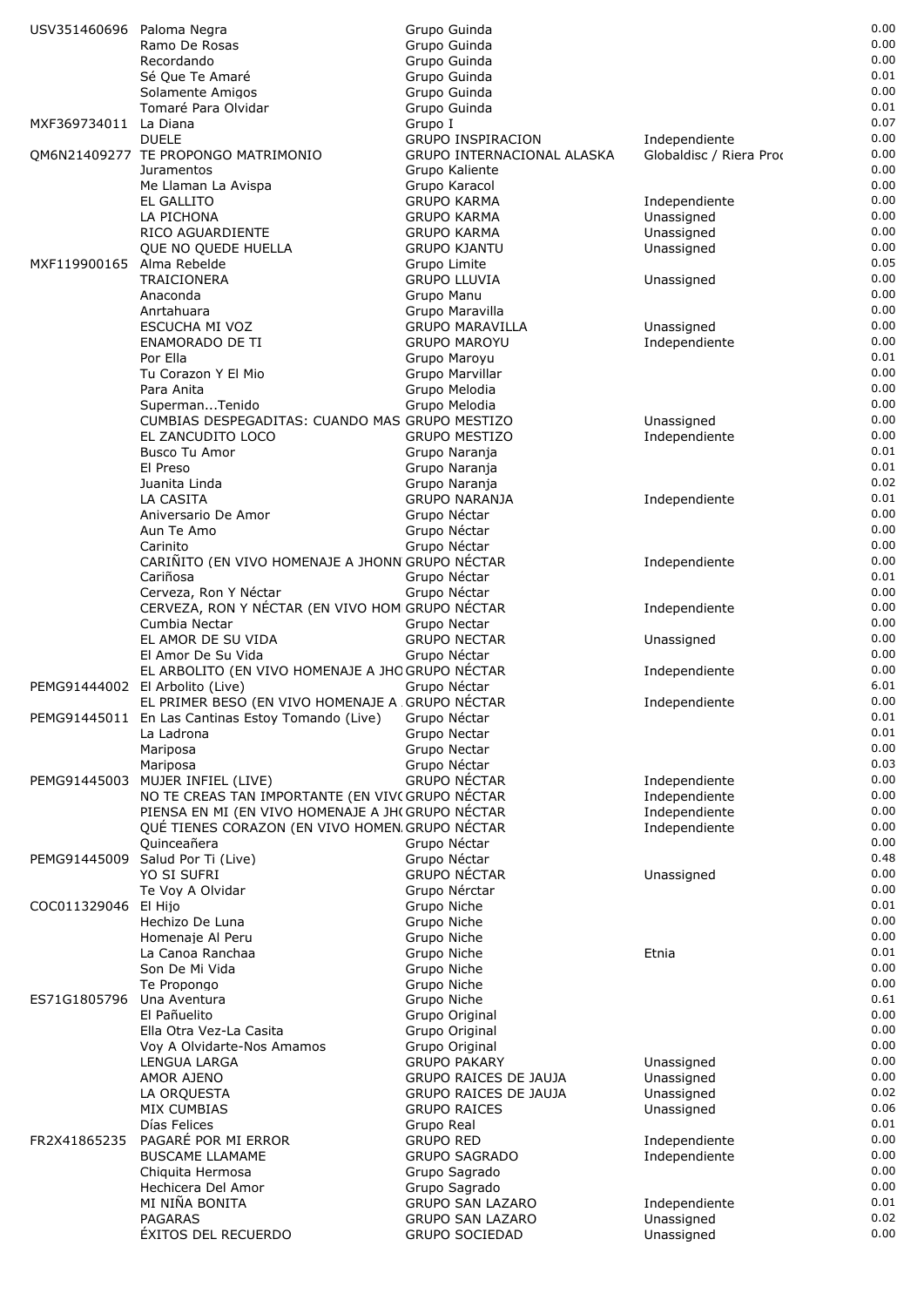| USV351460696 Paloma Negra |                                                                                                      | Grupo Guinda                                        |                                | 0.00         |
|---------------------------|------------------------------------------------------------------------------------------------------|-----------------------------------------------------|--------------------------------|--------------|
|                           | Ramo De Rosas                                                                                        | Grupo Guinda                                        |                                | 0.00         |
|                           | Recordando                                                                                           | Grupo Guinda                                        |                                | 0.00         |
|                           | Sé Que Te Amaré<br>Solamente Amigos                                                                  | Grupo Guinda                                        |                                | 0.01<br>0.00 |
|                           | Tomaré Para Olvidar                                                                                  | Grupo Guinda<br>Grupo Guinda                        |                                | 0.01         |
| MXF369734011 La Diana     |                                                                                                      | Grupo I                                             |                                | 0.07         |
|                           | <b>DUELE</b>                                                                                         | GRUPO INSPIRACION                                   | Independiente                  | 0.00         |
|                           | QM6N21409277 TE PROPONGO MATRIMONIO                                                                  | GRUPO INTERNACIONAL ALASKA                          | Globaldisc / Riera Prod        | 0.00         |
|                           | Juramentos                                                                                           | Grupo Kaliente                                      |                                | 0.00         |
|                           | Me Llaman La Avispa                                                                                  | Grupo Karacol                                       |                                | 0.00         |
|                           | <b>EL GALLITO</b>                                                                                    | <b>GRUPO KARMA</b>                                  | Independiente                  | 0.00         |
|                           | LA PICHONA<br>RICO AGUARDIENTE                                                                       | <b>GRUPO KARMA</b>                                  | Unassigned                     | 0.00<br>0.00 |
|                           | QUE NO QUEDE HUELLA                                                                                  | <b>GRUPO KARMA</b><br><b>GRUPO KJANTU</b>           | Unassigned<br>Unassigned       | 0.00         |
| MXF119900165 Alma Rebelde |                                                                                                      | Grupo Limite                                        |                                | 0.05         |
|                           | TRAICIONERA                                                                                          | <b>GRUPO LLUVIA</b>                                 | Unassigned                     | 0.00         |
|                           | Anaconda                                                                                             | Grupo Manu                                          |                                | 0.00         |
|                           | Anrtahuara                                                                                           | Grupo Maravilla                                     |                                | 0.00         |
|                           | ESCUCHA MI VOZ                                                                                       | <b>GRUPO MARAVILLA</b>                              | Unassigned                     | 0.00         |
|                           | <b>ENAMORADO DE TI</b>                                                                               | <b>GRUPO MAROYU</b>                                 | Independiente                  | 0.00         |
|                           | Por Ella<br>Tu Corazon Y El Mio                                                                      | Grupo Maroyu                                        |                                | 0.01<br>0.00 |
|                           | Para Anita                                                                                           | Grupo Marvillar<br>Grupo Melodia                    |                                | 0.00         |
|                           | SupermanTenido                                                                                       | Grupo Melodia                                       |                                | 0.00         |
|                           | CUMBIAS DESPEGADITAS: CUANDO MAS GRUPO MESTIZO                                                       |                                                     | Unassigned                     | 0.00         |
|                           | EL ZANCUDITO LOCO                                                                                    | <b>GRUPO MESTIZO</b>                                | Independiente                  | 0.00         |
|                           | Busco Tu Amor                                                                                        | Grupo Naranja                                       |                                | 0.01         |
|                           | El Preso                                                                                             | Grupo Naranja                                       |                                | 0.01         |
|                           | Juanita Linda                                                                                        | Grupo Naranja                                       |                                | 0.02         |
|                           | LA CASITA                                                                                            | <b>GRUPO NARANJA</b>                                | Independiente                  | 0.01<br>0.00 |
|                           | Aniversario De Amor<br>Aun Te Amo                                                                    | Grupo Néctar<br>Grupo Néctar                        |                                | 0.00         |
|                           | Carinito                                                                                             | Grupo Néctar                                        |                                | 0.00         |
|                           | CARIÑITO (EN VIVO HOMENAJE A JHONN GRUPO NÉCTAR                                                      |                                                     | Independiente                  | 0.00         |
|                           | Cariñosa                                                                                             | Grupo Néctar                                        |                                | 0.01         |
|                           | Cerveza, Ron Y Néctar                                                                                | Grupo Néctar                                        |                                | 0.00         |
|                           | CERVEZA, RON Y NÉCTAR (EN VIVO HOM GRUPO NÉCTAR                                                      |                                                     | Independiente                  | 0.00         |
|                           | Cumbia Nectar                                                                                        | Grupo Nectar                                        |                                | 0.00         |
|                           | EL AMOR DE SU VIDA                                                                                   | <b>GRUPO NECTAR</b>                                 | Unassigned                     | 0.00         |
|                           | El Amor De Su Vida<br>EL ARBOLITO (EN VIVO HOMENAJE A JHOGRUPO NÉCTAR                                | Grupo Néctar                                        |                                | 0.00<br>0.00 |
|                           | PEMG91444002 El Arbolito (Live)                                                                      | Grupo Néctar                                        | Independiente                  | 6.01         |
|                           | EL PRIMER BESO (EN VIVO HOMENAJE A GRUPO NÉCTAR                                                      |                                                     | Independiente                  | 0.00         |
|                           | PEMG91445011 En Las Cantinas Estoy Tomando (Live) Grupo Néctar                                       |                                                     |                                | 0.01         |
|                           | La Ladrona                                                                                           | Grupo Nectar                                        |                                | 0.01         |
|                           | Mariposa                                                                                             | Grupo Nectar                                        |                                | 0.00         |
|                           | Mariposa                                                                                             | Grupo Néctar                                        |                                | 0.03         |
|                           | PEMG91445003 MUJER INFIEL (LIVE)                                                                     | <b>GRUPO NÉCTAR</b>                                 | Independiente                  | 0.00         |
|                           | NO TE CREAS TAN IMPORTANTE (EN VIVC GRUPO NÉCTAR<br>PIENSA EN MI (EN VIVO HOMENAJE A JH(GRUPO NÉCTAR |                                                     | Independiente                  | 0.00<br>0.00 |
|                           | QUÉ TIENES CORAZON (EN VIVO HOMEN GRUPO NÉCTAR                                                       |                                                     | Independiente<br>Independiente | 0.00         |
|                           | Quinceañera                                                                                          | Grupo Néctar                                        |                                | 0.00         |
|                           | PEMG91445009 Salud Por Ti (Live)                                                                     | Grupo Néctar                                        |                                | 0.48         |
|                           | YO SI SUFRI                                                                                          | <b>GRUPO NÉCTAR</b>                                 | Unassigned                     | 0.00         |
|                           | Te Voy A Olvidar                                                                                     | Grupo Nérctar                                       |                                | 0.00         |
| COC011329046 El Hijo      |                                                                                                      | Grupo Niche                                         |                                | 0.01         |
|                           | Hechizo De Luna                                                                                      | Grupo Niche                                         |                                | 0.00         |
|                           | Homenaje Al Peru                                                                                     | Grupo Niche                                         |                                | 0.00<br>0.01 |
|                           | La Canoa Ranchaa<br>Son De Mi Vida                                                                   | Grupo Niche<br>Grupo Niche                          | Etnia                          | 0.00         |
|                           | Te Propongo                                                                                          | Grupo Niche                                         |                                | 0.00         |
| ES71G1805796              | Una Aventura                                                                                         | Grupo Niche                                         |                                | 0.61         |
|                           | El Pañuelito                                                                                         | Grupo Original                                      |                                | 0.00         |
|                           | Ella Otra Vez-La Casita                                                                              | Grupo Original                                      |                                | 0.00         |
|                           | Voy A Olvidarte-Nos Amamos                                                                           | Grupo Original                                      |                                | 0.00         |
|                           | LENGUA LARGA                                                                                         | <b>GRUPO PAKARY</b>                                 | Unassigned                     | 0.00         |
|                           | AMOR AJENO                                                                                           | <b>GRUPO RAICES DE JAUJA</b>                        | Unassigned                     | 0.00<br>0.02 |
|                           | LA ORQUESTA<br><b>MIX CUMBIAS</b>                                                                    | <b>GRUPO RAICES DE JAUJA</b><br><b>GRUPO RAICES</b> | Unassigned<br>Unassigned       | 0.06         |
|                           | Días Felices                                                                                         | Grupo Real                                          |                                | 0.01         |
| FR2X41865235              | PAGARÉ POR MI ERROR                                                                                  | <b>GRUPO RED</b>                                    | Independiente                  | 0.00         |
|                           | <b>BUSCAME LLAMAME</b>                                                                               | <b>GRUPO SAGRADO</b>                                | Independiente                  | 0.00         |
|                           | Chiquita Hermosa                                                                                     | Grupo Sagrado                                       |                                | 0.00         |
|                           | Hechicera Del Amor                                                                                   | Grupo Sagrado                                       |                                | 0.00         |
|                           | MI NIÑA BONITA                                                                                       | <b>GRUPO SAN LAZARO</b>                             | Independiente                  | 0.01         |
|                           | <b>PAGARAS</b><br><b>ÉXITOS DEL RECUERDO</b>                                                         | <b>GRUPO SAN LAZARO</b><br><b>GRUPO SOCIEDAD</b>    | Unassigned<br>Unassigned       | 0.02<br>0.00 |
|                           |                                                                                                      |                                                     |                                |              |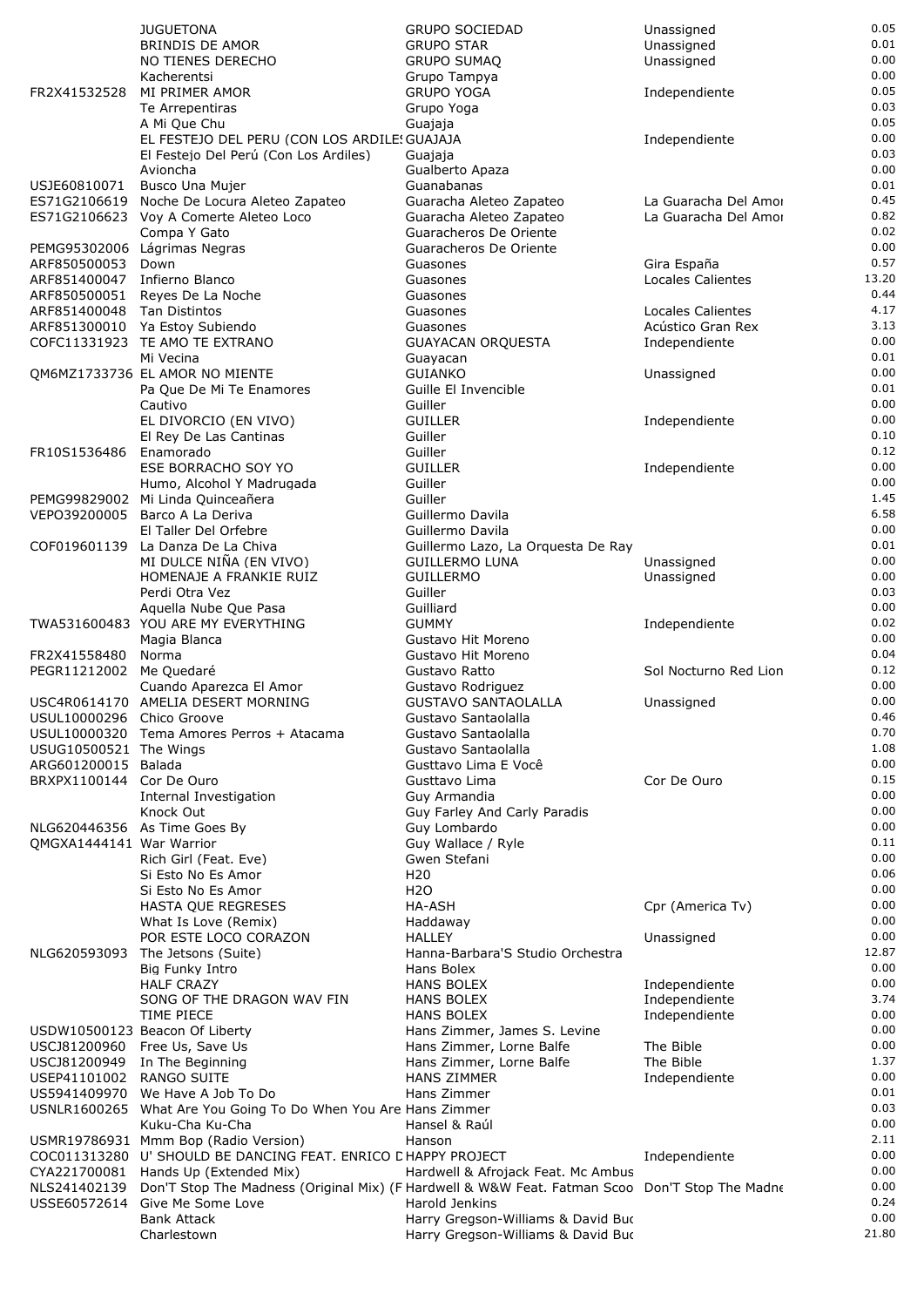|                                                 | <b>JUGUETONA</b>                                                                               | <b>GRUPO SOCIEDAD</b>                             | Unassigned                     | 0.05         |
|-------------------------------------------------|------------------------------------------------------------------------------------------------|---------------------------------------------------|--------------------------------|--------------|
|                                                 | <b>BRINDIS DE AMOR</b>                                                                         | <b>GRUPO STAR</b>                                 | Unassigned                     | 0.01         |
|                                                 | NO TIENES DERECHO                                                                              | <b>GRUPO SUMAQ</b>                                | Unassigned                     | 0.00         |
|                                                 | Kacherentsi<br>MI PRIMER AMOR                                                                  | Grupo Tampya<br><b>GRUPO YOGA</b>                 |                                | 0.00<br>0.05 |
| FR2X41532528                                    | Te Arrepentiras                                                                                | Grupo Yoga                                        | Independiente                  | 0.03         |
|                                                 | A Mi Que Chu                                                                                   | Guajaja                                           |                                | 0.05         |
|                                                 | EL FESTEJO DEL PERU (CON LOS ARDILE! GUAJAJA                                                   |                                                   | Independiente                  | 0.00         |
|                                                 | El Festejo Del Perú (Con Los Ardiles)                                                          | Guajaja                                           |                                | 0.03         |
|                                                 | Avioncha                                                                                       | Gualberto Apaza                                   |                                | 0.00         |
| USJE60810071                                    | Busco Una Mujer                                                                                | Guanabanas                                        |                                | 0.01         |
| ES71G2106619                                    | Noche De Locura Aleteo Zapateo                                                                 | Guaracha Aleteo Zapateo                           | La Guaracha Del Amor           | 0.45         |
|                                                 | ES71G2106623 Voy A Comerte Aleteo Loco<br>Compa Y Gato                                         | Guaracha Aleteo Zapateo<br>Guaracheros De Oriente | La Guaracha Del Amor           | 0.82<br>0.02 |
|                                                 | PEMG95302006 Lágrimas Negras                                                                   | Guaracheros De Oriente                            |                                | 0.00         |
| ARF850500053                                    | Down                                                                                           | Guasones                                          | Gira España                    | 0.57         |
| ARF851400047 Infierno Blanco                    |                                                                                                | Guasones                                          | <b>Locales Calientes</b>       | 13.20        |
| ARF850500051                                    | Reyes De La Noche                                                                              | Guasones                                          |                                | 0.44         |
| ARF851400048 Tan Distintos                      |                                                                                                | Guasones                                          | <b>Locales Calientes</b>       | 4.17         |
|                                                 | ARF851300010 Ya Estoy Subiendo                                                                 | Guasones                                          | Acústico Gran Rex              | 3.13         |
|                                                 | COFC11331923 TE AMO TE EXTRANO<br>Mi Vecina                                                    | <b>GUAYACAN ORQUESTA</b>                          | Independiente                  | 0.00<br>0.01 |
|                                                 | QM6MZ1733736 EL AMOR NO MIENTE                                                                 | Guayacan<br><b>GUIANKO</b>                        | Unassigned                     | 0.00         |
|                                                 | Pa Que De Mi Te Enamores                                                                       | Guille El Invencible                              |                                | 0.01         |
|                                                 | Cautivo                                                                                        | Guiller                                           |                                | 0.00         |
|                                                 | EL DIVORCIO (EN VIVO)                                                                          | <b>GUILLER</b>                                    | Independiente                  | 0.00         |
|                                                 | El Rey De Las Cantinas                                                                         | Guiller                                           |                                | 0.10         |
| FR10S1536486                                    | Enamorado                                                                                      | Guiller                                           |                                | 0.12         |
|                                                 | ESE BORRACHO SOY YO                                                                            | <b>GUILLER</b>                                    | Independiente                  | 0.00         |
|                                                 | Humo, Alcohol Y Madrugada                                                                      | Guiller<br>Guiller                                |                                | 0.00<br>1.45 |
| VEPO39200005                                    | PEMG99829002 Mi Linda Quinceañera<br>Barco A La Deriva                                         | Guillermo Davila                                  |                                | 6.58         |
|                                                 | El Taller Del Orfebre                                                                          | Guillermo Davila                                  |                                | 0.00         |
| COF019601139                                    | La Danza De La Chiva                                                                           | Guillermo Lazo, La Orquesta De Ray                |                                | 0.01         |
|                                                 | MI DULCE NIÑA (EN VIVO)                                                                        | <b>GUILLERMO LUNA</b>                             | Unassigned                     | 0.00         |
|                                                 | HOMENAJE A FRANKIE RUIZ                                                                        | <b>GUILLERMO</b>                                  | Unassigned                     | 0.00         |
|                                                 | Perdi Otra Vez                                                                                 | Guiller                                           |                                | 0.03         |
|                                                 | Aquella Nube Que Pasa                                                                          | Guilliard                                         |                                | 0.00         |
|                                                 | TWA531600483 YOU ARE MY EVERYTHING<br>Magia Blanca                                             | <b>GUMMY</b><br>Gustavo Hit Moreno                | Independiente                  | 0.02<br>0.00 |
| FR2X41558480                                    | Norma                                                                                          | Gustavo Hit Moreno                                |                                | 0.04         |
| PEGR11212002 Me Quedaré                         |                                                                                                | Gustavo Ratto                                     | Sol Nocturno Red Lion          | 0.12         |
|                                                 | Cuando Aparezca El Amor                                                                        | Gustavo Rodriguez                                 |                                | 0.00         |
|                                                 | USC4R0614170 AMELIA DESERT MORNING                                                             | <b>GUSTAVO SANTAOLALLA</b>                        | Unassigned                     | 0.00         |
| USUL10000296 Chico Groove                       |                                                                                                | Gustavo Santaolalla                               |                                | 0.46         |
|                                                 | USUL10000320 Tema Amores Perros + Atacama                                                      | Gustavo Santaolalla                               |                                | 0.70         |
| USUG10500521 The Wings                          |                                                                                                | Gustavo Santaolalla                               |                                | 1.08<br>0.00 |
| ARG601200015 Balada<br>BRXPX1100144 Cor De Ouro |                                                                                                | Gusttavo Lima E Você<br>Gusttavo Lima             | Cor De Ouro                    | 0.15         |
|                                                 | Internal Investigation                                                                         | Guy Armandia                                      |                                | 0.00         |
|                                                 | Knock Out                                                                                      | Guy Farley And Carly Paradis                      |                                | 0.00         |
|                                                 | NLG620446356 As Time Goes By                                                                   | Guy Lombardo                                      |                                | 0.00         |
| QMGXA1444141 War Warrior                        |                                                                                                | Guy Wallace / Ryle                                |                                | 0.11         |
|                                                 | Rich Girl (Feat. Eve)                                                                          | Gwen Stefani                                      |                                | 0.00         |
|                                                 | Si Esto No Es Amor<br>Si Esto No Es Amor                                                       | H <sub>20</sub><br>H <sub>20</sub>                |                                | 0.06<br>0.00 |
|                                                 | HASTA QUE REGRESES                                                                             | HA-ASH                                            | Cpr (America Tv)               | 0.00         |
|                                                 | What Is Love (Remix)                                                                           | Haddaway                                          |                                | 0.00         |
|                                                 | POR ESTE LOCO CORAZON                                                                          | <b>HALLEY</b>                                     | Unassigned                     | 0.00         |
| NLG620593093                                    | The Jetsons (Suite)                                                                            | Hanna-Barbara'S Studio Orchestra                  |                                | 12.87        |
|                                                 | Big Funky Intro                                                                                | Hans Bolex                                        |                                | 0.00         |
|                                                 | <b>HALF CRAZY</b>                                                                              | <b>HANS BOLEX</b>                                 | Independiente                  | 0.00         |
|                                                 | SONG OF THE DRAGON WAV FIN<br>TIME PIECE                                                       | <b>HANS BOLEX</b><br><b>HANS BOLEX</b>            | Independiente<br>Independiente | 3.74<br>0.00 |
|                                                 | USDW10500123 Beacon Of Liberty                                                                 | Hans Zimmer, James S. Levine                      |                                | 0.00         |
|                                                 | USCJ81200960 Free Us, Save Us                                                                  | Hans Zimmer, Lorne Balfe                          | The Bible                      | 0.00         |
|                                                 | USCJ81200949 In The Beginning                                                                  | Hans Zimmer, Lorne Balfe                          | The Bible                      | 1.37         |
| USEP41101002 RANGO SUITE                        |                                                                                                | <b>HANS ZIMMER</b>                                | Independiente                  | 0.00         |
|                                                 | US5941409970 We Have A Job To Do                                                               | Hans Zimmer                                       |                                | 0.01         |
|                                                 | USNLR1600265 What Are You Going To Do When You Are Hans Zimmer                                 |                                                   |                                | 0.03         |
|                                                 | Kuku-Cha Ku-Cha<br>USMR19786931 Mmm Bop (Radio Version)                                        | Hansel & Raúl<br>Hanson                           |                                | 0.00<br>2.11 |
|                                                 | COC011313280 U' SHOULD BE DANCING FEAT. ENRICO CHAPPY PROJECT                                  |                                                   | Independiente                  | 0.00         |
|                                                 | CYA221700081 Hands Up (Extended Mix)                                                           | Hardwell & Afrojack Feat. Mc Ambus                |                                | 0.00         |
| NLS241402139                                    | Don'T Stop The Madness (Original Mix) (F Hardwell & W&W Feat. Fatman Scoo Don'T Stop The Madne |                                                   |                                | 0.00         |
|                                                 | USSE60572614 Give Me Some Love                                                                 | Harold Jenkins                                    |                                | 0.24         |
|                                                 | <b>Bank Attack</b>                                                                             | Harry Gregson-Williams & David Buc                |                                | 0.00         |
|                                                 | Charlestown                                                                                    | Harry Gregson-Williams & David Buc                |                                | 21.80        |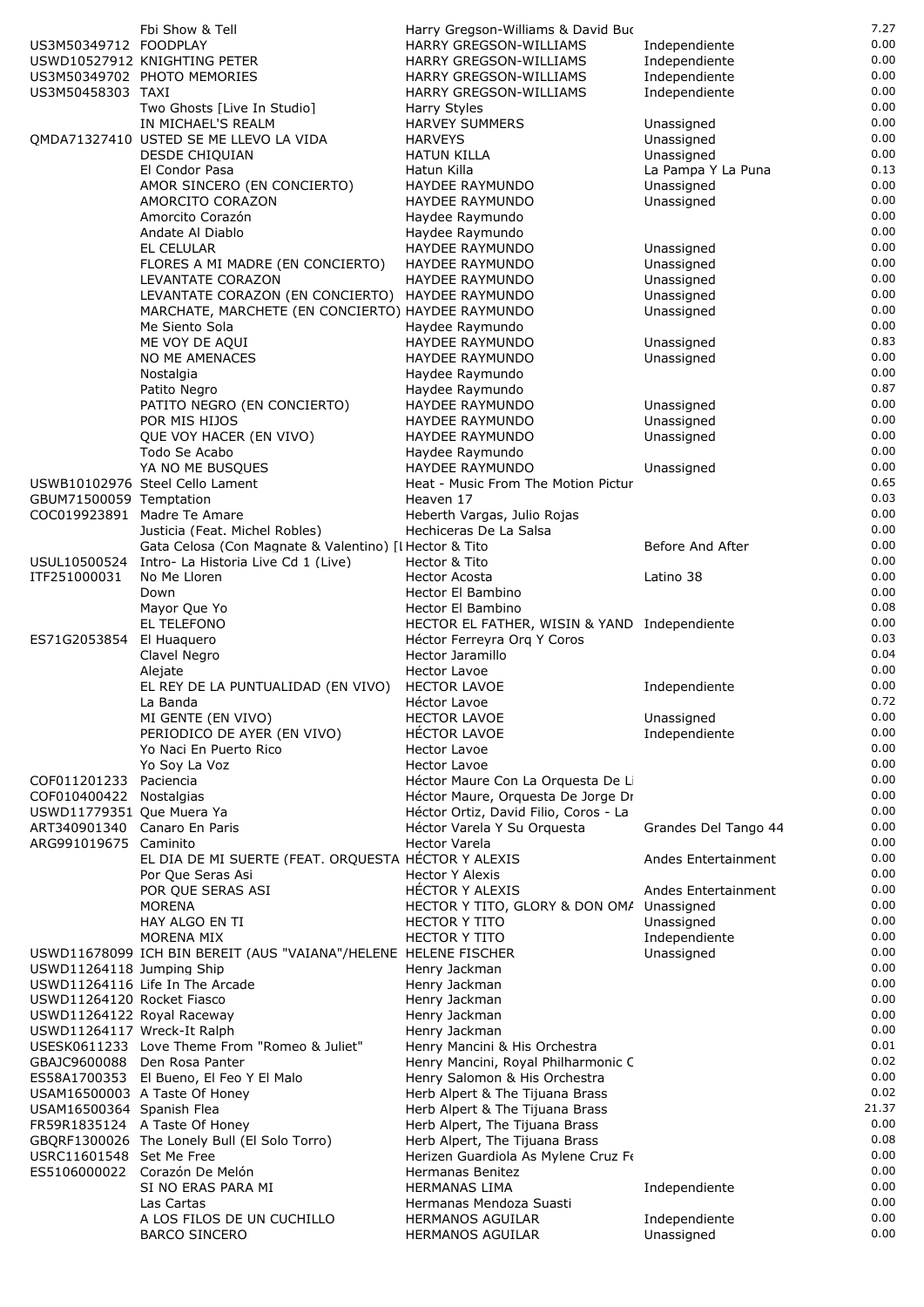|                              | Fbi Show & Tell                                                          | Harry Gregson-Williams & David Buc                                          |                      | 7.27          |
|------------------------------|--------------------------------------------------------------------------|-----------------------------------------------------------------------------|----------------------|---------------|
| US3M50349712 FOODPLAY        |                                                                          | <b>HARRY GREGSON-WILLIAMS</b>                                               | Independiente        | 0.00          |
|                              | USWD10527912 KNIGHTING PETER                                             | HARRY GREGSON-WILLIAMS                                                      | Independiente        | 0.00          |
|                              | US3M50349702 PHOTO MEMORIES                                              | HARRY GREGSON-WILLIAMS                                                      | Independiente        | 0.00          |
| US3M50458303 TAXI            |                                                                          | HARRY GREGSON-WILLIAMS                                                      | Independiente        | 0.00<br>0.00  |
|                              | Two Ghosts [Live In Studio]<br>IN MICHAEL'S REALM                        | Harry Styles<br><b>HARVEY SUMMERS</b>                                       | Unassigned           | 0.00          |
|                              | QMDA71327410 USTED SE ME LLEVO LA VIDA                                   | <b>HARVEYS</b>                                                              | Unassigned           | 0.00          |
|                              | <b>DESDE CHIQUIAN</b>                                                    | <b>HATUN KILLA</b>                                                          | Unassigned           | 0.00          |
|                              | El Condor Pasa                                                           | Hatun Killa                                                                 | La Pampa Y La Puna   | 0.13          |
|                              | AMOR SINCERO (EN CONCIERTO)                                              | HAYDEE RAYMUNDO                                                             | Unassigned           | 0.00          |
|                              | AMORCITO CORAZON                                                         | HAYDEE RAYMUNDO                                                             | Unassigned           | 0.00          |
|                              | Amorcito Corazón                                                         | Haydee Raymundo                                                             |                      | 0.00          |
|                              | Andate Al Diablo<br>EL CELULAR                                           | Haydee Raymundo<br>HAYDEE RAYMUNDO                                          | Unassigned           | 0.00<br>0.00  |
|                              | FLORES A MI MADRE (EN CONCIERTO)                                         | HAYDEE RAYMUNDO                                                             | Unassigned           | 0.00          |
|                              | LEVANTATE CORAZON                                                        | HAYDEE RAYMUNDO                                                             | Unassigned           | 0.00          |
|                              | LEVANTATE CORAZON (EN CONCIERTO) HAYDEE RAYMUNDO                         |                                                                             | Unassigned           | 0.00          |
|                              | MARCHATE, MARCHETE (EN CONCIERTO) HAYDEE RAYMUNDO                        |                                                                             | Unassigned           | 0.00          |
|                              | Me Siento Sola                                                           | Haydee Raymundo                                                             |                      | 0.00          |
|                              | ME VOY DE AQUI                                                           | <b>HAYDEE RAYMUNDO</b>                                                      | Unassigned           | 0.83<br>0.00  |
|                              | NO ME AMENACES<br>Nostalgia                                              | HAYDEE RAYMUNDO<br>Haydee Raymundo                                          | Unassigned           | 0.00          |
|                              | Patito Negro                                                             | Haydee Raymundo                                                             |                      | 0.87          |
|                              | PATITO NEGRO (EN CONCIERTO)                                              | HAYDEE RAYMUNDO                                                             | Unassigned           | 0.00          |
|                              | POR MIS HIJOS                                                            | HAYDEE RAYMUNDO                                                             | Unassigned           | 0.00          |
|                              | QUE VOY HACER (EN VIVO)                                                  | HAYDEE RAYMUNDO                                                             | Unassigned           | 0.00          |
|                              | Todo Se Acabo                                                            | Haydee Raymundo                                                             |                      | 0.00          |
|                              | YA NO ME BUSQUES                                                         | <b>HAYDEE RAYMUNDO</b>                                                      | Unassigned           | 0.00          |
| GBUM71500059 Temptation      | USWB10102976 Steel Cello Lament                                          | Heat - Music From The Motion Pictur<br>Heaven 17                            |                      | 0.65<br>0.03  |
|                              | COC019923891 Madre Te Amare                                              | Heberth Vargas, Julio Rojas                                                 |                      | 0.00          |
|                              | Justicia (Feat. Michel Robles)                                           | Hechiceras De La Salsa                                                      |                      | 0.00          |
|                              | Gata Celosa (Con Magnate & Valentino) [I Hector & Tito                   |                                                                             | Before And After     | 0.00          |
| USUL10500524                 | Intro- La Historia Live Cd 1 (Live)                                      | Hector & Tito                                                               |                      | 0.00          |
| ITF251000031                 | No Me Lloren                                                             | <b>Hector Acosta</b>                                                        | Latino 38            | 0.00          |
|                              | Down                                                                     | Hector El Bambino                                                           |                      | 0.00          |
|                              | Mayor Que Yo<br>EL TELEFONO                                              | Hector El Bambino                                                           |                      | 0.08<br>0.00  |
| ES71G2053854 El Huaquero     |                                                                          | HECTOR EL FATHER, WISIN & YAND Independiente<br>Héctor Ferreyra Orq Y Coros |                      | 0.03          |
|                              | Clavel Negro                                                             | Hector Jaramillo                                                            |                      | 0.04          |
|                              | Alejate                                                                  | <b>Hector Lavoe</b>                                                         |                      | 0.00          |
|                              | EL REY DE LA PUNTUALIDAD (EN VIVO)                                       | <b>HECTOR LAVOE</b>                                                         | Independiente        | 0.00          |
|                              | La Banda                                                                 | Héctor Lavoe                                                                |                      | 0.72          |
|                              | MI GENTE (EN VIVO)                                                       | <b>HECTOR LAVOE</b>                                                         | Unassigned           | 0.00          |
|                              | PERIODICO DE AYER (EN VIVO)                                              | HÉCTOR LAVOE                                                                | Independiente        | 0.00<br>0.00  |
|                              | Yo Naci En Puerto Rico<br>Yo Soy La Voz                                  | <b>Hector Lavoe</b><br><b>Hector Lavoe</b>                                  |                      | 0.00          |
| COF011201233 Paciencia       |                                                                          | Héctor Maure Con La Orquesta De Li                                          |                      | 0.00          |
| COF010400422 Nostalgias      |                                                                          | Héctor Maure, Orquesta De Jorge Dr                                          |                      | 0.00          |
| USWD11779351 Que Muera Ya    |                                                                          | Héctor Ortiz, David Filio, Coros - La                                       |                      | 0.00          |
| ART340901340 Canaro En Paris |                                                                          | Héctor Varela Y Su Orquesta                                                 | Grandes Del Tango 44 | 0.00          |
| ARG991019675 Caminito        |                                                                          | Hector Varela                                                               |                      | 0.00          |
|                              | EL DIA DE MI SUERTE (FEAT. ORQUESTA HÉCTOR Y ALEXIS<br>Por Que Seras Asi | <b>Hector Y Alexis</b>                                                      | Andes Entertainment  | 0.00<br>0.00  |
|                              | POR QUE SERAS ASI                                                        | HECTOR Y ALEXIS                                                             | Andes Entertainment  | 0.00          |
|                              | <b>MORENA</b>                                                            | HECTOR Y TITO, GLORY & DON OM/ Unassigned                                   |                      | 0.00          |
|                              | HAY ALGO EN TI                                                           | <b>HECTOR Y TITO</b>                                                        | Unassigned           | 0.00          |
|                              | MORENA MIX                                                               | <b>HECTOR Y TITO</b>                                                        | Independiente        | 0.00          |
|                              | USWD11678099 ICH BIN BEREIT (AUS "VAIANA"/HELENE HELENE FISCHER          |                                                                             | Unassigned           | 0.00          |
| USWD11264118 Jumping Ship    |                                                                          | Henry Jackman                                                               |                      | 0.00<br>0.00  |
| USWD11264120 Rocket Fiasco   | USWD11264116 Life In The Arcade                                          | Henry Jackman<br>Henry Jackman                                              |                      | 0.00          |
| USWD11264122 Royal Raceway   |                                                                          | Henry Jackman                                                               |                      | 0.00          |
| USWD11264117 Wreck-It Ralph  |                                                                          | Henry Jackman                                                               |                      | 0.00          |
|                              | USESK0611233 Love Theme From "Romeo & Juliet"                            | Henry Mancini & His Orchestra                                               |                      | 0.01          |
|                              | GBAJC9600088 Den Rosa Panter                                             | Henry Mancini, Royal Philharmonic C                                         |                      | 0.02          |
|                              | ES58A1700353 El Bueno, El Feo Y El Malo                                  | Henry Salomon & His Orchestra                                               |                      | 0.00          |
| USAM16500364 Spanish Flea    | USAM16500003 A Taste Of Honey                                            | Herb Alpert & The Tijuana Brass<br>Herb Alpert & The Tijuana Brass          |                      | 0.02<br>21.37 |
|                              | FR59R1835124 A Taste Of Honey                                            | Herb Alpert, The Tijuana Brass                                              |                      | 0.00          |
|                              | GBQRF1300026 The Lonely Bull (El Solo Torro)                             | Herb Alpert, The Tijuana Brass                                              |                      | 0.08          |
| USRC11601548 Set Me Free     |                                                                          | Herizen Guardiola As Mylene Cruz Fe                                         |                      | 0.00          |
|                              | ES5106000022 Corazón De Melón                                            | Hermanas Benitez                                                            |                      | 0.00          |
|                              | SI NO ERAS PARA MI                                                       | <b>HERMANAS LIMA</b>                                                        | Independiente        | 0.00<br>0.00  |
|                              | Las Cartas<br>A LOS FILOS DE UN CUCHILLO                                 | Hermanas Mendoza Suasti<br><b>HERMANOS AGUILAR</b>                          | Independiente        | 0.00          |
|                              | <b>BARCO SINCERO</b>                                                     | HERMANOS AGUILAR                                                            | Unassigned           | 0.00          |
|                              |                                                                          |                                                                             |                      |               |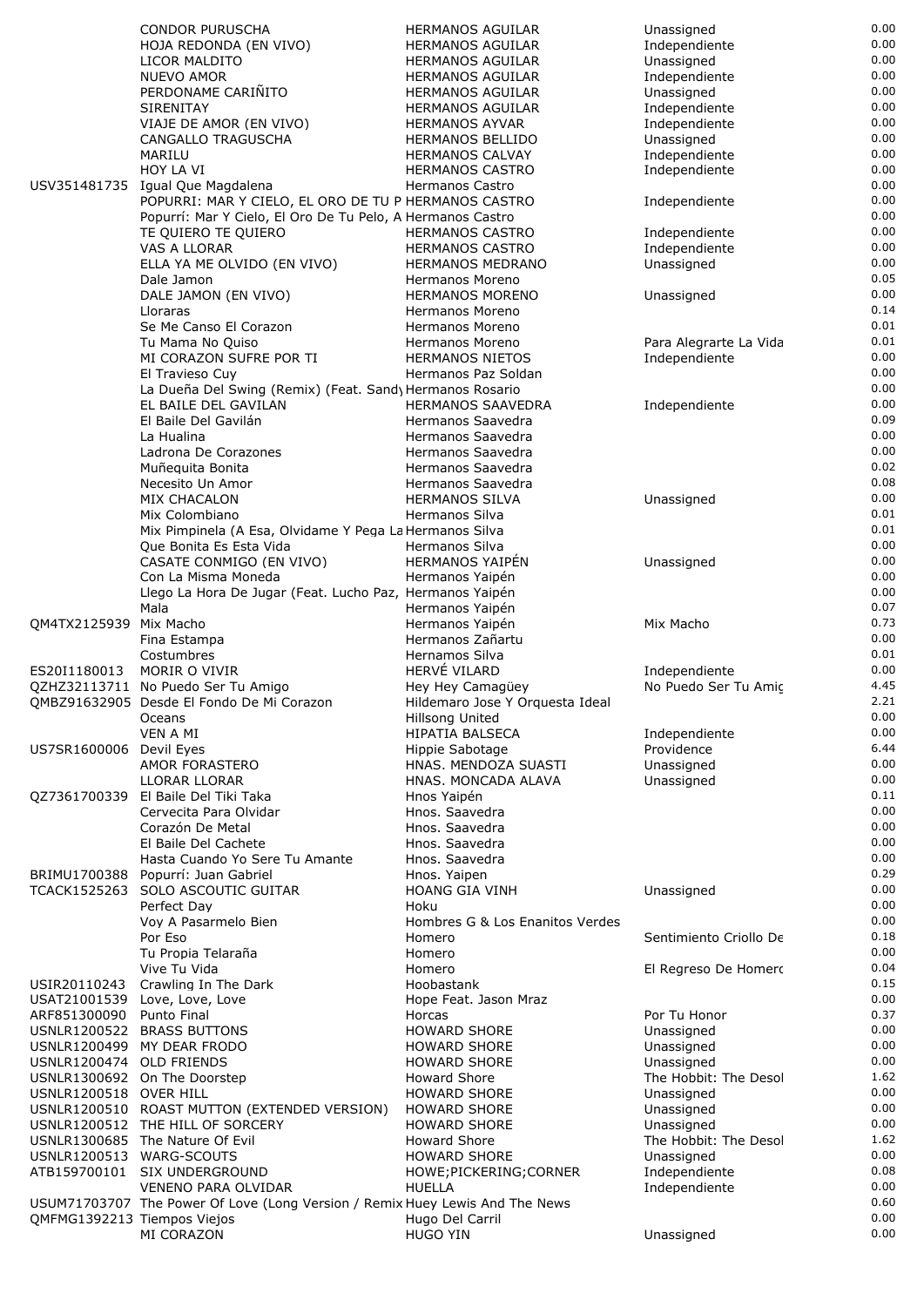|                             | CONDOR PURUSCHA                                                              | HERMANOS AGUILAR                | Unassigned             | 0.00 |
|-----------------------------|------------------------------------------------------------------------------|---------------------------------|------------------------|------|
|                             | HOJA REDONDA (EN VIVO)                                                       | <b>HERMANOS AGUILAR</b>         | Independiente          | 0.00 |
|                             |                                                                              |                                 |                        | 0.00 |
|                             | LICOR MALDITO                                                                | <b>HERMANOS AGUILAR</b>         | Unassigned             |      |
|                             | <b>NUEVO AMOR</b>                                                            | <b>HERMANOS AGUILAR</b>         | Independiente          | 0.00 |
|                             | PERDONAME CARIÑITO                                                           | <b>HERMANOS AGUILAR</b>         | Unassigned             | 0.00 |
|                             | <b>SIRENITAY</b>                                                             | HERMANOS AGUILAR                | Independiente          | 0.00 |
|                             | VIAJE DE AMOR (EN VIVO)                                                      | <b>HERMANOS AYVAR</b>           | Independiente          | 0.00 |
|                             | CANGALLO TRAGUSCHA                                                           | <b>HERMANOS BELLIDO</b>         | Unassigned             | 0.00 |
|                             | MARILU                                                                       | <b>HERMANOS CALVAY</b>          | Independiente          | 0.00 |
|                             | HOY LA VI                                                                    | <b>HERMANOS CASTRO</b>          | Independiente          | 0.00 |
|                             | USV351481735 Igual Que Magdalena                                             | <b>Hermanos Castro</b>          |                        | 0.00 |
|                             | POPURRI: MAR Y CIELO, EL ORO DE TU P HERMANOS CASTRO                         |                                 | Independiente          | 0.00 |
|                             | Popurrí: Mar Y Cielo, El Oro De Tu Pelo, A Hermanos Castro                   |                                 |                        | 0.00 |
|                             |                                                                              |                                 |                        | 0.00 |
|                             | TE QUIERO TE QUIERO                                                          | <b>HERMANOS CASTRO</b>          | Independiente          |      |
|                             | VAS A LLORAR                                                                 | <b>HERMANOS CASTRO</b>          | Independiente          | 0.00 |
|                             | ELLA YA ME OLVIDO (EN VIVO)                                                  | <b>HERMANOS MEDRANO</b>         | Unassigned             | 0.00 |
|                             | Dale Jamon                                                                   | Hermanos Moreno                 |                        | 0.05 |
|                             | DALE JAMON (EN VIVO)                                                         | <b>HERMANOS MORENO</b>          | Unassigned             | 0.00 |
|                             | Lloraras                                                                     | Hermanos Moreno                 |                        | 0.14 |
|                             | Se Me Canso El Corazon                                                       | Hermanos Moreno                 |                        | 0.01 |
|                             | Tu Mama No Quiso                                                             | Hermanos Moreno                 | Para Alegrarte La Vida | 0.01 |
|                             | MI CORAZON SUFRE POR TI                                                      | <b>HERMANOS NIETOS</b>          | Independiente          | 0.00 |
|                             | El Travieso Cuy                                                              | Hermanos Paz Soldan             |                        | 0.00 |
|                             | La Dueña Del Swing (Remix) (Feat. Sand) Hermanos Rosario                     |                                 |                        | 0.00 |
|                             |                                                                              |                                 |                        | 0.00 |
|                             | EL BAILE DEL GAVILAN                                                         | <b>HERMANOS SAAVEDRA</b>        | Independiente          |      |
|                             | El Baile Del Gavilán                                                         | Hermanos Saavedra               |                        | 0.09 |
|                             | La Hualina                                                                   | Hermanos Saavedra               |                        | 0.00 |
|                             | Ladrona De Corazones                                                         | Hermanos Saavedra               |                        | 0.00 |
|                             | Muñequita Bonita                                                             | Hermanos Saavedra               |                        | 0.02 |
|                             | Necesito Un Amor                                                             | Hermanos Saavedra               |                        | 0.08 |
|                             | MIX CHACALON                                                                 | <b>HERMANOS SILVA</b>           | Unassigned             | 0.00 |
|                             | Mix Colombiano                                                               | Hermanos Silva                  |                        | 0.01 |
|                             | Mix Pimpinela (A Esa, Olvidame Y Pega La Hermanos Silva                      |                                 |                        | 0.01 |
|                             | Que Bonita Es Esta Vida                                                      | Hermanos Silva                  |                        | 0.00 |
|                             | CASATE CONMIGO (EN VIVO)                                                     | <b>HERMANOS YAIPEN</b>          | Unassigned             | 0.00 |
|                             |                                                                              |                                 |                        | 0.00 |
|                             | Con La Misma Moneda                                                          | Hermanos Yaipén                 |                        |      |
|                             | Llego La Hora De Jugar (Feat. Lucho Paz, Hermanos Yaipén                     |                                 |                        | 0.00 |
|                             | Mala                                                                         | Hermanos Yaipén                 |                        | 0.07 |
| QM4TX2125939 Mix Macho      |                                                                              | Hermanos Yaipén                 | Mix Macho              | 0.73 |
|                             | Fina Estampa                                                                 | Hermanos Zañartu                |                        | 0.00 |
|                             | Costumbres                                                                   | Hernamos Silva                  |                        | 0.01 |
| ES20I1180013                | MORIR O VIVIR                                                                | HERVÉ VILARD                    | Independiente          | 0.00 |
|                             | QZHZ32113711 No Puedo Ser Tu Amigo                                           | Hey Hey Camagüey                | No Puedo Ser Tu Amic   | 4.45 |
|                             | QMBZ91632905 Desde El Fondo De Mi Corazon                                    | Hildemaro Jose Y Orquesta Ideal |                        | 2.21 |
|                             | Oceans                                                                       | Hillsong United                 |                        | 0.00 |
|                             | VEN A MI                                                                     | <b>HIPATIA BALSECA</b>          |                        | 0.00 |
|                             |                                                                              |                                 | Independiente          | 6.44 |
| US7SR1600006 Devil Eyes     |                                                                              | Hippie Sabotage                 | Providence             |      |
|                             | AMOR FORASTERO                                                               | HNAS. MENDOZA SUASTI            | Unassigned             | 0.00 |
|                             | LLORAR LLORAR                                                                | HNAS. MONCADA ALAVA             | Unassigned             | 0.00 |
|                             | QZ7361700339 El Baile Del Tiki Taka                                          | Hnos Yaipén                     |                        | 0.11 |
|                             | Cervecita Para Olvidar                                                       | Hnos. Saavedra                  |                        | 0.00 |
|                             | Corazón De Metal                                                             | Hnos. Saavedra                  |                        | 0.00 |
|                             | El Baile Del Cachete                                                         | Hnos. Saavedra                  |                        | 0.00 |
|                             | Hasta Cuando Yo Sere Tu Amante                                               | Hnos. Saavedra                  |                        | 0.00 |
| BRIMU1700388                | Popurrí: Juan Gabriel                                                        | Hnos. Yaipen                    |                        | 0.29 |
|                             | TCACK1525263 SOLO ASCOUTIC GUITAR                                            | <b>HOANG GIA VINH</b>           | Unassigned             | 0.00 |
|                             | Perfect Day                                                                  | Hoku                            |                        | 0.00 |
|                             | Voy A Pasarmelo Bien                                                         | Hombres G & Los Enanitos Verdes |                        | 0.00 |
|                             |                                                                              |                                 |                        |      |
|                             | Por Eso                                                                      | Homero                          | Sentimiento Criollo De | 0.18 |
|                             | Tu Propia Telaraña                                                           | Homero                          |                        | 0.00 |
|                             | Vive Tu Vida                                                                 | Homero                          | El Regreso De Homero   | 0.04 |
| USIR20110243                | Crawling In The Dark                                                         | Hoobastank                      |                        | 0.15 |
|                             |                                                                              |                                 |                        |      |
| ARF851300090                | USAT21001539 Love, Love, Love                                                | Hope Feat. Jason Mraz           |                        | 0.00 |
|                             | Punto Final                                                                  | Horcas                          | Por Tu Honor           | 0.37 |
|                             | USNLR1200522 BRASS BUTTONS                                                   | <b>HOWARD SHORE</b>             | Unassigned             | 0.00 |
|                             | USNLR1200499 MY DEAR FRODO                                                   | <b>HOWARD SHORE</b>             | Unassigned             | 0.00 |
|                             |                                                                              |                                 |                        | 0.00 |
| USNLR1200474 OLD FRIENDS    |                                                                              | <b>HOWARD SHORE</b>             | Unassigned             | 1.62 |
|                             | USNLR1300692 On The Doorstep                                                 | <b>Howard Shore</b>             | The Hobbit: The Desol  |      |
| USNLR1200518 OVER HILL      |                                                                              | <b>HOWARD SHORE</b>             | Unassigned             | 0.00 |
|                             | USNLR1200510 ROAST MUTTON (EXTENDED VERSION)                                 | <b>HOWARD SHORE</b>             | Unassigned             | 0.00 |
|                             | USNLR1200512 THE HILL OF SORCERY                                             | <b>HOWARD SHORE</b>             | Unassigned             | 0.00 |
|                             | USNLR1300685 The Nature Of Evil                                              | <b>Howard Shore</b>             | The Hobbit: The Desol  | 1.62 |
| USNLR1200513 WARG-SCOUTS    |                                                                              | <b>HOWARD SHORE</b>             | Unassigned             | 0.00 |
|                             | ATB159700101 SIX UNDERGROUND                                                 | HOWE; PICKERING; CORNER         | Independiente          | 0.08 |
|                             | VENENO PARA OLVIDAR                                                          | <b>HUELLA</b>                   | Independiente          | 0.00 |
|                             | USUM71703707 The Power Of Love (Long Version / Remix Huey Lewis And The News |                                 |                        | 0.60 |
| QMFMG1392213 Tiempos Viejos |                                                                              | Hugo Del Carril                 |                        | 0.00 |
|                             | MI CORAZON                                                                   | <b>HUGO YIN</b>                 | Unassigned             | 0.00 |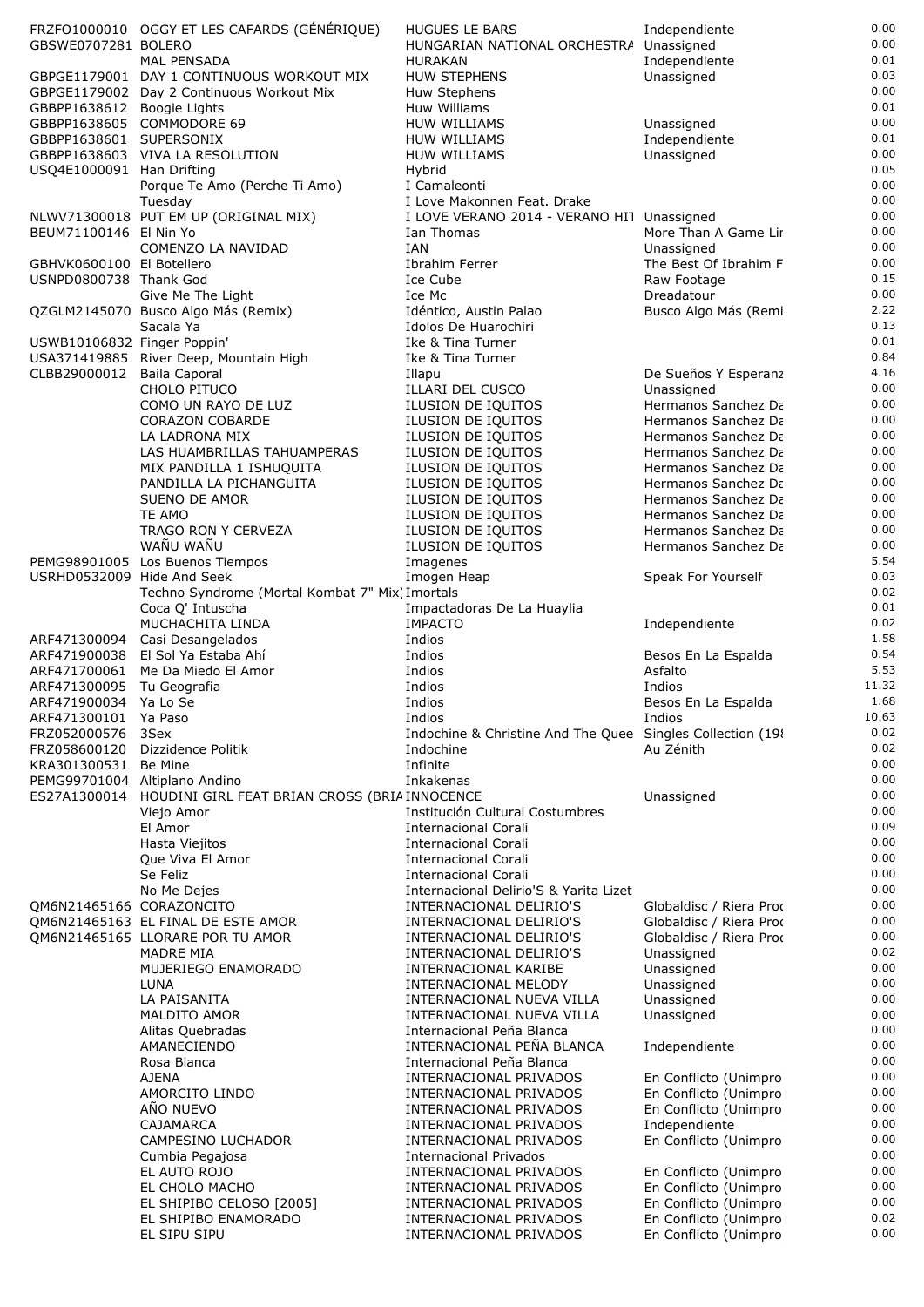| 0.03<br>GBPGE1179001 DAY 1 CONTINUOUS WORKOUT MIX<br><b>HUW STEPHENS</b><br>Unassigned<br>0.00<br>GBPGE1179002 Day 2 Continuous Workout Mix<br>Huw Stephens<br>0.01<br>GBBPP1638612 Boogie Lights<br>Huw Williams<br>0.00<br>GBBPP1638605 COMMODORE 69<br><b>HUW WILLIAMS</b><br>Unassigned<br>0.01<br>GBBPP1638601 SUPERSONIX<br>Independiente<br>HUW WILLIAMS<br>0.00<br>GBBPP1638603 VIVA LA RESOLUTION<br><b>HUW WILLIAMS</b><br>Unassigned<br>0.05<br>USQ4E1000091 Han Drifting<br>Hybrid<br>0.00<br>Porque Te Amo (Perche Ti Amo)<br>I Camaleonti<br>0.00<br>Tuesday<br>I Love Makonnen Feat. Drake<br>0.00<br>NLWV71300018 PUT EM UP (ORIGINAL MIX)<br>I LOVE VERANO 2014 - VERANO HIT Unassigned<br>0.00<br>BEUM71100146 El Nin Yo<br>More Than A Game Lir<br>Ian Thomas<br>0.00<br>COMENZO LA NAVIDAD<br>IAN<br>Unassigned<br>0.00<br>GBHVK0600100 El Botellero<br>Ibrahim Ferrer<br>The Best Of Ibrahim F<br>0.15<br>Ice Cube<br>USNPD0800738 Thank God<br>Raw Footage<br>0.00<br>Ice Mc<br>Dreadatour<br>Give Me The Light<br>2.22<br>Idéntico, Austin Palao<br>QZGLM2145070 Busco Algo Más (Remix)<br>Busco Algo Más (Remi<br>0.13<br>Sacala Ya<br>Idolos De Huarochiri<br>0.01<br>USWB10106832 Finger Poppin'<br>Ike & Tina Turner<br>0.84<br>USA371419885 River Deep, Mountain High<br>Ike & Tina Turner<br>4.16<br>CLBB29000012<br><b>Baila Caporal</b><br>De Sueños Y Esperanz<br>Illapu<br>0.00<br>CHOLO PITUCO<br>ILLARI DEL CUSCO<br>Unassigned<br>0.00<br>Hermanos Sanchez Da<br>COMO UN RAYO DE LUZ<br>ILUSION DE IQUITOS<br>0.00<br>ILUSION DE IQUITOS<br>Hermanos Sanchez Da<br><b>CORAZON COBARDE</b><br>0.00<br>ILUSION DE IQUITOS<br>Hermanos Sanchez Da<br>LA LADRONA MIX<br>0.00<br>LAS HUAMBRILLAS TAHUAMPERAS<br>ILUSION DE IQUITOS<br>Hermanos Sanchez Da<br>0.00<br>ILUSION DE IQUITOS<br>Hermanos Sanchez Da<br>MIX PANDILLA 1 ISHUQUITA<br>0.00<br>ILUSION DE IQUITOS<br>Hermanos Sanchez Da<br>PANDILLA LA PICHANGUITA<br>0.00<br><b>SUENO DE AMOR</b><br>ILUSION DE IQUITOS<br>Hermanos Sanchez Da<br>0.00<br>TE AMO<br>Hermanos Sanchez Da<br>ILUSION DE IQUITOS<br>0.00<br>TRAGO RON Y CERVEZA<br>Hermanos Sanchez Da<br>ILUSION DE IQUITOS<br>WAÑU WAÑU<br>0.00<br>ILUSION DE IQUITOS<br>Hermanos Sanchez Da<br>5.54<br>PEMG98901005 Los Buenos Tiempos<br>Imagenes<br>0.03<br>Imogen Heap<br>Speak For Yourself<br>USRHD0532009 Hide And Seek<br>0.02<br>Techno Syndrome (Mortal Kombat 7" Mix) Imortals<br>0.01<br>Coca Q' Intuscha<br>Impactadoras De La Huaylia<br>0.02<br>MUCHACHITA LINDA<br><b>IMPACTO</b><br>Independiente<br>1.58<br>Indios<br>ARF471300094<br>Casi Desangelados<br>0.54<br>El Sol Ya Estaba Ahí<br>Indios<br>ARF471900038<br>Besos En La Espalda<br>5.53<br>ARF471700061<br>Me Da Miedo El Amor<br>Indios<br>Asfalto<br>11.32<br>Indios<br>Indios<br>ARF471300095<br>Tu Geografía<br>1.68<br>ARF471900034 Ya Lo Se<br>Indios<br>Besos En La Espalda<br>ARF471300101<br>Ya Paso<br>Indios<br>Indios<br>10.63<br>0.02<br>FRZ052000576<br>Indochine & Christine And The Quee Singles Collection (19)<br>3Sex<br>0.02<br>FRZ058600120<br>Dizzidence Politik<br>Au Zénith<br>Indochine<br>0.00<br>KRA301300531<br>Be Mine<br>Infinite<br>0.00<br>PEMG99701004 Altiplano Andino<br>Inkakenas<br>0.00<br>ES27A1300014<br>HOUDINI GIRL FEAT BRIAN CROSS (BRIAINNOCENCE<br>Unassigned<br>0.00<br>Viejo Amor<br>Institución Cultural Costumbres<br>0.09<br>El Amor<br><b>Internacional Corali</b><br>0.00<br>Hasta Viejitos<br>Internacional Corali<br>0.00<br><b>Internacional Corali</b><br>Que Viva El Amor<br>0.00<br>Se Feliz<br><b>Internacional Corali</b><br>0.00<br>No Me Dejes<br>Internacional Delirio'S & Yarita Lizet<br>0.00<br>OM6N21465166 CORAZONCITO<br>INTERNACIONAL DELIRIO'S<br>Globaldisc / Riera Proc<br>0.00<br>QM6N21465163 EL FINAL DE ESTE AMOR<br>Globaldisc / Riera Proc<br>INTERNACIONAL DELIRIO'S<br>0.00<br>QM6N21465165 LLORARE POR TU AMOR<br>Globaldisc / Riera Proc<br>INTERNACIONAL DELIRIO'S<br>0.02<br><b>MADRE MIA</b><br>INTERNACIONAL DELIRIO'S<br>Unassigned<br>0.00<br>MUJERIEGO ENAMORADO<br>Unassigned<br>INTERNACIONAL KARIBE<br>0.00<br><b>LUNA</b><br>INTERNACIONAL MELODY<br>Unassigned<br>0.00<br>LA PAISANITA<br>Unassigned<br>INTERNACIONAL NUEVA VILLA<br>0.00<br>MALDITO AMOR<br>INTERNACIONAL NUEVA VILLA<br>Unassigned<br>0.00<br>Internacional Peña Blanca<br>Alitas Quebradas<br>0.00<br>INTERNACIONAL PEÑA BLANCA<br>AMANECIENDO<br>Independiente<br>0.00<br>Internacional Peña Blanca<br>Rosa Blanca<br>0.00<br><b>AJENA</b><br>INTERNACIONAL PRIVADOS<br>En Conflicto (Unimpro<br>0.00<br>AMORCITO LINDO<br>En Conflicto (Unimpro<br>INTERNACIONAL PRIVADOS<br>AÑO NUEVO<br>0.00<br>INTERNACIONAL PRIVADOS<br>En Conflicto (Unimpro<br>0.00<br>Independiente<br>CAJAMARCA<br>INTERNACIONAL PRIVADOS<br>0.00<br>En Conflicto (Unimpro<br>CAMPESINO LUCHADOR<br>INTERNACIONAL PRIVADOS<br>0.00<br>Cumbia Pegajosa<br><b>Internacional Privados</b><br>0.00<br>EL AUTO ROJO<br>INTERNACIONAL PRIVADOS<br>En Conflicto (Unimpro<br>0.00<br>EL CHOLO MACHO<br>En Conflicto (Unimpro<br>INTERNACIONAL PRIVADOS<br>0.00<br>EL SHIPIBO CELOSO [2005]<br>En Conflicto (Unimpro<br>INTERNACIONAL PRIVADOS<br>0.02<br>EL SHIPIBO ENAMORADO<br>INTERNACIONAL PRIVADOS<br>En Conflicto (Unimpro<br>0.00 | GBSWE0707281 BOLERO | FRZFO1000010 OGGY ET LES CAFARDS (GÉNÉRIQUE)<br><b>MAL PENSADA</b> | <b>HUGUES LE BARS</b><br>HUNGARIAN NATIONAL ORCHESTRA Unassigned<br><b>HURAKAN</b> | Independiente<br>Independiente | 0.00<br>0.00<br>0.01 |
|-----------------------------------------------------------------------------------------------------------------------------------------------------------------------------------------------------------------------------------------------------------------------------------------------------------------------------------------------------------------------------------------------------------------------------------------------------------------------------------------------------------------------------------------------------------------------------------------------------------------------------------------------------------------------------------------------------------------------------------------------------------------------------------------------------------------------------------------------------------------------------------------------------------------------------------------------------------------------------------------------------------------------------------------------------------------------------------------------------------------------------------------------------------------------------------------------------------------------------------------------------------------------------------------------------------------------------------------------------------------------------------------------------------------------------------------------------------------------------------------------------------------------------------------------------------------------------------------------------------------------------------------------------------------------------------------------------------------------------------------------------------------------------------------------------------------------------------------------------------------------------------------------------------------------------------------------------------------------------------------------------------------------------------------------------------------------------------------------------------------------------------------------------------------------------------------------------------------------------------------------------------------------------------------------------------------------------------------------------------------------------------------------------------------------------------------------------------------------------------------------------------------------------------------------------------------------------------------------------------------------------------------------------------------------------------------------------------------------------------------------------------------------------------------------------------------------------------------------------------------------------------------------------------------------------------------------------------------------------------------------------------------------------------------------------------------------------------------------------------------------------------------------------------------------------------------------------------------------------------------------------------------------------------------------------------------------------------------------------------------------------------------------------------------------------------------------------------------------------------------------------------------------------------------------------------------------------------------------------------------------------------------------------------------------------------------------------------------------------------------------------------------------------------------------------------------------------------------------------------------------------------------------------------------------------------------------------------------------------------------------------------------------------------------------------------------------------------------------------------------------------------------------------------------------------------------------------------------------------------------------------------------------------------------------------------------------------------------------------------------------------------------------------------------------------------------------------------------------------------------------------------------------------------------------------------------------------------------------------------------------------------------------------------------------------------------------------------------------------------------------------------------------------------------------------------------------------------------------------------------------------------------------------------------------------------------------------------------------------------------------------------------------------------------------------------------------------------------------------------------------------------------------------------------------------------------------------------------------------------------------------------------------------------------------------------------|---------------------|--------------------------------------------------------------------|------------------------------------------------------------------------------------|--------------------------------|----------------------|
|                                                                                                                                                                                                                                                                                                                                                                                                                                                                                                                                                                                                                                                                                                                                                                                                                                                                                                                                                                                                                                                                                                                                                                                                                                                                                                                                                                                                                                                                                                                                                                                                                                                                                                                                                                                                                                                                                                                                                                                                                                                                                                                                                                                                                                                                                                                                                                                                                                                                                                                                                                                                                                                                                                                                                                                                                                                                                                                                                                                                                                                                                                                                                                                                                                                                                                                                                                                                                                                                                                                                                                                                                                                                                                                                                                                                                                                                                                                                                                                                                                                                                                                                                                                                                                                                                                                                                                                                                                                                                                                                                                                                                                                                                                                                                                                                                                                                                                                                                                                                                                                                                                                                                                                                                                                                                                                 |                     |                                                                    |                                                                                    |                                |                      |
|                                                                                                                                                                                                                                                                                                                                                                                                                                                                                                                                                                                                                                                                                                                                                                                                                                                                                                                                                                                                                                                                                                                                                                                                                                                                                                                                                                                                                                                                                                                                                                                                                                                                                                                                                                                                                                                                                                                                                                                                                                                                                                                                                                                                                                                                                                                                                                                                                                                                                                                                                                                                                                                                                                                                                                                                                                                                                                                                                                                                                                                                                                                                                                                                                                                                                                                                                                                                                                                                                                                                                                                                                                                                                                                                                                                                                                                                                                                                                                                                                                                                                                                                                                                                                                                                                                                                                                                                                                                                                                                                                                                                                                                                                                                                                                                                                                                                                                                                                                                                                                                                                                                                                                                                                                                                                                                 |                     |                                                                    |                                                                                    |                                |                      |
|                                                                                                                                                                                                                                                                                                                                                                                                                                                                                                                                                                                                                                                                                                                                                                                                                                                                                                                                                                                                                                                                                                                                                                                                                                                                                                                                                                                                                                                                                                                                                                                                                                                                                                                                                                                                                                                                                                                                                                                                                                                                                                                                                                                                                                                                                                                                                                                                                                                                                                                                                                                                                                                                                                                                                                                                                                                                                                                                                                                                                                                                                                                                                                                                                                                                                                                                                                                                                                                                                                                                                                                                                                                                                                                                                                                                                                                                                                                                                                                                                                                                                                                                                                                                                                                                                                                                                                                                                                                                                                                                                                                                                                                                                                                                                                                                                                                                                                                                                                                                                                                                                                                                                                                                                                                                                                                 |                     |                                                                    |                                                                                    |                                |                      |
|                                                                                                                                                                                                                                                                                                                                                                                                                                                                                                                                                                                                                                                                                                                                                                                                                                                                                                                                                                                                                                                                                                                                                                                                                                                                                                                                                                                                                                                                                                                                                                                                                                                                                                                                                                                                                                                                                                                                                                                                                                                                                                                                                                                                                                                                                                                                                                                                                                                                                                                                                                                                                                                                                                                                                                                                                                                                                                                                                                                                                                                                                                                                                                                                                                                                                                                                                                                                                                                                                                                                                                                                                                                                                                                                                                                                                                                                                                                                                                                                                                                                                                                                                                                                                                                                                                                                                                                                                                                                                                                                                                                                                                                                                                                                                                                                                                                                                                                                                                                                                                                                                                                                                                                                                                                                                                                 |                     |                                                                    |                                                                                    |                                |                      |
|                                                                                                                                                                                                                                                                                                                                                                                                                                                                                                                                                                                                                                                                                                                                                                                                                                                                                                                                                                                                                                                                                                                                                                                                                                                                                                                                                                                                                                                                                                                                                                                                                                                                                                                                                                                                                                                                                                                                                                                                                                                                                                                                                                                                                                                                                                                                                                                                                                                                                                                                                                                                                                                                                                                                                                                                                                                                                                                                                                                                                                                                                                                                                                                                                                                                                                                                                                                                                                                                                                                                                                                                                                                                                                                                                                                                                                                                                                                                                                                                                                                                                                                                                                                                                                                                                                                                                                                                                                                                                                                                                                                                                                                                                                                                                                                                                                                                                                                                                                                                                                                                                                                                                                                                                                                                                                                 |                     |                                                                    |                                                                                    |                                |                      |
|                                                                                                                                                                                                                                                                                                                                                                                                                                                                                                                                                                                                                                                                                                                                                                                                                                                                                                                                                                                                                                                                                                                                                                                                                                                                                                                                                                                                                                                                                                                                                                                                                                                                                                                                                                                                                                                                                                                                                                                                                                                                                                                                                                                                                                                                                                                                                                                                                                                                                                                                                                                                                                                                                                                                                                                                                                                                                                                                                                                                                                                                                                                                                                                                                                                                                                                                                                                                                                                                                                                                                                                                                                                                                                                                                                                                                                                                                                                                                                                                                                                                                                                                                                                                                                                                                                                                                                                                                                                                                                                                                                                                                                                                                                                                                                                                                                                                                                                                                                                                                                                                                                                                                                                                                                                                                                                 |                     |                                                                    |                                                                                    |                                |                      |
|                                                                                                                                                                                                                                                                                                                                                                                                                                                                                                                                                                                                                                                                                                                                                                                                                                                                                                                                                                                                                                                                                                                                                                                                                                                                                                                                                                                                                                                                                                                                                                                                                                                                                                                                                                                                                                                                                                                                                                                                                                                                                                                                                                                                                                                                                                                                                                                                                                                                                                                                                                                                                                                                                                                                                                                                                                                                                                                                                                                                                                                                                                                                                                                                                                                                                                                                                                                                                                                                                                                                                                                                                                                                                                                                                                                                                                                                                                                                                                                                                                                                                                                                                                                                                                                                                                                                                                                                                                                                                                                                                                                                                                                                                                                                                                                                                                                                                                                                                                                                                                                                                                                                                                                                                                                                                                                 |                     |                                                                    |                                                                                    |                                |                      |
|                                                                                                                                                                                                                                                                                                                                                                                                                                                                                                                                                                                                                                                                                                                                                                                                                                                                                                                                                                                                                                                                                                                                                                                                                                                                                                                                                                                                                                                                                                                                                                                                                                                                                                                                                                                                                                                                                                                                                                                                                                                                                                                                                                                                                                                                                                                                                                                                                                                                                                                                                                                                                                                                                                                                                                                                                                                                                                                                                                                                                                                                                                                                                                                                                                                                                                                                                                                                                                                                                                                                                                                                                                                                                                                                                                                                                                                                                                                                                                                                                                                                                                                                                                                                                                                                                                                                                                                                                                                                                                                                                                                                                                                                                                                                                                                                                                                                                                                                                                                                                                                                                                                                                                                                                                                                                                                 |                     |                                                                    |                                                                                    |                                |                      |
|                                                                                                                                                                                                                                                                                                                                                                                                                                                                                                                                                                                                                                                                                                                                                                                                                                                                                                                                                                                                                                                                                                                                                                                                                                                                                                                                                                                                                                                                                                                                                                                                                                                                                                                                                                                                                                                                                                                                                                                                                                                                                                                                                                                                                                                                                                                                                                                                                                                                                                                                                                                                                                                                                                                                                                                                                                                                                                                                                                                                                                                                                                                                                                                                                                                                                                                                                                                                                                                                                                                                                                                                                                                                                                                                                                                                                                                                                                                                                                                                                                                                                                                                                                                                                                                                                                                                                                                                                                                                                                                                                                                                                                                                                                                                                                                                                                                                                                                                                                                                                                                                                                                                                                                                                                                                                                                 |                     |                                                                    |                                                                                    |                                |                      |
|                                                                                                                                                                                                                                                                                                                                                                                                                                                                                                                                                                                                                                                                                                                                                                                                                                                                                                                                                                                                                                                                                                                                                                                                                                                                                                                                                                                                                                                                                                                                                                                                                                                                                                                                                                                                                                                                                                                                                                                                                                                                                                                                                                                                                                                                                                                                                                                                                                                                                                                                                                                                                                                                                                                                                                                                                                                                                                                                                                                                                                                                                                                                                                                                                                                                                                                                                                                                                                                                                                                                                                                                                                                                                                                                                                                                                                                                                                                                                                                                                                                                                                                                                                                                                                                                                                                                                                                                                                                                                                                                                                                                                                                                                                                                                                                                                                                                                                                                                                                                                                                                                                                                                                                                                                                                                                                 |                     |                                                                    |                                                                                    |                                |                      |
|                                                                                                                                                                                                                                                                                                                                                                                                                                                                                                                                                                                                                                                                                                                                                                                                                                                                                                                                                                                                                                                                                                                                                                                                                                                                                                                                                                                                                                                                                                                                                                                                                                                                                                                                                                                                                                                                                                                                                                                                                                                                                                                                                                                                                                                                                                                                                                                                                                                                                                                                                                                                                                                                                                                                                                                                                                                                                                                                                                                                                                                                                                                                                                                                                                                                                                                                                                                                                                                                                                                                                                                                                                                                                                                                                                                                                                                                                                                                                                                                                                                                                                                                                                                                                                                                                                                                                                                                                                                                                                                                                                                                                                                                                                                                                                                                                                                                                                                                                                                                                                                                                                                                                                                                                                                                                                                 |                     |                                                                    |                                                                                    |                                |                      |
|                                                                                                                                                                                                                                                                                                                                                                                                                                                                                                                                                                                                                                                                                                                                                                                                                                                                                                                                                                                                                                                                                                                                                                                                                                                                                                                                                                                                                                                                                                                                                                                                                                                                                                                                                                                                                                                                                                                                                                                                                                                                                                                                                                                                                                                                                                                                                                                                                                                                                                                                                                                                                                                                                                                                                                                                                                                                                                                                                                                                                                                                                                                                                                                                                                                                                                                                                                                                                                                                                                                                                                                                                                                                                                                                                                                                                                                                                                                                                                                                                                                                                                                                                                                                                                                                                                                                                                                                                                                                                                                                                                                                                                                                                                                                                                                                                                                                                                                                                                                                                                                                                                                                                                                                                                                                                                                 |                     |                                                                    |                                                                                    |                                |                      |
|                                                                                                                                                                                                                                                                                                                                                                                                                                                                                                                                                                                                                                                                                                                                                                                                                                                                                                                                                                                                                                                                                                                                                                                                                                                                                                                                                                                                                                                                                                                                                                                                                                                                                                                                                                                                                                                                                                                                                                                                                                                                                                                                                                                                                                                                                                                                                                                                                                                                                                                                                                                                                                                                                                                                                                                                                                                                                                                                                                                                                                                                                                                                                                                                                                                                                                                                                                                                                                                                                                                                                                                                                                                                                                                                                                                                                                                                                                                                                                                                                                                                                                                                                                                                                                                                                                                                                                                                                                                                                                                                                                                                                                                                                                                                                                                                                                                                                                                                                                                                                                                                                                                                                                                                                                                                                                                 |                     |                                                                    |                                                                                    |                                |                      |
|                                                                                                                                                                                                                                                                                                                                                                                                                                                                                                                                                                                                                                                                                                                                                                                                                                                                                                                                                                                                                                                                                                                                                                                                                                                                                                                                                                                                                                                                                                                                                                                                                                                                                                                                                                                                                                                                                                                                                                                                                                                                                                                                                                                                                                                                                                                                                                                                                                                                                                                                                                                                                                                                                                                                                                                                                                                                                                                                                                                                                                                                                                                                                                                                                                                                                                                                                                                                                                                                                                                                                                                                                                                                                                                                                                                                                                                                                                                                                                                                                                                                                                                                                                                                                                                                                                                                                                                                                                                                                                                                                                                                                                                                                                                                                                                                                                                                                                                                                                                                                                                                                                                                                                                                                                                                                                                 |                     |                                                                    |                                                                                    |                                |                      |
|                                                                                                                                                                                                                                                                                                                                                                                                                                                                                                                                                                                                                                                                                                                                                                                                                                                                                                                                                                                                                                                                                                                                                                                                                                                                                                                                                                                                                                                                                                                                                                                                                                                                                                                                                                                                                                                                                                                                                                                                                                                                                                                                                                                                                                                                                                                                                                                                                                                                                                                                                                                                                                                                                                                                                                                                                                                                                                                                                                                                                                                                                                                                                                                                                                                                                                                                                                                                                                                                                                                                                                                                                                                                                                                                                                                                                                                                                                                                                                                                                                                                                                                                                                                                                                                                                                                                                                                                                                                                                                                                                                                                                                                                                                                                                                                                                                                                                                                                                                                                                                                                                                                                                                                                                                                                                                                 |                     |                                                                    |                                                                                    |                                |                      |
|                                                                                                                                                                                                                                                                                                                                                                                                                                                                                                                                                                                                                                                                                                                                                                                                                                                                                                                                                                                                                                                                                                                                                                                                                                                                                                                                                                                                                                                                                                                                                                                                                                                                                                                                                                                                                                                                                                                                                                                                                                                                                                                                                                                                                                                                                                                                                                                                                                                                                                                                                                                                                                                                                                                                                                                                                                                                                                                                                                                                                                                                                                                                                                                                                                                                                                                                                                                                                                                                                                                                                                                                                                                                                                                                                                                                                                                                                                                                                                                                                                                                                                                                                                                                                                                                                                                                                                                                                                                                                                                                                                                                                                                                                                                                                                                                                                                                                                                                                                                                                                                                                                                                                                                                                                                                                                                 |                     |                                                                    |                                                                                    |                                |                      |
|                                                                                                                                                                                                                                                                                                                                                                                                                                                                                                                                                                                                                                                                                                                                                                                                                                                                                                                                                                                                                                                                                                                                                                                                                                                                                                                                                                                                                                                                                                                                                                                                                                                                                                                                                                                                                                                                                                                                                                                                                                                                                                                                                                                                                                                                                                                                                                                                                                                                                                                                                                                                                                                                                                                                                                                                                                                                                                                                                                                                                                                                                                                                                                                                                                                                                                                                                                                                                                                                                                                                                                                                                                                                                                                                                                                                                                                                                                                                                                                                                                                                                                                                                                                                                                                                                                                                                                                                                                                                                                                                                                                                                                                                                                                                                                                                                                                                                                                                                                                                                                                                                                                                                                                                                                                                                                                 |                     |                                                                    |                                                                                    |                                |                      |
|                                                                                                                                                                                                                                                                                                                                                                                                                                                                                                                                                                                                                                                                                                                                                                                                                                                                                                                                                                                                                                                                                                                                                                                                                                                                                                                                                                                                                                                                                                                                                                                                                                                                                                                                                                                                                                                                                                                                                                                                                                                                                                                                                                                                                                                                                                                                                                                                                                                                                                                                                                                                                                                                                                                                                                                                                                                                                                                                                                                                                                                                                                                                                                                                                                                                                                                                                                                                                                                                                                                                                                                                                                                                                                                                                                                                                                                                                                                                                                                                                                                                                                                                                                                                                                                                                                                                                                                                                                                                                                                                                                                                                                                                                                                                                                                                                                                                                                                                                                                                                                                                                                                                                                                                                                                                                                                 |                     |                                                                    |                                                                                    |                                |                      |
|                                                                                                                                                                                                                                                                                                                                                                                                                                                                                                                                                                                                                                                                                                                                                                                                                                                                                                                                                                                                                                                                                                                                                                                                                                                                                                                                                                                                                                                                                                                                                                                                                                                                                                                                                                                                                                                                                                                                                                                                                                                                                                                                                                                                                                                                                                                                                                                                                                                                                                                                                                                                                                                                                                                                                                                                                                                                                                                                                                                                                                                                                                                                                                                                                                                                                                                                                                                                                                                                                                                                                                                                                                                                                                                                                                                                                                                                                                                                                                                                                                                                                                                                                                                                                                                                                                                                                                                                                                                                                                                                                                                                                                                                                                                                                                                                                                                                                                                                                                                                                                                                                                                                                                                                                                                                                                                 |                     |                                                                    |                                                                                    |                                |                      |
|                                                                                                                                                                                                                                                                                                                                                                                                                                                                                                                                                                                                                                                                                                                                                                                                                                                                                                                                                                                                                                                                                                                                                                                                                                                                                                                                                                                                                                                                                                                                                                                                                                                                                                                                                                                                                                                                                                                                                                                                                                                                                                                                                                                                                                                                                                                                                                                                                                                                                                                                                                                                                                                                                                                                                                                                                                                                                                                                                                                                                                                                                                                                                                                                                                                                                                                                                                                                                                                                                                                                                                                                                                                                                                                                                                                                                                                                                                                                                                                                                                                                                                                                                                                                                                                                                                                                                                                                                                                                                                                                                                                                                                                                                                                                                                                                                                                                                                                                                                                                                                                                                                                                                                                                                                                                                                                 |                     |                                                                    |                                                                                    |                                |                      |
|                                                                                                                                                                                                                                                                                                                                                                                                                                                                                                                                                                                                                                                                                                                                                                                                                                                                                                                                                                                                                                                                                                                                                                                                                                                                                                                                                                                                                                                                                                                                                                                                                                                                                                                                                                                                                                                                                                                                                                                                                                                                                                                                                                                                                                                                                                                                                                                                                                                                                                                                                                                                                                                                                                                                                                                                                                                                                                                                                                                                                                                                                                                                                                                                                                                                                                                                                                                                                                                                                                                                                                                                                                                                                                                                                                                                                                                                                                                                                                                                                                                                                                                                                                                                                                                                                                                                                                                                                                                                                                                                                                                                                                                                                                                                                                                                                                                                                                                                                                                                                                                                                                                                                                                                                                                                                                                 |                     |                                                                    |                                                                                    |                                |                      |
|                                                                                                                                                                                                                                                                                                                                                                                                                                                                                                                                                                                                                                                                                                                                                                                                                                                                                                                                                                                                                                                                                                                                                                                                                                                                                                                                                                                                                                                                                                                                                                                                                                                                                                                                                                                                                                                                                                                                                                                                                                                                                                                                                                                                                                                                                                                                                                                                                                                                                                                                                                                                                                                                                                                                                                                                                                                                                                                                                                                                                                                                                                                                                                                                                                                                                                                                                                                                                                                                                                                                                                                                                                                                                                                                                                                                                                                                                                                                                                                                                                                                                                                                                                                                                                                                                                                                                                                                                                                                                                                                                                                                                                                                                                                                                                                                                                                                                                                                                                                                                                                                                                                                                                                                                                                                                                                 |                     |                                                                    |                                                                                    |                                |                      |
|                                                                                                                                                                                                                                                                                                                                                                                                                                                                                                                                                                                                                                                                                                                                                                                                                                                                                                                                                                                                                                                                                                                                                                                                                                                                                                                                                                                                                                                                                                                                                                                                                                                                                                                                                                                                                                                                                                                                                                                                                                                                                                                                                                                                                                                                                                                                                                                                                                                                                                                                                                                                                                                                                                                                                                                                                                                                                                                                                                                                                                                                                                                                                                                                                                                                                                                                                                                                                                                                                                                                                                                                                                                                                                                                                                                                                                                                                                                                                                                                                                                                                                                                                                                                                                                                                                                                                                                                                                                                                                                                                                                                                                                                                                                                                                                                                                                                                                                                                                                                                                                                                                                                                                                                                                                                                                                 |                     |                                                                    |                                                                                    |                                |                      |
|                                                                                                                                                                                                                                                                                                                                                                                                                                                                                                                                                                                                                                                                                                                                                                                                                                                                                                                                                                                                                                                                                                                                                                                                                                                                                                                                                                                                                                                                                                                                                                                                                                                                                                                                                                                                                                                                                                                                                                                                                                                                                                                                                                                                                                                                                                                                                                                                                                                                                                                                                                                                                                                                                                                                                                                                                                                                                                                                                                                                                                                                                                                                                                                                                                                                                                                                                                                                                                                                                                                                                                                                                                                                                                                                                                                                                                                                                                                                                                                                                                                                                                                                                                                                                                                                                                                                                                                                                                                                                                                                                                                                                                                                                                                                                                                                                                                                                                                                                                                                                                                                                                                                                                                                                                                                                                                 |                     |                                                                    |                                                                                    |                                |                      |
|                                                                                                                                                                                                                                                                                                                                                                                                                                                                                                                                                                                                                                                                                                                                                                                                                                                                                                                                                                                                                                                                                                                                                                                                                                                                                                                                                                                                                                                                                                                                                                                                                                                                                                                                                                                                                                                                                                                                                                                                                                                                                                                                                                                                                                                                                                                                                                                                                                                                                                                                                                                                                                                                                                                                                                                                                                                                                                                                                                                                                                                                                                                                                                                                                                                                                                                                                                                                                                                                                                                                                                                                                                                                                                                                                                                                                                                                                                                                                                                                                                                                                                                                                                                                                                                                                                                                                                                                                                                                                                                                                                                                                                                                                                                                                                                                                                                                                                                                                                                                                                                                                                                                                                                                                                                                                                                 |                     |                                                                    |                                                                                    |                                |                      |
|                                                                                                                                                                                                                                                                                                                                                                                                                                                                                                                                                                                                                                                                                                                                                                                                                                                                                                                                                                                                                                                                                                                                                                                                                                                                                                                                                                                                                                                                                                                                                                                                                                                                                                                                                                                                                                                                                                                                                                                                                                                                                                                                                                                                                                                                                                                                                                                                                                                                                                                                                                                                                                                                                                                                                                                                                                                                                                                                                                                                                                                                                                                                                                                                                                                                                                                                                                                                                                                                                                                                                                                                                                                                                                                                                                                                                                                                                                                                                                                                                                                                                                                                                                                                                                                                                                                                                                                                                                                                                                                                                                                                                                                                                                                                                                                                                                                                                                                                                                                                                                                                                                                                                                                                                                                                                                                 |                     |                                                                    |                                                                                    |                                |                      |
|                                                                                                                                                                                                                                                                                                                                                                                                                                                                                                                                                                                                                                                                                                                                                                                                                                                                                                                                                                                                                                                                                                                                                                                                                                                                                                                                                                                                                                                                                                                                                                                                                                                                                                                                                                                                                                                                                                                                                                                                                                                                                                                                                                                                                                                                                                                                                                                                                                                                                                                                                                                                                                                                                                                                                                                                                                                                                                                                                                                                                                                                                                                                                                                                                                                                                                                                                                                                                                                                                                                                                                                                                                                                                                                                                                                                                                                                                                                                                                                                                                                                                                                                                                                                                                                                                                                                                                                                                                                                                                                                                                                                                                                                                                                                                                                                                                                                                                                                                                                                                                                                                                                                                                                                                                                                                                                 |                     |                                                                    |                                                                                    |                                |                      |
|                                                                                                                                                                                                                                                                                                                                                                                                                                                                                                                                                                                                                                                                                                                                                                                                                                                                                                                                                                                                                                                                                                                                                                                                                                                                                                                                                                                                                                                                                                                                                                                                                                                                                                                                                                                                                                                                                                                                                                                                                                                                                                                                                                                                                                                                                                                                                                                                                                                                                                                                                                                                                                                                                                                                                                                                                                                                                                                                                                                                                                                                                                                                                                                                                                                                                                                                                                                                                                                                                                                                                                                                                                                                                                                                                                                                                                                                                                                                                                                                                                                                                                                                                                                                                                                                                                                                                                                                                                                                                                                                                                                                                                                                                                                                                                                                                                                                                                                                                                                                                                                                                                                                                                                                                                                                                                                 |                     |                                                                    |                                                                                    |                                |                      |
|                                                                                                                                                                                                                                                                                                                                                                                                                                                                                                                                                                                                                                                                                                                                                                                                                                                                                                                                                                                                                                                                                                                                                                                                                                                                                                                                                                                                                                                                                                                                                                                                                                                                                                                                                                                                                                                                                                                                                                                                                                                                                                                                                                                                                                                                                                                                                                                                                                                                                                                                                                                                                                                                                                                                                                                                                                                                                                                                                                                                                                                                                                                                                                                                                                                                                                                                                                                                                                                                                                                                                                                                                                                                                                                                                                                                                                                                                                                                                                                                                                                                                                                                                                                                                                                                                                                                                                                                                                                                                                                                                                                                                                                                                                                                                                                                                                                                                                                                                                                                                                                                                                                                                                                                                                                                                                                 |                     |                                                                    |                                                                                    |                                |                      |
|                                                                                                                                                                                                                                                                                                                                                                                                                                                                                                                                                                                                                                                                                                                                                                                                                                                                                                                                                                                                                                                                                                                                                                                                                                                                                                                                                                                                                                                                                                                                                                                                                                                                                                                                                                                                                                                                                                                                                                                                                                                                                                                                                                                                                                                                                                                                                                                                                                                                                                                                                                                                                                                                                                                                                                                                                                                                                                                                                                                                                                                                                                                                                                                                                                                                                                                                                                                                                                                                                                                                                                                                                                                                                                                                                                                                                                                                                                                                                                                                                                                                                                                                                                                                                                                                                                                                                                                                                                                                                                                                                                                                                                                                                                                                                                                                                                                                                                                                                                                                                                                                                                                                                                                                                                                                                                                 |                     |                                                                    |                                                                                    |                                |                      |
|                                                                                                                                                                                                                                                                                                                                                                                                                                                                                                                                                                                                                                                                                                                                                                                                                                                                                                                                                                                                                                                                                                                                                                                                                                                                                                                                                                                                                                                                                                                                                                                                                                                                                                                                                                                                                                                                                                                                                                                                                                                                                                                                                                                                                                                                                                                                                                                                                                                                                                                                                                                                                                                                                                                                                                                                                                                                                                                                                                                                                                                                                                                                                                                                                                                                                                                                                                                                                                                                                                                                                                                                                                                                                                                                                                                                                                                                                                                                                                                                                                                                                                                                                                                                                                                                                                                                                                                                                                                                                                                                                                                                                                                                                                                                                                                                                                                                                                                                                                                                                                                                                                                                                                                                                                                                                                                 |                     |                                                                    |                                                                                    |                                |                      |
|                                                                                                                                                                                                                                                                                                                                                                                                                                                                                                                                                                                                                                                                                                                                                                                                                                                                                                                                                                                                                                                                                                                                                                                                                                                                                                                                                                                                                                                                                                                                                                                                                                                                                                                                                                                                                                                                                                                                                                                                                                                                                                                                                                                                                                                                                                                                                                                                                                                                                                                                                                                                                                                                                                                                                                                                                                                                                                                                                                                                                                                                                                                                                                                                                                                                                                                                                                                                                                                                                                                                                                                                                                                                                                                                                                                                                                                                                                                                                                                                                                                                                                                                                                                                                                                                                                                                                                                                                                                                                                                                                                                                                                                                                                                                                                                                                                                                                                                                                                                                                                                                                                                                                                                                                                                                                                                 |                     |                                                                    |                                                                                    |                                |                      |
|                                                                                                                                                                                                                                                                                                                                                                                                                                                                                                                                                                                                                                                                                                                                                                                                                                                                                                                                                                                                                                                                                                                                                                                                                                                                                                                                                                                                                                                                                                                                                                                                                                                                                                                                                                                                                                                                                                                                                                                                                                                                                                                                                                                                                                                                                                                                                                                                                                                                                                                                                                                                                                                                                                                                                                                                                                                                                                                                                                                                                                                                                                                                                                                                                                                                                                                                                                                                                                                                                                                                                                                                                                                                                                                                                                                                                                                                                                                                                                                                                                                                                                                                                                                                                                                                                                                                                                                                                                                                                                                                                                                                                                                                                                                                                                                                                                                                                                                                                                                                                                                                                                                                                                                                                                                                                                                 |                     |                                                                    |                                                                                    |                                |                      |
|                                                                                                                                                                                                                                                                                                                                                                                                                                                                                                                                                                                                                                                                                                                                                                                                                                                                                                                                                                                                                                                                                                                                                                                                                                                                                                                                                                                                                                                                                                                                                                                                                                                                                                                                                                                                                                                                                                                                                                                                                                                                                                                                                                                                                                                                                                                                                                                                                                                                                                                                                                                                                                                                                                                                                                                                                                                                                                                                                                                                                                                                                                                                                                                                                                                                                                                                                                                                                                                                                                                                                                                                                                                                                                                                                                                                                                                                                                                                                                                                                                                                                                                                                                                                                                                                                                                                                                                                                                                                                                                                                                                                                                                                                                                                                                                                                                                                                                                                                                                                                                                                                                                                                                                                                                                                                                                 |                     |                                                                    |                                                                                    |                                |                      |
|                                                                                                                                                                                                                                                                                                                                                                                                                                                                                                                                                                                                                                                                                                                                                                                                                                                                                                                                                                                                                                                                                                                                                                                                                                                                                                                                                                                                                                                                                                                                                                                                                                                                                                                                                                                                                                                                                                                                                                                                                                                                                                                                                                                                                                                                                                                                                                                                                                                                                                                                                                                                                                                                                                                                                                                                                                                                                                                                                                                                                                                                                                                                                                                                                                                                                                                                                                                                                                                                                                                                                                                                                                                                                                                                                                                                                                                                                                                                                                                                                                                                                                                                                                                                                                                                                                                                                                                                                                                                                                                                                                                                                                                                                                                                                                                                                                                                                                                                                                                                                                                                                                                                                                                                                                                                                                                 |                     |                                                                    |                                                                                    |                                |                      |
|                                                                                                                                                                                                                                                                                                                                                                                                                                                                                                                                                                                                                                                                                                                                                                                                                                                                                                                                                                                                                                                                                                                                                                                                                                                                                                                                                                                                                                                                                                                                                                                                                                                                                                                                                                                                                                                                                                                                                                                                                                                                                                                                                                                                                                                                                                                                                                                                                                                                                                                                                                                                                                                                                                                                                                                                                                                                                                                                                                                                                                                                                                                                                                                                                                                                                                                                                                                                                                                                                                                                                                                                                                                                                                                                                                                                                                                                                                                                                                                                                                                                                                                                                                                                                                                                                                                                                                                                                                                                                                                                                                                                                                                                                                                                                                                                                                                                                                                                                                                                                                                                                                                                                                                                                                                                                                                 |                     |                                                                    |                                                                                    |                                |                      |
|                                                                                                                                                                                                                                                                                                                                                                                                                                                                                                                                                                                                                                                                                                                                                                                                                                                                                                                                                                                                                                                                                                                                                                                                                                                                                                                                                                                                                                                                                                                                                                                                                                                                                                                                                                                                                                                                                                                                                                                                                                                                                                                                                                                                                                                                                                                                                                                                                                                                                                                                                                                                                                                                                                                                                                                                                                                                                                                                                                                                                                                                                                                                                                                                                                                                                                                                                                                                                                                                                                                                                                                                                                                                                                                                                                                                                                                                                                                                                                                                                                                                                                                                                                                                                                                                                                                                                                                                                                                                                                                                                                                                                                                                                                                                                                                                                                                                                                                                                                                                                                                                                                                                                                                                                                                                                                                 |                     |                                                                    |                                                                                    |                                |                      |
|                                                                                                                                                                                                                                                                                                                                                                                                                                                                                                                                                                                                                                                                                                                                                                                                                                                                                                                                                                                                                                                                                                                                                                                                                                                                                                                                                                                                                                                                                                                                                                                                                                                                                                                                                                                                                                                                                                                                                                                                                                                                                                                                                                                                                                                                                                                                                                                                                                                                                                                                                                                                                                                                                                                                                                                                                                                                                                                                                                                                                                                                                                                                                                                                                                                                                                                                                                                                                                                                                                                                                                                                                                                                                                                                                                                                                                                                                                                                                                                                                                                                                                                                                                                                                                                                                                                                                                                                                                                                                                                                                                                                                                                                                                                                                                                                                                                                                                                                                                                                                                                                                                                                                                                                                                                                                                                 |                     |                                                                    |                                                                                    |                                |                      |
|                                                                                                                                                                                                                                                                                                                                                                                                                                                                                                                                                                                                                                                                                                                                                                                                                                                                                                                                                                                                                                                                                                                                                                                                                                                                                                                                                                                                                                                                                                                                                                                                                                                                                                                                                                                                                                                                                                                                                                                                                                                                                                                                                                                                                                                                                                                                                                                                                                                                                                                                                                                                                                                                                                                                                                                                                                                                                                                                                                                                                                                                                                                                                                                                                                                                                                                                                                                                                                                                                                                                                                                                                                                                                                                                                                                                                                                                                                                                                                                                                                                                                                                                                                                                                                                                                                                                                                                                                                                                                                                                                                                                                                                                                                                                                                                                                                                                                                                                                                                                                                                                                                                                                                                                                                                                                                                 |                     |                                                                    |                                                                                    |                                |                      |
|                                                                                                                                                                                                                                                                                                                                                                                                                                                                                                                                                                                                                                                                                                                                                                                                                                                                                                                                                                                                                                                                                                                                                                                                                                                                                                                                                                                                                                                                                                                                                                                                                                                                                                                                                                                                                                                                                                                                                                                                                                                                                                                                                                                                                                                                                                                                                                                                                                                                                                                                                                                                                                                                                                                                                                                                                                                                                                                                                                                                                                                                                                                                                                                                                                                                                                                                                                                                                                                                                                                                                                                                                                                                                                                                                                                                                                                                                                                                                                                                                                                                                                                                                                                                                                                                                                                                                                                                                                                                                                                                                                                                                                                                                                                                                                                                                                                                                                                                                                                                                                                                                                                                                                                                                                                                                                                 |                     |                                                                    |                                                                                    |                                |                      |
|                                                                                                                                                                                                                                                                                                                                                                                                                                                                                                                                                                                                                                                                                                                                                                                                                                                                                                                                                                                                                                                                                                                                                                                                                                                                                                                                                                                                                                                                                                                                                                                                                                                                                                                                                                                                                                                                                                                                                                                                                                                                                                                                                                                                                                                                                                                                                                                                                                                                                                                                                                                                                                                                                                                                                                                                                                                                                                                                                                                                                                                                                                                                                                                                                                                                                                                                                                                                                                                                                                                                                                                                                                                                                                                                                                                                                                                                                                                                                                                                                                                                                                                                                                                                                                                                                                                                                                                                                                                                                                                                                                                                                                                                                                                                                                                                                                                                                                                                                                                                                                                                                                                                                                                                                                                                                                                 |                     |                                                                    |                                                                                    |                                |                      |
|                                                                                                                                                                                                                                                                                                                                                                                                                                                                                                                                                                                                                                                                                                                                                                                                                                                                                                                                                                                                                                                                                                                                                                                                                                                                                                                                                                                                                                                                                                                                                                                                                                                                                                                                                                                                                                                                                                                                                                                                                                                                                                                                                                                                                                                                                                                                                                                                                                                                                                                                                                                                                                                                                                                                                                                                                                                                                                                                                                                                                                                                                                                                                                                                                                                                                                                                                                                                                                                                                                                                                                                                                                                                                                                                                                                                                                                                                                                                                                                                                                                                                                                                                                                                                                                                                                                                                                                                                                                                                                                                                                                                                                                                                                                                                                                                                                                                                                                                                                                                                                                                                                                                                                                                                                                                                                                 |                     |                                                                    |                                                                                    |                                |                      |
|                                                                                                                                                                                                                                                                                                                                                                                                                                                                                                                                                                                                                                                                                                                                                                                                                                                                                                                                                                                                                                                                                                                                                                                                                                                                                                                                                                                                                                                                                                                                                                                                                                                                                                                                                                                                                                                                                                                                                                                                                                                                                                                                                                                                                                                                                                                                                                                                                                                                                                                                                                                                                                                                                                                                                                                                                                                                                                                                                                                                                                                                                                                                                                                                                                                                                                                                                                                                                                                                                                                                                                                                                                                                                                                                                                                                                                                                                                                                                                                                                                                                                                                                                                                                                                                                                                                                                                                                                                                                                                                                                                                                                                                                                                                                                                                                                                                                                                                                                                                                                                                                                                                                                                                                                                                                                                                 |                     |                                                                    |                                                                                    |                                |                      |
|                                                                                                                                                                                                                                                                                                                                                                                                                                                                                                                                                                                                                                                                                                                                                                                                                                                                                                                                                                                                                                                                                                                                                                                                                                                                                                                                                                                                                                                                                                                                                                                                                                                                                                                                                                                                                                                                                                                                                                                                                                                                                                                                                                                                                                                                                                                                                                                                                                                                                                                                                                                                                                                                                                                                                                                                                                                                                                                                                                                                                                                                                                                                                                                                                                                                                                                                                                                                                                                                                                                                                                                                                                                                                                                                                                                                                                                                                                                                                                                                                                                                                                                                                                                                                                                                                                                                                                                                                                                                                                                                                                                                                                                                                                                                                                                                                                                                                                                                                                                                                                                                                                                                                                                                                                                                                                                 |                     |                                                                    |                                                                                    |                                |                      |
|                                                                                                                                                                                                                                                                                                                                                                                                                                                                                                                                                                                                                                                                                                                                                                                                                                                                                                                                                                                                                                                                                                                                                                                                                                                                                                                                                                                                                                                                                                                                                                                                                                                                                                                                                                                                                                                                                                                                                                                                                                                                                                                                                                                                                                                                                                                                                                                                                                                                                                                                                                                                                                                                                                                                                                                                                                                                                                                                                                                                                                                                                                                                                                                                                                                                                                                                                                                                                                                                                                                                                                                                                                                                                                                                                                                                                                                                                                                                                                                                                                                                                                                                                                                                                                                                                                                                                                                                                                                                                                                                                                                                                                                                                                                                                                                                                                                                                                                                                                                                                                                                                                                                                                                                                                                                                                                 |                     |                                                                    |                                                                                    |                                |                      |
|                                                                                                                                                                                                                                                                                                                                                                                                                                                                                                                                                                                                                                                                                                                                                                                                                                                                                                                                                                                                                                                                                                                                                                                                                                                                                                                                                                                                                                                                                                                                                                                                                                                                                                                                                                                                                                                                                                                                                                                                                                                                                                                                                                                                                                                                                                                                                                                                                                                                                                                                                                                                                                                                                                                                                                                                                                                                                                                                                                                                                                                                                                                                                                                                                                                                                                                                                                                                                                                                                                                                                                                                                                                                                                                                                                                                                                                                                                                                                                                                                                                                                                                                                                                                                                                                                                                                                                                                                                                                                                                                                                                                                                                                                                                                                                                                                                                                                                                                                                                                                                                                                                                                                                                                                                                                                                                 |                     |                                                                    |                                                                                    |                                |                      |
|                                                                                                                                                                                                                                                                                                                                                                                                                                                                                                                                                                                                                                                                                                                                                                                                                                                                                                                                                                                                                                                                                                                                                                                                                                                                                                                                                                                                                                                                                                                                                                                                                                                                                                                                                                                                                                                                                                                                                                                                                                                                                                                                                                                                                                                                                                                                                                                                                                                                                                                                                                                                                                                                                                                                                                                                                                                                                                                                                                                                                                                                                                                                                                                                                                                                                                                                                                                                                                                                                                                                                                                                                                                                                                                                                                                                                                                                                                                                                                                                                                                                                                                                                                                                                                                                                                                                                                                                                                                                                                                                                                                                                                                                                                                                                                                                                                                                                                                                                                                                                                                                                                                                                                                                                                                                                                                 |                     |                                                                    |                                                                                    |                                |                      |
|                                                                                                                                                                                                                                                                                                                                                                                                                                                                                                                                                                                                                                                                                                                                                                                                                                                                                                                                                                                                                                                                                                                                                                                                                                                                                                                                                                                                                                                                                                                                                                                                                                                                                                                                                                                                                                                                                                                                                                                                                                                                                                                                                                                                                                                                                                                                                                                                                                                                                                                                                                                                                                                                                                                                                                                                                                                                                                                                                                                                                                                                                                                                                                                                                                                                                                                                                                                                                                                                                                                                                                                                                                                                                                                                                                                                                                                                                                                                                                                                                                                                                                                                                                                                                                                                                                                                                                                                                                                                                                                                                                                                                                                                                                                                                                                                                                                                                                                                                                                                                                                                                                                                                                                                                                                                                                                 |                     |                                                                    |                                                                                    |                                |                      |
|                                                                                                                                                                                                                                                                                                                                                                                                                                                                                                                                                                                                                                                                                                                                                                                                                                                                                                                                                                                                                                                                                                                                                                                                                                                                                                                                                                                                                                                                                                                                                                                                                                                                                                                                                                                                                                                                                                                                                                                                                                                                                                                                                                                                                                                                                                                                                                                                                                                                                                                                                                                                                                                                                                                                                                                                                                                                                                                                                                                                                                                                                                                                                                                                                                                                                                                                                                                                                                                                                                                                                                                                                                                                                                                                                                                                                                                                                                                                                                                                                                                                                                                                                                                                                                                                                                                                                                                                                                                                                                                                                                                                                                                                                                                                                                                                                                                                                                                                                                                                                                                                                                                                                                                                                                                                                                                 |                     |                                                                    |                                                                                    |                                |                      |
|                                                                                                                                                                                                                                                                                                                                                                                                                                                                                                                                                                                                                                                                                                                                                                                                                                                                                                                                                                                                                                                                                                                                                                                                                                                                                                                                                                                                                                                                                                                                                                                                                                                                                                                                                                                                                                                                                                                                                                                                                                                                                                                                                                                                                                                                                                                                                                                                                                                                                                                                                                                                                                                                                                                                                                                                                                                                                                                                                                                                                                                                                                                                                                                                                                                                                                                                                                                                                                                                                                                                                                                                                                                                                                                                                                                                                                                                                                                                                                                                                                                                                                                                                                                                                                                                                                                                                                                                                                                                                                                                                                                                                                                                                                                                                                                                                                                                                                                                                                                                                                                                                                                                                                                                                                                                                                                 |                     |                                                                    |                                                                                    |                                |                      |
|                                                                                                                                                                                                                                                                                                                                                                                                                                                                                                                                                                                                                                                                                                                                                                                                                                                                                                                                                                                                                                                                                                                                                                                                                                                                                                                                                                                                                                                                                                                                                                                                                                                                                                                                                                                                                                                                                                                                                                                                                                                                                                                                                                                                                                                                                                                                                                                                                                                                                                                                                                                                                                                                                                                                                                                                                                                                                                                                                                                                                                                                                                                                                                                                                                                                                                                                                                                                                                                                                                                                                                                                                                                                                                                                                                                                                                                                                                                                                                                                                                                                                                                                                                                                                                                                                                                                                                                                                                                                                                                                                                                                                                                                                                                                                                                                                                                                                                                                                                                                                                                                                                                                                                                                                                                                                                                 |                     |                                                                    |                                                                                    |                                |                      |
|                                                                                                                                                                                                                                                                                                                                                                                                                                                                                                                                                                                                                                                                                                                                                                                                                                                                                                                                                                                                                                                                                                                                                                                                                                                                                                                                                                                                                                                                                                                                                                                                                                                                                                                                                                                                                                                                                                                                                                                                                                                                                                                                                                                                                                                                                                                                                                                                                                                                                                                                                                                                                                                                                                                                                                                                                                                                                                                                                                                                                                                                                                                                                                                                                                                                                                                                                                                                                                                                                                                                                                                                                                                                                                                                                                                                                                                                                                                                                                                                                                                                                                                                                                                                                                                                                                                                                                                                                                                                                                                                                                                                                                                                                                                                                                                                                                                                                                                                                                                                                                                                                                                                                                                                                                                                                                                 |                     |                                                                    |                                                                                    |                                |                      |
|                                                                                                                                                                                                                                                                                                                                                                                                                                                                                                                                                                                                                                                                                                                                                                                                                                                                                                                                                                                                                                                                                                                                                                                                                                                                                                                                                                                                                                                                                                                                                                                                                                                                                                                                                                                                                                                                                                                                                                                                                                                                                                                                                                                                                                                                                                                                                                                                                                                                                                                                                                                                                                                                                                                                                                                                                                                                                                                                                                                                                                                                                                                                                                                                                                                                                                                                                                                                                                                                                                                                                                                                                                                                                                                                                                                                                                                                                                                                                                                                                                                                                                                                                                                                                                                                                                                                                                                                                                                                                                                                                                                                                                                                                                                                                                                                                                                                                                                                                                                                                                                                                                                                                                                                                                                                                                                 |                     |                                                                    |                                                                                    |                                |                      |
|                                                                                                                                                                                                                                                                                                                                                                                                                                                                                                                                                                                                                                                                                                                                                                                                                                                                                                                                                                                                                                                                                                                                                                                                                                                                                                                                                                                                                                                                                                                                                                                                                                                                                                                                                                                                                                                                                                                                                                                                                                                                                                                                                                                                                                                                                                                                                                                                                                                                                                                                                                                                                                                                                                                                                                                                                                                                                                                                                                                                                                                                                                                                                                                                                                                                                                                                                                                                                                                                                                                                                                                                                                                                                                                                                                                                                                                                                                                                                                                                                                                                                                                                                                                                                                                                                                                                                                                                                                                                                                                                                                                                                                                                                                                                                                                                                                                                                                                                                                                                                                                                                                                                                                                                                                                                                                                 |                     |                                                                    |                                                                                    |                                |                      |
|                                                                                                                                                                                                                                                                                                                                                                                                                                                                                                                                                                                                                                                                                                                                                                                                                                                                                                                                                                                                                                                                                                                                                                                                                                                                                                                                                                                                                                                                                                                                                                                                                                                                                                                                                                                                                                                                                                                                                                                                                                                                                                                                                                                                                                                                                                                                                                                                                                                                                                                                                                                                                                                                                                                                                                                                                                                                                                                                                                                                                                                                                                                                                                                                                                                                                                                                                                                                                                                                                                                                                                                                                                                                                                                                                                                                                                                                                                                                                                                                                                                                                                                                                                                                                                                                                                                                                                                                                                                                                                                                                                                                                                                                                                                                                                                                                                                                                                                                                                                                                                                                                                                                                                                                                                                                                                                 |                     |                                                                    |                                                                                    |                                |                      |
|                                                                                                                                                                                                                                                                                                                                                                                                                                                                                                                                                                                                                                                                                                                                                                                                                                                                                                                                                                                                                                                                                                                                                                                                                                                                                                                                                                                                                                                                                                                                                                                                                                                                                                                                                                                                                                                                                                                                                                                                                                                                                                                                                                                                                                                                                                                                                                                                                                                                                                                                                                                                                                                                                                                                                                                                                                                                                                                                                                                                                                                                                                                                                                                                                                                                                                                                                                                                                                                                                                                                                                                                                                                                                                                                                                                                                                                                                                                                                                                                                                                                                                                                                                                                                                                                                                                                                                                                                                                                                                                                                                                                                                                                                                                                                                                                                                                                                                                                                                                                                                                                                                                                                                                                                                                                                                                 |                     |                                                                    |                                                                                    |                                |                      |
|                                                                                                                                                                                                                                                                                                                                                                                                                                                                                                                                                                                                                                                                                                                                                                                                                                                                                                                                                                                                                                                                                                                                                                                                                                                                                                                                                                                                                                                                                                                                                                                                                                                                                                                                                                                                                                                                                                                                                                                                                                                                                                                                                                                                                                                                                                                                                                                                                                                                                                                                                                                                                                                                                                                                                                                                                                                                                                                                                                                                                                                                                                                                                                                                                                                                                                                                                                                                                                                                                                                                                                                                                                                                                                                                                                                                                                                                                                                                                                                                                                                                                                                                                                                                                                                                                                                                                                                                                                                                                                                                                                                                                                                                                                                                                                                                                                                                                                                                                                                                                                                                                                                                                                                                                                                                                                                 |                     |                                                                    |                                                                                    |                                |                      |
|                                                                                                                                                                                                                                                                                                                                                                                                                                                                                                                                                                                                                                                                                                                                                                                                                                                                                                                                                                                                                                                                                                                                                                                                                                                                                                                                                                                                                                                                                                                                                                                                                                                                                                                                                                                                                                                                                                                                                                                                                                                                                                                                                                                                                                                                                                                                                                                                                                                                                                                                                                                                                                                                                                                                                                                                                                                                                                                                                                                                                                                                                                                                                                                                                                                                                                                                                                                                                                                                                                                                                                                                                                                                                                                                                                                                                                                                                                                                                                                                                                                                                                                                                                                                                                                                                                                                                                                                                                                                                                                                                                                                                                                                                                                                                                                                                                                                                                                                                                                                                                                                                                                                                                                                                                                                                                                 |                     |                                                                    |                                                                                    |                                |                      |
|                                                                                                                                                                                                                                                                                                                                                                                                                                                                                                                                                                                                                                                                                                                                                                                                                                                                                                                                                                                                                                                                                                                                                                                                                                                                                                                                                                                                                                                                                                                                                                                                                                                                                                                                                                                                                                                                                                                                                                                                                                                                                                                                                                                                                                                                                                                                                                                                                                                                                                                                                                                                                                                                                                                                                                                                                                                                                                                                                                                                                                                                                                                                                                                                                                                                                                                                                                                                                                                                                                                                                                                                                                                                                                                                                                                                                                                                                                                                                                                                                                                                                                                                                                                                                                                                                                                                                                                                                                                                                                                                                                                                                                                                                                                                                                                                                                                                                                                                                                                                                                                                                                                                                                                                                                                                                                                 |                     |                                                                    |                                                                                    |                                |                      |
|                                                                                                                                                                                                                                                                                                                                                                                                                                                                                                                                                                                                                                                                                                                                                                                                                                                                                                                                                                                                                                                                                                                                                                                                                                                                                                                                                                                                                                                                                                                                                                                                                                                                                                                                                                                                                                                                                                                                                                                                                                                                                                                                                                                                                                                                                                                                                                                                                                                                                                                                                                                                                                                                                                                                                                                                                                                                                                                                                                                                                                                                                                                                                                                                                                                                                                                                                                                                                                                                                                                                                                                                                                                                                                                                                                                                                                                                                                                                                                                                                                                                                                                                                                                                                                                                                                                                                                                                                                                                                                                                                                                                                                                                                                                                                                                                                                                                                                                                                                                                                                                                                                                                                                                                                                                                                                                 |                     |                                                                    |                                                                                    |                                |                      |
|                                                                                                                                                                                                                                                                                                                                                                                                                                                                                                                                                                                                                                                                                                                                                                                                                                                                                                                                                                                                                                                                                                                                                                                                                                                                                                                                                                                                                                                                                                                                                                                                                                                                                                                                                                                                                                                                                                                                                                                                                                                                                                                                                                                                                                                                                                                                                                                                                                                                                                                                                                                                                                                                                                                                                                                                                                                                                                                                                                                                                                                                                                                                                                                                                                                                                                                                                                                                                                                                                                                                                                                                                                                                                                                                                                                                                                                                                                                                                                                                                                                                                                                                                                                                                                                                                                                                                                                                                                                                                                                                                                                                                                                                                                                                                                                                                                                                                                                                                                                                                                                                                                                                                                                                                                                                                                                 |                     |                                                                    |                                                                                    |                                |                      |
|                                                                                                                                                                                                                                                                                                                                                                                                                                                                                                                                                                                                                                                                                                                                                                                                                                                                                                                                                                                                                                                                                                                                                                                                                                                                                                                                                                                                                                                                                                                                                                                                                                                                                                                                                                                                                                                                                                                                                                                                                                                                                                                                                                                                                                                                                                                                                                                                                                                                                                                                                                                                                                                                                                                                                                                                                                                                                                                                                                                                                                                                                                                                                                                                                                                                                                                                                                                                                                                                                                                                                                                                                                                                                                                                                                                                                                                                                                                                                                                                                                                                                                                                                                                                                                                                                                                                                                                                                                                                                                                                                                                                                                                                                                                                                                                                                                                                                                                                                                                                                                                                                                                                                                                                                                                                                                                 |                     | EL SIPU SIPU                                                       | INTERNACIONAL PRIVADOS                                                             | En Conflicto (Unimpro          |                      |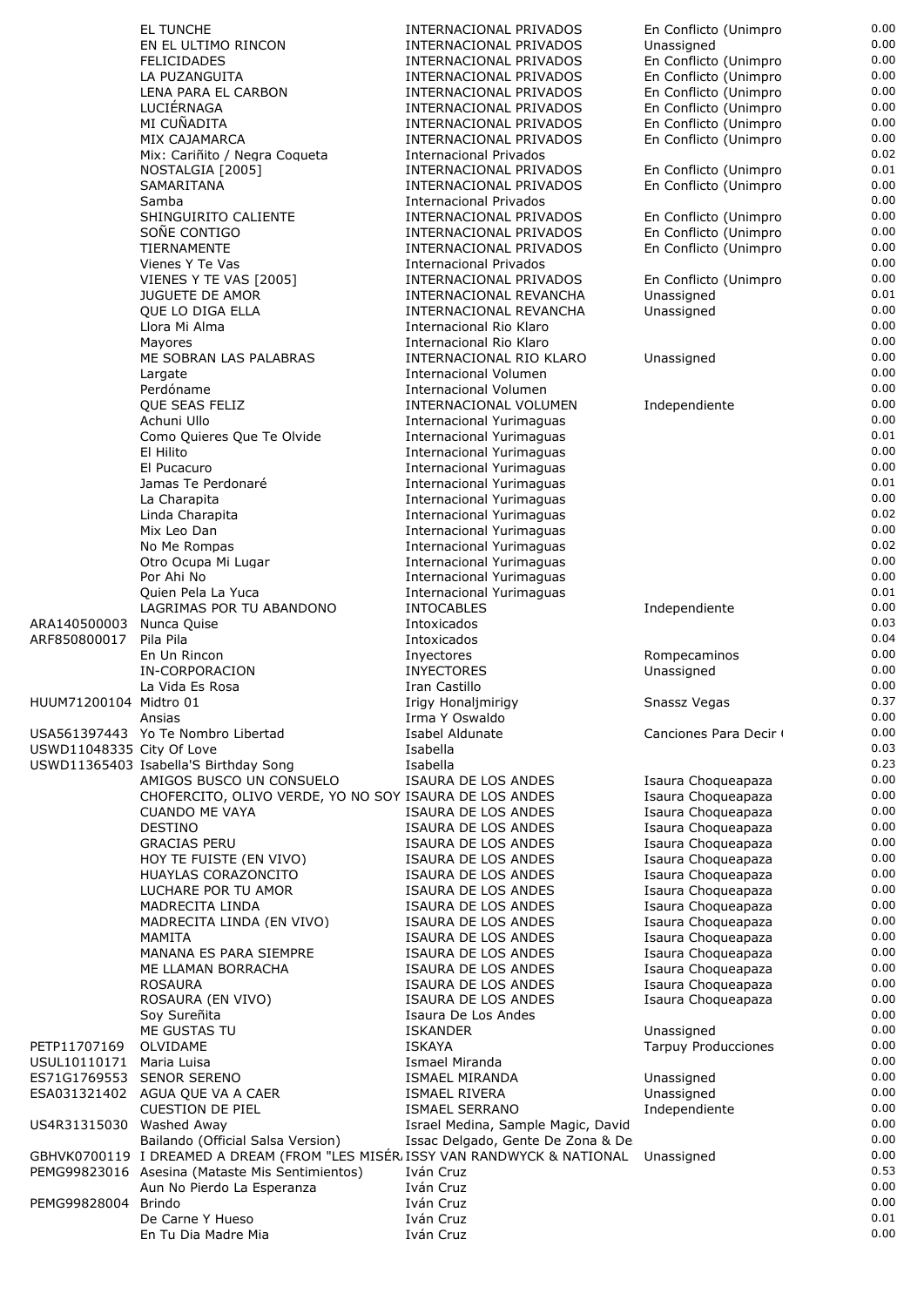|                           | EL TUNCHE                                                                    | INTERNACIONAL PRIVADOS             | En Conflicto (Unimpro      | 0.00 |
|---------------------------|------------------------------------------------------------------------------|------------------------------------|----------------------------|------|
|                           | EN EL ULTIMO RINCON                                                          | INTERNACIONAL PRIVADOS             | Unassigned                 | 0.00 |
|                           |                                                                              |                                    |                            | 0.00 |
|                           | <b>FELICIDADES</b>                                                           | INTERNACIONAL PRIVADOS             | En Conflicto (Unimpro      |      |
|                           | LA PUZANGUITA                                                                | INTERNACIONAL PRIVADOS             | En Conflicto (Unimpro      | 0.00 |
|                           | LENA PARA EL CARBON                                                          | INTERNACIONAL PRIVADOS             | En Conflicto (Unimpro      | 0.00 |
|                           | LUCIÉRNAGA                                                                   | INTERNACIONAL PRIVADOS             | En Conflicto (Unimpro      | 0.00 |
|                           | MI CUÑADITA                                                                  | INTERNACIONAL PRIVADOS             | En Conflicto (Unimpro      | 0.00 |
|                           | MIX CAJAMARCA                                                                | INTERNACIONAL PRIVADOS             | En Conflicto (Unimpro      | 0.00 |
|                           |                                                                              |                                    |                            | 0.02 |
|                           | Mix: Cariñito / Negra Coqueta                                                | Internacional Privados             |                            |      |
|                           | NOSTALGIA [2005]                                                             | <b>INTERNACIONAL PRIVADOS</b>      | En Conflicto (Unimpro      | 0.01 |
|                           | SAMARITANA                                                                   | INTERNACIONAL PRIVADOS             | En Conflicto (Unimpro      | 0.00 |
|                           | Samba                                                                        | Internacional Privados             |                            | 0.00 |
|                           | SHINGUIRITO CALIENTE                                                         | INTERNACIONAL PRIVADOS             | En Conflicto (Unimpro      | 0.00 |
|                           | SOÑE CONTIGO                                                                 | INTERNACIONAL PRIVADOS             | En Conflicto (Unimpro      | 0.00 |
|                           | TIERNAMENTE                                                                  | INTERNACIONAL PRIVADOS             | En Conflicto (Unimpro      | 0.00 |
|                           |                                                                              |                                    |                            |      |
|                           | Vienes Y Te Vas                                                              | <b>Internacional Privados</b>      |                            | 0.00 |
|                           | VIENES Y TE VAS [2005]                                                       | INTERNACIONAL PRIVADOS             | En Conflicto (Unimpro      | 0.00 |
|                           | <b>JUGUETE DE AMOR</b>                                                       | INTERNACIONAL REVANCHA             | Unassigned                 | 0.01 |
|                           | QUE LO DIGA ELLA                                                             | INTERNACIONAL REVANCHA             | Unassigned                 | 0.00 |
|                           | Llora Mi Alma                                                                | Internacional Rio Klaro            |                            | 0.00 |
|                           | Mayores                                                                      | Internacional Rio Klaro            |                            | 0.00 |
|                           | ME SOBRAN LAS PALABRAS                                                       | INTERNACIONAL RIO KLARO            | Unassigned                 | 0.00 |
|                           |                                                                              |                                    |                            |      |
|                           | Largate                                                                      | <b>Internacional Volumen</b>       |                            | 0.00 |
|                           | Perdóname                                                                    | Internacional Volumen              |                            | 0.00 |
|                           | QUE SEAS FELIZ                                                               | INTERNACIONAL VOLUMEN              | Independiente              | 0.00 |
|                           | Achuni Ullo                                                                  | Internacional Yurimaguas           |                            | 0.00 |
|                           | Como Quieres Que Te Olvide                                                   | <b>Internacional Yurimaguas</b>    |                            | 0.01 |
|                           | El Hilito                                                                    | <b>Internacional Yurimaguas</b>    |                            | 0.00 |
|                           |                                                                              |                                    |                            | 0.00 |
|                           | El Pucacuro                                                                  | <b>Internacional Yurimaguas</b>    |                            |      |
|                           | Jamas Te Perdonaré                                                           | <b>Internacional Yurimaguas</b>    |                            | 0.01 |
|                           | La Charapita                                                                 | <b>Internacional Yurimaguas</b>    |                            | 0.00 |
|                           | Linda Charapita                                                              | <b>Internacional Yurimaguas</b>    |                            | 0.02 |
|                           | Mix Leo Dan                                                                  | <b>Internacional Yurimaguas</b>    |                            | 0.00 |
|                           | No Me Rompas                                                                 | <b>Internacional Yurimaguas</b>    |                            | 0.02 |
|                           |                                                                              |                                    |                            | 0.00 |
|                           | Otro Ocupa Mi Lugar                                                          | <b>Internacional Yurimaguas</b>    |                            |      |
|                           | Por Ahi No                                                                   | Internacional Yurimaguas           |                            | 0.00 |
|                           | Quien Pela La Yuca                                                           | <b>Internacional Yurimaguas</b>    |                            | 0.01 |
|                           | LAGRIMAS POR TU ABANDONO                                                     | <b>INTOCABLES</b>                  | Independiente              | 0.00 |
| ARA140500003              | Nunca Quise                                                                  | Intoxicados                        |                            | 0.03 |
| ARF850800017              | Pila Pila                                                                    | Intoxicados                        |                            | 0.04 |
|                           |                                                                              |                                    |                            | 0.00 |
|                           | En Un Rincon                                                                 | Inyectores                         | Rompecaminos               |      |
|                           | IN-CORPORACION                                                               | <b>INYECTORES</b>                  | Unassigned                 | 0.00 |
|                           | La Vida Es Rosa                                                              | Iran Castillo                      |                            | 0.00 |
| HUUM71200104 Midtro 01    |                                                                              | Irigy Honaljmirigy                 | Snassz Vegas               | 0.37 |
|                           | Ansias                                                                       | Irma Y Oswaldo                     |                            | 0.00 |
|                           | USA561397443 Yo Te Nombro Libertad                                           | Isabel Aldunate                    | Canciones Para Decir       | 0.00 |
|                           |                                                                              | Isabella                           |                            | 0.03 |
| USWD11048335 City Of Love |                                                                              |                                    |                            |      |
|                           | USWD11365403 Isabella'S Birthday Song                                        | Isabella                           |                            | 0.23 |
|                           | AMIGOS BUSCO UN CONSUELO                                                     | ISAURA DE LOS ANDES                | Isaura Choqueapaza         | 0.00 |
|                           | CHOFERCITO, OLIVO VERDE, YO NO SOY ISAURA DE LOS ANDES                       |                                    | Isaura Choqueapaza         | 0.00 |
|                           | <b>CUANDO ME VAYA</b>                                                        | ISAURA DE LOS ANDES                | Isaura Choqueapaza         | 0.00 |
|                           | <b>DESTINO</b>                                                               | ISAURA DE LOS ANDES                | Isaura Choqueapaza         | 0.00 |
|                           |                                                                              | ISAURA DE LOS ANDES                |                            | 0.00 |
|                           | <b>GRACIAS PERU</b>                                                          |                                    | Isaura Choqueapaza         |      |
|                           | HOY TE FUISTE (EN VIVO)                                                      | ISAURA DE LOS ANDES                | Isaura Choqueapaza         | 0.00 |
|                           | HUAYLAS CORAZONCITO                                                          | ISAURA DE LOS ANDES                | Isaura Choqueapaza         | 0.00 |
|                           | LUCHARE POR TU AMOR                                                          | ISAURA DE LOS ANDES                | Isaura Choqueapaza         | 0.00 |
|                           | MADRECITA LINDA                                                              | ISAURA DE LOS ANDES                | Isaura Choqueapaza         | 0.00 |
|                           | MADRECITA LINDA (EN VIVO)                                                    | ISAURA DE LOS ANDES                | Isaura Choqueapaza         | 0.00 |
|                           | MAMITA                                                                       | ISAURA DE LOS ANDES                | Isaura Choqueapaza         | 0.00 |
|                           |                                                                              |                                    |                            | 0.00 |
|                           | MANANA ES PARA SIEMPRE                                                       | ISAURA DE LOS ANDES                | Isaura Choqueapaza         |      |
|                           | ME LLAMAN BORRACHA                                                           | ISAURA DE LOS ANDES                | Isaura Choqueapaza         | 0.00 |
|                           | <b>ROSAURA</b>                                                               | ISAURA DE LOS ANDES                | Isaura Choqueapaza         | 0.00 |
|                           | ROSAURA (EN VIVO)                                                            | ISAURA DE LOS ANDES                | Isaura Choqueapaza         | 0.00 |
|                           | Soy Sureñita                                                                 | Isaura De Los Andes                |                            | 0.00 |
|                           | ME GUSTAS TU                                                                 | <b>ISKANDER</b>                    | Unassigned                 | 0.00 |
|                           |                                                                              |                                    |                            | 0.00 |
| PETP11707169              | OLVIDAME                                                                     | <b>ISKAYA</b>                      | <b>Tarpuy Producciones</b> |      |
| USUL10110171              | Maria Luisa                                                                  | Ismael Miranda                     |                            | 0.00 |
| ES71G1769553              | <b>SENOR SERENO</b>                                                          | <b>ISMAEL MIRANDA</b>              | Unassigned                 | 0.00 |
|                           | ESA031321402 AGUA QUE VA A CAER                                              | ISMAEL RIVERA                      | Unassigned                 | 0.00 |
|                           | <b>CUESTION DE PIEL</b>                                                      | <b>ISMAEL SERRANO</b>              | Independiente              | 0.00 |
| US4R31315030 Washed Away  |                                                                              | Israel Medina, Sample Magic, David |                            | 0.00 |
|                           | Bailando (Official Salsa Version)                                            | Issac Delgado, Gente De Zona & De  |                            | 0.00 |
|                           |                                                                              |                                    |                            | 0.00 |
|                           | GBHVK0700119 I DREAMED A DREAM (FROM "LES MISER ISSY VAN RANDWYCK & NATIONAL |                                    | Unassigned                 |      |
|                           | PEMG99823016 Asesina (Mataste Mis Sentimientos)                              | Iván Cruz                          |                            | 0.53 |
|                           | Aun No Pierdo La Esperanza                                                   | Iván Cruz                          |                            | 0.00 |
| PEMG99828004 Brindo       |                                                                              | Iván Cruz                          |                            | 0.00 |
|                           | De Carne Y Hueso                                                             | Iván Cruz                          |                            | 0.01 |
|                           | En Tu Dia Madre Mia                                                          | Iván Cruz                          |                            | 0.00 |
|                           |                                                                              |                                    |                            |      |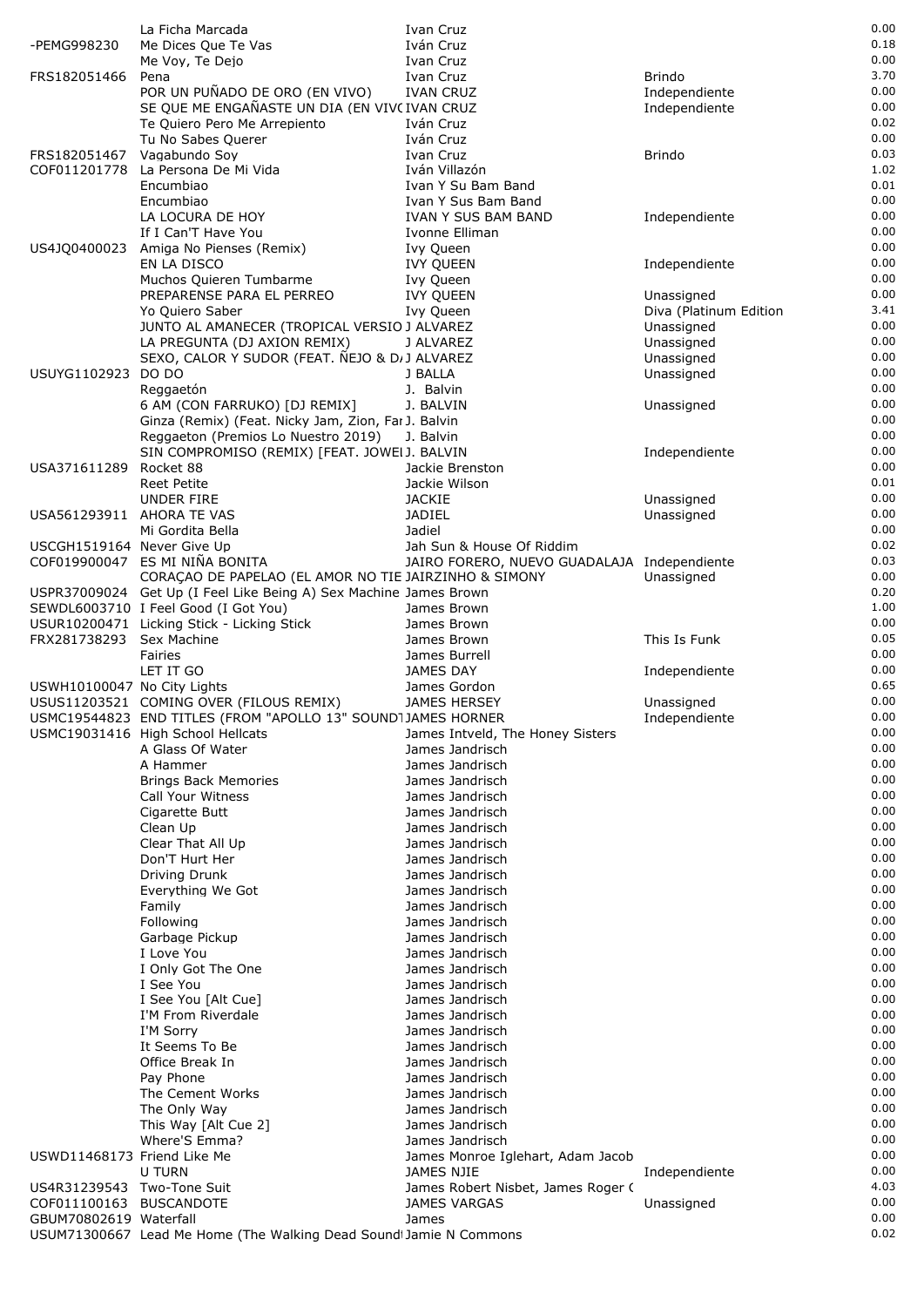|                             | La Ficha Marcada                                                              | Ivan Cruz                                       |                                      | 0.00         |
|-----------------------------|-------------------------------------------------------------------------------|-------------------------------------------------|--------------------------------------|--------------|
| -PEMG998230                 | Me Dices Que Te Vas                                                           | Iván Cruz                                       |                                      | 0.18         |
|                             | Me Voy, Te Dejo                                                               | Ivan Cruz                                       |                                      | 0.00         |
| FRS182051466                | Pena                                                                          | Ivan Cruz                                       | Brindo                               | 3.70         |
|                             | POR UN PUÑADO DE ORO (EN VIVO)                                                | <b>IVAN CRUZ</b>                                | Independiente                        | 0.00<br>0.00 |
|                             | SE QUE ME ENGAÑASTE UN DIA (EN VIVC IVAN CRUZ<br>Te Quiero Pero Me Arrepiento | Iván Cruz                                       | Independiente                        | 0.02         |
|                             | Tu No Sabes Querer                                                            | Iván Cruz                                       |                                      | 0.00         |
| FRS182051467                | Vagabundo Soy                                                                 | Ivan Cruz                                       | <b>Brindo</b>                        | 0.03         |
| COF011201778                | La Persona De Mi Vida                                                         | Iván Villazón                                   |                                      | 1.02         |
|                             | Encumbiao                                                                     | Ivan Y Su Bam Band                              |                                      | 0.01         |
|                             | Encumbiao                                                                     | Ivan Y Sus Bam Band                             |                                      | 0.00         |
|                             | LA LOCURA DE HOY                                                              | IVAN Y SUS BAM BAND                             | Independiente                        | 0.00         |
|                             | If I Can'T Have You                                                           | Ivonne Elliman                                  |                                      | 0.00         |
| US4JQ0400023                | Amiga No Pienses (Remix)                                                      | Ivy Queen                                       |                                      | 0.00         |
|                             | EN LA DISCO                                                                   | <b>IVY QUEEN</b>                                | Independiente                        | 0.00         |
|                             | Muchos Quieren Tumbarme                                                       | Ivy Queen                                       |                                      | 0.00<br>0.00 |
|                             | PREPARENSE PARA EL PERREO<br>Yo Quiero Saber                                  | <b>IVY QUEEN</b><br>Ivy Queen                   | Unassigned<br>Diva (Platinum Edition | 3.41         |
|                             | JUNTO AL AMANECER (TROPICAL VERSIO J ALVAREZ                                  |                                                 | Unassigned                           | 0.00         |
|                             | LA PREGUNTA (DJ AXION REMIX)                                                  | J ALVAREZ                                       | Unassigned                           | 0.00         |
|                             | SEXO, CALOR Y SUDOR (FEAT. NEJO & D/J ALVAREZ                                 |                                                 | Unassigned                           | 0.00         |
| USUYG1102923                | DO DO                                                                         | J BALLA                                         | Unassigned                           | 0.00         |
|                             | Reggaetón                                                                     | J. Balvin                                       |                                      | 0.00         |
|                             | 6 AM (CON FARRUKO) [DJ REMIX]                                                 | J. BALVIN                                       | Unassigned                           | 0.00         |
|                             | Ginza (Remix) (Feat. Nicky Jam, Zion, Far J. Balvin                           |                                                 |                                      | 0.00         |
|                             | Reggaeton (Premios Lo Nuestro 2019)                                           | J. Balvin                                       |                                      | 0.00         |
|                             | SIN COMPROMISO (REMIX) [FEAT. JOWEI J. BALVIN                                 |                                                 | Independiente                        | 0.00<br>0.00 |
| USA371611289                | Rocket 88<br><b>Reet Petite</b>                                               | Jackie Brenston<br>Jackie Wilson                |                                      | 0.01         |
|                             | UNDER FIRE                                                                    | <b>JACKIE</b>                                   | Unassigned                           | 0.00         |
| USA561293911 AHORA TE VAS   |                                                                               | <b>JADIEL</b>                                   | Unassigned                           | 0.00         |
|                             | Mi Gordita Bella                                                              | Jadiel                                          |                                      | 0.00         |
| USCGH1519164 Never Give Up  |                                                                               | Jah Sun & House Of Riddim                       |                                      | 0.02         |
|                             | COF019900047 ES MI NIÑA BONITA                                                | JAIRO FORERO, NUEVO GUADALAJA Independiente     |                                      | 0.03         |
|                             | CORAÇÃO DE PAPELAO (EL AMOR NO TIE JAIRZINHO & SIMONY                         |                                                 | Unassigned                           | 0.00         |
|                             | USPR37009024 Get Up (I Feel Like Being A) Sex Machine James Brown             |                                                 |                                      | 0.20         |
|                             | SEWDL6003710 I Feel Good (I Got You)                                          | James Brown                                     |                                      | 1.00         |
|                             | USUR10200471 Licking Stick - Licking Stick                                    | James Brown                                     |                                      | 0.00<br>0.05 |
| FRX281738293 Sex Machine    |                                                                               | James Brown                                     | This Is Funk                         | 0.00         |
|                             | Fairies<br>LET IT GO                                                          | James Burrell<br><b>JAMES DAY</b>               | Independiente                        | 0.00         |
| USWH10100047 No City Lights |                                                                               | James Gordon                                    |                                      | 0.65         |
|                             | USUS11203521 COMING OVER (FILOUS REMIX)                                       | <b>JAMES HERSEY</b>                             | Unassigned                           | 0.00         |
|                             | USMC19544823 END TITLES (FROM "APOLLO 13" SOUND1JAMES HORNER                  |                                                 | Independiente                        | 0.00         |
|                             | USMC19031416 High School Hellcats                                             | James Intveld, The Honey Sisters                |                                      | 0.00         |
|                             | A Glass Of Water                                                              | James Jandrisch                                 |                                      | 0.00         |
|                             | A Hammer                                                                      | James Jandrisch                                 |                                      | 0.00         |
|                             | <b>Brings Back Memories</b>                                                   | James Jandrisch                                 |                                      | 0.00         |
|                             | Call Your Witness                                                             | James Jandrisch                                 |                                      | 0.00         |
|                             | Cigarette Butt                                                                | James Jandrisch                                 |                                      | 0.00<br>0.00 |
|                             | Clean Up<br>Clear That All Up                                                 | James Jandrisch<br>James Jandrisch              |                                      | 0.00         |
|                             | Don'T Hurt Her                                                                | James Jandrisch                                 |                                      | 0.00         |
|                             | Driving Drunk                                                                 | James Jandrisch                                 |                                      | 0.00         |
|                             | Everything We Got                                                             | James Jandrisch                                 |                                      | 0.00         |
|                             | Family                                                                        | James Jandrisch                                 |                                      | 0.00         |
|                             | Following                                                                     | James Jandrisch                                 |                                      | 0.00         |
|                             | Garbage Pickup                                                                | James Jandrisch                                 |                                      | 0.00         |
|                             | I Love You                                                                    | James Jandrisch                                 |                                      | 0.00         |
|                             | I Only Got The One                                                            | James Jandrisch                                 |                                      | 0.00         |
|                             | I See You                                                                     | James Jandrisch                                 |                                      | 0.00         |
|                             | I See You [Alt Cue]<br>I'M From Riverdale                                     | James Jandrisch<br>James Jandrisch              |                                      | 0.00<br>0.00 |
|                             | I'M Sorry                                                                     | James Jandrisch                                 |                                      | 0.00         |
|                             | It Seems To Be                                                                | James Jandrisch                                 |                                      | 0.00         |
|                             | Office Break In                                                               | James Jandrisch                                 |                                      | 0.00         |
|                             | Pay Phone                                                                     | James Jandrisch                                 |                                      | 0.00         |
|                             | The Cement Works                                                              | James Jandrisch                                 |                                      | 0.00         |
|                             | The Only Way                                                                  | James Jandrisch                                 |                                      | 0.00         |
|                             | This Way [Alt Cue 2]                                                          | James Jandrisch                                 |                                      | 0.00         |
|                             | Where'S Emma?                                                                 | James Jandrisch                                 |                                      | 0.00         |
| USWD11468173 Friend Like Me |                                                                               | James Monroe Iglehart, Adam Jacob<br>JAMES NJIE |                                      | 0.00<br>0.00 |
| US4R31239543 Two-Tone Suit  | U TURN                                                                        | James Robert Nisbet, James Roger (              | Independiente                        | 4.03         |
| COF011100163 BUSCANDOTE     |                                                                               | <b>JAMES VARGAS</b>                             | Unassigned                           | 0.00         |
| GBUM70802619 Waterfall      |                                                                               | James                                           |                                      | 0.00         |
|                             | USUM71300667 Lead Me Home (The Walking Dead Sound Jamie N Commons             |                                                 |                                      | 0.02         |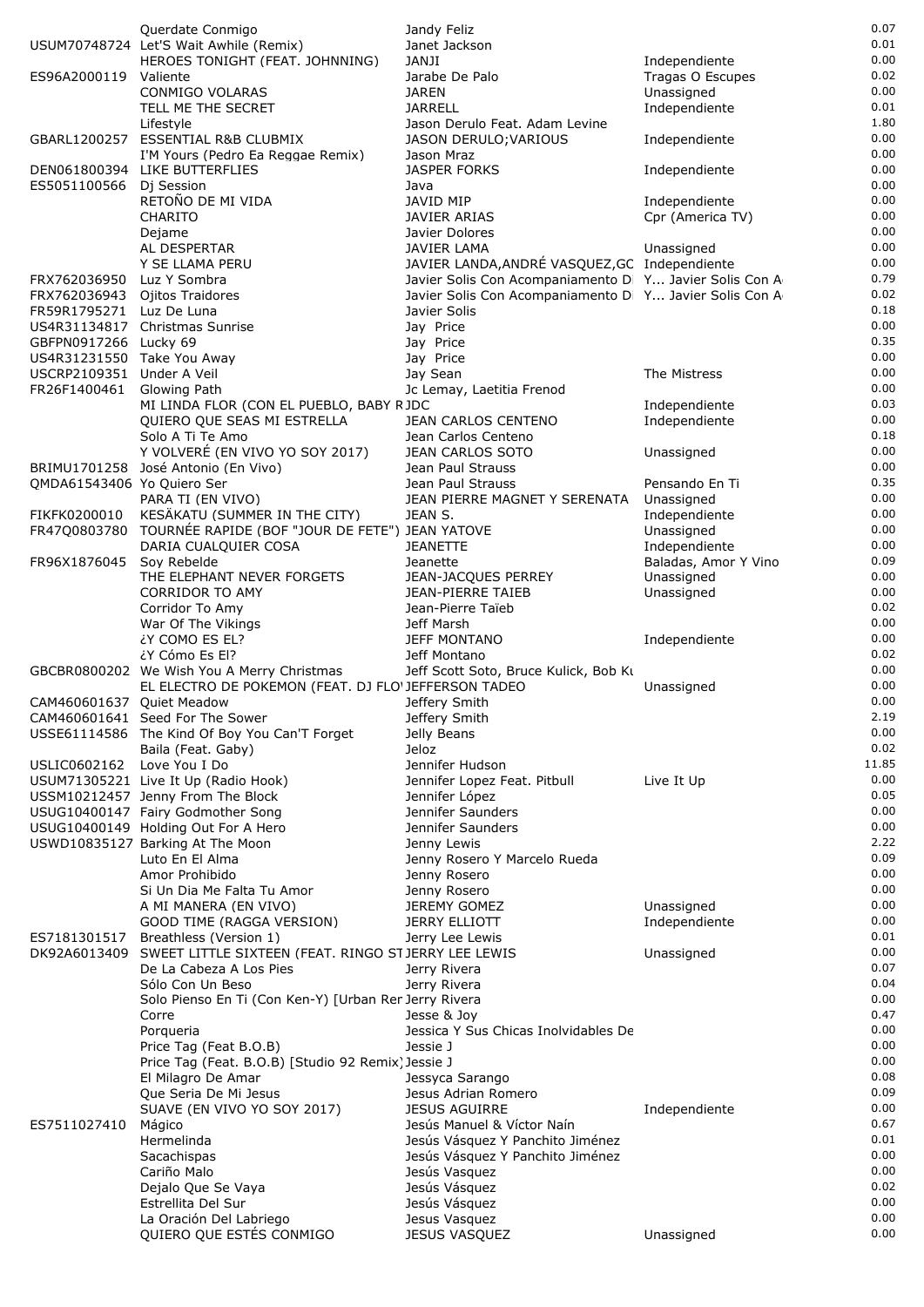|                                                     | Querdate Conmigo                                                                                  | Jandy Feliz                                                          |                                | 0.07         |
|-----------------------------------------------------|---------------------------------------------------------------------------------------------------|----------------------------------------------------------------------|--------------------------------|--------------|
|                                                     | USUM70748724 Let'S Wait Awhile (Remix)                                                            | Janet Jackson                                                        |                                | 0.01         |
|                                                     | HEROES TONIGHT (FEAT. JOHNNING)                                                                   | JANJI                                                                | Independiente                  | 0.00         |
| ES96A2000119 Valiente                               | CONMIGO VOLARAS                                                                                   | Jarabe De Palo<br><b>JAREN</b>                                       | Tragas O Escupes<br>Unassigned | 0.02<br>0.00 |
|                                                     | TELL ME THE SECRET                                                                                | <b>JARRELL</b>                                                       | Independiente                  | 0.01         |
|                                                     | Lifestyle                                                                                         | Jason Derulo Feat. Adam Levine                                       |                                | 1.80         |
|                                                     | GBARL1200257 ESSENTIAL R&B CLUBMIX                                                                | JASON DERULO; VARIOUS                                                | Independiente                  | 0.00         |
|                                                     | I'M Yours (Pedro Ea Reggae Remix)                                                                 | Jason Mraz                                                           |                                | 0.00         |
|                                                     | DEN061800394 LIKE BUTTERFLIES                                                                     | <b>JASPER FORKS</b>                                                  | Independiente                  | 0.00         |
| ES5051100566                                        | Di Session                                                                                        | Java                                                                 |                                | 0.00         |
|                                                     | RETOÑO DE MI VIDA                                                                                 | JAVID MIP                                                            | Independiente                  | 0.00<br>0.00 |
|                                                     | <b>CHARITO</b><br>Dejame                                                                          | JAVIER ARIAS<br>Javier Dolores                                       | Cpr (America TV)               | 0.00         |
|                                                     | AL DESPERTAR                                                                                      | <b>JAVIER LAMA</b>                                                   | Unassigned                     | 0.00         |
|                                                     | Y SE LLAMA PERU                                                                                   | JAVIER LANDA, ANDRÉ VASQUEZ, GC Independiente                        |                                | 0.00         |
| FRX762036950                                        | Luz Y Sombra                                                                                      | Javier Solis Con Acompaniamento D Y Javier Solis Con A               |                                | 0.79         |
| FRX762036943                                        | Ojitos Traidores                                                                                  | Javier Solis Con Acompaniamento D Y Javier Solis Con A               |                                | 0.02         |
| FR59R1795271 Luz De Luna                            |                                                                                                   | Javier Solis                                                         |                                | 0.18         |
|                                                     | US4R31134817 Christmas Sunrise                                                                    | Jay Price                                                            |                                | 0.00<br>0.35 |
| GBFPN0917266 Lucky 69<br>US4R31231550 Take You Away |                                                                                                   | Jay Price<br>Jay Price                                               |                                | 0.00         |
| USCRP2109351 Under A Veil                           |                                                                                                   | Jay Sean                                                             | The Mistress                   | 0.00         |
| FR26F1400461                                        | Glowing Path                                                                                      | Jc Lemay, Laetitia Frenod                                            |                                | 0.00         |
|                                                     | MI LINDA FLOR (CON EL PUEBLO, BABY RJDC                                                           |                                                                      | Independiente                  | 0.03         |
|                                                     | QUIERO QUE SEAS MI ESTRELLA                                                                       | <b>JEAN CARLOS CENTENO</b>                                           | Independiente                  | 0.00         |
|                                                     | Solo A Ti Te Amo                                                                                  | Jean Carlos Centeno                                                  |                                | 0.18         |
|                                                     | Y VOLVERÉ (EN VIVO YO SOY 2017)<br>BRIMU1701258 José Antonio (En Vivo)                            | JEAN CARLOS SOTO<br>Jean Paul Strauss                                | Unassigned                     | 0.00<br>0.00 |
| QMDA61543406 Yo Quiero Ser                          |                                                                                                   | Jean Paul Strauss                                                    | Pensando En Ti                 | 0.35         |
|                                                     | PARA TI (EN VIVO)                                                                                 | JEAN PIERRE MAGNET Y SERENATA                                        | Unassigned                     | 0.00         |
| FIKFK0200010                                        | KESÄKATU (SUMMER IN THE CITY)                                                                     | JEAN S.                                                              | Independiente                  | 0.00         |
|                                                     | FR47Q0803780 TOURNÉE RAPIDE (BOF "JOUR DE FETE") JEAN YATOVE                                      |                                                                      | Unassigned                     | 0.00         |
|                                                     | DARIA CUALQUIER COSA                                                                              | <b>JEANETTE</b>                                                      | Independiente                  | 0.00         |
| FR96X1876045                                        | Soy Rebelde                                                                                       | Jeanette                                                             | Baladas, Amor Y Vino           | 0.09         |
|                                                     | THE ELEPHANT NEVER FORGETS<br><b>CORRIDOR TO AMY</b>                                              | JEAN-JACQUES PERREY<br><b>JEAN-PIERRE TAIEB</b>                      | Unassigned<br>Unassigned       | 0.00<br>0.00 |
|                                                     | Corridor To Amy                                                                                   | Jean-Pierre Taïeb                                                    |                                | 0.02         |
|                                                     | War Of The Vikings                                                                                | Jeff Marsh                                                           |                                | 0.00         |
|                                                     | ¿Y COMO ES EL?                                                                                    | <b>JEFF MONTANO</b>                                                  | Independiente                  | 0.00         |
|                                                     | ¿Y Cómo Es El?                                                                                    | Jeff Montano                                                         |                                | 0.02         |
|                                                     | GBCBR0800202 We Wish You A Merry Christmas<br>EL ELECTRO DE POKEMON (FEAT. DJ FLO'JEFFERSON TADEO | Jeff Scott Soto, Bruce Kulick, Bob Kt                                |                                | 0.00<br>0.00 |
| CAM460601637 Quiet Meadow                           |                                                                                                   | Jeffery Smith                                                        | Unassigned                     | 0.00         |
|                                                     | CAM460601641 Seed For The Sower                                                                   | Jeffery Smith                                                        |                                | 2.19         |
|                                                     | USSE61114586 The Kind Of Boy You Can'T Forget                                                     | Jelly Beans                                                          |                                | 0.00         |
|                                                     | Baila (Feat. Gaby)                                                                                | Jeloz                                                                |                                | 0.02         |
| USLIC0602162 Love You I Do                          |                                                                                                   | Jennifer Hudson                                                      |                                | 11.85        |
|                                                     | USUM71305221 Live It Up (Radio Hook)                                                              | Jennifer Lopez Feat. Pitbull                                         | Live It Up                     | 0.00<br>0.05 |
|                                                     | USSM10212457 Jenny From The Block<br>USUG10400147 Fairy Godmother Song                            | Jennifer López<br>Jennifer Saunders                                  |                                | 0.00         |
|                                                     | USUG10400149 Holding Out For A Hero                                                               | Jennifer Saunders                                                    |                                | 0.00         |
|                                                     | USWD10835127 Barking At The Moon                                                                  | Jenny Lewis                                                          |                                | 2.22         |
|                                                     | Luto En El Alma                                                                                   | Jenny Rosero Y Marcelo Rueda                                         |                                | 0.09         |
|                                                     | Amor Prohibido                                                                                    | Jenny Rosero                                                         |                                | 0.00         |
|                                                     | Si Un Dia Me Falta Tu Amor                                                                        | Jenny Rosero                                                         |                                | 0.00         |
|                                                     | A MI MANERA (EN VIVO)                                                                             | JEREMY GOMEZ                                                         | Unassigned                     | 0.00<br>0.00 |
| ES7181301517                                        | GOOD TIME (RAGGA VERSION)<br>Breathless (Version 1)                                               | <b>JERRY ELLIOTT</b><br>Jerry Lee Lewis                              | Independiente                  | 0.01         |
| DK92A6013409                                        | SWEET LITTLE SIXTEEN (FEAT. RINGO STJERRY LEE LEWIS                                               |                                                                      | Unassigned                     | 0.00         |
|                                                     | De La Cabeza A Los Pies                                                                           | Jerry Rivera                                                         |                                | 0.07         |
|                                                     | Sólo Con Un Beso                                                                                  | Jerry Rivera                                                         |                                | 0.04         |
|                                                     | Solo Pienso En Ti (Con Ken-Y) [Urban Ren Jerry Rivera                                             |                                                                      |                                | 0.00         |
|                                                     | Corre                                                                                             | Jesse & Joy                                                          |                                | 0.47<br>0.00 |
|                                                     | Porqueria<br>Price Tag (Feat B.O.B)                                                               | Jessica Y Sus Chicas Inolvidables De<br>Jessie J                     |                                | 0.00         |
|                                                     | Price Tag (Feat. B.O.B) [Studio 92 Remix] Jessie J                                                |                                                                      |                                | 0.00         |
|                                                     | El Milagro De Amar                                                                                | Jessyca Sarango                                                      |                                | 0.08         |
|                                                     | Que Seria De Mi Jesus                                                                             | Jesus Adrian Romero                                                  |                                | 0.09         |
|                                                     | SUAVE (EN VIVO YO SOY 2017)                                                                       | <b>JESUS AGUIRRE</b>                                                 | Independiente                  | 0.00         |
| ES7511027410                                        | Mágico                                                                                            | Jesús Manuel & Víctor Naín                                           |                                | 0.67         |
|                                                     | Hermelinda<br>Sacachispas                                                                         | Jesús Vásquez Y Panchito Jiménez<br>Jesús Vásquez Y Panchito Jiménez |                                | 0.01<br>0.00 |
|                                                     | Cariño Malo                                                                                       | Jesús Vasquez                                                        |                                | 0.00         |
|                                                     | Dejalo Que Se Vaya                                                                                | Jesús Vásquez                                                        |                                | 0.02         |
|                                                     | Estrellita Del Sur                                                                                | Jesús Vásquez                                                        |                                | 0.00         |
|                                                     | La Oración Del Labriego                                                                           | Jesus Vasquez                                                        |                                | 0.00         |
|                                                     | QUIERO QUE ESTÉS CONMIGO                                                                          | <b>JESUS VASQUEZ</b>                                                 | Unassigned                     | 0.00         |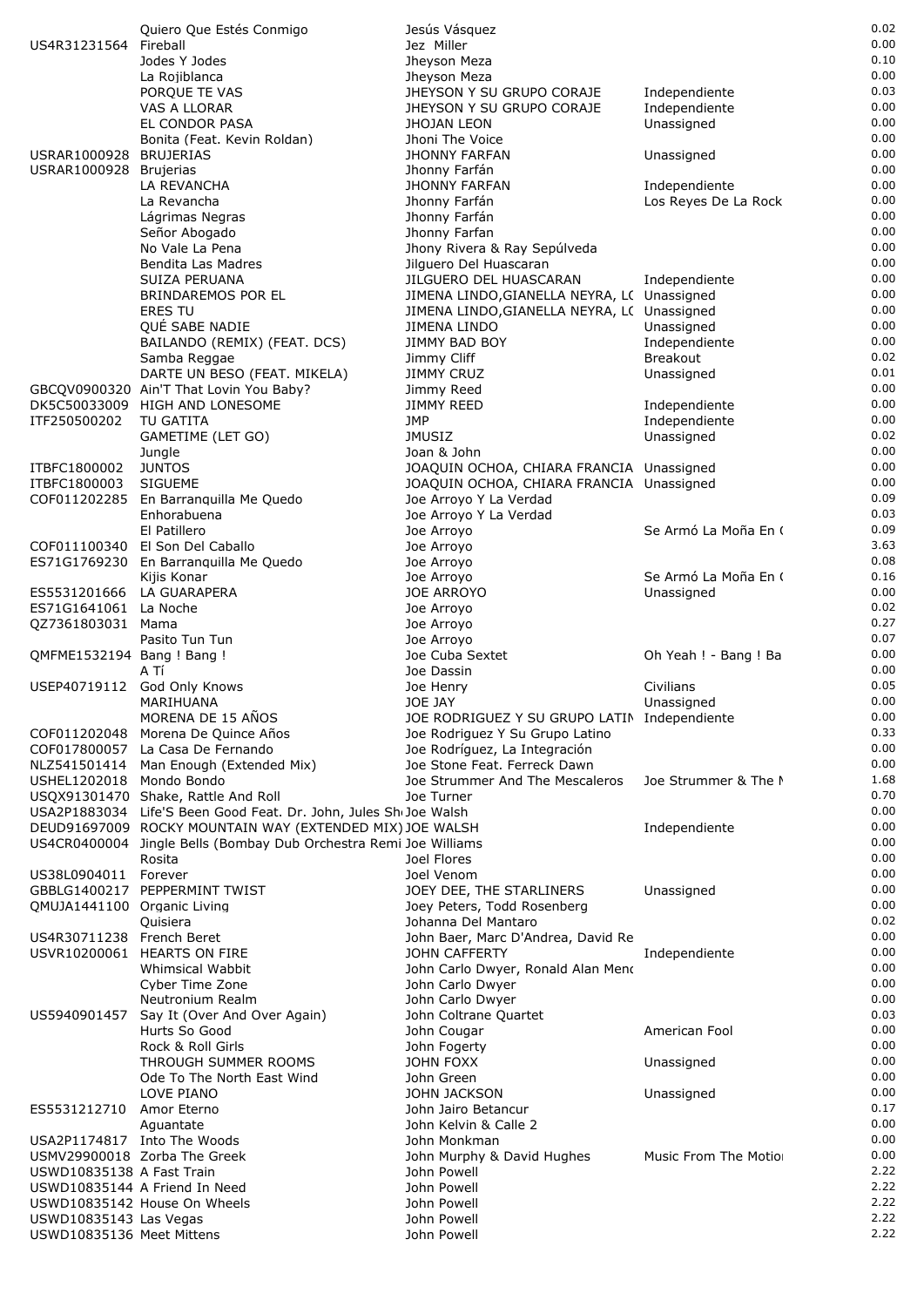|                                            | Quiero Que Estés Conmigo                                                                                                     | Jesús Vásquez                                                         |                       | 0.02         |
|--------------------------------------------|------------------------------------------------------------------------------------------------------------------------------|-----------------------------------------------------------------------|-----------------------|--------------|
| US4R31231564                               | Fireball                                                                                                                     | Jez Miller                                                            |                       | 0.00<br>0.10 |
|                                            | Jodes Y Jodes<br>La Rojiblanca                                                                                               | Jheyson Meza<br>Jheyson Meza                                          |                       | 0.00         |
|                                            | PORQUE TE VAS                                                                                                                | JHEYSON Y SU GRUPO CORAJE                                             | Independiente         | 0.03         |
|                                            | VAS A LLORAR                                                                                                                 | JHEYSON Y SU GRUPO CORAJE                                             | Independiente         | 0.00         |
|                                            | EL CONDOR PASA                                                                                                               | JHOJAN LEON                                                           | Unassigned            | 0.00         |
|                                            | Bonita (Feat. Kevin Roldan)                                                                                                  | Jhoni The Voice                                                       |                       | 0.00         |
| USRAR1000928 BRUJERIAS                     |                                                                                                                              | <b>JHONNY FARFAN</b>                                                  | Unassigned            | 0.00<br>0.00 |
| USRAR1000928 Brujerias                     | LA REVANCHA                                                                                                                  | Jhonny Farfán<br><b>JHONNY FARFAN</b>                                 | Independiente         | 0.00         |
|                                            | La Revancha                                                                                                                  | Jhonny Farfán                                                         | Los Reyes De La Rock  | 0.00         |
|                                            | Lágrimas Negras                                                                                                              | Jhonny Farfán                                                         |                       | 0.00         |
|                                            | Señor Abogado                                                                                                                | Jhonny Farfan                                                         |                       | 0.00         |
|                                            | No Vale La Pena                                                                                                              | Jhony Rivera & Ray Sepúlveda                                          |                       | 0.00         |
|                                            | Bendita Las Madres                                                                                                           | Jilguero Del Huascaran                                                |                       | 0.00<br>0.00 |
|                                            | SUIZA PERUANA<br>BRINDAREMOS POR EL                                                                                          | JILGUERO DEL HUASCARAN<br>JIMENA LINDO, GIANELLA NEYRA, L( Unassigned | Independiente         | 0.00         |
|                                            | <b>ERES TU</b>                                                                                                               | JIMENA LINDO, GIANELLA NEYRA, L( Unassigned                           |                       | 0.00         |
|                                            | QUÉ SABE NADIE                                                                                                               | JIMENA LINDO                                                          | Unassigned            | 0.00         |
|                                            | BAILANDO (REMIX) (FEAT. DCS)                                                                                                 | JIMMY BAD BOY                                                         | Independiente         | 0.00         |
|                                            | Samba Reggae                                                                                                                 | Jimmy Cliff                                                           | <b>Breakout</b>       | 0.02         |
|                                            | DARTE UN BESO (FEAT. MIKELA)                                                                                                 | <b>JIMMY CRUZ</b>                                                     | Unassigned            | 0.01<br>0.00 |
|                                            | GBCQV0900320 Ain'T That Lovin You Baby?<br>DK5C50033009 HIGH AND LONESOME                                                    | Jimmy Reed<br>JIMMY REED                                              | Independiente         | 0.00         |
| ITF250500202                               | TU GATITA                                                                                                                    | <b>JMP</b>                                                            | Independiente         | 0.00         |
|                                            | GAMETIME (LET GO)                                                                                                            | <b>JMUSIZ</b>                                                         | Unassigned            | 0.02         |
|                                            | Jungle                                                                                                                       | Joan & John                                                           |                       | 0.00         |
| ITBFC1800002                               | <b>JUNTOS</b>                                                                                                                | JOAQUIN OCHOA, CHIARA FRANCIA Unassigned                              |                       | 0.00         |
| ITBFC1800003                               | <b>SIGUEME</b>                                                                                                               | JOAQUIN OCHOA, CHIARA FRANCIA Unassigned                              |                       | 0.00<br>0.09 |
| COF011202285                               | En Barranguilla Me Quedo<br>Enhorabuena                                                                                      | Joe Arroyo Y La Verdad<br>Joe Arroyo Y La Verdad                      |                       | 0.03         |
|                                            | El Patillero                                                                                                                 | Joe Arroyo                                                            | Se Armó La Moña En (  | 0.09         |
|                                            | COF011100340 El Son Del Caballo                                                                                              | Joe Arroyo                                                            |                       | 3.63         |
|                                            | ES71G1769230 En Barranquilla Me Quedo                                                                                        | Joe Arroyo                                                            |                       | 0.08         |
|                                            | Kijis Konar                                                                                                                  | Joe Arroyo                                                            | Se Armó La Moña En (  | 0.16         |
| ES5531201666 LA GUARAPERA                  |                                                                                                                              | <b>JOE ARROYO</b>                                                     | Unassigned            | 0.00<br>0.02 |
| ES71G1641061 La Noche<br>QZ7361803031 Mama |                                                                                                                              | Joe Arroyo<br>Joe Arroyo                                              |                       | 0.27         |
|                                            | Pasito Tun Tun                                                                                                               | Joe Arroyo                                                            |                       | 0.07         |
| QMFME1532194 Bang ! Bang !                 |                                                                                                                              | Joe Cuba Sextet                                                       | Oh Yeah ! - Bang ! Ba | 0.00         |
|                                            | A Tí                                                                                                                         | Joe Dassin                                                            |                       | 0.00         |
|                                            | USEP40719112 God Only Knows                                                                                                  | Joe Henry                                                             | Civilians             | 0.05         |
|                                            | MARIHUANA<br>MORENA DE 15 AÑOS                                                                                               | JOE JAY<br>JOE RODRIGUEZ Y SU GRUPO LATIN Independiente               | Unassigned            | 0.00<br>0.00 |
|                                            | COF011202048 Morena De Quince Años                                                                                           | Joe Rodriguez Y Su Grupo Latino                                       |                       | 0.33         |
|                                            | COF017800057 La Casa De Fernando                                                                                             | Joe Rodríguez, La Integración                                         |                       | 0.00         |
|                                            | NLZ541501414 Man Enough (Extended Mix)                                                                                       | Joe Stone Feat. Ferreck Dawn                                          |                       | 0.00         |
| USHEL1202018 Mondo Bondo                   |                                                                                                                              | Joe Strummer And The Mescaleros                                       | Joe Strummer & The N  | 1.68         |
|                                            | USQX91301470 Shake, Rattle And Roll                                                                                          | Joe Turner                                                            |                       | 0.70<br>0.00 |
|                                            | USA2P1883034 Life'S Been Good Feat. Dr. John, Jules ShoJoe Walsh<br>DEUD91697009 ROCKY MOUNTAIN WAY (EXTENDED MIX) JOE WALSH |                                                                       | Independiente         | 0.00         |
|                                            | US4CR0400004 Jingle Bells (Bombay Dub Orchestra Remi Joe Williams                                                            |                                                                       |                       | 0.00         |
|                                            | Rosita                                                                                                                       | Joel Flores                                                           |                       | 0.00         |
| US38L0904011 Forever                       |                                                                                                                              | Joel Venom                                                            |                       | 0.00         |
|                                            | GBBLG1400217 PEPPERMINT TWIST                                                                                                | JOEY DEE, THE STARLINERS                                              | Unassigned            | 0.00         |
| QMUJA1441100 Organic Living                |                                                                                                                              | Joey Peters, Todd Rosenberg                                           |                       | 0.00<br>0.02 |
| US4R30711238 French Beret                  | Quisiera                                                                                                                     | Johanna Del Mantaro<br>John Baer, Marc D'Andrea, David Re             |                       | 0.00         |
|                                            | USVR10200061 HEARTS ON FIRE                                                                                                  | <b>JOHN CAFFERTY</b>                                                  | Independiente         | 0.00         |
|                                            | Whimsical Wabbit                                                                                                             | John Carlo Dwyer, Ronald Alan Meno                                    |                       | 0.00         |
|                                            | Cyber Time Zone                                                                                                              | John Carlo Dwyer                                                      |                       | 0.00         |
|                                            | Neutronium Realm                                                                                                             | John Carlo Dwyer                                                      |                       | 0.00         |
| US5940901457                               | Say It (Over And Over Again)<br>Hurts So Good                                                                                | John Coltrane Quartet<br>John Cougar                                  | American Fool         | 0.03<br>0.00 |
|                                            | Rock & Roll Girls                                                                                                            | John Fogerty                                                          |                       | 0.00         |
|                                            | THROUGH SUMMER ROOMS                                                                                                         | JOHN FOXX                                                             | Unassigned            | 0.00         |
|                                            | Ode To The North East Wind                                                                                                   | John Green                                                            |                       | 0.00         |
|                                            | LOVE PIANO                                                                                                                   | JOHN JACKSON                                                          | Unassigned            | 0.00         |
| ES5531212710                               | Amor Eterno                                                                                                                  | John Jairo Betancur                                                   |                       | 0.17         |
|                                            | Aquantate<br>USA2P1174817 Into The Woods                                                                                     | John Kelvin & Calle 2<br>John Monkman                                 |                       | 0.00<br>0.00 |
|                                            | USMV29900018 Zorba The Greek                                                                                                 | John Murphy & David Hughes                                            | Music From The Motio  | 0.00         |
| USWD10835138 A Fast Train                  |                                                                                                                              | John Powell                                                           |                       | 2.22         |
|                                            | USWD10835144 A Friend In Need                                                                                                | John Powell                                                           |                       | 2.22         |
|                                            | USWD10835142 House On Wheels                                                                                                 | John Powell                                                           |                       | 2.22         |
| USWD10835143 Las Vegas                     |                                                                                                                              | John Powell                                                           |                       | 2.22         |
| USWD10835136 Meet Mittens                  |                                                                                                                              | John Powell                                                           |                       | 2.22         |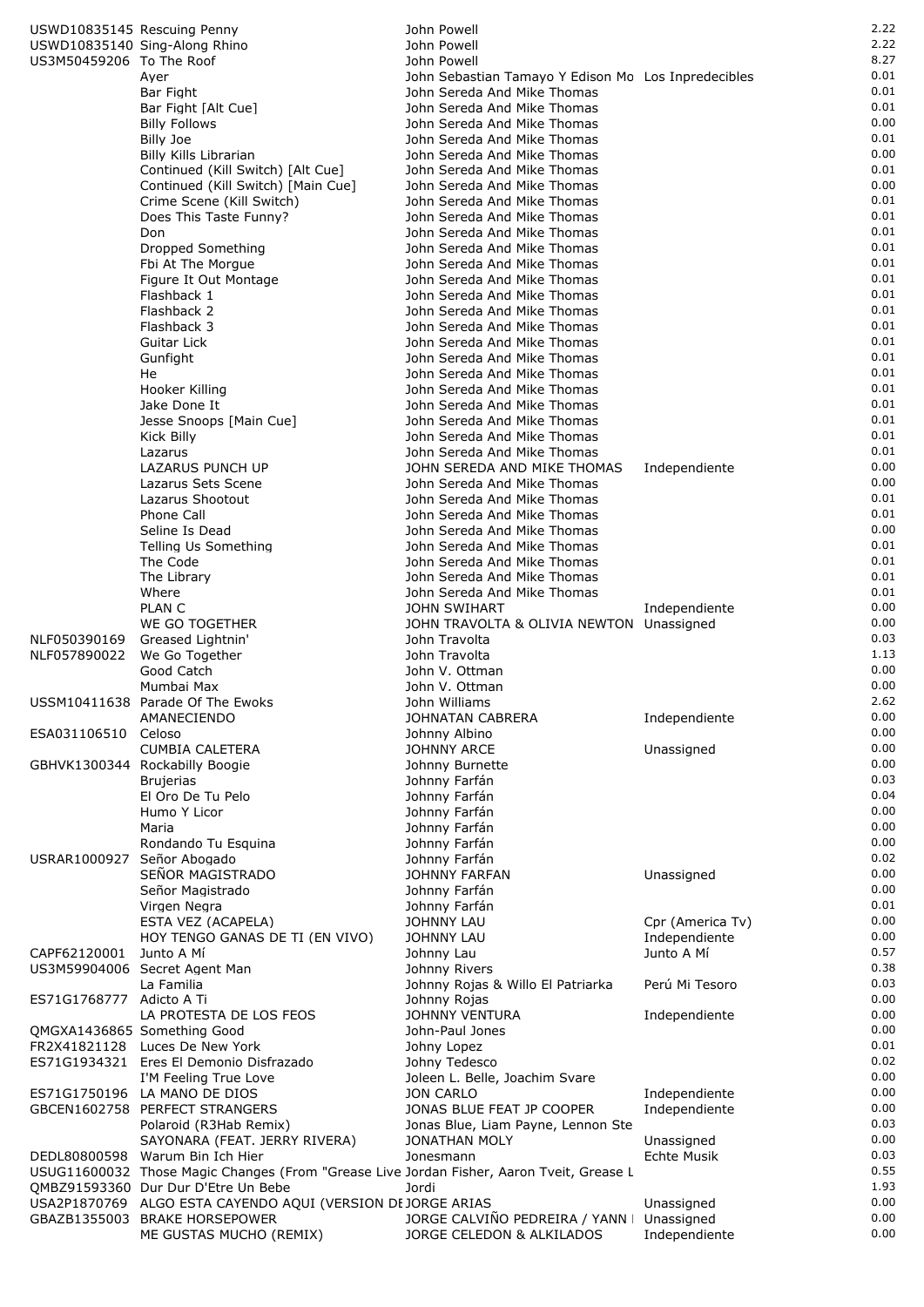|                            | USWD10835145 Rescuing Penny                                                                  | John Powell                                                |                                | 2.22         |
|----------------------------|----------------------------------------------------------------------------------------------|------------------------------------------------------------|--------------------------------|--------------|
|                            | USWD10835140 Sing-Along Rhino                                                                | John Powell                                                |                                | 2.22         |
| US3M50459206 To The Roof   |                                                                                              | John Powell                                                |                                | 8.27         |
|                            | Ayer                                                                                         | John Sebastian Tamayo Y Edison Mo Los Inpredecibles        |                                | 0.01         |
|                            | Bar Fight                                                                                    | John Sereda And Mike Thomas                                |                                | 0.01         |
|                            | Bar Fight [Alt Cue]<br><b>Billy Follows</b>                                                  | John Sereda And Mike Thomas                                |                                | 0.01<br>0.00 |
|                            | Billy Joe                                                                                    | John Sereda And Mike Thomas<br>John Sereda And Mike Thomas |                                | 0.01         |
|                            | Billy Kills Librarian                                                                        | John Sereda And Mike Thomas                                |                                | 0.00         |
|                            | Continued (Kill Switch) [Alt Cue]                                                            | John Sereda And Mike Thomas                                |                                | 0.01         |
|                            | Continued (Kill Switch) [Main Cue]                                                           | John Sereda And Mike Thomas                                |                                | 0.00         |
|                            | Crime Scene (Kill Switch)                                                                    | John Sereda And Mike Thomas                                |                                | 0.01         |
|                            | Does This Taste Funny?                                                                       | John Sereda And Mike Thomas                                |                                | 0.01         |
|                            | Don                                                                                          | John Sereda And Mike Thomas                                |                                | 0.01         |
|                            | Dropped Something<br>Fbi At The Morgue                                                       | John Sereda And Mike Thomas<br>John Sereda And Mike Thomas |                                | 0.01<br>0.01 |
|                            | Figure It Out Montage                                                                        | John Sereda And Mike Thomas                                |                                | 0.01         |
|                            | Flashback 1                                                                                  | John Sereda And Mike Thomas                                |                                | 0.01         |
|                            | Flashback 2                                                                                  | John Sereda And Mike Thomas                                |                                | 0.01         |
|                            | Flashback 3                                                                                  | John Sereda And Mike Thomas                                |                                | 0.01         |
|                            | Guitar Lick                                                                                  | John Sereda And Mike Thomas                                |                                | 0.01         |
|                            | Gunfight                                                                                     | John Sereda And Mike Thomas                                |                                | 0.01         |
|                            | He                                                                                           | John Sereda And Mike Thomas                                |                                | 0.01         |
|                            | Hooker Killing<br>Jake Done It                                                               | John Sereda And Mike Thomas<br>John Sereda And Mike Thomas |                                | 0.01<br>0.01 |
|                            | Jesse Snoops [Main Cue]                                                                      | John Sereda And Mike Thomas                                |                                | 0.01         |
|                            | Kick Billy                                                                                   | John Sereda And Mike Thomas                                |                                | 0.01         |
|                            | Lazarus                                                                                      | John Sereda And Mike Thomas                                |                                | 0.01         |
|                            | <b>LAZARUS PUNCH UP</b>                                                                      | JOHN SEREDA AND MIKE THOMAS                                | Independiente                  | 0.00         |
|                            | Lazarus Sets Scene                                                                           | John Sereda And Mike Thomas                                |                                | 0.00         |
|                            | Lazarus Shootout                                                                             | John Sereda And Mike Thomas                                |                                | 0.01         |
|                            | Phone Call                                                                                   | John Sereda And Mike Thomas                                |                                | 0.01         |
|                            | Seline Is Dead                                                                               | John Sereda And Mike Thomas                                |                                | 0.00<br>0.01 |
|                            | Telling Us Something<br>The Code                                                             | John Sereda And Mike Thomas<br>John Sereda And Mike Thomas |                                | 0.01         |
|                            | The Library                                                                                  | John Sereda And Mike Thomas                                |                                | 0.01         |
|                            | Where                                                                                        | John Sereda And Mike Thomas                                |                                | 0.01         |
|                            | <b>PLAN C</b>                                                                                | <b>JOHN SWIHART</b>                                        | Independiente                  | 0.00         |
|                            | WE GO TOGETHER                                                                               | JOHN TRAVOLTA & OLIVIA NEWTON Unassigned                   |                                | 0.00         |
| NLF050390169               | Greased Lightnin'                                                                            | John Travolta                                              |                                | 0.03         |
| NLF057890022               | We Go Together                                                                               | John Travolta                                              |                                | 1.13         |
|                            | Good Catch<br>Mumbai Max                                                                     | John V. Ottman<br>John V. Ottman                           |                                | 0.00<br>0.00 |
|                            | USSM10411638 Parade Of The Ewoks                                                             | John Williams                                              |                                | 2.62         |
|                            | AMANECIENDO                                                                                  | <b>JOHNATAN CABRERA</b>                                    | Independiente                  | 0.00         |
| ESA031106510               | Celoso                                                                                       | Johnny Albino                                              |                                | 0.00         |
|                            | <b>CUMBIA CALETERA</b>                                                                       | <b>JOHNNY ARCE</b>                                         | Unassigned                     | 0.00         |
|                            | GBHVK1300344 Rockabilly Boogie                                                               | Johnny Burnette                                            |                                | 0.00         |
|                            | <b>Brujerias</b>                                                                             | Johnny Farfán                                              |                                | 0.03         |
|                            | El Oro De Tu Pelo                                                                            | Johnny Farfán                                              |                                | 0.04<br>0.00 |
|                            | Humo Y Licor<br>Maria                                                                        | Johnny Farfán<br>Johnny Farfán                             |                                | 0.00         |
|                            | Rondando Tu Esquina                                                                          | Johnny Farfán                                              |                                | 0.00         |
| USRAR1000927 Señor Abogado |                                                                                              | Johnny Farfán                                              |                                | 0.02         |
|                            | SEÑOR MAGISTRADO                                                                             | <b>JOHNNY FARFAN</b>                                       | Unassigned                     | 0.00         |
|                            | Señor Magistrado                                                                             | Johnny Farfán                                              |                                | 0.00         |
|                            | Virgen Negra                                                                                 | Johnny Farfán                                              |                                | 0.01         |
|                            | ESTA VEZ (ACAPELA)                                                                           | <b>JOHNNY LAU</b>                                          | Cpr (America Tv)               | 0.00         |
|                            | HOY TENGO GANAS DE TI (EN VIVO)                                                              | <b>JOHNNY LAU</b>                                          | Independiente                  | 0.00<br>0.57 |
| CAPF62120001               | Junto A Mí<br>US3M59904006 Secret Agent Man                                                  | Johnny Lau<br>Johnny Rivers                                | Junto A Mí                     | 0.38         |
|                            | La Familia                                                                                   | Johnny Rojas & Willo El Patriarka                          | Perú Mi Tesoro                 | 0.03         |
| ES71G1768777 Adicto A Ti   |                                                                                              | Johnny Rojas                                               |                                | 0.00         |
|                            | LA PROTESTA DE LOS FEOS                                                                      | <b>JOHNNY VENTURA</b>                                      | Independiente                  | 0.00         |
|                            | QMGXA1436865 Something Good                                                                  | John-Paul Jones                                            |                                | 0.00         |
|                            | FR2X41821128 Luces De New York                                                               | Johny Lopez                                                |                                | 0.01         |
|                            | ES71G1934321 Eres El Demonio Disfrazado                                                      | Johny Tedesco                                              |                                | 0.02<br>0.00 |
|                            | I'M Feeling True Love<br>ES71G1750196 LA MANO DE DIOS                                        | Joleen L. Belle, Joachim Svare<br><b>JON CARLO</b>         |                                | 0.00         |
|                            | GBCEN1602758 PERFECT STRANGERS                                                               | JONAS BLUE FEAT JP COOPER                                  | Independiente<br>Independiente | 0.00         |
|                            | Polaroid (R3Hab Remix)                                                                       | Jonas Blue, Liam Payne, Lennon Ste                         |                                | 0.03         |
|                            | SAYONARA (FEAT. JERRY RIVERA)                                                                | JONATHAN MOLY                                              | Unassigned                     | 0.00         |
|                            | DEDL80800598 Warum Bin Ich Hier                                                              | Jonesmann                                                  | <b>Echte Musik</b>             | 0.03         |
|                            | USUG11600032 Those Magic Changes (From "Grease Live Jordan Fisher, Aaron Tveit, Grease L     |                                                            |                                | 0.55         |
|                            | QMBZ91593360 Dur Dur D'Etre Un Bebe                                                          | Jordi                                                      |                                | 1.93         |
|                            | USA2P1870769 ALGO ESTA CAYENDO AQUI (VERSION DE JORGE ARIAS<br>GBAZB1355003 BRAKE HORSEPOWER | JORGE CALVIÑO PEDREIRA / YANN                              | Unassigned                     | 0.00<br>0.00 |
|                            | ME GUSTAS MUCHO (REMIX)                                                                      | JORGE CELEDON & ALKILADOS                                  | Unassigned<br>Independiente    | 0.00         |
|                            |                                                                                              |                                                            |                                |              |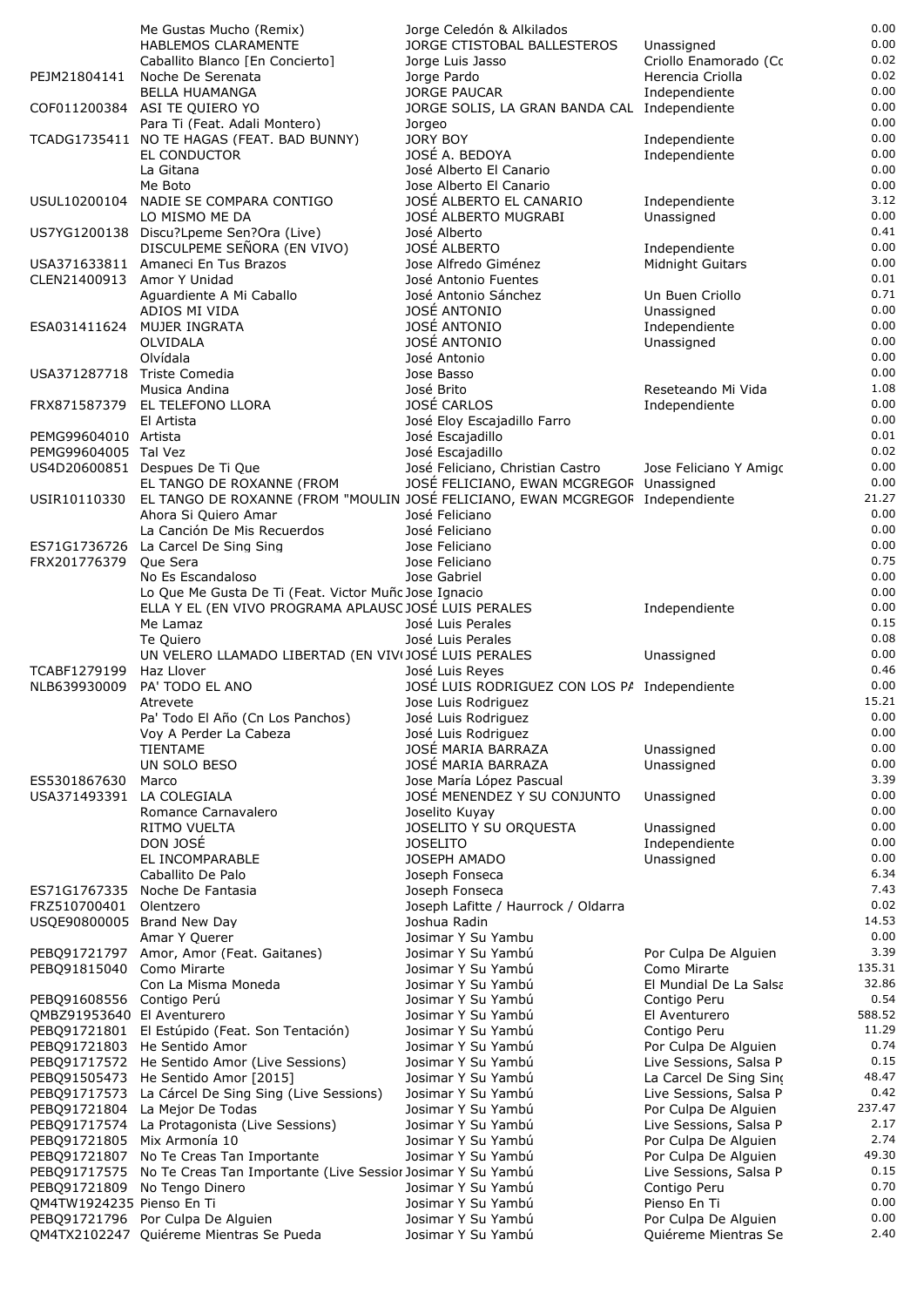|                              | Me Gustas Mucho (Remix)                                                       | Jorge Celedón & Alkilados                                       |                                                | 0.00            |
|------------------------------|-------------------------------------------------------------------------------|-----------------------------------------------------------------|------------------------------------------------|-----------------|
|                              | <b>HABLEMOS CLARAMENTE</b>                                                    | JORGE CTISTOBAL BALLESTEROS                                     | Unassigned                                     | 0.00            |
|                              | Caballito Blanco [En Concierto]                                               | Jorge Luis Jasso                                                | Criollo Enamorado (Cc                          | 0.02            |
| PEJM21804141                 | Noche De Serenata<br><b>BELLA HUAMANGA</b>                                    | Jorge Pardo<br>JORGE PAUCAR                                     | Herencia Criolla<br>Independiente              | 0.02<br>0.00    |
|                              | COF011200384 ASI TE QUIERO YO                                                 | JORGE SOLIS, LA GRAN BANDA CAL Independiente                    |                                                | 0.00            |
|                              | Para Ti (Feat. Adali Montero)                                                 | Jorgeo                                                          |                                                | 0.00            |
|                              | TCADG1735411 NO TE HAGAS (FEAT. BAD BUNNY)                                    | <b>JORY BOY</b>                                                 | Independiente                                  | 0.00            |
|                              | EL CONDUCTOR                                                                  | JOSÉ A. BEDOYA                                                  | Independiente                                  | 0.00            |
|                              | La Gitana                                                                     | José Alberto El Canario                                         |                                                | 0.00            |
|                              | Me Boto                                                                       | Jose Alberto El Canario                                         |                                                | 0.00            |
| USUL10200104                 | NADIE SE COMPARA CONTIGO                                                      | JOSÉ ALBERTO EL CANARIO                                         | Independiente                                  | 3.12<br>0.00    |
|                              | LO MISMO ME DA<br>US7YG1200138 Discu?Lpeme Sen?Ora (Live)                     | JOSÉ ALBERTO MUGRABI<br>José Alberto                            | Unassigned                                     | 0.41            |
|                              | DISCULPEME SEÑORA (EN VIVO)                                                   | <b>JOSÉ ALBERTO</b>                                             | Independiente                                  | 0.00            |
|                              | USA371633811 Amaneci En Tus Brazos                                            | Jose Alfredo Giménez                                            | Midnight Guitars                               | 0.00            |
| CLEN21400913 Amor Y Unidad   |                                                                               | José Antonio Fuentes                                            |                                                | 0.01            |
|                              | Aguardiente A Mi Caballo                                                      | José Antonio Sánchez                                            | Un Buen Criollo                                | 0.71            |
|                              | ADIOS MI VIDA                                                                 | JOSÉ ANTONIO                                                    | Unassigned                                     | 0.00            |
|                              | ESA031411624 MUJER INGRATA                                                    | JOSÉ ANTONIO                                                    | Independiente                                  | 0.00            |
|                              | OLVIDALA                                                                      | JOSÉ ANTONIO                                                    | Unassigned                                     | 0.00            |
| USA371287718 Triste Comedia  | Olvídala                                                                      | José Antonio                                                    |                                                | 0.00<br>0.00    |
|                              | Musica Andina                                                                 | Jose Basso<br>José Brito                                        | Reseteando Mi Vida                             | 1.08            |
|                              | FRX871587379 EL TELEFONO LLORA                                                | JOSÉ CARLOS                                                     | Independiente                                  | 0.00            |
|                              | El Artista                                                                    | José Eloy Escajadillo Farro                                     |                                                | 0.00            |
| PEMG99604010 Artista         |                                                                               | José Escajadillo                                                |                                                | 0.01            |
| PEMG99604005 Tal Vez         |                                                                               | José Escajadillo                                                |                                                | 0.02            |
|                              | US4D20600851 Despues De Ti Que                                                | José Feliciano, Christian Castro                                | Jose Feliciano Y Amigo                         | 0.00            |
|                              | EL TANGO DE ROXANNE (FROM                                                     | JOSÉ FELICIANO, EWAN MCGREGOF Unassigned                        |                                                | 0.00            |
| USIR10110330                 | EL TANGO DE ROXANNE (FROM "MOULIN JOSÉ FELICIANO, EWAN MCGREGOF Independiente |                                                                 |                                                | 21.27           |
|                              | Ahora Si Quiero Amar                                                          | José Feliciano                                                  |                                                | 0.00<br>0.00    |
| ES71G1736726                 | La Canción De Mis Recuerdos<br>La Carcel De Sing Sing                         | José Feliciano<br>Jose Feliciano                                |                                                | 0.00            |
| FRX201776379                 | Que Sera                                                                      | Jose Feliciano                                                  |                                                | 0.75            |
|                              | No Es Escandaloso                                                             | Jose Gabriel                                                    |                                                | 0.00            |
|                              | Lo Que Me Gusta De Ti (Feat. Victor Muñc Jose Ignacio                         |                                                                 |                                                | 0.00            |
|                              | ELLA Y EL (EN VIVO PROGRAMA APLAUSC JOSÉ LUIS PERALES                         |                                                                 | Independiente                                  | 0.00            |
|                              | Me Lamaz                                                                      | José Luis Perales                                               |                                                | 0.15            |
|                              | Te Quiero                                                                     | José Luis Perales                                               |                                                | 0.08            |
|                              | UN VELERO LLAMADO LIBERTAD (EN VIV(JOSÉ LUIS PERALES                          |                                                                 | Unassigned                                     | 0.00<br>0.46    |
| TCABF1279199<br>NLB639930009 | Haz Llover<br>PA' TODO EL ANO                                                 | José Luis Reyes<br>JOSÉ LUIS RODRIGUEZ CON LOS P/ Independiente |                                                | 0.00            |
|                              | Atrevete                                                                      | Jose Luis Rodriguez                                             |                                                | 15.21           |
|                              | Pa' Todo El Año (Cn Los Panchos)                                              | José Luis Rodriguez                                             |                                                | 0.00            |
|                              | Voy A Perder La Cabeza                                                        | José Luis Rodriguez                                             |                                                | 0.00            |
|                              | <b>TIENTAME</b>                                                               | JOSÉ MARIA BARRAZA                                              | Unassigned                                     | 0.00            |
|                              | UN SOLO BESO                                                                  | JOSÉ MARIA BARRAZA                                              | Unassigned                                     | 0.00            |
| ES5301867630                 | Marco                                                                         | Jose María López Pascual                                        |                                                | 3.39            |
| USA371493391                 | LA COLEGIALA                                                                  | JOSÉ MENENDEZ Y SU CONJUNTO                                     | Unassigned                                     | 0.00            |
|                              | Romance Carnavalero<br>RITMO VUELTA                                           | Joselito Kuyay<br>JOSELITO Y SU ORQUESTA                        |                                                | 0.00<br>0.00    |
|                              | DON JOSÉ                                                                      | <b>JOSELITO</b>                                                 | Unassigned<br>Independiente                    | 0.00            |
|                              | EL INCOMPARABLE                                                               | JOSEPH AMADO                                                    | Unassigned                                     | 0.00            |
|                              | Caballito De Palo                                                             | Joseph Fonseca                                                  |                                                | 6.34            |
| ES71G1767335                 | Noche De Fantasia                                                             | Joseph Fonseca                                                  |                                                | 7.43            |
| FRZ510700401                 | Olentzero                                                                     | Joseph Lafitte / Haurrock / Oldarra                             |                                                | 0.02            |
| USQE90800005 Brand New Day   |                                                                               | Joshua Radin                                                    |                                                | 14.53           |
|                              | Amar Y Querer                                                                 | Josimar Y Su Yambu                                              |                                                | 0.00            |
| PEBQ91721797                 | Amor, Amor (Feat. Gaitanes)                                                   | Josimar Y Su Yambú                                              | Por Culpa De Alguien                           | 3.39            |
| PEBQ91815040                 | Como Mirarte<br>Con La Misma Moneda                                           | Josimar Y Su Yambú<br>Josimar Y Su Yambú                        | Como Mirarte<br>El Mundial De La Salsa         | 135.31<br>32.86 |
| PEBQ91608556 Contigo Perú    |                                                                               | Josimar Y Su Yambú                                              | Contigo Peru                                   | 0.54            |
| QMBZ91953640 El Aventurero   |                                                                               | Josimar Y Su Yambú                                              | El Aventurero                                  | 588.52          |
|                              | PEBQ91721801 El Estúpido (Feat. Son Tentación)                                | Josimar Y Su Yambú                                              | Contigo Peru                                   | 11.29           |
|                              | PEBQ91721803 He Sentido Amor                                                  | Josimar Y Su Yambú                                              | Por Culpa De Alguien                           | 0.74            |
|                              | PEBQ91717572 He Sentido Amor (Live Sessions)                                  | Josimar Y Su Yambú                                              | Live Sessions, Salsa P                         | 0.15            |
|                              | PEBQ91505473 He Sentido Amor [2015]                                           | Josimar Y Su Yambú                                              | La Carcel De Sing Sino                         | 48.47           |
|                              | PEBQ91717573 La Cárcel De Sing Sing (Live Sessions)                           | Josimar Y Su Yambú                                              | Live Sessions, Salsa P                         | 0.42            |
|                              | PEBQ91721804 La Mejor De Todas                                                | Josimar Y Su Yambú                                              | Por Culpa De Alguien                           | 237.47<br>2.17  |
| PEBQ91721805 Mix Armonía 10  | PEBQ91717574 La Protagonista (Live Sessions)                                  | Josimar Y Su Yambú<br>Josimar Y Su Yambú                        | Live Sessions, Salsa P<br>Por Culpa De Alguien | 2.74            |
| PEBQ91721807                 | No Te Creas Tan Importante                                                    | Josimar Y Su Yambú                                              | Por Culpa De Alguien                           | 49.30           |
|                              | PEBQ91717575 No Te Creas Tan Importante (Live Sessior Josimar Y Su Yambu      |                                                                 | Live Sessions, Salsa P                         | 0.15            |
|                              | PEBQ91721809 No Tengo Dinero                                                  | Josimar Y Su Yambú                                              | Contigo Peru                                   | 0.70            |
| QM4TW1924235 Pienso En Ti    |                                                                               | Josimar Y Su Yambú                                              | Pienso En Ti                                   | 0.00            |
|                              | PEBQ91721796 Por Culpa De Alguien                                             | Josimar Y Su Yambú                                              | Por Culpa De Alguien                           | 0.00            |
|                              | QM4TX2102247 Quiéreme Mientras Se Pueda                                       | Josimar Y Su Yambú                                              | Quiéreme Mientras Se                           | 2.40            |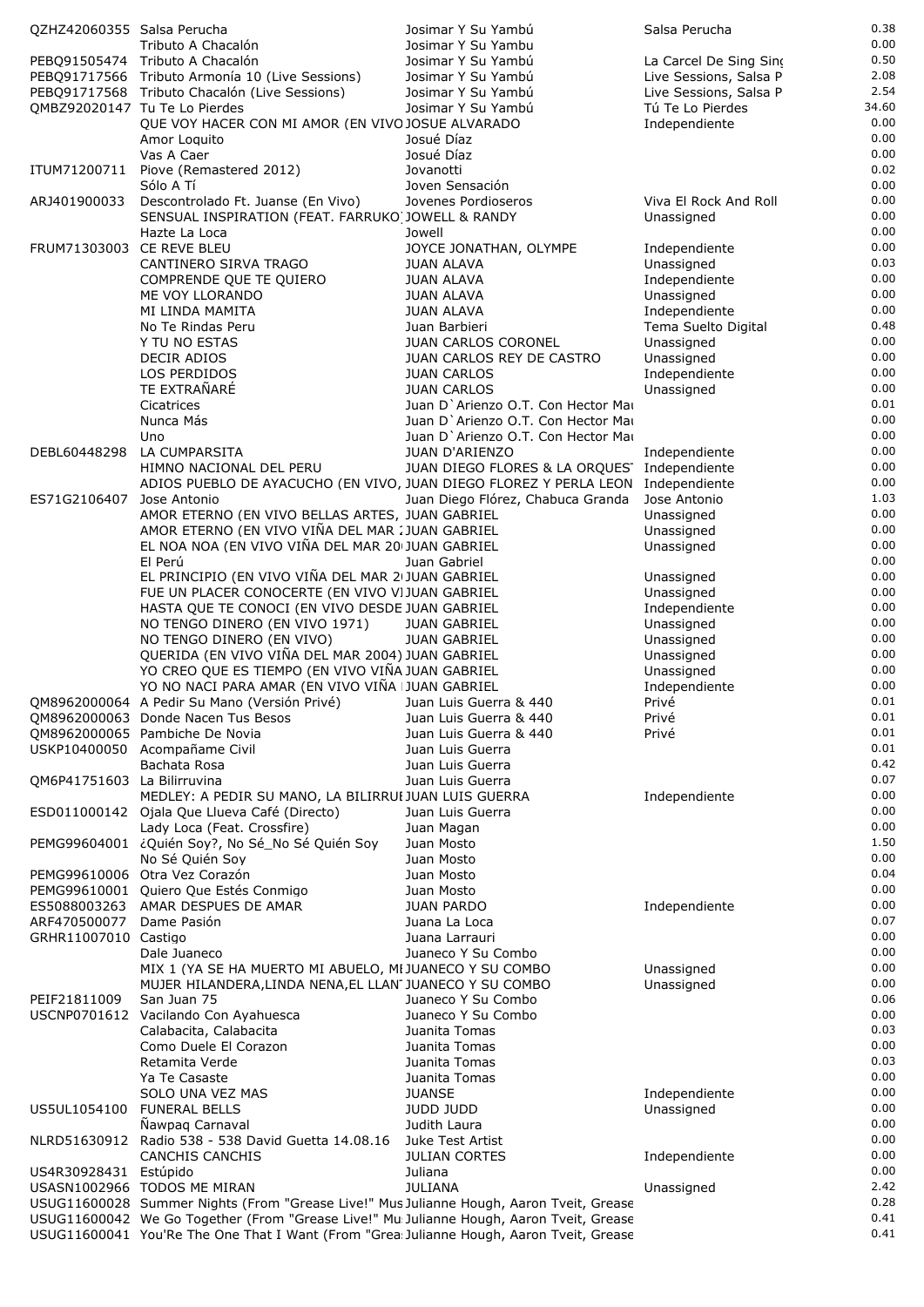| OZHZ42060355 Salsa Perucha  |                                                                                                     | Josimar Y Su Yambú                          | Salsa Perucha            | 0.38          |
|-----------------------------|-----------------------------------------------------------------------------------------------------|---------------------------------------------|--------------------------|---------------|
|                             | Tributo A Chacalón                                                                                  | Josimar Y Su Yambu                          |                          | 0.00          |
|                             | PEBO91505474 Tributo A Chacalón                                                                     | Josimar Y Su Yambú                          | La Carcel De Sing Sino   | 0.50          |
|                             | PEBQ91717566 Tributo Armonía 10 (Live Sessions)                                                     | Josimar Y Su Yambú                          | Live Sessions, Salsa P   | 2.08          |
|                             | PEBQ91717568 Tributo Chacalón (Live Sessions)                                                       | Josimar Y Su Yambú                          | Live Sessions, Salsa P   | 2.54          |
|                             | QMBZ92020147 Tu Te Lo Pierdes                                                                       | Josimar Y Su Yambú                          | Tú Te Lo Pierdes         | 34.60<br>0.00 |
|                             | QUE VOY HACER CON MI AMOR (EN VIVO JOSUE ALVARADO                                                   |                                             | Independiente            | 0.00          |
|                             | Amor Loquito                                                                                        | Josué Díaz<br>Josué Díaz                    |                          | 0.00          |
| ITUM71200711                | Vas A Caer<br>Piove (Remastered 2012)                                                               | Jovanotti                                   |                          | 0.02          |
|                             | Sólo A Tí                                                                                           | Joven Sensación                             |                          | 0.00          |
| ARJ401900033                | Descontrolado Ft. Juanse (En Vivo)                                                                  | Jovenes Pordioseros                         | Viva El Rock And Roll    | 0.00          |
|                             | SENSUAL INSPIRATION (FEAT. FARRUKO) JOWELL & RANDY                                                  |                                             | Unassigned               | 0.00          |
|                             | Hazte La Loca                                                                                       | Jowell                                      |                          | 0.00          |
| FRUM71303003 CE REVE BLEU   |                                                                                                     | JOYCE JONATHAN, OLYMPE                      | Independiente            | 0.00          |
|                             | CANTINERO SIRVA TRAGO                                                                               | <b>JUAN ALAVA</b>                           | Unassigned               | 0.03          |
|                             | COMPRENDE QUE TE QUIERO                                                                             | <b>JUAN ALAVA</b>                           | Independiente            | 0.00          |
|                             | ME VOY LLORANDO                                                                                     | JUAN ALAVA                                  | Unassigned               | 0.00          |
|                             | MI LINDA MAMITA                                                                                     | <b>JUAN ALAVA</b>                           | Independiente            | 0.00          |
|                             | No Te Rindas Peru                                                                                   | Juan Barbieri                               | Tema Suelto Digital      | 0.48          |
|                             | Y TU NO ESTAS                                                                                       | JUAN CARLOS CORONEL                         | Unassigned               | 0.00          |
|                             | DECIR ADIOS                                                                                         | JUAN CARLOS REY DE CASTRO                   | Unassigned               | 0.00          |
|                             | LOS PERDIDOS                                                                                        | <b>JUAN CARLOS</b>                          | Independiente            | 0.00          |
|                             | TE EXTRAÑARÉ                                                                                        | <b>JUAN CARLOS</b>                          | Unassigned               | 0.00          |
|                             | Cicatrices                                                                                          | Juan D'Arienzo O.T. Con Hector Mar          |                          | 0.01          |
|                             | Nunca Más                                                                                           | Juan D'Arienzo O.T. Con Hector Mar          |                          | 0.00          |
|                             | Uno                                                                                                 | Juan D'Arienzo O.T. Con Hector Mai          |                          | 0.00          |
| DEBL60448298                | LA CUMPARSITA                                                                                       | <b>JUAN D'ARIENZO</b>                       | Independiente            | 0.00          |
|                             | HIMNO NACIONAL DEL PERU                                                                             | JUAN DIEGO FLORES & LA ORQUES Independiente |                          | 0.00          |
|                             | ADIOS PUEBLO DE AYACUCHO (EN VIVO, JUAN DIEGO FLOREZ Y PERLA LEON Independiente                     |                                             |                          | 0.00<br>1.03  |
| ES71G2106407                | Jose Antonio                                                                                        | Juan Diego Flórez, Chabuca Granda           | Jose Antonio             | 0.00          |
|                             | AMOR ETERNO (EN VIVO BELLAS ARTES, JUAN GABRIEL<br>AMOR ETERNO (EN VIVO VIÑA DEL MAR : JUAN GABRIEL |                                             | Unassigned               | 0.00          |
|                             | EL NOA NOA (EN VIVO VIÑA DEL MAR 20 JUAN GABRIEL                                                    |                                             | Unassigned<br>Unassigned | 0.00          |
|                             | El Perú                                                                                             | Juan Gabriel                                |                          | 0.00          |
|                             | EL PRINCIPIO (EN VIVO VIÑA DEL MAR 21 JUAN GABRIEL                                                  |                                             | Unassigned               | 0.00          |
|                             | FUE UN PLACER CONOCERTE (EN VIVO VIJUAN GABRIEL                                                     |                                             | Unassigned               | 0.00          |
|                             | HASTA QUE TE CONOCI (EN VIVO DESDE JUAN GABRIEL                                                     |                                             | Independiente            | 0.00          |
|                             | NO TENGO DINERO (EN VIVO 1971)                                                                      | <b>JUAN GABRIEL</b>                         | Unassigned               | 0.00          |
|                             | NO TENGO DINERO (EN VIVO)                                                                           | <b>JUAN GABRIEL</b>                         | Unassigned               | 0.00          |
|                             | QUERIDA (EN VIVO VIÑA DEL MAR 2004) JUAN GABRIEL                                                    |                                             | Unassigned               | 0.00          |
|                             | YO CREO QUE ES TIEMPO (EN VIVO VIÑA JUAN GABRIEL                                                    |                                             | Unassigned               | 0.00          |
|                             | YO NO NACI PARA AMAR (EN VIVO VIÑA JUAN GABRIEL                                                     |                                             | Independiente            | 0.00          |
|                             | QM8962000064 A Pedir Su Mano (Versión Privé)                                                        | Juan Luis Guerra & 440                      | Privé                    | 0.01          |
|                             | QM8962000063 Donde Nacen Tus Besos                                                                  | Juan Luis Guerra & 440                      | Privé                    | 0.01          |
|                             | QM8962000065 Pambiche De Novia                                                                      | Juan Luis Guerra & 440                      | Privé                    | 0.01          |
|                             | USKP10400050 Acompañame Civil                                                                       | Juan Luis Guerra                            |                          | 0.01          |
|                             | Bachata Rosa                                                                                        | Juan Luis Guerra                            |                          | 0.42          |
| QM6P41751603 La Bilirruvina |                                                                                                     | Juan Luis Guerra                            |                          | 0.07          |
|                             | MEDLEY: A PEDIR SU MANO, LA BILIRRUI JUAN LUIS GUERRA                                               |                                             | Independiente            | 0.00          |
|                             | ESD011000142 Ojala Que Llueva Café (Directo)                                                        | Juan Luis Guerra                            |                          | 0.00          |
|                             | Lady Loca (Feat. Crossfire)                                                                         | Juan Magan                                  |                          | 0.00          |
|                             | PEMG99604001 ¿Quién Soy?, No Sé_No Sé Quién Soy                                                     | Juan Mosto                                  |                          | 1.50<br>0.00  |
|                             | No Sé Quién Soy                                                                                     | Juan Mosto                                  |                          | 0.04          |
|                             | PEMG99610006 Otra Vez Corazón<br>PEMG99610001 Quiero Que Estés Conmigo                              | Juan Mosto<br>Juan Mosto                    |                          | 0.00          |
|                             | ES5088003263 AMAR DESPUES DE AMAR                                                                   | <b>JUAN PARDO</b>                           | Independiente            | 0.00          |
| ARF470500077                | Dame Pasión                                                                                         | Juana La Loca                               |                          | 0.07          |
| GRHR11007010 Castigo        |                                                                                                     | Juana Larrauri                              |                          | 0.00          |
|                             | Dale Juaneco                                                                                        | Juaneco Y Su Combo                          |                          | 0.00          |
|                             | MIX 1 (YA SE HA MUERTO MI ABUELO, MI JUANECO Y SU COMBO                                             |                                             | Unassigned               | 0.00          |
|                             | MUJER HILANDERA, LINDA NENA, EL LLAN JUANECO Y SU COMBO                                             |                                             | Unassigned               | 0.00          |
| PEIF21811009                | San Juan 75                                                                                         | Juaneco Y Su Combo                          |                          | 0.06          |
|                             | USCNP0701612 Vacilando Con Ayahuesca                                                                | Juaneco Y Su Combo                          |                          | 0.00          |
|                             | Calabacita, Calabacita                                                                              | Juanita Tomas                               |                          | 0.03          |
|                             | Como Duele El Corazon                                                                               | Juanita Tomas                               |                          | 0.00          |
|                             | Retamita Verde                                                                                      | Juanita Tomas                               |                          | 0.03          |
|                             | Ya Te Casaste                                                                                       | Juanita Tomas                               |                          | 0.00          |
|                             | SOLO UNA VEZ MAS                                                                                    | <b>JUANSE</b>                               | Independiente            | 0.00          |
|                             | US5UL1054100 FUNERAL BELLS                                                                          | JUDD JUDD                                   | Unassigned               | 0.00          |
|                             | Nawpag Carnaval                                                                                     | Judith Laura                                |                          | 0.00          |
|                             | NLRD51630912 Radio 538 - 538 David Guetta 14.08.16 Juke Test Artist                                 |                                             |                          | 0.00<br>0.00  |
| US4R30928431 Estúpido       | CANCHIS CANCHIS                                                                                     | <b>JULIAN CORTES</b><br>Juliana             | Independiente            | 0.00          |
|                             | USASN1002966 TODOS ME MIRAN                                                                         | <b>JULIANA</b>                              | Unassigned               | 2.42          |
|                             | USUG11600028 Summer Nights (From "Grease Live!" Mus Julianne Hough, Aaron Tveit, Grease             |                                             |                          | 0.28          |
|                             | USUG11600042 We Go Together (From "Grease Live!" Mu Julianne Hough, Aaron Tveit, Grease             |                                             |                          | 0.41          |
|                             | USUG11600041 You'Re The One That I Want (From "Grea: Julianne Hough, Aaron Tveit, Grease            |                                             |                          | 0.41          |
|                             |                                                                                                     |                                             |                          |               |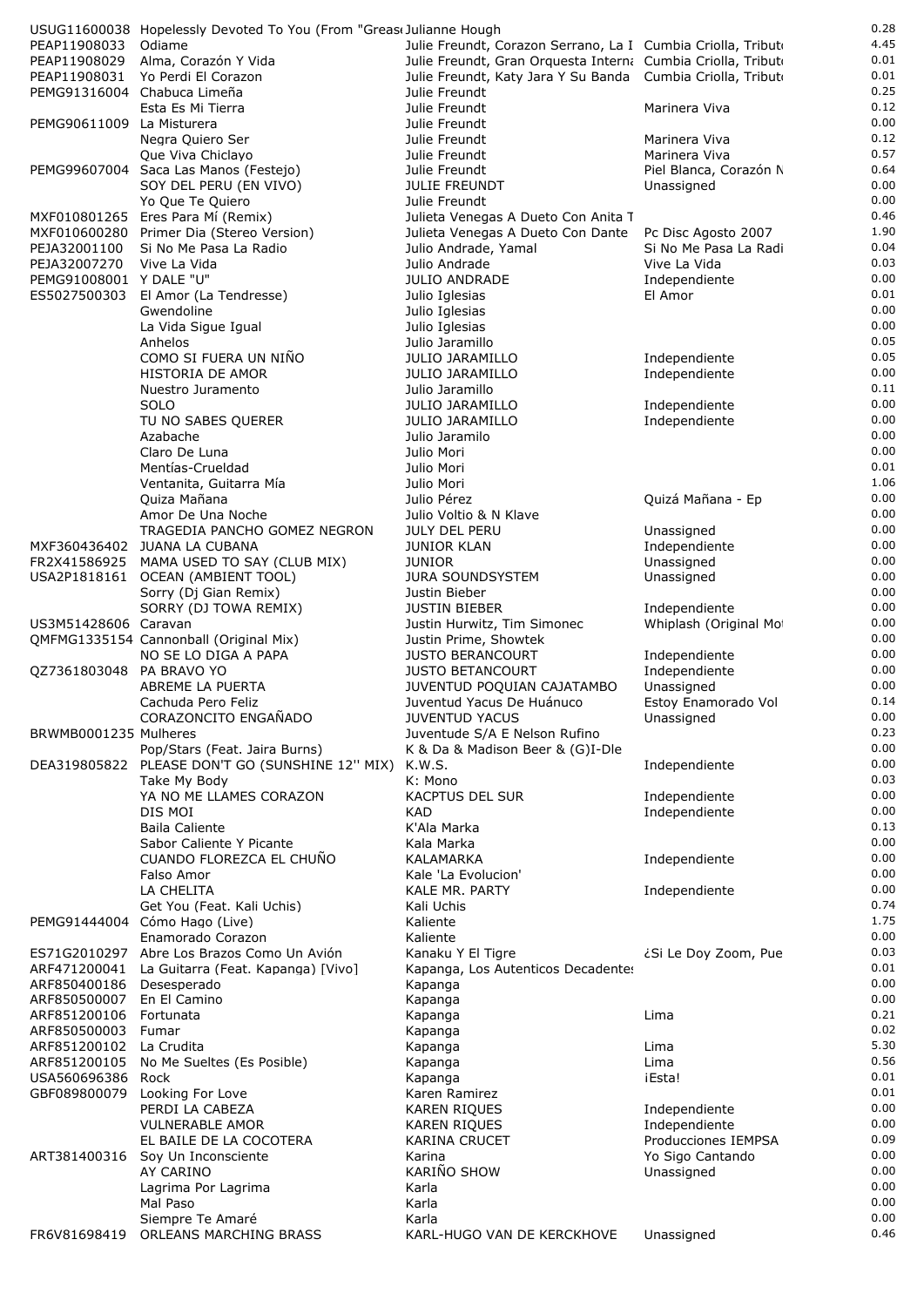|                              | USUG11600038 Hopelessly Devoted To You (From "Greas Julianne Hough |                                                              |                                              | 0.28         |
|------------------------------|--------------------------------------------------------------------|--------------------------------------------------------------|----------------------------------------------|--------------|
| PEAP11908033                 | Odiame                                                             | Julie Freundt, Corazon Serrano, La I Cumbia Criolla, Tributo |                                              | 4.45         |
| PEAP11908029                 | Alma, Corazón Y Vida                                               | Julie Freundt, Gran Orquesta Interna Cumbia Criolla, Tributo |                                              | 0.01         |
| PEAP11908031                 | Yo Perdi El Corazon                                                | Julie Freundt, Katy Jara Y Su Banda Cumbia Criolla, Tributo  |                                              | 0.01<br>0.25 |
|                              | PEMG91316004 Chabuca Limeña<br>Esta Es Mi Tierra                   | Julie Freundt<br>Julie Freundt                               | Marinera Viva                                | 0.12         |
| PEMG90611009 La Misturera    |                                                                    | Julie Freundt                                                |                                              | 0.00         |
|                              | Negra Quiero Ser                                                   | Julie Freundt                                                | Marinera Viva                                | 0.12         |
|                              | Que Viva Chiclayo                                                  | Julie Freundt                                                | Marinera Viva                                | 0.57         |
|                              | PEMG99607004 Saca Las Manos (Festejo)                              | Julie Freundt                                                | Piel Blanca, Corazón N                       | 0.64         |
|                              | SOY DEL PERU (EN VIVO)                                             | <b>JULIE FREUNDT</b>                                         | Unassigned                                   | 0.00         |
|                              | Yo Que Te Quiero                                                   | Julie Freundt                                                |                                              | 0.00         |
|                              | MXF010801265 Eres Para Mí (Remix)                                  | Julieta Venegas A Dueto Con Anita T                          |                                              | 0.46<br>1.90 |
| PEJA32001100                 | MXF010600280 Primer Dia (Stereo Version)<br>Si No Me Pasa La Radio | Julieta Venegas A Dueto Con Dante<br>Julio Andrade, Yamal    | Pc Disc Agosto 2007<br>Si No Me Pasa La Radi | 0.04         |
| PEJA32007270 Vive La Vida    |                                                                    | Julio Andrade                                                | Vive La Vida                                 | 0.03         |
| PEMG91008001 Y DALE "U"      |                                                                    | <b>JULIO ANDRADE</b>                                         | Independiente                                | 0.00         |
| ES5027500303                 | El Amor (La Tendresse)                                             | Julio Iglesias                                               | El Amor                                      | 0.01         |
|                              | Gwendoline                                                         | Julio Iglesias                                               |                                              | 0.00         |
|                              | La Vida Sigue Igual                                                | Julio Iglesias                                               |                                              | 0.00         |
|                              | Anhelos                                                            | Julio Jaramillo                                              |                                              | 0.05         |
|                              | COMO SI FUERA UN NIÑO                                              | <b>JULIO JARAMILLO</b>                                       | Independiente                                | 0.05<br>0.00 |
|                              | HISTORIA DE AMOR<br>Nuestro Juramento                              | <b>JULIO JARAMILLO</b><br>Julio Jaramillo                    | Independiente                                | 0.11         |
|                              | SOLO                                                               | <b>JULIO JARAMILLO</b>                                       | Independiente                                | 0.00         |
|                              | TU NO SABES QUERER                                                 | <b>JULIO JARAMILLO</b>                                       | Independiente                                | 0.00         |
|                              | Azabache                                                           | Julio Jaramilo                                               |                                              | 0.00         |
|                              | Claro De Luna                                                      | Julio Mori                                                   |                                              | 0.00         |
|                              | Mentías-Crueldad                                                   | Julio Mori                                                   |                                              | 0.01         |
|                              | Ventanita, Guitarra Mía                                            | Julio Mori                                                   |                                              | 1.06         |
|                              | Quiza Mañana                                                       | Julio Pérez                                                  | Quizá Mañana - Ep                            | 0.00<br>0.00 |
|                              | Amor De Una Noche<br>TRAGEDIA PANCHO GOMEZ NEGRON                  | Julio Voltio & N Klave<br><b>JULY DEL PERU</b>               | Unassigned                                   | 0.00         |
|                              | MXF360436402 JUANA LA CUBANA                                       | <b>JUNIOR KLAN</b>                                           | Independiente                                | 0.00         |
| FR2X41586925                 | MAMA USED TO SAY (CLUB MIX)                                        | JUNIOR                                                       | Unassigned                                   | 0.00         |
|                              | USA2P1818161 OCEAN (AMBIENT TOOL)                                  | <b>JURA SOUNDSYSTEM</b>                                      | Unassigned                                   | 0.00         |
|                              | Sorry (Dj Gian Remix)                                              | Justin Bieber                                                |                                              | 0.00         |
|                              | SORRY (DJ TOWA REMIX)                                              | <b>JUSTIN BIEBER</b>                                         | Independiente                                | 0.00         |
| US3M51428606 Caravan         |                                                                    | Justin Hurwitz, Tim Simonec                                  | Whiplash (Original Mo)                       | 0.00         |
|                              | QMFMG1335154 Cannonball (Original Mix)<br>NO SE LO DIGA A PAPA     | Justin Prime, Showtek<br><b>JUSTO BERANCOURT</b>             |                                              | 0.00<br>0.00 |
| QZ7361803048 PA BRAVO YO     |                                                                    | <b>JUSTO BETANCOURT</b>                                      | Independiente<br>Independiente               | 0.00         |
|                              | ABREME LA PUERTA                                                   | JUVENTUD POQUIAN CAJATAMBO                                   | Unassigned                                   | 0.00         |
|                              | Cachuda Pero Feliz                                                 | Juventud Yacus De Huánuco                                    | Estoy Enamorado Vol                          | 0.14         |
|                              | CORAZONCITO ENGAÑADO                                               | <b>JUVENTUD YACUS</b>                                        | Unassigned                                   | 0.00         |
| BRWMB0001235 Mulheres        |                                                                    | Juventude S/A E Nelson Rufino                                |                                              | 0.23         |
|                              | Pop/Stars (Feat. Jaira Burns)                                      | K & Da & Madison Beer & (G)I-Dle                             |                                              | 0.00         |
|                              | DEA319805822 PLEASE DON'T GO (SUNSHINE 12" MIX)                    | K.W.S.                                                       | Independiente                                | 0.00<br>0.03 |
|                              | Take My Body<br>YA NO ME LLAMES CORAZON                            | K: Mono<br><b>KACPTUS DEL SUR</b>                            | Independiente                                | 0.00         |
|                              | DIS MOI                                                            | <b>KAD</b>                                                   | Independiente                                | 0.00         |
|                              | <b>Baila Caliente</b>                                              | K'Ala Marka                                                  |                                              | 0.13         |
|                              | Sabor Caliente Y Picante                                           | Kala Marka                                                   |                                              | 0.00         |
|                              | CUANDO FLOREZCA EL CHUÑO                                           | KALAMARKA                                                    | Independiente                                | 0.00         |
|                              | Falso Amor                                                         | Kale 'La Evolucion'                                          |                                              | 0.00         |
|                              | LA CHELITA                                                         | KALE MR. PARTY                                               | Independiente                                | 0.00<br>0.74 |
|                              | Get You (Feat. Kali Uchis)<br>PEMG91444004 Cómo Hago (Live)        | Kali Uchis<br>Kaliente                                       |                                              | 1.75         |
|                              | Enamorado Corazon                                                  | Kaliente                                                     |                                              | 0.00         |
| ES71G2010297                 | Abre Los Brazos Como Un Avión                                      | Kanaku Y El Tigre                                            | ¿Si Le Doy Zoom, Pue                         | 0.03         |
| ARF471200041                 | La Guitarra (Feat. Kapanga) [Vivo]                                 | Kapanga, Los Autenticos Decadentes                           |                                              | 0.01         |
| ARF850400186                 | Desesperado                                                        | Kapanga                                                      |                                              | 0.00         |
| ARF850500007                 | En El Camino                                                       | Kapanga                                                      |                                              | 0.00         |
| ARF851200106                 | Fortunata                                                          | Kapanga                                                      | Lima                                         | 0.21<br>0.02 |
| ARF850500003<br>ARF851200102 | Fumar<br>La Crudita                                                | Kapanga                                                      | Lima                                         | 5.30         |
| ARF851200105                 | No Me Sueltes (Es Posible)                                         | Kapanga<br>Kapanga                                           | Lima                                         | 0.56         |
| USA560696386                 | Rock                                                               | Kapanga                                                      | iEsta!                                       | 0.01         |
| GBF089800079                 | Looking For Love                                                   | Karen Ramirez                                                |                                              | 0.01         |
|                              | PERDI LA CABEZA                                                    | <b>KAREN RIQUES</b>                                          | Independiente                                | 0.00         |
|                              | <b>VULNERABLE AMOR</b>                                             | <b>KAREN RIQUES</b>                                          | Independiente                                | 0.00         |
|                              | EL BAILE DE LA COCOTERA                                            | <b>KARINA CRUCET</b>                                         | Producciones IEMPSA                          | 0.09         |
| ART381400316                 | Soy Un Inconsciente<br>AY CARINO                                   | Karina<br>KARIÑO SHOW                                        | Yo Sigo Cantando<br>Unassigned               | 0.00<br>0.00 |
|                              | Lagrima Por Lagrima                                                | Karla                                                        |                                              | 0.00         |
|                              | Mal Paso                                                           | Karla                                                        |                                              | 0.00         |
|                              | Siempre Te Amaré                                                   | Karla                                                        |                                              | 0.00         |
| FR6V81698419                 | ORLEANS MARCHING BRASS                                             | KARL-HUGO VAN DE KERCKHOVE                                   | Unassigned                                   | 0.46         |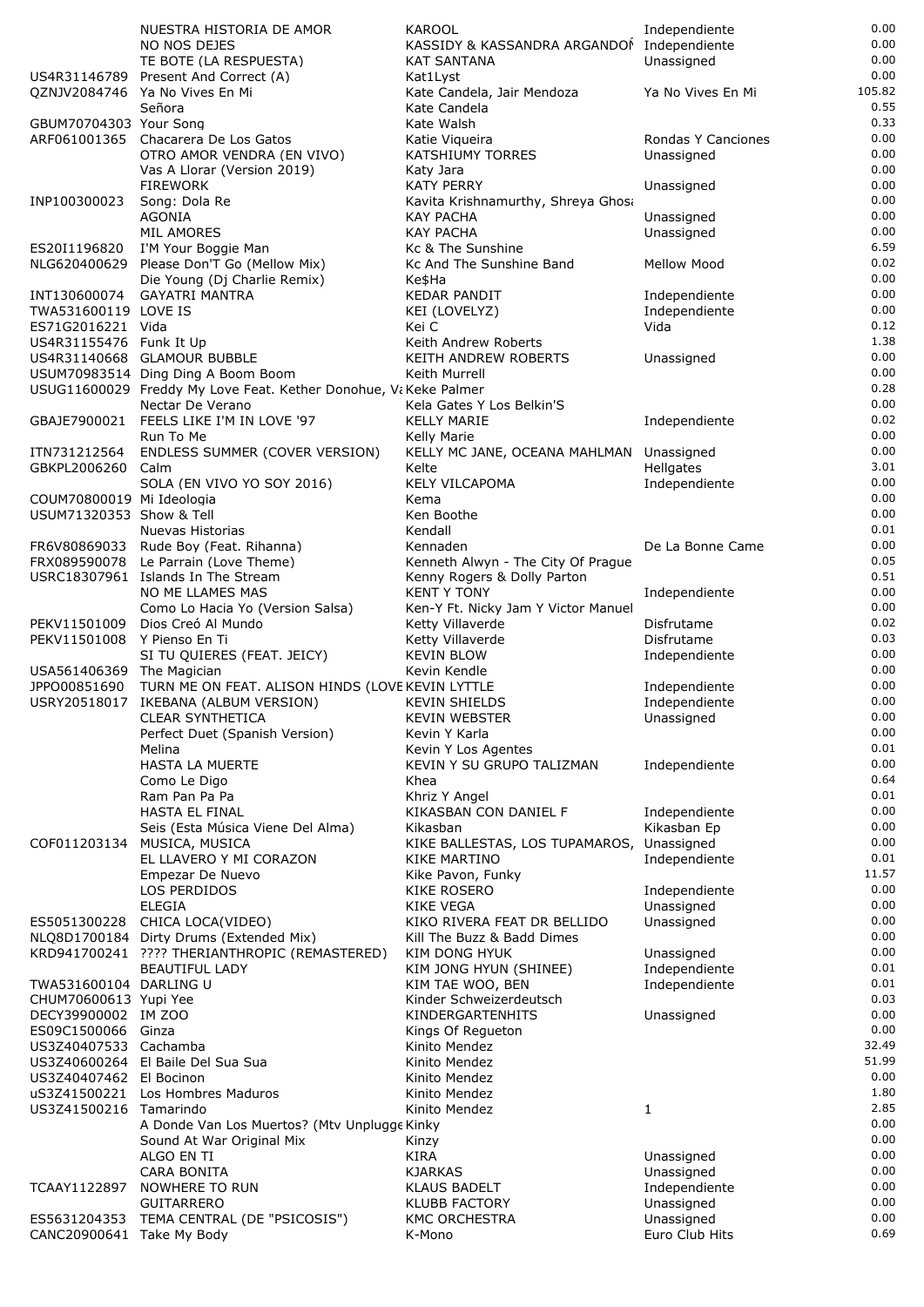|                             | NUESTRA HISTORIA DE AMOR                                                                               | KAROOL                                            | Independiente                  | 0.00          |
|-----------------------------|--------------------------------------------------------------------------------------------------------|---------------------------------------------------|--------------------------------|---------------|
|                             | NO NOS DEJES                                                                                           | KASSIDY & KASSANDRA ARGANDOI Independiente        |                                | 0.00          |
|                             | TE BOTE (LA RESPUESTA)                                                                                 | <b>KAT SANTANA</b>                                | Unassigned                     | 0.00<br>0.00  |
| US4R31146789                | Present And Correct (A)<br>QZNJV2084746 Ya No Vives En Mi                                              | Kat1Lyst<br>Kate Candela, Jair Mendoza            | Ya No Vives En Mi              | 105.82        |
|                             | Señora                                                                                                 | Kate Candela                                      |                                | 0.55          |
| GBUM70704303 Your Song      |                                                                                                        | Kate Walsh                                        |                                | 0.33          |
|                             | ARF061001365 Chacarera De Los Gatos                                                                    | Katie Vigueira                                    | Rondas Y Canciones             | 0.00          |
|                             | OTRO AMOR VENDRA (EN VIVO)                                                                             | <b>KATSHIUMY TORRES</b>                           | Unassigned                     | 0.00          |
|                             | Vas A Llorar (Version 2019)<br><b>FIREWORK</b>                                                         | Katy Jara<br>KATY PERRY                           | Unassigned                     | 0.00<br>0.00  |
| INP100300023                | Song: Dola Re                                                                                          | Kavita Krishnamurthy, Shreya Ghosa                |                                | 0.00          |
|                             | AGONIA                                                                                                 | KAY PACHA                                         | Unassigned                     | 0.00          |
|                             | <b>MIL AMORES</b>                                                                                      | <b>KAY PACHA</b>                                  | Unassigned                     | 0.00          |
| ES20I1196820                | I'M Your Boggie Man                                                                                    | Kc & The Sunshine                                 |                                | 6.59          |
| NLG620400629                | Please Don'T Go (Mellow Mix)                                                                           | Kc And The Sunshine Band                          | <b>Mellow Mood</b>             | 0.02<br>0.00  |
| INT130600074                | Die Young (Dj Charlie Remix)<br><b>GAYATRI MANTRA</b>                                                  | Ke\$Ha<br><b>KEDAR PANDIT</b>                     | Independiente                  | 0.00          |
| TWA531600119 LOVE IS        |                                                                                                        | KEI (LOVELYZ)                                     | Independiente                  | 0.00          |
| ES71G2016221 Vida           |                                                                                                        | Kei C                                             | Vida                           | 0.12          |
| US4R31155476 Funk It Up     |                                                                                                        | Keith Andrew Roberts                              |                                | 1.38          |
|                             | US4R31140668 GLAMOUR BUBBLE                                                                            | KEITH ANDREW ROBERTS                              | Unassigned                     | 0.00          |
|                             | USUM70983514 Ding Ding A Boom Boom<br>USUG11600029 Freddy My Love Feat. Kether Donohue, Va Keke Palmer | Keith Murrell                                     |                                | 0.00<br>0.28  |
|                             | Nectar De Verano                                                                                       | Kela Gates Y Los Belkin'S                         |                                | 0.00          |
|                             | GBAJE7900021 FEELS LIKE I'M IN LOVE '97                                                                | <b>KELLY MARIE</b>                                | Independiente                  | 0.02          |
|                             | Run To Me                                                                                              | Kelly Marie                                       |                                | 0.00          |
| ITN731212564                | ENDLESS SUMMER (COVER VERSION)                                                                         | KELLY MC JANE, OCEANA MAHLMAN Unassigned          |                                | 0.00          |
| GBKPL2006260                | Calm                                                                                                   | Kelte                                             | Hellgates                      | 3.01<br>0.00  |
| COUM70800019 Mi Ideologia   | SOLA (EN VIVO YO SOY 2016)                                                                             | KELY VILCAPOMA<br>Kema                            | Independiente                  | 0.00          |
| USUM71320353 Show & Tell    |                                                                                                        | Ken Boothe                                        |                                | 0.00          |
|                             | Nuevas Historias                                                                                       | Kendall                                           |                                | 0.01          |
|                             | FR6V80869033 Rude Boy (Feat. Rihanna)                                                                  | Kennaden                                          | De La Bonne Came               | 0.00          |
| FRX089590078                | Le Parrain (Love Theme)                                                                                | Kenneth Alwyn - The City Of Prague                |                                | 0.05          |
|                             | USRC18307961 Islands In The Stream<br>NO ME LLAMES MAS                                                 | Kenny Rogers & Dolly Parton<br><b>KENT Y TONY</b> |                                | 0.51<br>0.00  |
|                             | Como Lo Hacia Yo (Version Salsa)                                                                       | Ken-Y Ft. Nicky Jam Y Victor Manuel               | Independiente                  | 0.00          |
| PEKV11501009                | Dios Creó Al Mundo                                                                                     | Ketty Villaverde                                  | Disfrutame                     | 0.02          |
| PEKV11501008 Y Pienso En Ti |                                                                                                        | Ketty Villaverde                                  | Disfrutame                     | 0.03          |
|                             | SI TU QUIERES (FEAT. JEICY)                                                                            | <b>KEVIN BLOW</b>                                 | Independiente                  | 0.00          |
| USA561406369 The Magician   |                                                                                                        | Kevin Kendle                                      |                                | 0.00<br>0.00  |
| JPPO00851690                | TURN ME ON FEAT. ALISON HINDS (LOVE KEVIN LYTTLE<br>USRY20518017 IKEBANA (ALBUM VERSION)               | <b>KEVIN SHIELDS</b>                              | Independiente<br>Independiente | 0.00          |
|                             | <b>CLEAR SYNTHETICA</b>                                                                                | <b>KEVIN WEBSTER</b>                              | Unassigned                     | 0.00          |
|                             | Perfect Duet (Spanish Version)                                                                         | Kevin Y Karla                                     |                                | 0.00          |
|                             | Melina                                                                                                 | Kevin Y Los Agentes                               |                                | 0.01          |
|                             | HASTA LA MUERTE                                                                                        | KEVIN Y SU GRUPO TALIZMAN                         | Independiente                  | 0.00          |
|                             | Como Le Digo<br>Ram Pan Pa Pa                                                                          | Khea<br>Khriz Y Angel                             |                                | 0.64<br>0.01  |
|                             | <b>HASTA EL FINAL</b>                                                                                  | KIKASBAN CON DANIEL F                             | Independiente                  | 0.00          |
|                             | Seis (Esta Música Viene Del Alma)                                                                      | Kikasban                                          | Kikasban Ep                    | 0.00          |
| COF011203134                | MUSICA, MUSICA                                                                                         | KIKE BALLESTAS, LOS TUPAMAROS,                    | Unassigned                     | 0.00          |
|                             | EL LLAVERO Y MI CORAZON                                                                                | <b>KIKE MARTINO</b>                               | Independiente                  | 0.01          |
|                             | Empezar De Nuevo                                                                                       | Kike Pavon, Funky                                 |                                | 11.57<br>0.00 |
|                             | LOS PERDIDOS<br><b>ELEGIA</b>                                                                          | KIKE ROSERO<br><b>KIKE VEGA</b>                   | Independiente<br>Unassigned    | 0.00          |
| ES5051300228                | CHICA LOCA(VIDEO)                                                                                      | KIKO RIVERA FEAT DR BELLIDO                       | Unassigned                     | 0.00          |
|                             | NLQ8D1700184 Dirty Drums (Extended Mix)                                                                | Kill The Buzz & Badd Dimes                        |                                | 0.00          |
|                             | KRD941700241 ???? THERIANTHROPIC (REMASTERED)                                                          | KIM DONG HYUK                                     | Unassigned                     | 0.00          |
| TWA531600104 DARLING U      | <b>BEAUTIFUL LADY</b>                                                                                  | KIM JONG HYUN (SHINEE)                            | Independiente                  | 0.01<br>0.01  |
| CHUM70600613 Yupi Yee       |                                                                                                        | KIM TAE WOO, BEN<br>Kinder Schweizerdeutsch       | Independiente                  | 0.03          |
| DECY39900002 IM ZOO         |                                                                                                        | <b>KINDERGARTENHITS</b>                           | Unassigned                     | 0.00          |
| ES09C1500066 Ginza          |                                                                                                        | Kings Of Regueton                                 |                                | 0.00          |
| US3Z40407533 Cachamba       |                                                                                                        | Kinito Mendez                                     |                                | 32.49         |
|                             | US3Z40600264 El Baile Del Sua Sua                                                                      | Kinito Mendez                                     |                                | 51.99         |
| US3Z40407462 El Bocinon     | uS3Z41500221 Los Hombres Maduros                                                                       | Kinito Mendez<br>Kinito Mendez                    |                                | 0.00<br>1.80  |
| US3Z41500216 Tamarindo      |                                                                                                        | Kinito Mendez                                     | $\mathbf{1}$                   | 2.85          |
|                             | A Donde Van Los Muertos? (Mtv Unplugge Kinky                                                           |                                                   |                                | 0.00          |
|                             | Sound At War Original Mix                                                                              | Kinzy                                             |                                | 0.00          |
|                             | ALGO EN TI                                                                                             | <b>KIRA</b>                                       | Unassigned                     | 0.00          |
|                             | CARA BONITA                                                                                            | KJARKAS                                           | Unassigned                     | 0.00<br>0.00  |
| TCAAY1122897                | NOWHERE TO RUN<br><b>GUITARRERO</b>                                                                    | <b>KLAUS BADELT</b><br><b>KLUBB FACTORY</b>       | Independiente<br>Unassigned    | 0.00          |
|                             | ES5631204353 TEMA CENTRAL (DE "PSICOSIS")                                                              | <b>KMC ORCHESTRA</b>                              | Unassigned                     | 0.00          |
| CANC20900641 Take My Body   |                                                                                                        | K-Mono                                            | Euro Club Hits                 | 0.69          |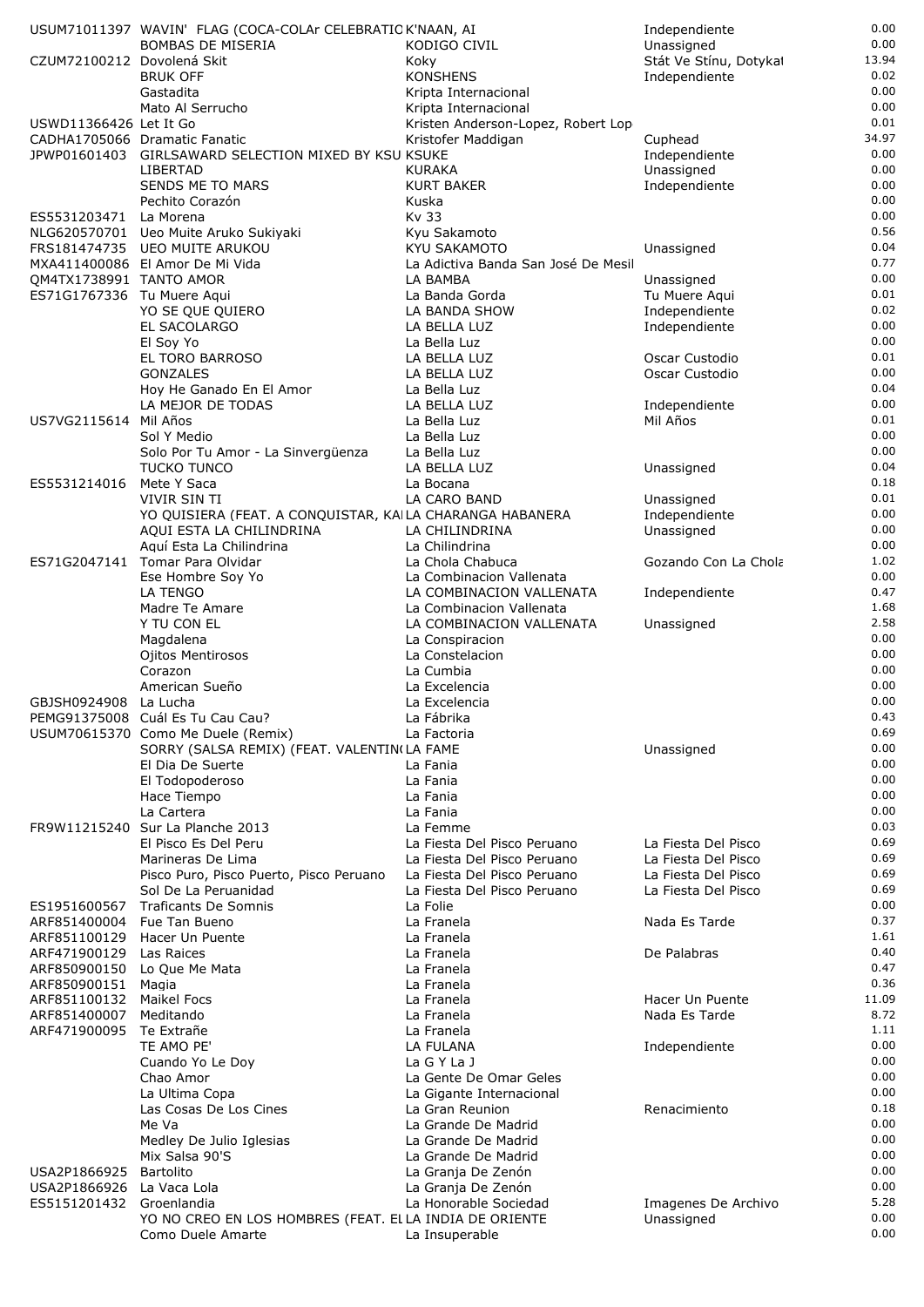|                              | USUM71011397 WAVIN' FLAG (COCA-COLAr CELEBRATIO K'NAAN, AI |                                             | Independiente                           | 0.00          |
|------------------------------|------------------------------------------------------------|---------------------------------------------|-----------------------------------------|---------------|
|                              | <b>BOMBAS DE MISERIA</b>                                   | KODIGO CIVIL                                | Unassigned                              | 0.00<br>13.94 |
| CZUM72100212 Dovolená Skit   | <b>BRUK OFF</b>                                            | Koky<br><b>KONSHENS</b>                     | Stát Ve Stínu, Dotykal<br>Independiente | 0.02          |
|                              | Gastadita                                                  | Kripta Internacional                        |                                         | 0.00          |
|                              | Mato Al Serrucho                                           | Kripta Internacional                        |                                         | 0.00          |
| USWD11366426 Let It Go       |                                                            | Kristen Anderson-Lopez, Robert Lop          |                                         | 0.01          |
|                              | CADHA1705066 Dramatic Fanatic                              | Kristofer Maddigan                          | Cuphead                                 | 34.97         |
|                              | JPWP01601403 GIRLSAWARD SELECTION MIXED BY KSU KSUKE       |                                             | Independiente                           | 0.00          |
|                              | LIBERTAD                                                   | <b>KURAKA</b>                               | Unassigned                              | 0.00          |
|                              | SENDS ME TO MARS                                           | <b>KURT BAKER</b>                           | Independiente                           | 0.00          |
|                              | Pechito Corazón                                            | Kuska<br>Kv 33                              |                                         | 0.00<br>0.00  |
| ES5531203471                 | La Morena<br>NLG620570701 Ueo Muite Aruko Sukiyaki         | Kyu Sakamoto                                |                                         | 0.56          |
|                              | FRS181474735 UEO MUITE ARUKOU                              | KYU SAKAMOTO                                | Unassigned                              | 0.04          |
|                              | MXA411400086 El Amor De Mi Vida                            | La Adictiva Banda San José De Mesil         |                                         | 0.77          |
| QM4TX1738991 TANTO AMOR      |                                                            | LA BAMBA                                    | Unassigned                              | 0.00          |
| ES71G1767336 Tu Muere Aqui   |                                                            | La Banda Gorda                              | Tu Muere Aqui                           | 0.01          |
|                              | YO SE QUE QUIERO                                           | LA BANDA SHOW                               | Independiente                           | 0.02          |
|                              | EL SACOLARGO                                               | LA BELLA LUZ                                | Independiente                           | 0.00          |
|                              | El Soy Yo<br>EL TORO BARROSO                               | La Bella Luz<br>LA BELLA LUZ                | Oscar Custodio                          | 0.00<br>0.01  |
|                              | <b>GONZALES</b>                                            | LA BELLA LUZ                                | Oscar Custodio                          | 0.00          |
|                              | Hoy He Ganado En El Amor                                   | La Bella Luz                                |                                         | 0.04          |
|                              | LA MEJOR DE TODAS                                          | LA BELLA LUZ                                | Independiente                           | 0.00          |
| US7VG2115614 Mil Años        |                                                            | La Bella Luz                                | Mil Años                                | 0.01          |
|                              | Sol Y Medio                                                | La Bella Luz                                |                                         | 0.00          |
|                              | Solo Por Tu Amor - La Sinvergüenza                         | La Bella Luz                                |                                         | 0.00          |
|                              | <b>TUCKO TUNCO</b>                                         | LA BELLA LUZ                                | Unassigned                              | 0.04<br>0.18  |
| ES5531214016                 | Mete Y Saca<br>VIVIR SIN TI                                | La Bocana<br>LA CARO BAND                   | Unassigned                              | 0.01          |
|                              | YO QUISIERA (FEAT. A CONQUISTAR, KAILA CHARANGA HABANERA   |                                             | Independiente                           | 0.00          |
|                              | AQUI ESTA LA CHILINDRINA                                   | LA CHILINDRINA                              | Unassigned                              | 0.00          |
|                              | Aquí Esta La Chilindrina                                   | La Chilindrina                              |                                         | 0.00          |
|                              | ES71G2047141 Tomar Para Olvidar                            | La Chola Chabuca                            | Gozando Con La Chola                    | 1.02          |
|                              | Ese Hombre Soy Yo                                          | La Combinacion Vallenata                    |                                         | 0.00          |
|                              | LA TENGO                                                   | LA COMBINACION VALLENATA                    | Independiente                           | 0.47          |
|                              | Madre Te Amare                                             | La Combinacion Vallenata                    |                                         | 1.68<br>2.58  |
|                              | Y TU CON EL<br>Magdalena                                   | LA COMBINACION VALLENATA<br>La Conspiracion | Unassigned                              | 0.00          |
|                              | Ojitos Mentirosos                                          | La Constelacion                             |                                         | 0.00          |
|                              | Corazon                                                    | La Cumbia                                   |                                         | 0.00          |
|                              | American Sueño                                             | La Excelencia                               |                                         | 0.00          |
| GBJSH0924908 La Lucha        |                                                            | La Excelencia                               |                                         | 0.00          |
|                              | PEMG91375008 Cuál Es Tu Cau Cau?                           | La Fábrika                                  |                                         | 0.43          |
|                              | USUM70615370 Como Me Duele (Remix)                         | La Factoria                                 |                                         | 0.69          |
|                              | SORRY (SALSA REMIX) (FEAT. VALENTIN(LA FAME                |                                             | Unassigned                              | 0.00<br>0.00  |
|                              | El Dia De Suerte<br>El Todopoderoso                        | La Fania<br>La Fania                        |                                         | 0.00          |
|                              | Hace Tiempo                                                | La Fania                                    |                                         | 0.00          |
|                              | La Cartera                                                 | La Fania                                    |                                         | 0.00          |
|                              | FR9W11215240 Sur La Planche 2013                           | La Femme                                    |                                         | 0.03          |
|                              | El Pisco Es Del Peru                                       | La Fiesta Del Pisco Peruano                 | La Fiesta Del Pisco                     | 0.69          |
|                              | Marineras De Lima                                          | La Fiesta Del Pisco Peruano                 | La Fiesta Del Pisco                     | 0.69          |
|                              | Pisco Puro, Pisco Puerto, Pisco Peruano                    | La Fiesta Del Pisco Peruano                 | La Fiesta Del Pisco                     | 0.69          |
|                              | Sol De La Peruanidad<br><b>Traficants De Somnis</b>        | La Fiesta Del Pisco Peruano<br>La Folie     | La Fiesta Del Pisco                     | 0.69<br>0.00  |
| ES1951600567<br>ARF851400004 | Fue Tan Bueno                                              | La Franela                                  | Nada Es Tarde                           | 0.37          |
| ARF851100129                 | Hacer Un Puente                                            | La Franela                                  |                                         | 1.61          |
| ARF471900129                 | Las Raices                                                 | La Franela                                  | De Palabras                             | 0.40          |
| ARF850900150                 | Lo Que Me Mata                                             | La Franela                                  |                                         | 0.47          |
| ARF850900151                 | Magia                                                      | La Franela                                  |                                         | 0.36          |
| ARF851100132                 | <b>Maikel Focs</b>                                         | La Franela                                  | Hacer Un Puente                         | 11.09         |
| ARF851400007                 | Meditando                                                  | La Franela                                  | Nada Es Tarde                           | 8.72<br>1.11  |
| ARF471900095                 | Te Extrañe<br>TE AMO PE'                                   | La Franela<br>LA FULANA                     | Independiente                           | 0.00          |
|                              | Cuando Yo Le Doy                                           | La G Y La J                                 |                                         | 0.00          |
|                              | Chao Amor                                                  | La Gente De Omar Geles                      |                                         | 0.00          |
|                              | La Ultima Copa                                             | La Gigante Internacional                    |                                         | 0.00          |
|                              | Las Cosas De Los Cines                                     | La Gran Reunion                             | Renacimiento                            | 0.18          |
|                              | Me Va                                                      | La Grande De Madrid                         |                                         | 0.00          |
|                              | Medley De Julio Iglesias                                   | La Grande De Madrid                         |                                         | 0.00          |
| USA2P1866925                 | Mix Salsa 90'S<br>Bartolito                                | La Grande De Madrid<br>La Granja De Zenón   |                                         | 0.00<br>0.00  |
| USA2P1866926                 | La Vaca Lola                                               | La Granja De Zenón                          |                                         | 0.00          |
| ES5151201432                 | Groenlandia                                                | La Honorable Sociedad                       | Imagenes De Archivo                     | 5.28          |
|                              | YO NO CREO EN LOS HOMBRES (FEAT. ELLA INDIA DE ORIENTE     |                                             | Unassigned                              | 0.00          |
|                              | Como Duele Amarte                                          | La Insuperable                              |                                         | 0.00          |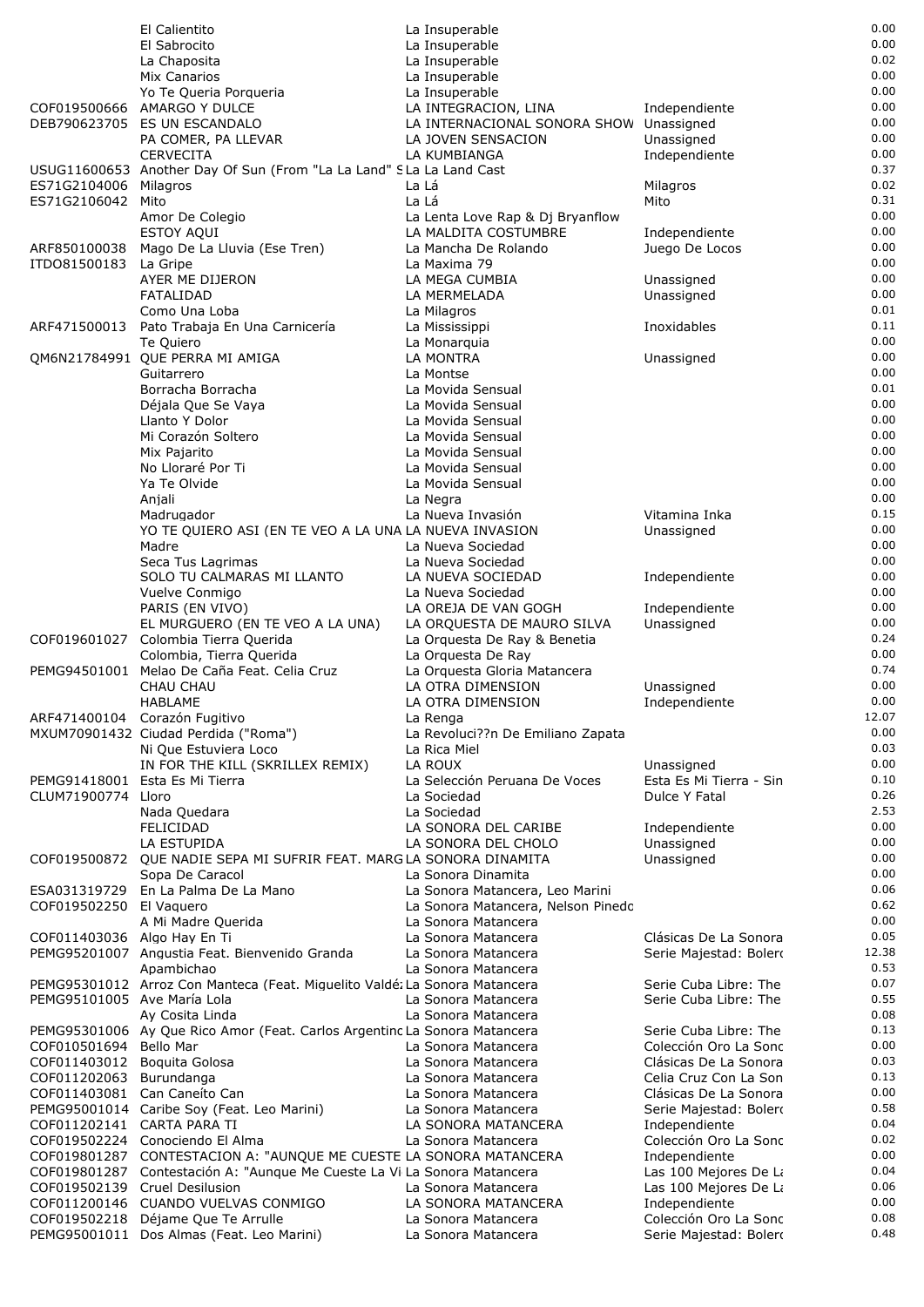|                                             | El Calientito                                                                                             | La Insuperable                                           |                                                | 0.00         |
|---------------------------------------------|-----------------------------------------------------------------------------------------------------------|----------------------------------------------------------|------------------------------------------------|--------------|
|                                             | El Sabrocito                                                                                              | La Insuperable                                           |                                                | 0.00         |
|                                             | La Chaposita                                                                                              | La Insuperable                                           |                                                | 0.02         |
|                                             | Mix Canarios                                                                                              | La Insuperable                                           |                                                | 0.00<br>0.00 |
| COF019500666                                | Yo Te Queria Porqueria<br><b>AMARGO Y DULCE</b>                                                           | La Insuperable<br>LA INTEGRACION, LINA                   | Independiente                                  | 0.00         |
|                                             | DEB790623705 ES UN ESCANDALO                                                                              | LA INTERNACIONAL SONORA SHOW Unassigned                  |                                                | 0.00         |
|                                             | PA COMER, PA LLEVAR                                                                                       | LA JOVEN SENSACION                                       | Unassigned                                     | 0.00         |
|                                             | <b>CERVECITA</b>                                                                                          | LA KUMBIANGA                                             | Independiente                                  | 0.00         |
|                                             | USUG11600653 Another Day Of Sun (From "La La Land" SLa La Land Cast                                       |                                                          |                                                | 0.37         |
| ES71G2104006                                | Milagros                                                                                                  | La Lá                                                    | Milagros                                       | 0.02         |
| ES71G2106042                                | Mito<br>Amor De Colegio                                                                                   | La Lá                                                    | Mito                                           | 0.31<br>0.00 |
|                                             | ESTOY AQUI                                                                                                | La Lenta Love Rap & Dj Bryanflow<br>LA MALDITA COSTUMBRE | Independiente                                  | 0.00         |
| ARF850100038                                | Mago De La Lluvia (Ese Tren)                                                                              | La Mancha De Rolando                                     | Juego De Locos                                 | 0.00         |
| ITD081500183                                | La Gripe                                                                                                  | La Maxima 79                                             |                                                | 0.00         |
|                                             | AYER ME DIJERON                                                                                           | LA MEGA CUMBIA                                           | Unassigned                                     | 0.00         |
|                                             | FATALIDAD                                                                                                 | LA MERMELADA                                             | Unassigned                                     | 0.00         |
|                                             | Como Una Loba                                                                                             | La Milagros                                              |                                                | 0.01<br>0.11 |
|                                             | ARF471500013 Pato Trabaja En Una Carnicería<br>Te Quiero                                                  | La Mississippi<br>La Monarquia                           | Inoxidables                                    | 0.00         |
|                                             | QM6N21784991 QUE PERRA MI AMIGA                                                                           | LA MONTRA                                                | Unassigned                                     | 0.00         |
|                                             | Guitarrero                                                                                                | La Montse                                                |                                                | 0.00         |
|                                             | Borracha Borracha                                                                                         | La Movida Sensual                                        |                                                | 0.01         |
|                                             | Déjala Que Se Vaya                                                                                        | La Movida Sensual                                        |                                                | 0.00         |
|                                             | Llanto Y Dolor                                                                                            | La Movida Sensual                                        |                                                | 0.00         |
|                                             | Mi Corazón Soltero                                                                                        | La Movida Sensual                                        |                                                | 0.00<br>0.00 |
|                                             | Mix Pajarito<br>No Lloraré Por Ti                                                                         | La Movida Sensual<br>La Movida Sensual                   |                                                | 0.00         |
|                                             | Ya Te Olvide                                                                                              | La Movida Sensual                                        |                                                | 0.00         |
|                                             | Anjali                                                                                                    | La Negra                                                 |                                                | 0.00         |
|                                             | Madrugador                                                                                                | La Nueva Invasión                                        | Vitamina Inka                                  | 0.15         |
|                                             | YO TE QUIERO ASI (EN TE VEO A LA UNA LA NUEVA INVASION                                                    |                                                          | Unassigned                                     | 0.00         |
|                                             | Madre                                                                                                     | La Nueva Sociedad                                        |                                                | 0.00         |
|                                             | Seca Tus Lagrimas                                                                                         | La Nueva Sociedad                                        |                                                | 0.00<br>0.00 |
|                                             | SOLO TU CALMARAS MI LLANTO<br>Vuelve Conmigo                                                              | LA NUEVA SOCIEDAD<br>La Nueva Sociedad                   | Independiente                                  | 0.00         |
|                                             | PARIS (EN VIVO)                                                                                           | LA OREJA DE VAN GOGH                                     | Independiente                                  | 0.00         |
|                                             | EL MURGUERO (EN TE VEO A LA UNA)                                                                          | LA ORQUESTA DE MAURO SILVA                               | Unassigned                                     | 0.00         |
| COF019601027                                | Colombia Tierra Querida                                                                                   | La Orquesta De Ray & Benetia                             |                                                | 0.24         |
|                                             | Colombia, Tierra Querida                                                                                  | La Orquesta De Ray                                       |                                                | 0.00         |
|                                             | PEMG94501001 Melao De Caña Feat. Celia Cruz                                                               | La Orquesta Gloria Matancera                             |                                                | 0.74<br>0.00 |
|                                             | CHAU CHAU<br>HABLAME                                                                                      | LA OTRA DIMENSION<br>LA OTRA DIMENSION                   | Unassigned<br>Independiente                    | 0.00         |
|                                             | ARF471400104 Corazón Fugitivo                                                                             | La Renga                                                 |                                                | 12.07        |
|                                             | MXUM70901432 Ciudad Perdida ("Roma")                                                                      | La Revoluci??n De Emiliano Zapata                        |                                                | 0.00         |
|                                             | Ni Que Estuviera Loco                                                                                     | La Rica Miel                                             |                                                | 0.03         |
|                                             | IN FOR THE KILL (SKRILLEX REMIX)                                                                          | LA ROUX                                                  | Unassigned                                     | 0.00         |
|                                             | PEMG91418001 Esta Es Mi Tierra                                                                            | La Selección Peruana De Voces                            | Esta Es Mi Tierra - Sin                        | 0.10         |
| CLUM71900774 Lloro                          | Nada Quedara                                                                                              | La Sociedad                                              | Dulce Y Fatal                                  | 0.26<br>2.53 |
|                                             | FELICIDAD                                                                                                 | La Sociedad<br>LA SONORA DEL CARIBE                      | Independiente                                  | 0.00         |
|                                             | LA ESTUPIDA                                                                                               | LA SONORA DEL CHOLO                                      | Unassigned                                     | 0.00         |
|                                             | COF019500872 QUE NADIE SEPA MI SUFRIR FEAT. MARGLA SONORA DINAMITA                                        |                                                          | Unassigned                                     | 0.00         |
|                                             | Sopa De Caracol                                                                                           | La Sonora Dinamita                                       |                                                | 0.00         |
|                                             | ESA031319729 En La Palma De La Mano                                                                       | La Sonora Matancera, Leo Marini                          |                                                | 0.06         |
| COF019502250 El Vaguero                     |                                                                                                           | La Sonora Matancera, Nelson Pinedc                       |                                                | 0.62<br>0.00 |
| COF011403036 Algo Hay En Ti                 | A Mi Madre Querida                                                                                        | La Sonora Matancera<br>La Sonora Matancera               | Clásicas De La Sonora                          | 0.05         |
|                                             | PEMG95201007 Angustia Feat. Bienvenido Granda                                                             | La Sonora Matancera                                      | Serie Majestad: Bolero                         | 12.38        |
|                                             | Apambichao                                                                                                | La Sonora Matancera                                      |                                                | 0.53         |
|                                             | PEMG95301012 Arroz Con Manteca (Feat. Miguelito Valdé: La Sonora Matancera                                |                                                          | Serie Cuba Libre: The                          | 0.07         |
| PEMG95101005 Ave María Lola                 |                                                                                                           | La Sonora Matancera                                      | Serie Cuba Libre: The                          | 0.55         |
|                                             | Ay Cosita Linda                                                                                           | La Sonora Matancera                                      |                                                | 0.08         |
|                                             | PEMG95301006 Ay Que Rico Amor (Feat. Carlos Argentinc La Sonora Matancera                                 |                                                          | Serie Cuba Libre: The                          | 0.13<br>0.00 |
| COF010501694<br>COF011403012 Boquita Golosa | Bello Mar                                                                                                 | La Sonora Matancera<br>La Sonora Matancera               | Colección Oro La Sonc<br>Clásicas De La Sonora | 0.03         |
| COF011202063 Burundanga                     |                                                                                                           | La Sonora Matancera                                      | Celia Cruz Con La Son                          | 0.13         |
|                                             | COF011403081 Can Caneíto Can                                                                              | La Sonora Matancera                                      | Clásicas De La Sonora                          | 0.00         |
|                                             | PEMG95001014 Caribe Soy (Feat. Leo Marini)                                                                | La Sonora Matancera                                      | Serie Majestad: Bolero                         | 0.58         |
| COF011202141 CARTA PARA TI                  |                                                                                                           | LA SONORA MATANCERA                                      | Independiente                                  | 0.04         |
|                                             | COF019502224 Conociendo El Alma                                                                           | La Sonora Matancera                                      | Colección Oro La Sonc                          | 0.02         |
|                                             | COF019801287 CONTESTACION A: "AUNQUE ME CUESTE LA SONORA MATANCERA                                        |                                                          | Independiente                                  | 0.00<br>0.04 |
|                                             | COF019801287 Contestación A: "Aunque Me Cueste La Vi La Sonora Matancera<br>COF019502139 Cruel Desilusion | La Sonora Matancera                                      | Las 100 Mejores De La<br>Las 100 Mejores De La | 0.06         |
|                                             | COF011200146 CUANDO VUELVAS CONMIGO                                                                       | LA SONORA MATANCERA                                      | Independiente                                  | 0.00         |
|                                             | COF019502218 Déjame Que Te Arrulle                                                                        | La Sonora Matancera                                      | Colección Oro La Sonc                          | 0.08         |
|                                             | PEMG95001011 Dos Almas (Feat. Leo Marini)                                                                 | La Sonora Matancera                                      | Serie Majestad: Bolero                         | 0.48         |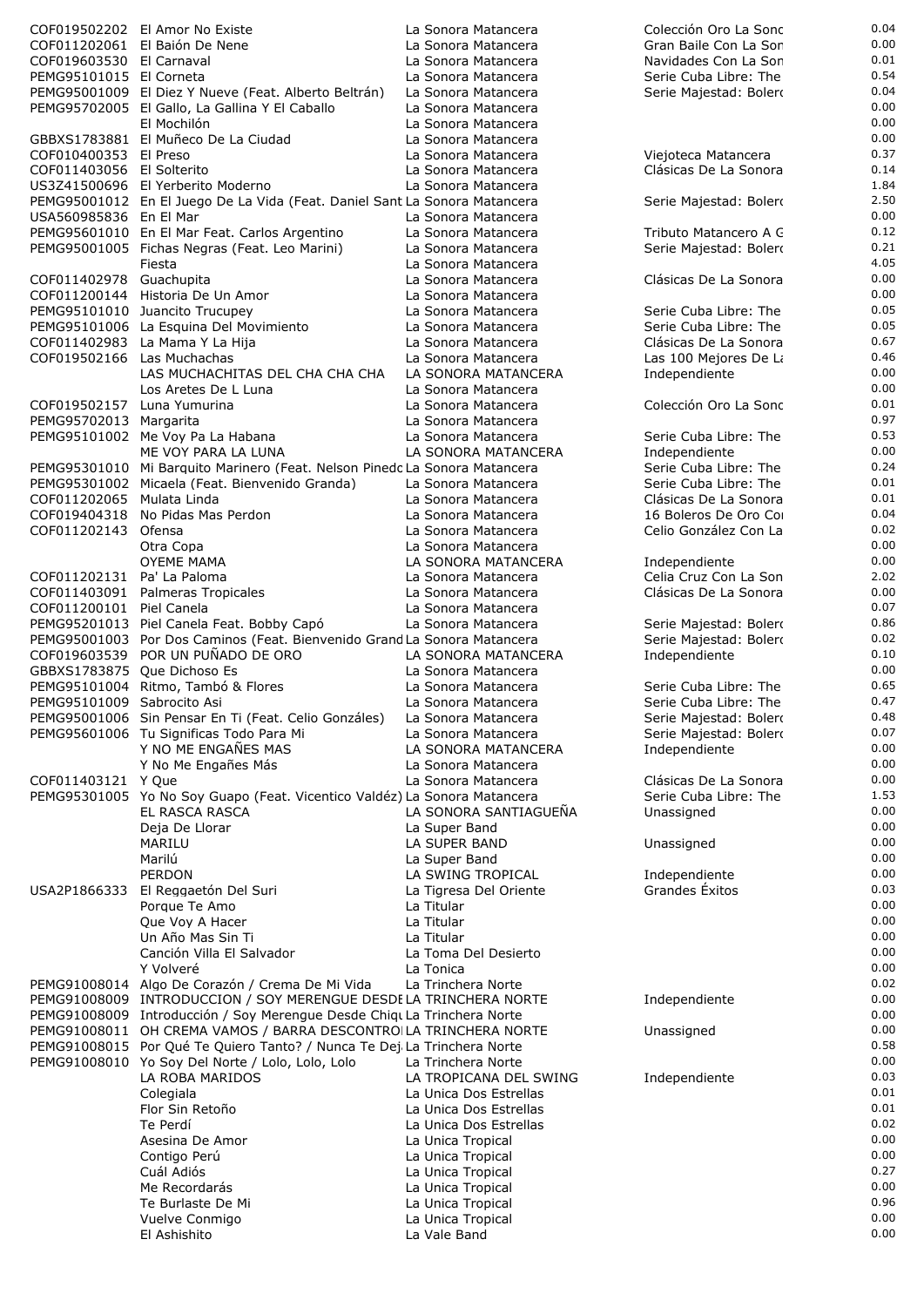|                             | COF019502202 El Amor No Existe                                             | La Sonora Matancera    | Colección Oro La Sonc  | 0.04 |
|-----------------------------|----------------------------------------------------------------------------|------------------------|------------------------|------|
|                             | COF011202061 El Baión De Nene                                              | La Sonora Matancera    | Gran Baile Con La Sor  | 0.00 |
| COF019603530 El Carnaval    |                                                                            | La Sonora Matancera    | Navidades Con La Son   | 0.01 |
| PEMG95101015 El Corneta     |                                                                            | La Sonora Matancera    | Serie Cuba Libre: The  | 0.54 |
|                             |                                                                            |                        |                        |      |
|                             | PEMG95001009 El Diez Y Nueve (Feat. Alberto Beltrán)                       | La Sonora Matancera    | Serie Majestad: Bolero | 0.04 |
|                             | PEMG95702005 El Gallo, La Gallina Y El Caballo                             | La Sonora Matancera    |                        | 0.00 |
|                             | El Mochilón                                                                | La Sonora Matancera    |                        | 0.00 |
|                             |                                                                            |                        |                        | 0.00 |
|                             | GBBXS1783881 El Muñeco De La Ciudad                                        | La Sonora Matancera    |                        |      |
| COF010400353 El Preso       |                                                                            | La Sonora Matancera    | Viejoteca Matancera    | 0.37 |
| COF011403056 El Solterito   |                                                                            | La Sonora Matancera    | Clásicas De La Sonora  | 0.14 |
|                             | US3Z41500696 El Yerberito Moderno                                          | La Sonora Matancera    |                        | 1.84 |
|                             |                                                                            |                        |                        |      |
|                             | PEMG95001012 En El Juego De La Vida (Feat. Daniel Sant La Sonora Matancera |                        | Serie Majestad: Bolero | 2.5C |
| USA560985836 En El Mar      |                                                                            | La Sonora Matancera    |                        | 0.00 |
|                             | PEMG95601010 En El Mar Feat. Carlos Argentino                              | La Sonora Matancera    | Tributo Matancero A C  | 0.12 |
|                             |                                                                            |                        |                        |      |
|                             | PEMG95001005 Fichas Negras (Feat. Leo Marini)                              | La Sonora Matancera    | Serie Majestad: Bolero | 0.21 |
|                             | Fiesta                                                                     | La Sonora Matancera    |                        | 4.05 |
| COF011402978 Guachupita     |                                                                            | La Sonora Matancera    | Clásicas De La Sonora  | 0.00 |
|                             |                                                                            |                        |                        | 0.00 |
|                             | COF011200144 Historia De Un Amor                                           | La Sonora Matancera    |                        |      |
|                             | PEMG95101010 Juancito Trucupey                                             | La Sonora Matancera    | Serie Cuba Libre: The  | 0.05 |
|                             | PEMG95101006 La Esquina Del Movimiento                                     | La Sonora Matancera    | Serie Cuba Libre: The  | 0.05 |
|                             | COF011402983 La Mama Y La Hija                                             | La Sonora Matancera    | Clásicas De La Sonora  | 0.67 |
|                             |                                                                            |                        |                        |      |
| COF019502166 Las Muchachas  |                                                                            | La Sonora Matancera    | Las 100 Mejores De La  | 0.46 |
|                             | LAS MUCHACHITAS DEL CHA CHA CHA                                            | LA SONORA MATANCERA    | Independiente          | 0.00 |
|                             | Los Aretes De L Luna                                                       | La Sonora Matancera    |                        | 0.00 |
|                             |                                                                            |                        |                        |      |
| COF019502157 Luna Yumurina  |                                                                            | La Sonora Matancera    | Colección Oro La Sonc  | 0.01 |
| PEMG95702013 Margarita      |                                                                            | La Sonora Matancera    |                        | 0.97 |
|                             | PEMG95101002 Me Voy Pa La Habana                                           | La Sonora Matancera    | Serie Cuba Libre: The  | 0.53 |
|                             |                                                                            |                        |                        | 0.00 |
|                             | ME VOY PARA LA LUNA                                                        | LA SONORA MATANCERA    | Independiente          |      |
|                             | PEMG95301010 Mi Barquito Marinero (Feat. Nelson Pinedc La Sonora Matancera |                        | Serie Cuba Libre: The  | 0.24 |
|                             | PEMG95301002 Micaela (Feat. Bienvenido Granda)                             | La Sonora Matancera    | Serie Cuba Libre: The  | 0.01 |
|                             |                                                                            |                        | Clásicas De La Sonora  | 0.01 |
| COF011202065 Mulata Linda   |                                                                            | La Sonora Matancera    |                        |      |
|                             | COF019404318 No Pidas Mas Perdon                                           | La Sonora Matancera    | 16 Boleros De Oro Co   | 0.04 |
| COF011202143 Ofensa         |                                                                            | La Sonora Matancera    | Celio González Con La  | 0.02 |
|                             | Otra Copa                                                                  | La Sonora Matancera    |                        | 0.00 |
|                             |                                                                            |                        |                        |      |
|                             | <b>OYEME MAMA</b>                                                          | LA SONORA MATANCERA    | Independiente          | 0.00 |
| COF011202131 Pa' La Paloma  |                                                                            | La Sonora Matancera    | Celia Cruz Con La Son  | 2.02 |
|                             | COF011403091 Palmeras Tropicales                                           | La Sonora Matancera    | Clásicas De La Sonora  | 0.00 |
|                             |                                                                            |                        |                        | 0.07 |
| COF011200101 Piel Canela    |                                                                            | La Sonora Matancera    |                        |      |
|                             | PEMG95201013 Piel Canela Feat. Bobby Capó                                  | La Sonora Matancera    | Serie Majestad: Bolero | 0.86 |
|                             | PEMG95001003 Por Dos Caminos (Feat. Bienvenido Grand La Sonora Matancera   |                        | Serie Majestad: Bolero | 0.02 |
|                             | COF019603539 POR UN PUÑADO DE ORO                                          | LA SONORA MATANCERA    |                        | 0.10 |
|                             |                                                                            |                        | Independiente          |      |
| GBBXS1783875 Que Dichoso Es |                                                                            | La Sonora Matancera    |                        | 0.00 |
|                             | PEMG95101004 Ritmo, Tambó & Flores                                         | La Sonora Matancera    | Serie Cuba Libre: The  | 0.65 |
| PEMG95101009 Sabrocito Asi  |                                                                            | La Sonora Matancera    | Serie Cuba Libre: The  | 0.47 |
|                             |                                                                            |                        |                        |      |
|                             | PEMG95001006 Sin Pensar En Ti (Feat. Celio Gonzáles)                       | La Sonora Matancera    | Serie Majestad: Bolero | 0.48 |
|                             | PEMG95601006 Tu Significas Todo Para Mi                                    | La Sonora Matancera    | Serie Majestad: Bolero | 0.07 |
|                             | Y NO ME ENGAÑES MAS                                                        | LA SONORA MATANCERA    | Independiente          | 0.00 |
|                             | Y No Me Engañes Más                                                        | La Sonora Matancera    |                        | 0.00 |
|                             |                                                                            |                        |                        |      |
| COF011403121 Y Que          |                                                                            | La Sonora Matancera    | Clásicas De La Sonora  | 0.00 |
|                             | PEMG95301005 Yo No Soy Guapo (Feat. Vicentico Valdéz) La Sonora Matancera  |                        | Serie Cuba Libre: The  | 1.53 |
|                             | EL RASCA RASCA                                                             | LA SONORA SANTIAGUEÑA  | Unassigned             | 0.00 |
|                             |                                                                            |                        |                        |      |
|                             | Deja De Llorar                                                             | La Super Band          |                        | 0.00 |
|                             | MARILU                                                                     | LA SUPER BAND          | Unassigned             | 0.00 |
|                             | Marilú                                                                     | La Super Band          |                        | 0.00 |
|                             | PERDON                                                                     | LA SWING TROPICAL      | Independiente          | 0.00 |
|                             |                                                                            |                        |                        |      |
|                             | USA2P1866333 El Reggaetón Del Suri                                         | La Tigresa Del Oriente | Grandes Exitos         | 0.03 |
|                             | Poraue Te Amo                                                              | La Titular             |                        | 0.00 |
|                             | Que Voy A Hacer                                                            | La Titular             |                        | 0.00 |
|                             |                                                                            |                        |                        |      |
|                             | Un Año Mas Sin Ti                                                          | La Titular             |                        | 0.00 |
|                             | Canción Villa El Salvador                                                  | La Toma Del Desierto   |                        | 0.00 |
|                             | Y Volveré                                                                  | La Tonica              |                        | 0.00 |
|                             |                                                                            |                        |                        | 0.02 |
|                             | PEMG91008014 Algo De Corazón / Crema De Mi Vida                            | La Trinchera Norte     |                        |      |
|                             | PEMG91008009 INTRODUCCION / SOY MERENGUE DESDELA TRINCHERA NORTE           |                        | Independiente          | 0.00 |
|                             | PEMG91008009 Introducción / Soy Merengue Desde Chiqu La Trinchera Norte    |                        |                        | 0.00 |
|                             | PEMG91008011 OH CREMA VAMOS / BARRA DESCONTROILA TRINCHERA NORTE           |                        | Unassigned             | 0.00 |
|                             |                                                                            |                        |                        |      |
|                             | PEMG91008015 Por Qué Te Quiero Tanto? / Nunca Te Dej La Trinchera Norte    |                        |                        | 0.58 |
|                             | PEMG91008010 Yo Soy Del Norte / Lolo, Lolo, Lolo                           | La Trinchera Norte     |                        | 0.00 |
|                             | LA ROBA MARIDOS                                                            | LA TROPICANA DEL SWING | Independiente          | 0.03 |
|                             |                                                                            |                        |                        |      |
|                             | Colegiala                                                                  | La Unica Dos Estrellas |                        | 0.01 |
|                             | Flor Sin Retoño                                                            | La Unica Dos Estrellas |                        | 0.01 |
|                             | Te Perdí                                                                   | La Unica Dos Estrellas |                        | 0.02 |
|                             | Asesina De Amor                                                            |                        |                        | 0.00 |
|                             |                                                                            | La Unica Tropical      |                        |      |
|                             | Contigo Perú                                                               | La Unica Tropical      |                        | 0.00 |
|                             |                                                                            |                        |                        | 0.27 |
|                             | Cuál Adiós                                                                 | La Unica Tropical      |                        |      |
|                             |                                                                            |                        |                        |      |
|                             | Me Recordarás                                                              | La Unica Tropical      |                        | 0.00 |
|                             | Te Burlaste De Mi                                                          | La Unica Tropical      |                        | 0.96 |
|                             | Vuelve Conmigo                                                             | La Unica Tropical      |                        | 0.00 |
|                             | El Ashishito                                                               | La Vale Band           |                        | 0.00 |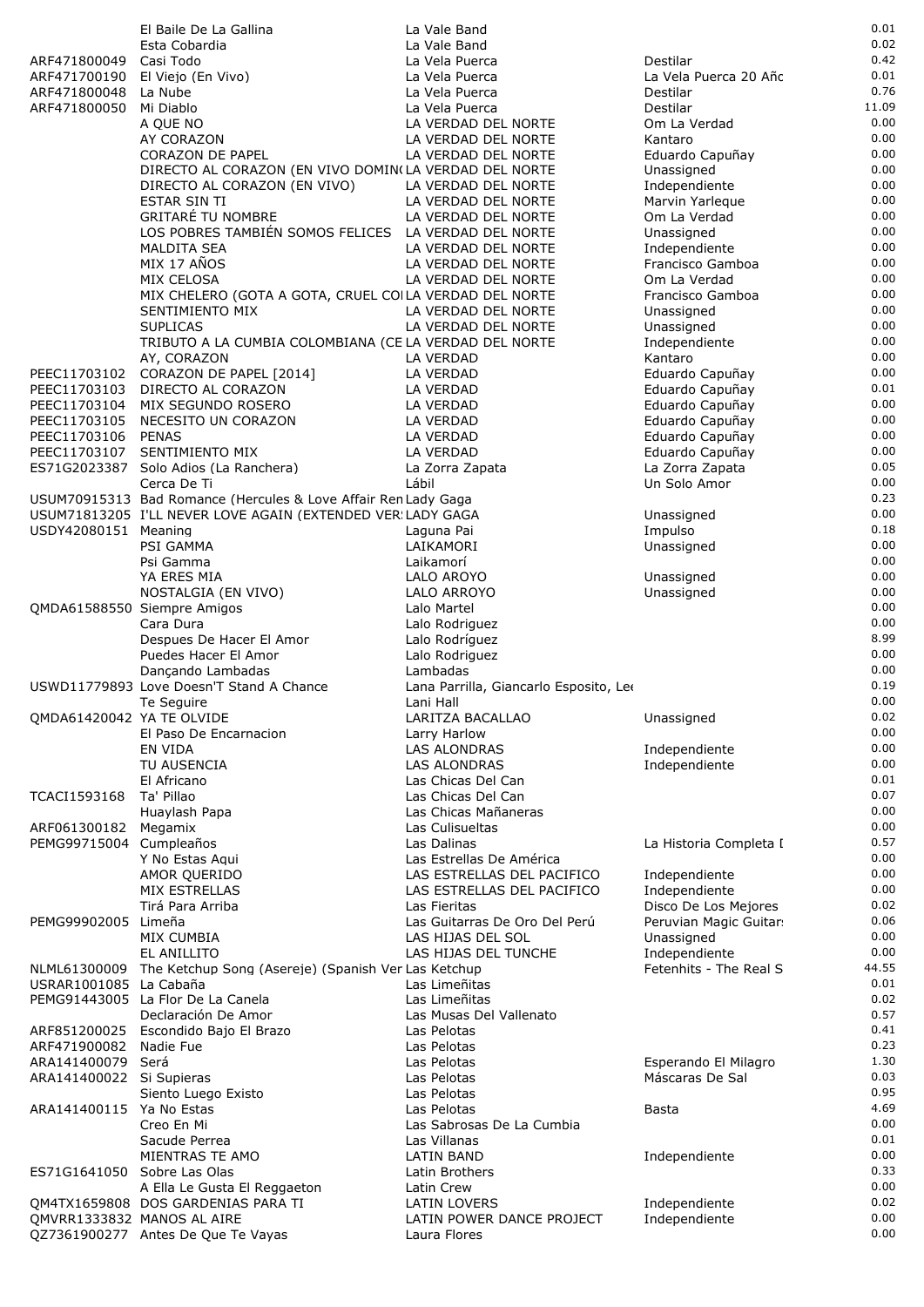|                                        | El Baile De La Gallina                                                    |       | La Vale Band                               |                                 | 0.01          |
|----------------------------------------|---------------------------------------------------------------------------|-------|--------------------------------------------|---------------------------------|---------------|
|                                        | Esta Cobardia                                                             |       | La Vale Band                               |                                 | 0.02          |
| ARF471800049                           | Casi Todo                                                                 |       | La Vela Puerca                             | Destilar                        | 0.42          |
| ARF471700190                           | El Viejo (En Vivo)                                                        |       | La Vela Puerca                             | La Vela Puerca 20 Año           | 0.01          |
| ARF471800048                           | La Nube                                                                   |       | La Vela Puerca                             | Destilar                        | 0.76          |
| ARF471800050                           | Mi Diablo                                                                 |       | La Vela Puerca                             | Destilar                        | 11.09<br>0.00 |
|                                        | A QUE NO<br>AY CORAZON                                                    |       | LA VERDAD DEL NORTE<br>LA VERDAD DEL NORTE | Om La Verdad<br>Kantaro         | 0.00          |
|                                        | <b>CORAZON DE PAPEL</b>                                                   |       | LA VERDAD DEL NORTE                        | Eduardo Capuñay                 | 0.00          |
|                                        | DIRECTO AL CORAZON (EN VIVO DOMIN(LA VERDAD DEL NORTE                     |       |                                            | Unassigned                      | 0.00          |
|                                        | DIRECTO AL CORAZON (EN VIVO)                                              |       | LA VERDAD DEL NORTE                        | Independiente                   | 0.00          |
|                                        | <b>ESTAR SIN TI</b>                                                       |       | LA VERDAD DEL NORTE                        | Marvin Yarleque                 | 0.00          |
|                                        | <b>GRITARÉ TU NOMBRE</b>                                                  |       | LA VERDAD DEL NORTE                        | Om La Verdad                    | 0.00          |
|                                        | LOS POBRES TAMBIÉN SOMOS FELICES LA VERDAD DEL NORTE                      |       |                                            | Unassigned                      | 0.00          |
|                                        | <b>MALDITA SEA</b>                                                        |       | LA VERDAD DEL NORTE                        | Independiente                   | 0.00          |
|                                        | MIX 17 AÑOS                                                               |       | LA VERDAD DEL NORTE                        | Francisco Gamboa                | 0.00          |
|                                        | MIX CELOSA                                                                |       | LA VERDAD DEL NORTE                        | Om La Verdad                    | 0.00<br>0.00  |
|                                        | MIX CHELERO (GOTA A GOTA, CRUEL COILA VERDAD DEL NORTE<br>SENTIMIENTO MIX |       | LA VERDAD DEL NORTE                        | Francisco Gamboa<br>Unassigned  | 0.00          |
|                                        | <b>SUPLICAS</b>                                                           |       | LA VERDAD DEL NORTE                        | Unassigned                      | 0.00          |
|                                        | TRIBUTO A LA CUMBIA COLOMBIANA (CE LA VERDAD DEL NORTE                    |       |                                            | Independiente                   | 0.00          |
|                                        | AY, CORAZON                                                               |       | <b>LA VERDAD</b>                           | Kantaro                         | 0.00          |
| PEEC11703102                           | CORAZON DE PAPEL [2014]                                                   |       | LA VERDAD                                  | Eduardo Capuñay                 | 0.00          |
| PEEC11703103                           | DIRECTO AL CORAZON                                                        |       | LA VERDAD                                  | Eduardo Capuñay                 | 0.01          |
| PEEC11703104                           | MIX SEGUNDO ROSERO                                                        |       | LA VERDAD                                  | Eduardo Capuñay                 | 0.00          |
| PEEC11703105                           | NECESITO UN CORAZON                                                       |       | LA VERDAD                                  | Eduardo Capuñay                 | 0.00          |
| PEEC11703106 PENAS                     |                                                                           |       | LA VERDAD                                  | Eduardo Capuñay                 | 0.00          |
| PEEC11703107<br>ES71G2023387           | SENTIMIENTO MIX                                                           |       | LA VERDAD                                  | Eduardo Capuñay                 | 0.00<br>0.05  |
|                                        | Solo Adios (La Ranchera)<br>Cerca De Ti                                   | Lábil | La Zorra Zapata                            | La Zorra Zapata<br>Un Solo Amor | 0.00          |
|                                        | USUM70915313 Bad Romance (Hercules & Love Affair Ren Lady Gaga            |       |                                            |                                 | 0.23          |
|                                        | USUM71813205 I'LL NEVER LOVE AGAIN (EXTENDED VER: LADY GAGA               |       |                                            | Unassigned                      | 0.00          |
| USDY42080151 Meaning                   |                                                                           |       | Laguna Pai                                 | Impulso                         | 0.18          |
|                                        | PSI GAMMA                                                                 |       | LAIKAMORI                                  | Unassigned                      | 0.00          |
|                                        | Psi Gamma                                                                 |       | Laikamorí                                  |                                 | 0.00          |
|                                        | YA ERES MIA                                                               |       | LALO AROYO                                 | Unassigned                      | 0.00          |
|                                        | NOSTALGIA (EN VIVO)                                                       |       | LALO ARROYO                                | Unassigned                      | 0.00          |
|                                        | QMDA61588550 Siempre Amigos                                               |       | Lalo Martel                                |                                 | 0.00          |
|                                        | Cara Dura                                                                 |       | Lalo Rodriguez                             |                                 | 0.00<br>8.99  |
|                                        | Despues De Hacer El Amor<br>Puedes Hacer El Amor                          |       | Lalo Rodríguez<br>Lalo Rodriguez           |                                 | 0.00          |
|                                        | Dançando Lambadas                                                         |       | Lambadas                                   |                                 | 0.00          |
|                                        | USWD11779893 Love Doesn'T Stand A Chance                                  |       | Lana Parrilla, Giancarlo Esposito, Leo     |                                 | 0.19          |
|                                        | Te Seguire                                                                |       | Lani Hall                                  |                                 | 0.00          |
| QMDA61420042 YA TE OLVIDE              |                                                                           |       | LARITZA BACALLAO                           | Unassigned                      | 0.02          |
|                                        | El Paso De Encarnacion                                                    |       | Larry Harlow                               |                                 | 0.00          |
|                                        | EN VIDA                                                                   |       | <b>LAS ALONDRAS</b>                        | Independiente                   | 0.00          |
|                                        | TU AUSENCIA                                                               |       | <b>LAS ALONDRAS</b>                        | Independiente                   | 0.00          |
|                                        | El Africano                                                               |       | Las Chicas Del Can                         |                                 | 0.01<br>0.07  |
| TCACI1593168                           | Ta' Pillao                                                                |       | Las Chicas Del Can<br>Las Chicas Mañaneras |                                 | 0.00          |
| ARF061300182                           | Huaylash Papa<br>Megamix                                                  |       | Las Culisueltas                            |                                 | 0.00          |
| PEMG99715004                           | Cumpleaños                                                                |       | Las Dalinas                                | La Historia Completa I          | 0.57          |
|                                        | Y No Estas Aqui                                                           |       | Las Estrellas De América                   |                                 | 0.00          |
|                                        | AMOR QUERIDO                                                              |       | LAS ESTRELLAS DEL PACIFICO                 | Independiente                   | 0.00          |
|                                        | MIX ESTRELLAS                                                             |       | LAS ESTRELLAS DEL PACIFICO                 | Independiente                   | 0.00          |
|                                        | Tirá Para Arriba                                                          |       | Las Fieritas                               | Disco De Los Mejores            | 0.02          |
| PEMG99902005                           | Limeña                                                                    |       | Las Guitarras De Oro Del Perú              | Peruvian Magic Guitar:          | 0.06          |
|                                        | MIX CUMBIA                                                                |       | LAS HIJAS DEL SOL                          | Unassigned                      | 0.00          |
|                                        | EL ANILLITO                                                               |       | LAS HIJAS DEL TUNCHE                       | Independiente                   | 0.00<br>44.55 |
| NLML61300009<br>USRAR1001085 La Cabaña | The Ketchup Song (Asereje) (Spanish Ver Las Ketchup                       |       | Las Limeñitas                              | Fetenhits - The Real S          | 0.01          |
|                                        | PEMG91443005 La Flor De La Canela                                         |       | Las Limeñitas                              |                                 | 0.02          |
|                                        | Declaración De Amor                                                       |       | Las Musas Del Vallenato                    |                                 | 0.57          |
|                                        | ARF851200025 Escondido Bajo El Brazo                                      |       | Las Pelotas                                |                                 | 0.41          |
| ARF471900082                           | Nadie Fue                                                                 |       | Las Pelotas                                |                                 | 0.23          |
| ARA141400079                           | Será                                                                      |       | Las Pelotas                                | Esperando El Milagro            | 1.30          |
| ARA141400022 Si Supieras               |                                                                           |       | Las Pelotas                                | Máscaras De Sal                 | 0.03          |
|                                        | Siento Luego Existo                                                       |       | Las Pelotas                                |                                 | 0.95          |
| ARA141400115 Ya No Estas               |                                                                           |       | Las Pelotas                                | Basta                           | 4.69          |
|                                        | Creo En Mi                                                                |       | Las Sabrosas De La Cumbia                  |                                 | 0.00          |
|                                        | Sacude Perrea<br>MIENTRAS TE AMO                                          |       | Las Villanas<br><b>LATIN BAND</b>          | Independiente                   | 0.01<br>0.00  |
| ES71G1641050 Sobre Las Olas            |                                                                           |       | Latin Brothers                             |                                 | 0.33          |
|                                        | A Ella Le Gusta El Reggaeton                                              |       | Latin Crew                                 |                                 | 0.00          |
|                                        | QM4TX1659808 DOS GARDENIAS PARA TI                                        |       | LATIN LOVERS                               | Independiente                   | 0.02          |
|                                        | QMVRR1333832 MANOS AL AIRE                                                |       | LATIN POWER DANCE PROJECT                  | Independiente                   | 0.00          |
|                                        | QZ7361900277 Antes De Que Te Vayas                                        |       | Laura Flores                               |                                 | 0.00          |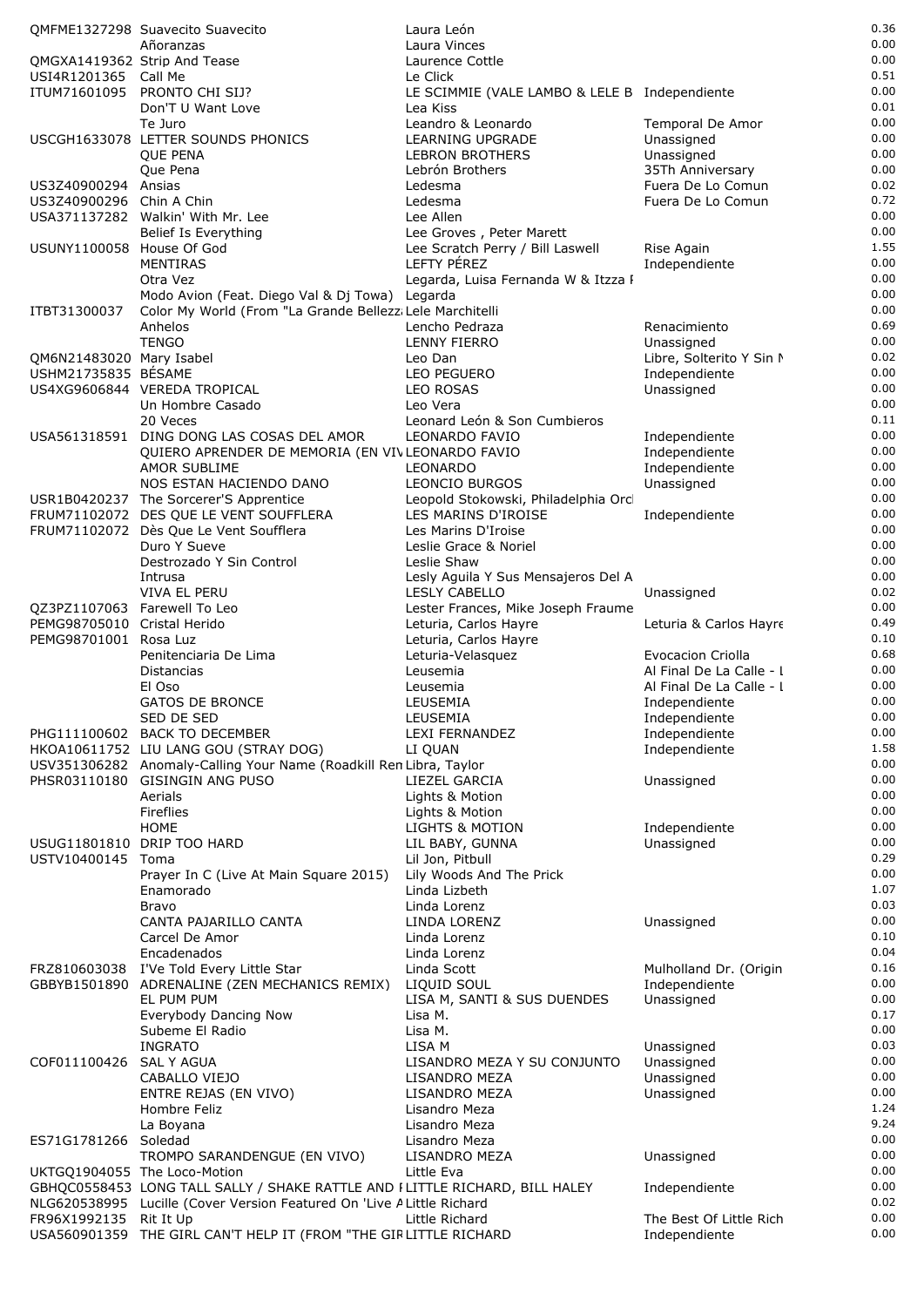|                              | OMFME1327298 Suavecito Suavecito                                                                            | Laura León                                    |                          | 0.36         |
|------------------------------|-------------------------------------------------------------------------------------------------------------|-----------------------------------------------|--------------------------|--------------|
|                              | Añoranzas                                                                                                   | Laura Vinces                                  |                          | 0.00         |
|                              | QMGXA1419362 Strip And Tease                                                                                | Laurence Cottle                               |                          | 0.00         |
| USI4R1201365 Call Me         |                                                                                                             | Le Click                                      |                          | 0.51         |
|                              | ITUM71601095 PRONTO CHI SIJ?                                                                                | LE SCIMMIE (VALE LAMBO & LELE B Independiente |                          | 0.00         |
|                              | Don'T U Want Love                                                                                           | Lea Kiss                                      |                          | 0.01         |
|                              | Te Juro                                                                                                     | Leandro & Leonardo                            | Temporal De Amor         | 0.00         |
|                              | USCGH1633078 LETTER SOUNDS PHONICS                                                                          | LEARNING UPGRADE                              | Unassigned               | 0.00         |
|                              | <b>OUE PENA</b>                                                                                             | LEBRON BROTHERS                               | Unassigned               | 0.00         |
|                              | Que Pena                                                                                                    | Lebrón Brothers                               | 35Th Anniversary         | 0.00         |
| US3Z40900294 Ansias          |                                                                                                             | Ledesma                                       | Fuera De Lo Comun        | 0.02         |
| US3Z40900296 Chin A Chin     |                                                                                                             | Ledesma                                       | Fuera De Lo Comun        | 0.72         |
|                              | USA371137282 Walkin' With Mr. Lee                                                                           | Lee Allen                                     |                          | 0.00         |
|                              | Belief Is Everything                                                                                        | Lee Groves, Peter Marett                      |                          | 0.00         |
| USUNY1100058 House Of God    |                                                                                                             | Lee Scratch Perry / Bill Laswell              | Rise Again               | 1.55         |
|                              | MENTIRAS                                                                                                    | LEFTY PÉREZ                                   | Independiente            | 0.00<br>0.00 |
|                              | Otra Vez                                                                                                    | Legarda, Luisa Fernanda W & Itzza I           |                          | 0.00         |
| ITBT31300037                 | Modo Avion (Feat. Diego Val & Dj Towa) Legarda<br>Color My World (From "La Grande Bellezz; Lele Marchitelli |                                               |                          | 0.00         |
|                              | Anhelos                                                                                                     | Lencho Pedraza                                | Renacimiento             | 0.69         |
|                              | <b>TENGO</b>                                                                                                | LENNY FIERRO                                  | Unassigned               | 0.00         |
| QM6N21483020 Mary Isabel     |                                                                                                             | Leo Dan                                       | Libre, Solterito Y Sin N | 0.02         |
| <b>USHM21735835 BESAME</b>   |                                                                                                             | LEO PEGUERO                                   | Independiente            | 0.00         |
|                              | US4XG9606844 VEREDA TROPICAL                                                                                | <b>LEO ROSAS</b>                              | Unassigned               | 0.00         |
|                              | Un Hombre Casado                                                                                            | Leo Vera                                      |                          | 0.00         |
|                              | 20 Veces                                                                                                    | Leonard León & Son Cumbieros                  |                          | 0.11         |
|                              | USA561318591 DING DONG LAS COSAS DEL AMOR                                                                   | LEONARDO FAVIO                                | Independiente            | 0.00         |
|                              | QUIERO APRENDER DE MEMORIA (EN VIVLEONARDO FAVIO                                                            |                                               | Independiente            | 0.00         |
|                              | AMOR SUBLIME                                                                                                | LEONARDO                                      | Independiente            | 0.00         |
|                              | NOS ESTAN HACIENDO DANO                                                                                     | <b>LEONCIO BURGOS</b>                         | Unassigned               | 0.00         |
|                              | USR1B0420237 The Sorcerer'S Apprentice                                                                      | Leopold Stokowski, Philadelphia Orc           |                          | 0.00         |
|                              | FRUM71102072 DES QUE LE VENT SOUFFLERA                                                                      | LES MARINS D'IROISE                           | Independiente            | 0.00         |
|                              | FRUM71102072 Dès Que Le Vent Soufflera                                                                      | Les Marins D'Iroise                           |                          | 0.00         |
|                              | Duro Y Sueve                                                                                                | Leslie Grace & Noriel                         |                          | 0.00         |
|                              | Destrozado Y Sin Control                                                                                    | Leslie Shaw                                   |                          | 0.00         |
|                              | Intrusa                                                                                                     | Lesly Aguila Y Sus Mensajeros Del A           |                          | 0.00         |
|                              | VIVA EL PERU                                                                                                | <b>LESLY CABELLO</b>                          | Unassigned               | 0.02         |
| QZ3PZ1107063 Farewell To Leo |                                                                                                             | Lester Frances, Mike Joseph Fraume            |                          | 0.00         |
| PEMG98705010 Cristal Herido  |                                                                                                             | Leturia, Carlos Hayre                         | Leturia & Carlos Hayre   | 0.49         |
| PEMG98701001 Rosa Luz        |                                                                                                             | Leturia, Carlos Hayre                         |                          | 0.10         |
|                              | Penitenciaria De Lima                                                                                       | Leturia-Velasquez                             | <b>Evocacion Criolla</b> | 0.68         |
|                              | <b>Distancias</b>                                                                                           | Leusemia                                      | Al Final De La Calle - I | 0.00         |
|                              | El Oso                                                                                                      | Leusemia                                      | Al Final De La Calle - I | 0.00         |
|                              | <b>GATOS DE BRONCE</b>                                                                                      | LEUSEMIA                                      | Independiente            | 0.00<br>0.00 |
|                              | SED DE SED                                                                                                  | LEUSEMIA                                      | Independiente            | 0.00         |
|                              | PHG111100602 BACK TO DECEMBER                                                                               | <b>LEXI FERNANDEZ</b>                         | Independiente            | 1.58         |
|                              | HKOA10611752 LIU LANG GOU (STRAY DOG)                                                                       | LI QUAN                                       | Independiente            | 0.00         |
|                              | USV351306282 Anomaly-Calling Your Name (Roadkill Ren Libra, Taylor<br>PHSR03110180 GISINGIN ANG PUSO        | LIEZEL GARCIA                                 | Unassigned               | 0.00         |
|                              | Aerials                                                                                                     | Lights & Motion                               |                          | 0.00         |
|                              | Fireflies                                                                                                   | Lights & Motion                               |                          | 0.00         |
|                              | <b>HOME</b>                                                                                                 | <b>LIGHTS &amp; MOTION</b>                    | Independiente            | 0.00         |
|                              | USUG11801810 DRIP TOO HARD                                                                                  | LIL BABY, GUNNA                               | Unassigned               | 0.00         |
| USTV10400145 Toma            |                                                                                                             | Lil Jon, Pitbull                              |                          | 0.29         |
|                              | Prayer In C (Live At Main Square 2015)                                                                      | Lily Woods And The Prick                      |                          | 0.00         |
|                              | Enamorado                                                                                                   | Linda Lizbeth                                 |                          | 1.07         |
|                              | Bravo                                                                                                       | Linda Lorenz                                  |                          | 0.03         |
|                              | CANTA PAJARILLO CANTA                                                                                       | LINDA LORENZ                                  | Unassigned               | 0.00         |
|                              | Carcel De Amor                                                                                              | Linda Lorenz                                  |                          | 0.10         |
|                              | Encadenados                                                                                                 | Linda Lorenz                                  |                          | 0.04         |
|                              | FRZ810603038 I'Ve Told Every Little Star                                                                    | Linda Scott                                   | Mulholland Dr. (Origin   | 0.16         |
|                              | GBBYB1501890 ADRENALINE (ZEN MECHANICS REMIX)                                                               | LIQUID SOUL                                   | Independiente            | 0.00         |
|                              | EL PUM PUM                                                                                                  | LISA M, SANTI & SUS DUENDES                   | Unassigned               | 0.00         |
|                              | Everybody Dancing Now                                                                                       | Lisa M.                                       |                          | 0.17         |
|                              | Subeme El Radio                                                                                             | Lisa M.                                       |                          | 0.00         |
|                              | <b>INGRATO</b>                                                                                              | LISA M                                        | Unassigned               | 0.03         |
| COF011100426                 | <b>SAL Y AGUA</b>                                                                                           | LISANDRO MEZA Y SU CONJUNTO                   | Unassigned               | 0.00         |
|                              | CABALLO VIEJO                                                                                               | LISANDRO MEZA                                 | Unassigned               | 0.00         |
|                              | ENTRE REJAS (EN VIVO)                                                                                       | LISANDRO MEZA                                 | Unassigned               | 0.00         |
|                              | Hombre Feliz                                                                                                | Lisandro Meza                                 |                          | 1.24<br>9.24 |
|                              | La Boyana                                                                                                   | Lisandro Meza                                 |                          | 0.00         |
| ES71G1781266 Soledad         | TROMPO SARANDENGUE (EN VIVO)                                                                                | Lisandro Meza<br>LISANDRO MEZA                | Unassigned               | 0.00         |
|                              | UKTGQ1904055 The Loco-Motion                                                                                | Little Eva                                    |                          | 0.00         |
|                              | GBHQC0558453 LONG TALL SALLY / SHAKE RATTLE AND FLITTLE RICHARD, BILL HALEY                                 |                                               | Independiente            | 0.00         |
|                              | NLG620538995 Lucille (Cover Version Featured On 'Live A Little Richard                                      |                                               |                          | 0.02         |
| FR96X1992135 Rit It Up       |                                                                                                             | Little Richard                                | The Best Of Little Rich  | 0.00         |
|                              | USA560901359 THE GIRL CAN'T HELP IT (FROM "THE GIRLITTLE RICHARD                                            |                                               | Independiente            | 0.00         |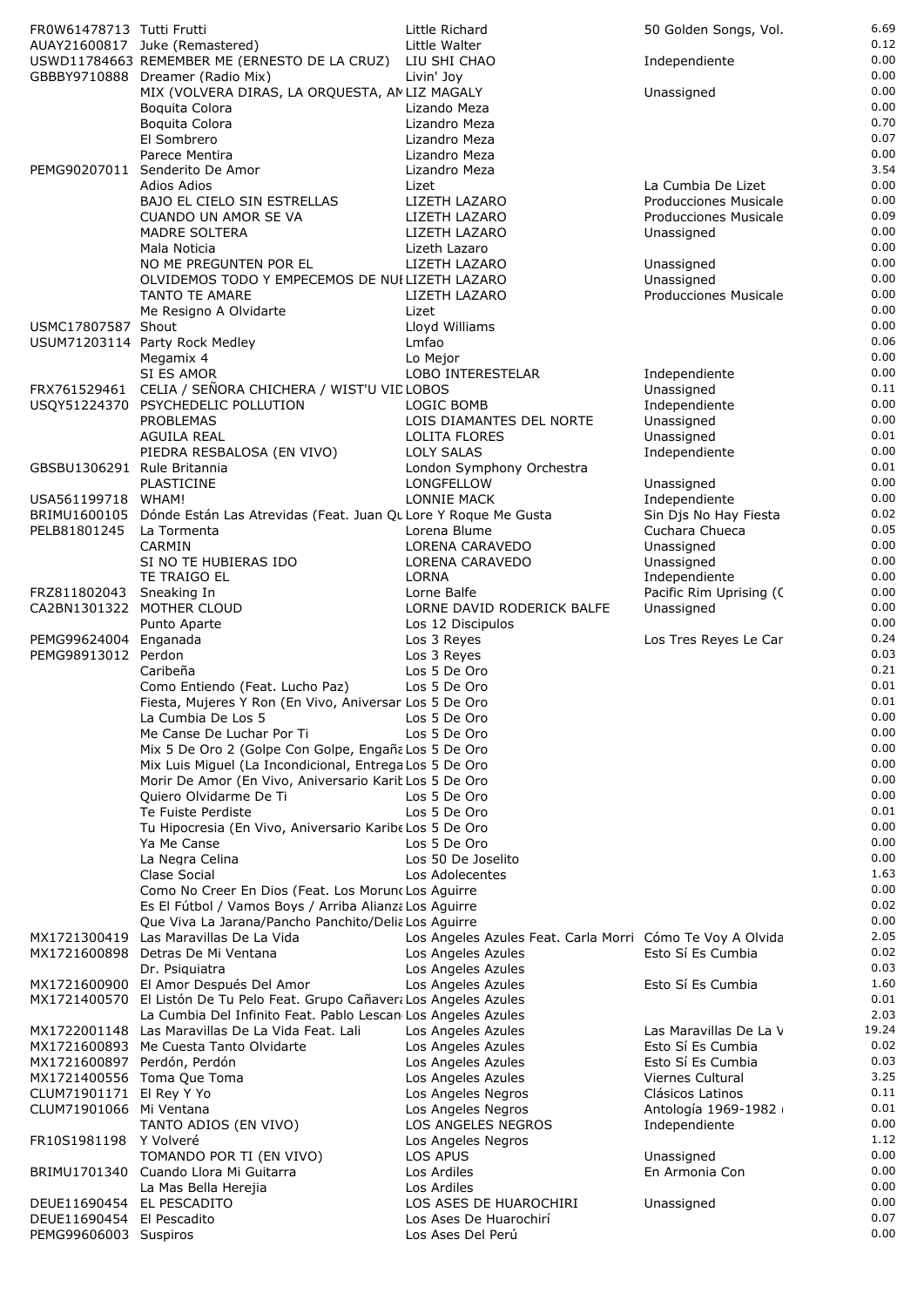| FR0W61478713 Tutti Frutti          |                                                                           | Little Richard                                            | 50 Golden Songs, Vol.                        | 6.69         |
|------------------------------------|---------------------------------------------------------------------------|-----------------------------------------------------------|----------------------------------------------|--------------|
|                                    | AUAY21600817 Juke (Remastered)                                            | Little Walter                                             |                                              | 0.12         |
|                                    | USWD11784663 REMEMBER ME (ERNESTO DE LA CRUZ)                             | LIU SHI CHAO                                              | Independiente                                | 0.00         |
|                                    | GBBBY9710888 Dreamer (Radio Mix)                                          | Livin' Joy                                                |                                              | 0.00         |
|                                    | MIX (VOLVERA DIRAS, LA ORQUESTA, AMLIZ MAGALY                             |                                                           | Unassigned                                   | 0.00<br>0.00 |
|                                    | Boquita Colora<br>Boquita Colora                                          | Lizando Meza<br>Lizandro Meza                             |                                              | 0.70         |
|                                    | El Sombrero                                                               | Lizandro Meza                                             |                                              | 0.07         |
|                                    | Parece Mentira                                                            | Lizandro Meza                                             |                                              | 0.00         |
| PEMG90207011                       | Senderito De Amor                                                         | Lizandro Meza                                             |                                              | 3.54         |
|                                    | Adios Adios                                                               | Lizet                                                     | La Cumbia De Lizet                           | 0.00         |
|                                    | BAJO EL CIELO SIN ESTRELLAS                                               | LIZETH LAZARO                                             | Producciones Musicale                        | 0.00         |
|                                    | <b>CUANDO UN AMOR SE VA</b>                                               | LIZETH LAZARO                                             | Producciones Musicale                        | 0.09         |
|                                    | <b>MADRE SOLTERA</b><br>Mala Noticia                                      | LIZETH LAZARO<br>Lizeth Lazaro                            | Unassigned                                   | 0.00<br>0.00 |
|                                    | NO ME PREGUNTEN POR EL                                                    | LIZETH LAZARO                                             | Unassigned                                   | 0.00         |
|                                    | OLVIDEMOS TODO Y EMPECEMOS DE NUI LIZETH LAZARO                           |                                                           | Unassigned                                   | 0.00         |
|                                    | <b>TANTO TE AMARE</b>                                                     | LIZETH LAZARO                                             | <b>Producciones Musicale</b>                 | 0.00         |
|                                    | Me Resigno A Olvidarte                                                    | Lizet                                                     |                                              | 0.00         |
| USMC17807587 Shout                 |                                                                           | Lloyd Williams                                            |                                              | 0.00         |
|                                    | USUM71203114 Party Rock Medley                                            | Lmfao                                                     |                                              | 0.06         |
|                                    | Megamix 4<br>SI ES AMOR                                                   | Lo Mejor<br>LOBO INTERESTELAR                             | Independiente                                | 0.00<br>0.00 |
|                                    | FRX761529461 CELIA / SEÑORA CHICHERA / WIST'U VID LOBOS                   |                                                           | Unassigned                                   | 0.11         |
|                                    | USQY51224370 PSYCHEDELIC POLLUTION                                        | LOGIC BOMB                                                | Independiente                                | 0.00         |
|                                    | PROBLEMAS                                                                 | LOIS DIAMANTES DEL NORTE                                  | Unassigned                                   | 0.00         |
|                                    | <b>AGUILA REAL</b>                                                        | LOLITA FLORES                                             | Unassigned                                   | 0.01         |
|                                    | PIEDRA RESBALOSA (EN VIVO)                                                | <b>LOLY SALAS</b>                                         | Independiente                                | 0.00         |
| GBSBU1306291 Rule Britannia        |                                                                           | London Symphony Orchestra                                 |                                              | 0.01         |
|                                    | PLASTICINE                                                                | LONGFELLOW<br>LONNIE MACK                                 | Unassigned                                   | 0.00<br>0.00 |
| USA561199718 WHAM!<br>BRIMU1600105 | Dónde Están Las Atrevidas (Feat. Juan Qu Lore Y Roque Me Gusta            |                                                           | Independiente<br>Sin Djs No Hay Fiesta       | 0.02         |
| PELB81801245                       | La Tormenta                                                               | Lorena Blume                                              | Cuchara Chueca                               | 0.05         |
|                                    | <b>CARMIN</b>                                                             | LORENA CARAVEDO                                           | Unassigned                                   | 0.00         |
|                                    | SI NO TE HUBIERAS IDO                                                     | LORENA CARAVEDO                                           | Unassigned                                   | 0.00         |
|                                    | TE TRAIGO EL                                                              | <b>LORNA</b>                                              | Independiente                                | 0.00         |
| FRZ811802043                       | Sneaking In                                                               | Lorne Balfe                                               | Pacific Rim Uprising (C                      | 0.00         |
|                                    | CA2BN1301322 MOTHER CLOUD<br>Punto Aparte                                 | LORNE DAVID RODERICK BALFE<br>Los 12 Discipulos           | Unassigned                                   | 0.00<br>0.00 |
| PEMG99624004 Enganada              |                                                                           | Los 3 Reyes                                               | Los Tres Reyes Le Car                        | 0.24         |
| PEMG98913012 Perdon                |                                                                           | Los 3 Reyes                                               |                                              | 0.03         |
|                                    | Caribeña                                                                  | Los 5 De Oro                                              |                                              | 0.21         |
|                                    | Como Entiendo (Feat. Lucho Paz)                                           | Los 5 De Oro                                              |                                              | 0.01         |
|                                    | Fiesta, Mujeres Y Ron (En Vivo, Aniversari Los 5 De Oro                   |                                                           |                                              | 0.01<br>0.00 |
|                                    | La Cumbia De Los 5<br>Me Canse De Luchar Por Ti                           | Los 5 De Oro<br>Los 5 De Oro                              |                                              | 0.00         |
|                                    | Mix 5 De Oro 2 (Golpe Con Golpe, Engaña Los 5 De Oro                      |                                                           |                                              | 0.00         |
|                                    | Mix Luis Miguel (La Incondicional, Entrega Los 5 De Oro                   |                                                           |                                              | 0.00         |
|                                    | Morir De Amor (En Vivo, Aniversario Karit Los 5 De Oro                    |                                                           |                                              | 0.00         |
|                                    | Quiero Olvidarme De Ti                                                    | Los 5 De Oro                                              |                                              | 0.00         |
|                                    | Te Fuiste Perdiste                                                        | Los 5 De Oro                                              |                                              | 0.01         |
|                                    | Tu Hipocresia (En Vivo, Aniversario Karibe Los 5 De Oro<br>Ya Me Canse    | Los 5 De Oro                                              |                                              | 0.00<br>0.00 |
|                                    | La Negra Celina                                                           | Los 50 De Joselito                                        |                                              | 0.00         |
|                                    | Clase Social                                                              | Los Adolecentes                                           |                                              | 1.63         |
|                                    | Como No Creer En Dios (Feat. Los Morunc Los Aguirre                       |                                                           |                                              | 0.00         |
|                                    | Es El Fútbol / Vamos Boys / Arriba Alianza Los Aguirre                    |                                                           |                                              | 0.02         |
|                                    | Que Viva La Jarana/Pancho Panchito/Delia Los Aguirre                      |                                                           |                                              | 0.00         |
|                                    | MX1721300419 Las Maravillas De La Vida<br>Detras De Mi Ventana            | Los Angeles Azules Feat. Carla Morri Cómo Te Voy A Olvida | Esto Sí Es Cumbia                            | 2.05<br>0.02 |
| MX1721600898                       | Dr. Psiguiatra                                                            | Los Angeles Azules<br>Los Angeles Azules                  |                                              | 0.03         |
|                                    | MX1721600900 El Amor Después Del Amor                                     | Los Angeles Azules                                        | Esto Sí Es Cumbia                            | 1.60         |
|                                    | MX1721400570 El Listón De Tu Pelo Feat. Grupo Cañavera Los Angeles Azules |                                                           |                                              | 0.01         |
|                                    | La Cumbia Del Infinito Feat. Pablo Lescan Los Angeles Azules              |                                                           |                                              | 2.03         |
|                                    | MX1722001148 Las Maravillas De La Vida Feat. Lali                         | Los Angeles Azules                                        | Las Maravillas De La V                       | 19.24        |
|                                    | MX1721600893 Me Cuesta Tanto Olvidarte                                    | Los Angeles Azules                                        | Esto Sí Es Cumbia                            | 0.02         |
| MX1721600897 Perdón, Perdón        | MX1721400556 Toma Que Toma                                                | Los Angeles Azules<br>Los Angeles Azules                  | Esto Sí Es Cumbia<br><b>Viernes Cultural</b> | 0.03<br>3.25 |
| CLUM71901171 El Rey Y Yo           |                                                                           | Los Angeles Negros                                        | Clásicos Latinos                             | 0.11         |
| CLUM71901066 Mi Ventana            |                                                                           | Los Angeles Negros                                        | Antología 1969-1982                          | 0.01         |
|                                    | TANTO ADIOS (EN VIVO)                                                     | LOS ANGELES NEGROS                                        | Independiente                                | 0.00         |
| FR10S1981198 Y Volveré             |                                                                           | Los Angeles Negros                                        |                                              | 1.12         |
|                                    | TOMANDO POR TI (EN VIVO)                                                  | LOS APUS                                                  | Unassigned                                   | 0.00         |
|                                    | BRIMU1701340 Cuando Llora Mi Guitarra<br>La Mas Bella Herejia             | Los Ardiles<br>Los Ardiles                                | En Armonia Con                               | 0.00<br>0.00 |
| DEUE11690454 EL PESCADITO          |                                                                           | LOS ASES DE HUAROCHIRI                                    | Unassigned                                   | 0.00         |
| DEUE11690454 El Pescadito          |                                                                           | Los Ases De Huarochirí                                    |                                              | 0.07         |
| PEMG99606003 Suspiros              |                                                                           | Los Ases Del Perú                                         |                                              | 0.00         |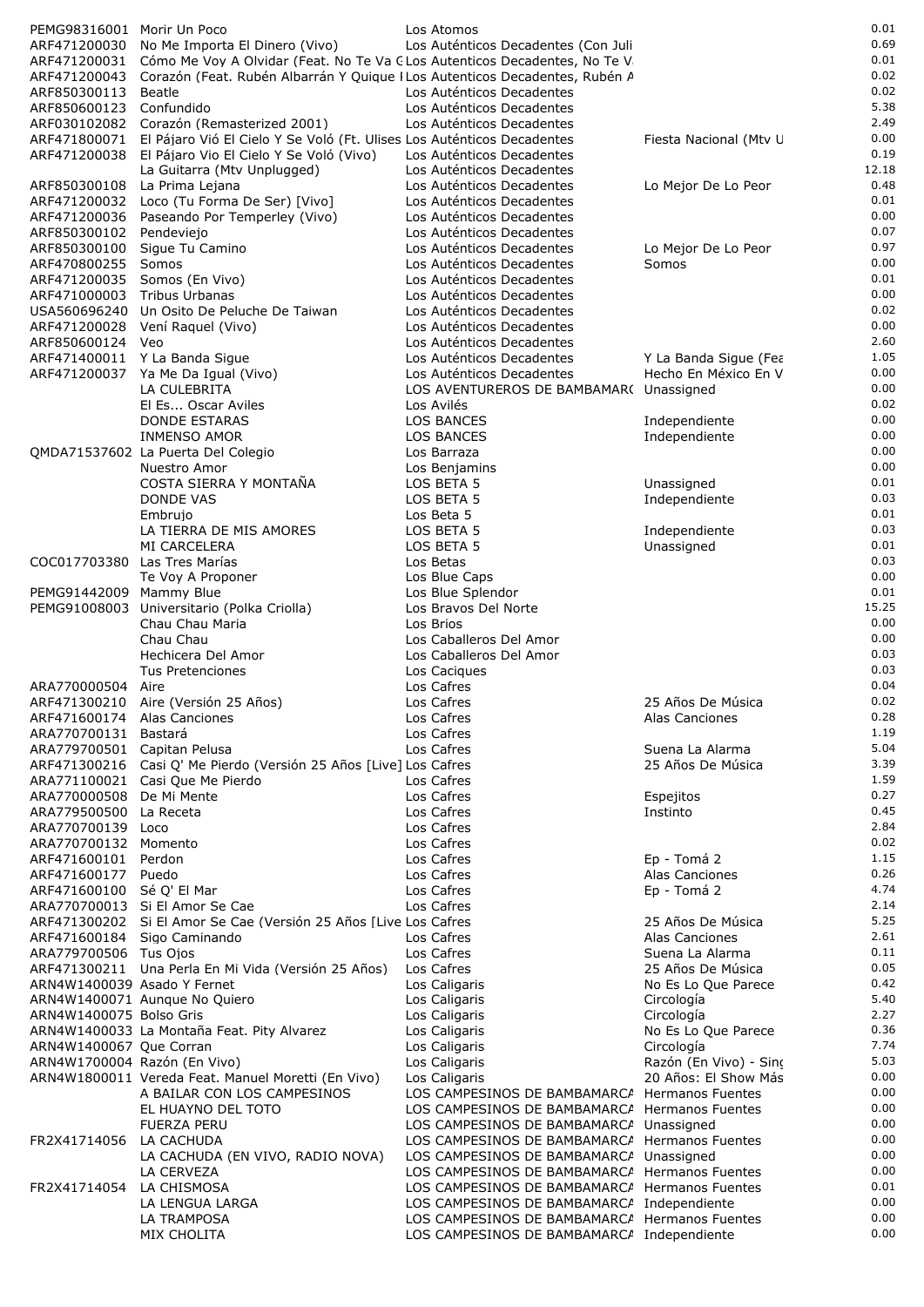| PEMG98316001 Morir Un Poco   |                                                                             | Los Atomos                                             |                                               | 0.01         |
|------------------------------|-----------------------------------------------------------------------------|--------------------------------------------------------|-----------------------------------------------|--------------|
| ARF471200030                 | No Me Importa El Dinero (Vivo)                                              | Los Auténticos Decadentes (Con Juli                    |                                               | 0.69         |
| ARF471200031                 | Cómo Me Voy A Olvidar (Feat. No Te Va CLos Autenticos Decadentes, No Te V   |                                                        |                                               | 0.01         |
| ARF471200043                 | Corazón (Feat. Rubén Albarrán Y Quique I Los Autenticos Decadentes, Rubén A |                                                        |                                               | 0.02         |
| ARF850300113                 | Beatle                                                                      | Los Auténticos Decadentes                              |                                               | 0.02         |
| ARF850600123                 | Confundido                                                                  | Los Auténticos Decadentes                              |                                               | 5.38         |
| ARF030102082                 | Corazón (Remasterized 2001)                                                 | Los Auténticos Decadentes                              |                                               | 2.49         |
| ARF471800071                 | El Pájaro Vió El Cielo Y Se Voló (Ft. Ulises Los Auténticos Decadentes      |                                                        | Fiesta Nacional (Mtv U                        | 0.00         |
|                              | ARF471200038 El Pájaro Vio El Cielo Y Se Voló (Vivo)                        | Los Auténticos Decadentes                              |                                               | 0.19         |
|                              | La Guitarra (Mtv Unplugged)                                                 | Los Auténticos Decadentes                              |                                               | 12.18        |
| ARF850300108                 | La Prima Lejana                                                             | Los Auténticos Decadentes                              | Lo Mejor De Lo Peor                           | 0.48         |
| ARF471200032                 | Loco (Tu Forma De Ser) [Vivo]                                               | Los Auténticos Decadentes                              |                                               | 0.01         |
| ARF471200036                 | Paseando Por Temperley (Vivo)                                               | Los Auténticos Decadentes                              |                                               | 0.00         |
| ARF850300102                 | Pendeviejo                                                                  | Los Auténticos Decadentes                              |                                               | 0.07         |
| ARF850300100                 | Sigue Tu Camino                                                             | Los Auténticos Decadentes                              | Lo Mejor De Lo Peor                           | 0.97         |
| ARF470800255                 | Somos                                                                       | Los Auténticos Decadentes                              | Somos                                         | 0.00         |
| ARF471200035                 | Somos (En Vivo)                                                             | Los Auténticos Decadentes                              |                                               | 0.01         |
| ARF471000003 Tribus Urbanas  |                                                                             | Los Auténticos Decadentes                              |                                               | 0.00         |
| USA560696240                 | Un Osito De Peluche De Taiwan                                               | Los Auténticos Decadentes                              |                                               | 0.02         |
| ARF471200028                 | Vení Raguel (Vivo)                                                          | Los Auténticos Decadentes                              |                                               | 0.00<br>2.60 |
| ARF850600124 Veo             |                                                                             | Los Auténticos Decadentes                              |                                               | 1.05         |
|                              | ARF471400011 Y La Banda Sigue                                               | Los Auténticos Decadentes<br>Los Auténticos Decadentes | Y La Banda Sigue (Fea<br>Hecho En México En V | 0.00         |
|                              | ARF471200037 Ya Me Da Igual (Vivo)<br>LA CULEBRITA                          | LOS AVENTUREROS DE BAMBAMAR( Unassigned                |                                               | 0.00         |
|                              | El Es Oscar Aviles                                                          | Los Avilés                                             |                                               | 0.02         |
|                              | <b>DONDE ESTARAS</b>                                                        | LOS BANCES                                             | Independiente                                 | 0.00         |
|                              | <b>INMENSO AMOR</b>                                                         | <b>LOS BANCES</b>                                      | Independiente                                 | 0.00         |
|                              | QMDA71537602 La Puerta Del Colegio                                          | Los Barraza                                            |                                               | 0.00         |
|                              | Nuestro Amor                                                                | Los Benjamins                                          |                                               | 0.00         |
|                              | COSTA SIERRA Y MONTAÑA                                                      | LOS BETA 5                                             | Unassigned                                    | 0.01         |
|                              | DONDE VAS                                                                   | LOS BETA 5                                             | Independiente                                 | 0.03         |
|                              | Embrujo                                                                     | Los Beta 5                                             |                                               | 0.01         |
|                              | LA TIERRA DE MIS AMORES                                                     | LOS BETA 5                                             | Independiente                                 | 0.03         |
|                              | MI CARCELERA                                                                | LOS BETA 5                                             | Unassigned                                    | 0.01         |
| COC017703380 Las Tres Marías |                                                                             | Los Betas                                              |                                               | 0.03         |
|                              | Te Voy A Proponer                                                           | Los Blue Caps                                          |                                               | 0.00         |
| PEMG91442009 Mammy Blue      |                                                                             | Los Blue Splendor                                      |                                               | 0.01         |
| PEMG91008003                 | Universitario (Polka Criolla)                                               | Los Bravos Del Norte                                   |                                               | 15.25        |
|                              | Chau Chau Maria                                                             | Los Brios                                              |                                               | 0.00         |
|                              | Chau Chau                                                                   | Los Caballeros Del Amor                                |                                               | 0.00         |
|                              | Hechicera Del Amor                                                          | Los Caballeros Del Amor                                |                                               | 0.03         |
|                              | Tus Pretenciones                                                            | Los Caciques                                           |                                               | 0.03         |
| ARA770000504                 | Aire                                                                        | Los Cafres                                             |                                               | 0.04         |
|                              | ARF471300210 Aire (Versión 25 Años)                                         | Los Cafres                                             | 25 Años De Música                             | 0.02         |
| ARF4/16001/4 Alas Canciones  |                                                                             | Los Cafres                                             | Alas Canciones                                | 0.28         |
| ARA770700131 Bastará         |                                                                             | Los Cafres                                             |                                               | 1.19         |
| ARA779700501 Capitan Pelusa  |                                                                             | Los Cafres                                             | Suena La Alarma                               | 5.04         |
|                              | ARF471300216 Casi Q' Me Pierdo (Versión 25 Años [Live] Los Cafres           |                                                        | 25 Años De Música                             | 3.39         |
|                              | ARA771100021 Casi Que Me Pierdo                                             | Los Cafres                                             |                                               | 1.59         |
| ARA770000508 De Mi Mente     |                                                                             | Los Cafres                                             | Espejitos                                     | 0.27         |
| ARA779500500                 | La Receta                                                                   | Los Cafres                                             | Instinto                                      | 0.45         |
| ARA770700139 Loco            |                                                                             | Los Cafres                                             |                                               | 2.84<br>0.02 |
| ARA770700132 Momento         |                                                                             | Los Cafres                                             |                                               | 1.15         |
| ARF471600101<br>ARF471600177 | Perdon<br>Puedo                                                             | Los Cafres<br>Los Cafres                               | Ep - Tomá 2<br>Alas Canciones                 | 0.26         |
| ARF471600100 Sé Q' El Mar    |                                                                             | Los Cafres                                             | Ep - Tomá 2                                   | 4.74         |
|                              | ARA770700013 Si El Amor Se Cae                                              | Los Cafres                                             |                                               | 2.14         |
|                              | ARF471300202 Si El Amor Se Cae (Versión 25 Años [Live Los Cafres            |                                                        | 25 Años De Música                             | 5.25         |
|                              | ARF471600184 Sigo Caminando                                                 | Los Cafres                                             | Alas Canciones                                | 2.61         |
| ARA779700506 Tus Ojos        |                                                                             | Los Cafres                                             | Suena La Alarma                               | 0.11         |
|                              | ARF471300211 Una Perla En Mi Vida (Versión 25 Años)                         | Los Cafres                                             | 25 Años De Música                             | 0.05         |
| ARN4W1400039 Asado Y Fernet  |                                                                             | Los Caligaris                                          | No Es Lo Que Parece                           | 0.42         |
|                              | ARN4W1400071 Aunque No Quiero                                               | Los Caligaris                                          | Circología                                    | 5.40         |
| ARN4W1400075 Bolso Gris      |                                                                             | Los Caligaris                                          | Circología                                    | 2.27         |
|                              | ARN4W1400033 La Montaña Feat. Pity Alvarez                                  | Los Caligaris                                          | No Es Lo Que Parece                           | 0.36         |
| ARN4W1400067 Que Corran      |                                                                             | Los Caligaris                                          | Circología                                    | 7.74         |
| ARN4W1700004 Razón (En Vivo) |                                                                             | Los Caligaris                                          | Razón (En Vivo) - Sino                        | 5.03         |
|                              | ARN4W1800011 Vereda Feat. Manuel Moretti (En Vivo)                          | Los Caligaris                                          | 20 Años: El Show Más                          | 0.00         |
|                              | A BAILAR CON LOS CAMPESINOS                                                 | LOS CAMPESINOS DE BAMBAMARCA Hermanos Fuentes          |                                               | 0.00         |
|                              | EL HUAYNO DEL TOTO                                                          | LOS CAMPESINOS DE BAMBAMARCA Hermanos Fuentes          |                                               | 0.00         |
|                              | <b>FUERZA PERU</b>                                                          | LOS CAMPESINOS DE BAMBAMARCA Unassigned                |                                               | 0.00         |
| FR2X41714056                 | LA CACHUDA                                                                  | LOS CAMPESINOS DE BAMBAMARCA Hermanos Fuentes          |                                               | 0.00         |
|                              | LA CACHUDA (EN VIVO, RADIO NOVA)                                            | LOS CAMPESINOS DE BAMBAMARCA Unassigned                |                                               | 0.00         |
|                              | LA CERVEZA                                                                  | LOS CAMPESINOS DE BAMBAMARCA Hermanos Fuentes          |                                               | 0.00         |
| FR2X41714054                 | LA CHISMOSA                                                                 | LOS CAMPESINOS DE BAMBAMARCA Hermanos Fuentes          |                                               | 0.01         |
|                              | LA LENGUA LARGA                                                             | LOS CAMPESINOS DE BAMBAMARCA Independiente             |                                               | 0.00         |
|                              | LA TRAMPOSA                                                                 | LOS CAMPESINOS DE BAMBAMARCA Hermanos Fuentes          |                                               | 0.00         |
|                              | MIX CHOLITA                                                                 | LOS CAMPESINOS DE BAMBAMARCA Independiente             |                                               | 0.00         |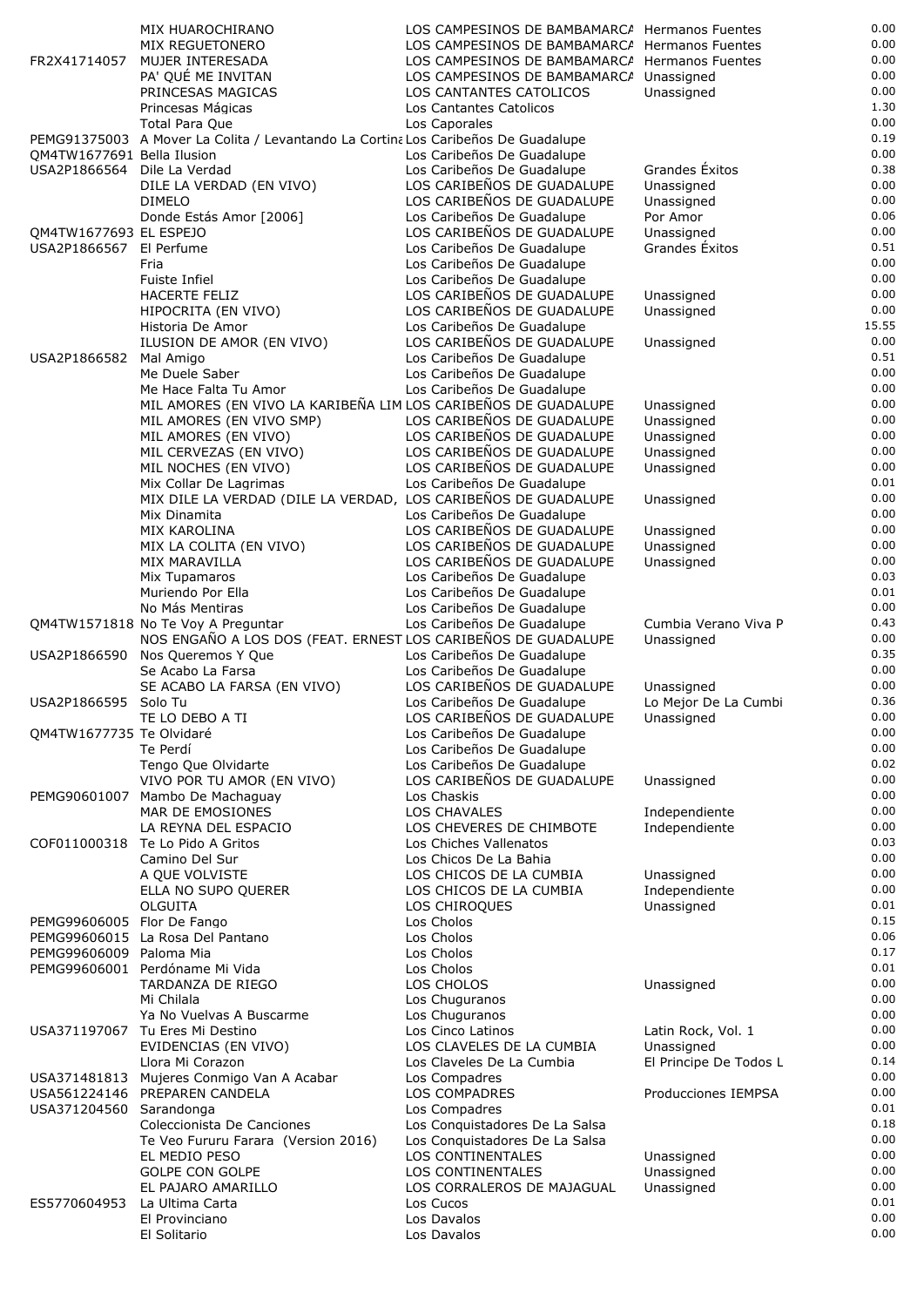|                                                           | MIX HUAROCHIRANO                                                                           | LOS CAMPESINOS DE BAMBAMARCA Hermanos Fuentes                                 |                              | 0.00          |
|-----------------------------------------------------------|--------------------------------------------------------------------------------------------|-------------------------------------------------------------------------------|------------------------------|---------------|
|                                                           | MIX REGUETONERO                                                                            | LOS CAMPESINOS DE BAMBAMARCA Hermanos Fuentes                                 |                              | 0.00          |
| FR2X41714057                                              | MUJER INTERESADA<br>PA' QUÉ ME INVITAN                                                     | LOS CAMPESINOS DE BAMBAMARCA Hermanos Fuentes<br>LOS CAMPESINOS DE BAMBAMARCA | Unassigned                   | 0.00<br>0.00  |
|                                                           | PRINCESAS MAGICAS                                                                          | LOS CANTANTES CATOLICOS                                                       | Unassigned                   | 0.00          |
|                                                           | Princesas Mágicas                                                                          | Los Cantantes Catolicos                                                       |                              | 1.30          |
|                                                           | Total Para Que                                                                             | Los Caporales                                                                 |                              | 0.00          |
|                                                           | PEMG91375003 A Mover La Colita / Levantando La Cortina Los Caribeños De Guadalupe          |                                                                               |                              | 0.19          |
| OM4TW1677691 Bella Ilusion<br>USA2P1866564 Dile La Verdad |                                                                                            | Los Caribeños De Guadalupe<br>Los Caribeños De Guadalupe                      | Grandes Éxitos               | 0.00<br>0.38  |
|                                                           | DILE LA VERDAD (EN VIVO)                                                                   | LOS CARIBEÑOS DE GUADALUPE                                                    | Unassigned                   | 0.00          |
|                                                           | <b>DIMELO</b>                                                                              | LOS CARIBEÑOS DE GUADALUPE                                                    | Unassigned                   | 0.00          |
|                                                           | Donde Estás Amor [2006]                                                                    | Los Caribeños De Guadalupe                                                    | Por Amor                     | 0.06          |
| QM4TW1677693 EL ESPEJO<br>USA2P1866567                    | El Perfume                                                                                 | LOS CARIBEÑOS DE GUADALUPE<br>Los Caribeños De Guadalupe                      | Unassigned<br>Grandes Exitos | 0.00<br>0.51  |
|                                                           | Fria                                                                                       | Los Caribeños De Guadalupe                                                    |                              | 0.00          |
|                                                           | Fuiste Infiel                                                                              | Los Caribeños De Guadalupe                                                    |                              | 0.00          |
|                                                           | <b>HACERTE FELIZ</b>                                                                       | LOS CARIBEÑOS DE GUADALUPE                                                    | Unassigned                   | 0.00          |
|                                                           | HIPOCRITA (EN VIVO)                                                                        | LOS CARIBEÑOS DE GUADALUPE                                                    | Unassigned                   | 0.00<br>15.55 |
|                                                           | Historia De Amor<br>ILUSION DE AMOR (EN VIVO)                                              | Los Caribeños De Guadalupe<br>LOS CARIBEÑOS DE GUADALUPE                      | Unassigned                   | 0.00          |
| USA2P1866582                                              | Mal Amigo                                                                                  | Los Caribeños De Guadalupe                                                    |                              | 0.51          |
|                                                           | Me Duele Saber                                                                             | Los Caribeños De Guadalupe                                                    |                              | 0.00          |
|                                                           | Me Hace Falta Tu Amor                                                                      | Los Caribeños De Guadalupe                                                    |                              | 0.00          |
|                                                           | MIL AMORES (EN VIVO LA KARIBEÑA LIM LOS CARIBEÑOS DE GUADALUPE<br>MIL AMORES (EN VIVO SMP) | LOS CARIBEÑOS DE GUADALUPE                                                    | Unassigned<br>Unassigned     | 0.00<br>0.00  |
|                                                           | MIL AMORES (EN VIVO)                                                                       | LOS CARIBEÑOS DE GUADALUPE                                                    | Unassigned                   | 0.00          |
|                                                           | MIL CERVEZAS (EN VIVO)                                                                     | LOS CARIBEÑOS DE GUADALUPE                                                    | Unassigned                   | 0.00          |
|                                                           | MIL NOCHES (EN VIVO)                                                                       | LOS CARIBEÑOS DE GUADALUPE                                                    | Unassigned                   | 0.00          |
|                                                           | Mix Collar De Lagrimas                                                                     | Los Caribeños De Guadalupe                                                    |                              | 0.01          |
|                                                           | MIX DILE LA VERDAD (DILE LA VERDAD, LOS CARIBEÑOS DE GUADALUPE<br>Mix Dinamita             | Los Caribeños De Guadalupe                                                    | Unassigned                   | 0.00<br>0.00  |
|                                                           | MIX KAROLINA                                                                               | LOS CARIBEÑOS DE GUADALUPE                                                    | Unassigned                   | 0.00          |
|                                                           | MIX LA COLITA (EN VIVO)                                                                    | LOS CARIBEÑOS DE GUADALUPE                                                    | Unassigned                   | 0.00          |
|                                                           | MIX MARAVILLA                                                                              | LOS CARIBEÑOS DE GUADALUPE                                                    | Unassigned                   | 0.00          |
|                                                           | Mix Tupamaros<br>Muriendo Por Ella                                                         | Los Caribeños De Guadalupe<br>Los Caribeños De Guadalupe                      |                              | 0.03<br>0.01  |
|                                                           | No Más Mentiras                                                                            | Los Caribeños De Guadalupe                                                    |                              | 0.00          |
|                                                           | QM4TW1571818 No Te Voy A Preguntar                                                         | Los Caribeños De Guadalupe                                                    | Cumbia Verano Viva P         | 0.43          |
|                                                           | NOS ENGAÑO A LOS DOS (FEAT. ERNEST LOS CARIBEÑOS DE GUADALUPE                              |                                                                               | Unassigned                   | 0.00          |
| USA2P1866590                                              | Nos Queremos Y Que<br>Se Acabo La Farsa                                                    | Los Caribeños De Guadalupe<br>Los Caribeños De Guadalupe                      |                              | 0.35<br>0.00  |
|                                                           | SE ACABO LA FARSA (EN VIVO)                                                                | LOS CARIBEÑOS DE GUADALUPE                                                    | Unassigned                   | 0.00          |
| USA2P1866595 Solo Tu                                      |                                                                                            | Los Caribeños De Guadalupe                                                    | Lo Mejor De La Cumbi         | 0.36          |
|                                                           | TE LO DEBO A TI                                                                            | LOS CARIBEÑOS DE GUADALUPE                                                    | Unassigned                   | 0.00          |
| QM4TW1677735 Te Olvidaré                                  |                                                                                            | Los Caribeños De Guadalupe                                                    |                              | 0.00          |
|                                                           | Te Perdí<br>Tengo Que Olvidarte                                                            | Los Caribeños De Guadalupe<br>Los Caribeños De Guadalupe                      |                              | 0.00<br>0.02  |
|                                                           | VIVO POR TU AMOR (EN VIVO)                                                                 | LOS CARIBEÑOS DE GUADALUPE                                                    | Unassigned                   | 0.00          |
| PEMG90601007                                              | Mambo De Machaguay                                                                         | Los Chaskis                                                                   |                              | 0.00          |
|                                                           | MAR DE EMOSIONES                                                                           | <b>LOS CHAVALES</b>                                                           | Independiente                | 0.00          |
|                                                           | LA REYNA DEL ESPACIO<br>COF011000318 Te Lo Pido A Gritos                                   | LOS CHEVERES DE CHIMBOTE<br>Los Chiches Vallenatos                            | Independiente                | 0.00<br>0.03  |
|                                                           | Camino Del Sur                                                                             | Los Chicos De La Bahia                                                        |                              | 0.00          |
|                                                           | A QUE VOLVISTE                                                                             | LOS CHICOS DE LA CUMBIA                                                       | Unassigned                   | 0.00          |
|                                                           | ELLA NO SUPO QUERER                                                                        | LOS CHICOS DE LA CUMBIA                                                       | Independiente                | 0.00          |
|                                                           | OLGUITA                                                                                    | LOS CHIROQUES                                                                 | Unassigned                   | 0.01          |
| PEMG99606005 Flor De Fango                                | PEMG99606015 La Rosa Del Pantano                                                           | Los Cholos<br>Los Cholos                                                      |                              | 0.15<br>0.06  |
| PEMG99606009 Paloma Mia                                   |                                                                                            | Los Cholos                                                                    |                              | 0.17          |
|                                                           | PEMG99606001 Perdóname Mi Vida                                                             | Los Cholos                                                                    |                              | 0.01          |
|                                                           | TARDANZA DE RIEGO                                                                          | LOS CHOLOS                                                                    | Unassigned                   | 0.00          |
|                                                           | Mi Chilala<br>Ya No Vuelvas A Buscarme                                                     | Los Chuguranos<br>Los Chuguranos                                              |                              | 0.00<br>0.00  |
| USA371197067                                              | Tu Eres Mi Destino                                                                         | Los Cinco Latinos                                                             | Latin Rock, Vol. 1           | 0.00          |
|                                                           | EVIDENCIAS (EN VIVO)                                                                       | LOS CLAVELES DE LA CUMBIA                                                     | Unassigned                   | 0.00          |
|                                                           | Llora Mi Corazon                                                                           | Los Claveles De La Cumbia                                                     | El Principe De Todos L       | 0.14          |
|                                                           | USA371481813 Mujeres Conmigo Van A Acabar                                                  | Los Compadres                                                                 |                              | 0.00          |
| USA371204560                                              | USA561224146 PREPAREN CANDELA<br>Sarandonga                                                | LOS COMPADRES<br>Los Compadres                                                | Producciones IEMPSA          | 0.00<br>0.01  |
|                                                           | Coleccionista De Canciones                                                                 | Los Conquistadores De La Salsa                                                |                              | 0.18          |
|                                                           | Te Veo Fururu Farara (Version 2016)                                                        | Los Conquistadores De La Salsa                                                |                              | 0.00          |
|                                                           | EL MEDIO PESO                                                                              | LOS CONTINENTALES                                                             | Unassigned                   | 0.00          |
|                                                           | <b>GOLPE CON GOLPE</b><br>EL PAJARO AMARILLO                                               | LOS CONTINENTALES<br>LOS CORRALEROS DE MAJAGUAL                               | Unassigned<br>Unassigned     | 0.00<br>0.00  |
| ES5770604953                                              | La Ultima Carta                                                                            | Los Cucos                                                                     |                              | 0.01          |
|                                                           | El Provinciano                                                                             | Los Davalos                                                                   |                              | 0.00          |
|                                                           | El Solitario                                                                               | Los Davalos                                                                   |                              | 0.00          |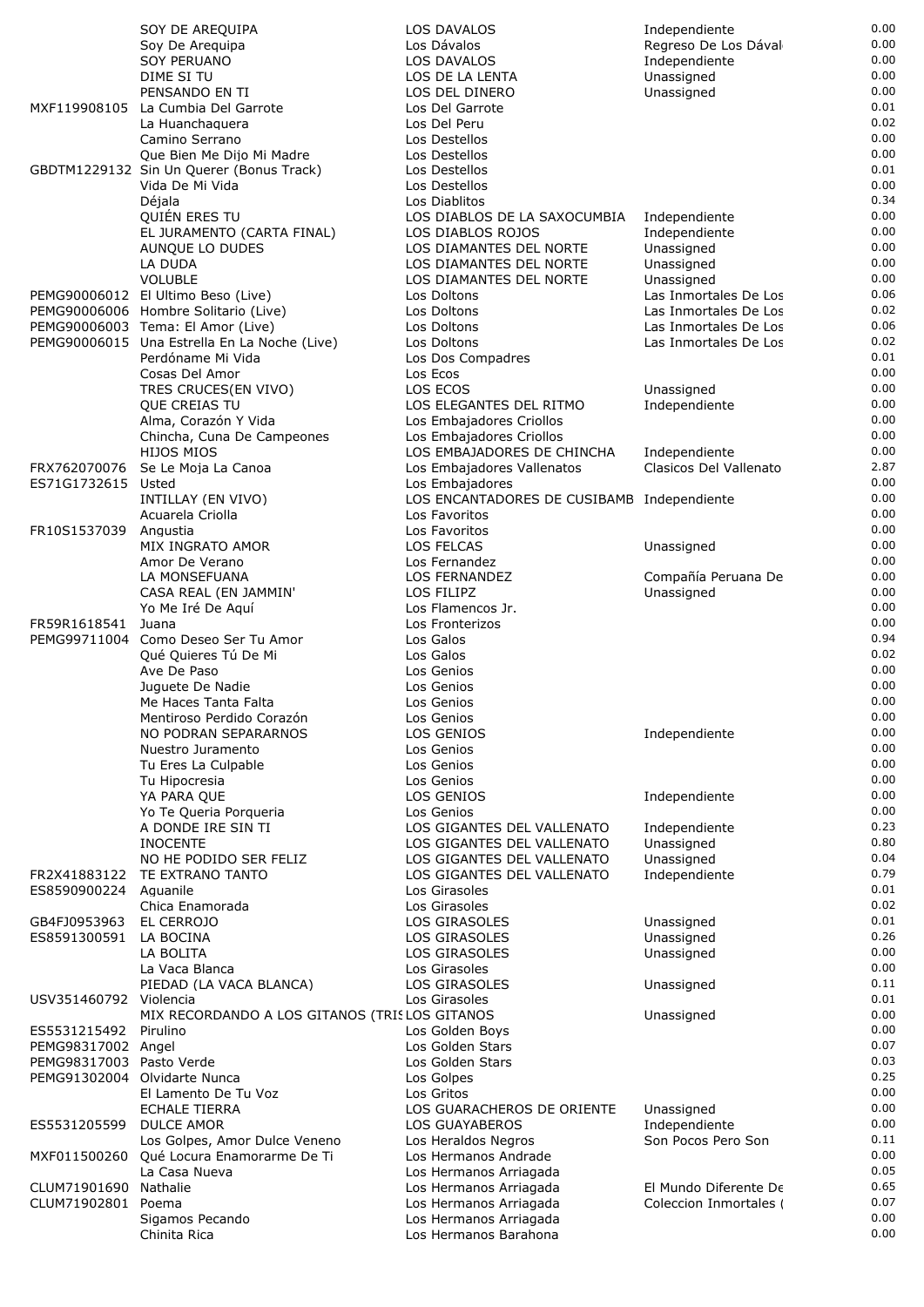|                          | SOY DE AREQUIPA                                                                   | <b>LOS DAVALOS</b>                                     | Independiente                                  | 0.00         |
|--------------------------|-----------------------------------------------------------------------------------|--------------------------------------------------------|------------------------------------------------|--------------|
|                          | Soy De Arequipa                                                                   | Los Dávalos                                            | Regreso De Los Dával                           | 0.00         |
|                          | <b>SOY PERUANO</b>                                                                | LOS DAVALOS                                            | Independiente                                  | 0.00         |
|                          | DIME SI TU<br>PENSANDO EN TI                                                      | LOS DE LA LENTA<br>LOS DEL DINERO                      | Unassigned<br>Unassigned                       | 0.00<br>0.00 |
| MXF119908105             | La Cumbia Del Garrote                                                             | Los Del Garrote                                        |                                                | 0.01         |
|                          | La Huanchaguera                                                                   | Los Del Peru                                           |                                                | 0.02         |
|                          | Camino Serrano                                                                    | Los Destellos                                          |                                                | 0.00         |
|                          | Que Bien Me Dijo Mi Madre                                                         | Los Destellos                                          |                                                | 0.00         |
|                          | GBDTM1229132 Sin Un Querer (Bonus Track)                                          | Los Destellos                                          |                                                | 0.01         |
|                          | Vida De Mi Vida                                                                   | Los Destellos                                          |                                                | 0.00         |
|                          | Déjala<br>QUIÉN ERES TU                                                           | Los Diablitos<br>LOS DIABLOS DE LA SAXOCUMBIA          | Independiente                                  | 0.34<br>0.00 |
|                          | EL JURAMENTO (CARTA FINAL)                                                        | LOS DIABLOS ROJOS                                      | Independiente                                  | 0.00         |
|                          | AUNQUE LO DUDES                                                                   | LOS DIAMANTES DEL NORTE                                | Unassigned                                     | 0.00         |
|                          | LA DUDA                                                                           | LOS DIAMANTES DEL NORTE                                | Unassigned                                     | 0.00         |
|                          | <b>VOLUBLE</b>                                                                    | LOS DIAMANTES DEL NORTE                                | Unassigned                                     | 0.00         |
|                          | PEMG90006012 El Ultimo Beso (Live)                                                | Los Doltons                                            | Las Inmortales De Los                          | 0.06         |
|                          | PEMG90006006 Hombre Solitario (Live)                                              | Los Doltons                                            | Las Inmortales De Los                          | 0.02<br>0.06 |
|                          | PEMG90006003 Tema: El Amor (Live)<br>PEMG90006015 Una Estrella En La Noche (Live) | Los Doltons<br>Los Doltons                             | Las Inmortales De Los<br>Las Inmortales De Los | 0.02         |
|                          | Perdóname Mi Vida                                                                 | Los Dos Compadres                                      |                                                | 0.01         |
|                          | Cosas Del Amor                                                                    | Los Ecos                                               |                                                | 0.00         |
|                          | TRES CRUCES(EN VIVO)                                                              | LOS ECOS                                               | Unassigned                                     | 0.00         |
|                          | QUE CREIAS TU                                                                     | LOS ELEGANTES DEL RITMO                                | Independiente                                  | 0.00         |
|                          | Alma, Corazón Y Vida                                                              | Los Embajadores Criollos                               |                                                | 0.00         |
|                          | Chincha, Cuna De Campeones<br><b>HIJOS MIOS</b>                                   | Los Embajadores Criollos<br>LOS EMBAJADORES DE CHINCHA |                                                | 0.00<br>0.00 |
| FRX762070076             | Se Le Moja La Canoa                                                               | Los Embajadores Vallenatos                             | Independiente<br>Clasicos Del Vallenato        | 2.87         |
| ES71G1732615             | Usted                                                                             | Los Embajadores                                        |                                                | 0.00         |
|                          | INTILLAY (EN VIVO)                                                                | LOS ENCANTADORES DE CUSIBAMB Independiente             |                                                | 0.00         |
|                          | Acuarela Criolla                                                                  | Los Favoritos                                          |                                                | 0.00         |
| FR10S1537039             | Angustia                                                                          | Los Favoritos                                          |                                                | 0.00         |
|                          | MIX INGRATO AMOR                                                                  | LOS FELCAS                                             | Unassigned                                     | 0.00         |
|                          | Amor De Verano<br>LA MONSEFUANA                                                   | Los Fernandez<br>LOS FERNANDEZ                         |                                                | 0.00<br>0.00 |
|                          | CASA REAL (EN JAMMIN'                                                             | LOS FILIPZ                                             | Compañía Peruana De<br>Unassigned              | 0.00         |
|                          | Yo Me Iré De Aquí                                                                 | Los Flamencos Jr.                                      |                                                | 0.00         |
| FR59R1618541             | Juana                                                                             | Los Fronterizos                                        |                                                | 0.00         |
|                          | PEMG99711004 Como Deseo Ser Tu Amor                                               | Los Galos                                              |                                                | 0.94         |
|                          | Qué Quieres Tú De Mi                                                              | Los Galos                                              |                                                | 0.02         |
|                          | Ave De Paso                                                                       | Los Genios                                             |                                                | 0.00         |
|                          | Juguete De Nadie<br>Me Haces Tanta Falta                                          | Los Genios                                             |                                                | 0.00<br>0.00 |
|                          | Mentiroso Perdido Corazón                                                         | Los Genios<br>Los Genios                               |                                                | 0.00         |
|                          | NO PODRAN SEPARARNOS                                                              | LOS GENIOS                                             | Independiente                                  | 0.00         |
|                          | Nuestro Juramento                                                                 | Los Genios                                             |                                                | 0.00         |
|                          | Tu Eres La Culpable                                                               | Los Genios                                             |                                                | 0.00         |
|                          | Tu Hipocresia                                                                     | Los Genios                                             |                                                | 0.00         |
|                          | YA PARA QUE                                                                       | LOS GENIOS                                             | Independiente                                  | 0.00<br>0.00 |
|                          | Yo Te Queria Porqueria<br>A DONDE IRE SIN TI                                      | Los Genios<br>LOS GIGANTES DEL VALLENATO               | Independiente                                  | 0.23         |
|                          | <b>INOCENTE</b>                                                                   | LOS GIGANTES DEL VALLENATO                             | Unassigned                                     | 0.80         |
|                          | NO HE PODIDO SER FELIZ                                                            | LOS GIGANTES DEL VALLENATO                             | Unassigned                                     | 0.04         |
| FR2X41883122             | TE EXTRANO TANTO                                                                  | LOS GIGANTES DEL VALLENATO                             | Independiente                                  | 0.79         |
| ES8590900224             | Aguanile                                                                          | Los Girasoles                                          |                                                | 0.01         |
|                          | Chica Enamorada                                                                   | Los Girasoles                                          |                                                | 0.02         |
| GB4FJ0953963             | EL CERROJO                                                                        | LOS GIRASOLES                                          | Unassigned                                     | 0.01         |
| ES8591300591             | LA BOCINA<br>LA BOLITA                                                            | LOS GIRASOLES<br>LOS GIRASOLES                         | Unassigned<br>Unassigned                       | 0.26<br>0.00 |
|                          | La Vaca Blanca                                                                    | Los Girasoles                                          |                                                | 0.00         |
|                          | PIEDAD (LA VACA BLANCA)                                                           | LOS GIRASOLES                                          | Unassigned                                     | 0.11         |
| USV351460792             | Violencia                                                                         | Los Girasoles                                          |                                                | 0.01         |
|                          | MIX RECORDANDO A LOS GITANOS (TRISLOS GITANOS                                     |                                                        | Unassigned                                     | 0.00         |
| ES5531215492             | Pirulino                                                                          | Los Golden Boys                                        |                                                | 0.00         |
| PEMG98317002 Angel       |                                                                                   | Los Golden Stars                                       |                                                | 0.07         |
| PEMG98317003 Pasto Verde | PEMG91302004 Olvidarte Nunca                                                      | Los Golden Stars<br>Los Golpes                         |                                                | 0.03<br>0.25 |
|                          | El Lamento De Tu Voz                                                              | Los Gritos                                             |                                                | 0.00         |
|                          | <b>ECHALE TIERRA</b>                                                              | LOS GUARACHEROS DE ORIENTE                             | Unassigned                                     | 0.00         |
| ES5531205599             | <b>DULCE AMOR</b>                                                                 | <b>LOS GUAYABEROS</b>                                  | Independiente                                  | 0.00         |
|                          | Los Golpes, Amor Dulce Veneno                                                     | Los Heraldos Negros                                    | Son Pocos Pero Son                             | 0.11         |
|                          | MXF011500260 Qué Locura Enamorarme De Ti                                          | Los Hermanos Andrade                                   |                                                | 0.00         |
|                          | La Casa Nueva                                                                     | Los Hermanos Arriagada                                 |                                                | 0.05         |
| CLUM71901690             | Nathalie                                                                          | Los Hermanos Arriagada                                 | El Mundo Diferente De                          | 0.65         |
| CLUM71902801 Poema       |                                                                                   | Los Hermanos Arriagada<br>Los Hermanos Arriagada       | Coleccion Inmortales                           | 0.07<br>0.00 |
|                          | Sigamos Pecando<br>Chinita Rica                                                   | Los Hermanos Barahona                                  |                                                | 0.00         |
|                          |                                                                                   |                                                        |                                                |              |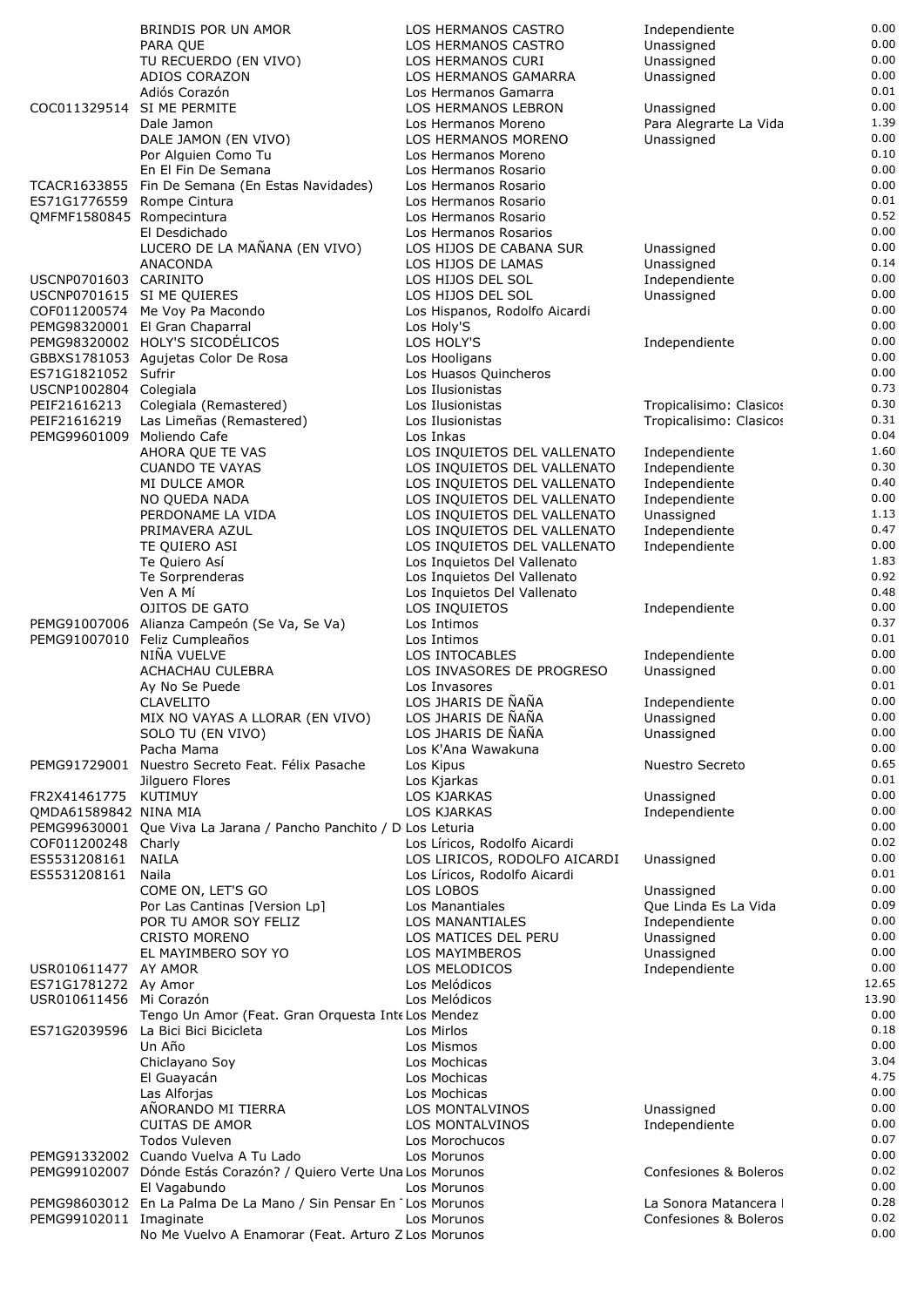|                                               | BRINDIS POR UN AMOR                                               | LOS HERMANOS CASTRO                                        | Independiente                  | 0.00          |
|-----------------------------------------------|-------------------------------------------------------------------|------------------------------------------------------------|--------------------------------|---------------|
|                                               | PARA QUE                                                          | LOS HERMANOS CASTRO                                        | Unassigned                     | $0.00\,$      |
|                                               | TU RECUERDO (EN VIVO)                                             | LOS HERMANOS CURI                                          | Unassigned                     | 0.00          |
|                                               | ADIOS CORAZON                                                     | LOS HERMANOS GAMARRA                                       | Unassigned                     | 0.00          |
|                                               | Adiós Corazón                                                     | Los Hermanos Gamarra                                       |                                | 0.01          |
| COC011329514 SI ME PERMITE                    |                                                                   | LOS HERMANOS LEBRON                                        | Unassigned                     | 0.00          |
|                                               | Dale Jamon                                                        | Los Hermanos Moreno                                        | Para Alegrarte La Vida         | 1.39          |
|                                               | DALE JAMON (EN VIVO)                                              | LOS HERMANOS MORENO                                        | Unassigned                     | 0.00          |
|                                               | Por Alguien Como Tu                                               | Los Hermanos Moreno                                        |                                | 0.10          |
|                                               | En El Fin De Semana                                               | Los Hermanos Rosario                                       |                                | 0.00          |
|                                               | TCACR1633855 Fin De Semana (En Estas Navidades)                   | Los Hermanos Rosario                                       |                                | 0.00          |
| ES71G1776559 Rompe Cintura                    |                                                                   | Los Hermanos Rosario                                       |                                | 0.01          |
| QMFMF1580845 Rompecintura                     |                                                                   | Los Hermanos Rosario                                       |                                | 0.52          |
|                                               | El Desdichado                                                     | Los Hermanos Rosarios                                      |                                | 0.00          |
|                                               | LUCERO DE LA MAÑANA (EN VIVO)                                     | LOS HIJOS DE CABANA SUR                                    | Unassigned                     | 0.00          |
|                                               | ANACONDA                                                          | LOS HIJOS DE LAMAS                                         | Unassigned                     | 0.14          |
| USCNP0701603 CARINITO                         |                                                                   | LOS HIJOS DEL SOL                                          | Independiente                  | 0.00          |
| USCNP0701615 SIME QUIERES                     |                                                                   | LOS HIJOS DEL SOL                                          | Unassigned                     | 0.00          |
|                                               | COF011200574 Me Voy Pa Macondo                                    | Los Hispanos, Rodolfo Aicardi                              |                                | 0.00          |
|                                               | PEMG98320001 El Gran Chaparral                                    | Los Holy'S                                                 |                                | 0.00          |
|                                               | PEMG98320002 HOLY'S SICODÉLICOS                                   | LOS HOLY'S                                                 | Independiente                  | 0.00          |
|                                               | GBBXS1781053 Aquietas Color De Rosa                               | Los Hooligans                                              |                                | 0.00<br>0.00  |
| ES71G1821052 Sufrir<br>USCNP1002804 Colegiala |                                                                   | Los Huasos Quincheros                                      |                                | 0.73          |
|                                               |                                                                   | Los Ilusionistas                                           | Tropicalisimo: Clasicos        | 0.30          |
| PEIF21616213                                  | Colegiala (Remastered)                                            | Los Ilusionistas                                           |                                | 0.31          |
| PEIF21616219                                  | Las Limeñas (Remastered)<br>Moliendo Cafe                         | Los Ilusionistas                                           | Tropicalisimo: Clasicos        | 0.04          |
| PEMG99601009                                  | AHORA OUE TE VAS                                                  | Los Inkas                                                  |                                | 1.60          |
|                                               | <b>CUANDO TE VAYAS</b>                                            | LOS INQUIETOS DEL VALLENATO<br>LOS INQUIETOS DEL VALLENATO | Independiente<br>Independiente | 0.30          |
|                                               | MI DULCE AMOR                                                     | LOS INQUIETOS DEL VALLENATO                                | Independiente                  | 0.40          |
|                                               | NO QUEDA NADA                                                     | LOS INQUIETOS DEL VALLENATO                                |                                | 0.00          |
|                                               | PERDONAME LA VIDA                                                 | LOS INQUIETOS DEL VALLENATO                                | Independiente<br>Unassigned    | 1.13          |
|                                               | PRIMAVERA AZUL                                                    | LOS INQUIETOS DEL VALLENATO                                | Independiente                  | 0.47          |
|                                               | TE QUIERO ASI                                                     | LOS INQUIETOS DEL VALLENATO                                | Independiente                  | 0.00          |
|                                               | Te Quiero Así                                                     | Los Inquietos Del Vallenato                                |                                | 1.83          |
|                                               | Te Sorprenderas                                                   | Los Inquietos Del Vallenato                                |                                | 0.92          |
|                                               | Ven A Mí                                                          | Los Inquietos Del Vallenato                                |                                | 0.48          |
|                                               | OJITOS DE GATO                                                    | LOS INQUIETOS                                              | Independiente                  | 0.00          |
|                                               | PEMG91007006 Alianza Campeón (Se Va, Se Va)                       | Los Intimos                                                |                                | 0.37          |
|                                               | PEMG91007010 Feliz Cumpleaños                                     | Los Intimos                                                |                                | 0.01          |
|                                               | NIÑA VUELVE                                                       | LOS INTOCABLES                                             | Independiente                  | 0.00          |
|                                               | ACHACHAU CULEBRA                                                  | LOS INVASORES DE PROGRESO                                  | Unassigned                     | 0.00          |
|                                               | Ay No Se Puede                                                    | Los Invasores                                              |                                | 0.01          |
|                                               | <b>CLAVELITO</b>                                                  | LOS JHARIS DE ÑAÑA                                         | Independiente                  | 0.00          |
|                                               | MIX NO VAYAS A LLORAR (EN VIVO)                                   | LOS JHARIS DE ÑAÑA                                         | Unassigned                     | 0.00          |
|                                               | SOLO TU (EN VIVO)                                                 | LOS JHARIS DE ÑAÑA                                         | Unassigned                     | 0.00          |
|                                               | Pacha Mama                                                        | Los K'Ana Wawakuna                                         |                                | 0.00          |
| PEMG91729001                                  | Nuestro Secreto Feat. Félix Pasache                               | Los Kipus                                                  | Nuestro Secreto                | 0.65          |
|                                               | Jilguero Flores                                                   | Los Kjarkas                                                |                                | 0.01          |
| FR2X41461775 KUTIMUY                          |                                                                   | LOS KJARKAS                                                | Unassigned                     | 0.00          |
| QMDA61589842 NINA MIA                         |                                                                   | LOS KJARKAS                                                | Independiente                  | 0.00          |
|                                               | PEMG99630001 Que Viva La Jarana / Pancho Panchito / D Los Leturia |                                                            |                                | 0.00          |
| COF011200248                                  | Charly                                                            | Los Líricos, Rodolfo Aicardi                               |                                | 0.02          |
| ES5531208161                                  | <b>NAILA</b>                                                      | LOS LIRICOS, RODOLFO AICARDI                               | Unassigned                     | 0.00          |
| ES5531208161                                  | Naila                                                             | Los Líricos, Rodolfo Aicardi                               |                                | 0.01          |
|                                               | COME ON, LET'S GO                                                 | LOS LOBOS                                                  | Unassigned                     | 0.00          |
|                                               | Por Las Cantinas [Version Lp]                                     | Los Manantiales                                            | Que Linda Es La Vida           | 0.09          |
|                                               | POR TU AMOR SOY FELIZ                                             | <b>LOS MANANTIALES</b>                                     | Independiente                  | 0.00          |
|                                               | <b>CRISTO MORENO</b>                                              | LOS MATICES DEL PERU                                       | Unassigned                     | 0.00          |
|                                               | EL MAYIMBERO SOY YO                                               | LOS MAYIMBEROS                                             | Unassigned                     | 0.00          |
| USR010611477 AY AMOR                          |                                                                   | LOS MELODICOS                                              | Independiente                  | 0.00          |
| ES71G1781272 Ay Amor                          |                                                                   | Los Melódicos                                              |                                | 12.65         |
| USR010611456 Mi Corazón                       |                                                                   | Los Melódicos                                              |                                | 13.90<br>0.00 |
|                                               | Tengo Un Amor (Feat. Gran Orquesta InteLos Mendez                 |                                                            |                                |               |
| ES71G2039596                                  | La Bici Bici Bicicleta                                            | Los Mirlos                                                 |                                | 0.18<br>0.00  |
|                                               | Un Año                                                            | Los Mismos                                                 |                                | 3.04          |
|                                               | Chiclayano Soy                                                    | Los Mochicas                                               |                                | 4.75          |
|                                               | El Guayacán                                                       | Los Mochicas<br>Los Mochicas                               |                                | 0.00          |
|                                               | Las Alforjas<br>AÑORANDO MI TIERRA                                | LOS MONTALVINOS                                            | Unassigned                     | 0.00          |
|                                               | <b>CUITAS DE AMOR</b>                                             | LOS MONTALVINOS                                            | Independiente                  | 0.00          |
|                                               | <b>Todos Vuleven</b>                                              | Los Morochucos                                             |                                | 0.07          |
|                                               | PEMG91332002 Cuando Vuelva A Tu Lado                              | Los Morunos                                                |                                | 0.00          |
|                                               | PEMG99102007 Dónde Estás Corazón? / Quiero Verte Una Los Morunos  |                                                            | Confesiones & Boleros          | 0.02          |
|                                               | El Vagabundo                                                      | Los Morunos                                                |                                | 0.00          |
|                                               | PEMG98603012 En La Palma De La Mano / Sin Pensar En Los Morunos   |                                                            | La Sonora Matancera            | 0.28          |
| PEMG99102011 Imaginate                        |                                                                   | Los Morunos                                                | Confesiones & Boleros          | 0.02          |
|                                               | No Me Vuelvo A Enamorar (Feat. Arturo Z Los Morunos               |                                                            |                                | 0.00          |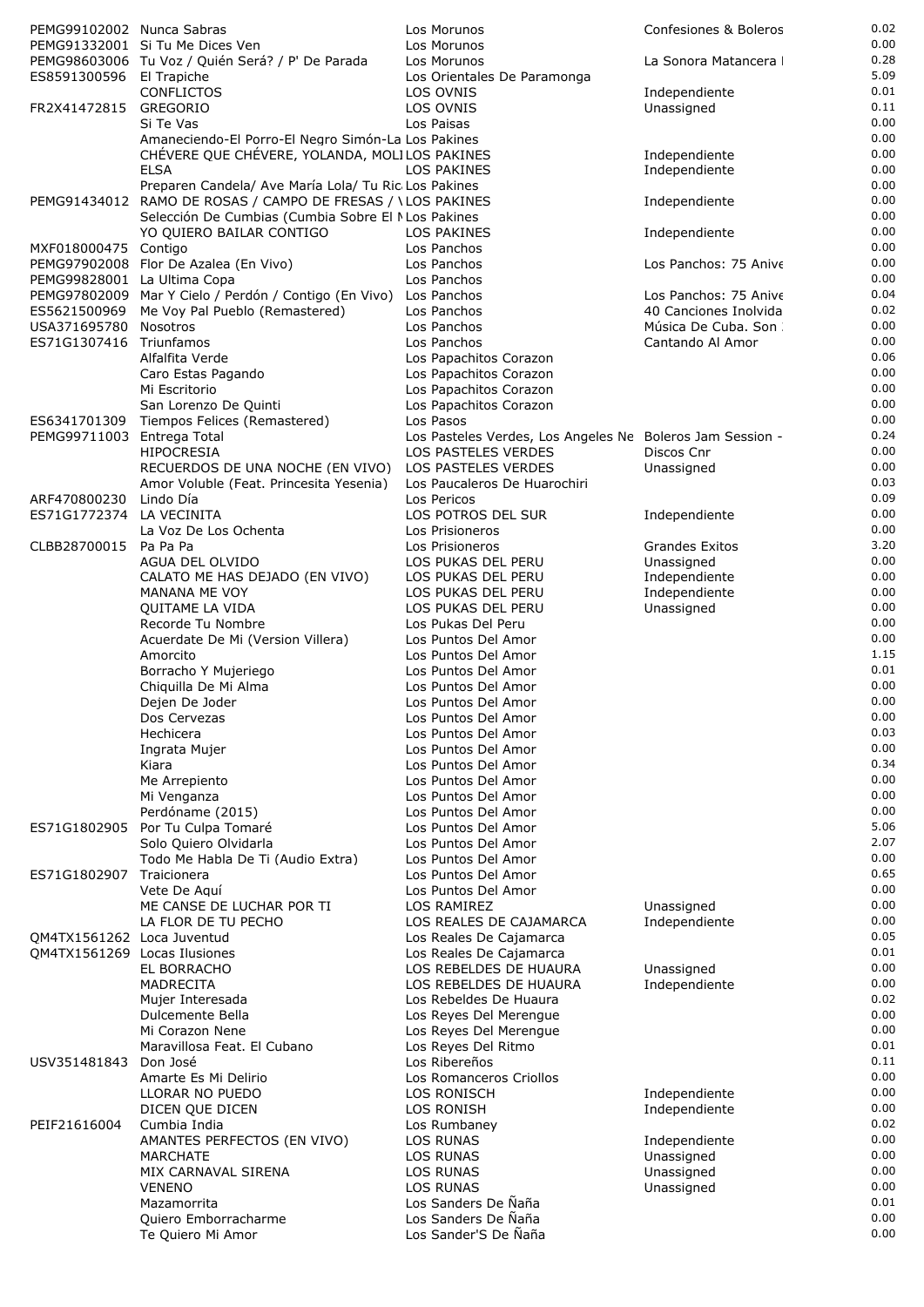| PEMG99102002 Nunca Sabras    |                                                                                                                     | Los Morunos                                               | Confesiones & Boleros                          | 0.02         |
|------------------------------|---------------------------------------------------------------------------------------------------------------------|-----------------------------------------------------------|------------------------------------------------|--------------|
|                              | PEMG91332001 Si Tu Me Dices Ven                                                                                     | Los Morunos                                               |                                                | 0.00         |
|                              | PEMG98603006 Tu Voz / Quién Será? / P' De Parada                                                                    | Los Morunos                                               | La Sonora Matancera                            | 0.28<br>5.09 |
| ES8591300596 El Trapiche     | <b>CONFLICTOS</b>                                                                                                   | Los Orientales De Paramonga<br>LOS OVNIS                  | Independiente                                  | 0.01         |
| FR2X41472815                 | <b>GREGORIO</b>                                                                                                     | LOS OVNIS                                                 | Unassigned                                     | 0.11         |
|                              | Si Te Vas                                                                                                           | Los Paisas                                                |                                                | 0.00         |
|                              | Amaneciendo-El Porro-El Negro Simón-La Los Pakines                                                                  |                                                           |                                                | 0.00         |
|                              | CHÉVERE QUE CHÉVERE, YOLANDA, MOLILOS PAKINES                                                                       |                                                           | Independiente                                  | 0.00         |
|                              | <b>ELSA</b>                                                                                                         | LOS PAKINES                                               | Independiente                                  | 0.00<br>0.00 |
|                              | Preparen Candela/ Ave María Lola/ Tu Ric Los Pakines<br>PEMG91434012 RAMO DE ROSAS / CAMPO DE FRESAS / \LOS PAKINES |                                                           | Independiente                                  | 0.00         |
|                              | Selección De Cumbias (Cumbia Sobre El NLos Pakines                                                                  |                                                           |                                                | 0.00         |
|                              | YO QUIERO BAILAR CONTIGO                                                                                            | <b>LOS PAKINES</b>                                        | Independiente                                  | 0.00         |
| MXF018000475 Contigo         |                                                                                                                     | Los Panchos                                               |                                                | 0.00         |
|                              | PEMG97902008 Flor De Azalea (En Vivo)                                                                               | Los Panchos                                               | Los Panchos: 75 Anive                          | 0.00         |
| PEMG99828001 La Ultima Copa  |                                                                                                                     | Los Panchos                                               |                                                | 0.00<br>0.04 |
| ES5621500969                 | PEMG97802009 Mar Y Cielo / Perdón / Contigo (En Vivo) Los Panchos<br>Me Voy Pal Pueblo (Remastered)                 | Los Panchos                                               | Los Panchos: 75 Anive<br>40 Canciones Inolvida | 0.02         |
| USA371695780                 | Nosotros                                                                                                            | Los Panchos                                               | Música De Cuba. Son                            | 0.00         |
| ES71G1307416 Triunfamos      |                                                                                                                     | Los Panchos                                               | Cantando Al Amor                               | 0.00         |
|                              | Alfalfita Verde                                                                                                     | Los Papachitos Corazon                                    |                                                | 0.06         |
|                              | Caro Estas Pagando                                                                                                  | Los Papachitos Corazon                                    |                                                | 0.00         |
|                              | Mi Escritorio                                                                                                       | Los Papachitos Corazon                                    |                                                | 0.00<br>0.00 |
| ES6341701309                 | San Lorenzo De Quinti<br>Tiempos Felices (Remastered)                                                               | Los Papachitos Corazon<br>Los Pasos                       |                                                | 0.00         |
| PEMG99711003 Entrega Total   |                                                                                                                     | Los Pasteles Verdes, Los Angeles Ne Boleros Jam Session - |                                                | 0.24         |
|                              | <b>HIPOCRESIA</b>                                                                                                   | LOS PASTELES VERDES                                       | Discos Cnr                                     | 0.00         |
|                              | RECUERDOS DE UNA NOCHE (EN VIVO)                                                                                    | LOS PASTELES VERDES                                       | Unassigned                                     | 0.00         |
|                              | Amor Voluble (Feat. Princesita Yesenia)                                                                             | Los Paucaleros De Huarochiri                              |                                                | 0.03         |
| ARF470800230                 | Lindo Día                                                                                                           | Los Pericos                                               |                                                | 0.09         |
| ES71G1772374                 | LA VECINITA                                                                                                         | LOS POTROS DEL SUR                                        | Independiente                                  | 0.00<br>0.00 |
| CLBB28700015 Pa Pa Pa        | La Voz De Los Ochenta                                                                                               | Los Prisioneros<br>Los Prisioneros                        | <b>Grandes Exitos</b>                          | 3.20         |
|                              | AGUA DEL OLVIDO                                                                                                     | LOS PUKAS DEL PERU                                        | Unassigned                                     | 0.00         |
|                              | CALATO ME HAS DEJADO (EN VIVO)                                                                                      | LOS PUKAS DEL PERU                                        | Independiente                                  | 0.00         |
|                              | <b>MANANA ME VOY</b>                                                                                                | LOS PUKAS DEL PERU                                        | Independiente                                  | 0.00         |
|                              | QUITAME LA VIDA                                                                                                     | LOS PUKAS DEL PERU                                        | Unassigned                                     | 0.00         |
|                              | Recorde Tu Nombre                                                                                                   | Los Pukas Del Peru                                        |                                                | 0.00         |
|                              | Acuerdate De Mi (Version Villera)<br>Amorcito                                                                       | Los Puntos Del Amor<br>Los Puntos Del Amor                |                                                | 0.00<br>1.15 |
|                              | Borracho Y Mujeriego                                                                                                | Los Puntos Del Amor                                       |                                                | 0.01         |
|                              | Chiquilla De Mi Alma                                                                                                | Los Puntos Del Amor                                       |                                                | 0.00         |
|                              | Dejen De Joder                                                                                                      | Los Puntos Del Amor                                       |                                                | 0.00         |
|                              | Dos Cervezas                                                                                                        | Los Puntos Del Amor                                       |                                                | 0.00         |
|                              | Hechicera                                                                                                           | Los Puntos Del Amor                                       |                                                | 0.03         |
|                              | Ingrata Mujer                                                                                                       | Los Puntos Del Amor                                       |                                                | 0.00<br>0.34 |
|                              | Kiara<br>Me Arrepiento                                                                                              | Los Puntos Del Amor<br>Los Puntos Del Amor                |                                                | 0.00         |
|                              | Mi Venganza                                                                                                         | Los Puntos Del Amor                                       |                                                | 0.00         |
|                              | Perdóname (2015)                                                                                                    | Los Puntos Del Amor                                       |                                                | 0.00         |
| ES71G1802905                 | Por Tu Culpa Tomaré                                                                                                 | Los Puntos Del Amor                                       |                                                | 5.06         |
|                              | Solo Quiero Olvidarla                                                                                               | Los Puntos Del Amor                                       |                                                | 2.07         |
|                              | Todo Me Habla De Ti (Audio Extra)                                                                                   | Los Puntos Del Amor                                       |                                                | 0.00         |
| ES71G1802907                 | Traicionera<br>Vete De Aquí                                                                                         | Los Puntos Del Amor<br>Los Puntos Del Amor                |                                                | 0.65<br>0.00 |
|                              | ME CANSE DE LUCHAR POR TI                                                                                           | LOS RAMIREZ                                               | Unassigned                                     | 0.00         |
|                              | LA FLOR DE TU PECHO                                                                                                 | LOS REALES DE CAJAMARCA                                   | Independiente                                  | 0.00         |
| QM4TX1561262 Loca Juventud   |                                                                                                                     | Los Reales De Cajamarca                                   |                                                | 0.05         |
| QM4TX1561269 Locas Ilusiones |                                                                                                                     | Los Reales De Cajamarca                                   |                                                | 0.01         |
|                              | EL BORRACHO                                                                                                         | LOS REBELDES DE HUAURA                                    | Unassigned                                     | 0.00         |
|                              | MADRECITA                                                                                                           | LOS REBELDES DE HUAURA                                    | Independiente                                  | 0.00         |
|                              | Mujer Interesada<br>Dulcemente Bella                                                                                | Los Rebeldes De Huaura<br>Los Reyes Del Merengue          |                                                | 0.02<br>0.00 |
|                              | Mi Corazon Nene                                                                                                     | Los Reyes Del Merengue                                    |                                                | 0.00         |
|                              | Maravillosa Feat. El Cubano                                                                                         | Los Reyes Del Ritmo                                       |                                                | 0.01         |
| USV351481843                 | Don José                                                                                                            | Los Ribereños                                             |                                                | 0.11         |
|                              | Amarte Es Mi Delirio                                                                                                | Los Romanceros Criollos                                   |                                                | 0.00         |
|                              | LLORAR NO PUEDO                                                                                                     | <b>LOS RONISCH</b>                                        | Independiente                                  | 0.00         |
|                              | DICEN QUE DICEN                                                                                                     | LOS RONISH                                                | Independiente                                  | 0.00<br>0.02 |
| PEIF21616004                 | Cumbia India<br>AMANTES PERFECTOS (EN VIVO)                                                                         | Los Rumbaney<br>LOS RUNAS                                 | Independiente                                  | 0.00         |
|                              | <b>MARCHATE</b>                                                                                                     | LOS RUNAS                                                 | Unassigned                                     | 0.00         |
|                              | MIX CARNAVAL SIRENA                                                                                                 | <b>LOS RUNAS</b>                                          | Unassigned                                     | 0.00         |
|                              | <b>VENENO</b>                                                                                                       | <b>LOS RUNAS</b>                                          | Unassigned                                     | 0.00         |
|                              | Mazamorrita                                                                                                         | Los Sanders De Naña                                       |                                                | 0.01         |
|                              | Quiero Emborracharme                                                                                                | Los Sanders De Ñaña                                       |                                                | 0.00         |
|                              | Te Quiero Mi Amor                                                                                                   | Los Sander'S De Ñaña                                      |                                                | 0.00         |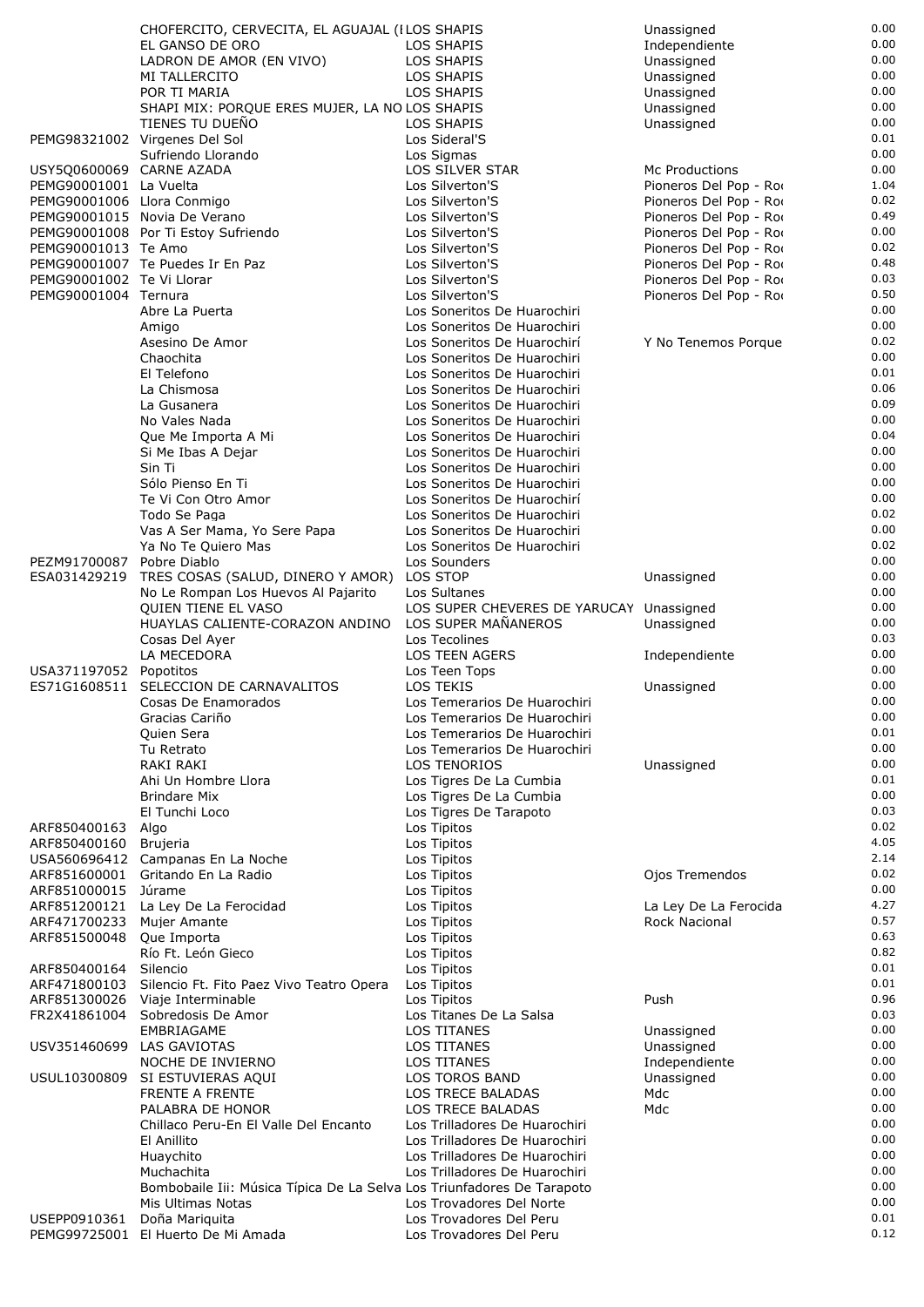|                             | CHOFERCITO, CERVECITA, EL AGUAJAL (I LOS SHAPIS                        |                                               | Unassigned             | 0.00         |
|-----------------------------|------------------------------------------------------------------------|-----------------------------------------------|------------------------|--------------|
|                             | EL GANSO DE ORO                                                        | LOS SHAPIS                                    | Independiente          | 0.00         |
|                             | LADRON DE AMOR (EN VIVO)                                               | LOS SHAPIS                                    | Unassigned             | 0.00         |
|                             | MI TALLERCITO                                                          | LOS SHAPIS                                    | Unassigned             | 0.00         |
|                             | POR TI MARIA                                                           | LOS SHAPIS                                    | Unassigned             | 0.00         |
|                             | SHAPI MIX: PORQUE ERES MUJER, LA NO LOS SHAPIS                         |                                               | Unassigned             | 0.00         |
|                             | TIENES TU DUENO                                                        | <b>LOS SHAPIS</b>                             | Unassigned             | 0.00         |
|                             | PEMG98321002 Virgenes Del Sol                                          | Los Sideral'S                                 |                        | 0.01<br>0.00 |
| USY5Q0600069 CARNE AZADA    | Sufriendo Llorando                                                     | Los Sigmas<br>LOS SILVER STAR                 | Mc Productions         | 0.00         |
| PEMG90001001 La Vuelta      |                                                                        | Los Silverton'S                               | Pioneros Del Pop - Roo | 1.04         |
| PEMG90001006 Llora Conmigo  |                                                                        | Los Silverton'S                               | Pioneros Del Pop - Roo | 0.02         |
|                             | PEMG90001015 Novia De Verano                                           | Los Silverton'S                               | Pioneros Del Pop - Roo | 0.49         |
|                             | PEMG90001008 Por Ti Estoy Sufriendo                                    | Los Silverton'S                               | Pioneros Del Pop - Roo | 0.00         |
| PEMG90001013 Te Amo         |                                                                        | Los Silverton'S                               | Pioneros Del Pop - Roo | 0.02         |
|                             | PEMG90001007 Te Puedes Ir En Paz                                       | Los Silverton'S                               | Pioneros Del Pop - Roo | 0.48         |
| PEMG90001002 Te Vi Llorar   |                                                                        | Los Silverton'S                               | Pioneros Del Pop - Roo | 0.03         |
| PEMG90001004 Ternura        |                                                                        | Los Silverton'S                               | Pioneros Del Pop - Roo | 0.50         |
|                             | Abre La Puerta                                                         | Los Soneritos De Huarochiri                   |                        | 0.00         |
|                             | Amigo                                                                  | Los Soneritos De Huarochiri                   |                        | 0.00         |
|                             | Asesino De Amor                                                        | Los Soneritos De Huarochirí                   | Y No Tenemos Porque    | 0.02         |
|                             | Chaochita                                                              | Los Soneritos De Huarochiri                   |                        | 0.00         |
|                             | El Telefono                                                            | Los Soneritos De Huarochiri                   |                        | 0.01         |
|                             | La Chismosa                                                            | Los Soneritos De Huarochiri                   |                        | 0.06         |
|                             | La Gusanera                                                            | Los Soneritos De Huarochiri                   |                        | 0.09         |
|                             | No Vales Nada                                                          | Los Soneritos De Huarochiri                   |                        | 0.00         |
|                             | Que Me Importa A Mi                                                    | Los Soneritos De Huarochiri                   |                        | 0.04         |
|                             | Si Me Ibas A Dejar                                                     | Los Soneritos De Huarochiri                   |                        | 0.00         |
|                             | Sin Ti                                                                 | Los Soneritos De Huarochiri                   |                        | 0.00         |
|                             | Sólo Pienso En Ti                                                      | Los Soneritos De Huarochiri                   |                        | 0.00         |
|                             | Te Vi Con Otro Amor                                                    | Los Soneritos De Huarochirí                   |                        | 0.00         |
|                             | Todo Se Paga                                                           | Los Soneritos De Huarochiri                   |                        | 0.02         |
|                             | Vas A Ser Mama, Yo Sere Papa                                           | Los Soneritos De Huarochiri                   |                        | $0.00\,$     |
|                             | Ya No Te Quiero Mas                                                    | Los Soneritos De Huarochiri                   |                        | 0.02         |
| PEZM91700087                | Pobre Diablo                                                           | Los Sounders                                  |                        | 0.00         |
| ESA031429219                | TRES COSAS (SALUD, DINERO Y AMOR)                                      | LOS STOP                                      | Unassigned             | 0.00         |
|                             | No Le Rompan Los Huevos Al Pajarito                                    | Los Sultanes                                  |                        | 0.00         |
|                             | QUIEN TIENE EL VASO                                                    | LOS SUPER CHEVERES DE YARUCAY Unassigned      |                        | 0.00         |
|                             | HUAYLAS CALIENTE-CORAZON ANDINO                                        | LOS SUPER MAÑANEROS<br>Los Tecolines          | Unassigned             | 0.00<br>0.03 |
|                             | Cosas Del Ayer                                                         |                                               |                        | 0.00         |
|                             | LA MECEDORA                                                            | <b>LOS TEEN AGERS</b>                         | Independiente          | 0.00         |
| USA371197052                | Popotitos<br>ES71G1608511 SELECCION DE CARNAVALITOS                    | Los Teen Tops<br>LOS TEKIS                    | Unassigned             | 0.00         |
|                             | Cosas De Enamorados                                                    | Los Temerarios De Huarochiri                  |                        | 0.00         |
|                             | Gracias Cariño                                                         | Los Temerarios De Huarochiri                  |                        | 0.00         |
|                             | Quien Sera                                                             | Los Temerarios De Huarochiri                  |                        | 0.01         |
|                             | Tu Retrato                                                             | Los Temerarios De Huarochiri                  |                        | 0.00         |
|                             | RAKI RAKI                                                              | <b>LOS TENORIOS</b>                           | Unassigned             | 0.00         |
|                             | Ahi Un Hombre Llora                                                    | Los Tigres De La Cumbia                       |                        | 0.01         |
|                             | <b>Brindare Mix</b>                                                    | Los Tigres De La Cumbia                       |                        | 0.00         |
|                             | El Tunchi Loco                                                         | Los Tigres De Tarapoto                        |                        | 0.03         |
| ARF850400163                | Algo                                                                   | Los Tipitos                                   |                        | 0.02         |
| ARF850400160                | <b>Brujeria</b>                                                        | Los Tipitos                                   |                        | 4.05         |
|                             | USA560696412 Campanas En La Noche                                      | Los Tipitos                                   |                        | 2.14         |
|                             | ARF851600001 Gritando En La Radio                                      | Los Tipitos                                   | Ojos Tremendos         | 0.02         |
| ARF851000015                | Júrame                                                                 | Los Tipitos                                   |                        | 0.00         |
| ARF851200121                | La Ley De La Ferocidad                                                 | Los Tipitos                                   | La Ley De La Ferocida  | 4.27         |
| ARF471700233                | Mujer Amante                                                           | Los Tipitos                                   | Rock Nacional          | 0.57         |
| ARF851500048                | Que Importa                                                            | Los Tipitos                                   |                        | 0.63         |
|                             | Río Ft. León Gieco                                                     | Los Tipitos                                   |                        | 0.82         |
| ARF850400164                | Silencio                                                               | Los Tipitos                                   |                        | 0.01         |
| ARF471800103                | Silencio Ft. Fito Paez Vivo Teatro Opera                               | Los Tipitos                                   |                        | 0.01         |
| ARF851300026                | Viaje Interminable                                                     | Los Tipitos                                   | Push                   | 0.96         |
| FR2X41861004                | Sobredosis De Amor                                                     | Los Titanes De La Salsa                       |                        | 0.03         |
|                             | EMBRIAGAME                                                             | LOS TITANES                                   | Unassigned             | 0.00         |
| USV351460699                | LAS GAVIOTAS                                                           | LOS TITANES                                   | Unassigned             | 0.00         |
|                             | NOCHE DE INVIERNO                                                      | <b>LOS TITANES</b>                            | Independiente          | 0.00<br>0.00 |
|                             | USUL10300809 SI ESTUVIERAS AQUI<br><b>FRENTE A FRENTE</b>              | <b>LOS TOROS BAND</b>                         | Unassigned<br>Mdc      | 0.00         |
|                             | PALABRA DE HONOR                                                       | LOS TRECE BALADAS<br><b>LOS TRECE BALADAS</b> | Mdc                    | 0.00         |
|                             | Chillaco Peru-En El Valle Del Encanto                                  | Los Trilladores De Huarochiri                 |                        | 0.00         |
|                             | El Anillito                                                            | Los Trilladores De Huarochiri                 |                        | 0.00         |
|                             | Huaychito                                                              | Los Trilladores De Huarochiri                 |                        | 0.00         |
|                             | Muchachita                                                             | Los Trilladores De Huarochiri                 |                        | 0.00         |
|                             | Bombobaile Iii: Música Típica De La Selva Los Triunfadores De Tarapoto |                                               |                        | 0.00         |
|                             | Mis Ultimas Notas                                                      | Los Trovadores Del Norte                      |                        | 0.00         |
| USEPP0910361 Doña Mariquita |                                                                        | Los Trovadores Del Peru                       |                        | 0.01         |
|                             | PEMG99725001 El Huerto De Mi Amada                                     | Los Trovadores Del Peru                       |                        | 0.12         |
|                             |                                                                        |                                               |                        |              |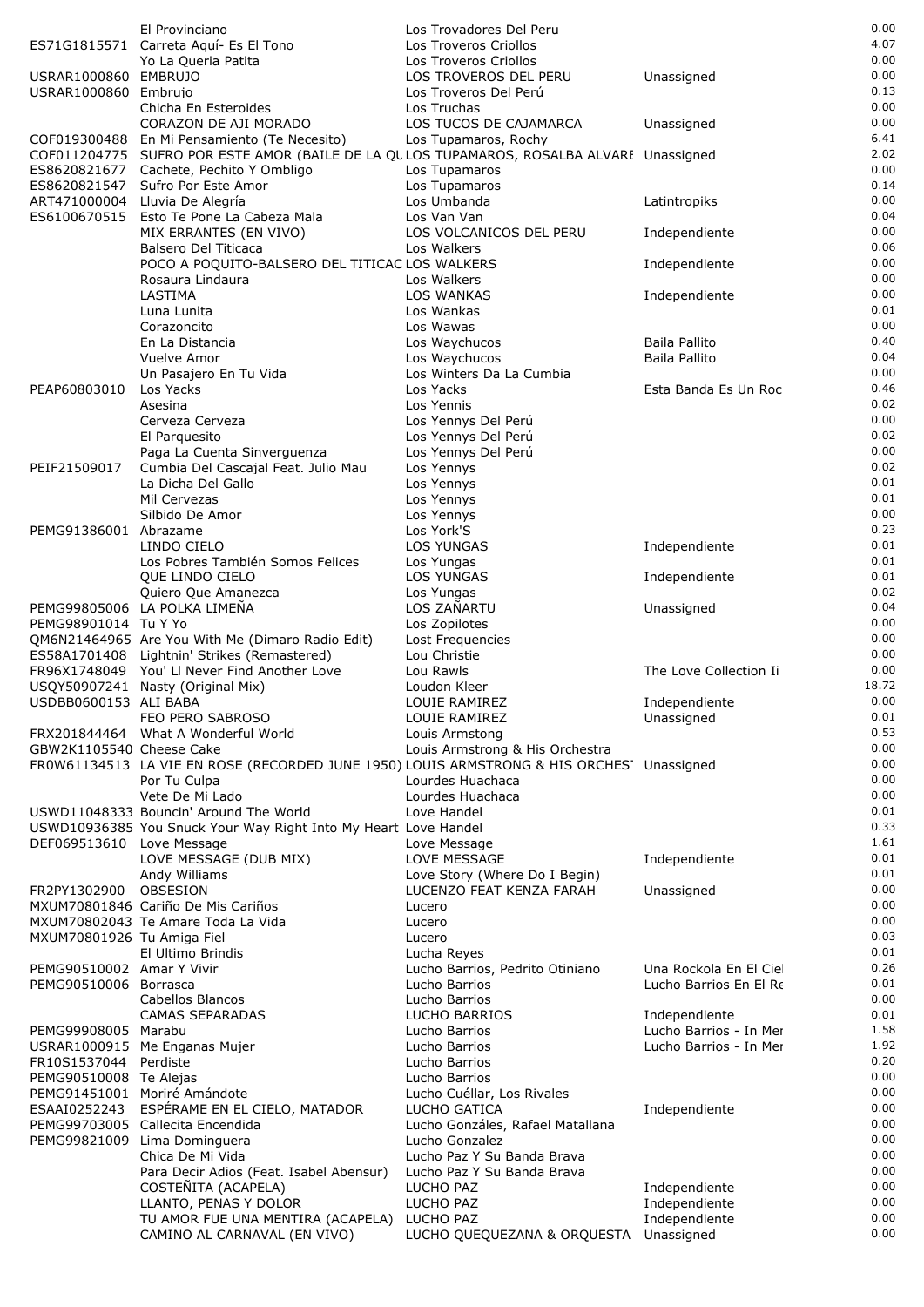|                            | El Provinciano                                                                              | Los Trovadores Del Peru                            |                                                  | 0.00         |
|----------------------------|---------------------------------------------------------------------------------------------|----------------------------------------------------|--------------------------------------------------|--------------|
|                            | ES71G1815571 Carreta Aquí- Es El Tono                                                       | Los Troveros Criollos                              |                                                  | 4.07         |
| USRAR1000860 EMBRUJO       | Yo La Queria Patita                                                                         | Los Troveros Criollos<br>LOS TROVEROS DEL PERU     | Unassigned                                       | 0.00<br>0.00 |
| USRAR1000860 Embrujo       |                                                                                             | Los Troveros Del Perú                              |                                                  | 0.13         |
|                            | Chicha En Esteroides                                                                        | Los Truchas                                        |                                                  | 0.00         |
|                            | CORAZON DE AJI MORADO                                                                       | LOS TUCOS DE CAJAMARCA                             | Unassigned                                       | 0.00         |
|                            | COF019300488 En Mi Pensamiento (Te Necesito)                                                | Los Tupamaros, Rochy                               |                                                  | 6.41         |
|                            | COF011204775 SUFRO POR ESTE AMOR (BAILE DE LA QULOS TUPAMAROS, ROSALBA ALVARI Unassigned    |                                                    |                                                  | 2.02<br>0.00 |
| ES8620821547               | ES8620821677 Cachete, Pechito Y Ombligo<br>Sufro Por Este Amor                              | Los Tupamaros<br>Los Tupamaros                     |                                                  | 0.14         |
| ART471000004               | Lluvia De Alegría                                                                           | Los Umbanda                                        | Latintropiks                                     | 0.00         |
| ES6100670515               | Esto Te Pone La Cabeza Mala                                                                 | Los Van Van                                        |                                                  | 0.04         |
|                            | MIX ERRANTES (EN VIVO)                                                                      | LOS VOLCANICOS DEL PERU                            | Independiente                                    | 0.00         |
|                            | Balsero Del Titicaca                                                                        | Los Walkers                                        |                                                  | 0.06<br>0.00 |
|                            | POCO A POQUITO-BALSERO DEL TITICAC LOS WALKERS<br>Rosaura Lindaura                          | Los Walkers                                        | Independiente                                    | 0.00         |
|                            | LASTIMA                                                                                     | <b>LOS WANKAS</b>                                  | Independiente                                    | 0.00         |
|                            | Luna Lunita                                                                                 | Los Wankas                                         |                                                  | 0.01         |
|                            | Corazoncito                                                                                 | Los Wawas                                          |                                                  | 0.00         |
|                            | En La Distancia                                                                             | Los Waychucos                                      | Baila Pallito                                    | 0.40         |
|                            | Vuelve Amor<br>Un Pasajero En Tu Vida                                                       | Los Waychucos<br>Los Winters Da La Cumbia          | Baila Pallito                                    | 0.04<br>0.00 |
| PEAP60803010               | Los Yacks                                                                                   | Los Yacks                                          | Esta Banda Es Un Roc                             | 0.46         |
|                            | Asesina                                                                                     | Los Yennis                                         |                                                  | 0.02         |
|                            | Cerveza Cerveza                                                                             | Los Yennys Del Perú                                |                                                  | 0.00         |
|                            | El Parquesito                                                                               | Los Yennys Del Perú                                |                                                  | 0.02         |
| PEIF21509017               | Paga La Cuenta Sinverguenza<br>Cumbia Del Cascajal Feat. Julio Mau                          | Los Yennys Del Perú<br>Los Yennys                  |                                                  | 0.00<br>0.02 |
|                            | La Dicha Del Gallo                                                                          | Los Yennys                                         |                                                  | 0.01         |
|                            | Mil Cervezas                                                                                | Los Yennys                                         |                                                  | 0.01         |
|                            | Silbido De Amor                                                                             | Los Yennys                                         |                                                  | 0.00         |
| PEMG91386001 Abrazame      |                                                                                             | Los York'S                                         |                                                  | 0.23         |
|                            | LINDO CIELO                                                                                 | <b>LOS YUNGAS</b>                                  | Independiente                                    | 0.01<br>0.01 |
|                            | Los Pobres También Somos Felices<br>QUE LINDO CIELO                                         | Los Yungas<br><b>LOS YUNGAS</b>                    | Independiente                                    | 0.01         |
|                            | Quiero Que Amanezca                                                                         | Los Yungas                                         |                                                  | 0.02         |
|                            | PEMG99805006 LA POLKA LIMEÑA                                                                | LOS ZAÑARTU                                        | Unassigned                                       | 0.04         |
| PEMG98901014 Tu Y Yo       |                                                                                             | Los Zopilotes                                      |                                                  | 0.00         |
|                            | QM6N21464965 Are You With Me (Dimaro Radio Edit)                                            | Lost Frequencies                                   |                                                  | 0.00         |
|                            | ES58A1701408 Lightnin' Strikes (Remastered)<br>FR96X1748049 You' LI Never Find Another Love | Lou Christie<br>Lou Rawls                          | The Love Collection Ii                           | 0.00<br>0.00 |
|                            | USQY50907241 Nasty (Original Mix)                                                           | Loudon Kleer                                       |                                                  | 18.72        |
| USDBB0600153 ALI BABA      |                                                                                             | LOUIE RAMIREZ                                      | Independiente                                    | 0.00         |
|                            | FEO PERO SABROSO                                                                            | LOUIE RAMIREZ                                      | Unassigned                                       | 0.01         |
|                            | FRX201844464 What A Wonderful World                                                         | Louis Armstong                                     |                                                  | 0.53         |
| GBW2K1105540 Cheese Cake   | FR0W61134513 LA VIE EN ROSE (RECORDED JUNE 1950) LOUIS ARMSTRONG & HIS ORCHES' Unassigned   | Louis Armstrong & His Orchestra                    |                                                  | 0.00<br>0.00 |
|                            | Por Tu Culpa                                                                                | Lourdes Huachaca                                   |                                                  | 0.00         |
|                            | Vete De Mi Lado                                                                             | Lourdes Huachaca                                   |                                                  | 0.00         |
|                            | USWD11048333 Bouncin' Around The World                                                      | Love Handel                                        |                                                  | 0.01         |
|                            | USWD10936385 You Snuck Your Way Right Into My Heart Love Handel                             |                                                    |                                                  | 0.33         |
| DEF069513610 Love Message  | LOVE MESSAGE (DUB MIX)                                                                      | Love Message<br>LOVE MESSAGE                       | Independiente                                    | 1.61<br>0.01 |
|                            | Andy Williams                                                                               | Love Story (Where Do I Begin)                      |                                                  | 0.01         |
| FR2PY1302900               | OBSESION                                                                                    | LUCENZO FEAT KENZA FARAH                           | Unassigned                                       | 0.00         |
|                            | MXUM70801846 Cariño De Mis Cariños                                                          | Lucero                                             |                                                  | 0.00         |
|                            | MXUM70802043 Te Amare Toda La Vida                                                          | Lucero                                             |                                                  | 0.00         |
| MXUM70801926 Tu Amiga Fiel | El Ultimo Brindis                                                                           | Lucero<br>Lucha Reyes                              |                                                  | 0.03<br>0.01 |
| PEMG90510002 Amar Y Vivir  |                                                                                             | Lucho Barrios, Pedrito Otiniano                    | Una Rockola En El Cie                            | 0.26         |
| PEMG90510006 Borrasca      |                                                                                             | Lucho Barrios                                      | Lucho Barrios En El Re                           | 0.01         |
|                            | Cabellos Blancos                                                                            | Lucho Barrios                                      |                                                  | 0.00         |
|                            | <b>CAMAS SEPARADAS</b>                                                                      | LUCHO BARRIOS                                      | Independiente                                    | 0.01         |
| PEMG99908005 Marabu        | USRAR1000915 Me Enganas Mujer                                                               | Lucho Barrios<br>Lucho Barrios                     | Lucho Barrios - In Mer<br>Lucho Barrios - In Mer | 1.58<br>1.92 |
| FR10S1537044               | Perdiste                                                                                    | Lucho Barrios                                      |                                                  | 0.20         |
| PEMG90510008 Te Alejas     |                                                                                             | Lucho Barrios                                      |                                                  | 0.00         |
|                            | PEMG91451001 Moriré Amándote                                                                | Lucho Cuéllar, Los Rivales                         |                                                  | 0.00         |
| ESAAI0252243               | ESPÉRAME EN EL CIELO, MATADOR                                                               | LUCHO GATICA                                       | Independiente                                    | 0.00         |
|                            | PEMG99703005 Callecita Encendida                                                            | Lucho Gonzáles, Rafael Matallana<br>Lucho Gonzalez |                                                  | 0.00<br>0.00 |
|                            | PEMG99821009 Lima Dominguera<br>Chica De Mi Vida                                            | Lucho Paz Y Su Banda Brava                         |                                                  | 0.00         |
|                            | Para Decir Adios (Feat. Isabel Abensur)                                                     | Lucho Paz Y Su Banda Brava                         |                                                  | 0.00         |
|                            | COSTEÑITA (ACAPELA)                                                                         | LUCHO PAZ                                          | Independiente                                    | 0.00         |
|                            | LLANTO, PENAS Y DOLOR                                                                       | LUCHO PAZ                                          | Independiente                                    | 0.00         |
|                            | TU AMOR FUE UNA MENTIRA (ACAPELA)<br>CAMINO AL CARNAVAL (EN VIVO)                           | LUCHO PAZ                                          | Independiente                                    | 0.00<br>0.00 |
|                            |                                                                                             | LUCHO QUEQUEZANA & ORQUESTA Unassigned             |                                                  |              |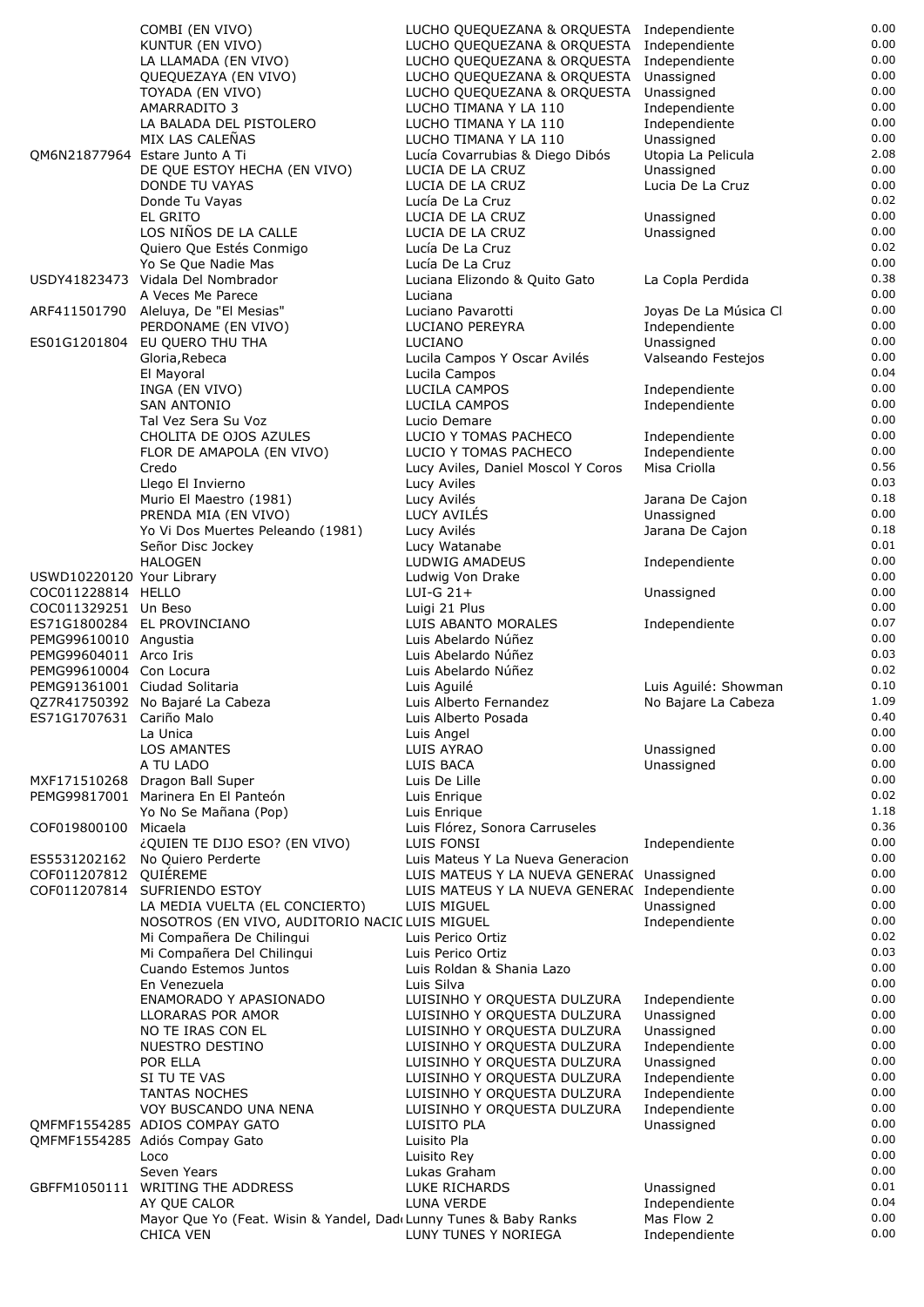|                               | COMBI (EN VIVO)                                                                      | LUCHO QUEQUEZANA & ORQUESTA Independiente                  |                                        | 0.00             |
|-------------------------------|--------------------------------------------------------------------------------------|------------------------------------------------------------|----------------------------------------|------------------|
|                               | KUNTUR (EN VIVO)                                                                     | LUCHO QUEQUEZANA & ORQUESTA Independiente                  |                                        | 0.00             |
|                               | LA LLAMADA (EN VIVO)                                                                 | LUCHO QUEQUEZANA & ORQUESTA                                | Independiente                          | 0.00             |
|                               | QUEQUEZAYA (EN VIVO)                                                                 | LUCHO QUEQUEZANA & ORQUESTA                                | Unassigned                             | 0.00<br>0.00     |
|                               | TOYADA (EN VIVO)<br>AMARRADITO 3                                                     | LUCHO QUEQUEZANA & ORQUESTA<br>LUCHO TIMANA Y LA 110       | Unassigned<br>Independiente            | 0.00             |
|                               | LA BALADA DEL PISTOLERO                                                              | LUCHO TIMANA Y LA 110                                      | Independiente                          | 0.00             |
|                               | MIX LAS CALEÑAS                                                                      | LUCHO TIMANA Y LA 110                                      | Unassigned                             | 0.00             |
|                               | QM6N21877964 Estare Junto A Ti                                                       | Lucía Covarrubias & Diego Dibós                            | Utopia La Pelicula                     | 2.08             |
|                               | DE QUE ESTOY HECHA (EN VIVO)                                                         | LUCIA DE LA CRUZ                                           | Unassigned                             | 0.00             |
|                               | DONDE TU VAYAS                                                                       | LUCIA DE LA CRUZ                                           | Lucia De La Cruz                       | 0.00             |
|                               | Donde Tu Vayas                                                                       | Lucía De La Cruz                                           |                                        | 0.02             |
|                               | EL GRITO                                                                             | LUCIA DE LA CRUZ                                           | Unassigned                             | 0.00             |
|                               | LOS NIÑOS DE LA CALLE                                                                | LUCIA DE LA CRUZ                                           | Unassigned                             | 0.00             |
|                               | Quiero Que Estés Conmigo                                                             | Lucía De La Cruz                                           |                                        | 0.02             |
|                               | Yo Se Que Nadie Mas                                                                  | Lucía De La Cruz                                           |                                        | 0.00             |
|                               | USDY41823473 Vidala Del Nombrador                                                    | Luciana Elizondo & Quito Gato                              | La Copla Perdida                       | 0.38             |
|                               | A Veces Me Parece                                                                    | Luciana                                                    |                                        | 0.00<br>0.00     |
|                               | ARF411501790 Aleluya, De "El Mesias"<br>PERDONAME (EN VIVO)                          | Luciano Pavarotti<br>LUCIANO PEREYRA                       | Joyas De La Música Cl<br>Independiente | 0.00             |
|                               | ES01G1201804 EU QUERO THU THA                                                        | LUCIANO                                                    | Unassigned                             | 0.00             |
|                               | Gloria, Rebeca                                                                       | Lucila Campos Y Oscar Avilés                               | Valseando Festejos                     | 0.00             |
|                               | El Mayoral                                                                           | Lucila Campos                                              |                                        | 0.04             |
|                               | INGA (EN VIVO)                                                                       | LUCILA CAMPOS                                              | Independiente                          | 0.00             |
|                               | <b>SAN ANTONIO</b>                                                                   | LUCILA CAMPOS                                              | Independiente                          | 0.00             |
|                               | Tal Vez Sera Su Voz                                                                  | Lucio Demare                                               |                                        | 0.00             |
|                               | CHOLITA DE OJOS AZULES                                                               | LUCIO Y TOMAS PACHECO                                      | Independiente                          | 0.00             |
|                               | FLOR DE AMAPOLA (EN VIVO)                                                            | LUCIO Y TOMAS PACHECO                                      | Independiente                          | 0.00             |
|                               | Credo                                                                                | Lucy Aviles, Daniel Moscol Y Coros                         | Misa Criolla                           | 0.56             |
|                               | Llego El Invierno                                                                    | Lucy Aviles                                                |                                        | 0.03             |
|                               | Murio El Maestro (1981)                                                              | Lucy Avilés                                                | Jarana De Cajon                        | 0.18             |
|                               | PRENDA MIA (EN VIVO)                                                                 | LUCY AVILÉS                                                | Unassigned                             | 0.00<br>0.18     |
|                               | Yo Vi Dos Muertes Peleando (1981)<br>Señor Disc Jockey                               | Lucy Avilés<br>Lucy Watanabe                               | Jarana De Cajon                        | 0.01             |
|                               | <b>HALOGEN</b>                                                                       | LUDWIG AMADEUS                                             | Independiente                          | 0.00             |
| USWD10220120 Your Library     |                                                                                      | Ludwig Von Drake                                           |                                        | 0.00             |
| COC011228814 HELLO            |                                                                                      | $LUI-G 21+$                                                | Unassigned                             | 0.00             |
| COC011329251 Un Beso          |                                                                                      | Luigi 21 Plus                                              |                                        | 0.00             |
|                               | ES71G1800284 EL PROVINCIANO                                                          | LUIS ABANTO MORALES                                        | Independiente                          | 0.07             |
| PEMG99610010 Angustia         |                                                                                      | Luis Abelardo Núñez                                        |                                        | 0.00             |
| PEMG99604011 Arco Iris        |                                                                                      | Luis Abelardo Núñez                                        |                                        | 0.03             |
| PEMG99610004 Con Locura       |                                                                                      | Luis Abelardo Núñez                                        |                                        | 0.02             |
| PEMG91361001 Ciudad Solitaria |                                                                                      | Luis Aguilé                                                | Luis Aguilé: Showman                   | 0.10             |
|                               | QZ7R41750392 No Bajaré La Cabeza                                                     | Luis Alberto Fernandez                                     | No Bajare La Cabeza                    | 1.09             |
| ES71G1707631 Cariño Malo      |                                                                                      | Luis Alberto Posada                                        |                                        | 0.40             |
|                               | La Unica                                                                             | Luis Angel                                                 |                                        | 0.00<br>$0.00\,$ |
|                               | <b>LOS AMANTES</b>                                                                   | LUIS AYRAO                                                 | Unassigned                             | 0.00             |
|                               | A TU LADO<br>MXF171510268 Dragon Ball Super                                          | LUIS BACA<br>Luis De Lille                                 | Unassigned                             | 0.00             |
|                               | PEMG99817001 Marinera En El Panteón                                                  | Luis Enrique                                               |                                        | 0.02             |
|                               | Yo No Se Mañana (Pop)                                                                | Luis Enrique                                               |                                        | 1.18             |
| COF019800100 Micaela          |                                                                                      | Luis Flórez, Sonora Carruseles                             |                                        | 0.36             |
|                               | ¿QUIEN TE DIJO ESO? (EN VIVO)                                                        | LUIS FONSI                                                 | Independiente                          | 0.00             |
|                               | ES5531202162 No Quiero Perderte                                                      | Luis Mateus Y La Nueva Generacion                          |                                        | 0.00             |
| COF011207812 QUIEREME         |                                                                                      | LUIS MATEUS Y LA NUEVA GENERA( Unassigned                  |                                        | 0.00             |
| COF011207814                  |                                                                                      |                                                            |                                        |                  |
|                               | SUFRIENDO ESTOY                                                                      | LUIS MATEUS Y LA NUEVA GENERA( Independiente               |                                        | 0.00             |
|                               | LA MEDIA VUELTA (EL CONCIERTO)                                                       | LUIS MIGUEL                                                | Unassigned                             | 0.00             |
|                               | NOSOTROS (EN VIVO, AUDITORIO NACIC LUIS MIGUEL                                       |                                                            | Independiente                          | 0.00             |
|                               | Mi Compañera De Chilingui                                                            | Luis Perico Ortiz                                          |                                        | 0.02             |
|                               | Mi Compañera Del Chilingui                                                           | Luis Perico Ortiz                                          |                                        | 0.03             |
|                               | Cuando Estemos Juntos                                                                | Luis Roldan & Shania Lazo                                  |                                        | 0.00             |
|                               | En Venezuela                                                                         | Luis Silva                                                 |                                        | 0.00             |
|                               | ENAMORADO Y APASIONADO                                                               | LUISINHO Y ORQUESTA DULZURA                                | Independiente                          | 0.00             |
|                               | LLORARAS POR AMOR                                                                    | LUISINHO Y ORQUESTA DULZURA                                | Unassigned                             | 0.00             |
|                               | NO TE IRAS CON EL                                                                    | LUISINHO Y ORQUESTA DULZURA                                | Unassigned                             | 0.00             |
|                               | NUESTRO DESTINO                                                                      | LUISINHO Y ORQUESTA DULZURA                                | Independiente                          | 0.00<br>0.00     |
|                               | POR ELLA                                                                             | LUISINHO Y ORQUESTA DULZURA                                | Unassigned                             | 0.00             |
|                               | SI TU TE VAS<br><b>TANTAS NOCHES</b>                                                 | LUISINHO Y ORQUESTA DULZURA                                | Independiente<br>Independiente         | 0.00             |
|                               | VOY BUSCANDO UNA NENA                                                                | LUISINHO Y ORQUESTA DULZURA<br>LUISINHO Y ORQUESTA DULZURA | Independiente                          | 0.00             |
|                               | QMFMF1554285 ADIOS COMPAY GATO                                                       | LUISITO PLA                                                | Unassigned                             | 0.00             |
|                               | QMFMF1554285 Adiós Compay Gato                                                       | Luisito Pla                                                |                                        | 0.00             |
|                               | Loco                                                                                 | Luisito Rey                                                |                                        | 0.00             |
|                               | Seven Years                                                                          | Lukas Graham                                               |                                        | 0.00             |
|                               | GBFFM1050111 WRITING THE ADDRESS                                                     | LUKE RICHARDS                                              | Unassigned                             | 0.01             |
|                               | AY QUE CALOR                                                                         | LUNA VERDE                                                 | Independiente                          | 0.04             |
|                               | Mayor Que Yo (Feat. Wisin & Yandel, Dad Lunny Tunes & Baby Ranks<br><b>CHICA VEN</b> | LUNY TUNES Y NORIEGA                                       | Mas Flow 2<br>Independiente            | 0.00<br>0.00     |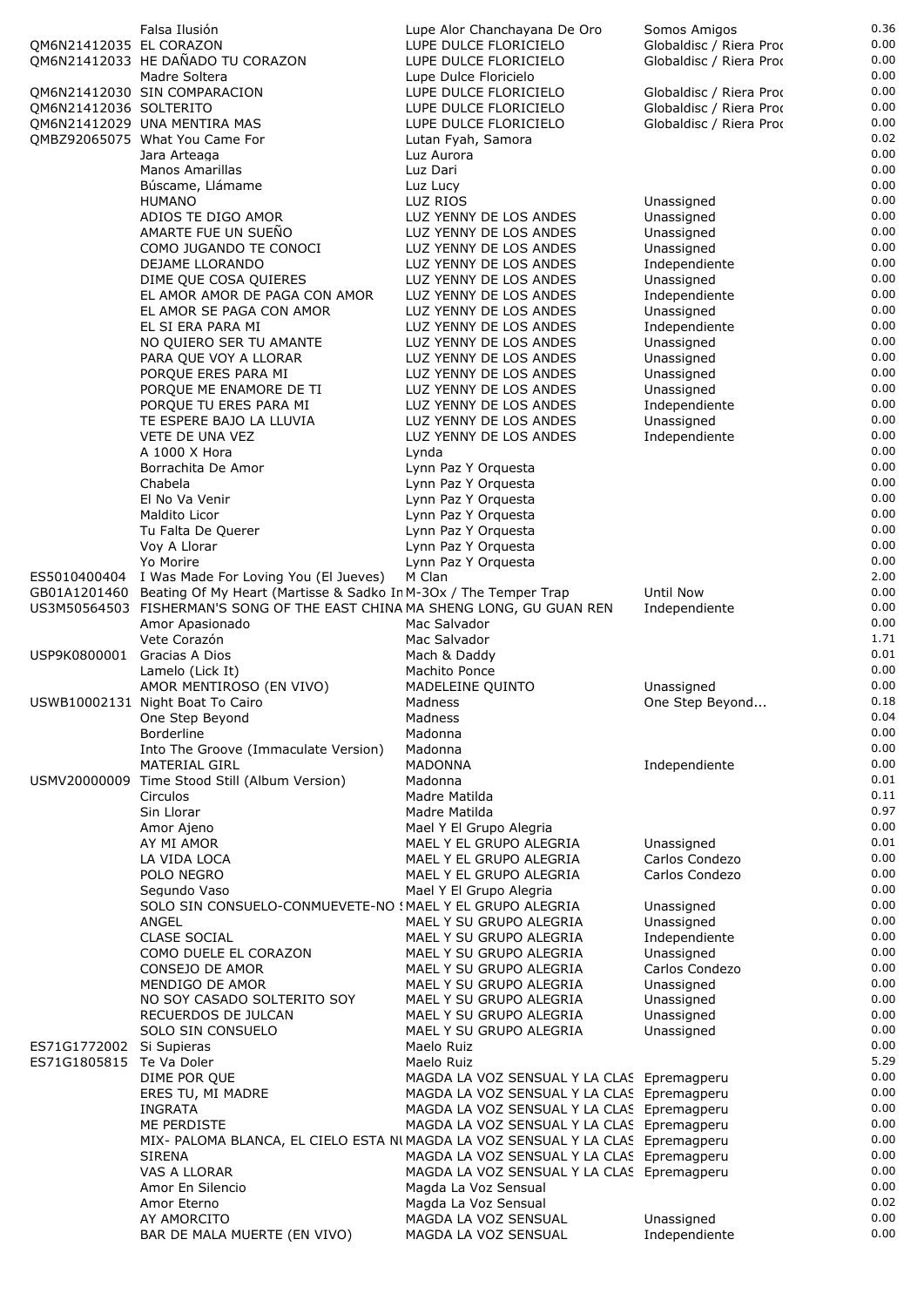| QM6N21412035 EL CORAZON                  | Falsa Ilusión<br>QM6N21412033 HE DAÑADO TU CORAZON                                                                                  | Lupe Alor Chanchayana De Oro<br>LUPE DULCE FLORICIELO<br>LUPE DULCE FLORICIELO           | Somos Amigos<br>Globaldisc / Riera Prod<br>Globaldisc / Riera Prod | 0.36<br>0.00<br>0.00 |
|------------------------------------------|-------------------------------------------------------------------------------------------------------------------------------------|------------------------------------------------------------------------------------------|--------------------------------------------------------------------|----------------------|
| QM6N21412036 SOLTERITO                   | Madre Soltera<br>QM6N21412030 SIN COMPARACION                                                                                       | Lupe Dulce Floricielo<br>LUPE DULCE FLORICIELO<br>LUPE DULCE FLORICIELO                  | Globaldisc / Riera Proc<br>Globaldisc / Riera Prod                 | 0.00<br>0.00<br>0.00 |
|                                          | OM6N21412029 UNA MENTIRA MAS<br>QMBZ92065075 What You Came For                                                                      | LUPE DULCE FLORICIELO<br>Lutan Fyah, Samora                                              | Globaldisc / Riera Proc                                            | 0.00<br>0.02         |
|                                          | Jara Arteaga<br><b>Manos Amarillas</b>                                                                                              | Luz Aurora<br>Luz Dari                                                                   |                                                                    | 0.00<br>0.00         |
|                                          | Búscame, Llámame                                                                                                                    | Luz Lucy                                                                                 |                                                                    | 0.00                 |
|                                          | <b>HUMANO</b><br>ADIOS TE DIGO AMOR                                                                                                 | LUZ RIOS<br>LUZ YENNY DE LOS ANDES                                                       | Unassigned<br>Unassigned                                           | 0.00<br>0.00         |
|                                          | AMARTE FUE UN SUEÑO                                                                                                                 | LUZ YENNY DE LOS ANDES                                                                   | Unassigned                                                         | 0.00                 |
|                                          | COMO JUGANDO TE CONOCI<br>DEJAME LLORANDO                                                                                           | LUZ YENNY DE LOS ANDES<br>LUZ YENNY DE LOS ANDES                                         | Unassigned<br>Independiente                                        | 0.00<br>0.00         |
|                                          | DIME QUE COSA QUIERES                                                                                                               | LUZ YENNY DE LOS ANDES                                                                   | Unassigned                                                         | 0.00                 |
|                                          | EL AMOR AMOR DE PAGA CON AMOR<br>EL AMOR SE PAGA CON AMOR                                                                           | LUZ YENNY DE LOS ANDES<br>LUZ YENNY DE LOS ANDES                                         | Independiente<br>Unassigned                                        | 0.00<br>0.00         |
|                                          | EL SI ERA PARA MI                                                                                                                   | LUZ YENNY DE LOS ANDES                                                                   | Independiente                                                      | 0.00                 |
|                                          | NO QUIERO SER TU AMANTE<br>PARA QUE VOY A LLORAR                                                                                    | LUZ YENNY DE LOS ANDES<br>LUZ YENNY DE LOS ANDES                                         | Unassigned<br>Unassigned                                           | 0.00<br>0.00         |
|                                          | PORQUE ERES PARA MI                                                                                                                 | LUZ YENNY DE LOS ANDES                                                                   | Unassigned                                                         | 0.00                 |
|                                          | PORQUE ME ENAMORE DE TI<br>PORQUE TU ERES PARA MI                                                                                   | LUZ YENNY DE LOS ANDES<br>LUZ YENNY DE LOS ANDES                                         | Unassigned<br>Independiente                                        | 0.00<br>0.00         |
|                                          | TE ESPERE BAJO LA LLUVIA                                                                                                            | LUZ YENNY DE LOS ANDES                                                                   | Unassigned                                                         | 0.00                 |
|                                          | <b>VETE DE UNA VEZ</b><br>A 1000 X Hora                                                                                             | LUZ YENNY DE LOS ANDES<br>Lynda                                                          | Independiente                                                      | 0.00<br>0.00         |
|                                          | Borrachita De Amor                                                                                                                  | Lynn Paz Y Orquesta                                                                      |                                                                    | 0.00                 |
|                                          | Chabela<br>El No Va Venir                                                                                                           | Lynn Paz Y Orquesta<br>Lynn Paz Y Orquesta                                               |                                                                    | 0.00<br>0.00         |
|                                          | Maldito Licor                                                                                                                       | Lynn Paz Y Orquesta                                                                      |                                                                    | 0.00                 |
|                                          | Tu Falta De Querer<br>Voy A Llorar                                                                                                  | Lynn Paz Y Orquesta<br>Lynn Paz Y Orquesta                                               |                                                                    | 0.00<br>0.00         |
|                                          | Yo Morire                                                                                                                           | Lynn Paz Y Orquesta                                                                      |                                                                    | 0.00                 |
|                                          | ES5010400404 I Was Made For Loving You (El Jueves)<br>GB01A1201460 Beating Of My Heart (Martisse & Sadko In M-3Ox / The Temper Trap | M Clan                                                                                   | <b>Until Now</b>                                                   | 2.00<br>0.00         |
|                                          | US3M50564503 FISHERMAN'S SONG OF THE EAST CHINA MA SHENG LONG, GU GUAN REN                                                          |                                                                                          | Independiente                                                      | 0.00                 |
|                                          | Amor Apasionado<br>Vete Corazón                                                                                                     | Mac Salvador<br>Mac Salvador                                                             |                                                                    | 0.00<br>1.71         |
| USP9K0800001                             | Gracias A Dios                                                                                                                      | Mach & Daddy                                                                             |                                                                    | 0.01                 |
|                                          | Lamelo (Lick It)<br>AMOR MENTIROSO (EN VIVO)                                                                                        | Machito Ponce<br>MADELEINE QUINTO                                                        | Unassigned                                                         | 0.00<br>0.00         |
|                                          | USWB10002131 Night Boat To Cairo                                                                                                    | Madness                                                                                  | One Step Beyond                                                    | 0.18                 |
|                                          | One Step Beyond<br><b>Borderline</b>                                                                                                | Madness<br>Madonna                                                                       |                                                                    | 0.04<br>0.00         |
|                                          | Into The Groove (Immaculate Version)                                                                                                | Madonna                                                                                  |                                                                    | 0.00                 |
|                                          | <b>MATERIAL GIRL</b><br>USMV20000009 Time Stood Still (Album Version)                                                               | <b>MADONNA</b><br>Madonna                                                                | Independiente                                                      | 0.00<br>0.01         |
|                                          | <b>Circulos</b>                                                                                                                     | Madre Matilda                                                                            |                                                                    | 0.11                 |
|                                          | Sin Llorar<br>Amor Ajeno                                                                                                            | Madre Matilda<br>Mael Y El Grupo Alegria                                                 |                                                                    | 0.97<br>0.00         |
|                                          | AY MI AMOR                                                                                                                          | MAEL Y EL GRUPO ALEGRIA                                                                  | Unassigned                                                         | 0.01                 |
|                                          | LA VIDA LOCA<br>POLO NEGRO                                                                                                          | MAEL Y EL GRUPO ALEGRIA<br>MAEL Y EL GRUPO ALEGRIA                                       | Carlos Condezo<br>Carlos Condezo                                   | 0.00<br>0.00         |
|                                          | Segundo Vaso                                                                                                                        | Mael Y El Grupo Alegria                                                                  |                                                                    | 0.00                 |
|                                          | SOLO SIN CONSUELO-CONMUEVETE-NO ! MAEL Y EL GRUPO ALEGRIA<br>ANGEL                                                                  | MAEL Y SU GRUPO ALEGRIA                                                                  | Unassigned<br>Unassigned                                           | 0.00<br>0.00         |
|                                          | <b>CLASE SOCIAL</b>                                                                                                                 | MAEL Y SU GRUPO ALEGRIA                                                                  | Independiente                                                      | 0.00                 |
|                                          | COMO DUELE EL CORAZON<br>CONSEJO DE AMOR                                                                                            | MAEL Y SU GRUPO ALEGRIA<br>MAEL Y SU GRUPO ALEGRIA                                       | Unassigned<br>Carlos Condezo                                       | 0.00<br>0.00         |
|                                          | MENDIGO DE AMOR                                                                                                                     | MAEL Y SU GRUPO ALEGRIA                                                                  | Unassigned                                                         | 0.00                 |
|                                          | NO SOY CASADO SOLTERITO SOY<br>RECUERDOS DE JULCAN                                                                                  | MAEL Y SU GRUPO ALEGRIA<br>MAEL Y SU GRUPO ALEGRIA                                       | Unassigned<br>Unassigned                                           | 0.00<br>0.00         |
|                                          | SOLO SIN CONSUELO                                                                                                                   | MAEL Y SU GRUPO ALEGRIA                                                                  | Unassigned                                                         | 0.00                 |
| ES71G1772002 Si Supieras<br>ES71G1805815 | Te Va Doler                                                                                                                         | Maelo Ruiz<br>Maelo Ruiz                                                                 |                                                                    | 0.00<br>5.29         |
|                                          | DIME POR QUE                                                                                                                        | MAGDA LA VOZ SENSUAL Y LA CLAS Epremagperu                                               |                                                                    | 0.00                 |
|                                          | ERES TU, MI MADRE<br><b>INGRATA</b>                                                                                                 | MAGDA LA VOZ SENSUAL Y LA CLAS Epremagperu<br>MAGDA LA VOZ SENSUAL Y LA CLAS Epremagperu |                                                                    | 0.00<br>0.00         |
|                                          | ME PERDISTE                                                                                                                         | MAGDA LA VOZ SENSUAL Y LA CLAS Epremagperu                                               |                                                                    | 0.00                 |
|                                          | MIX- PALOMA BLANCA, EL CIELO ESTA NI MAGDA LA VOZ SENSUAL Y LA CLAS Epremagperu<br><b>SIRENA</b>                                    | MAGDA LA VOZ SENSUAL Y LA CLAS Epremagperu                                               |                                                                    | 0.00<br>0.00         |
|                                          | VAS A LLORAR                                                                                                                        | MAGDA LA VOZ SENSUAL Y LA CLAS Epremagperu                                               |                                                                    | 0.00                 |
|                                          | Amor En Silencio<br>Amor Eterno                                                                                                     | Magda La Voz Sensual<br>Magda La Voz Sensual                                             |                                                                    | 0.00<br>0.02         |
|                                          | AY AMORCITO                                                                                                                         | MAGDA LA VOZ SENSUAL                                                                     | Unassigned                                                         | 0.00                 |
|                                          | BAR DE MALA MUERTE (EN VIVO)                                                                                                        | MAGDA LA VOZ SENSUAL                                                                     | Independiente                                                      | 0.00                 |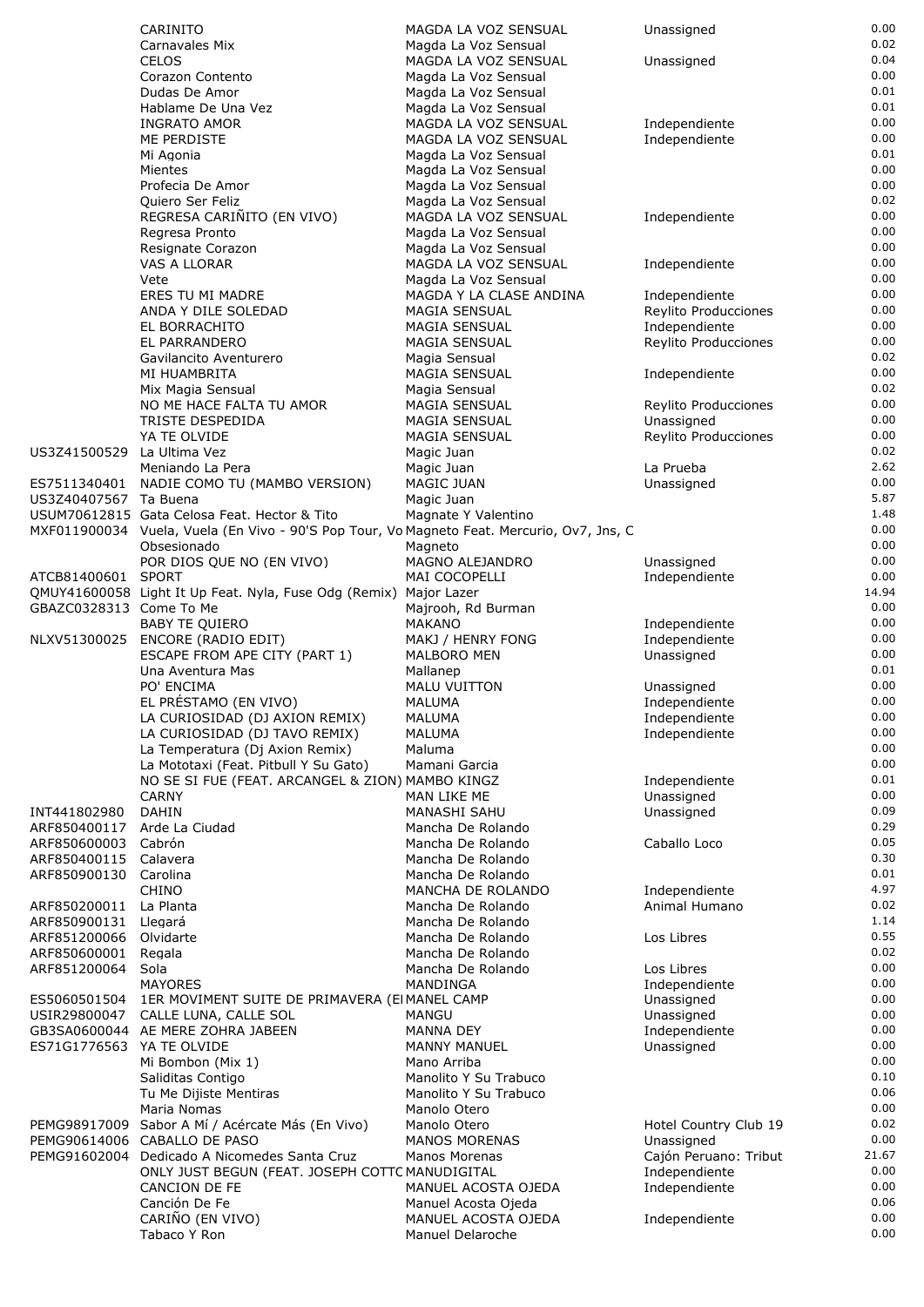|                              | CARINITO                                                                                   | MAGDA LA VOZ SENSUAL                           | Unassigned                         | 0.00         |
|------------------------------|--------------------------------------------------------------------------------------------|------------------------------------------------|------------------------------------|--------------|
|                              | Carnavales Mix                                                                             | Magda La Voz Sensual                           |                                    | 0.02         |
|                              | <b>CELOS</b>                                                                               | MAGDA LA VOZ SENSUAL                           | Unassigned                         | 0.04         |
|                              | Corazon Contento                                                                           | Magda La Voz Sensual                           |                                    | 0.00         |
|                              | Dudas De Amor                                                                              | Magda La Voz Sensual                           |                                    | 0.01         |
|                              | Hablame De Una Vez                                                                         | Magda La Voz Sensual                           |                                    | 0.01         |
|                              | <b>INGRATO AMOR</b>                                                                        | MAGDA LA VOZ SENSUAL                           | Independiente                      | 0.00         |
|                              | ME PERDISTE                                                                                | MAGDA LA VOZ SENSUAL                           | Independiente                      | 0.00         |
|                              | Mi Agonia                                                                                  | Magda La Voz Sensual                           |                                    | 0.01         |
|                              | Mientes                                                                                    | Magda La Voz Sensual                           |                                    | 0.00         |
|                              | Profecia De Amor                                                                           | Magda La Voz Sensual                           |                                    | 0.00         |
|                              | Quiero Ser Feliz                                                                           | Magda La Voz Sensual                           |                                    | 0.02<br>0.00 |
|                              | REGRESA CARIÑITO (EN VIVO)<br>Regresa Pronto                                               | MAGDA LA VOZ SENSUAL<br>Magda La Voz Sensual   | Independiente                      | 0.00         |
|                              | Resignate Corazon                                                                          | Magda La Voz Sensual                           |                                    | 0.00         |
|                              | VAS A LLORAR                                                                               | MAGDA LA VOZ SENSUAL                           | Independiente                      | 0.00         |
|                              | Vete                                                                                       | Magda La Voz Sensual                           |                                    | 0.00         |
|                              | ERES TU MI MADRE                                                                           | MAGDA Y LA CLASE ANDINA                        | Independiente                      | 0.00         |
|                              | ANDA Y DILE SOLEDAD                                                                        | MAGIA SENSUAL                                  | Reylito Producciones               | 0.00         |
|                              | EL BORRACHITO                                                                              | <b>MAGIA SENSUAL</b>                           | Independiente                      | 0.00         |
|                              | EL PARRANDERO                                                                              | <b>MAGIA SENSUAL</b>                           | Reylito Producciones               | 0.00         |
|                              | Gavilancito Aventurero                                                                     | Magia Sensual                                  |                                    | 0.02         |
|                              | MI HUAMBRITA                                                                               | MAGIA SENSUAL                                  | Independiente                      | 0.00         |
|                              | Mix Magia Sensual                                                                          | Magia Sensual                                  |                                    | 0.02<br>0.00 |
|                              | NO ME HACE FALTA TU AMOR<br>TRISTE DESPEDIDA                                               | MAGIA SENSUAL<br><b>MAGIA SENSUAL</b>          | Reylito Producciones<br>Unassigned | 0.00         |
|                              | YA TE OLVIDE                                                                               | <b>MAGIA SENSUAL</b>                           | Reylito Producciones               | 0.00         |
| US3Z41500529 La Ultima Vez   |                                                                                            | Magic Juan                                     |                                    | 0.02         |
|                              | Meniando La Pera                                                                           | Magic Juan                                     | La Prueba                          | 2.62         |
|                              | ES7511340401 NADIE COMO TU (MAMBO VERSION)                                                 | MAGIC JUAN                                     | Unassigned                         | 0.00         |
| US3Z40407567 Ta Buena        |                                                                                            | Magic Juan                                     |                                    | 5.87         |
|                              | USUM70612815 Gata Celosa Feat. Hector & Tito                                               | Magnate Y Valentino                            |                                    | 1.48         |
|                              | MXF011900034 Vuela, Vuela (En Vivo - 90'S Pop Tour, Vo Magneto Feat. Mercurio, Ov7, Jns, C |                                                |                                    | 0.00         |
|                              | Obsesionado                                                                                | Magneto                                        |                                    | 0.00         |
|                              | POR DIOS QUE NO (EN VIVO)                                                                  | MAGNO ALEJANDRO                                | Unassigned                         | 0.00         |
| ATCB81400601 SPORT           |                                                                                            | MAI COCOPELLI                                  | Independiente                      | 0.00         |
|                              | QMUY41600058 Light It Up Feat. Nyla, Fuse Odg (Remix) Major Lazer                          |                                                |                                    | 14.94        |
| GBAZC0328313 Come To Me      |                                                                                            | Majrooh, Rd Burman                             |                                    | 0.00<br>0.00 |
| NLXV51300025                 | <b>BABY TE OUIERO</b>                                                                      | <b>MAKANO</b><br>MAKJ / HENRY FONG             | Independiente<br>Independiente     | 0.00         |
|                              | ENCORE (RADIO EDIT)<br>ESCAPE FROM APE CITY (PART 1)                                       | MALBORO MEN                                    | Unassigned                         | 0.00         |
|                              | Una Aventura Mas                                                                           | Mallanep                                       |                                    | 0.01         |
|                              | PO' ENCIMA                                                                                 | <b>MALU VUITTON</b>                            | Unassigned                         | 0.00         |
|                              | EL PRÉSTAMO (EN VIVO)                                                                      | MALUMA                                         | Independiente                      | 0.00         |
|                              | LA CURIOSIDAD (DJ AXION REMIX)                                                             | MALUMA                                         | Independiente                      | 0.00         |
|                              | LA CURIOSIDAD (DJ TAVO REMIX)                                                              | MALUMA                                         | Independiente                      | 0.00         |
|                              | La Temperatura (Dj Axion Remix)                                                            | Maluma                                         |                                    | 0.00         |
|                              | La Mototaxi (Feat. Pitbull Y Su Gato)                                                      | Mamani Garcia                                  |                                    | 0.00         |
|                              | NO SE SI FUE (FEAT. ARCANGEL & ZION) MAMBO KINGZ                                           |                                                | Independiente                      | 0.01         |
|                              | <b>CARNY</b>                                                                               | MAN LIKE ME                                    | Unassigned                         | 0.00<br>0.09 |
| INT441802980                 | <b>DAHIN</b>                                                                               | <b>MANASHI SAHU</b>                            | Unassigned                         | 0.29         |
| ARF850400117<br>ARF850600003 | Arde La Ciudad<br>Cabrón                                                                   | Mancha De Rolando<br>Mancha De Rolando         | Caballo Loco                       | 0.05         |
| ARF850400115                 | Calavera                                                                                   | Mancha De Rolando                              |                                    | 0.30         |
| ARF850900130                 | Carolina                                                                                   | Mancha De Rolando                              |                                    | 0.01         |
|                              | <b>CHINO</b>                                                                               | MANCHA DE ROLANDO                              | Independiente                      | 4.97         |
| ARF850200011                 | La Planta                                                                                  | Mancha De Rolando                              | Animal Humano                      | 0.02         |
| ARF850900131                 | Llegará                                                                                    | Mancha De Rolando                              |                                    | 1.14         |
| ARF851200066                 | Olvidarte                                                                                  | Mancha De Rolando                              | Los Libres                         | 0.55         |
| ARF850600001                 | Regala                                                                                     | Mancha De Rolando                              |                                    | 0.02         |
| ARF851200064                 | Sola                                                                                       | Mancha De Rolando                              | Los Libres                         | 0.00         |
|                              | <b>MAYORES</b>                                                                             | MANDINGA                                       | Independiente                      | 0.00         |
| ES5060501504                 | 1ER MOVIMENT SUITE DE PRIMAVERA (EI MANEL CAMP                                             | <b>MANGU</b>                                   | Unassigned<br>Unassigned           | 0.00<br>0.00 |
| USIR29800047                 | CALLE LUNA, CALLE SOL<br>GB3SA0600044 AE MERE ZOHRA JABEEN                                 | <b>MANNA DEY</b>                               | Independiente                      | 0.00         |
| ES71G1776563 YA TE OLVIDE    |                                                                                            | <b>MANNY MANUEL</b>                            | Unassigned                         | 0.00         |
|                              | Mi Bombon (Mix 1)                                                                          | Mano Arriba                                    |                                    | 0.00         |
|                              | Saliditas Contigo                                                                          | Manolito Y Su Trabuco                          |                                    | 0.10         |
|                              | Tu Me Dijiste Mentiras                                                                     | Manolito Y Su Trabuco                          |                                    | 0.06         |
|                              | Maria Nomas                                                                                | Manolo Otero                                   |                                    | 0.00         |
| PEMG98917009                 | Sabor A Mí / Acércate Más (En Vivo)                                                        | Manolo Otero                                   | Hotel Country Club 19              | 0.02         |
|                              | PEMG90614006 CABALLO DE PASO                                                               | <b>MANOS MORENAS</b>                           | Unassigned                         | 0.00         |
| PEMG91602004                 | Dedicado A Nicomedes Santa Cruz                                                            | Manos Morenas                                  | Cajón Peruano: Tribut              | 21.67        |
|                              | ONLY JUST BEGUN (FEAT. JOSEPH COTTC MANUDIGITAL                                            |                                                | Independiente                      | 0.00         |
|                              | <b>CANCION DE FE</b>                                                                       | MANUEL ACOSTA OJEDA                            | Independiente                      | 0.00         |
|                              | Canción De Fe                                                                              | Manuel Acosta Ojeda                            |                                    | 0.06<br>0.00 |
|                              | CARIÑO (EN VIVO)<br>Tabaco Y Ron                                                           | MANUEL ACOSTA OJEDA<br><b>Manuel Delaroche</b> | Independiente                      | 0.00         |
|                              |                                                                                            |                                                |                                    |              |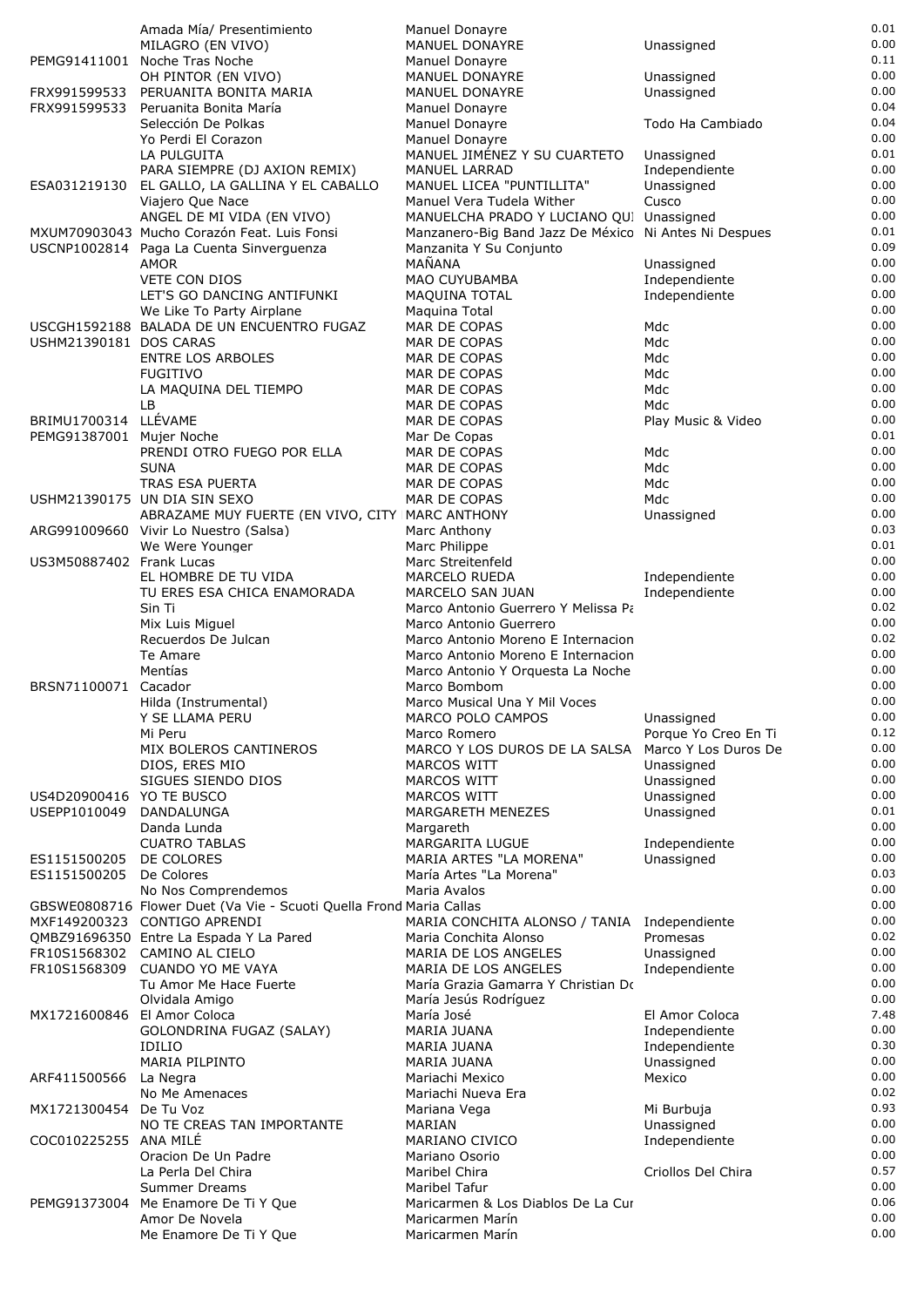|                             | Amada Mía/ Presentimiento                                              | Manuel Donayre                                         |                                | 0.01<br>0.00 |
|-----------------------------|------------------------------------------------------------------------|--------------------------------------------------------|--------------------------------|--------------|
|                             | MILAGRO (EN VIVO)<br>PEMG91411001 Noche Tras Noche                     | MANUEL DONAYRE                                         | Unassigned                     | 0.11         |
|                             | OH PINTOR (EN VIVO)                                                    | Manuel Donayre<br><b>MANUEL DONAYRE</b>                | Unassigned                     | 0.00         |
| FRX991599533                | PERUANITA BONITA MARIA                                                 | <b>MANUEL DONAYRE</b>                                  | Unassigned                     | 0.00         |
| FRX991599533                | Peruanita Bonita María                                                 | <b>Manuel Donayre</b>                                  |                                | 0.04         |
|                             | Selección De Polkas                                                    | Manuel Donayre                                         | Todo Ha Cambiado               | 0.04         |
|                             | Yo Perdi El Corazon                                                    | Manuel Donayre                                         |                                | 0.00         |
|                             | LA PULGUITA                                                            | MANUEL JIMÉNEZ Y SU CUARTETO                           | Unassigned                     | 0.01         |
|                             | PARA SIEMPRE (DJ AXION REMIX)                                          | <b>MANUEL LARRAD</b>                                   | Independiente                  | 0.00<br>0.00 |
| ESA031219130                | EL GALLO, LA GALLINA Y EL CABALLO<br>Viajero Que Nace                  | MANUEL LICEA "PUNTILLITA"<br>Manuel Vera Tudela Wither | Unassigned<br>Cusco            | 0.00         |
|                             | ANGEL DE MI VIDA (EN VIVO)                                             | MANUELCHA PRADO Y LUCIANO QUI Unassigned               |                                | 0.00         |
|                             | MXUM70903043 Mucho Corazón Feat. Luis Fonsi                            | Manzanero-Big Band Jazz De México Ni Antes Ni Despues  |                                | 0.01         |
|                             | USCNP1002814 Paga La Cuenta Sinverguenza                               | Manzanita Y Su Conjunto                                |                                | 0.09         |
|                             | <b>AMOR</b>                                                            | MAÑANA                                                 | Unassigned                     | 0.00         |
|                             | <b>VETE CON DIOS</b>                                                   | MAO CUYUBAMBA                                          | Independiente                  | 0.00         |
|                             | LET'S GO DANCING ANTIFUNKI                                             | MAQUINA TOTAL                                          | Independiente                  | 0.00<br>0.00 |
|                             | We Like To Party Airplane<br>USCGH1592188 BALADA DE UN ENCUENTRO FUGAZ | Maguina Total<br>MAR DE COPAS                          | Mdc                            | 0.00         |
| USHM21390181 DOS CARAS      |                                                                        | MAR DE COPAS                                           | Mdc                            | 0.00         |
|                             | <b>ENTRE LOS ARBOLES</b>                                               | MAR DE COPAS                                           | Mdc                            | 0.00         |
|                             | <b>FUGITIVO</b>                                                        | MAR DE COPAS                                           | Mdc                            | 0.00         |
|                             | LA MAQUINA DEL TIEMPO                                                  | MAR DE COPAS                                           | Mdc                            | 0.00         |
|                             | LB.                                                                    | MAR DE COPAS                                           | Mdc                            | 0.00         |
| BRIMU1700314                | LLÉVAME                                                                | MAR DE COPAS                                           | Play Music & Video             | 0.00         |
| PEMG91387001 Mujer Noche    |                                                                        | Mar De Copas                                           |                                | 0.01<br>0.00 |
|                             | PRENDI OTRO FUEGO POR ELLA<br><b>SUNA</b>                              | MAR DE COPAS<br>MAR DE COPAS                           | Mdc<br>Mdc                     | 0.00         |
|                             | TRAS ESA PUERTA                                                        | MAR DE COPAS                                           | Mdc                            | 0.00         |
|                             | USHM21390175 UN DIA SIN SEXO                                           | MAR DE COPAS                                           | Mdc                            | 0.00         |
|                             | ABRAZAME MUY FUERTE (EN VIVO, CITY IMARC ANTHONY                       |                                                        | Unassigned                     | 0.00         |
|                             | ARG991009660 Vivir Lo Nuestro (Salsa)                                  | Marc Anthony                                           |                                | 0.03         |
|                             | We Were Younger                                                        | Marc Philippe                                          |                                | 0.01         |
| US3M50887402 Frank Lucas    |                                                                        | Marc Streitenfeld                                      |                                | 0.00<br>0.00 |
|                             | EL HOMBRE DE TU VIDA<br>TU ERES ESA CHICA ENAMORADA                    | MARCELO RUEDA<br>MARCELO SAN JUAN                      | Independiente<br>Independiente | 0.00         |
|                             | Sin Ti                                                                 | Marco Antonio Guerrero Y Melissa Pa                    |                                | 0.02         |
|                             | Mix Luis Miguel                                                        | Marco Antonio Guerrero                                 |                                | 0.00         |
|                             | Recuerdos De Julcan                                                    | Marco Antonio Moreno E Internacion                     |                                | 0.02         |
|                             | Te Amare                                                               | Marco Antonio Moreno E Internacion                     |                                | 0.00         |
|                             | Mentías                                                                | Marco Antonio Y Orquesta La Noche                      |                                | 0.00         |
| BRSN71100071 Cacador        |                                                                        | Marco Bombom                                           |                                | 0.00         |
|                             | Hilda (Instrumental)<br>Y SE LLAMA PERU                                | Marco Musical Una Y Mil Voces<br>MARCO POLO CAMPOS     | Unassigned                     | 0.00<br>0.00 |
|                             | Mi Peru                                                                | Marco Romero                                           | Porque Yo Creo En Ti           | 0.12         |
|                             | MIX BOLEROS CANTINEROS                                                 | MARCO Y LOS DUROS DE LA SALSA Marco Y Los Duros De     |                                | 0.00         |
|                             | DIOS, ERES MIO                                                         | MARCOS WITT                                            | Unassigned                     | 0.00         |
|                             | SIGUES SIENDO DIOS                                                     | MARCOS WITT                                            | Unassigned                     | 0.00         |
| US4D20900416 YO TE BUSCO    |                                                                        | MARCOS WITT                                            | Unassigned                     | 0.00         |
| USEPP1010049                | DANDALUNGA                                                             | MARGARETH MENEZES                                      | Unassigned                     | 0.01<br>0.00 |
|                             | Danda Lunda<br><b>CUATRO TABLAS</b>                                    | Margareth<br>MARGARITA LUGUE                           | Independiente                  | 0.00         |
| ES1151500205                | DE COLORES                                                             | MARIA ARTES "LA MORENA"                                | Unassigned                     | 0.00         |
| ES1151500205                | De Colores                                                             | María Artes "La Morena"                                |                                | 0.03         |
|                             | No Nos Comprendemos                                                    | Maria Avalos                                           |                                | 0.00         |
|                             | GBSWE0808716 Flower Duet (Va Vie - Scuoti Quella Frond Maria Callas    |                                                        |                                | 0.00         |
|                             | MXF149200323 CONTIGO APRENDI                                           | MARIA CONCHITA ALONSO / TANIA Independiente            |                                | 0.00         |
|                             | QMBZ91696350 Entre La Espada Y La Pared                                | Maria Conchita Alonso                                  | Promesas                       | 0.02<br>0.00 |
| FR10S1568309                | FR10S1568302 CAMINO AL CIELO<br><b>CUANDO YO ME VAYA</b>               | MARIA DE LOS ANGELES<br>MARIA DE LOS ANGELES           | Unassigned<br>Independiente    | 0.00         |
|                             | Tu Amor Me Hace Fuerte                                                 | María Grazia Gamarra Y Christian Do                    |                                | 0.00         |
|                             | Olvidala Amigo                                                         | María Jesús Rodríguez                                  |                                | 0.00         |
| MX1721600846 El Amor Coloca |                                                                        | María José                                             | El Amor Coloca                 | 7.48         |
|                             | GOLONDRINA FUGAZ (SALAY)                                               | MARIA JUANA                                            | Independiente                  | 0.00         |
|                             | <b>IDILIO</b>                                                          | MARIA JUANA                                            | Independiente                  | 0.30<br>0.00 |
| ARF411500566                | <b>MARIA PILPINTO</b><br>La Negra                                      | MARIA JUANA<br>Mariachi Mexico                         | Unassigned<br>Mexico           | 0.00         |
|                             | No Me Amenaces                                                         | Mariachi Nueva Era                                     |                                | 0.02         |
| MX1721300454 De Tu Voz      |                                                                        | Mariana Vega                                           | Mi Burbuja                     | 0.93         |
|                             | NO TE CREAS TAN IMPORTANTE                                             | MARIAN                                                 | Unassigned                     | 0.00         |
| COC010225255 ANA MILÉ       |                                                                        | MARIANO CIVICO                                         | Independiente                  | 0.00         |
|                             | Oracion De Un Padre                                                    | Mariano Osorio                                         |                                | 0.00         |
|                             | La Perla Del Chira<br>Summer Dreams                                    | Maribel Chira<br>Maribel Tafur                         | Criollos Del Chira             | 0.57<br>0.00 |
| PEMG91373004                | Me Enamore De Ti Y Que                                                 | Maricarmen & Los Diablos De La Cur                     |                                | 0.06         |
|                             | Amor De Novela                                                         | Maricarmen Marín                                       |                                | 0.00         |
|                             | Me Enamore De Ti Y Que                                                 | Maricarmen Marín                                       |                                | 0.00         |
|                             |                                                                        |                                                        |                                |              |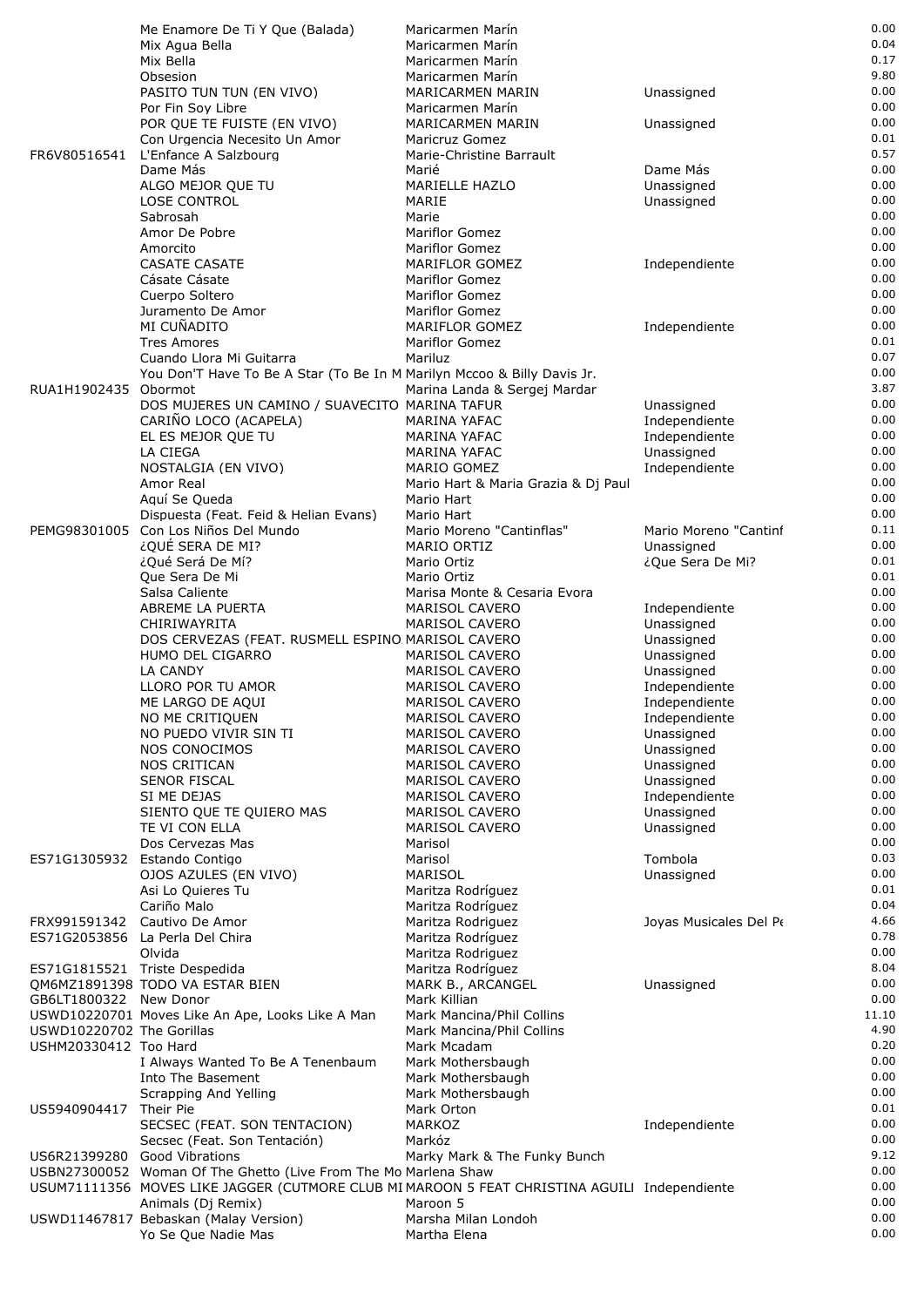|                              | Me Enamore De Ti Y Que (Balada)                                                              | Maricarmen Marín                    |                        | 0.00  |
|------------------------------|----------------------------------------------------------------------------------------------|-------------------------------------|------------------------|-------|
|                              | Mix Agua Bella                                                                               | Maricarmen Marín                    |                        | 0.04  |
|                              | Mix Bella                                                                                    | Maricarmen Marín                    |                        | 0.17  |
|                              | Obsesion                                                                                     | Maricarmen Marín                    |                        | 9.80  |
|                              | PASITO TUN TUN (EN VIVO)                                                                     | MARICARMEN MARIN                    | Unassigned             | 0.00  |
|                              | Por Fin Soy Libre                                                                            | Maricarmen Marín                    |                        | 0.00  |
|                              | POR QUE TE FUISTE (EN VIVO)                                                                  | MARICARMEN MARIN                    | Unassigned             | 0.00  |
|                              | Con Urgencia Necesito Un Amor                                                                | Maricruz Gomez                      |                        | 0.01  |
|                              | FR6V80516541 L'Enfance A Salzbourg                                                           | Marie-Christine Barrault            |                        | 0.57  |
|                              | Dame Más                                                                                     | Marié                               | Dame Más               | 0.00  |
|                              | ALGO MEJOR QUE TU                                                                            | MARIELLE HAZLO                      | Unassigned             | 0.00  |
|                              | LOSE CONTROL                                                                                 | MARIE                               | Unassigned             | 0.00  |
|                              | Sabrosah                                                                                     | Marie                               |                        | 0.00  |
|                              | Amor De Pobre                                                                                | <b>Mariflor Gomez</b>               |                        | 0.00  |
|                              | Amorcito                                                                                     | Mariflor Gomez                      |                        | 0.00  |
|                              | <b>CASATE CASATE</b>                                                                         | MARIFLOR GOMEZ                      | Independiente          | 0.00  |
|                              | Cásate Cásate                                                                                | Mariflor Gomez                      |                        | 0.00  |
|                              | Cuerpo Soltero                                                                               | Mariflor Gomez                      |                        | 0.00  |
|                              | Juramento De Amor                                                                            | <b>Mariflor Gomez</b>               |                        | 0.00  |
|                              | MI CUÑADITO                                                                                  | MARIFLOR GOMEZ                      | Independiente          | 0.00  |
|                              | <b>Tres Amores</b>                                                                           | <b>Mariflor Gomez</b>               |                        | 0.01  |
|                              | Cuando Llora Mi Guitarra                                                                     | Mariluz                             |                        | 0.07  |
|                              | You Don'T Have To Be A Star (To Be In M Marilyn Mccoo & Billy Davis Jr.                      |                                     |                        | 0.00  |
| RUA1H1902435 Obormot         |                                                                                              |                                     |                        | 3.87  |
|                              |                                                                                              | Marina Landa & Sergej Mardar        |                        | 0.00  |
|                              | DOS MUJERES UN CAMINO / SUAVECITO MARINA TAFUR                                               |                                     | Unassigned             |       |
|                              | CARIÑO LOCO (ACAPELA)                                                                        | MARINA YAFAC                        | Independiente          | 0.00  |
|                              | EL ES MEJOR QUE TU                                                                           | MARINA YAFAC                        | Independiente          | 0.00  |
|                              | LA CIEGA                                                                                     | <b>MARINA YAFAC</b>                 | Unassigned             | 0.00  |
|                              | NOSTALGIA (EN VIVO)                                                                          | MARIO GOMEZ                         | Independiente          | 0.00  |
|                              | Amor Real                                                                                    | Mario Hart & Maria Grazia & Dj Paul |                        | 0.00  |
|                              | Aquí Se Queda                                                                                | Mario Hart                          |                        | 0.00  |
|                              | Dispuesta (Feat. Feid & Helian Evans)                                                        | Mario Hart                          |                        | 0.00  |
|                              | PEMG98301005 Con Los Niños Del Mundo                                                         | Mario Moreno "Cantinflas"           | Mario Moreno "Cantinf  | 0.11  |
|                              | ¿QUÉ SERA DE MI?                                                                             | MARIO ORTIZ                         | Unassigned             | 0.00  |
|                              | ¿Qué Será De Mí?                                                                             | Mario Ortiz                         | ¿Que Sera De Mi?       | 0.01  |
|                              | Que Sera De Mi                                                                               | Mario Ortiz                         |                        | 0.01  |
|                              | Salsa Caliente                                                                               | Marisa Monte & Cesaria Evora        |                        | 0.00  |
|                              | ABREME LA PUERTA                                                                             | MARISOL CAVERO                      | Independiente          | 0.00  |
|                              | CHIRIWAYRITA                                                                                 | MARISOL CAVERO                      | Unassigned             | 0.00  |
|                              | DOS CERVEZAS (FEAT. RUSMELL ESPINO MARISOL CAVERO                                            |                                     | Unassigned             | 0.00  |
|                              | HUMO DEL CIGARRO                                                                             | MARISOL CAVERO                      | Unassigned             | 0.00  |
|                              | LA CANDY                                                                                     | <b>MARISOL CAVERO</b>               | Unassigned             | 0.00  |
|                              | LLORO POR TU AMOR                                                                            | MARISOL CAVERO                      | Independiente          | 0.00  |
|                              | ME LARGO DE AQUI                                                                             | MARISOL CAVERO                      | Independiente          | 0.00  |
|                              | NO ME CRITIQUEN                                                                              | MARISOL CAVERO                      | Independiente          | 0.00  |
|                              | NO PUEDO VIVIR SIN TI                                                                        | MARISOL CAVERO                      | Unassigned             | 0.00  |
|                              | NOS CONOCIMOS                                                                                | <b>MARISOL CAVERO</b>               | Unassigned             | 0.00  |
|                              | <b>NOS CRITICAN</b>                                                                          | <b>MARISOL CAVERO</b>               | Unassigned             | 0.00  |
|                              | <b>SENOR FISCAL</b>                                                                          | MARISOL CAVERO                      | Unassigned             | 0.00  |
|                              | SI ME DEJAS                                                                                  | <b>MARISOL CAVERO</b>               | Independiente          | 0.00  |
|                              | SIENTO QUE TE QUIERO MAS                                                                     | MARISOL CAVERO                      | Unassigned             | 0.00  |
|                              | TE VI CON ELLA                                                                               | MARISOL CAVERO                      | Unassigned             | 0.00  |
|                              | Dos Cervezas Mas                                                                             | Marisol                             |                        | 0.00  |
|                              | ES71G1305932 Estando Contigo                                                                 | Marisol                             | Tombola                | 0.03  |
|                              | OJOS AZULES (EN VIVO)                                                                        | MARISOL                             | Unassigned             | 0.00  |
|                              | Asi Lo Quieres Tu                                                                            | Maritza Rodríguez                   |                        | 0.01  |
|                              | Cariño Malo                                                                                  | Maritza Rodríguez                   |                        | 0.04  |
|                              | FRX991591342 Cautivo De Amor                                                                 | Maritza Rodriguez                   | Joyas Musicales Del Pe | 4.66  |
|                              | ES71G2053856 La Perla Del Chira                                                              | Maritza Rodríguez                   |                        | 0.78  |
|                              | Olvida                                                                                       |                                     |                        | 0.00  |
|                              |                                                                                              | Maritza Rodriguez                   |                        | 8.04  |
|                              | ES71G1815521 Triste Despedida                                                                | Maritza Rodríguez                   |                        | 0.00  |
|                              | QM6MZ1891398 TODO VA ESTAR BIEN                                                              | MARK B., ARCANGEL                   | Unassigned             | 0.00  |
| GB6LT1800322 New Donor       |                                                                                              | Mark Killian                        |                        | 11.10 |
|                              | USWD10220701 Moves Like An Ape, Looks Like A Man                                             | Mark Mancina/Phil Collins           |                        |       |
| USWD10220702 The Gorillas    |                                                                                              | Mark Mancina/Phil Collins           |                        | 4.90  |
| USHM20330412 Too Hard        |                                                                                              | Mark Mcadam                         |                        | 0.20  |
|                              | I Always Wanted To Be A Tenenbaum                                                            | Mark Mothersbaugh                   |                        | 0.00  |
|                              | Into The Basement                                                                            | Mark Mothersbaugh                   |                        | 0.00  |
|                              | Scrapping And Yelling                                                                        | Mark Mothersbaugh                   |                        | 0.00  |
| US5940904417                 | Their Pie                                                                                    | Mark Orton                          |                        | 0.01  |
|                              | SECSEC (FEAT. SON TENTACION)                                                                 | MARKOZ                              | Independiente          | 0.00  |
|                              | Secsec (Feat. Son Tentación)                                                                 | Markóz                              |                        | 0.00  |
| US6R21399280 Good Vibrations |                                                                                              | Marky Mark & The Funky Bunch        |                        | 9.12  |
|                              | USBN27300052 Woman Of The Ghetto (Live From The Mo Marlena Shaw                              |                                     |                        | 0.00  |
|                              | USUM71111356 MOVES LIKE JAGGER (CUTMORE CLUB MI MAROON 5 FEAT CHRISTINA AGUILI Independiente |                                     |                        | 0.00  |
|                              | Animals (Dj Remix)                                                                           | Maroon 5                            |                        | 0.00  |
|                              | USWD11467817 Bebaskan (Malay Version)                                                        | Marsha Milan Londoh                 |                        | 0.00  |
|                              | Yo Se Que Nadie Mas                                                                          | Martha Elena                        |                        | 0.00  |
|                              |                                                                                              |                                     |                        |       |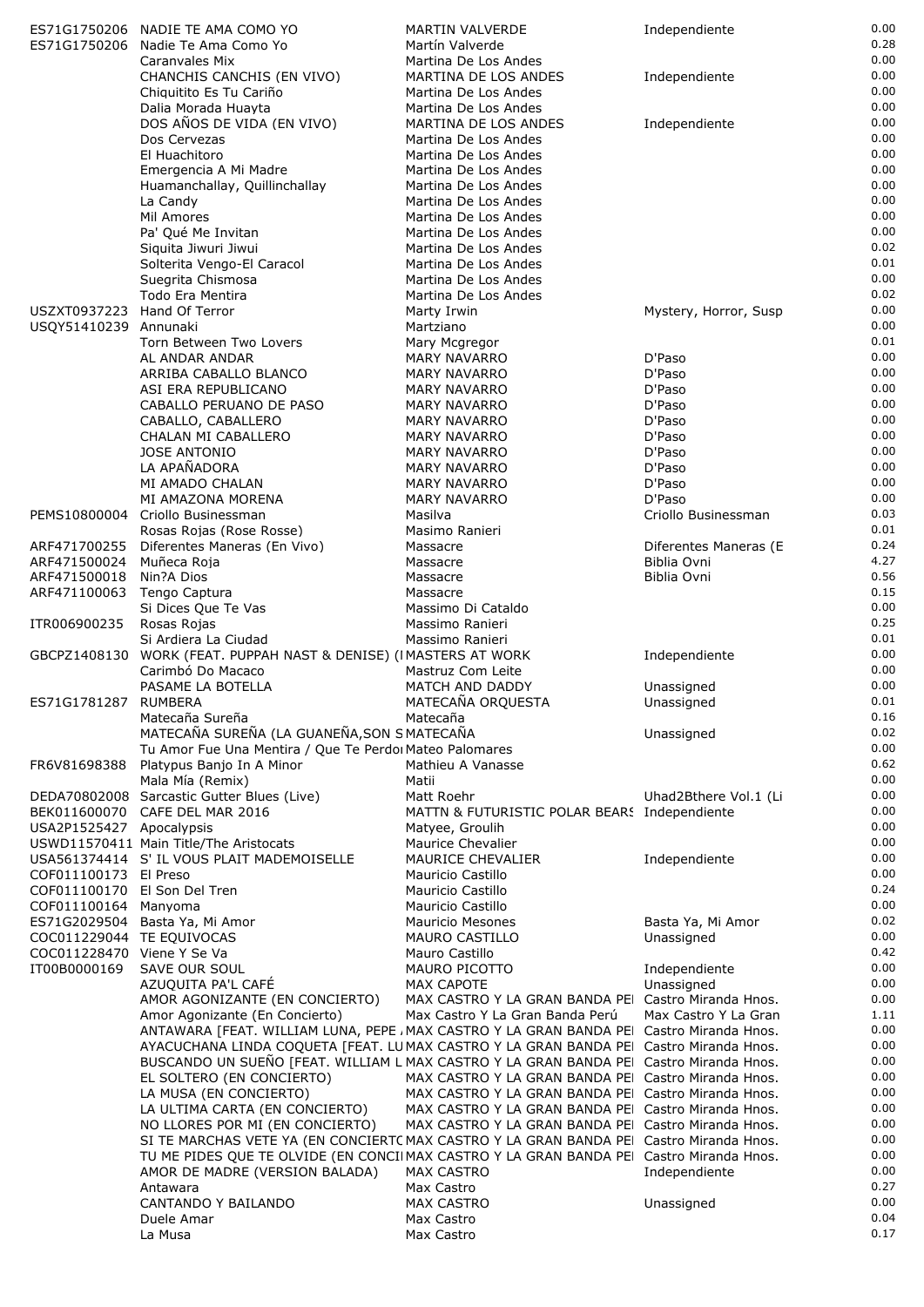| 0.00<br>CHANCHIS CANCHIS (EN VIVO)<br>MARTINA DE LOS ANDES<br>Independiente<br>0.00<br>Chiquitito Es Tu Cariño<br>Martina De Los Andes<br>0.00<br>Dalia Morada Huayta<br>Martina De Los Andes<br>0.00<br>DOS AÑOS DE VIDA (EN VIVO)<br>MARTINA DE LOS ANDES<br>Independiente<br>0.00<br>Dos Cervezas<br>Martina De Los Andes<br>0.00<br>El Huachitoro<br>Martina De Los Andes<br>0.00<br>Emergencia A Mi Madre<br>Martina De Los Andes<br>0.00<br>Huamanchallay, Quillinchallay<br>Martina De Los Andes<br>0.00<br>La Candy<br>Martina De Los Andes<br>0.00<br>Mil Amores<br>Martina De Los Andes<br>0.00<br>Pa' Qué Me Invitan<br>Martina De Los Andes<br>0.02<br>Siquita Jiwuri Jiwui<br>Martina De Los Andes<br>0.01<br>Solterita Vengo-El Caracol<br>Martina De Los Andes<br>0.00<br>Suegrita Chismosa<br>Martina De Los Andes<br>0.02<br>Todo Era Mentira<br>Martina De Los Andes<br>0.00<br>Hand Of Terror<br>USZXT0937223<br>Mystery, Horror, Susp<br>Marty Irwin<br>0.00<br>USQY51410239 Annunaki<br>Martziano<br>0.01<br>Torn Between Two Lovers<br>Mary Mcgregor<br>0.00<br>AL ANDAR ANDAR<br>D'Paso<br><b>MARY NAVARRO</b><br>0.00<br>D'Paso<br>ARRIBA CABALLO BLANCO<br><b>MARY NAVARRO</b><br>D'Paso<br>0.00<br>ASI ERA REPUBLICANO<br><b>MARY NAVARRO</b><br>0.00<br>D'Paso<br>CABALLO PERUANO DE PASO<br><b>MARY NAVARRO</b><br>0.00<br>D'Paso<br>CABALLO, CABALLERO<br><b>MARY NAVARRO</b><br>0.00<br><b>MARY NAVARRO</b><br>D'Paso<br>CHALAN MI CABALLERO<br>0.00<br><b>JOSE ANTONIO</b><br>D'Paso<br><b>MARY NAVARRO</b><br>LA APAÑADORA<br>0.00<br><b>MARY NAVARRO</b><br>D'Paso<br>0.00<br>D'Paso<br>MI AMADO CHALAN<br><b>MARY NAVARRO</b><br>0.00<br>MI AMAZONA MORENA<br>D'Paso<br><b>MARY NAVARRO</b><br>0.03<br>Criollo Businessman<br>PEMS10800004<br>Criollo Businessman<br>Masilva<br>0.01<br>Rosas Rojas (Rose Rosse)<br>Masimo Ranieri<br>0.24<br>ARF471700255<br>Diferentes Maneras (En Vivo)<br>Diferentes Maneras (E<br>Massacre<br>4.27<br>Biblia Ovni<br>ARF471500024<br>Muñeca Roja<br>Massacre<br>0.56<br>Nin?A Dios<br>ARF471500018<br>Massacre<br>Biblia Ovni<br>0.15<br>ARF471100063 Tengo Captura<br>Massacre<br>0.00<br>Si Dices Que Te Vas<br>Massimo Di Cataldo<br>0.25<br>ITR006900235<br>Rosas Rojas<br>Massimo Ranieri<br>0.01<br>Si Ardiera La Ciudad<br>Massimo Ranieri<br>0.00<br>GBCPZ1408130 WORK (FEAT. PUPPAH NAST & DENISE) (IMASTERS AT WORK<br>Independiente<br>0.00<br>Carimbó Do Macaco<br>Mastruz Com Leite<br>0.00<br>PASAME LA BOTELLA<br>MATCH AND DADDY<br>Unassigned<br>MATECAÑA ORQUESTA<br>0.01<br>ES71G1781287 RUMBERA<br>Unassigned<br>0.16<br>Matecaña Sureña<br>Matecaña<br>MATECAÑA SUREÑA (LA GUANEÑA, SON S MATECAÑA<br>0.02<br>Unassigned<br>0.00<br>Tu Amor Fue Una Mentira / Que Te Perdoi Mateo Palomares<br>0.62<br>FR6V81698388<br>Platypus Banio In A Minor<br>Mathieu A Vanasse<br>0.00<br>Mala Mía (Remix)<br>Matii<br>0.00<br>DEDA70802008 Sarcastic Gutter Blues (Live)<br>Uhad2Bthere Vol.1 (Li<br>Matt Roehr<br>0.00<br>BEK011600070 CAFE DEL MAR 2016<br>MATTN & FUTURISTIC POLAR BEARS Independiente<br>0.00<br>USA2P1525427 Apocalypsis<br>Matyee, Groulih<br>USWD11570411 Main Title/The Aristocats<br>0.00<br>Maurice Chevalier<br>0.00<br>USA561374414 S' IL VOUS PLAIT MADEMOISELLE<br><b>MAURICE CHEVALIER</b><br>Independiente<br>0.00<br>COF011100173 El Preso<br>Mauricio Castillo<br>0.24<br>COF011100170 El Son Del Tren<br>Mauricio Castillo<br>0.00<br>COF011100164 Manyoma<br>Mauricio Castillo<br>0.02<br>ES71G2029504 Basta Ya, Mi Amor<br>Mauricio Mesones<br>Basta Ya, Mi Amor<br>0.00<br>COC011229044 TE EQUIVOCAS<br><b>MAURO CASTILLO</b><br>Unassigned<br>0.42<br>COC011228470 Viene Y Se Va<br>Mauro Castillo<br>0.00<br>IT00B0000169<br>SAVE OUR SOUL<br>MAURO PICOTTO<br>Independiente<br>0.00<br>AZUQUITA PA'L CAFÉ<br>MAX CAPOTE<br>Unassigned<br>AMOR AGONIZANTE (EN CONCIERTO)<br>MAX CASTRO Y LA GRAN BANDA PEI Castro Miranda Hnos.<br>0.00<br>1.11<br>Amor Agonizante (En Concierto)<br>Max Castro Y La Gran Banda Perú<br>Max Castro Y La Gran<br>0.00<br>ANTAWARA [FEAT. WILLIAM LUNA, PEPE , MAX CASTRO Y LA GRAN BANDA PEI Castro Miranda Hnos.<br>0.00<br>AYACUCHANA LINDA COQUETA [FEAT. LUMAX CASTRO Y LA GRAN BANDA PEI Castro Miranda Hnos.<br>BUSCANDO UN SUEÑO [FEAT. WILLIAM L MAX CASTRO Y LA GRAN BANDA PEI Castro Miranda Hnos.<br>0.00<br>0.00<br>EL SOLTERO (EN CONCIERTO)<br>MAX CASTRO Y LA GRAN BANDA PEI Castro Miranda Hnos.<br>0.00<br>MAX CASTRO Y LA GRAN BANDA PEI Castro Miranda Hnos.<br>LA MUSA (EN CONCIERTO)<br>0.00<br>MAX CASTRO Y LA GRAN BANDA PEI Castro Miranda Hnos.<br>LA ULTIMA CARTA (EN CONCIERTO)<br>0.00<br>MAX CASTRO Y LA GRAN BANDA PEI Castro Miranda Hnos.<br>NO LLORES POR MI (EN CONCIERTO)<br>SI TE MARCHAS VETE YA (EN CONCIERTC MAX CASTRO Y LA GRAN BANDA PEI Castro Miranda Hnos.<br>0.00<br>0.00<br>TU ME PIDES QUE TE OLVIDE (EN CONCIIMAX CASTRO Y LA GRAN BANDA PEI Castro Miranda Hnos.<br>0.00<br><b>MAX CASTRO</b><br>AMOR DE MADRE (VERSION BALADA)<br>Independiente<br>0.27<br>Antawara<br>Max Castro<br>0.00<br>CANTANDO Y BAILANDO<br>MAX CASTRO<br>Unassigned<br>0.04<br>Duele Amar<br>Max Castro<br>0.17<br>Max Castro<br>La Musa | ES71G1750206 | ES71G1750206 NADIE TE AMA COMO YO<br>Nadie Te Ama Como Yo | <b>MARTIN VALVERDE</b><br>Martín Valverde | Independiente | 0.00<br>0.28 |
|---------------------------------------------------------------------------------------------------------------------------------------------------------------------------------------------------------------------------------------------------------------------------------------------------------------------------------------------------------------------------------------------------------------------------------------------------------------------------------------------------------------------------------------------------------------------------------------------------------------------------------------------------------------------------------------------------------------------------------------------------------------------------------------------------------------------------------------------------------------------------------------------------------------------------------------------------------------------------------------------------------------------------------------------------------------------------------------------------------------------------------------------------------------------------------------------------------------------------------------------------------------------------------------------------------------------------------------------------------------------------------------------------------------------------------------------------------------------------------------------------------------------------------------------------------------------------------------------------------------------------------------------------------------------------------------------------------------------------------------------------------------------------------------------------------------------------------------------------------------------------------------------------------------------------------------------------------------------------------------------------------------------------------------------------------------------------------------------------------------------------------------------------------------------------------------------------------------------------------------------------------------------------------------------------------------------------------------------------------------------------------------------------------------------------------------------------------------------------------------------------------------------------------------------------------------------------------------------------------------------------------------------------------------------------------------------------------------------------------------------------------------------------------------------------------------------------------------------------------------------------------------------------------------------------------------------------------------------------------------------------------------------------------------------------------------------------------------------------------------------------------------------------------------------------------------------------------------------------------------------------------------------------------------------------------------------------------------------------------------------------------------------------------------------------------------------------------------------------------------------------------------------------------------------------------------------------------------------------------------------------------------------------------------------------------------------------------------------------------------------------------------------------------------------------------------------------------------------------------------------------------------------------------------------------------------------------------------------------------------------------------------------------------------------------------------------------------------------------------------------------------------------------------------------------------------------------------------------------------------------------------------------------------------------------------------------------------------------------------------------------------------------------------------------------------------------------------------------------------------------------------------------------------------------------------------------------------------------------------------------------------------------------------------------------------------------------------------------------------------------------------------------------------------------------------------------------------------------------------------------------------------------------------------------------------------------------------------------------------------------------------------------------------------------------------------------------------------------------------------------------------------------------------------------------------------------------------------------------------|--------------|-----------------------------------------------------------|-------------------------------------------|---------------|--------------|
|                                                                                                                                                                                                                                                                                                                                                                                                                                                                                                                                                                                                                                                                                                                                                                                                                                                                                                                                                                                                                                                                                                                                                                                                                                                                                                                                                                                                                                                                                                                                                                                                                                                                                                                                                                                                                                                                                                                                                                                                                                                                                                                                                                                                                                                                                                                                                                                                                                                                                                                                                                                                                                                                                                                                                                                                                                                                                                                                                                                                                                                                                                                                                                                                                                                                                                                                                                                                                                                                                                                                                                                                                                                                                                                                                                                                                                                                                                                                                                                                                                                                                                                                                                                                                                                                                                                                                                                                                                                                                                                                                                                                                                                                                                                                                                                                                                                                                                                                                                                                                                                                                                                                                                                                                                 |              | Caranvales Mix                                            | Martina De Los Andes                      |               | 0.00         |
|                                                                                                                                                                                                                                                                                                                                                                                                                                                                                                                                                                                                                                                                                                                                                                                                                                                                                                                                                                                                                                                                                                                                                                                                                                                                                                                                                                                                                                                                                                                                                                                                                                                                                                                                                                                                                                                                                                                                                                                                                                                                                                                                                                                                                                                                                                                                                                                                                                                                                                                                                                                                                                                                                                                                                                                                                                                                                                                                                                                                                                                                                                                                                                                                                                                                                                                                                                                                                                                                                                                                                                                                                                                                                                                                                                                                                                                                                                                                                                                                                                                                                                                                                                                                                                                                                                                                                                                                                                                                                                                                                                                                                                                                                                                                                                                                                                                                                                                                                                                                                                                                                                                                                                                                                                 |              |                                                           |                                           |               |              |
|                                                                                                                                                                                                                                                                                                                                                                                                                                                                                                                                                                                                                                                                                                                                                                                                                                                                                                                                                                                                                                                                                                                                                                                                                                                                                                                                                                                                                                                                                                                                                                                                                                                                                                                                                                                                                                                                                                                                                                                                                                                                                                                                                                                                                                                                                                                                                                                                                                                                                                                                                                                                                                                                                                                                                                                                                                                                                                                                                                                                                                                                                                                                                                                                                                                                                                                                                                                                                                                                                                                                                                                                                                                                                                                                                                                                                                                                                                                                                                                                                                                                                                                                                                                                                                                                                                                                                                                                                                                                                                                                                                                                                                                                                                                                                                                                                                                                                                                                                                                                                                                                                                                                                                                                                                 |              |                                                           |                                           |               |              |
|                                                                                                                                                                                                                                                                                                                                                                                                                                                                                                                                                                                                                                                                                                                                                                                                                                                                                                                                                                                                                                                                                                                                                                                                                                                                                                                                                                                                                                                                                                                                                                                                                                                                                                                                                                                                                                                                                                                                                                                                                                                                                                                                                                                                                                                                                                                                                                                                                                                                                                                                                                                                                                                                                                                                                                                                                                                                                                                                                                                                                                                                                                                                                                                                                                                                                                                                                                                                                                                                                                                                                                                                                                                                                                                                                                                                                                                                                                                                                                                                                                                                                                                                                                                                                                                                                                                                                                                                                                                                                                                                                                                                                                                                                                                                                                                                                                                                                                                                                                                                                                                                                                                                                                                                                                 |              |                                                           |                                           |               |              |
|                                                                                                                                                                                                                                                                                                                                                                                                                                                                                                                                                                                                                                                                                                                                                                                                                                                                                                                                                                                                                                                                                                                                                                                                                                                                                                                                                                                                                                                                                                                                                                                                                                                                                                                                                                                                                                                                                                                                                                                                                                                                                                                                                                                                                                                                                                                                                                                                                                                                                                                                                                                                                                                                                                                                                                                                                                                                                                                                                                                                                                                                                                                                                                                                                                                                                                                                                                                                                                                                                                                                                                                                                                                                                                                                                                                                                                                                                                                                                                                                                                                                                                                                                                                                                                                                                                                                                                                                                                                                                                                                                                                                                                                                                                                                                                                                                                                                                                                                                                                                                                                                                                                                                                                                                                 |              |                                                           |                                           |               |              |
|                                                                                                                                                                                                                                                                                                                                                                                                                                                                                                                                                                                                                                                                                                                                                                                                                                                                                                                                                                                                                                                                                                                                                                                                                                                                                                                                                                                                                                                                                                                                                                                                                                                                                                                                                                                                                                                                                                                                                                                                                                                                                                                                                                                                                                                                                                                                                                                                                                                                                                                                                                                                                                                                                                                                                                                                                                                                                                                                                                                                                                                                                                                                                                                                                                                                                                                                                                                                                                                                                                                                                                                                                                                                                                                                                                                                                                                                                                                                                                                                                                                                                                                                                                                                                                                                                                                                                                                                                                                                                                                                                                                                                                                                                                                                                                                                                                                                                                                                                                                                                                                                                                                                                                                                                                 |              |                                                           |                                           |               |              |
|                                                                                                                                                                                                                                                                                                                                                                                                                                                                                                                                                                                                                                                                                                                                                                                                                                                                                                                                                                                                                                                                                                                                                                                                                                                                                                                                                                                                                                                                                                                                                                                                                                                                                                                                                                                                                                                                                                                                                                                                                                                                                                                                                                                                                                                                                                                                                                                                                                                                                                                                                                                                                                                                                                                                                                                                                                                                                                                                                                                                                                                                                                                                                                                                                                                                                                                                                                                                                                                                                                                                                                                                                                                                                                                                                                                                                                                                                                                                                                                                                                                                                                                                                                                                                                                                                                                                                                                                                                                                                                                                                                                                                                                                                                                                                                                                                                                                                                                                                                                                                                                                                                                                                                                                                                 |              |                                                           |                                           |               |              |
|                                                                                                                                                                                                                                                                                                                                                                                                                                                                                                                                                                                                                                                                                                                                                                                                                                                                                                                                                                                                                                                                                                                                                                                                                                                                                                                                                                                                                                                                                                                                                                                                                                                                                                                                                                                                                                                                                                                                                                                                                                                                                                                                                                                                                                                                                                                                                                                                                                                                                                                                                                                                                                                                                                                                                                                                                                                                                                                                                                                                                                                                                                                                                                                                                                                                                                                                                                                                                                                                                                                                                                                                                                                                                                                                                                                                                                                                                                                                                                                                                                                                                                                                                                                                                                                                                                                                                                                                                                                                                                                                                                                                                                                                                                                                                                                                                                                                                                                                                                                                                                                                                                                                                                                                                                 |              |                                                           |                                           |               |              |
|                                                                                                                                                                                                                                                                                                                                                                                                                                                                                                                                                                                                                                                                                                                                                                                                                                                                                                                                                                                                                                                                                                                                                                                                                                                                                                                                                                                                                                                                                                                                                                                                                                                                                                                                                                                                                                                                                                                                                                                                                                                                                                                                                                                                                                                                                                                                                                                                                                                                                                                                                                                                                                                                                                                                                                                                                                                                                                                                                                                                                                                                                                                                                                                                                                                                                                                                                                                                                                                                                                                                                                                                                                                                                                                                                                                                                                                                                                                                                                                                                                                                                                                                                                                                                                                                                                                                                                                                                                                                                                                                                                                                                                                                                                                                                                                                                                                                                                                                                                                                                                                                                                                                                                                                                                 |              |                                                           |                                           |               |              |
|                                                                                                                                                                                                                                                                                                                                                                                                                                                                                                                                                                                                                                                                                                                                                                                                                                                                                                                                                                                                                                                                                                                                                                                                                                                                                                                                                                                                                                                                                                                                                                                                                                                                                                                                                                                                                                                                                                                                                                                                                                                                                                                                                                                                                                                                                                                                                                                                                                                                                                                                                                                                                                                                                                                                                                                                                                                                                                                                                                                                                                                                                                                                                                                                                                                                                                                                                                                                                                                                                                                                                                                                                                                                                                                                                                                                                                                                                                                                                                                                                                                                                                                                                                                                                                                                                                                                                                                                                                                                                                                                                                                                                                                                                                                                                                                                                                                                                                                                                                                                                                                                                                                                                                                                                                 |              |                                                           |                                           |               |              |
|                                                                                                                                                                                                                                                                                                                                                                                                                                                                                                                                                                                                                                                                                                                                                                                                                                                                                                                                                                                                                                                                                                                                                                                                                                                                                                                                                                                                                                                                                                                                                                                                                                                                                                                                                                                                                                                                                                                                                                                                                                                                                                                                                                                                                                                                                                                                                                                                                                                                                                                                                                                                                                                                                                                                                                                                                                                                                                                                                                                                                                                                                                                                                                                                                                                                                                                                                                                                                                                                                                                                                                                                                                                                                                                                                                                                                                                                                                                                                                                                                                                                                                                                                                                                                                                                                                                                                                                                                                                                                                                                                                                                                                                                                                                                                                                                                                                                                                                                                                                                                                                                                                                                                                                                                                 |              |                                                           |                                           |               |              |
|                                                                                                                                                                                                                                                                                                                                                                                                                                                                                                                                                                                                                                                                                                                                                                                                                                                                                                                                                                                                                                                                                                                                                                                                                                                                                                                                                                                                                                                                                                                                                                                                                                                                                                                                                                                                                                                                                                                                                                                                                                                                                                                                                                                                                                                                                                                                                                                                                                                                                                                                                                                                                                                                                                                                                                                                                                                                                                                                                                                                                                                                                                                                                                                                                                                                                                                                                                                                                                                                                                                                                                                                                                                                                                                                                                                                                                                                                                                                                                                                                                                                                                                                                                                                                                                                                                                                                                                                                                                                                                                                                                                                                                                                                                                                                                                                                                                                                                                                                                                                                                                                                                                                                                                                                                 |              |                                                           |                                           |               |              |
|                                                                                                                                                                                                                                                                                                                                                                                                                                                                                                                                                                                                                                                                                                                                                                                                                                                                                                                                                                                                                                                                                                                                                                                                                                                                                                                                                                                                                                                                                                                                                                                                                                                                                                                                                                                                                                                                                                                                                                                                                                                                                                                                                                                                                                                                                                                                                                                                                                                                                                                                                                                                                                                                                                                                                                                                                                                                                                                                                                                                                                                                                                                                                                                                                                                                                                                                                                                                                                                                                                                                                                                                                                                                                                                                                                                                                                                                                                                                                                                                                                                                                                                                                                                                                                                                                                                                                                                                                                                                                                                                                                                                                                                                                                                                                                                                                                                                                                                                                                                                                                                                                                                                                                                                                                 |              |                                                           |                                           |               |              |
|                                                                                                                                                                                                                                                                                                                                                                                                                                                                                                                                                                                                                                                                                                                                                                                                                                                                                                                                                                                                                                                                                                                                                                                                                                                                                                                                                                                                                                                                                                                                                                                                                                                                                                                                                                                                                                                                                                                                                                                                                                                                                                                                                                                                                                                                                                                                                                                                                                                                                                                                                                                                                                                                                                                                                                                                                                                                                                                                                                                                                                                                                                                                                                                                                                                                                                                                                                                                                                                                                                                                                                                                                                                                                                                                                                                                                                                                                                                                                                                                                                                                                                                                                                                                                                                                                                                                                                                                                                                                                                                                                                                                                                                                                                                                                                                                                                                                                                                                                                                                                                                                                                                                                                                                                                 |              |                                                           |                                           |               |              |
|                                                                                                                                                                                                                                                                                                                                                                                                                                                                                                                                                                                                                                                                                                                                                                                                                                                                                                                                                                                                                                                                                                                                                                                                                                                                                                                                                                                                                                                                                                                                                                                                                                                                                                                                                                                                                                                                                                                                                                                                                                                                                                                                                                                                                                                                                                                                                                                                                                                                                                                                                                                                                                                                                                                                                                                                                                                                                                                                                                                                                                                                                                                                                                                                                                                                                                                                                                                                                                                                                                                                                                                                                                                                                                                                                                                                                                                                                                                                                                                                                                                                                                                                                                                                                                                                                                                                                                                                                                                                                                                                                                                                                                                                                                                                                                                                                                                                                                                                                                                                                                                                                                                                                                                                                                 |              |                                                           |                                           |               |              |
|                                                                                                                                                                                                                                                                                                                                                                                                                                                                                                                                                                                                                                                                                                                                                                                                                                                                                                                                                                                                                                                                                                                                                                                                                                                                                                                                                                                                                                                                                                                                                                                                                                                                                                                                                                                                                                                                                                                                                                                                                                                                                                                                                                                                                                                                                                                                                                                                                                                                                                                                                                                                                                                                                                                                                                                                                                                                                                                                                                                                                                                                                                                                                                                                                                                                                                                                                                                                                                                                                                                                                                                                                                                                                                                                                                                                                                                                                                                                                                                                                                                                                                                                                                                                                                                                                                                                                                                                                                                                                                                                                                                                                                                                                                                                                                                                                                                                                                                                                                                                                                                                                                                                                                                                                                 |              |                                                           |                                           |               |              |
|                                                                                                                                                                                                                                                                                                                                                                                                                                                                                                                                                                                                                                                                                                                                                                                                                                                                                                                                                                                                                                                                                                                                                                                                                                                                                                                                                                                                                                                                                                                                                                                                                                                                                                                                                                                                                                                                                                                                                                                                                                                                                                                                                                                                                                                                                                                                                                                                                                                                                                                                                                                                                                                                                                                                                                                                                                                                                                                                                                                                                                                                                                                                                                                                                                                                                                                                                                                                                                                                                                                                                                                                                                                                                                                                                                                                                                                                                                                                                                                                                                                                                                                                                                                                                                                                                                                                                                                                                                                                                                                                                                                                                                                                                                                                                                                                                                                                                                                                                                                                                                                                                                                                                                                                                                 |              |                                                           |                                           |               |              |
|                                                                                                                                                                                                                                                                                                                                                                                                                                                                                                                                                                                                                                                                                                                                                                                                                                                                                                                                                                                                                                                                                                                                                                                                                                                                                                                                                                                                                                                                                                                                                                                                                                                                                                                                                                                                                                                                                                                                                                                                                                                                                                                                                                                                                                                                                                                                                                                                                                                                                                                                                                                                                                                                                                                                                                                                                                                                                                                                                                                                                                                                                                                                                                                                                                                                                                                                                                                                                                                                                                                                                                                                                                                                                                                                                                                                                                                                                                                                                                                                                                                                                                                                                                                                                                                                                                                                                                                                                                                                                                                                                                                                                                                                                                                                                                                                                                                                                                                                                                                                                                                                                                                                                                                                                                 |              |                                                           |                                           |               |              |
|                                                                                                                                                                                                                                                                                                                                                                                                                                                                                                                                                                                                                                                                                                                                                                                                                                                                                                                                                                                                                                                                                                                                                                                                                                                                                                                                                                                                                                                                                                                                                                                                                                                                                                                                                                                                                                                                                                                                                                                                                                                                                                                                                                                                                                                                                                                                                                                                                                                                                                                                                                                                                                                                                                                                                                                                                                                                                                                                                                                                                                                                                                                                                                                                                                                                                                                                                                                                                                                                                                                                                                                                                                                                                                                                                                                                                                                                                                                                                                                                                                                                                                                                                                                                                                                                                                                                                                                                                                                                                                                                                                                                                                                                                                                                                                                                                                                                                                                                                                                                                                                                                                                                                                                                                                 |              |                                                           |                                           |               |              |
|                                                                                                                                                                                                                                                                                                                                                                                                                                                                                                                                                                                                                                                                                                                                                                                                                                                                                                                                                                                                                                                                                                                                                                                                                                                                                                                                                                                                                                                                                                                                                                                                                                                                                                                                                                                                                                                                                                                                                                                                                                                                                                                                                                                                                                                                                                                                                                                                                                                                                                                                                                                                                                                                                                                                                                                                                                                                                                                                                                                                                                                                                                                                                                                                                                                                                                                                                                                                                                                                                                                                                                                                                                                                                                                                                                                                                                                                                                                                                                                                                                                                                                                                                                                                                                                                                                                                                                                                                                                                                                                                                                                                                                                                                                                                                                                                                                                                                                                                                                                                                                                                                                                                                                                                                                 |              |                                                           |                                           |               |              |
|                                                                                                                                                                                                                                                                                                                                                                                                                                                                                                                                                                                                                                                                                                                                                                                                                                                                                                                                                                                                                                                                                                                                                                                                                                                                                                                                                                                                                                                                                                                                                                                                                                                                                                                                                                                                                                                                                                                                                                                                                                                                                                                                                                                                                                                                                                                                                                                                                                                                                                                                                                                                                                                                                                                                                                                                                                                                                                                                                                                                                                                                                                                                                                                                                                                                                                                                                                                                                                                                                                                                                                                                                                                                                                                                                                                                                                                                                                                                                                                                                                                                                                                                                                                                                                                                                                                                                                                                                                                                                                                                                                                                                                                                                                                                                                                                                                                                                                                                                                                                                                                                                                                                                                                                                                 |              |                                                           |                                           |               |              |
|                                                                                                                                                                                                                                                                                                                                                                                                                                                                                                                                                                                                                                                                                                                                                                                                                                                                                                                                                                                                                                                                                                                                                                                                                                                                                                                                                                                                                                                                                                                                                                                                                                                                                                                                                                                                                                                                                                                                                                                                                                                                                                                                                                                                                                                                                                                                                                                                                                                                                                                                                                                                                                                                                                                                                                                                                                                                                                                                                                                                                                                                                                                                                                                                                                                                                                                                                                                                                                                                                                                                                                                                                                                                                                                                                                                                                                                                                                                                                                                                                                                                                                                                                                                                                                                                                                                                                                                                                                                                                                                                                                                                                                                                                                                                                                                                                                                                                                                                                                                                                                                                                                                                                                                                                                 |              |                                                           |                                           |               |              |
|                                                                                                                                                                                                                                                                                                                                                                                                                                                                                                                                                                                                                                                                                                                                                                                                                                                                                                                                                                                                                                                                                                                                                                                                                                                                                                                                                                                                                                                                                                                                                                                                                                                                                                                                                                                                                                                                                                                                                                                                                                                                                                                                                                                                                                                                                                                                                                                                                                                                                                                                                                                                                                                                                                                                                                                                                                                                                                                                                                                                                                                                                                                                                                                                                                                                                                                                                                                                                                                                                                                                                                                                                                                                                                                                                                                                                                                                                                                                                                                                                                                                                                                                                                                                                                                                                                                                                                                                                                                                                                                                                                                                                                                                                                                                                                                                                                                                                                                                                                                                                                                                                                                                                                                                                                 |              |                                                           |                                           |               |              |
|                                                                                                                                                                                                                                                                                                                                                                                                                                                                                                                                                                                                                                                                                                                                                                                                                                                                                                                                                                                                                                                                                                                                                                                                                                                                                                                                                                                                                                                                                                                                                                                                                                                                                                                                                                                                                                                                                                                                                                                                                                                                                                                                                                                                                                                                                                                                                                                                                                                                                                                                                                                                                                                                                                                                                                                                                                                                                                                                                                                                                                                                                                                                                                                                                                                                                                                                                                                                                                                                                                                                                                                                                                                                                                                                                                                                                                                                                                                                                                                                                                                                                                                                                                                                                                                                                                                                                                                                                                                                                                                                                                                                                                                                                                                                                                                                                                                                                                                                                                                                                                                                                                                                                                                                                                 |              |                                                           |                                           |               |              |
|                                                                                                                                                                                                                                                                                                                                                                                                                                                                                                                                                                                                                                                                                                                                                                                                                                                                                                                                                                                                                                                                                                                                                                                                                                                                                                                                                                                                                                                                                                                                                                                                                                                                                                                                                                                                                                                                                                                                                                                                                                                                                                                                                                                                                                                                                                                                                                                                                                                                                                                                                                                                                                                                                                                                                                                                                                                                                                                                                                                                                                                                                                                                                                                                                                                                                                                                                                                                                                                                                                                                                                                                                                                                                                                                                                                                                                                                                                                                                                                                                                                                                                                                                                                                                                                                                                                                                                                                                                                                                                                                                                                                                                                                                                                                                                                                                                                                                                                                                                                                                                                                                                                                                                                                                                 |              |                                                           |                                           |               |              |
|                                                                                                                                                                                                                                                                                                                                                                                                                                                                                                                                                                                                                                                                                                                                                                                                                                                                                                                                                                                                                                                                                                                                                                                                                                                                                                                                                                                                                                                                                                                                                                                                                                                                                                                                                                                                                                                                                                                                                                                                                                                                                                                                                                                                                                                                                                                                                                                                                                                                                                                                                                                                                                                                                                                                                                                                                                                                                                                                                                                                                                                                                                                                                                                                                                                                                                                                                                                                                                                                                                                                                                                                                                                                                                                                                                                                                                                                                                                                                                                                                                                                                                                                                                                                                                                                                                                                                                                                                                                                                                                                                                                                                                                                                                                                                                                                                                                                                                                                                                                                                                                                                                                                                                                                                                 |              |                                                           |                                           |               |              |
|                                                                                                                                                                                                                                                                                                                                                                                                                                                                                                                                                                                                                                                                                                                                                                                                                                                                                                                                                                                                                                                                                                                                                                                                                                                                                                                                                                                                                                                                                                                                                                                                                                                                                                                                                                                                                                                                                                                                                                                                                                                                                                                                                                                                                                                                                                                                                                                                                                                                                                                                                                                                                                                                                                                                                                                                                                                                                                                                                                                                                                                                                                                                                                                                                                                                                                                                                                                                                                                                                                                                                                                                                                                                                                                                                                                                                                                                                                                                                                                                                                                                                                                                                                                                                                                                                                                                                                                                                                                                                                                                                                                                                                                                                                                                                                                                                                                                                                                                                                                                                                                                                                                                                                                                                                 |              |                                                           |                                           |               |              |
|                                                                                                                                                                                                                                                                                                                                                                                                                                                                                                                                                                                                                                                                                                                                                                                                                                                                                                                                                                                                                                                                                                                                                                                                                                                                                                                                                                                                                                                                                                                                                                                                                                                                                                                                                                                                                                                                                                                                                                                                                                                                                                                                                                                                                                                                                                                                                                                                                                                                                                                                                                                                                                                                                                                                                                                                                                                                                                                                                                                                                                                                                                                                                                                                                                                                                                                                                                                                                                                                                                                                                                                                                                                                                                                                                                                                                                                                                                                                                                                                                                                                                                                                                                                                                                                                                                                                                                                                                                                                                                                                                                                                                                                                                                                                                                                                                                                                                                                                                                                                                                                                                                                                                                                                                                 |              |                                                           |                                           |               |              |
|                                                                                                                                                                                                                                                                                                                                                                                                                                                                                                                                                                                                                                                                                                                                                                                                                                                                                                                                                                                                                                                                                                                                                                                                                                                                                                                                                                                                                                                                                                                                                                                                                                                                                                                                                                                                                                                                                                                                                                                                                                                                                                                                                                                                                                                                                                                                                                                                                                                                                                                                                                                                                                                                                                                                                                                                                                                                                                                                                                                                                                                                                                                                                                                                                                                                                                                                                                                                                                                                                                                                                                                                                                                                                                                                                                                                                                                                                                                                                                                                                                                                                                                                                                                                                                                                                                                                                                                                                                                                                                                                                                                                                                                                                                                                                                                                                                                                                                                                                                                                                                                                                                                                                                                                                                 |              |                                                           |                                           |               |              |
|                                                                                                                                                                                                                                                                                                                                                                                                                                                                                                                                                                                                                                                                                                                                                                                                                                                                                                                                                                                                                                                                                                                                                                                                                                                                                                                                                                                                                                                                                                                                                                                                                                                                                                                                                                                                                                                                                                                                                                                                                                                                                                                                                                                                                                                                                                                                                                                                                                                                                                                                                                                                                                                                                                                                                                                                                                                                                                                                                                                                                                                                                                                                                                                                                                                                                                                                                                                                                                                                                                                                                                                                                                                                                                                                                                                                                                                                                                                                                                                                                                                                                                                                                                                                                                                                                                                                                                                                                                                                                                                                                                                                                                                                                                                                                                                                                                                                                                                                                                                                                                                                                                                                                                                                                                 |              |                                                           |                                           |               |              |
|                                                                                                                                                                                                                                                                                                                                                                                                                                                                                                                                                                                                                                                                                                                                                                                                                                                                                                                                                                                                                                                                                                                                                                                                                                                                                                                                                                                                                                                                                                                                                                                                                                                                                                                                                                                                                                                                                                                                                                                                                                                                                                                                                                                                                                                                                                                                                                                                                                                                                                                                                                                                                                                                                                                                                                                                                                                                                                                                                                                                                                                                                                                                                                                                                                                                                                                                                                                                                                                                                                                                                                                                                                                                                                                                                                                                                                                                                                                                                                                                                                                                                                                                                                                                                                                                                                                                                                                                                                                                                                                                                                                                                                                                                                                                                                                                                                                                                                                                                                                                                                                                                                                                                                                                                                 |              |                                                           |                                           |               |              |
|                                                                                                                                                                                                                                                                                                                                                                                                                                                                                                                                                                                                                                                                                                                                                                                                                                                                                                                                                                                                                                                                                                                                                                                                                                                                                                                                                                                                                                                                                                                                                                                                                                                                                                                                                                                                                                                                                                                                                                                                                                                                                                                                                                                                                                                                                                                                                                                                                                                                                                                                                                                                                                                                                                                                                                                                                                                                                                                                                                                                                                                                                                                                                                                                                                                                                                                                                                                                                                                                                                                                                                                                                                                                                                                                                                                                                                                                                                                                                                                                                                                                                                                                                                                                                                                                                                                                                                                                                                                                                                                                                                                                                                                                                                                                                                                                                                                                                                                                                                                                                                                                                                                                                                                                                                 |              |                                                           |                                           |               |              |
|                                                                                                                                                                                                                                                                                                                                                                                                                                                                                                                                                                                                                                                                                                                                                                                                                                                                                                                                                                                                                                                                                                                                                                                                                                                                                                                                                                                                                                                                                                                                                                                                                                                                                                                                                                                                                                                                                                                                                                                                                                                                                                                                                                                                                                                                                                                                                                                                                                                                                                                                                                                                                                                                                                                                                                                                                                                                                                                                                                                                                                                                                                                                                                                                                                                                                                                                                                                                                                                                                                                                                                                                                                                                                                                                                                                                                                                                                                                                                                                                                                                                                                                                                                                                                                                                                                                                                                                                                                                                                                                                                                                                                                                                                                                                                                                                                                                                                                                                                                                                                                                                                                                                                                                                                                 |              |                                                           |                                           |               |              |
|                                                                                                                                                                                                                                                                                                                                                                                                                                                                                                                                                                                                                                                                                                                                                                                                                                                                                                                                                                                                                                                                                                                                                                                                                                                                                                                                                                                                                                                                                                                                                                                                                                                                                                                                                                                                                                                                                                                                                                                                                                                                                                                                                                                                                                                                                                                                                                                                                                                                                                                                                                                                                                                                                                                                                                                                                                                                                                                                                                                                                                                                                                                                                                                                                                                                                                                                                                                                                                                                                                                                                                                                                                                                                                                                                                                                                                                                                                                                                                                                                                                                                                                                                                                                                                                                                                                                                                                                                                                                                                                                                                                                                                                                                                                                                                                                                                                                                                                                                                                                                                                                                                                                                                                                                                 |              |                                                           |                                           |               |              |
|                                                                                                                                                                                                                                                                                                                                                                                                                                                                                                                                                                                                                                                                                                                                                                                                                                                                                                                                                                                                                                                                                                                                                                                                                                                                                                                                                                                                                                                                                                                                                                                                                                                                                                                                                                                                                                                                                                                                                                                                                                                                                                                                                                                                                                                                                                                                                                                                                                                                                                                                                                                                                                                                                                                                                                                                                                                                                                                                                                                                                                                                                                                                                                                                                                                                                                                                                                                                                                                                                                                                                                                                                                                                                                                                                                                                                                                                                                                                                                                                                                                                                                                                                                                                                                                                                                                                                                                                                                                                                                                                                                                                                                                                                                                                                                                                                                                                                                                                                                                                                                                                                                                                                                                                                                 |              |                                                           |                                           |               |              |
|                                                                                                                                                                                                                                                                                                                                                                                                                                                                                                                                                                                                                                                                                                                                                                                                                                                                                                                                                                                                                                                                                                                                                                                                                                                                                                                                                                                                                                                                                                                                                                                                                                                                                                                                                                                                                                                                                                                                                                                                                                                                                                                                                                                                                                                                                                                                                                                                                                                                                                                                                                                                                                                                                                                                                                                                                                                                                                                                                                                                                                                                                                                                                                                                                                                                                                                                                                                                                                                                                                                                                                                                                                                                                                                                                                                                                                                                                                                                                                                                                                                                                                                                                                                                                                                                                                                                                                                                                                                                                                                                                                                                                                                                                                                                                                                                                                                                                                                                                                                                                                                                                                                                                                                                                                 |              |                                                           |                                           |               |              |
|                                                                                                                                                                                                                                                                                                                                                                                                                                                                                                                                                                                                                                                                                                                                                                                                                                                                                                                                                                                                                                                                                                                                                                                                                                                                                                                                                                                                                                                                                                                                                                                                                                                                                                                                                                                                                                                                                                                                                                                                                                                                                                                                                                                                                                                                                                                                                                                                                                                                                                                                                                                                                                                                                                                                                                                                                                                                                                                                                                                                                                                                                                                                                                                                                                                                                                                                                                                                                                                                                                                                                                                                                                                                                                                                                                                                                                                                                                                                                                                                                                                                                                                                                                                                                                                                                                                                                                                                                                                                                                                                                                                                                                                                                                                                                                                                                                                                                                                                                                                                                                                                                                                                                                                                                                 |              |                                                           |                                           |               |              |
|                                                                                                                                                                                                                                                                                                                                                                                                                                                                                                                                                                                                                                                                                                                                                                                                                                                                                                                                                                                                                                                                                                                                                                                                                                                                                                                                                                                                                                                                                                                                                                                                                                                                                                                                                                                                                                                                                                                                                                                                                                                                                                                                                                                                                                                                                                                                                                                                                                                                                                                                                                                                                                                                                                                                                                                                                                                                                                                                                                                                                                                                                                                                                                                                                                                                                                                                                                                                                                                                                                                                                                                                                                                                                                                                                                                                                                                                                                                                                                                                                                                                                                                                                                                                                                                                                                                                                                                                                                                                                                                                                                                                                                                                                                                                                                                                                                                                                                                                                                                                                                                                                                                                                                                                                                 |              |                                                           |                                           |               |              |
|                                                                                                                                                                                                                                                                                                                                                                                                                                                                                                                                                                                                                                                                                                                                                                                                                                                                                                                                                                                                                                                                                                                                                                                                                                                                                                                                                                                                                                                                                                                                                                                                                                                                                                                                                                                                                                                                                                                                                                                                                                                                                                                                                                                                                                                                                                                                                                                                                                                                                                                                                                                                                                                                                                                                                                                                                                                                                                                                                                                                                                                                                                                                                                                                                                                                                                                                                                                                                                                                                                                                                                                                                                                                                                                                                                                                                                                                                                                                                                                                                                                                                                                                                                                                                                                                                                                                                                                                                                                                                                                                                                                                                                                                                                                                                                                                                                                                                                                                                                                                                                                                                                                                                                                                                                 |              |                                                           |                                           |               |              |
|                                                                                                                                                                                                                                                                                                                                                                                                                                                                                                                                                                                                                                                                                                                                                                                                                                                                                                                                                                                                                                                                                                                                                                                                                                                                                                                                                                                                                                                                                                                                                                                                                                                                                                                                                                                                                                                                                                                                                                                                                                                                                                                                                                                                                                                                                                                                                                                                                                                                                                                                                                                                                                                                                                                                                                                                                                                                                                                                                                                                                                                                                                                                                                                                                                                                                                                                                                                                                                                                                                                                                                                                                                                                                                                                                                                                                                                                                                                                                                                                                                                                                                                                                                                                                                                                                                                                                                                                                                                                                                                                                                                                                                                                                                                                                                                                                                                                                                                                                                                                                                                                                                                                                                                                                                 |              |                                                           |                                           |               |              |
|                                                                                                                                                                                                                                                                                                                                                                                                                                                                                                                                                                                                                                                                                                                                                                                                                                                                                                                                                                                                                                                                                                                                                                                                                                                                                                                                                                                                                                                                                                                                                                                                                                                                                                                                                                                                                                                                                                                                                                                                                                                                                                                                                                                                                                                                                                                                                                                                                                                                                                                                                                                                                                                                                                                                                                                                                                                                                                                                                                                                                                                                                                                                                                                                                                                                                                                                                                                                                                                                                                                                                                                                                                                                                                                                                                                                                                                                                                                                                                                                                                                                                                                                                                                                                                                                                                                                                                                                                                                                                                                                                                                                                                                                                                                                                                                                                                                                                                                                                                                                                                                                                                                                                                                                                                 |              |                                                           |                                           |               |              |
|                                                                                                                                                                                                                                                                                                                                                                                                                                                                                                                                                                                                                                                                                                                                                                                                                                                                                                                                                                                                                                                                                                                                                                                                                                                                                                                                                                                                                                                                                                                                                                                                                                                                                                                                                                                                                                                                                                                                                                                                                                                                                                                                                                                                                                                                                                                                                                                                                                                                                                                                                                                                                                                                                                                                                                                                                                                                                                                                                                                                                                                                                                                                                                                                                                                                                                                                                                                                                                                                                                                                                                                                                                                                                                                                                                                                                                                                                                                                                                                                                                                                                                                                                                                                                                                                                                                                                                                                                                                                                                                                                                                                                                                                                                                                                                                                                                                                                                                                                                                                                                                                                                                                                                                                                                 |              |                                                           |                                           |               |              |
|                                                                                                                                                                                                                                                                                                                                                                                                                                                                                                                                                                                                                                                                                                                                                                                                                                                                                                                                                                                                                                                                                                                                                                                                                                                                                                                                                                                                                                                                                                                                                                                                                                                                                                                                                                                                                                                                                                                                                                                                                                                                                                                                                                                                                                                                                                                                                                                                                                                                                                                                                                                                                                                                                                                                                                                                                                                                                                                                                                                                                                                                                                                                                                                                                                                                                                                                                                                                                                                                                                                                                                                                                                                                                                                                                                                                                                                                                                                                                                                                                                                                                                                                                                                                                                                                                                                                                                                                                                                                                                                                                                                                                                                                                                                                                                                                                                                                                                                                                                                                                                                                                                                                                                                                                                 |              |                                                           |                                           |               |              |
|                                                                                                                                                                                                                                                                                                                                                                                                                                                                                                                                                                                                                                                                                                                                                                                                                                                                                                                                                                                                                                                                                                                                                                                                                                                                                                                                                                                                                                                                                                                                                                                                                                                                                                                                                                                                                                                                                                                                                                                                                                                                                                                                                                                                                                                                                                                                                                                                                                                                                                                                                                                                                                                                                                                                                                                                                                                                                                                                                                                                                                                                                                                                                                                                                                                                                                                                                                                                                                                                                                                                                                                                                                                                                                                                                                                                                                                                                                                                                                                                                                                                                                                                                                                                                                                                                                                                                                                                                                                                                                                                                                                                                                                                                                                                                                                                                                                                                                                                                                                                                                                                                                                                                                                                                                 |              |                                                           |                                           |               |              |
|                                                                                                                                                                                                                                                                                                                                                                                                                                                                                                                                                                                                                                                                                                                                                                                                                                                                                                                                                                                                                                                                                                                                                                                                                                                                                                                                                                                                                                                                                                                                                                                                                                                                                                                                                                                                                                                                                                                                                                                                                                                                                                                                                                                                                                                                                                                                                                                                                                                                                                                                                                                                                                                                                                                                                                                                                                                                                                                                                                                                                                                                                                                                                                                                                                                                                                                                                                                                                                                                                                                                                                                                                                                                                                                                                                                                                                                                                                                                                                                                                                                                                                                                                                                                                                                                                                                                                                                                                                                                                                                                                                                                                                                                                                                                                                                                                                                                                                                                                                                                                                                                                                                                                                                                                                 |              |                                                           |                                           |               |              |
|                                                                                                                                                                                                                                                                                                                                                                                                                                                                                                                                                                                                                                                                                                                                                                                                                                                                                                                                                                                                                                                                                                                                                                                                                                                                                                                                                                                                                                                                                                                                                                                                                                                                                                                                                                                                                                                                                                                                                                                                                                                                                                                                                                                                                                                                                                                                                                                                                                                                                                                                                                                                                                                                                                                                                                                                                                                                                                                                                                                                                                                                                                                                                                                                                                                                                                                                                                                                                                                                                                                                                                                                                                                                                                                                                                                                                                                                                                                                                                                                                                                                                                                                                                                                                                                                                                                                                                                                                                                                                                                                                                                                                                                                                                                                                                                                                                                                                                                                                                                                                                                                                                                                                                                                                                 |              |                                                           |                                           |               |              |
|                                                                                                                                                                                                                                                                                                                                                                                                                                                                                                                                                                                                                                                                                                                                                                                                                                                                                                                                                                                                                                                                                                                                                                                                                                                                                                                                                                                                                                                                                                                                                                                                                                                                                                                                                                                                                                                                                                                                                                                                                                                                                                                                                                                                                                                                                                                                                                                                                                                                                                                                                                                                                                                                                                                                                                                                                                                                                                                                                                                                                                                                                                                                                                                                                                                                                                                                                                                                                                                                                                                                                                                                                                                                                                                                                                                                                                                                                                                                                                                                                                                                                                                                                                                                                                                                                                                                                                                                                                                                                                                                                                                                                                                                                                                                                                                                                                                                                                                                                                                                                                                                                                                                                                                                                                 |              |                                                           |                                           |               |              |
|                                                                                                                                                                                                                                                                                                                                                                                                                                                                                                                                                                                                                                                                                                                                                                                                                                                                                                                                                                                                                                                                                                                                                                                                                                                                                                                                                                                                                                                                                                                                                                                                                                                                                                                                                                                                                                                                                                                                                                                                                                                                                                                                                                                                                                                                                                                                                                                                                                                                                                                                                                                                                                                                                                                                                                                                                                                                                                                                                                                                                                                                                                                                                                                                                                                                                                                                                                                                                                                                                                                                                                                                                                                                                                                                                                                                                                                                                                                                                                                                                                                                                                                                                                                                                                                                                                                                                                                                                                                                                                                                                                                                                                                                                                                                                                                                                                                                                                                                                                                                                                                                                                                                                                                                                                 |              |                                                           |                                           |               |              |
|                                                                                                                                                                                                                                                                                                                                                                                                                                                                                                                                                                                                                                                                                                                                                                                                                                                                                                                                                                                                                                                                                                                                                                                                                                                                                                                                                                                                                                                                                                                                                                                                                                                                                                                                                                                                                                                                                                                                                                                                                                                                                                                                                                                                                                                                                                                                                                                                                                                                                                                                                                                                                                                                                                                                                                                                                                                                                                                                                                                                                                                                                                                                                                                                                                                                                                                                                                                                                                                                                                                                                                                                                                                                                                                                                                                                                                                                                                                                                                                                                                                                                                                                                                                                                                                                                                                                                                                                                                                                                                                                                                                                                                                                                                                                                                                                                                                                                                                                                                                                                                                                                                                                                                                                                                 |              |                                                           |                                           |               |              |
|                                                                                                                                                                                                                                                                                                                                                                                                                                                                                                                                                                                                                                                                                                                                                                                                                                                                                                                                                                                                                                                                                                                                                                                                                                                                                                                                                                                                                                                                                                                                                                                                                                                                                                                                                                                                                                                                                                                                                                                                                                                                                                                                                                                                                                                                                                                                                                                                                                                                                                                                                                                                                                                                                                                                                                                                                                                                                                                                                                                                                                                                                                                                                                                                                                                                                                                                                                                                                                                                                                                                                                                                                                                                                                                                                                                                                                                                                                                                                                                                                                                                                                                                                                                                                                                                                                                                                                                                                                                                                                                                                                                                                                                                                                                                                                                                                                                                                                                                                                                                                                                                                                                                                                                                                                 |              |                                                           |                                           |               |              |
|                                                                                                                                                                                                                                                                                                                                                                                                                                                                                                                                                                                                                                                                                                                                                                                                                                                                                                                                                                                                                                                                                                                                                                                                                                                                                                                                                                                                                                                                                                                                                                                                                                                                                                                                                                                                                                                                                                                                                                                                                                                                                                                                                                                                                                                                                                                                                                                                                                                                                                                                                                                                                                                                                                                                                                                                                                                                                                                                                                                                                                                                                                                                                                                                                                                                                                                                                                                                                                                                                                                                                                                                                                                                                                                                                                                                                                                                                                                                                                                                                                                                                                                                                                                                                                                                                                                                                                                                                                                                                                                                                                                                                                                                                                                                                                                                                                                                                                                                                                                                                                                                                                                                                                                                                                 |              |                                                           |                                           |               |              |
|                                                                                                                                                                                                                                                                                                                                                                                                                                                                                                                                                                                                                                                                                                                                                                                                                                                                                                                                                                                                                                                                                                                                                                                                                                                                                                                                                                                                                                                                                                                                                                                                                                                                                                                                                                                                                                                                                                                                                                                                                                                                                                                                                                                                                                                                                                                                                                                                                                                                                                                                                                                                                                                                                                                                                                                                                                                                                                                                                                                                                                                                                                                                                                                                                                                                                                                                                                                                                                                                                                                                                                                                                                                                                                                                                                                                                                                                                                                                                                                                                                                                                                                                                                                                                                                                                                                                                                                                                                                                                                                                                                                                                                                                                                                                                                                                                                                                                                                                                                                                                                                                                                                                                                                                                                 |              |                                                           |                                           |               |              |
|                                                                                                                                                                                                                                                                                                                                                                                                                                                                                                                                                                                                                                                                                                                                                                                                                                                                                                                                                                                                                                                                                                                                                                                                                                                                                                                                                                                                                                                                                                                                                                                                                                                                                                                                                                                                                                                                                                                                                                                                                                                                                                                                                                                                                                                                                                                                                                                                                                                                                                                                                                                                                                                                                                                                                                                                                                                                                                                                                                                                                                                                                                                                                                                                                                                                                                                                                                                                                                                                                                                                                                                                                                                                                                                                                                                                                                                                                                                                                                                                                                                                                                                                                                                                                                                                                                                                                                                                                                                                                                                                                                                                                                                                                                                                                                                                                                                                                                                                                                                                                                                                                                                                                                                                                                 |              |                                                           |                                           |               |              |
|                                                                                                                                                                                                                                                                                                                                                                                                                                                                                                                                                                                                                                                                                                                                                                                                                                                                                                                                                                                                                                                                                                                                                                                                                                                                                                                                                                                                                                                                                                                                                                                                                                                                                                                                                                                                                                                                                                                                                                                                                                                                                                                                                                                                                                                                                                                                                                                                                                                                                                                                                                                                                                                                                                                                                                                                                                                                                                                                                                                                                                                                                                                                                                                                                                                                                                                                                                                                                                                                                                                                                                                                                                                                                                                                                                                                                                                                                                                                                                                                                                                                                                                                                                                                                                                                                                                                                                                                                                                                                                                                                                                                                                                                                                                                                                                                                                                                                                                                                                                                                                                                                                                                                                                                                                 |              |                                                           |                                           |               |              |
|                                                                                                                                                                                                                                                                                                                                                                                                                                                                                                                                                                                                                                                                                                                                                                                                                                                                                                                                                                                                                                                                                                                                                                                                                                                                                                                                                                                                                                                                                                                                                                                                                                                                                                                                                                                                                                                                                                                                                                                                                                                                                                                                                                                                                                                                                                                                                                                                                                                                                                                                                                                                                                                                                                                                                                                                                                                                                                                                                                                                                                                                                                                                                                                                                                                                                                                                                                                                                                                                                                                                                                                                                                                                                                                                                                                                                                                                                                                                                                                                                                                                                                                                                                                                                                                                                                                                                                                                                                                                                                                                                                                                                                                                                                                                                                                                                                                                                                                                                                                                                                                                                                                                                                                                                                 |              |                                                           |                                           |               |              |
|                                                                                                                                                                                                                                                                                                                                                                                                                                                                                                                                                                                                                                                                                                                                                                                                                                                                                                                                                                                                                                                                                                                                                                                                                                                                                                                                                                                                                                                                                                                                                                                                                                                                                                                                                                                                                                                                                                                                                                                                                                                                                                                                                                                                                                                                                                                                                                                                                                                                                                                                                                                                                                                                                                                                                                                                                                                                                                                                                                                                                                                                                                                                                                                                                                                                                                                                                                                                                                                                                                                                                                                                                                                                                                                                                                                                                                                                                                                                                                                                                                                                                                                                                                                                                                                                                                                                                                                                                                                                                                                                                                                                                                                                                                                                                                                                                                                                                                                                                                                                                                                                                                                                                                                                                                 |              |                                                           |                                           |               |              |
|                                                                                                                                                                                                                                                                                                                                                                                                                                                                                                                                                                                                                                                                                                                                                                                                                                                                                                                                                                                                                                                                                                                                                                                                                                                                                                                                                                                                                                                                                                                                                                                                                                                                                                                                                                                                                                                                                                                                                                                                                                                                                                                                                                                                                                                                                                                                                                                                                                                                                                                                                                                                                                                                                                                                                                                                                                                                                                                                                                                                                                                                                                                                                                                                                                                                                                                                                                                                                                                                                                                                                                                                                                                                                                                                                                                                                                                                                                                                                                                                                                                                                                                                                                                                                                                                                                                                                                                                                                                                                                                                                                                                                                                                                                                                                                                                                                                                                                                                                                                                                                                                                                                                                                                                                                 |              |                                                           |                                           |               |              |
|                                                                                                                                                                                                                                                                                                                                                                                                                                                                                                                                                                                                                                                                                                                                                                                                                                                                                                                                                                                                                                                                                                                                                                                                                                                                                                                                                                                                                                                                                                                                                                                                                                                                                                                                                                                                                                                                                                                                                                                                                                                                                                                                                                                                                                                                                                                                                                                                                                                                                                                                                                                                                                                                                                                                                                                                                                                                                                                                                                                                                                                                                                                                                                                                                                                                                                                                                                                                                                                                                                                                                                                                                                                                                                                                                                                                                                                                                                                                                                                                                                                                                                                                                                                                                                                                                                                                                                                                                                                                                                                                                                                                                                                                                                                                                                                                                                                                                                                                                                                                                                                                                                                                                                                                                                 |              |                                                           |                                           |               |              |
|                                                                                                                                                                                                                                                                                                                                                                                                                                                                                                                                                                                                                                                                                                                                                                                                                                                                                                                                                                                                                                                                                                                                                                                                                                                                                                                                                                                                                                                                                                                                                                                                                                                                                                                                                                                                                                                                                                                                                                                                                                                                                                                                                                                                                                                                                                                                                                                                                                                                                                                                                                                                                                                                                                                                                                                                                                                                                                                                                                                                                                                                                                                                                                                                                                                                                                                                                                                                                                                                                                                                                                                                                                                                                                                                                                                                                                                                                                                                                                                                                                                                                                                                                                                                                                                                                                                                                                                                                                                                                                                                                                                                                                                                                                                                                                                                                                                                                                                                                                                                                                                                                                                                                                                                                                 |              |                                                           |                                           |               |              |
|                                                                                                                                                                                                                                                                                                                                                                                                                                                                                                                                                                                                                                                                                                                                                                                                                                                                                                                                                                                                                                                                                                                                                                                                                                                                                                                                                                                                                                                                                                                                                                                                                                                                                                                                                                                                                                                                                                                                                                                                                                                                                                                                                                                                                                                                                                                                                                                                                                                                                                                                                                                                                                                                                                                                                                                                                                                                                                                                                                                                                                                                                                                                                                                                                                                                                                                                                                                                                                                                                                                                                                                                                                                                                                                                                                                                                                                                                                                                                                                                                                                                                                                                                                                                                                                                                                                                                                                                                                                                                                                                                                                                                                                                                                                                                                                                                                                                                                                                                                                                                                                                                                                                                                                                                                 |              |                                                           |                                           |               |              |
|                                                                                                                                                                                                                                                                                                                                                                                                                                                                                                                                                                                                                                                                                                                                                                                                                                                                                                                                                                                                                                                                                                                                                                                                                                                                                                                                                                                                                                                                                                                                                                                                                                                                                                                                                                                                                                                                                                                                                                                                                                                                                                                                                                                                                                                                                                                                                                                                                                                                                                                                                                                                                                                                                                                                                                                                                                                                                                                                                                                                                                                                                                                                                                                                                                                                                                                                                                                                                                                                                                                                                                                                                                                                                                                                                                                                                                                                                                                                                                                                                                                                                                                                                                                                                                                                                                                                                                                                                                                                                                                                                                                                                                                                                                                                                                                                                                                                                                                                                                                                                                                                                                                                                                                                                                 |              |                                                           |                                           |               |              |
|                                                                                                                                                                                                                                                                                                                                                                                                                                                                                                                                                                                                                                                                                                                                                                                                                                                                                                                                                                                                                                                                                                                                                                                                                                                                                                                                                                                                                                                                                                                                                                                                                                                                                                                                                                                                                                                                                                                                                                                                                                                                                                                                                                                                                                                                                                                                                                                                                                                                                                                                                                                                                                                                                                                                                                                                                                                                                                                                                                                                                                                                                                                                                                                                                                                                                                                                                                                                                                                                                                                                                                                                                                                                                                                                                                                                                                                                                                                                                                                                                                                                                                                                                                                                                                                                                                                                                                                                                                                                                                                                                                                                                                                                                                                                                                                                                                                                                                                                                                                                                                                                                                                                                                                                                                 |              |                                                           |                                           |               |              |
|                                                                                                                                                                                                                                                                                                                                                                                                                                                                                                                                                                                                                                                                                                                                                                                                                                                                                                                                                                                                                                                                                                                                                                                                                                                                                                                                                                                                                                                                                                                                                                                                                                                                                                                                                                                                                                                                                                                                                                                                                                                                                                                                                                                                                                                                                                                                                                                                                                                                                                                                                                                                                                                                                                                                                                                                                                                                                                                                                                                                                                                                                                                                                                                                                                                                                                                                                                                                                                                                                                                                                                                                                                                                                                                                                                                                                                                                                                                                                                                                                                                                                                                                                                                                                                                                                                                                                                                                                                                                                                                                                                                                                                                                                                                                                                                                                                                                                                                                                                                                                                                                                                                                                                                                                                 |              |                                                           |                                           |               |              |
|                                                                                                                                                                                                                                                                                                                                                                                                                                                                                                                                                                                                                                                                                                                                                                                                                                                                                                                                                                                                                                                                                                                                                                                                                                                                                                                                                                                                                                                                                                                                                                                                                                                                                                                                                                                                                                                                                                                                                                                                                                                                                                                                                                                                                                                                                                                                                                                                                                                                                                                                                                                                                                                                                                                                                                                                                                                                                                                                                                                                                                                                                                                                                                                                                                                                                                                                                                                                                                                                                                                                                                                                                                                                                                                                                                                                                                                                                                                                                                                                                                                                                                                                                                                                                                                                                                                                                                                                                                                                                                                                                                                                                                                                                                                                                                                                                                                                                                                                                                                                                                                                                                                                                                                                                                 |              |                                                           |                                           |               |              |
|                                                                                                                                                                                                                                                                                                                                                                                                                                                                                                                                                                                                                                                                                                                                                                                                                                                                                                                                                                                                                                                                                                                                                                                                                                                                                                                                                                                                                                                                                                                                                                                                                                                                                                                                                                                                                                                                                                                                                                                                                                                                                                                                                                                                                                                                                                                                                                                                                                                                                                                                                                                                                                                                                                                                                                                                                                                                                                                                                                                                                                                                                                                                                                                                                                                                                                                                                                                                                                                                                                                                                                                                                                                                                                                                                                                                                                                                                                                                                                                                                                                                                                                                                                                                                                                                                                                                                                                                                                                                                                                                                                                                                                                                                                                                                                                                                                                                                                                                                                                                                                                                                                                                                                                                                                 |              |                                                           |                                           |               |              |
|                                                                                                                                                                                                                                                                                                                                                                                                                                                                                                                                                                                                                                                                                                                                                                                                                                                                                                                                                                                                                                                                                                                                                                                                                                                                                                                                                                                                                                                                                                                                                                                                                                                                                                                                                                                                                                                                                                                                                                                                                                                                                                                                                                                                                                                                                                                                                                                                                                                                                                                                                                                                                                                                                                                                                                                                                                                                                                                                                                                                                                                                                                                                                                                                                                                                                                                                                                                                                                                                                                                                                                                                                                                                                                                                                                                                                                                                                                                                                                                                                                                                                                                                                                                                                                                                                                                                                                                                                                                                                                                                                                                                                                                                                                                                                                                                                                                                                                                                                                                                                                                                                                                                                                                                                                 |              |                                                           |                                           |               |              |
|                                                                                                                                                                                                                                                                                                                                                                                                                                                                                                                                                                                                                                                                                                                                                                                                                                                                                                                                                                                                                                                                                                                                                                                                                                                                                                                                                                                                                                                                                                                                                                                                                                                                                                                                                                                                                                                                                                                                                                                                                                                                                                                                                                                                                                                                                                                                                                                                                                                                                                                                                                                                                                                                                                                                                                                                                                                                                                                                                                                                                                                                                                                                                                                                                                                                                                                                                                                                                                                                                                                                                                                                                                                                                                                                                                                                                                                                                                                                                                                                                                                                                                                                                                                                                                                                                                                                                                                                                                                                                                                                                                                                                                                                                                                                                                                                                                                                                                                                                                                                                                                                                                                                                                                                                                 |              |                                                           |                                           |               |              |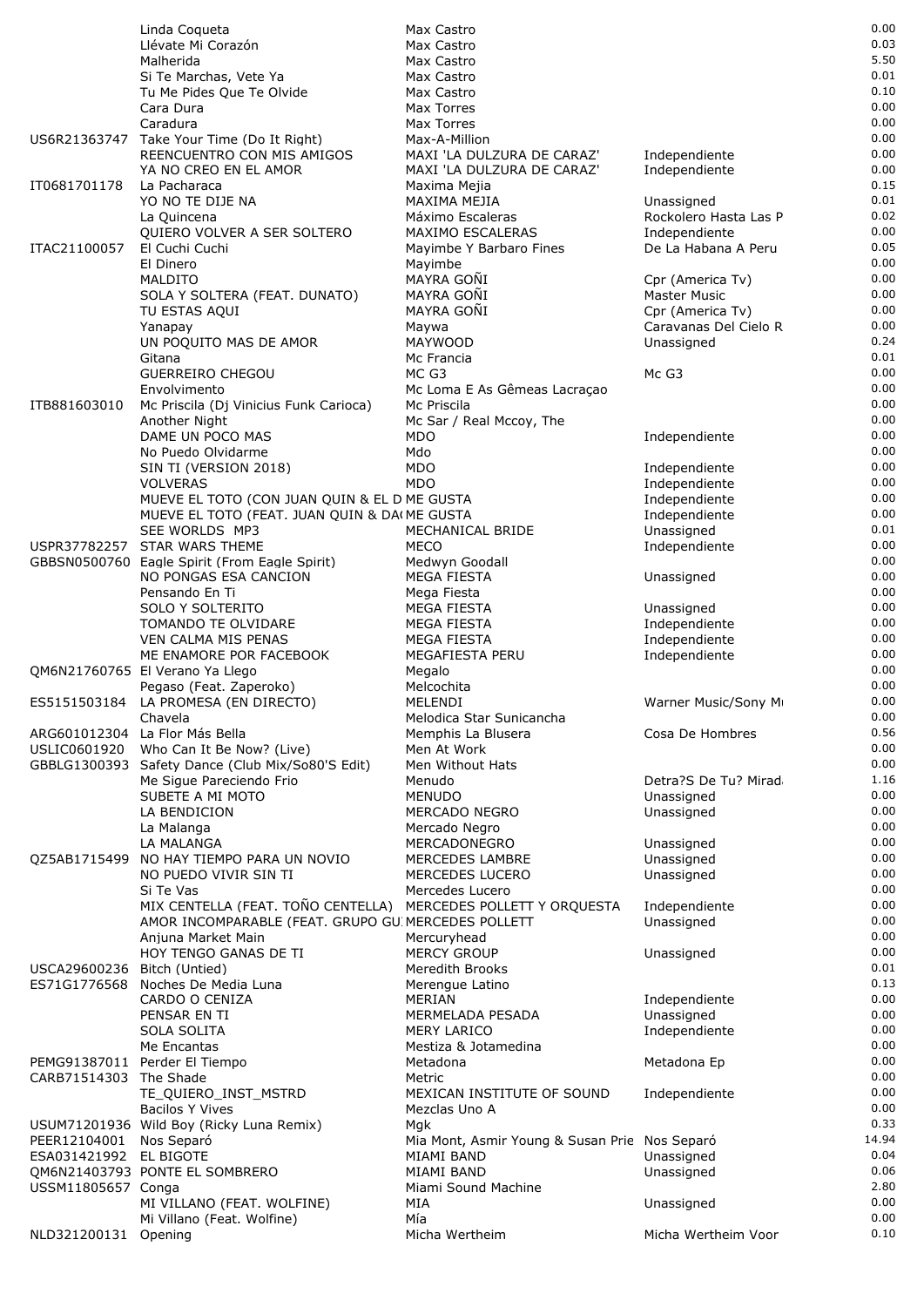|                                        | Linda Coqueta                                                            | Max Castro                                                  |                                           | 0.00          |
|----------------------------------------|--------------------------------------------------------------------------|-------------------------------------------------------------|-------------------------------------------|---------------|
|                                        | Llévate Mi Corazón                                                       | Max Castro                                                  |                                           | 0.03          |
|                                        | Malherida                                                                | Max Castro                                                  |                                           | 5.50          |
|                                        | Si Te Marchas, Vete Ya                                                   | Max Castro                                                  |                                           | 0.01<br>0.10  |
|                                        | Tu Me Pides Que Te Olvide                                                | Max Castro<br>Max Torres                                    |                                           | 0.00          |
|                                        | Cara Dura<br>Caradura                                                    | Max Torres                                                  |                                           | 0.00          |
|                                        | US6R21363747 Take Your Time (Do It Right)                                | Max-A-Million                                               |                                           | 0.00          |
|                                        | REENCUENTRO CON MIS AMIGOS                                               | MAXI 'LA DULZURA DE CARAZ'                                  | Independiente                             | 0.00          |
|                                        | YA NO CREO EN EL AMOR                                                    | MAXI 'LA DULZURA DE CARAZ'                                  | Independiente                             | 0.00          |
| IT0681701178                           | La Pacharaca                                                             | Maxima Mejia                                                |                                           | 0.15          |
|                                        | YO NO TE DIJE NA                                                         | MAXIMA MEJIA                                                | Unassigned                                | 0.01          |
|                                        | La Quincena                                                              | Máximo Escaleras                                            | Rockolero Hasta Las P                     | 0.02          |
|                                        | QUIERO VOLVER A SER SOLTERO                                              | MAXIMO ESCALERAS                                            | Independiente                             | 0.00          |
| ITAC21100057                           | El Cuchi Cuchi                                                           | Mayimbe Y Barbaro Fines                                     | De La Habana A Peru                       | 0.05          |
|                                        | El Dinero                                                                | Mayimbe                                                     |                                           | 0.00          |
|                                        | <b>MALDITO</b>                                                           | MAYRA GOÑI                                                  | Cpr (America Tv)                          | 0.00          |
|                                        | SOLA Y SOLTERA (FEAT. DUNATO)                                            | MAYRA GONI<br>MAYRA GONI                                    | <b>Master Music</b>                       | 0.00<br>0.00  |
|                                        | TU ESTAS AQUI<br>Yanapay                                                 | Maywa                                                       | Cpr (America Tv)<br>Caravanas Del Cielo R | 0.00          |
|                                        | UN POQUITO MAS DE AMOR                                                   | <b>MAYWOOD</b>                                              | Unassigned                                | 0.24          |
|                                        | Gitana                                                                   | Mc Francia                                                  |                                           | 0.01          |
|                                        | <b>GUERREIRO CHEGOU</b>                                                  | MC G3                                                       | Mc G3                                     | 0.00          |
|                                        | Envolvimento                                                             | Mc Loma E As Gêmeas Lacraçao                                |                                           | 0.00          |
| ITB881603010                           | Mc Priscila (Dj Vinicius Funk Carioca)                                   | Mc Priscila                                                 |                                           | 0.00          |
|                                        | Another Night                                                            | Mc Sar / Real Mccoy, The                                    |                                           | 0.00          |
|                                        | DAME UN POCO MAS                                                         | <b>MDO</b>                                                  | Independiente                             | 0.00          |
|                                        | No Puedo Olvidarme                                                       | Mdo                                                         |                                           | 0.00          |
|                                        | SIN TI (VERSION 2018)                                                    | <b>MDO</b>                                                  | Independiente                             | 0.00          |
|                                        | <b>VOLVERAS</b>                                                          | <b>MDO</b>                                                  | Independiente                             | 0.00          |
|                                        | MUEVE EL TOTO (CON JUAN QUIN & EL D ME GUSTA                             |                                                             | Independiente                             | 0.00<br>0.00  |
|                                        | MUEVE EL TOTO (FEAT. JUAN QUIN & DA(ME GUSTA<br>SEE WORLDS MP3           | MECHANICAL BRIDE                                            | Independiente<br>Unassigned               | 0.01          |
|                                        | USPR37782257 STAR WARS THEME                                             | <b>MECO</b>                                                 | Independiente                             | 0.00          |
|                                        | GBBSN0500760 Eagle Spirit (From Eagle Spirit)                            | Medwyn Goodall                                              |                                           | 0.00          |
|                                        | NO PONGAS ESA CANCION                                                    | <b>MEGA FIESTA</b>                                          | Unassigned                                | 0.00          |
|                                        | Pensando En Ti                                                           | Mega Fiesta                                                 |                                           | 0.00          |
|                                        | SOLO Y SOLTERITO                                                         | MEGA FIESTA                                                 | Unassigned                                | 0.00          |
|                                        | TOMANDO TE OLVIDARE                                                      | MEGA FIESTA                                                 | Independiente                             | 0.00          |
|                                        | VEN CALMA MIS PENAS                                                      | <b>MEGA FIESTA</b>                                          | Independiente                             | 0.00          |
|                                        | ME ENAMORE POR FACEBOOK                                                  | MEGAFIESTA PERU                                             | Independiente                             | 0.00          |
|                                        | QM6N21760765 El Verano Ya Llego                                          | Megalo                                                      |                                           | 0.00          |
|                                        | Pegaso (Feat. Zaperoko)                                                  | Melcochita                                                  |                                           | 0.00          |
|                                        | ES5151503184 LA PROMESA (EN DIRECTO)<br>Chavela                          | MELENDI<br>Melodica Star Sunicancha                         | Warner Music/Sony M                       | 0.00<br>0.00  |
|                                        | ARG601012304 La Flor Más Bella                                           | Memphis La Blusera                                          | Cosa De Hombres                           | 0.56          |
| USLIC0601920                           | Who Can It Be Now? (Live)                                                | Men At Work                                                 |                                           | 0.00          |
|                                        | GBBLG1300393 Safety Dance (Club Mix/So80'S Edit)                         | Men Without Hats                                            |                                           | 0.00          |
|                                        | Me Sigue Pareciendo Frio                                                 | Menudo                                                      | Detra?S De Tu? Mirad                      | 1.16          |
|                                        | SUBETE A MI MOTO                                                         | <b>MENUDO</b>                                               | Unassigned                                | 0.00          |
|                                        | LA BENDICION                                                             | MERCADO NEGRO                                               | Unassigned                                | 0.00          |
|                                        | La Malanga                                                               | Mercado Negro                                               |                                           | 0.00          |
|                                        | LA MALANGA                                                               | MERCADONEGRO                                                | Unassigned                                | 0.00          |
|                                        | QZ5AB1715499 NO HAY TIEMPO PARA UN NOVIO                                 | MERCEDES LAMBRE                                             | Unassigned                                | 0.00          |
|                                        | NO PUEDO VIVIR SIN TI                                                    | MERCEDES LUCERO                                             | Unassigned                                | 0.00          |
|                                        | Si Te Vas                                                                | Mercedes Lucero                                             |                                           | 0.00          |
|                                        | MIX CENTELLA (FEAT. TOÑO CENTELLA) MERCEDES POLLETT Y ORQUESTA           |                                                             | Independiente                             | 0.00<br>0.00  |
|                                        | AMOR INCOMPARABLE (FEAT. GRUPO GU MERCEDES POLLETT<br>Anjuna Market Main | Mercuryhead                                                 | Unassigned                                | 0.00          |
|                                        | HOY TENGO GANAS DE TI                                                    | <b>MERCY GROUP</b>                                          | Unassigned                                | 0.00          |
| USCA29600236 Bitch (Untied)            |                                                                          | <b>Meredith Brooks</b>                                      |                                           | 0.01          |
| ES71G1776568                           | Noches De Media Luna                                                     | Merengue Latino                                             |                                           | 0.13          |
|                                        | CARDO O CENIZA                                                           | MERIAN                                                      | Independiente                             | 0.00          |
|                                        | PENSAR EN TI                                                             | MERMELADA PESADA                                            | Unassigned                                | 0.00          |
|                                        | SOLA SOLITA                                                              | <b>MERY LARICO</b>                                          | Independiente                             | 0.00          |
|                                        | Me Encantas                                                              | Mestiza & Jotamedina                                        |                                           | 0.00          |
|                                        | PEMG91387011 Perder El Tiempo                                            | Metadona                                                    | Metadona Ep                               | 0.00          |
| CARB71514303 The Shade                 |                                                                          | Metric                                                      |                                           | 0.00          |
|                                        | TE_QUIERO_INST_MSTRD                                                     | MEXICAN INSTITUTE OF SOUND                                  | Independiente                             | 0.00          |
|                                        | <b>Bacilos Y Vives</b>                                                   | Mezclas Uno A                                               |                                           | 0.00          |
|                                        | USUM71201936 Wild Boy (Ricky Luna Remix)                                 | Mgk                                                         |                                           | 0.33          |
| PEER12104001<br>ESA031421992 EL BIGOTE | Nos Separó                                                               | Mia Mont, Asmir Young & Susan Prie Nos Separó<br>MIAMI BAND | Unassigned                                | 14.94<br>0.04 |
|                                        | QM6N21403793 PONTE EL SOMBRERO                                           | MIAMI BAND                                                  | Unassigned                                | 0.06          |
| USSM11805657 Conga                     |                                                                          | Miami Sound Machine                                         |                                           | 2.80          |
|                                        | MI VILLANO (FEAT. WOLFINE)                                               | MIA                                                         | Unassigned                                | 0.00          |
|                                        | Mi Villano (Feat. Wolfine)                                               | Mía                                                         |                                           | 0.00          |
| NLD321200131 Opening                   |                                                                          | Micha Wertheim                                              | Micha Wertheim Voor                       | 0.10          |
|                                        |                                                                          |                                                             |                                           |               |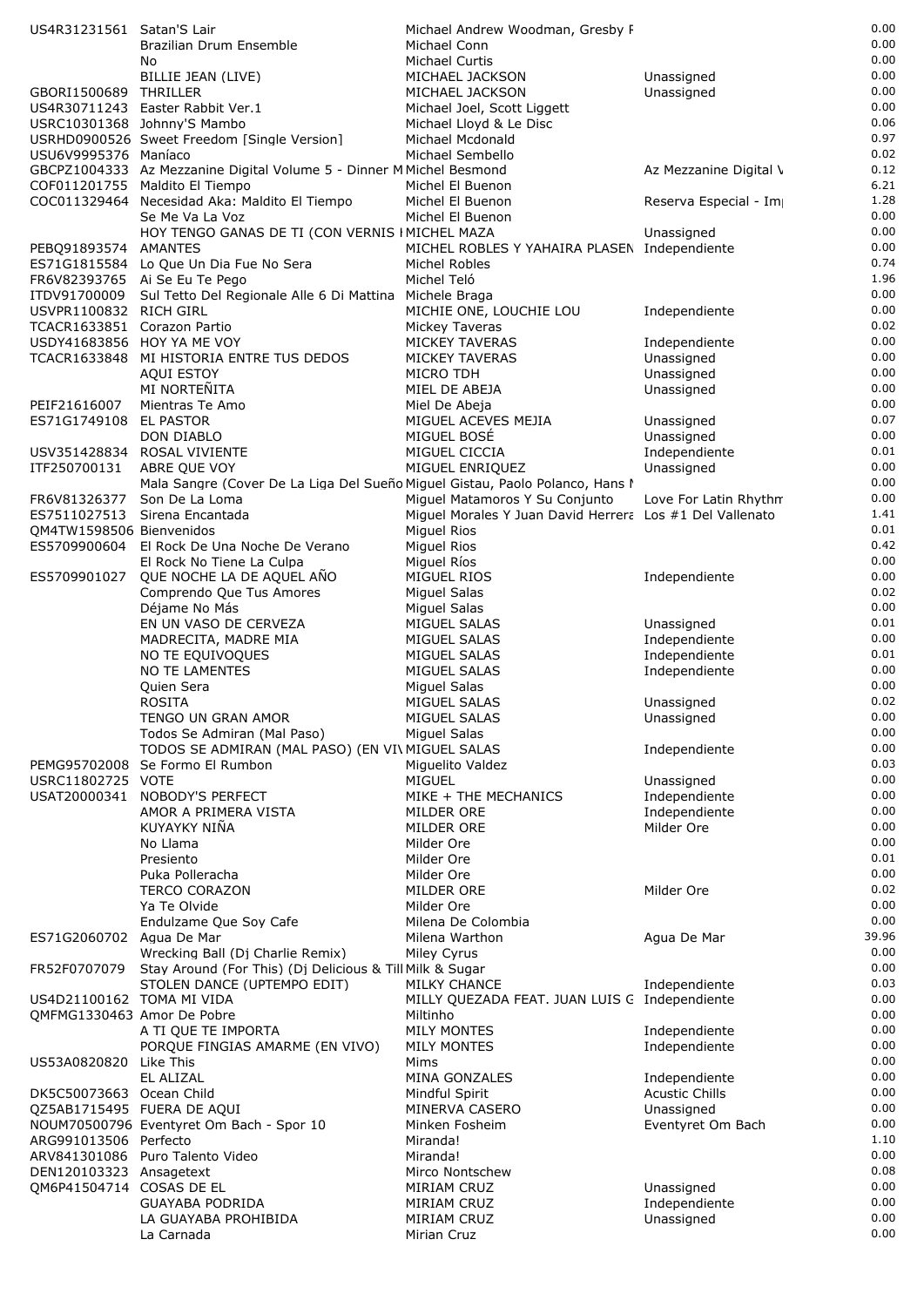| US4R31231561 Satan'S Lair                               |                                                                                                       | Michael Andrew Woodman, Gresby F                         |                          | 0.00         |
|---------------------------------------------------------|-------------------------------------------------------------------------------------------------------|----------------------------------------------------------|--------------------------|--------------|
|                                                         | Brazilian Drum Ensemble                                                                               | Michael Conn                                             |                          | 0.00         |
|                                                         | No                                                                                                    | Michael Curtis                                           |                          | 0.00         |
|                                                         | BILLIE JEAN (LIVE)                                                                                    | MICHAEL JACKSON                                          | Unassigned               | 0.00         |
| GBORI1500689 THRILLER                                   |                                                                                                       | MICHAEL JACKSON                                          | Unassigned               | 0.00         |
|                                                         | US4R30711243 Easter Rabbit Ver.1                                                                      | Michael Joel, Scott Liggett                              |                          | 0.00<br>0.06 |
|                                                         | USRC10301368 Johnny'S Mambo<br>USRHD0900526 Sweet Freedom [Single Version]                            | Michael Lloyd & Le Disc<br>Michael Mcdonald              |                          | 0.97         |
| USU6V9995376 Maníaco                                    |                                                                                                       | Michael Sembello                                         |                          | 0.02         |
|                                                         | GBCPZ1004333 Az Mezzanine Digital Volume 5 - Dinner M Michel Besmond                                  |                                                          | Az Mezzanine Digital \   | 0.12         |
|                                                         | COF011201755 Maldito El Tiempo                                                                        | Michel El Buenon                                         |                          | 6.21         |
|                                                         | COC011329464 Necesidad Aka: Maldito El Tiempo                                                         | Michel El Buenon                                         | Reserva Especial - Im    | 1.28         |
|                                                         | Se Me Va La Voz                                                                                       | Michel El Buenon                                         |                          | 0.00         |
|                                                         | HOY TENGO GANAS DE TI (CON VERNIS I MICHEL MAZA                                                       |                                                          | Unassigned               | 0.00         |
| PEBQ91893574 AMANTES                                    |                                                                                                       | MICHEL ROBLES Y YAHAIRA PLASEN Independiente             |                          | 0.00         |
|                                                         | ES71G1815584 Lo Que Un Dia Fue No Sera                                                                | Michel Robles                                            |                          | 0.74<br>1.96 |
|                                                         | FR6V82393765 Ai Se Eu Te Pego<br>ITDV91700009 Sul Tetto Del Regionale Alle 6 Di Mattina Michele Braga | Michel Teló                                              |                          | 0.00         |
| USVPR1100832 RICH GIRL                                  |                                                                                                       | MICHIE ONE, LOUCHIE LOU                                  | Independiente            | 0.00         |
| TCACR1633851 Corazon Partio                             |                                                                                                       | Mickey Taveras                                           |                          | 0.02         |
| USDY41683856 HOY YA ME VOY                              |                                                                                                       | <b>MICKEY TAVERAS</b>                                    | Independiente            | 0.00         |
|                                                         | TCACR1633848 MI HISTORIA ENTRE TUS DEDOS                                                              | <b>MICKEY TAVERAS</b>                                    | Unassigned               | 0.00         |
|                                                         | <b>AQUI ESTOY</b>                                                                                     | MICRO TDH                                                | Unassigned               | 0.00         |
|                                                         | MI NORTEÑITA                                                                                          | MIEL DE ABEJA                                            | Unassigned               | 0.00         |
| PEIF21616007                                            | Mientras Te Amo                                                                                       | Miel De Abeja                                            |                          | 0.00<br>0.07 |
| ES71G1749108                                            | EL PASTOR<br>DON DIABLO                                                                               | MIGUEL ACEVES MEJIA<br>MIGUEL BOSÉ                       | Unassigned<br>Unassigned | 0.00         |
|                                                         | USV351428834 ROSAL VIVIENTE                                                                           | MIGUEL CICCIA                                            | Independiente            | 0.01         |
| ITF250700131                                            | ABRE QUE VOY                                                                                          | MIGUEL ENRIQUEZ                                          | Unassigned               | 0.00         |
|                                                         | Mala Sangre (Cover De La Liga Del Sueño Miguel Gistau, Paolo Polanco, Hans I                          |                                                          |                          | 0.00         |
| FR6V81326377                                            | Son De La Loma                                                                                        | Miguel Matamoros Y Su Conjunto                           | Love For Latin Rhythn    | 0.00         |
| ES7511027513                                            | Sirena Encantada                                                                                      | Miguel Morales Y Juan David Herrera Los #1 Del Vallenato |                          | 1.41         |
| OM4TW1598506 Bienvenidos                                |                                                                                                       | <b>Miguel Rios</b>                                       |                          | 0.01         |
|                                                         | ES5709900604 El Rock De Una Noche De Verano                                                           | Miguel Rios                                              |                          | 0.42         |
|                                                         | El Rock No Tiene La Culpa                                                                             | Miguel Ríos                                              |                          | 0.00<br>0.00 |
| ES5709901027                                            | QUE NOCHE LA DE AQUEL AÑO<br>Comprendo Que Tus Amores                                                 | MIGUEL RIOS<br><b>Miguel Salas</b>                       | Independiente            | 0.02         |
|                                                         | Déjame No Más                                                                                         | Miguel Salas                                             |                          | 0.00         |
|                                                         | EN UN VASO DE CERVEZA                                                                                 | MIGUEL SALAS                                             | Unassigned               | 0.01         |
|                                                         | MADRECITA, MADRE MIA                                                                                  | MIGUEL SALAS                                             | Independiente            | 0.00         |
|                                                         | NO TE EQUIVOQUES                                                                                      | MIGUEL SALAS                                             | Independiente            | 0.01         |
|                                                         | <b>NO TE LAMENTES</b>                                                                                 | MIGUEL SALAS                                             | Independiente            | 0.00         |
|                                                         | Quien Sera                                                                                            | <b>Miguel Salas</b>                                      |                          | 0.00         |
|                                                         | <b>ROSITA</b>                                                                                         | MIGUEL SALAS                                             | Unassigned               | 0.02         |
|                                                         | TENGO UN GRAN AMOR<br>Todos Se Admiran (Mal Paso)                                                     | MIGUEL SALAS<br>Miguel Salas                             | Unassigned               | 0.00<br>0.00 |
|                                                         | TODOS SE ADMIRAN (MAL PASO) (EN VI\ MIGUEL SALAS                                                      |                                                          | Independiente            | 0.00         |
|                                                         | PEMG95702008 Se Formo El Rumbon                                                                       | Miguelito Valdez                                         |                          | 0.03         |
| USRC11802725 VOTE                                       |                                                                                                       | <b>MIGUEL</b>                                            | Unassigned               | 0.00         |
| USAT20000341                                            | NOBODY'S PERFECT                                                                                      | MIKE + THE MECHANICS                                     | Independiente            | 0.00         |
|                                                         | AMOR A PRIMERA VISTA                                                                                  | MILDER ORE                                               | Independiente            | 0.00         |
|                                                         | KUYAYKY NIÑA                                                                                          | MILDER ORE                                               | Milder Ore               | 0.00         |
|                                                         | No Llama                                                                                              | Milder Ore                                               |                          | 0.00         |
|                                                         | Presiento<br>Puka Polleracha                                                                          | Milder Ore<br>Milder Ore                                 |                          | 0.01<br>0.00 |
|                                                         | <b>TERCO CORAZON</b>                                                                                  | MILDER ORE                                               | Milder Ore               | 0.02         |
|                                                         | Ya Te Olvide                                                                                          | Milder Ore                                               |                          | 0.00         |
|                                                         | Endulzame Que Soy Cafe                                                                                | Milena De Colombia                                       |                          | 0.00         |
| ES71G2060702 Agua De Mar                                |                                                                                                       | Milena Warthon                                           | Agua De Mar              | 39.96        |
|                                                         | Wrecking Ball (Dj Charlie Remix)                                                                      | Miley Cyrus                                              |                          | 0.00         |
| FR52F0707079                                            | Stay Around (For This) (Dj Delicious & Till Milk & Sugar                                              |                                                          |                          | 0.00         |
|                                                         | STOLEN DANCE (UPTEMPO EDIT)                                                                           | MILKY CHANCE                                             | Independiente            | 0.03         |
| US4D21100162 TOMA MI VIDA<br>OMFMG1330463 Amor De Pobre |                                                                                                       | MILLY QUEZADA FEAT. JUAN LUIS G Independiente            |                          | 0.00<br>0.00 |
|                                                         | A TI QUE TE IMPORTA                                                                                   | Miltinho<br><b>MILY MONTES</b>                           | Independiente            | 0.00         |
|                                                         | PORQUE FINGIAS AMARME (EN VIVO)                                                                       | <b>MILY MONTES</b>                                       | Independiente            | 0.00         |
| US53A0820820                                            | Like This                                                                                             | Mims                                                     |                          | 0.00         |
|                                                         | EL ALIZAL                                                                                             | MINA GONZALES                                            | Independiente            | 0.00         |
| DK5C50073663 Ocean Child                                |                                                                                                       | Mindful Spirit                                           | <b>Acustic Chills</b>    | 0.00         |
| QZ5AB1715495 FUERA DE AQUI                              |                                                                                                       | MINERVA CASERO                                           | Unassigned               | 0.00         |
|                                                         | NOUM70500796 Eventyret Om Bach - Spor 10                                                              | Minken Fosheim                                           | Eventyret Om Bach        | 0.00         |
| ARG991013506 Perfecto                                   |                                                                                                       | Miranda!                                                 |                          | 1.10<br>0.00 |
| DEN120103323 Ansagetext                                 | ARV841301086 Puro Talento Video                                                                       | Miranda!<br>Mirco Nontschew                              |                          | 0.08         |
| QM6P41504714 COSAS DE EL                                |                                                                                                       | MIRIAM CRUZ                                              | Unassigned               | 0.00         |
|                                                         | <b>GUAYABA PODRIDA</b>                                                                                | MIRIAM CRUZ                                              | Independiente            | 0.00         |
|                                                         | LA GUAYABA PROHIBIDA                                                                                  | MIRIAM CRUZ                                              | Unassigned               | 0.00         |
|                                                         | La Carnada                                                                                            | Mirian Cruz                                              |                          | 0.00         |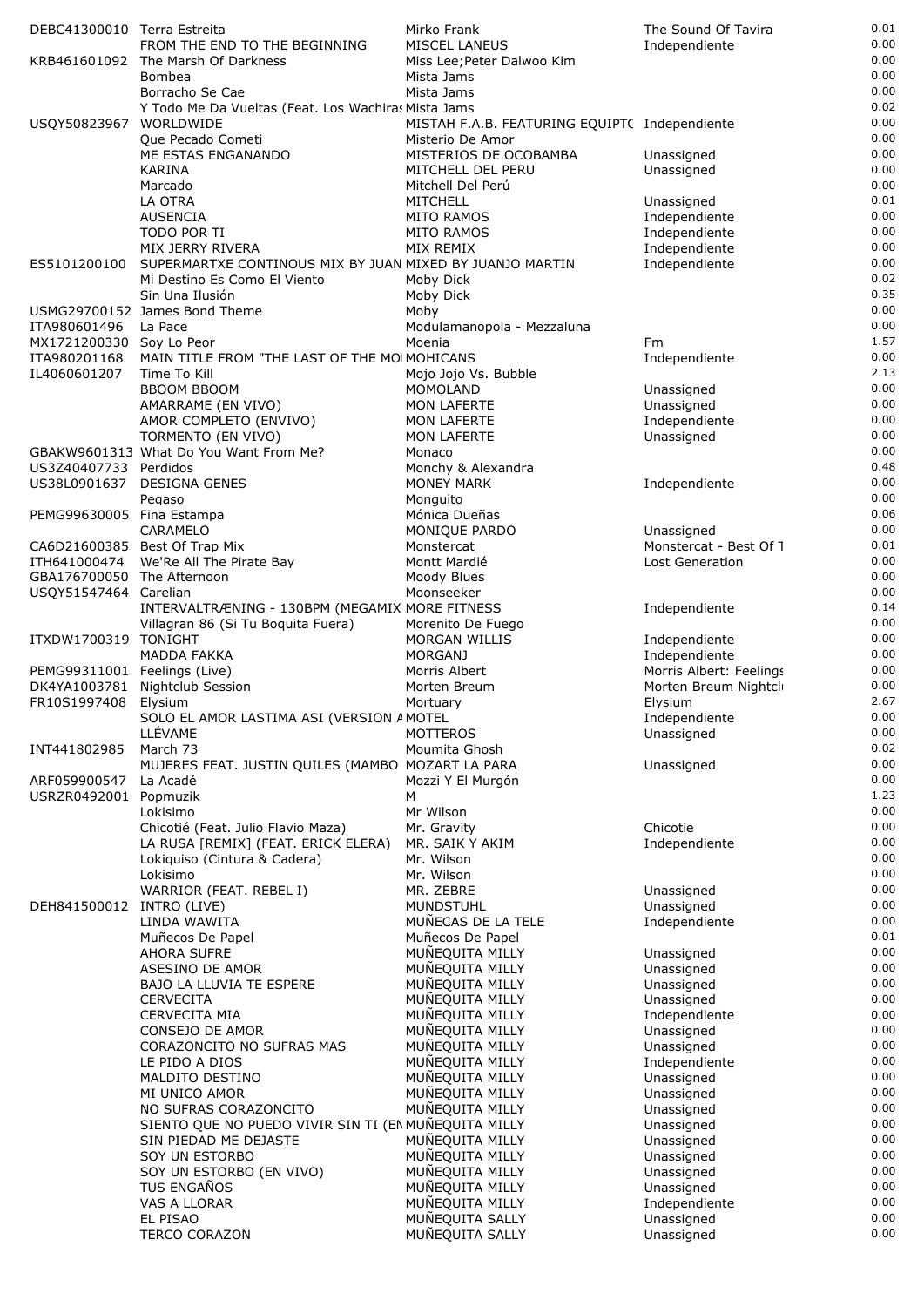| DEBC41300010 Terra Estreita  |                                                                        | Mirko Frank                                   | The Sound Of Tavira                      | 0.01         |
|------------------------------|------------------------------------------------------------------------|-----------------------------------------------|------------------------------------------|--------------|
|                              | FROM THE END TO THE BEGINNING                                          | <b>MISCEL LANEUS</b>                          | Independiente                            | 0.00         |
|                              | KRB461601092 The Marsh Of Darkness                                     | Miss Lee; Peter Dalwoo Kim                    |                                          | 0.00         |
|                              | <b>Bombea</b>                                                          | Mista Jams<br>Mista Jams                      |                                          | 0.00<br>0.00 |
|                              | Borracho Se Cae<br>Y Todo Me Da Vueltas (Feat. Los Wachiras Mista Jams |                                               |                                          | 0.02         |
| USQY50823967 WORLDWIDE       |                                                                        | MISTAH F.A.B. FEATURING EQUIPTC Independiente |                                          | 0.00         |
|                              | Que Pecado Cometi                                                      | Misterio De Amor                              |                                          | 0.00         |
|                              | ME ESTAS ENGANANDO                                                     | MISTERIOS DE OCOBAMBA                         | Unassigned                               | 0.00         |
|                              | KARINA                                                                 | MITCHELL DEL PERU                             | Unassigned                               | 0.00         |
|                              | Marcado                                                                | Mitchell Del Perú                             |                                          | 0.00         |
|                              | LA OTRA                                                                | <b>MITCHELL</b>                               | Unassigned                               | 0.01         |
|                              | AUSENCIA                                                               | <b>MITO RAMOS</b>                             | Independiente                            | 0.00         |
|                              | TODO POR TI<br>MIX JERRY RIVERA                                        | <b>MITO RAMOS</b><br>MIX REMIX                | Independiente                            | 0.00<br>0.00 |
| ES5101200100                 | SUPERMARTXE CONTINOUS MIX BY JUAN MIXED BY JUANJO MARTIN               |                                               | Independiente<br>Independiente           | 0.00         |
|                              | Mi Destino Es Como El Viento                                           | Moby Dick                                     |                                          | 0.02         |
|                              | Sin Una Ilusión                                                        | Moby Dick                                     |                                          | 0.35         |
|                              | USMG29700152 James Bond Theme                                          | Moby                                          |                                          | 0.00         |
| ITA980601496                 | La Pace                                                                | Modulamanopola - Mezzaluna                    |                                          | 0.00         |
| MX1721200330 Soy Lo Peor     |                                                                        | Moenia                                        | Fm                                       | 1.57         |
| ITA980201168                 | MAIN TITLE FROM "THE LAST OF THE MOIMOHICANS                           |                                               | Independiente                            | 0.00<br>2.13 |
| IL4060601207                 | Time To Kill<br><b>BBOOM BBOOM</b>                                     | Mojo Jojo Vs. Bubble<br>MOMOLAND              | Unassigned                               | 0.00         |
|                              | AMARRAME (EN VIVO)                                                     | MON LAFERTE                                   | Unassigned                               | 0.00         |
|                              | AMOR COMPLETO (ENVIVO)                                                 | MON LAFERTE                                   | Independiente                            | 0.00         |
|                              | TORMENTO (EN VIVO)                                                     | <b>MON LAFERTE</b>                            | Unassigned                               | 0.00         |
|                              | GBAKW9601313 What Do You Want From Me?                                 | Monaco                                        |                                          | 0.00         |
| US3Z40407733 Perdidos        |                                                                        | Monchy & Alexandra                            |                                          | 0.48         |
|                              | US38L0901637 DESIGNA GENES                                             | <b>MONEY MARK</b>                             | Independiente                            | 0.00         |
|                              | Pegaso                                                                 | Monguito                                      |                                          | 0.00         |
| PEMG99630005 Fina Estampa    |                                                                        | Mónica Dueñas                                 |                                          | 0.06<br>0.00 |
|                              | CARAMELO<br>CA6D21600385 Best Of Trap Mix                              | MONIQUE PARDO<br>Monstercat                   | Unassigned<br>Monstercat - Best Of 1     | 0.01         |
| ITH641000474                 | We'Re All The Pirate Bay                                               | Montt Mardié                                  | Lost Generation                          | 0.00         |
| GBA176700050 The Afternoon   |                                                                        | Moody Blues                                   |                                          | 0.00         |
| USQY51547464 Carelian        |                                                                        | Moonseeker                                    |                                          | 0.00         |
|                              | INTERVALTRÆNING - 130BPM (MEGAMIX MORE FITNESS                         |                                               | Independiente                            | 0.14         |
|                              | Villagran 86 (Si Tu Boquita Fuera)                                     | Morenito De Fuego                             |                                          | 0.00         |
| ITXDW1700319 TONIGHT         |                                                                        | <b>MORGAN WILLIS</b>                          | Independiente                            | 0.00         |
| PEMG99311001 Feelings (Live) | <b>MADDA FAKKA</b>                                                     | <b>MORGANJ</b><br>Morris Albert               | Independiente<br>Morris Albert: Feelings | 0.00<br>0.00 |
|                              | DK4YA1003781 Nightclub Session                                         | Morten Breum                                  | Morten Breum Nightcl                     | 0.00         |
| FR10S1997408 Elysium         |                                                                        | Mortuary                                      | Elysium                                  | 2.67         |
|                              | SOLO EL AMOR LASTIMA ASI (VERSION AMOTEL                               |                                               | Independiente                            | 0.00         |
|                              | LLÉVAME                                                                | <b>MOTTEROS</b>                               | Unassigned                               | 0.00         |
| INT441802985                 | March 73                                                               | Moumita Ghosh                                 |                                          | 0.02         |
|                              | MUJERES FEAT. JUSTIN QUILES (MAMBO MOZART LA PARA                      |                                               | Unassigned                               | 0.00         |
| ARF059900547                 | La Acadé                                                               | Mozzi Y El Murgón                             |                                          | 0.00         |
| USRZR0492001                 | Popmuzik<br>Lokisimo                                                   | м<br>Mr Wilson                                |                                          | 1.23<br>0.00 |
|                              | Chicotié (Feat. Julio Flavio Maza)                                     | Mr. Gravity                                   | Chicotie                                 | 0.00         |
|                              | LA RUSA [REMIX] (FEAT. ERICK ELERA)                                    | MR. SAIK Y AKIM                               | Independiente                            | 0.00         |
|                              | Lokiquiso (Cintura & Cadera)                                           | Mr. Wilson                                    |                                          | 0.00         |
|                              | Lokisimo                                                               | Mr. Wilson                                    |                                          | 0.00         |
|                              | WARRIOR (FEAT. REBEL I)                                                | MR. ZEBRE                                     | Unassigned                               | 0.00         |
| DEH841500012                 | INTRO (LIVE)                                                           | <b>MUNDSTUHL</b>                              | Unassigned                               | 0.00         |
|                              | LINDA WAWITA                                                           | MUÑECAS DE LA TELE                            | Independiente                            | 0.00<br>0.01 |
|                              | Muñecos De Papel<br><b>AHORA SUFRE</b>                                 | Muñecos De Papel<br>MUÑEQUITA MILLY           | Unassigned                               | 0.00         |
|                              | ASESINO DE AMOR                                                        | MUÑEQUITA MILLY                               | Unassigned                               | 0.00         |
|                              | <b>BAJO LA LLUVIA TE ESPERE</b>                                        | MUÑEQUITA MILLY                               | Unassigned                               | 0.00         |
|                              | <b>CERVECITA</b>                                                       | MUÑEQUITA MILLY                               | Unassigned                               | 0.00         |
|                              | CERVECITA MIA                                                          | MUÑEQUITA MILLY                               | Independiente                            | 0.00         |
|                              | CONSEJO DE AMOR                                                        | MUÑEQUITA MILLY                               | Unassigned                               | 0.00         |
|                              | CORAZONCITO NO SUFRAS MAS                                              | MUÑEQUITA MILLY                               | Unassigned                               | 0.00<br>0.00 |
|                              | LE PIDO A DIOS<br>MALDITO DESTINO                                      | MUÑEQUITA MILLY<br>MUÑEQUITA MILLY            | Independiente<br>Unassigned              | 0.00         |
|                              | MI UNICO AMOR                                                          | MUÑEQUITA MILLY                               | Unassigned                               | 0.00         |
|                              | NO SUFRAS CORAZONCITO                                                  | MUÑEQUITA MILLY                               | Unassigned                               | 0.00         |
|                              | SIENTO QUE NO PUEDO VIVIR SIN TI (EN MUÑEQUITA MILLY                   |                                               | Unassigned                               | 0.00         |
|                              | SIN PIEDAD ME DEJASTE                                                  | MUÑEQUITA MILLY                               | Unassigned                               | 0.00         |
|                              | SOY UN ESTORBO                                                         | MUÑEQUITA MILLY                               | Unassigned                               | 0.00         |
|                              | SOY UN ESTORBO (EN VIVO)                                               | MUÑEQUITA MILLY                               | Unassigned                               | 0.00         |
|                              | TUS ENGAÑOS                                                            | MUÑEQUITA MILLY<br>MUÑEQUITA MILLY            | Unassigned                               | 0.00<br>0.00 |
|                              | VAS A LLORAR<br>EL PISAO                                               | MUÑEQUITA SALLY                               | Independiente<br>Unassigned              | 0.00         |
|                              | <b>TERCO CORAZON</b>                                                   | MUÑEQUITA SALLY                               | Unassigned                               | 0.00         |
|                              |                                                                        |                                               |                                          |              |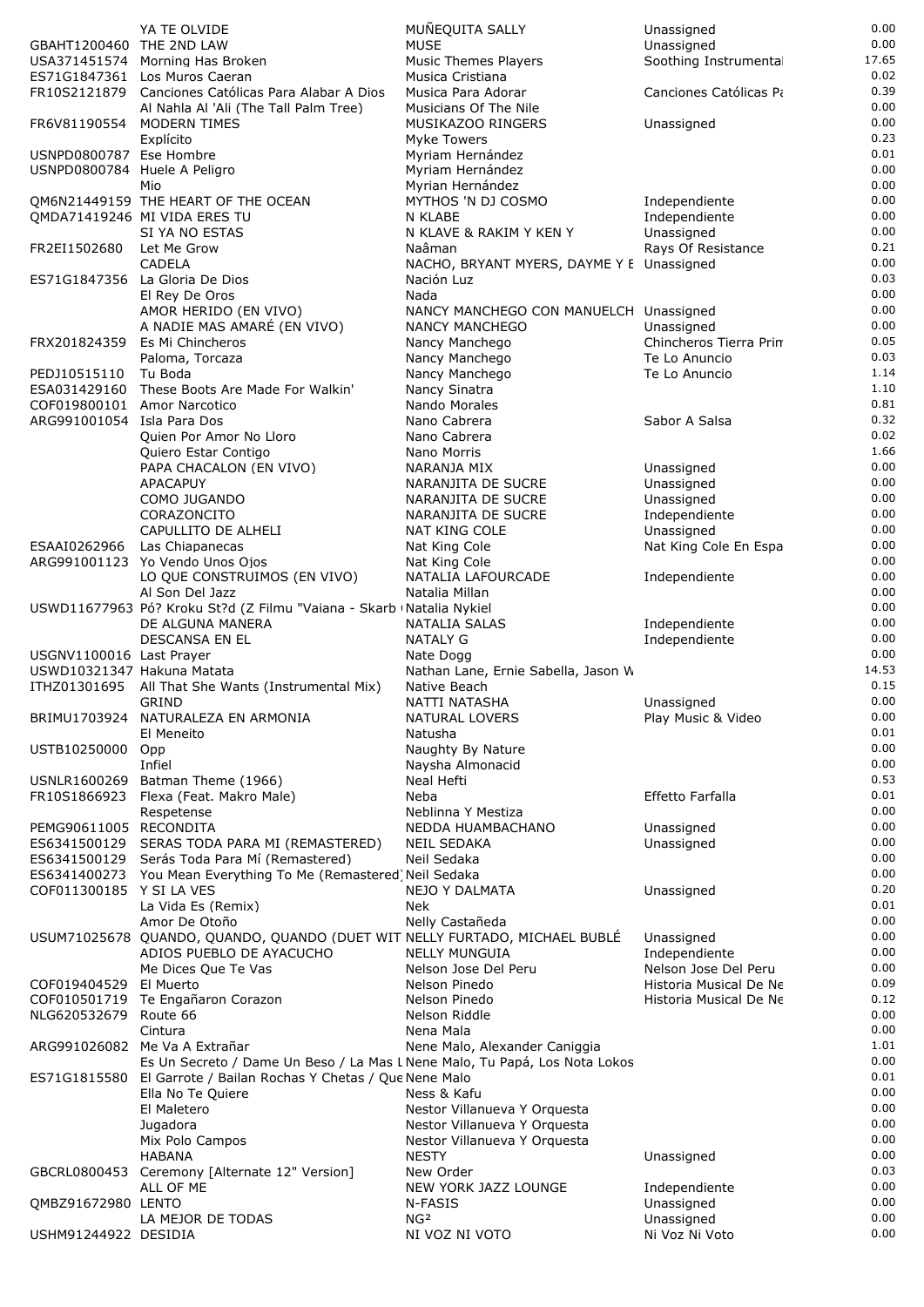|                                                        | YA TE OLVIDE                                                                                | MUNEQUITA SALLY                                     | Unassigned                          | 0.00          |
|--------------------------------------------------------|---------------------------------------------------------------------------------------------|-----------------------------------------------------|-------------------------------------|---------------|
| GBAHT1200460 THE 2ND LAW                               |                                                                                             | <b>MUSE</b>                                         | Unassigned                          | 0.00          |
|                                                        | USA371451574 Morning Has Broken                                                             | Music Themes Players                                | Soothing Instrumenta                | 17.65         |
|                                                        | ES71G1847361 Los Muros Caeran                                                               | Musica Cristiana                                    |                                     | 0.02          |
|                                                        | FR10S2121879 Canciones Católicas Para Alabar A Dios                                         | Musica Para Adorar                                  | Canciones Católicas Pa              | 0.39<br>0.00  |
| FR6V81190554                                           | Al Nahla Al 'Ali (The Tall Palm Tree)<br>MODERN TIMES                                       | Musicians Of The Nile<br>MUSIKAZOO RINGERS          | Unassigned                          | 0.00          |
|                                                        | Explícito                                                                                   | <b>Myke Towers</b>                                  |                                     | 0.23          |
| USNPD0800787 Ese Hombre                                |                                                                                             | Myriam Hernández                                    |                                     | 0.01          |
| USNPD0800784 Huele A Peligro                           |                                                                                             | Myriam Hernández                                    |                                     | 0.00          |
|                                                        | Mio                                                                                         | Myrian Hernández                                    |                                     | 0.00          |
|                                                        | QM6N21449159 THE HEART OF THE OCEAN                                                         | MYTHOS 'N DJ COSMO                                  | Independiente                       | 0.00          |
|                                                        | OMDA71419246 MI VIDA ERES TU                                                                | N KLABE                                             | Independiente                       | 0.00          |
|                                                        | SI YA NO ESTAS                                                                              | N KLAVE & RAKIM Y KEN Y                             | Unassigned                          | 0.00          |
| FR2EI1502680                                           | Let Me Grow<br><b>CADELA</b>                                                                | Naâman<br>NACHO, BRYANT MYERS, DAYME Y E Unassigned | Rays Of Resistance                  | 0.21<br>0.00  |
|                                                        | ES71G1847356 La Gloria De Dios                                                              | Nación Luz                                          |                                     | 0.03          |
|                                                        | El Rey De Oros                                                                              | Nada                                                |                                     | 0.00          |
|                                                        | AMOR HERIDO (EN VIVO)                                                                       | NANCY MANCHEGO CON MANUELCH Unassigned              |                                     | 0.00          |
|                                                        | A NADIE MAS AMARÉ (EN VIVO)                                                                 | NANCY MANCHEGO                                      | Unassigned                          | 0.00          |
|                                                        | FRX201824359 Es Mi Chincheros                                                               | Nancy Manchego                                      | Chincheros Tierra Prin              | 0.05          |
|                                                        | Paloma, Torcaza                                                                             | Nancy Manchego                                      | Te Lo Anuncio                       | 0.03          |
| PEDJ10515110                                           | Tu Boda<br>ESA031429160 These Boots Are Made For Walkin'                                    | Nancy Manchego                                      | Te Lo Anuncio                       | 1.14<br>1.10  |
| COF019800101                                           | Amor Narcotico                                                                              | Nancy Sinatra<br>Nando Morales                      |                                     | 0.81          |
| ARG991001054 Isla Para Dos                             |                                                                                             | Nano Cabrera                                        | Sabor A Salsa                       | 0.32          |
|                                                        | Quien Por Amor No Lloro                                                                     | Nano Cabrera                                        |                                     | 0.02          |
|                                                        | Quiero Estar Contigo                                                                        | Nano Morris                                         |                                     | 1.66          |
|                                                        | PAPA CHACALON (EN VIVO)                                                                     | NARANJA MIX                                         | Unassigned                          | 0.00          |
|                                                        | APACAPUY                                                                                    | NARANJITA DE SUCRE                                  | Unassigned                          | 0.00          |
|                                                        | COMO JUGANDO                                                                                | NARANJITA DE SUCRE                                  | Unassigned                          | 0.00          |
|                                                        | CORAZONCITO                                                                                 | NARANJITA DE SUCRE                                  | Independiente                       | 0.00<br>0.00  |
| ESAAI0262966                                           | CAPULLITO DE ALHELI<br>Las Chiapanecas                                                      | <b>NAT KING COLE</b><br>Nat King Cole               | Unassigned<br>Nat King Cole En Espa | 0.00          |
|                                                        | ARG991001123 Yo Vendo Unos Ojos                                                             | Nat King Cole                                       |                                     | 0.00          |
|                                                        | LO QUE CONSTRUIMOS (EN VIVO)                                                                | NATALIA LAFOURCADE                                  | Independiente                       | 0.00          |
|                                                        | Al Son Del Jazz                                                                             | Natalia Millan                                      |                                     | 0.00          |
|                                                        | USWD11677963 Pó? Kroku St?d (Z Filmu "Vaiana - Skarb (Natalia Nykiel                        |                                                     |                                     | 0.00          |
|                                                        | DE ALGUNA MANERA                                                                            | NATALIA SALAS                                       | Independiente                       | 0.00          |
|                                                        | DESCANSA EN EL                                                                              | <b>NATALY G</b>                                     | Independiente                       | 0.00          |
| USGNV1100016 Last Prayer<br>USWD10321347 Hakuna Matata |                                                                                             | Nate Dogg<br>Nathan Lane, Ernie Sabella, Jason W    |                                     | 0.00<br>14.53 |
|                                                        | ITHZ01301695 All That She Wants (Instrumental Mix)                                          | Native Beach                                        |                                     | 0.15          |
|                                                        | GRIND                                                                                       | NATTI NATASHA                                       | Unassigned                          | 0.00          |
|                                                        | BRIMU1703924 NATURALEZA EN ARMONIA                                                          | <b>NATURAL LOVERS</b>                               | Play Music & Video                  | 0.00          |
|                                                        | El Meneito                                                                                  | Natusha                                             |                                     | 0.01          |
| USTB10250000 Opp                                       |                                                                                             | Naughty By Nature                                   |                                     | 0.00          |
|                                                        | Infiel                                                                                      | Naysha Almonacid                                    |                                     | 0.00          |
| USNLR1600269                                           | Batman Theme (1966)<br>FR10S1866923 Flexa (Feat. Makro Male)                                | Neal Hefti<br>Neba                                  | Effetto Farfalla                    | 0.53<br>0.01  |
|                                                        | Respetense                                                                                  | Neblinna Y Mestiza                                  |                                     | 0.00          |
| PEMG90611005 RECONDITA                                 |                                                                                             | NEDDA HUAMBACHANO                                   | Unassigned                          | 0.00          |
| ES6341500129                                           | SERAS TODA PARA MI (REMASTERED)                                                             | NEIL SEDAKA                                         | Unassigned                          | 0.00          |
| ES6341500129                                           | Serás Toda Para Mí (Remastered)                                                             | Neil Sedaka                                         |                                     | 0.00          |
|                                                        | ES6341400273 You Mean Everything To Me (Remastered) Neil Sedaka                             |                                                     |                                     | 0.00          |
| COF011300185 Y SI LA VES                               |                                                                                             | <b>NEJO Y DALMATA</b>                               | Unassigned                          | 0.20          |
|                                                        | La Vida Es (Remix)                                                                          | Nek                                                 |                                     | 0.01<br>0.00  |
|                                                        | Amor De Otoño<br>USUM71025678 QUANDO, QUANDO, QUANDO (DUET WITINELLY FURTADO, MICHAEL BUBLÉ | Nelly Castañeda                                     | Unassigned                          | 0.00          |
|                                                        | ADIOS PUEBLO DE AYACUCHO                                                                    | <b>NELLY MUNGUIA</b>                                | Independiente                       | 0.00          |
|                                                        | Me Dices Que Te Vas                                                                         | Nelson Jose Del Peru                                | Nelson Jose Del Peru                | 0.00          |
| COF019404529 El Muerto                                 |                                                                                             | Nelson Pinedo                                       | Historia Musical De Ne              | 0.09          |
|                                                        | COF010501719 Te Engañaron Corazon                                                           | Nelson Pinedo                                       | Historia Musical De Ne              | 0.12          |
| NLG620532679 Route 66                                  |                                                                                             | Nelson Riddle                                       |                                     | 0.00          |
|                                                        | Cintura<br>ARG991026082 Me Va A Extrañar                                                    | Nena Mala<br>Nene Malo, Alexander Caniggia          |                                     | 0.00<br>1.01  |
|                                                        | Es Un Secreto / Dame Un Beso / La Mas L Nene Malo, Tu Papá, Los Nota Lokos                  |                                                     |                                     | 0.00          |
|                                                        | ES71G1815580 El Garrote / Bailan Rochas Y Chetas / Que Nene Malo                            |                                                     |                                     | 0.01          |
|                                                        | Ella No Te Quiere                                                                           | Ness & Kafu                                         |                                     | 0.00          |
|                                                        | El Maletero                                                                                 | Nestor Villanueva Y Orquesta                        |                                     | 0.00          |
|                                                        | Jugadora                                                                                    | Nestor Villanueva Y Orquesta                        |                                     | 0.00          |
|                                                        | Mix Polo Campos                                                                             | Nestor Villanueva Y Orquesta                        |                                     | 0.00<br>0.00  |
|                                                        | <b>HABANA</b><br>GBCRL0800453 Ceremony [Alternate 12" Version]                              | <b>NESTY</b><br>New Order                           | Unassigned                          | 0.03          |
|                                                        | ALL OF ME                                                                                   | NEW YORK JAZZ LOUNGE                                | Independiente                       | 0.00          |
| QMBZ91672980 LENTO                                     |                                                                                             | N-FASIS                                             | Unassigned                          | 0.00          |
|                                                        | LA MEJOR DE TODAS                                                                           | NG <sup>2</sup>                                     | Unassigned                          | 0.00          |
| USHM91244922 DESIDIA                                   |                                                                                             | NI VOZ NI VOTO                                      | Ni Voz Ni Voto                      | 0.00          |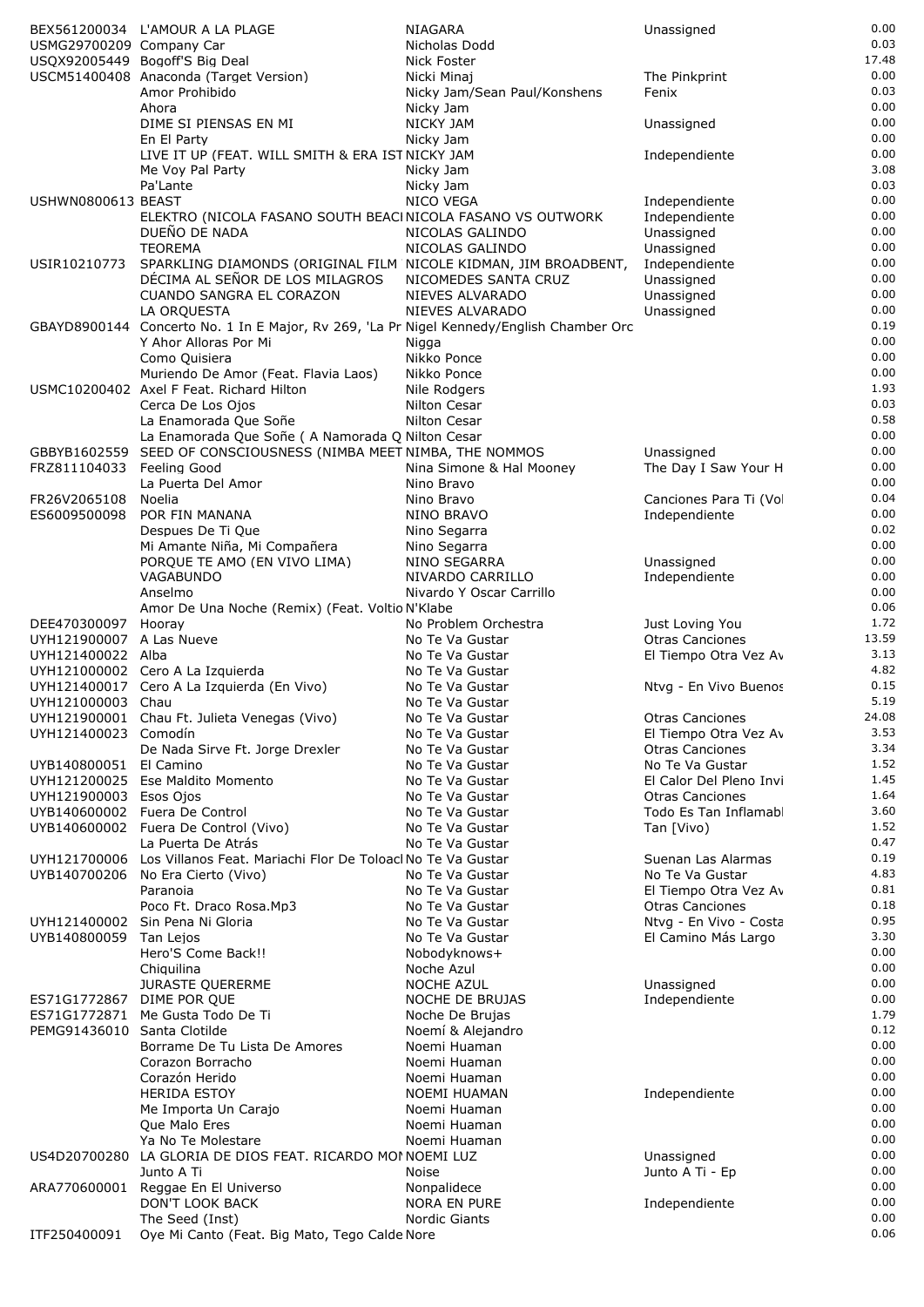|                             | BEX561200034 L'AMOUR A LA PLAGE                                                           | NIAGARA                      | Unassigned              | 0.00  |
|-----------------------------|-------------------------------------------------------------------------------------------|------------------------------|-------------------------|-------|
| USMG29700209 Company Car    |                                                                                           | Nicholas Dodd                |                         | 0.03  |
|                             | USQX92005449 Bogoff'S Big Deal                                                            | Nick Foster                  |                         | 17.48 |
|                             | USCM51400408 Anaconda (Target Version)                                                    | Nicki Minaj                  | The Pinkprint           | 0.00  |
|                             | Amor Prohibido                                                                            | Nicky Jam/Sean Paul/Konshens | Fenix                   | 0.03  |
|                             | Ahora                                                                                     | Nicky Jam                    |                         | 0.00  |
|                             | DIME SI PIENSAS EN MI                                                                     | NICKY JAM                    | Unassigned              | 0.00  |
|                             | En El Party                                                                               | Nicky Jam                    |                         | 0.00  |
|                             | LIVE IT UP (FEAT. WILL SMITH & ERA IST NICKY JAM                                          |                              | Independiente           | 0.00  |
|                             | Me Voy Pal Party                                                                          | Nicky Jam                    |                         | 3.08  |
|                             | Pa'Lante                                                                                  | Nicky Jam                    |                         | 0.03  |
| USHWN0800613 BEAST          |                                                                                           | <b>NICO VEGA</b>             | Independiente           | 0.00  |
|                             | ELEKTRO (NICOLA FASANO SOUTH BEACINICOLA FASANO VS OUTWORK                                |                              | Independiente           | 0.00  |
|                             | DUEÑO DE NADA                                                                             | NICOLAS GALINDO              | Unassigned              | 0.00  |
|                             | <b>TEOREMA</b>                                                                            | NICOLAS GALINDO              | Unassigned              | 0.00  |
| USIR10210773                | SPARKLING DIAMONDS (ORIGINAL FILM NICOLE KIDMAN, JIM BROADBENT,                           |                              | Independiente           | 0.00  |
|                             | DÉCIMA AL SEÑOR DE LOS MILAGROS                                                           | NICOMEDES SANTA CRUZ         | Unassigned              | 0.00  |
|                             | CUANDO SANGRA EL CORAZON                                                                  | NIEVES ALVARADO              | Unassigned              | 0.00  |
|                             |                                                                                           | NIEVES ALVARADO              |                         | 0.00  |
|                             | LA ORQUESTA                                                                               |                              | Unassigned              | 0.19  |
|                             | GBAYD8900144 Concerto No. 1 In E Major, Rv 269, 'La Pri Nigel Kennedy/English Chamber Orc |                              |                         | 0.00  |
|                             | Y Ahor Alloras Por Mi                                                                     | Nigga                        |                         | 0.00  |
|                             | Como Quisiera                                                                             | Nikko Ponce                  |                         |       |
|                             | Muriendo De Amor (Feat. Flavia Laos)                                                      | Nikko Ponce                  |                         | 0.00  |
|                             | USMC10200402 Axel F Feat. Richard Hilton                                                  | Nile Rodgers                 |                         | 1.93  |
|                             | Cerca De Los Ojos                                                                         | Nilton Cesar                 |                         | 0.03  |
|                             | La Enamorada Que Soñe                                                                     | Nilton Cesar                 |                         | 0.58  |
|                             | La Enamorada Que Soñe ( A Namorada Q Nilton Cesar                                         |                              |                         | 0.00  |
|                             | GBBYB1602559 SEED OF CONSCIOUSNESS (NIMBA MEET NIMBA, THE NOMMOS                          |                              | Unassigned              | 0.00  |
| FRZ811104033                | Feeling Good                                                                              | Nina Simone & Hal Mooney     | The Day I Saw Your H    | 0.00  |
|                             | La Puerta Del Amor                                                                        | Nino Bravo                   |                         | 0.00  |
| FR26V2065108                | Noelia                                                                                    | Nino Bravo                   | Canciones Para Ti (Vo   | 0.04  |
| ES6009500098                | POR FIN MANANA                                                                            | NINO BRAVO                   | Independiente           | 0.00  |
|                             | Despues De Ti Que                                                                         | Nino Segarra                 |                         | 0.02  |
|                             | Mi Amante Niña, Mi Compañera                                                              | Nino Segarra                 |                         | 0.00  |
|                             | PORQUE TE AMO (EN VIVO LIMA)                                                              | NINO SEGARRA                 | Unassigned              | 0.00  |
|                             | VAGABUNDO                                                                                 | NIVARDO CARRILLO             | Independiente           | 0.00  |
|                             | Anselmo                                                                                   | Nivardo Y Oscar Carrillo     |                         | 0.00  |
|                             | Amor De Una Noche (Remix) (Feat. Voltio N'Klabe                                           |                              |                         | 0.06  |
| DEE470300097                | Hooray                                                                                    | No Problem Orchestra         | Just Loving You         | 1.72  |
| UYH121900007 A Las Nueve    |                                                                                           | No Te Va Gustar              | <b>Otras Canciones</b>  | 13.59 |
| UYH121400022 Alba           |                                                                                           | No Te Va Gustar              | El Tiempo Otra Vez Av   | 3.13  |
|                             | UYH121000002 Cero A La Izquierda                                                          | No Te Va Gustar              |                         | 4.82  |
|                             | UYH121400017 Cero A La Izquierda (En Vivo)                                                | No Te Va Gustar              | Ntvg - En Vivo Buenos   | 0.15  |
| UYH121000003 Chau           |                                                                                           | No Te Va Gustar              |                         | 5.19  |
|                             | UYH121900001 Chau Ft. Julieta Venegas (Vivo)                                              |                              | <b>Otras Canciones</b>  | 24.08 |
| UYH121400023 Comodín        |                                                                                           | No Te Va Gustar              | El Tiempo Otra Vez Av   | 3.53  |
|                             |                                                                                           | No Te Va Gustar              |                         | 3.34  |
|                             | De Nada Sirve Ft. Jorge Drexler                                                           | No Te Va Gustar              | <b>Otras Canciones</b>  |       |
| UYB140800051 El Camino      |                                                                                           | No Te Va Gustar              | No Te Va Gustar         | 1.52  |
|                             | UYH121200025 Ese Maldito Momento                                                          | No Te Va Gustar              | El Calor Del Pleno Invi | 1.45  |
| UYH121900003 Esos Ojos      |                                                                                           | No Te Va Gustar              | <b>Otras Canciones</b>  | 1.64  |
|                             | UYB140600002 Fuera De Control                                                             | No Te Va Gustar              | Todo Es Tan Inflamab    | 3.60  |
|                             | UYB140600002 Fuera De Control (Vivo)                                                      | No Te Va Gustar              | Tan [Vivo)              | 1.52  |
|                             | La Puerta De Atrás                                                                        | No Te Va Gustar              |                         | 0.47  |
| UYH121700006                | Los Villanos Feat. Mariachi Flor De Toloacl No Te Va Gustar                               |                              | Suenan Las Alarmas      | 0.19  |
| UYB140700206                | No Era Cierto (Vivo)                                                                      | No Te Va Gustar              | No Te Va Gustar         | 4.83  |
|                             | Paranoia                                                                                  | No Te Va Gustar              | El Tiempo Otra Vez Av   | 0.81  |
|                             | Poco Ft. Draco Rosa.Mp3                                                                   | No Te Va Gustar              | <b>Otras Canciones</b>  | 0.18  |
|                             | UYH121400002 Sin Pena Ni Gloria                                                           | No Te Va Gustar              | Ntvg - En Vivo - Costa  | 0.95  |
| UYB140800059                | Tan Lejos                                                                                 | No Te Va Gustar              | El Camino Más Largo     | 3.30  |
|                             | Hero'S Come Back!!                                                                        | Nobodyknows+                 |                         | 0.00  |
|                             | Chiquilina                                                                                | Noche Azul                   |                         | 0.00  |
|                             | <b>JURASTE QUERERME</b>                                                                   | <b>NOCHE AZUL</b>            | Unassigned              | 0.00  |
| ES71G1772867                | DIME POR QUE                                                                              | NOCHE DE BRUJAS              | Independiente           | 0.00  |
| ES71G1772871                | Me Gusta Todo De Ti                                                                       | Noche De Brujas              |                         | 1.79  |
| PEMG91436010 Santa Clotilde |                                                                                           | Noemí & Alejandro            |                         | 0.12  |
|                             | Borrame De Tu Lista De Amores                                                             | Noemi Huaman                 |                         | 0.00  |
|                             | Corazon Borracho                                                                          | Noemi Huaman                 |                         | 0.00  |
|                             | Corazón Herido                                                                            | Noemi Huaman                 |                         | 0.00  |
|                             | <b>HERIDA ESTOY</b>                                                                       | NOEMI HUAMAN                 | Independiente           | 0.00  |
|                             | Me Importa Un Carajo                                                                      | Noemi Huaman                 |                         | 0.00  |
|                             | Que Malo Eres                                                                             | Noemi Huaman                 |                         | 0.00  |
|                             | Ya No Te Molestare                                                                        | Noemi Huaman                 |                         | 0.00  |
|                             | US4D20700280 LA GLORIA DE DIOS FEAT. RICARDO MOI NOEMI LUZ                                |                              | Unassigned              | 0.00  |
|                             | Junto A Ti                                                                                | Noise                        | Junto A Ti - Ep         | 0.00  |
|                             | ARA770600001 Reggae En El Universo                                                        | Nonpalidece                  |                         | 0.00  |
|                             |                                                                                           | <b>NORA EN PURE</b>          |                         | 0.00  |
|                             | DON'T LOOK BACK                                                                           |                              | Independiente           | 0.00  |
|                             | The Seed (Inst)                                                                           | Nordic Giants                |                         | 0.06  |
| ITF250400091                | Oye Mi Canto (Feat. Big Mato, Tego Calde Nore                                             |                              |                         |       |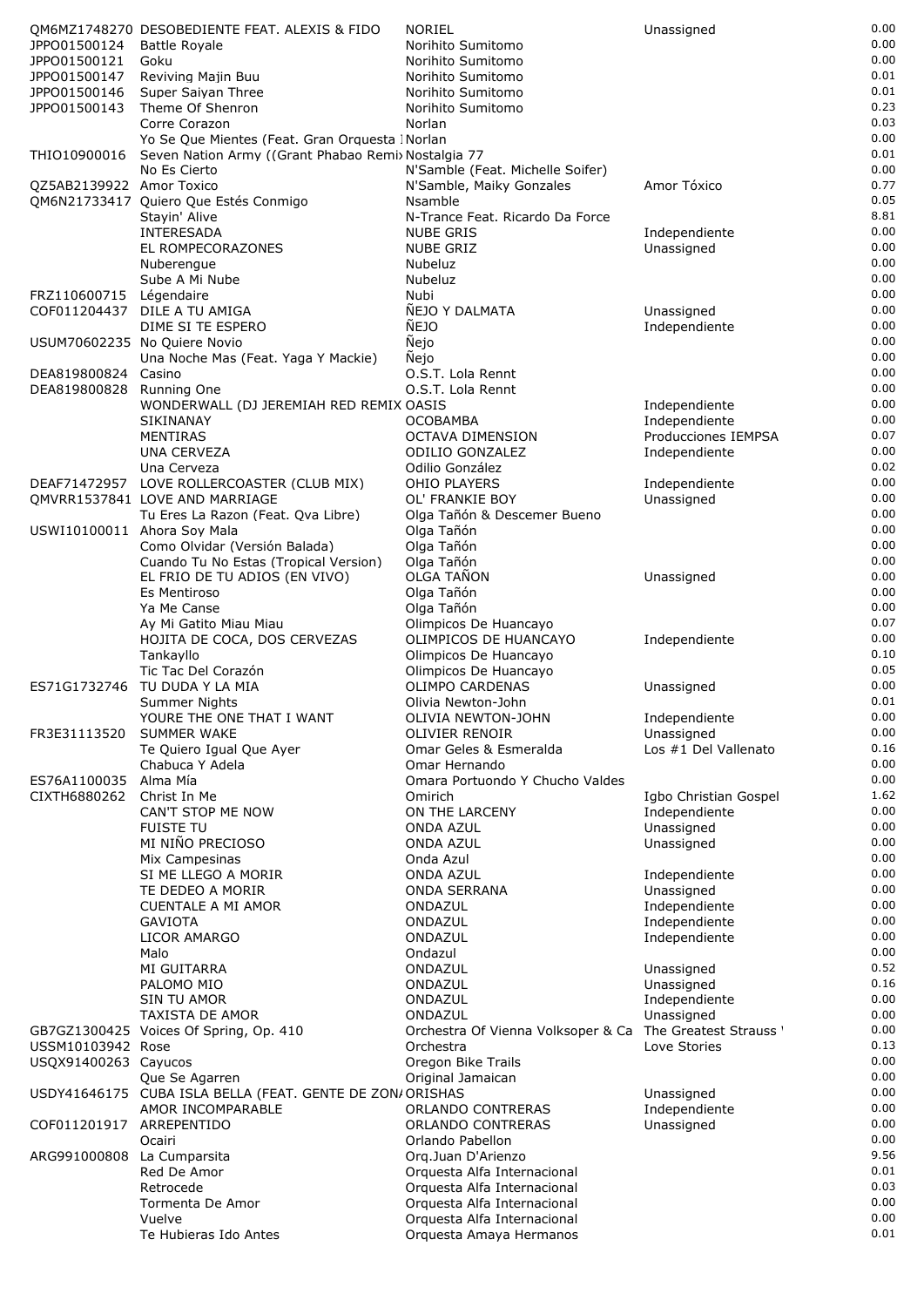|                             | OM6MZ1748270 DESOBEDIENTE FEAT. ALEXIS & FIDO            | <b>NORIEL</b>                                          | Unassigned                  | 0.00         |
|-----------------------------|----------------------------------------------------------|--------------------------------------------------------|-----------------------------|--------------|
| JPPO01500124                | <b>Battle Rovale</b>                                     | Norihito Sumitomo                                      |                             | 0.00         |
| JPPO01500121                | Goku                                                     | Norihito Sumitomo                                      |                             | 0.00         |
| JPPO01500147                | Reviving Majin Buu                                       | Norihito Sumitomo                                      |                             | 0.01         |
| JPPO01500146                | Super Saiyan Three                                       | Norihito Sumitomo                                      |                             | 0.01         |
| JPPO01500143                | Theme Of Shenron<br>Corre Corazon                        | Norihito Sumitomo<br>Norlan                            |                             | 0.23<br>0.03 |
|                             | Yo Se Que Mientes (Feat. Gran Orquesta INorlan           |                                                        |                             | 0.00         |
| THIO10900016                | Seven Nation Army ((Grant Phabao Remix Nostalgia 77      |                                                        |                             | 0.01         |
|                             | No Es Cierto                                             | N'Samble (Feat. Michelle Soifer)                       |                             | 0.00         |
| QZ5AB2139922 Amor Toxico    |                                                          | N'Samble, Maiky Gonzales                               | Amor Tóxico                 | 0.77         |
|                             | QM6N21733417 Quiero Que Estés Conmigo                    | Nsamble                                                |                             | 0.05         |
|                             | Stayin' Alive                                            | N-Trance Feat. Ricardo Da Force                        |                             | 8.81         |
|                             | INTERESADA                                               | <b>NUBE GRIS</b>                                       | Independiente               | 0.00         |
|                             | EL ROMPECORAZONES                                        | <b>NUBE GRIZ</b>                                       | Unassigned                  | 0.00         |
|                             | Nuberengue                                               | Nubeluz                                                |                             | 0.00         |
|                             | Sube A Mi Nube                                           | Nubeluz                                                |                             | 0.00         |
| FRZ110600715                | Légendaire                                               | Nubi                                                   |                             | 0.00<br>0.00 |
| COF011204437                | DILE A TU AMIGA<br>DIME SI TE ESPERO                     | ÑEJO Y DALMATA<br>ÑEJO                                 | Unassigned<br>Independiente | 0.00         |
|                             | USUM70602235 No Quiere Novio                             | Ñejo                                                   |                             | 0.00         |
|                             | Una Noche Mas (Feat. Yaga Y Mackie)                      | <b>Nejo</b>                                            |                             | 0.00         |
| DEA819800824                | Casino                                                   | O.S.T. Lola Rennt                                      |                             | 0.00         |
| DEA819800828                | Running One                                              | O.S.T. Lola Rennt                                      |                             | 0.00         |
|                             | WONDERWALL (DJ JEREMIAH RED REMIX OASIS                  |                                                        | Independiente               | 0.00         |
|                             | <b>SIKINANAY</b>                                         | <b>OCOBAMBA</b>                                        | Independiente               | 0.00         |
|                             | <b>MENTIRAS</b>                                          | <b>OCTAVA DIMENSION</b>                                | Producciones IEMPSA         | 0.07         |
|                             | <b>UNA CERVEZA</b>                                       | <b>ODILIO GONZALEZ</b>                                 | Independiente               | 0.00         |
|                             | Una Cerveza                                              | Odilio González                                        |                             | 0.02         |
|                             | DEAF71472957 LOVE ROLLERCOASTER (CLUB MIX)               | <b>OHIO PLAYERS</b>                                    | Independiente               | 0.00         |
|                             | OMVRR1537841 LOVE AND MARRIAGE                           | OL' FRANKIE BOY                                        | Unassigned                  | 0.00         |
|                             | Tu Eres La Razon (Feat. Qva Libre)                       | Olga Tañón & Descemer Bueno                            |                             | 0.00<br>0.00 |
| USWI10100011 Ahora Soy Mala | Como Olvidar (Versión Balada)                            | Olga Tañón<br>Olga Tañón                               |                             | 0.00         |
|                             | Cuando Tu No Estas (Tropical Version)                    | Olga Tañón                                             |                             | 0.00         |
|                             | EL FRIO DE TU ADIOS (EN VIVO)                            | OLGA TAÑON                                             | Unassigned                  | 0.00         |
|                             | Es Mentiroso                                             | Olga Tañón                                             |                             | 0.00         |
|                             | Ya Me Canse                                              | Olga Tañón                                             |                             | 0.00         |
|                             | Ay Mi Gatito Miau Miau                                   | Olimpicos De Huancayo                                  |                             | 0.07         |
|                             | HOJITA DE COCA, DOS CERVEZAS                             | OLIMPICOS DE HUANCAYO                                  | Independiente               | 0.00         |
|                             | Tankayllo                                                | Olimpicos De Huancayo                                  |                             | 0.10         |
|                             | Tic Tac Del Corazón                                      | Olimpicos De Huancayo                                  |                             | 0.05         |
| ES71G1732746                | TU DUDA Y LA MIA                                         | <b>OLIMPO CARDENAS</b>                                 | Unassigned                  | 0.00         |
|                             | Summer Nights                                            | Olivia Newton-John                                     |                             | 0.01         |
|                             | YOURE THE ONE THAT I WANT                                | OLIVIA NEWTON-JOHN                                     | Independiente               | 0.00         |
| FR3E31113520                | <b>SUMMER WAKE</b>                                       | OLIVIER RENOIR                                         | Unassigned                  | 0.00         |
|                             | Te Quiero Igual Que Ayer                                 | Omar Geles & Esmeralda<br>Omar Hernando                | Los #1 Del Vallenato        | 0.16<br>0.00 |
| ES76A1100035                | Chabuca Y Adela<br>Alma Mía                              | Omara Portuondo Y Chucho Valdes                        |                             | 0.00         |
| CIXTH6880262                | Christ In Me                                             | Omirich                                                | Igbo Christian Gospel       | 1.62         |
|                             | CAN'T STOP ME NOW                                        | ON THE LARCENY                                         | Independiente               | 0.00         |
|                             | <b>FUISTE TU</b>                                         | ONDA AZUL                                              | Unassigned                  | 0.00         |
|                             | MI NIÑO PRECIOSO                                         | <b>ONDA AZUL</b>                                       | Unassigned                  | 0.00         |
|                             | Mix Campesinas                                           | Onda Azul                                              |                             | 0.00         |
|                             | SI ME LLEGO A MORIR                                      | ONDA AZUL                                              | Independiente               | 0.00         |
|                             | TE DEDEO A MORIR                                         | <b>ONDA SERRANA</b>                                    | Unassigned                  | 0.00         |
|                             | <b>CUENTALE A MI AMOR</b>                                | ONDAZUL                                                | Independiente               | 0.00         |
|                             | GAVIOTA                                                  | ONDAZUL                                                | Independiente               | 0.00         |
|                             | LICOR AMARGO                                             | ONDAZUL                                                | Independiente               | 0.00         |
|                             | Malo                                                     | Ondazul                                                |                             | 0.00         |
|                             | MI GUITARRA                                              | ONDAZUL<br>ONDAZUL                                     | Unassigned                  | 0.52<br>0.16 |
|                             | PALOMO MIO<br>SIN TU AMOR                                | ONDAZUL                                                | Unassigned<br>Independiente | 0.00         |
|                             | <b>TAXISTA DE AMOR</b>                                   | ONDAZUL                                                | Unassigned                  | 0.00         |
|                             | GB7GZ1300425 Voices Of Spring, Op. 410                   | Orchestra Of Vienna Volksoper & Ca                     | The Greatest Strauss        | 0.00         |
| USSM10103942 Rose           |                                                          | Orchestra                                              | Love Stories                | 0.13         |
| USQX91400263 Cayucos        |                                                          | Oregon Bike Trails                                     |                             | 0.00         |
|                             | Que Se Agarren                                           | Original Jamaican                                      |                             | 0.00         |
|                             | USDY41646175 CUBA ISLA BELLA (FEAT. GENTE DE ZON/ORISHAS |                                                        | Unassigned                  | 0.00         |
|                             | AMOR INCOMPARABLE                                        | ORLANDO CONTRERAS                                      | Independiente               | 0.00         |
| COF011201917 ARREPENTIDO    |                                                          | ORLANDO CONTRERAS                                      | Unassigned                  | 0.00         |
|                             | Ocairi                                                   | Orlando Pabellon                                       |                             | 0.00         |
| ARG991000808 La Cumparsita  |                                                          | Orq.Juan D'Arienzo                                     |                             | 9.56         |
|                             | Red De Amor                                              | Orquesta Alfa Internacional                            |                             | 0.01         |
|                             | Retrocede                                                | Orquesta Alfa Internacional                            |                             | 0.03         |
|                             | Tormenta De Amor                                         | Orquesta Alfa Internacional                            |                             | 0.00<br>0.00 |
|                             | Vuelve<br>Te Hubieras Ido Antes                          | Orquesta Alfa Internacional<br>Orquesta Amaya Hermanos |                             | 0.01         |
|                             |                                                          |                                                        |                             |              |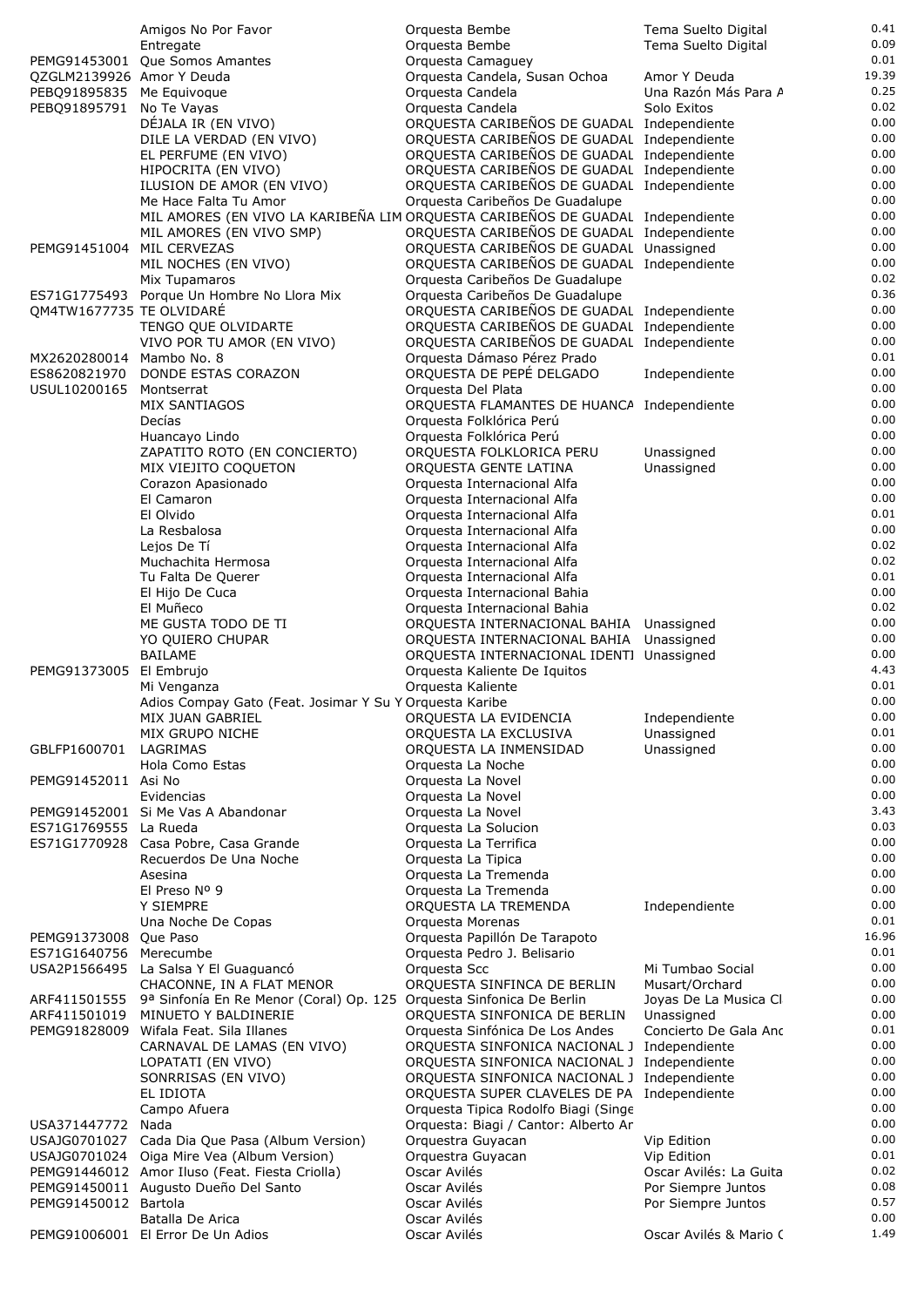|                                           | Amigos No Por Favor                                                            | Orquesta Bembe                                                                             | Tema Suelto Digital                      | 0.41          |
|-------------------------------------------|--------------------------------------------------------------------------------|--------------------------------------------------------------------------------------------|------------------------------------------|---------------|
|                                           | Entregate                                                                      | Orquesta Bembe                                                                             | Tema Suelto Digital                      | 0.09          |
|                                           | PEMG91453001 Que Somos Amantes                                                 | Orquesta Camaguey                                                                          |                                          | 0.01          |
| QZGLM2139926 Amor Y Deuda                 |                                                                                | Orquesta Candela, Susan Ochoa                                                              | Amor Y Deuda<br>Una Razón Más Para A     | 19.39<br>0.25 |
| PEBQ91895835 Me Equivoque<br>PEBO91895791 | No Te Vayas                                                                    | Orquesta Candela<br>Orquesta Candela                                                       | Solo Exitos                              | 0.02          |
|                                           | DÉJALA IR (EN VIVO)                                                            | ORQUESTA CARIBEÑOS DE GUADAL Independiente                                                 |                                          | 0.00          |
|                                           | DILE LA VERDAD (EN VIVO)                                                       | ORQUESTA CARIBEÑOS DE GUADAL Independiente                                                 |                                          | 0.00          |
|                                           | EL PERFUME (EN VIVO)                                                           | ORQUESTA CARIBEÑOS DE GUADAL Independiente                                                 |                                          | 0.00          |
|                                           | HIPOCRITA (EN VIVO)                                                            | ORQUESTA CARIBEÑOS DE GUADAL Independiente                                                 |                                          | 0.00          |
|                                           | ILUSION DE AMOR (EN VIVO)                                                      | ORQUESTA CARIBEÑOS DE GUADAL Independiente                                                 |                                          | 0.00          |
|                                           | Me Hace Falta Tu Amor                                                          | Orquesta Caribeños De Guadalupe                                                            |                                          | 0.00          |
|                                           | MIL AMORES (EN VIVO LA KARIBEÑA LIM ORQUESTA CARIBEÑOS DE GUADAL Independiente |                                                                                            |                                          | 0.00<br>0.00  |
| PEMG91451004 MIL CERVEZAS                 | MIL AMORES (EN VIVO SMP)                                                       | ORQUESTA CARIBEÑOS DE GUADAL Independiente<br>ORQUESTA CARIBEÑOS DE GUADAL Unassigned      |                                          | 0.00          |
|                                           | MIL NOCHES (EN VIVO)                                                           | ORQUESTA CARIBEÑOS DE GUADAL Independiente                                                 |                                          | 0.00          |
|                                           | Mix Tupamaros                                                                  | Orquesta Caribeños De Guadalupe                                                            |                                          | 0.02          |
|                                           | ES71G1775493 Porque Un Hombre No Llora Mix                                     | Orquesta Caribeños De Guadalupe                                                            |                                          | 0.36          |
| QM4TW1677735 TE OLVIDARE                  |                                                                                | ORQUESTA CARIBEÑOS DE GUADAL Independiente                                                 |                                          | 0.00          |
|                                           | TENGO QUE OLVIDARTE                                                            | ORQUESTA CARIBEÑOS DE GUADAL Independiente                                                 |                                          | 0.00          |
|                                           | VIVO POR TU AMOR (EN VIVO)                                                     | ORQUESTA CARIBEÑOS DE GUADAL Independiente                                                 |                                          | 0.00          |
| MX2620280014 Mambo No. 8                  |                                                                                | Orquesta Dámaso Pérez Prado                                                                |                                          | 0.01<br>0.00  |
| ES8620821970<br>USUL10200165              | DONDE ESTAS CORAZON<br>Montserrat                                              | ORQUESTA DE PEPÉ DELGADO<br>Orquesta Del Plata                                             | Independiente                            | 0.00          |
|                                           | MIX SANTIAGOS                                                                  | ORQUESTA FLAMANTES DE HUANCA Independiente                                                 |                                          | 0.00          |
|                                           | Decías                                                                         | Orquesta Folklórica Perú                                                                   |                                          | 0.00          |
|                                           | Huancayo Lindo                                                                 | Orquesta Folklórica Perú                                                                   |                                          | 0.00          |
|                                           | ZAPATITO ROTO (EN CONCIERTO)                                                   | ORQUESTA FOLKLORICA PERU                                                                   | Unassigned                               | 0.00          |
|                                           | MIX VIEJITO COQUETON                                                           | ORQUESTA GENTE LATINA                                                                      | Unassigned                               | 0.00          |
|                                           | Corazon Apasionado                                                             | Orquesta Internacional Alfa                                                                |                                          | 0.00          |
|                                           | El Camaron                                                                     | Orquesta Internacional Alfa                                                                |                                          | 0.00          |
|                                           | El Olvido                                                                      | Orquesta Internacional Alfa                                                                |                                          | 0.01<br>0.00  |
|                                           | La Resbalosa<br>Lejos De Tí                                                    | Orquesta Internacional Alfa<br>Orquesta Internacional Alfa                                 |                                          | 0.02          |
|                                           | Muchachita Hermosa                                                             | Orquesta Internacional Alfa                                                                |                                          | 0.02          |
|                                           | Tu Falta De Querer                                                             | Orquesta Internacional Alfa                                                                |                                          | 0.01          |
|                                           | El Hijo De Cuca                                                                | Orquesta Internacional Bahia                                                               |                                          | 0.00          |
|                                           | El Muñeco                                                                      | Orquesta Internacional Bahia                                                               |                                          | 0.02          |
|                                           | ME GUSTA TODO DE TI                                                            | ORQUESTA INTERNACIONAL BAHIA Unassigned                                                    |                                          | 0.00          |
|                                           | YO QUIERO CHUPAR                                                               | ORQUESTA INTERNACIONAL BAHIA Unassigned                                                    |                                          | 0.00          |
| PEMG91373005 El Embrujo                   | BAILAME                                                                        | ORQUESTA INTERNACIONAL IDENTI Unassigned<br>Orquesta Kaliente De Iquitos                   |                                          | 0.00<br>4.43  |
|                                           | Mi Venganza                                                                    | Orquesta Kaliente                                                                          |                                          | 0.01          |
|                                           | Adios Compay Gato (Feat. Josimar Y Su Y Orquesta Karibe                        |                                                                                            |                                          | 0.00          |
|                                           | MIX JUAN GABRIEL                                                               | ORQUESTA LA EVIDENCIA                                                                      | Independiente                            | 0.00          |
|                                           | MIX GRUPO NICHE                                                                | ORQUESTA LA EXCLUSIVA                                                                      | Unassigned                               | 0.01          |
| GBLFP1600701                              | LAGRIMAS                                                                       | ORQUESTA LA INMENSIDAD                                                                     | Unassigned                               | 0.00          |
|                                           | Hola Como Estas                                                                | Orquesta La Noche                                                                          |                                          | 0.00          |
| PEMG91452011 Asi No                       |                                                                                | Orquesta La Novel                                                                          |                                          | 0.00<br>0.00  |
|                                           | Evidencias<br>PEMG91452001 Si Me Vas A Abandonar                               | Orquesta La Novel<br>Orquesta La Novel                                                     |                                          | 3.43          |
| ES71G1769555 La Rueda                     |                                                                                | Orquesta La Solucion                                                                       |                                          | 0.03          |
|                                           | ES71G1770928 Casa Pobre, Casa Grande                                           | Orquesta La Terrifica                                                                      |                                          | 0.00          |
|                                           | Recuerdos De Una Noche                                                         | Orquesta La Tipica                                                                         |                                          | 0.00          |
|                                           | Asesina                                                                        | Orquesta La Tremenda                                                                       |                                          | 0.00          |
|                                           | El Preso Nº 9                                                                  | Orquesta La Tremenda                                                                       |                                          | 0.00          |
|                                           | Y SIEMPRE                                                                      | ORQUESTA LA TREMENDA                                                                       | Independiente                            | 0.00<br>0.01  |
| PEMG91373008                              | Una Noche De Copas<br>Que Paso                                                 | Orquesta Morenas<br>Orquesta Papillón De Tarapoto                                          |                                          | 16.96         |
| ES71G1640756                              | Merecumbe                                                                      | Orquesta Pedro J. Belisario                                                                |                                          | 0.01          |
|                                           | USA2P1566495 La Salsa Y El Guaguancó                                           | Orquesta Scc                                                                               | Mi Tumbao Social                         | 0.00          |
|                                           | CHACONNE, IN A FLAT MENOR                                                      | ORQUESTA SINFINCA DE BERLIN                                                                | Musart/Orchard                           | 0.00          |
| ARF411501555                              | 9ª Sinfonía En Re Menor (Coral) Op. 125                                        | Orquesta Sinfonica De Berlin                                                               | Joyas De La Musica Cl                    | 0.00          |
| ARF411501019                              | MINUETO Y BALDINERIE                                                           | ORQUESTA SINFONICA DE BERLIN                                                               | Unassigned                               | 0.00          |
|                                           | PEMG91828009 Wifala Feat. Sila Illanes                                         | Orquesta Sinfónica De Los Andes                                                            | Concierto De Gala Ano                    | 0.01          |
|                                           | CARNAVAL DE LAMAS (EN VIVO)                                                    | ORQUESTA SINFONICA NACIONAL J Independiente                                                |                                          | 0.00<br>0.00  |
|                                           | LOPATATI (EN VIVO)<br>SONRRISAS (EN VIVO)                                      | ORQUESTA SINFONICA NACIONAL J Independiente<br>ORQUESTA SINFONICA NACIONAL J Independiente |                                          | 0.00          |
|                                           | EL IDIOTA                                                                      | ORQUESTA SUPER CLAVELES DE PA Independiente                                                |                                          | 0.00          |
|                                           | Campo Afuera                                                                   | Orquesta Tipica Rodolfo Biagi (Singe                                                       |                                          | 0.00          |
| USA371447772                              | Nada                                                                           | Orquesta: Biagi / Cantor: Alberto Ar                                                       |                                          | 0.00          |
|                                           | USAJG0701027 Cada Dia Que Pasa (Album Version)                                 | Orquestra Guyacan                                                                          | Vip Edition                              | 0.00          |
|                                           | USAJG0701024 Oiga Mire Vea (Album Version)                                     | Orquestra Guyacan                                                                          | Vip Edition                              | 0.01          |
|                                           | PEMG91446012 Amor Iluso (Feat. Fiesta Criolla)                                 | Oscar Avilés                                                                               | Oscar Avilés: La Guita                   | 0.02<br>0.08  |
| PEMG91450012 Bartola                      | PEMG91450011 Augusto Dueño Del Santo                                           | Oscar Avilés<br>Oscar Avilés                                                               | Por Siempre Juntos<br>Por Siempre Juntos | 0.57          |
|                                           | Batalla De Arica                                                               | Oscar Avilés                                                                               |                                          | 0.00          |
|                                           | PEMG91006001 El Error De Un Adios                                              | Oscar Avilés                                                                               | Oscar Avilés & Mario (                   | 1.49          |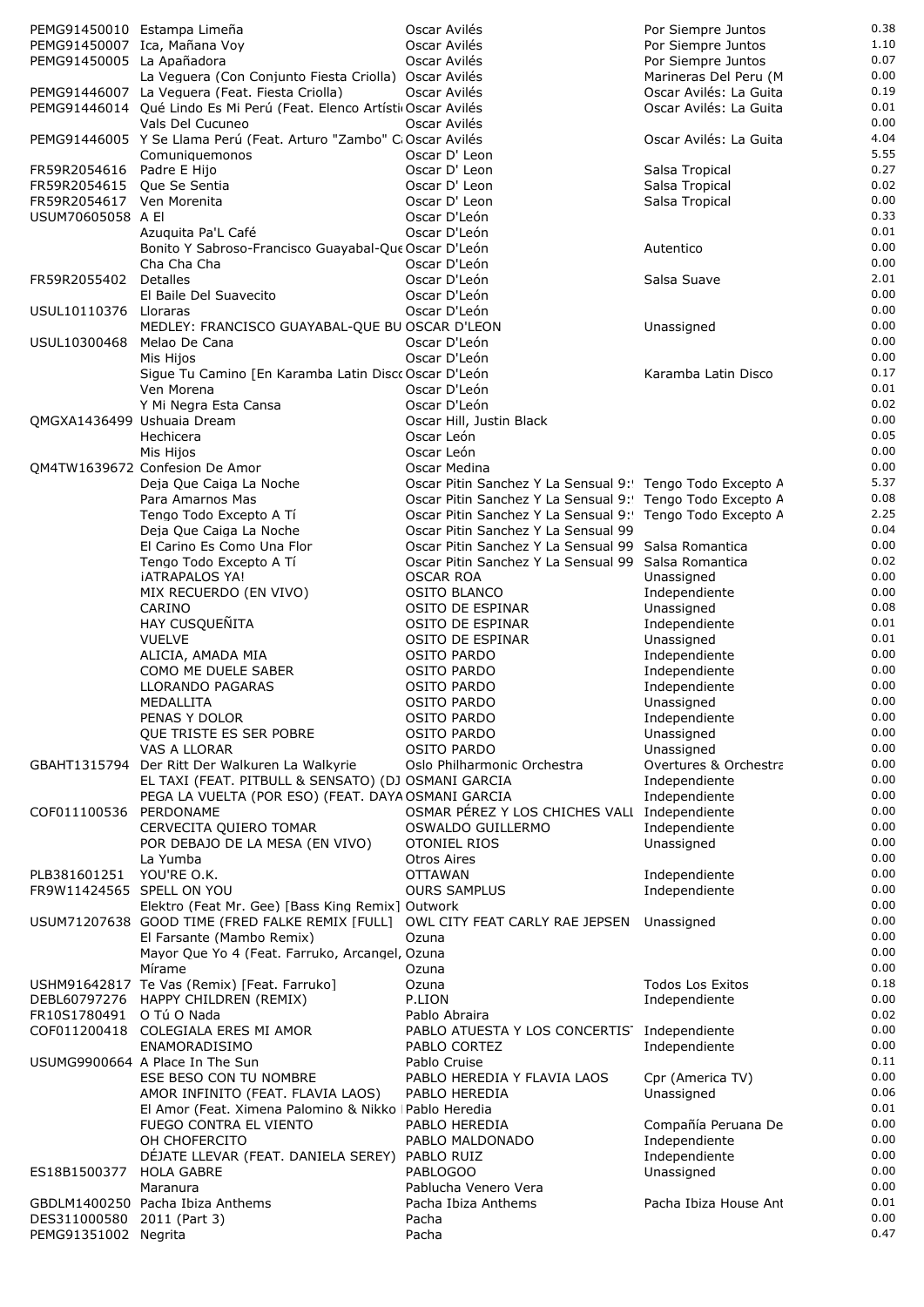| PEMG91450010 Estampa Limeña                             |                                                                                                         | Oscar Avilés                                                                                    | Por Siempre Juntos                              | 0.38         |
|---------------------------------------------------------|---------------------------------------------------------------------------------------------------------|-------------------------------------------------------------------------------------------------|-------------------------------------------------|--------------|
|                                                         | PEMG91450007 Ica, Mañana Voy                                                                            | Oscar Avilés                                                                                    | Por Siempre Juntos                              | 1.10         |
| PEMG91450005 La Apañadora                               |                                                                                                         | Oscar Avilés                                                                                    | Por Siempre Juntos                              | 0.07<br>0.00 |
|                                                         | La Veguera (Con Conjunto Fiesta Criolla) Oscar Avilés<br>PEMG91446007 La Veguera (Feat. Fiesta Criolla) | Oscar Avilés                                                                                    | Marineras Del Peru (M<br>Oscar Avilés: La Guita | 0.19         |
|                                                         | PEMG91446014 Qué Lindo Es Mi Perú (Feat. Elenco Artísti Oscar Avilés                                    |                                                                                                 | Oscar Avilés: La Guita                          | 0.01         |
|                                                         | Vals Del Cucuneo                                                                                        | Oscar Avilés                                                                                    |                                                 | 0.00         |
|                                                         | PEMG91446005 Y Se Llama Perú (Feat. Arturo "Zambo" C: Oscar Avilés                                      |                                                                                                 | Oscar Avilés: La Guita                          | 4.04         |
|                                                         | Comuniquemonos                                                                                          | Oscar D' Leon<br>Oscar D' Leon                                                                  |                                                 | 5.55<br>0.27 |
| FR59R2054616 Padre E Hijo<br>FR59R2054615 Que Se Sentia |                                                                                                         | Oscar D' Leon                                                                                   | Salsa Tropical<br>Salsa Tropical                | 0.02         |
| FR59R2054617 Ven Morenita                               |                                                                                                         | Oscar D' Leon                                                                                   | Salsa Tropical                                  | 0.00         |
| USUM70605058 A EI                                       |                                                                                                         | Oscar D'León                                                                                    |                                                 | 0.33         |
|                                                         | Azuguita Pa'L Café                                                                                      | Oscar D'León                                                                                    |                                                 | 0.01         |
|                                                         | Bonito Y Sabroso-Francisco Guayabal-Que Oscar D'León<br>Cha Cha Cha                                     | Oscar D'León                                                                                    | Autentico                                       | 0.00<br>0.00 |
| FR59R2055402                                            | Detalles                                                                                                | Oscar D'León                                                                                    | Salsa Suave                                     | 2.01         |
|                                                         | El Baile Del Suavecito                                                                                  | Oscar D'León                                                                                    |                                                 | 0.00         |
| USUL10110376 Lloraras                                   |                                                                                                         | Oscar D'León                                                                                    |                                                 | 0.00         |
|                                                         | MEDLEY: FRANCISCO GUAYABAL-QUE BU OSCAR D'LEON                                                          | Oscar D'León                                                                                    | Unassigned                                      | 0.00<br>0.00 |
| USUL10300468 Melao De Cana                              | Mis Hijos                                                                                               | Oscar D'León                                                                                    |                                                 | 0.00         |
|                                                         | Sigue Tu Camino [En Karamba Latin Disco Oscar D'León                                                    |                                                                                                 | Karamba Latin Disco                             | 0.17         |
|                                                         | Ven Morena                                                                                              | Oscar D'León                                                                                    |                                                 | 0.01         |
|                                                         | Y Mi Negra Esta Cansa                                                                                   | Oscar D'León                                                                                    |                                                 | 0.02<br>0.00 |
| QMGXA1436499 Ushuaia Dream                              | Hechicera                                                                                               | Oscar Hill, Justin Black<br>Oscar León                                                          |                                                 | 0.05         |
|                                                         | Mis Hijos                                                                                               | Oscar León                                                                                      |                                                 | 0.00         |
|                                                         | OM4TW1639672 Confesion De Amor                                                                          | Oscar Medina                                                                                    |                                                 | 0.00         |
|                                                         | Deja Que Caiga La Noche                                                                                 | Oscar Pitin Sanchez Y La Sensual 9: Tengo Todo Excepto A                                        |                                                 | 5.37         |
|                                                         | Para Amarnos Mas                                                                                        | Oscar Pitin Sanchez Y La Sensual 9: Tengo Todo Excepto A                                        |                                                 | 0.08<br>2.25 |
|                                                         | Tengo Todo Excepto A Tí<br>Deja Que Caiga La Noche                                                      | Oscar Pitin Sanchez Y La Sensual 9: Tengo Todo Excepto A<br>Oscar Pitin Sanchez Y La Sensual 99 |                                                 | 0.04         |
|                                                         | El Carino Es Como Una Flor                                                                              | Oscar Pitin Sanchez Y La Sensual 99 Salsa Romantica                                             |                                                 | 0.00         |
|                                                         | Tengo Todo Excepto A Tí                                                                                 | Oscar Pitin Sanchez Y La Sensual 99 Salsa Romantica                                             |                                                 | 0.02         |
|                                                         | <b>IATRAPALOS YA!</b>                                                                                   | <b>OSCAR ROA</b>                                                                                | Unassigned                                      | 0.00         |
|                                                         | MIX RECUERDO (EN VIVO)<br>CARINO                                                                        | <b>OSITO BLANCO</b><br>OSITO DE ESPINAR                                                         | Independiente<br>Unassigned                     | 0.00<br>0.08 |
|                                                         | HAY CUSQUEÑITA                                                                                          | <b>OSITO DE ESPINAR</b>                                                                         | Independiente                                   | 0.01         |
|                                                         | <b>VUELVE</b>                                                                                           | <b>OSITO DE ESPINAR</b>                                                                         | Unassigned                                      | 0.01         |
|                                                         | ALICIA, AMADA MIA                                                                                       | OSITO PARDO                                                                                     | Independiente                                   | 0.00         |
|                                                         | COMO ME DUELE SABER<br>LLORANDO PAGARAS                                                                 | <b>OSITO PARDO</b><br><b>OSITO PARDO</b>                                                        | Independiente                                   | 0.00<br>0.00 |
|                                                         | MEDALLITA                                                                                               | OSITO PARDO                                                                                     | Independiente<br>Unassigned                     | 0.00         |
|                                                         | PENAS Y DOLOR                                                                                           | OSITO PARDO                                                                                     | Independiente                                   | 0.00         |
|                                                         | QUE TRISTE ES SER POBRE                                                                                 | <b>OSITO PARDO</b>                                                                              | Unassigned                                      | 0.00         |
|                                                         | VAS A LLORAR                                                                                            | <b>OSITO PARDO</b>                                                                              | Unassigned                                      | 0.00         |
| GBAHT1315794                                            | Der Ritt Der Walkuren La Walkyrie<br>EL TAXI (FEAT. PITBULL & SENSATO) (DJ OSMANI GARCIA                | Oslo Philharmonic Orchestra                                                                     | Overtures & Orchestra<br>Independiente          | 0.00<br>0.00 |
|                                                         | PEGA LA VUELTA (POR ESO) (FEAT. DAYA OSMANI GARCIA                                                      |                                                                                                 | Independiente                                   | 0.00         |
| COF011100536                                            | PERDONAME                                                                                               | OSMAR PÉREZ Y LOS CHICHES VALI Independiente                                                    |                                                 | 0.00         |
|                                                         | CERVECITA QUIERO TOMAR                                                                                  | OSWALDO GUILLERMO                                                                               | Independiente                                   | 0.00         |
|                                                         | POR DEBAJO DE LA MESA (EN VIVO)                                                                         | <b>OTONIEL RIOS</b>                                                                             | Unassigned                                      | 0.00<br>0.00 |
| PLB381601251                                            | La Yumba<br>YOU'RE O.K.                                                                                 | <b>Otros Aires</b><br><b>OTTAWAN</b>                                                            | Independiente                                   | 0.00         |
| FR9W11424565 SPELL ON YOU                               |                                                                                                         | <b>OURS SAMPLUS</b>                                                                             | Independiente                                   | 0.00         |
|                                                         | Elektro (Feat Mr. Gee) [Bass King Remix] Outwork                                                        |                                                                                                 |                                                 | 0.00         |
|                                                         | USUM71207638 GOOD TIME (FRED FALKE REMIX [FULL]                                                         | OWL CITY FEAT CARLY RAE JEPSEN                                                                  | Unassigned                                      | 0.00         |
|                                                         | El Farsante (Mambo Remix)<br>Mayor Que Yo 4 (Feat. Farruko, Arcangel, Ozuna                             | Ozuna                                                                                           |                                                 | 0.00<br>0.00 |
|                                                         | Mírame                                                                                                  | Ozuna                                                                                           |                                                 | 0.00         |
|                                                         | USHM91642817 Te Vas (Remix) [Feat. Farruko]                                                             | Ozuna                                                                                           | <b>Todos Los Exitos</b>                         | 0.18         |
|                                                         | DEBL60797276 HAPPY CHILDREN (REMIX)                                                                     | P.LION                                                                                          | Independiente                                   | 0.00         |
| FR10S1780491                                            | O Tú O Nada<br>COF011200418 COLEGIALA ERES MI AMOR                                                      | Pablo Abraira<br>PABLO ATUESTA Y LOS CONCERTIS' Independiente                                   |                                                 | 0.02<br>0.00 |
|                                                         | ENAMORADISIMO                                                                                           | PABLO CORTEZ                                                                                    | Independiente                                   | 0.00         |
|                                                         | USUMG9900664 A Place In The Sun                                                                         | Pablo Cruise                                                                                    |                                                 | 0.11         |
|                                                         | ESE BESO CON TU NOMBRE                                                                                  | PABLO HEREDIA Y FLAVIA LAOS                                                                     | Cpr (America TV)                                | 0.00         |
|                                                         | AMOR INFINITO (FEAT. FLAVIA LAOS)                                                                       | PABLO HEREDIA                                                                                   | Unassigned                                      | 0.06         |
|                                                         | El Amor (Feat. Ximena Palomino & Nikko   Pablo Heredia<br>FUEGO CONTRA EL VIENTO                        | PABLO HEREDIA                                                                                   | Compañía Peruana De                             | 0.01<br>0.00 |
|                                                         | OH CHOFERCITO                                                                                           | PABLO MALDONADO                                                                                 | Independiente                                   | 0.00         |
|                                                         | DÉJATE LLEVAR (FEAT. DANIELA SEREY) PABLO RUIZ                                                          |                                                                                                 | Independiente                                   | 0.00         |
| ES18B1500377                                            | <b>HOLA GABRE</b>                                                                                       | PABLOGOO                                                                                        | Unassigned                                      | 0.00         |
|                                                         | Maranura<br>GBDLM1400250 Pacha Ibiza Anthems                                                            | Pablucha Venero Vera<br>Pacha Ibiza Anthems                                                     | Pacha Ibiza House Ant                           | 0.00<br>0.01 |
| DES311000580 2011 (Part 3)                              |                                                                                                         | Pacha                                                                                           |                                                 | 0.00         |
| PEMG91351002 Negrita                                    |                                                                                                         | Pacha                                                                                           |                                                 | 0.47         |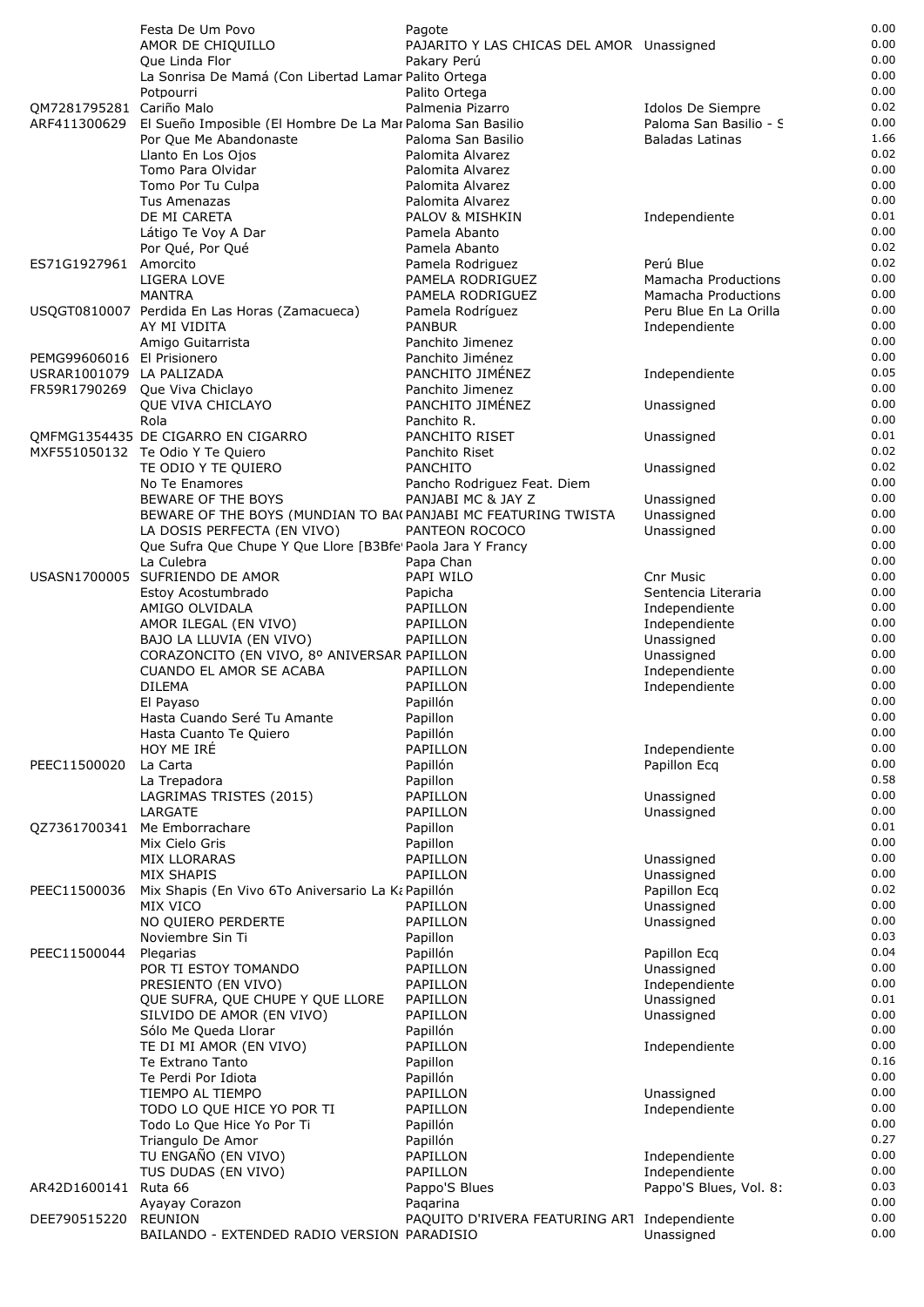|                            | Festa De Um Povo                                              | Pagote                                            |                                | 0.00         |
|----------------------------|---------------------------------------------------------------|---------------------------------------------------|--------------------------------|--------------|
|                            | AMOR DE CHIQUILLO                                             | PAJARITO Y LAS CHICAS DEL AMOR Unassigned         |                                | 0.00         |
|                            | Que Linda Flor                                                | Pakary Perú                                       |                                | 0.00         |
|                            | La Sonrisa De Mamá (Con Libertad Lamar Palito Ortega          |                                                   |                                | 0.00         |
| QM7281795281 Cariño Malo   | Potpourri                                                     | Palito Ortega<br>Palmenia Pizarro                 | Idolos De Siempre              | 0.00<br>0.02 |
| ARF411300629               | El Sueño Imposible (El Hombre De La Mar Paloma San Basilio    |                                                   | Paloma San Basilio - S         | 0.00         |
|                            | Por Que Me Abandonaste                                        | Paloma San Basilio                                | <b>Baladas Latinas</b>         | 1.66         |
|                            | Llanto En Los Ojos                                            | Palomita Alvarez                                  |                                | 0.02         |
|                            | Tomo Para Olvidar                                             | Palomita Alvarez                                  |                                | 0.00         |
|                            | Tomo Por Tu Culpa                                             | Palomita Alvarez                                  |                                | 0.00         |
|                            | Tus Amenazas                                                  | Palomita Alvarez                                  |                                | 0.00         |
|                            | DE MI CARETA                                                  | PALOV & MISHKIN                                   | Independiente                  | 0.01<br>0.00 |
|                            | Látigo Te Voy A Dar<br>Por Qué, Por Qué                       | Pamela Abanto<br>Pamela Abanto                    |                                | 0.02         |
| ES71G1927961 Amorcito      |                                                               | Pamela Rodriguez                                  | Perú Blue                      | 0.02         |
|                            | LIGERA LOVE                                                   | PAMELA RODRIGUEZ                                  | Mamacha Productions            | 0.00         |
|                            | MANTRA                                                        | PAMELA RODRIGUEZ                                  | Mamacha Productions            | 0.00         |
|                            | USQGT0810007 Perdida En Las Horas (Zamacueca)                 | Pamela Rodríguez                                  | Peru Blue En La Orilla         | 0.00         |
|                            | AY MI VIDITA                                                  | <b>PANBUR</b>                                     | Independiente                  | 0.00         |
| PEMG99606016 El Prisionero | Amigo Guitarrista                                             | Panchito Jimenez<br>Panchito Jiménez              |                                | 0.00<br>0.00 |
| USRAR1001079 LA PALIZADA   |                                                               | PANCHITO JIMÉNEZ                                  | Independiente                  | 0.05         |
|                            | FR59R1790269 Que Viva Chiclayo                                | Panchito Jimenez                                  |                                | 0.00         |
|                            | QUE VIVA CHICLAYO                                             | PANCHITO JIMÉNEZ                                  | Unassigned                     | 0.00         |
|                            | Rola                                                          | Panchito R.                                       |                                | 0.00         |
|                            | OMFMG1354435 DE CIGARRO EN CIGARRO                            | PANCHITO RISET                                    | Unassigned                     | 0.01         |
|                            | MXF551050132 Te Odio Y Te Quiero                              | Panchito Riset                                    |                                | 0.02         |
|                            | TE ODIO Y TE QUIERO                                           | <b>PANCHITO</b>                                   | Unassigned                     | 0.02<br>0.00 |
|                            | No Te Enamores<br>BEWARE OF THE BOYS                          | Pancho Rodriguez Feat. Diem<br>PANJABI MC & JAY Z | Unassigned                     | 0.00         |
|                            | BEWARE OF THE BOYS (MUNDIAN TO BA(PANJABI MC FEATURING TWISTA |                                                   | Unassigned                     | 0.00         |
|                            | LA DOSIS PERFECTA (EN VIVO)                                   | PANTEON ROCOCO                                    | Unassigned                     | 0.00         |
|                            | Que Sufra Que Chupe Y Que Llore [B3Bfe Paola Jara Y Francy    |                                                   |                                | 0.00         |
|                            | La Culebra                                                    | Papa Chan                                         |                                | 0.00         |
|                            | USASN1700005 SUFRIENDO DE AMOR                                | PAPI WILO                                         | <b>Cnr Music</b>               | 0.00         |
|                            | Estoy Acostumbrado                                            | Papicha                                           | Sentencia Literaria            | 0.00<br>0.00 |
|                            | AMIGO OLVIDALA<br>AMOR ILEGAL (EN VIVO)                       | PAPILLON<br>PAPILLON                              | Independiente<br>Independiente | 0.00         |
|                            | BAJO LA LLUVIA (EN VIVO)                                      | PAPILLON                                          | Unassigned                     | 0.00         |
|                            | CORAZONCITO (EN VIVO, 8º ANIVERSAR PAPILLON                   |                                                   | Unassigned                     | 0.00         |
|                            | <b>CUANDO EL AMOR SE ACABA</b>                                | PAPILLON                                          | Independiente                  | 0.00         |
|                            | DILEMA                                                        | <b>PAPILLON</b>                                   | Independiente                  | 0.00         |
|                            | El Payaso                                                     | Papillón                                          |                                | 0.00         |
|                            | Hasta Cuando Seré Tu Amante                                   | Papillon                                          |                                | 0.00<br>0.00 |
|                            | Hasta Cuanto Te Quiero<br>HOY ME IRÉ                          | Papillón<br>PAPILLON                              | Independiente                  | 0.00         |
| PEEC11500020               | La Carta                                                      | Papillón                                          | Papillon Ecq                   | 0.00         |
|                            | La Trepadora                                                  | Papillon                                          |                                | 0.58         |
|                            | LAGRIMAS TRISTES (2015)                                       | PAPILLON                                          | Unassigned                     | 0.00         |
|                            | LARGATE                                                       | PAPILLON                                          | Unassigned                     | 0.00         |
| QZ7361700341               | Me Emborrachare                                               | Papillon                                          |                                | 0.01         |
|                            | Mix Cielo Gris<br><b>MIX LLORARAS</b>                         | Papillon<br>PAPILLON                              | Unassigned                     | 0.00<br>0.00 |
|                            | <b>MIX SHAPIS</b>                                             | PAPILLON                                          | Unassigned                     | 0.00         |
| PEEC11500036               | Mix Shapis (En Vivo 6To Aniversario La KaPapillón             |                                                   | Papillon Ecq                   | 0.02         |
|                            | MIX VICO                                                      | PAPILLON                                          | Unassigned                     | 0.00         |
|                            | NO QUIERO PERDERTE                                            | PAPILLON                                          | Unassigned                     | 0.00         |
|                            | Noviembre Sin Ti                                              | Papillon                                          |                                | 0.03         |
| PEEC11500044               | Plegarias                                                     | Papillón                                          | Papillon Ecq                   | 0.04         |
|                            | POR TI ESTOY TOMANDO                                          | PAPILLON                                          | Unassigned                     | 0.00<br>0.00 |
|                            | PRESIENTO (EN VIVO)<br>QUE SUFRA, QUE CHUPE Y QUE LLORE       | PAPILLON<br>PAPILLON                              | Independiente<br>Unassigned    | 0.01         |
|                            | SILVIDO DE AMOR (EN VIVO)                                     | PAPILLON                                          | Unassigned                     | 0.00         |
|                            | Sólo Me Queda Llorar                                          | Papillón                                          |                                | 0.00         |
|                            | TE DI MI AMOR (EN VIVO)                                       | PAPILLON                                          | Independiente                  | 0.00         |
|                            | Te Extrano Tanto                                              | Papillon                                          |                                | 0.16         |
|                            | Te Perdi Por Idiota                                           | Papillón                                          |                                | 0.00         |
|                            | TIEMPO AL TIEMPO                                              | PAPILLON                                          | Unassigned                     | 0.00<br>0.00 |
|                            | TODO LO QUE HICE YO POR TI<br>Todo Lo Que Hice Yo Por Ti      | PAPILLON<br>Papillón                              | Independiente                  | 0.00         |
|                            | Triangulo De Amor                                             | Papillón                                          |                                | 0.27         |
|                            | TU ENGAÑO (EN VIVO)                                           | PAPILLON                                          | Independiente                  | 0.00         |
|                            | TUS DUDAS (EN VIVO)                                           | PAPILLON                                          | Independiente                  | 0.00         |
| AR42D1600141               | Ruta 66                                                       | Pappo'S Blues                                     | Pappo'S Blues, Vol. 8:         | 0.03         |
|                            | Ayayay Corazon                                                | Pagarina                                          |                                | 0.00<br>0.00 |
| DEE790515220               | REUNION<br>BAILANDO - EXTENDED RADIO VERSION PARADISIO        | PAQUITO D'RIVERA FEATURING AR1 Independiente      | Unassigned                     | 0.00         |
|                            |                                                               |                                                   |                                |              |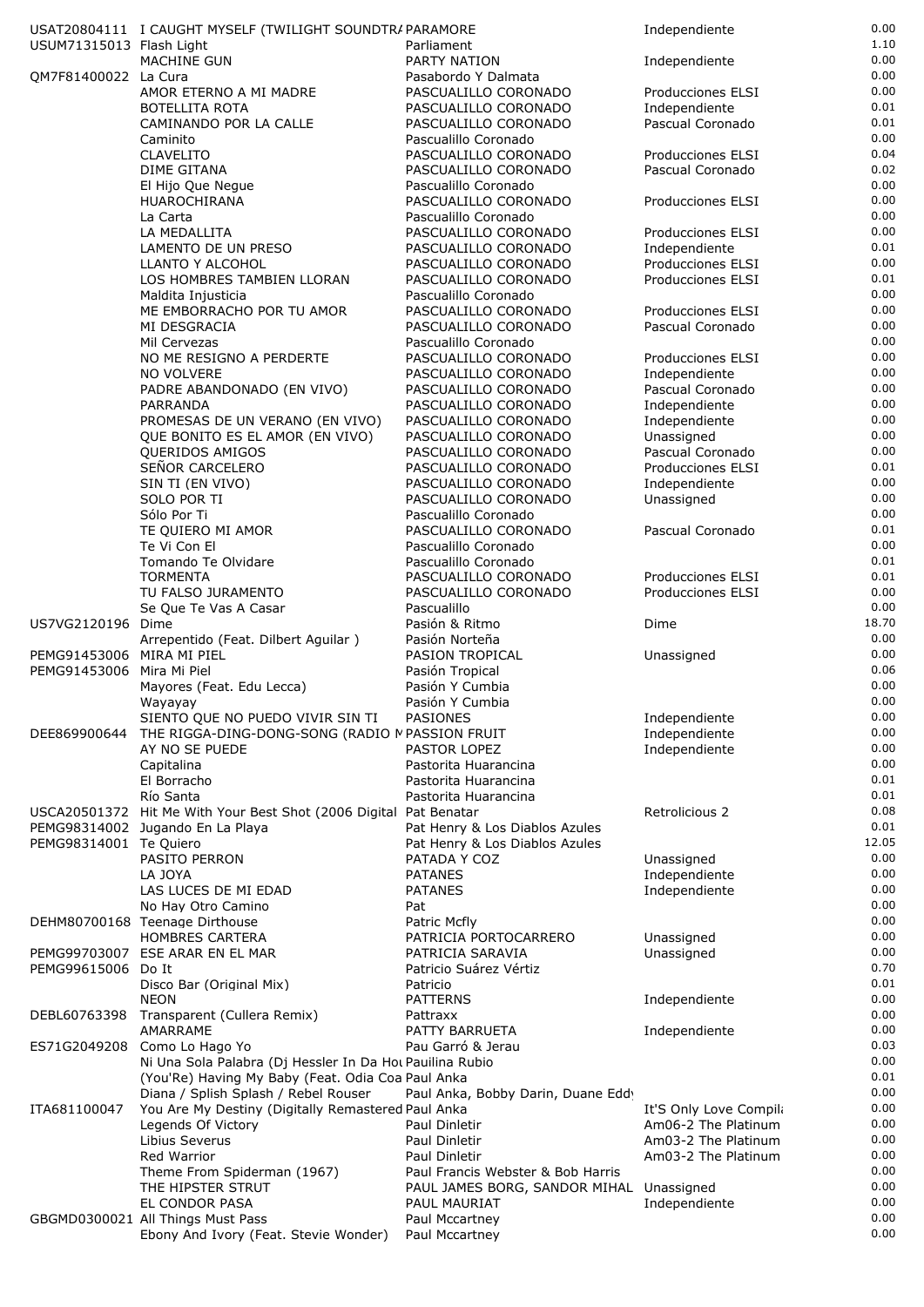|                           | USAT20804111 I CAUGHT MYSELF (TWILIGHT SOUNDTRAPARAMORE                                   |                                                                               | Independiente                          | 0.00         |
|---------------------------|-------------------------------------------------------------------------------------------|-------------------------------------------------------------------------------|----------------------------------------|--------------|
| USUM71315013 Flash Light  |                                                                                           | Parliament                                                                    |                                        | 1.10<br>0.00 |
| QM7F81400022 La Cura      | <b>MACHINE GUN</b>                                                                        | PARTY NATION<br>Pasabordo Y Dalmata                                           | Independiente                          | 0.00         |
|                           | AMOR ETERNO A MI MADRE                                                                    | PASCUALILLO CORONADO                                                          | Producciones ELSI                      | 0.00         |
|                           | <b>BOTELLITA ROTA</b>                                                                     | PASCUALILLO CORONADO                                                          | Independiente                          | 0.01         |
|                           | CAMINANDO POR LA CALLE                                                                    | PASCUALILLO CORONADO                                                          | Pascual Coronado                       | 0.01         |
|                           | Caminito                                                                                  | Pascualillo Coronado                                                          |                                        | 0.00         |
|                           | <b>CLAVELITO</b><br>DIME GITANA                                                           | PASCUALILLO CORONADO<br>PASCUALILLO CORONADO                                  | Producciones ELSI<br>Pascual Coronado  | 0.04<br>0.02 |
|                           | El Hijo Que Negue                                                                         | Pascualillo Coronado                                                          |                                        | 0.00         |
|                           | HUAROCHIRANA                                                                              | PASCUALILLO CORONADO                                                          | Producciones ELSI                      | 0.00         |
|                           | La Carta                                                                                  | Pascualillo Coronado                                                          |                                        | 0.00         |
|                           | LA MEDALLITA                                                                              | PASCUALILLO CORONADO                                                          | Producciones ELSI                      | 0.00         |
|                           | LAMENTO DE UN PRESO                                                                       | PASCUALILLO CORONADO                                                          | Independiente                          | 0.01<br>0.00 |
|                           | LLANTO Y ALCOHOL<br>LOS HOMBRES TAMBIEN LLORAN                                            | PASCUALILLO CORONADO<br>PASCUALILLO CORONADO                                  | Producciones ELSI<br>Producciones ELSI | 0.01         |
|                           | Maldita Injusticia                                                                        | Pascualillo Coronado                                                          |                                        | 0.00         |
|                           | ME EMBORRACHO POR TU AMOR                                                                 | PASCUALILLO CORONADO                                                          | Producciones ELSI                      | 0.00         |
|                           | MI DESGRACIA                                                                              | PASCUALILLO CORONADO                                                          | Pascual Coronado                       | 0.00         |
|                           | Mil Cervezas                                                                              | Pascualillo Coronado                                                          |                                        | 0.00         |
|                           | NO ME RESIGNO A PERDERTE<br>NO VOLVERE                                                    | PASCUALILLO CORONADO<br>PASCUALILLO CORONADO                                  | Producciones ELSI<br>Independiente     | 0.00<br>0.00 |
|                           | PADRE ABANDONADO (EN VIVO)                                                                | PASCUALILLO CORONADO                                                          | Pascual Coronado                       | 0.00         |
|                           | PARRANDA                                                                                  | PASCUALILLO CORONADO                                                          | Independiente                          | 0.00         |
|                           | PROMESAS DE UN VERANO (EN VIVO)                                                           | PASCUALILLO CORONADO                                                          | Independiente                          | 0.00         |
|                           | QUE BONITO ES EL AMOR (EN VIVO)                                                           | PASCUALILLO CORONADO                                                          | Unassigned                             | 0.00         |
|                           | QUERIDOS AMIGOS                                                                           | PASCUALILLO CORONADO                                                          | Pascual Coronado                       | 0.00         |
|                           | SEÑOR CARCELERO<br>SIN TI (EN VIVO)                                                       | PASCUALILLO CORONADO<br>PASCUALILLO CORONADO                                  | Producciones ELSI<br>Independiente     | 0.01<br>0.00 |
|                           | SOLO POR TI                                                                               | PASCUALILLO CORONADO                                                          | Unassigned                             | 0.00         |
|                           | Sólo Por Ti                                                                               | Pascualillo Coronado                                                          |                                        | 0.00         |
|                           | TE QUIERO MI AMOR                                                                         | PASCUALILLO CORONADO                                                          | Pascual Coronado                       | 0.01         |
|                           | Te Vi Con El                                                                              | Pascualillo Coronado                                                          |                                        | 0.00         |
|                           | Tomando Te Olvidare                                                                       | Pascualillo Coronado                                                          |                                        | 0.01<br>0.01 |
|                           | <b>TORMENTA</b><br>TU FALSO JURAMENTO                                                     | PASCUALILLO CORONADO<br>PASCUALILLO CORONADO                                  | Producciones ELSI<br>Producciones ELSI | 0.00         |
|                           | Se Que Te Vas A Casar                                                                     | Pascualillo                                                                   |                                        | 0.00         |
| US7VG2120196 Dime         |                                                                                           | Pasión & Ritmo                                                                | Dime                                   | 18.70        |
|                           | Arrepentido (Feat. Dilbert Aguilar)                                                       | Pasión Norteña                                                                |                                        | 0.00         |
| PEMG91453006 MIRA MI PIEL |                                                                                           | PASION TROPICAL                                                               | Unassigned                             | 0.00<br>0.06 |
| PEMG91453006 Mira Mi Piel | Mayores (Feat. Edu Lecca)                                                                 | Pasión Tropical<br>Pasión Y Cumbia                                            |                                        | 0.00         |
|                           | Wayayay                                                                                   | Pasión Y Cumbia                                                               |                                        | 0.00         |
|                           | SIENTO QUE NO PUEDO VIVIR SIN TI                                                          | PASIONES                                                                      | Independiente                          | 0.00         |
| DEE869900644              | THE RIGGA-DING-DONG-SONG (RADIO MPASSION FRUIT                                            |                                                                               | Independiente                          | 0.00         |
|                           | AY NO SE PUEDE                                                                            | PASTOR LOPEZ                                                                  | Independiente                          | 0.00<br>0.00 |
|                           | Capitalina<br>El Borracho                                                                 | Pastorita Huarancina<br>Pastorita Huarancina                                  |                                        | 0.01         |
|                           | Río Santa                                                                                 | Pastorita Huarancina                                                          |                                        | 0.01         |
|                           | USCA20501372 Hit Me With Your Best Shot (2006 Digital   Pat Benatar                       |                                                                               | Retrolicious 2                         | 0.08         |
|                           | PEMG98314002 Jugando En La Playa                                                          | Pat Henry & Los Diablos Azules                                                |                                        | 0.01         |
| PEMG98314001 Te Quiero    |                                                                                           | Pat Henry & Los Diablos Azules                                                |                                        | 12.05        |
|                           | PASITO PERRON                                                                             | PATADA Y COZ                                                                  | Unassigned                             | 0.00<br>0.00 |
|                           | LA JOYA<br>LAS LUCES DE MI EDAD                                                           | <b>PATANES</b><br><b>PATANES</b>                                              | Independiente<br>Independiente         | 0.00         |
|                           | No Hay Otro Camino                                                                        | Pat                                                                           |                                        | 0.00         |
|                           | DEHM80700168 Teenage Dirthouse                                                            | Patric Mcfly                                                                  |                                        | 0.00         |
|                           | <b>HOMBRES CARTERA</b>                                                                    | PATRICIA PORTOCARRERO                                                         | Unassigned                             | 0.00         |
|                           | PEMG99703007 ESE ARAR EN EL MAR                                                           | PATRICIA SARAVIA                                                              | Unassigned                             | 0.00         |
| PEMG99615006 Do It        | Disco Bar (Original Mix)                                                                  | Patricio Suárez Vértiz<br>Patricio                                            |                                        | 0.70<br>0.01 |
|                           | <b>NEON</b>                                                                               | <b>PATTERNS</b>                                                               | Independiente                          | 0.00         |
| DEBL60763398              | Transparent (Cullera Remix)                                                               | Pattraxx                                                                      |                                        | 0.00         |
|                           | AMARRAME                                                                                  | PATTY BARRUETA                                                                | Independiente                          | 0.00         |
| ES71G2049208              | Como Lo Hago Yo                                                                           | Pau Garró & Jerau                                                             |                                        | 0.03         |
|                           | Ni Una Sola Palabra (Dj Hessler In Da Hot Pauilina Rubio                                  |                                                                               |                                        | 0.00<br>0.01 |
|                           | (You'Re) Having My Baby (Feat. Odia Coa Paul Anka<br>Diana / Splish Splash / Rebel Rouser | Paul Anka, Bobby Darin, Duane Eddy                                            |                                        | 0.00         |
| ITA681100047              | You Are My Destiny (Digitally Remastered Paul Anka                                        |                                                                               | It'S Only Love Compila                 | 0.00         |
|                           | Legends Of Victory                                                                        | Paul Dinletir                                                                 | Am06-2 The Platinum                    | 0.00         |
|                           | Libius Severus                                                                            | Paul Dinletir                                                                 | Am03-2 The Platinum                    | 0.00         |
|                           | Red Warrior                                                                               | Paul Dinletir                                                                 | Am03-2 The Platinum                    | 0.00         |
|                           | Theme From Spiderman (1967)<br>THE HIPSTER STRUT                                          | Paul Francis Webster & Bob Harris<br>PAUL JAMES BORG, SANDOR MIHAL Unassigned |                                        | 0.00<br>0.00 |
|                           | EL CONDOR PASA                                                                            | PAUL MAURIAT                                                                  | Independiente                          | 0.00         |
|                           | GBGMD0300021 All Things Must Pass                                                         | Paul Mccartney                                                                |                                        | 0.00         |
|                           | Ebony And Ivory (Feat. Stevie Wonder)                                                     | Paul Mccartney                                                                |                                        | 0.00         |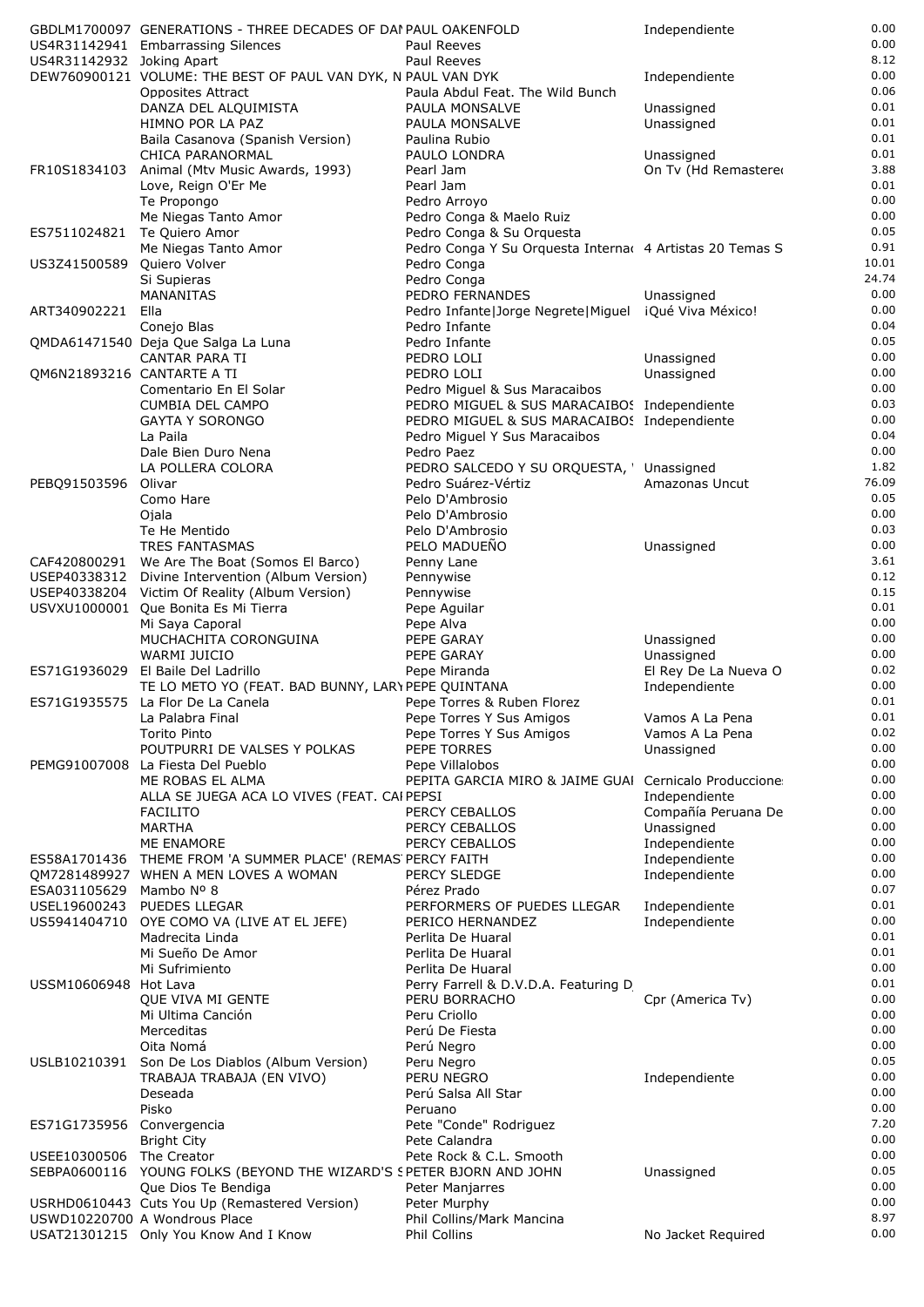|                             | GBDLM1700097 GENERATIONS - THREE DECADES OF DAI PAUL OAKENFOLD                          |                                                                                            | Independiente                  | 0.00          |
|-----------------------------|-----------------------------------------------------------------------------------------|--------------------------------------------------------------------------------------------|--------------------------------|---------------|
|                             | US4R31142941 Embarrassing Silences                                                      | Paul Reeves                                                                                |                                | 0.00          |
| US4R31142932 Joking Apart   |                                                                                         | Paul Reeves                                                                                |                                | 8.12          |
|                             | DEW760900121 VOLUME: THE BEST OF PAUL VAN DYK, N PAUL VAN DYK                           |                                                                                            | Independiente                  | 0.00          |
|                             | <b>Opposites Attract</b>                                                                | Paula Abdul Feat. The Wild Bunch                                                           |                                | 0.06<br>0.01  |
|                             | DANZA DEL ALQUIMISTA<br>HIMNO POR LA PAZ                                                | PAULA MONSALVE<br>PAULA MONSALVE                                                           | Unassigned<br>Unassigned       | 0.01          |
|                             | Baila Casanova (Spanish Version)                                                        | Paulina Rubio                                                                              |                                | 0.01          |
|                             | CHICA PARANORMAL                                                                        | PAULO LONDRA                                                                               | Unassigned                     | 0.01          |
| FR10S1834103                | Animal (Mtv Music Awards, 1993)                                                         | Pearl Jam                                                                                  | On Tv (Hd Remastered           | 3.88          |
|                             | Love, Reign O'Er Me                                                                     | Pearl Jam                                                                                  |                                | 0.01          |
|                             | Te Propongo                                                                             | Pedro Arroyo                                                                               |                                | 0.00          |
|                             | Me Niegas Tanto Amor                                                                    | Pedro Conga & Maelo Ruiz                                                                   |                                | 0.00          |
| ES7511024821 Te Quiero Amor |                                                                                         | Pedro Conga & Su Orquesta                                                                  |                                | 0.05          |
| US3Z41500589                | Me Niegas Tanto Amor<br>Quiero Volver                                                   | Pedro Conga Y Su Orquesta Interna 4 Artistas 20 Temas S<br>Pedro Conga                     |                                | 0.91<br>10.01 |
|                             | Si Supieras                                                                             | Pedro Conga                                                                                |                                | 24.74         |
|                             | MANANITAS                                                                               | PEDRO FERNANDES                                                                            | Unassigned                     | 0.00          |
| ART340902221                | Ella                                                                                    | Pedro Infante Jorge Negrete Miguel iQué Viva México!                                       |                                | 0.00          |
|                             | Conejo Blas                                                                             | Pedro Infante                                                                              |                                | 0.04          |
|                             | QMDA61471540 Deja Que Salga La Luna                                                     | Pedro Infante                                                                              |                                | 0.05          |
|                             | CANTAR PARA TI                                                                          | PEDRO LOLI                                                                                 | Unassigned                     | 0.00          |
| QM6N21893216 CANTARTE A TI  |                                                                                         | PEDRO LOLI                                                                                 | Unassigned                     | 0.00          |
|                             | Comentario En El Solar<br><b>CUMBIA DEL CAMPO</b>                                       | Pedro Miquel & Sus Maracaibos                                                              |                                | 0.00<br>0.03  |
|                             | <b>GAYTA Y SORONGO</b>                                                                  | PEDRO MIGUEL & SUS MARACAIBOS Independiente<br>PEDRO MIGUEL & SUS MARACAIBOS Independiente |                                | 0.00          |
|                             | La Paila                                                                                | Pedro Miguel Y Sus Maracaibos                                                              |                                | 0.04          |
|                             | Dale Bien Duro Nena                                                                     | Pedro Paez                                                                                 |                                | 0.00          |
|                             | LA POLLERA COLORA                                                                       | PEDRO SALCEDO Y SU ORQUESTA, ' Unassigned                                                  |                                | 1.82          |
| PEBQ91503596                | Olivar                                                                                  | Pedro Suárez-Vértiz                                                                        | Amazonas Uncut                 | 76.09         |
|                             | Como Hare                                                                               | Pelo D'Ambrosio                                                                            |                                | 0.05          |
|                             | Ojala                                                                                   | Pelo D'Ambrosio                                                                            |                                | 0.00          |
|                             | Te He Mentido                                                                           | Pelo D'Ambrosio                                                                            |                                | 0.03          |
| CAF420800291                | <b>TRES FANTASMAS</b><br>We Are The Boat (Somos El Barco)                               | PELO MADUEÑO                                                                               | Unassigned                     | 0.00<br>3.61  |
|                             | USEP40338312 Divine Intervention (Album Version)                                        | Penny Lane<br>Pennywise                                                                    |                                | 0.12          |
|                             | USEP40338204 Victim Of Reality (Album Version)                                          | Pennywise                                                                                  |                                | 0.15          |
|                             | USVXU1000001 Que Bonita Es Mi Tierra                                                    | Pepe Aguilar                                                                               |                                | 0.01          |
|                             | Mi Saya Caporal                                                                         | Pepe Alva                                                                                  |                                | 0.00          |
|                             | MUCHACHITA CORONGUINA                                                                   | PEPE GARAY                                                                                 | Unassigned                     | 0.00          |
|                             | <b>WARMI JUICIO</b>                                                                     | PEPE GARAY                                                                                 | Unassigned                     | 0.00          |
|                             | ES71G1936029 El Baile Del Ladrillo                                                      | Pepe Miranda                                                                               | El Rey De La Nueva O           | 0.02          |
|                             | TE LO METO YO (FEAT. BAD BUNNY, LARY PEPE QUINTANA<br>ES71G1935575 La Flor De La Canela | Pepe Torres & Ruben Florez                                                                 | Independiente                  | 0.00<br>0.01  |
|                             | La Palabra Final                                                                        | Pepe Torres Y Sus Amigos                                                                   | Vamos A La Pena                | 0.01          |
|                             | Torito Pinto                                                                            | Pepe Torres Y Sus Amigos                                                                   | Vamos A La Pena                | 0.02          |
|                             | POUTPURRI DE VALSES Y POLKAS                                                            | PEPE TORRES                                                                                | Unassigned                     | 0.00          |
| PEMG91007008                | La Fiesta Del Pueblo                                                                    | Pepe Villalobos                                                                            |                                | 0.00          |
|                             | ME ROBAS EL ALMA                                                                        | PEPITA GARCIA MIRO & JAIME GUAI Cernicalo Produccione                                      |                                | 0.00          |
|                             | ALLA SE JUEGA ACA LO VIVES (FEAT. CAI PEPSI                                             |                                                                                            | Independiente                  | 0.00          |
|                             | <b>FACILITO</b>                                                                         | PERCY CEBALLOS                                                                             | Compañía Peruana De            | 0.00          |
|                             | <b>MARTHA</b>                                                                           | PERCY CEBALLOS                                                                             | Unassigned                     | 0.00<br>0.00  |
|                             | ME ENAMORE<br>ES58A1701436 THEME FROM 'A SUMMER PLACE' (REMAS PERCY FAITH               | PERCY CEBALLOS                                                                             | Independiente<br>Independiente | 0.00          |
|                             | QM7281489927 WHEN A MEN LOVES A WOMAN                                                   | PERCY SLEDGE                                                                               | Independiente                  | 0.00          |
| ESA031105629                | Mambo Nº 8                                                                              | Pérez Prado                                                                                |                                | 0.07          |
| USEL19600243                | <b>PUEDES LLEGAR</b>                                                                    | PERFORMERS OF PUEDES LLEGAR                                                                | Independiente                  | 0.01          |
| US5941404710                | OYE COMO VA (LIVE AT EL JEFE)                                                           | PERICO HERNANDEZ                                                                           | Independiente                  | 0.00          |
|                             | Madrecita Linda                                                                         | Perlita De Huaral                                                                          |                                | 0.01          |
|                             | Mi Sueño De Amor                                                                        | Perlita De Huaral                                                                          |                                | 0.01          |
| USSM10606948 Hot Lava       | Mi Sufrimiento                                                                          | Perlita De Huaral                                                                          |                                | 0.00<br>0.01  |
|                             | QUE VIVA MI GENTE                                                                       | Perry Farrell & D.V.D.A. Featuring D<br>PERU BORRACHO                                      | Cpr (America Tv)               | 0.00          |
|                             | Mi Ultima Canción                                                                       | Peru Criollo                                                                               |                                | 0.00          |
|                             | Merceditas                                                                              | Perú De Fiesta                                                                             |                                | 0.00          |
|                             | Oita Nomá                                                                               | Perú Negro                                                                                 |                                | 0.00          |
| USLB10210391                | Son De Los Diablos (Album Version)                                                      | Peru Negro                                                                                 |                                | 0.05          |
|                             | TRABAJA TRABAJA (EN VIVO)                                                               | PERU NEGRO                                                                                 | Independiente                  | 0.00          |
|                             | Deseada                                                                                 | Perú Salsa All Star                                                                        |                                | 0.00          |
|                             | Pisko                                                                                   | Peruano                                                                                    |                                | 0.00<br>7.20  |
| ES71G1735956 Convergencia   | <b>Bright City</b>                                                                      | Pete "Conde" Rodriguez<br>Pete Calandra                                                    |                                | 0.00          |
| USEE10300506 The Creator    |                                                                                         | Pete Rock & C.L. Smooth                                                                    |                                | 0.00          |
|                             | SEBPA0600116 YOUNG FOLKS (BEYOND THE WIZARD'S SPETER BJORN AND JOHN                     |                                                                                            | Unassigned                     | 0.05          |
|                             | Que Dios Te Bendiga                                                                     | <b>Peter Manjarres</b>                                                                     |                                | 0.00          |
|                             | USRHD0610443 Cuts You Up (Remastered Version)                                           | Peter Murphy                                                                               |                                | 0.00          |
|                             | USWD10220700 A Wondrous Place                                                           | Phil Collins/Mark Mancina                                                                  |                                | 8.97          |
|                             | USAT21301215 Only You Know And I Know                                                   | Phil Collins                                                                               | No Jacket Required             | 0.00          |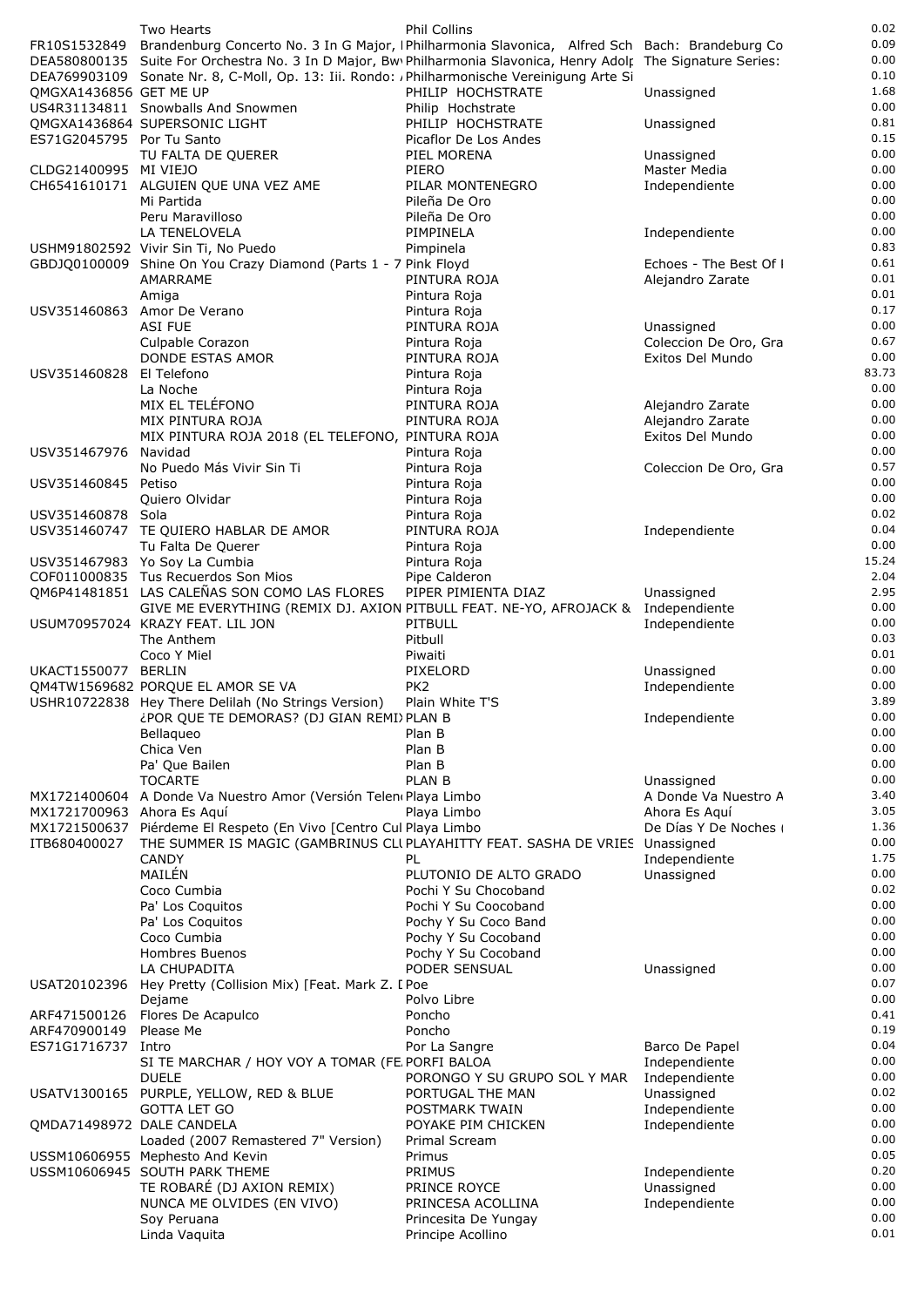|                            | Two Hearts                                                                                                            | Phil Collins                              |                             | 0.02          |
|----------------------------|-----------------------------------------------------------------------------------------------------------------------|-------------------------------------------|-----------------------------|---------------|
| FR10S1532849               | Brandenburg Concerto No. 3 In G Major, IPhilharmonia Slavonica, Alfred Sch Bach: Brandeburg Co                        |                                           |                             | 0.09          |
|                            | DEA580800135 Suite For Orchestra No. 3 In D Major, Bw Philharmonia Slavonica, Henry Adolr The Signature Series:       |                                           |                             | 0.00          |
|                            | DEA769903109 Sonate Nr. 8, C-Moll, Op. 13: Iii. Rondo: /Philharmonische Vereinigung Arte Si                           |                                           |                             | 0.10          |
| QMGXA1436856 GET ME UP     |                                                                                                                       | PHILIP HOCHSTRATE                         | Unassigned                  | 1.68<br>0.00  |
|                            | US4R31134811 Snowballs And Snowmen<br>OMGXA1436864 SUPERSONIC LIGHT                                                   | Philip Hochstrate<br>PHILIP HOCHSTRATE    | Unassigned                  | 0.81          |
| ES71G2045795 Por Tu Santo  |                                                                                                                       | Picaflor De Los Andes                     |                             | 0.15          |
|                            | TU FALTA DE QUERER                                                                                                    | PIEL MORENA                               | Unassigned                  | 0.00          |
| CLDG21400995 MI VIEJO      |                                                                                                                       | PIERO                                     | Master Media                | 0.00          |
|                            | CH6541610171 ALGUIEN QUE UNA VEZ AME                                                                                  | PILAR MONTENEGRO                          | Independiente               | 0.00          |
|                            | Mi Partida                                                                                                            | Pileña De Oro                             |                             | 0.00          |
|                            | Peru Maravilloso                                                                                                      | Pileña De Oro                             |                             | 0.00          |
|                            | LA TENELOVELA                                                                                                         | PIMPINELA                                 | Independiente               | 0.00<br>0.83  |
|                            | USHM91802592 Vivir Sin Ti, No Puedo<br>GBDJQ0100009 Shine On You Crazy Diamond (Parts 1 - 7 Pink Floyd                | Pimpinela                                 | Echoes - The Best Of I      | 0.61          |
|                            | AMARRAME                                                                                                              | PINTURA ROJA                              | Alejandro Zarate            | 0.01          |
|                            | Amiga                                                                                                                 | Pintura Roja                              |                             | 0.01          |
|                            | USV351460863 Amor De Verano                                                                                           | Pintura Roja                              |                             | 0.17          |
|                            | <b>ASI FUE</b>                                                                                                        | PINTURA ROJA                              | Unassigned                  | 0.00          |
|                            | Culpable Corazon                                                                                                      | Pintura Roja                              | Coleccion De Oro, Gra       | 0.67          |
| USV351460828               | DONDE ESTAS AMOR<br>El Telefono                                                                                       | PINTURA ROJA<br>Pintura Roja              | Exitos Del Mundo            | 0.00<br>83.73 |
|                            | La Noche                                                                                                              | Pintura Roja                              |                             | 0.00          |
|                            | MIX EL TELÉFONO                                                                                                       | PINTURA ROJA                              | Alejandro Zarate            | 0.00          |
|                            | MIX PINTURA ROJA                                                                                                      | PINTURA ROJA                              | Alejandro Zarate            | 0.00          |
|                            | MIX PINTURA ROJA 2018 (EL TELEFONO, PINTURA ROJA                                                                      |                                           | Exitos Del Mundo            | 0.00          |
| USV351467976 Navidad       |                                                                                                                       | Pintura Roja                              |                             | 0.00          |
|                            | No Puedo Más Vivir Sin Ti                                                                                             | Pintura Roja                              | Coleccion De Oro, Gra       | 0.57          |
| USV351460845 Petiso        |                                                                                                                       | Pintura Roja                              |                             | 0.00<br>0.00  |
| USV351460878 Sola          | Quiero Olvidar                                                                                                        | Pintura Roja<br>Pintura Roja              |                             | 0.02          |
|                            | USV351460747 TE QUIERO HABLAR DE AMOR                                                                                 | PINTURA ROJA                              | Independiente               | 0.04          |
|                            | Tu Falta De Querer                                                                                                    | Pintura Roja                              |                             | 0.00          |
|                            | USV351467983 Yo Soy La Cumbia                                                                                         | Pintura Roja                              |                             | 15.24         |
|                            | COF011000835 Tus Recuerdos Son Mios                                                                                   | Pipe Calderon                             |                             | 2.04          |
|                            | QM6P41481851 LAS CALEÑAS SON COMO LAS FLORES                                                                          | PIPER PIMIENTA DIAZ                       | Unassigned                  | 2.95<br>0.00  |
|                            | GIVE ME EVERYTHING (REMIX DJ. AXION PITBULL FEAT. NE-YO, AFROJACK & Independiente<br>USUM70957024 KRAZY FEAT, LIL JON | PITBULL                                   | Independiente               | 0.00          |
|                            | The Anthem                                                                                                            | Pitbull                                   |                             | 0.03          |
|                            | Coco Y Miel                                                                                                           | Piwaiti                                   |                             | 0.01          |
| UKACT1550077 BERLIN        |                                                                                                                       | PIXELORD                                  | Unassigned                  | 0.00          |
|                            | QM4TW1569682 PORQUE EL AMOR SE VA                                                                                     | PK <sub>2</sub>                           | Independiente               | 0.00          |
|                            | USHR10722838 Hey There Delilah (No Strings Version)                                                                   | Plain White T'S                           |                             | 3.89          |
|                            | ¿POR QUE TE DEMORAS? (DJ GIAN REMI) PLAN B                                                                            |                                           | Independiente               | 0.00<br>0.00  |
|                            | Bellaqueo<br>Chica Ven                                                                                                | Plan B<br>Plan B                          |                             | 0.00          |
|                            | Pa' Que Bailen                                                                                                        | Plan B                                    |                             | 0.00          |
|                            | <b>TOCARTE</b>                                                                                                        | <b>PLAN B</b>                             | Unassigned                  | 0.00          |
|                            | MX1721400604 A Donde Va Nuestro Amor (Versión Telen Playa Limbo                                                       |                                           | A Donde Va Nuestro A        | 3.40          |
| MX1721700963 Ahora Es Aguí |                                                                                                                       | Playa Limbo                               | Ahora Es Aquí               | 3.05          |
|                            | MX1721500637 Piérdeme El Respeto (En Vivo [Centro Cul Playa Limbo                                                     |                                           | De Días Y De Noches         | 1.36          |
| ITB680400027               | THE SUMMER IS MAGIC (GAMBRINUS CLI PLAYAHITTY FEAT. SASHA DE VRIES Unassigned<br><b>CANDY</b>                         | PL                                        |                             | 0.00<br>1.75  |
|                            | MAILÉN                                                                                                                | PLUTONIO DE ALTO GRADO                    | Independiente<br>Unassigned | 0.00          |
|                            | Coco Cumbia                                                                                                           | Pochi Y Su Chocoband                      |                             | 0.02          |
|                            | Pa' Los Coquitos                                                                                                      | Pochi Y Su Coocoband                      |                             | 0.00          |
|                            | Pa' Los Coquitos                                                                                                      | Pochy Y Su Coco Band                      |                             | 0.00          |
|                            | Coco Cumbia                                                                                                           | Pochy Y Su Cocoband                       |                             | 0.00          |
|                            | Hombres Buenos                                                                                                        | Pochy Y Su Cocoband                       |                             | 0.00          |
|                            | LA CHUPADITA<br>USAT20102396 Hey Pretty (Collision Mix) [Feat. Mark Z. I Poe                                          | PODER SENSUAL                             | Unassigned                  | 0.00<br>0.07  |
|                            | Dejame                                                                                                                | Polvo Libre                               |                             | 0.00          |
| ARF471500126               | Flores De Acapulco                                                                                                    | Poncho                                    |                             | 0.41          |
| ARF470900149               | Please Me                                                                                                             | Poncho                                    |                             | 0.19          |
| ES71G1716737               | Intro                                                                                                                 | Por La Sangre                             | Barco De Papel              | 0.04          |
|                            | SI TE MARCHAR / HOY VOY A TOMAR (FE PORFI BALOA                                                                       |                                           | Independiente               | 0.00          |
|                            | <b>DUELE</b>                                                                                                          | PORONGO Y SU GRUPO SOL Y MAR              | Independiente               | 0.00<br>0.02  |
|                            | USATV1300165 PURPLE, YELLOW, RED & BLUE<br><b>GOTTA LET GO</b>                                                        | PORTUGAL THE MAN<br>POSTMARK TWAIN        | Unassigned<br>Independiente | 0.00          |
| OMDA71498972 DALE CANDELA  |                                                                                                                       | POYAKE PIM CHICKEN                        | Independiente               | 0.00          |
|                            | Loaded (2007 Remastered 7" Version)                                                                                   | Primal Scream                             |                             | 0.00          |
|                            | USSM10606955 Mephesto And Kevin                                                                                       | Primus                                    |                             | 0.05          |
|                            | USSM10606945 SOUTH PARK THEME                                                                                         | <b>PRIMUS</b>                             | Independiente               | 0.20          |
|                            | TE ROBARÉ (DJ AXION REMIX)                                                                                            | PRINCE ROYCE                              | Unassigned                  | 0.00          |
|                            | NUNCA ME OLVIDES (EN VIVO)<br>Soy Peruana                                                                             | PRINCESA ACOLLINA<br>Princesita De Yungay | Independiente               | 0.00<br>0.00  |
|                            | Linda Vaquita                                                                                                         | Principe Acollino                         |                             | 0.01          |
|                            |                                                                                                                       |                                           |                             |               |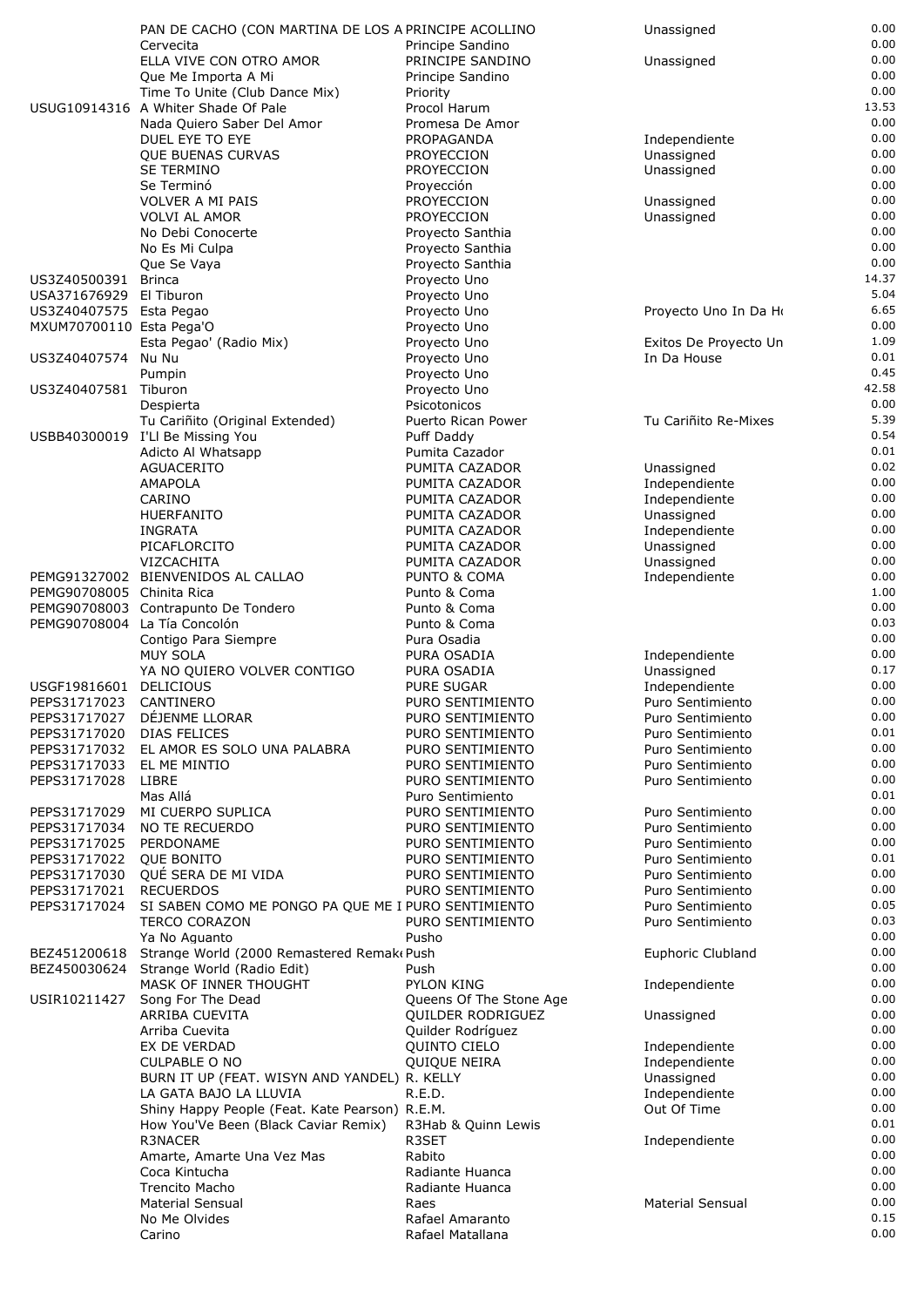|                              | PAN DE CACHO (CON MARTINA DE LOS A PRINCIPE ACOLLINO  |                                        | Unassigned                           | 0.00         |
|------------------------------|-------------------------------------------------------|----------------------------------------|--------------------------------------|--------------|
|                              | Cervecita                                             | Principe Sandino                       |                                      | 0.00         |
|                              | ELLA VIVE CON OTRO AMOR                               | PRINCIPE SANDINO                       | Unassigned                           | 0.00<br>0.00 |
|                              | Que Me Importa A Mi<br>Time To Unite (Club Dance Mix) | Principe Sandino<br>Priority           |                                      | 0.00         |
|                              | USUG10914316 A Whiter Shade Of Pale                   | Procol Harum                           |                                      | 13.53        |
|                              | Nada Quiero Saber Del Amor                            | Promesa De Amor                        |                                      | 0.00         |
|                              | DUEL EYE TO EYE                                       | PROPAGANDA                             | Independiente                        | 0.00         |
|                              | <b>QUE BUENAS CURVAS</b>                              | <b>PROYECCION</b>                      | Unassigned                           | 0.00         |
|                              | <b>SE TERMINO</b>                                     | <b>PROYECCION</b>                      | Unassigned                           | 0.00         |
|                              | Se Terminó                                            | Proyección                             |                                      | 0.00         |
|                              | <b>VOLVER A MI PAIS</b>                               | <b>PROYECCION</b>                      | Unassigned                           | 0.00         |
|                              | <b>VOLVI AL AMOR</b>                                  | <b>PROYECCION</b>                      | Unassigned                           | 0.00<br>0.00 |
|                              | No Debi Conocerte<br>No Es Mi Culpa                   | Proyecto Santhia<br>Proyecto Santhia   |                                      | 0.00         |
|                              | Que Se Vaya                                           | Proyecto Santhia                       |                                      | 0.00         |
| US3Z40500391 Brinca          |                                                       | Proyecto Uno                           |                                      | 14.37        |
| USA371676929 El Tiburon      |                                                       | Proyecto Uno                           |                                      | 5.04         |
| US3Z40407575 Esta Pegao      |                                                       | Proyecto Uno                           | Proyecto Uno In Da Ho                | 6.65         |
| MXUM70700110 Esta Pega'O     |                                                       | Proyecto Uno                           |                                      | 0.00         |
|                              | Esta Pegao' (Radio Mix)                               | Proyecto Uno                           | Exitos De Proyecto Un                | 1.09         |
| US3Z40407574                 | Nu Nu                                                 | Proyecto Uno                           | In Da House                          | 0.01<br>0.45 |
| US3Z40407581 Tiburon         | Pumpin                                                | Proyecto Uno<br>Proyecto Uno           |                                      | 42.58        |
|                              | Despierta                                             | Psicotonicos                           |                                      | 0.00         |
|                              | Tu Cariñito (Original Extended)                       | Puerto Rican Power                     | Tu Cariñito Re-Mixes                 | 5.39         |
|                              | USBB40300019 I'Ll Be Missing You                      | Puff Daddy                             |                                      | 0.54         |
|                              | Adicto Al Whatsapp                                    | Pumita Cazador                         |                                      | 0.01         |
|                              | <b>AGUACERITO</b>                                     | PUMITA CAZADOR                         | Unassigned                           | 0.02         |
|                              | <b>AMAPOLA</b>                                        | PUMITA CAZADOR                         | Independiente                        | 0.00         |
|                              | CARINO                                                | PUMITA CAZADOR                         | Independiente                        | 0.00         |
|                              | <b>HUERFANITO</b>                                     | PUMITA CAZADOR                         | Unassigned                           | 0.00         |
|                              | <b>INGRATA</b>                                        | PUMITA CAZADOR                         | Independiente                        | 0.00<br>0.00 |
|                              | PICAFLORCITO<br>VIZCACHITA                            | PUMITA CAZADOR<br>PUMITA CAZADOR       | Unassigned<br>Unassigned             | 0.00         |
|                              | PEMG91327002 BIENVENIDOS AL CALLAO                    | PUNTO & COMA                           | Independiente                        | 0.00         |
| PEMG90708005 Chinita Rica    |                                                       | Punto & Coma                           |                                      | 1.00         |
|                              | PEMG90708003 Contrapunto De Tondero                   | Punto & Coma                           |                                      | 0.00         |
| PEMG90708004 La Tía Concolón |                                                       | Punto & Coma                           |                                      | 0.03         |
|                              | Contigo Para Siempre                                  | Pura Osadia                            |                                      | 0.00         |
|                              | <b>MUY SOLA</b>                                       | PURA OSADIA                            | Independiente                        | 0.00         |
|                              | YA NO QUIERO VOLVER CONTIGO                           | PURA OSADIA                            | Unassigned                           | 0.17         |
| USGF19816601 DELICIOUS       |                                                       | PURE SUGAR                             | Independiente                        | 0.00         |
| PEPS31717023<br>PEPS31717027 | CANTINERO<br>DÉJENME LLORAR                           | PURO SENTIMIENTO<br>PURO SENTIMIENTO   | Puro Sentimiento<br>Puro Sentimiento | 0.00<br>0.00 |
| PEPS31717020                 | <b>DIAS FELICES</b>                                   | PURO SENTIMIENTO                       | Puro Sentimiento                     | 0.01         |
| PEPS31717032                 | EL AMOR ES SOLO UNA PALABRA                           | PURO SENTIMIENTO                       | Puro Sentimiento                     | 0.00         |
| PEPS31717033                 | EL ME MINTIO                                          | PURO SENTIMIENTO                       | Puro Sentimiento                     | 0.00         |
| PEPS31717028                 | LIBRE                                                 | PURO SENTIMIENTO                       | Puro Sentimiento                     | 0.00         |
|                              | Mas Allá                                              | Puro Sentimiento                       |                                      | 0.01         |
| PEPS31717029                 | MI CUERPO SUPLICA                                     | PURO SENTIMIENTO                       | Puro Sentimiento                     | 0.00         |
| PEPS31717034                 | NO TE RECUERDO                                        | PURO SENTIMIENTO                       | Puro Sentimiento                     | 0.00         |
| PEPS31717025                 | PERDONAME                                             | PURO SENTIMIENTO                       | Puro Sentimiento                     | 0.00<br>0.01 |
| PEPS31717022<br>PEPS31717030 | <b>QUE BONITO</b><br>QUÉ SERA DE MI VIDA              | PURO SENTIMIENTO<br>PURO SENTIMIENTO   | Puro Sentimiento<br>Puro Sentimiento | 0.00         |
| PEPS31717021                 | <b>RECUERDOS</b>                                      | PURO SENTIMIENTO                       | Puro Sentimiento                     | 0.00         |
| PEPS31717024                 | SI SABEN COMO ME PONGO PA QUE ME I PURO SENTIMIENTO   |                                        | Puro Sentimiento                     | 0.05         |
|                              | <b>TERCO CORAZON</b>                                  | PURO SENTIMIENTO                       | Puro Sentimiento                     | 0.03         |
|                              | Ya No Aguanto                                         | Pusho                                  |                                      | 0.00         |
| BEZ451200618                 | Strange World (2000 Remastered Remak Push             |                                        | Euphoric Clubland                    | 0.00         |
|                              | BEZ450030624 Strange World (Radio Edit)               | Push                                   |                                      | 0.00         |
|                              | MASK OF INNER THOUGHT                                 | PYLON KING                             | Independiente                        | 0.00         |
| USIR10211427                 | Song For The Dead                                     | Queens Of The Stone Age                |                                      | 0.00<br>0.00 |
|                              | ARRIBA CUEVITA<br>Arriba Cuevita                      | QUILDER RODRIGUEZ<br>Quilder Rodríguez | Unassigned                           | 0.00         |
|                              | EX DE VERDAD                                          | QUINTO CIELO                           | Independiente                        | 0.00         |
|                              | <b>CULPABLE O NO</b>                                  | <b>QUIQUE NEIRA</b>                    | Independiente                        | 0.00         |
|                              | BURN IT UP (FEAT. WISYN AND YANDEL) R. KELLY          |                                        | Unassigned                           | 0.00         |
|                              | LA GATA BAJO LA LLUVIA                                | R.E.D.                                 | Independiente                        | 0.00         |
|                              | Shiny Happy People (Feat. Kate Pearson) R.E.M.        |                                        | Out Of Time                          | 0.00         |
|                              | How You'Ve Been (Black Caviar Remix)                  | R3Hab & Quinn Lewis                    |                                      | 0.01         |
|                              | R3NACER                                               | R3SET                                  | Independiente                        | 0.00         |
|                              | Amarte, Amarte Una Vez Mas                            | Rabito<br>Radiante Huanca              |                                      | 0.00<br>0.00 |
|                              | Coca Kintucha<br><b>Trencito Macho</b>                | Radiante Huanca                        |                                      | 0.00         |
|                              | <b>Material Sensual</b>                               | Raes                                   | <b>Material Sensual</b>              | 0.00         |
|                              | No Me Olvides                                         | Rafael Amaranto                        |                                      | 0.15         |
|                              | Carino                                                | Rafael Matallana                       |                                      | 0.00         |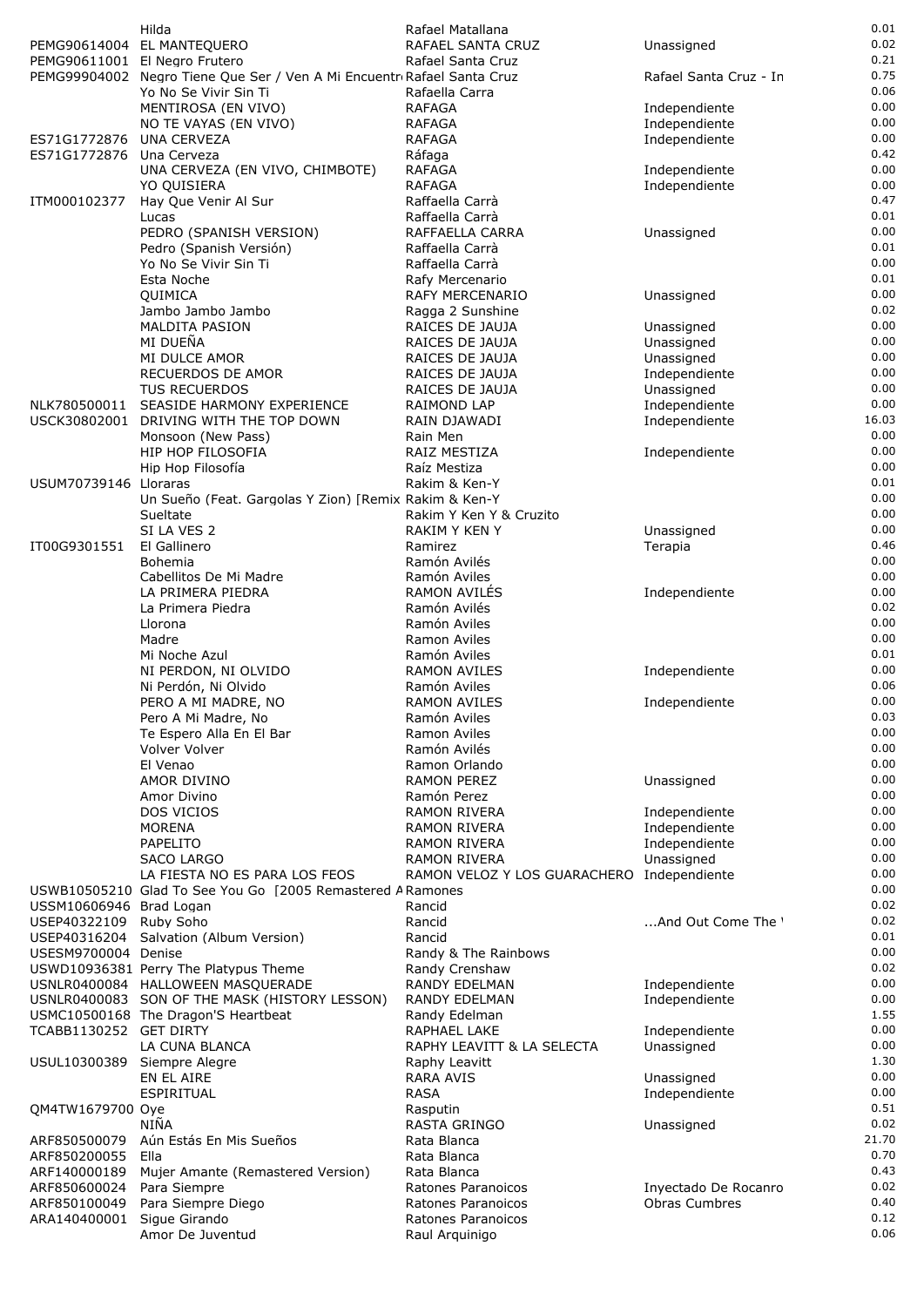|                         | Hilda                                                                  | Rafael Matallana                           |                        | 0.01  |
|-------------------------|------------------------------------------------------------------------|--------------------------------------------|------------------------|-------|
|                         | PEMG90614004 EL MANTEQUERO                                             | RAFAEL SANTA CRUZ                          | Unassigned             | 0.02  |
|                         | PEMG90611001 El Negro Frutero                                          | Rafael Santa Cruz                          |                        | 0.21  |
|                         | PEMG99904002 Negro Tiene Que Ser / Ven A Mi Encuentr Rafael Santa Cruz |                                            | Rafael Santa Cruz - In | 0.75  |
|                         | Yo No Se Vivir Sin Ti                                                  | Rafaella Carra                             |                        | 0.06  |
|                         | MENTIROSA (EN VIVO)                                                    | <b>RAFAGA</b>                              | Independiente          | 0.00  |
|                         | NO TE VAYAS (EN VIVO)                                                  | <b>RAFAGA</b>                              | Independiente          | 0.00  |
| ES71G1772876            | <b>UNA CERVEZA</b>                                                     | <b>RAFAGA</b>                              | Independiente          | 0.00  |
| ES71G1772876            | Una Cerveza                                                            | Ráfaga                                     |                        | 0.42  |
|                         | UNA CERVEZA (EN VIVO, CHIMBOTE)                                        | <b>RAFAGA</b>                              | Independiente          | 0.00  |
|                         | YO QUISIERA                                                            | <b>RAFAGA</b>                              | Independiente          | 0.00  |
| ITM000102377            | Hay Que Venir Al Sur                                                   | Raffaella Carrà                            |                        | 0.47  |
|                         | Lucas                                                                  | Raffaella Carrà                            |                        | 0.01  |
|                         | PEDRO (SPANISH VERSION)                                                | RAFFAELLA CARRA                            | Unassigned             | 0.00  |
|                         | Pedro (Spanish Versión)                                                | Raffaella Carrà                            |                        | 0.01  |
|                         | Yo No Se Vivir Sin Ti                                                  | Raffaella Carrà                            |                        | 0.00  |
|                         | Esta Noche                                                             | Rafy Mercenario                            |                        | 0.01  |
|                         | QUIMICA                                                                | RAFY MERCENARIO                            | Unassigned             | 0.00  |
|                         | Jambo Jambo Jambo                                                      | Ragga 2 Sunshine                           |                        | 0.02  |
|                         | <b>MALDITA PASION</b>                                                  | RAICES DE JAUJA                            | Unassigned             | 0.00  |
|                         | MI DUEÑA                                                               | RAICES DE JAUJA                            | Unassigned             | 0.00  |
|                         | MI DULCE AMOR                                                          | RAICES DE JAUJA                            | Unassigned             | 0.00  |
|                         | RECUERDOS DE AMOR                                                      | RAICES DE JAUJA                            | Independiente          | 0.00  |
|                         | <b>TUS RECUERDOS</b>                                                   | RAICES DE JAUJA                            | Unassigned             | 0.00  |
| NLK780500011            | SEASIDE HARMONY EXPERIENCE                                             | <b>RAIMOND LAP</b>                         | Independiente          | 0.00  |
| USCK30802001            | DRIVING WITH THE TOP DOWN                                              | RAIN DJAWADI                               | Independiente          | 16.03 |
|                         | Monsoon (New Pass)                                                     | Rain Men                                   |                        | 0.00  |
|                         | HIP HOP FILOSOFIA                                                      | RAIZ MESTIZA                               | Independiente          | 0.00  |
|                         | Hip Hop Filosofía                                                      | Raíz Mestiza                               |                        | 0.00  |
| USUM70739146 Lloraras   |                                                                        | Rakim & Ken-Y                              |                        | 0.01  |
|                         | Un Sueño (Feat. Gargolas Y Zion) [Remix Rakim & Ken-Y                  |                                            |                        | 0.00  |
|                         | Sueltate                                                               | Rakim Y Ken Y & Cruzito                    |                        | 0.00  |
|                         | SI LA VES 2                                                            | RAKIM Y KEN Y                              | Unassigned             | 0.00  |
| IT00G9301551            | El Gallinero                                                           | Ramirez                                    | Terapia                | 0.46  |
|                         | Bohemia                                                                | Ramón Avilés                               |                        | 0.00  |
|                         | Cabellitos De Mi Madre                                                 | Ramón Aviles                               |                        | 0.00  |
|                         | LA PRIMERA PIEDRA                                                      | RAMON AVILÉS                               | Independiente          | 0.00  |
|                         | La Primera Piedra                                                      | Ramón Avilés                               |                        | 0.02  |
|                         | Llorona                                                                | Ramón Aviles                               |                        | 0.00  |
|                         | Madre                                                                  | Ramon Aviles                               |                        | 0.00  |
|                         | Mi Noche Azul                                                          | Ramón Aviles                               |                        | 0.01  |
|                         | NI PERDON, NI OLVIDO                                                   | <b>RAMON AVILES</b>                        | Independiente          | 0.00  |
|                         | Ni Perdón, Ni Olvido                                                   | Ramón Aviles                               |                        | 0.06  |
|                         | PERO A MI MADRE, NO                                                    | <b>RAMON AVILES</b>                        | Independiente          | 0.00  |
|                         | Pero A Mi Madre, No                                                    | Ramón Aviles                               |                        | 0.03  |
|                         | Te Espero Alla En El Bar                                               | Ramon Aviles                               |                        | 0.00  |
|                         | Volver Volver                                                          | Ramón Avilés                               |                        | 0.00  |
|                         | El Venao                                                               | Ramon Orlando                              |                        | 0.00  |
|                         | AMOR DIVINO                                                            | <b>RAMON PEREZ</b>                         | Unassigned             | 0.00  |
|                         | Amor Divino                                                            | Ramón Perez                                |                        | 0.00  |
|                         | DOS VICIOS                                                             | <b>RAMON RIVERA</b>                        | Independiente          | 0.00  |
|                         | <b>MORENA</b>                                                          | <b>RAMON RIVERA</b>                        | Independiente          | 0.00  |
|                         | PAPELITO                                                               | <b>RAMON RIVERA</b>                        | Independiente          | 0.00  |
|                         | <b>SACO LARGO</b>                                                      | <b>RAMON RIVERA</b>                        | Unassigned             | 0.00  |
|                         | LA FIESTA NO ES PARA LOS FEOS                                          | RAMON VELOZ Y LOS GUARACHERO Independiente |                        | 0.00  |
|                         | USWB10505210 Glad To See You Go [2005 Remastered ARamones              |                                            |                        | 0.00  |
| USSM10606946 Brad Logan |                                                                        | Rancid                                     |                        | 0.02  |
| USEP40322109 Ruby Soho  |                                                                        | Rancid                                     | And Out Come The '     | 0.02  |
|                         | USEP40316204 Salvation (Album Version)                                 | Rancid                                     |                        | 0.01  |
| USESM9700004 Denise     |                                                                        | Randy & The Rainbows                       |                        | 0.00  |
|                         | USWD10936381 Perry The Platypus Theme                                  | Randy Crenshaw                             |                        | 0.02  |
|                         | USNLR0400084 HALLOWEEN MASQUERADE                                      | <b>RANDY EDELMAN</b>                       | Independiente          | 0.00  |
|                         | USNLR0400083 SON OF THE MASK (HISTORY LESSON)                          | RANDY EDELMAN                              | Independiente          | 0.00  |
|                         | USMC10500168 The Dragon'S Heartbeat                                    | Randy Edelman                              |                        | 1.55  |
| TCABB1130252 GET DIRTY  |                                                                        | RAPHAEL LAKE                               | Independiente          | 0.00  |
|                         | LA CUNA BLANCA                                                         | RAPHY LEAVITT & LA SELECTA                 | Unassigned             | 0.00  |
| USUL10300389            | Siempre Alegre                                                         | Raphy Leavitt                              |                        | 1.30  |
|                         | EN EL AIRE                                                             | <b>RARA AVIS</b>                           | Unassigned             | 0.00  |
|                         | ESPIRITUAL                                                             | <b>RASA</b>                                | Independiente          | 0.00  |
| QM4TW1679700 Oye        |                                                                        | Rasputin                                   |                        | 0.51  |
|                         | NIÑA                                                                   |                                            |                        | 0.02  |
| ARF850500079            | Aún Estás En Mis Sueños                                                | RASTA GRINGO<br>Rata Blanca                | Unassigned             | 21.70 |
| ARF850200055            | Ella                                                                   | Rata Blanca                                |                        | 0.70  |
| ARF140000189            | Mujer Amante (Remastered Version)                                      | Rata Blanca                                |                        | 0.43  |
| ARF850600024            | Para Siempre                                                           | Ratones Paranoicos                         | Inyectado De Rocanro   | 0.02  |
| ARF850100049            | Para Siempre Diego                                                     | Ratones Paranoicos                         | <b>Obras Cumbres</b>   | 0.40  |
| ARA140400001            | Sigue Girando                                                          | Ratones Paranoicos                         |                        | 0.12  |
|                         | Amor De Juventud                                                       |                                            |                        | 0.06  |
|                         |                                                                        | Raul Arquinigo                             |                        |       |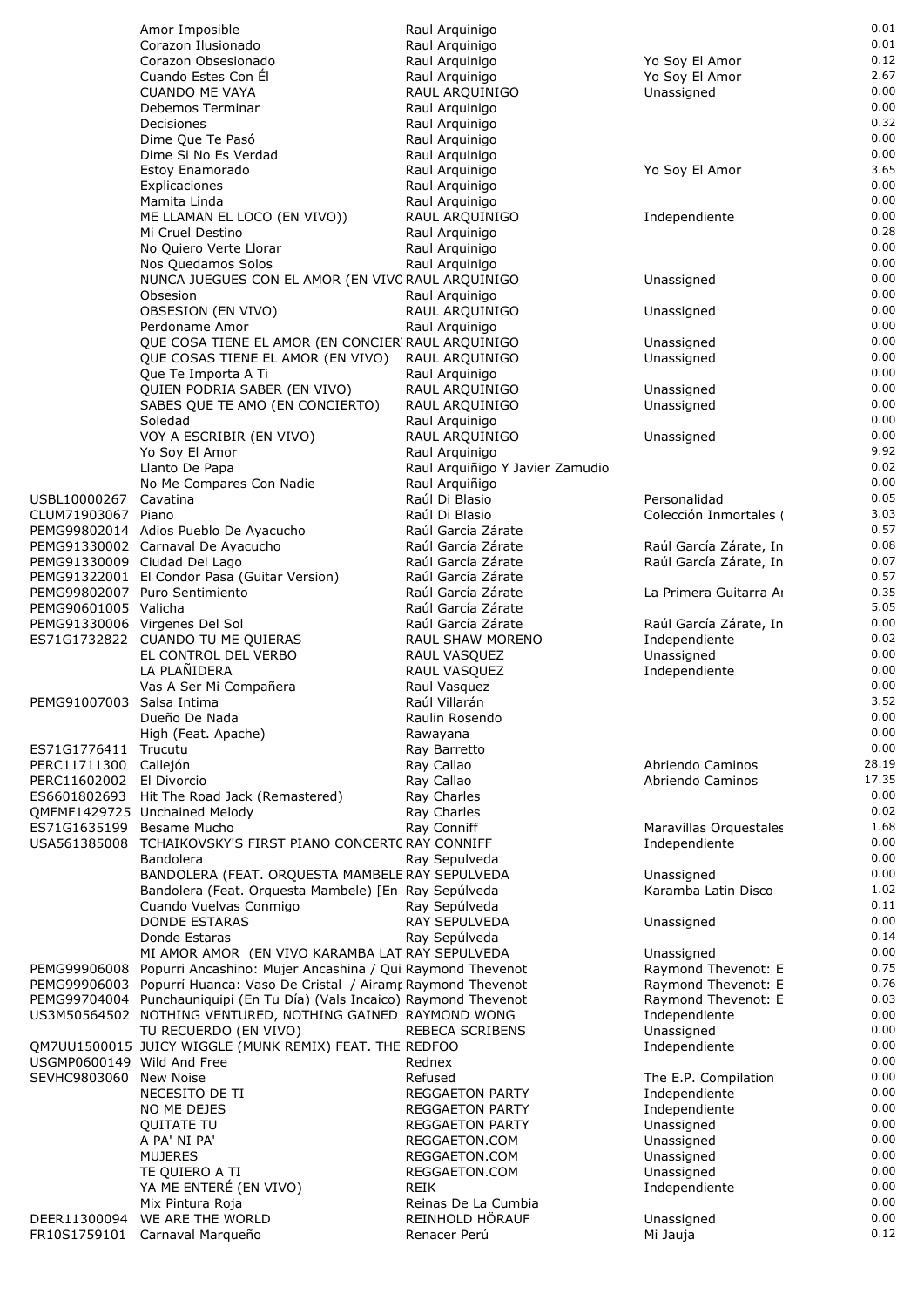|                            | Amor Imposible                                                          | Raul Arquinigo                  |                        | 0.01  |
|----------------------------|-------------------------------------------------------------------------|---------------------------------|------------------------|-------|
|                            | Corazon Ilusionado                                                      | Raul Arquinigo                  |                        | 0.01  |
|                            | Corazon Obsesionado                                                     | Raul Arquinigo                  | Yo Soy El Amor         | 0.12  |
|                            | Cuando Estes Con El                                                     | Raul Arquinigo                  | Yo Soy El Amor         | 2.67  |
|                            |                                                                         |                                 |                        |       |
|                            | <b>CUANDO ME VAYA</b>                                                   | RAUL ARQUINIGO                  | Unassigned             | 0.00  |
|                            | Debemos Terminar                                                        | Raul Arquinigo                  |                        | 0.00  |
|                            | Decisiones                                                              | Raul Arquinigo                  |                        | 0.32  |
|                            |                                                                         |                                 |                        | 0.00  |
|                            | Dime Que Te Pasó                                                        | Raul Arquinigo                  |                        |       |
|                            | Dime Si No Es Verdad                                                    | Raul Arquinigo                  |                        | 0.00  |
|                            | Estoy Enamorado                                                         | Raul Arquinigo                  | Yo Soy El Amor         | 3.65  |
|                            | Explicaciones                                                           |                                 |                        | 0.00  |
|                            |                                                                         | Raul Arquinigo                  |                        |       |
|                            | Mamita Linda                                                            | Raul Arguinigo                  |                        | 0.00  |
|                            | ME LLAMAN EL LOCO (EN VIVO))                                            | RAUL ARQUINIGO                  | Independiente          | 0.00  |
|                            | Mi Cruel Destino                                                        | Raul Arquinigo                  |                        | 0.28  |
|                            |                                                                         |                                 |                        | 0.00  |
|                            | No Quiero Verte Llorar                                                  | Raul Arquinigo                  |                        |       |
|                            | Nos Quedamos Solos                                                      | Raul Arquinigo                  |                        | 0.00  |
|                            | NUNCA JUEGUES CON EL AMOR (EN VIVC RAUL ARQUINIGO                       |                                 | Unassigned             | 0.00  |
|                            | Obsesion                                                                | Raul Arquinigo                  |                        | 0.00  |
|                            |                                                                         |                                 |                        |       |
|                            | OBSESION (EN VIVO)                                                      | RAUL ARQUINIGO                  | Unassigned             | 0.00  |
|                            | Perdoname Amor                                                          | Raul Arquinigo                  |                        | 0.00  |
|                            | QUE COSA TIENE EL AMOR (EN CONCIER RAUL ARQUINIGO                       |                                 | Unassigned             | 0.00  |
|                            |                                                                         |                                 | Unassigned             | 0.00  |
|                            | QUE COSAS TIENE EL AMOR (EN VIVO)                                       | RAUL ARQUINIGO                  |                        |       |
|                            | Que Te Importa A Ti                                                     | Raul Arquinigo                  |                        | 0.00  |
|                            | QUIEN PODRIA SABER (EN VIVO)                                            | RAUL ARQUINIGO                  | Unassigned             | 0.00  |
|                            | SABES QUE TE AMO (EN CONCIERTO)                                         | RAUL ARQUINIGO                  | Unassigned             | 0.00  |
|                            |                                                                         |                                 |                        | 0.00  |
|                            | Soledad                                                                 | Raul Arquinigo                  |                        |       |
|                            | VOY A ESCRIBIR (EN VIVO)                                                | RAUL ARQUINIGO                  | Unassigned             | 0.00  |
|                            | Yo Soy El Amor                                                          | Raul Arquinigo                  |                        | 9.92  |
|                            |                                                                         |                                 |                        |       |
|                            | Llanto De Papa                                                          | Raul Arquiñigo Y Javier Zamudio |                        | 0.02  |
|                            | No Me Compares Con Nadie                                                | Raul Arquiñigo                  |                        | 0.00  |
| USBL10000267               | Cavatina                                                                | Raúl Di Blasio                  | Personalidad           | 0.05  |
|                            |                                                                         | Raúl Di Blasio                  | Colección Inmortales   | 3.03  |
| CLUM71903067 Piano         |                                                                         |                                 |                        |       |
|                            | PEMG99802014 Adios Pueblo De Ayacucho                                   | Raúl García Zárate              |                        | 0.57  |
|                            | PEMG91330002 Carnaval De Ayacucho                                       | Raúl García Zárate              | Raúl García Zárate, In | 0.08  |
|                            | PEMG91330009 Ciudad Del Lago                                            | Raúl García Zárate              | Raúl García Zárate, In | 0.07  |
|                            |                                                                         |                                 |                        |       |
|                            | PEMG91322001 El Condor Pasa (Guitar Version)                            | Raúl García Zárate              |                        | 0.57  |
|                            | PEMG99802007 Puro Sentimiento                                           | Raúl García Zárate              | La Primera Guitarra A  | 0.35  |
| PEMG90601005 Valicha       |                                                                         | Raúl García Zárate              |                        | 5.05  |
|                            |                                                                         |                                 |                        | 0.00  |
|                            | PEMG91330006 Virgenes Del Sol                                           | Raúl García Zárate              | Raúl García Zárate, In |       |
|                            | ES71G1732822 CUANDO TU ME QUIERAS                                       | RAUL SHAW MORENO                | Independiente          | 0.02  |
|                            | EL CONTROL DEL VERBO                                                    | RAUL VASQUEZ                    | Unassigned             | 0.00  |
|                            | LA PLAÑIDERA                                                            |                                 | Independiente          | 0.00  |
|                            |                                                                         | RAUL VASQUEZ                    |                        |       |
|                            | Vas A Ser Mi Compañera                                                  | Raul Vasquez                    |                        | 0.00  |
| PEMG91007003 Salsa Intima  |                                                                         | Raúl Villarán                   |                        | 3.52  |
|                            | Dueño De Nada                                                           | Raulin Rosendo                  |                        | 0.00  |
|                            |                                                                         |                                 |                        |       |
|                            | High (Feat. Apache)                                                     | Rawayana                        |                        | 0.00  |
| ES71G1776411               | Trucutu                                                                 | Ray Barretto                    |                        | 0.00  |
| PERC11711300               | Callejón                                                                | Ray Callao                      | Abriendo Caminos       | 28.19 |
|                            |                                                                         |                                 |                        |       |
| PERC11602002               | El Divorcio                                                             | Ray Callao                      | Abriendo Caminos       | 17.35 |
| ES6601802693               | Hit The Road Jack (Remastered)                                          | Ray Charles                     |                        | 0.00  |
|                            | QMFMF1429725 Unchained Melody                                           | Ray Charles                     |                        | 0.02  |
|                            |                                                                         |                                 |                        | 1.68  |
| ES71G1635199               | Besame Mucho                                                            | Ray Conniff                     | Maravillas Orquestales |       |
| USA561385008               | TCHAIKOVSKY'S FIRST PIANO CONCERTC RAY CONNIFF                          |                                 | Independiente          | 0.00  |
|                            | Bandolera                                                               | Ray Sepulveda                   |                        | 0.00  |
|                            | BANDOLERA (FEAT. ORQUESTA MAMBELE RAY SEPULVEDA                         |                                 | Unassigned             | 0.00  |
|                            |                                                                         |                                 |                        |       |
|                            | Bandolera (Feat. Orquesta Mambele) [En Ray Sepúlveda                    |                                 | Karamba Latin Disco    | 1.02  |
|                            | Cuando Vuelvas Conmigo                                                  | Ray Sepúlveda                   |                        | 0.11  |
|                            | <b>DONDE ESTARAS</b>                                                    | RAY SEPULVEDA                   | Unassigned             | 0.00  |
|                            |                                                                         |                                 |                        | 0.14  |
|                            | Donde Estaras                                                           | Ray Sepúlveda                   |                        |       |
|                            | MI AMOR AMOR (EN VIVO KARAMBA LAT RAY SEPULVEDA                         |                                 | Unassigned             | 0.00  |
| PEMG99906008               | Popurri Ancashino: Mujer Ancashina / Qui Raymond Thevenot               |                                 | Raymond Thevenot: E    | 0.75  |
|                            | PEMG99906003 Popurrí Huanca: Vaso De Cristal / Airamr Raymond Thevenot  |                                 | Raymond Thevenot: E    | 0.76  |
|                            |                                                                         |                                 |                        |       |
|                            | PEMG99704004 Punchauniquipi (En Tu Día) (Vals Incaico) Raymond Thevenot |                                 | Raymond Thevenot: E    | 0.03  |
|                            | US3M50564502 NOTHING VENTURED, NOTHING GAINED RAYMOND WONG              |                                 | Independiente          | 0.00  |
|                            | TU RECUERDO (EN VIVO)                                                   | REBECA SCRIBENS                 | Unassigned             | 0.00  |
|                            |                                                                         |                                 |                        | 0.00  |
|                            | QM7UU1500015 JUICY WIGGLE (MUNK REMIX) FEAT. THE REDFOO                 |                                 | Independiente          |       |
| USGMP0600149 Wild And Free |                                                                         | Rednex                          |                        | 0.00  |
| SEVHC9803060               | New Noise                                                               | Refused                         | The E.P. Compilation   | 0.00  |
|                            | NECESITO DE TI                                                          | <b>REGGAETON PARTY</b>          |                        | 0.00  |
|                            |                                                                         |                                 | Independiente          |       |
|                            | NO ME DEJES                                                             | <b>REGGAETON PARTY</b>          | Independiente          | 0.00  |
|                            | <b>QUITATE TU</b>                                                       | <b>REGGAETON PARTY</b>          | Unassigned             | 0.00  |
|                            | A PA' NI PA'                                                            | REGGAETON.COM                   | Unassigned             | 0.00  |
|                            |                                                                         |                                 |                        |       |
|                            | <b>MUJERES</b>                                                          | REGGAETON.COM                   | Unassigned             | 0.00  |
|                            | TE QUIERO A TI                                                          | REGGAETON.COM                   | Unassigned             | 0.00  |
|                            | YA ME ENTERÉ (EN VIVO)                                                  | REIK                            | Independiente          | 0.00  |
|                            |                                                                         |                                 |                        |       |
|                            | Mix Pintura Roja                                                        | Reinas De La Cumbia             |                        | 0.00  |
| DEER11300094               | WE ARE THE WORLD                                                        | REINHOLD HÖRAUF                 | Unassigned             | 0.00  |
| FR10S1759101               | Carnaval Marqueño                                                       | Renacer Perú                    | Mi Jauja               | 0.12  |
|                            |                                                                         |                                 |                        |       |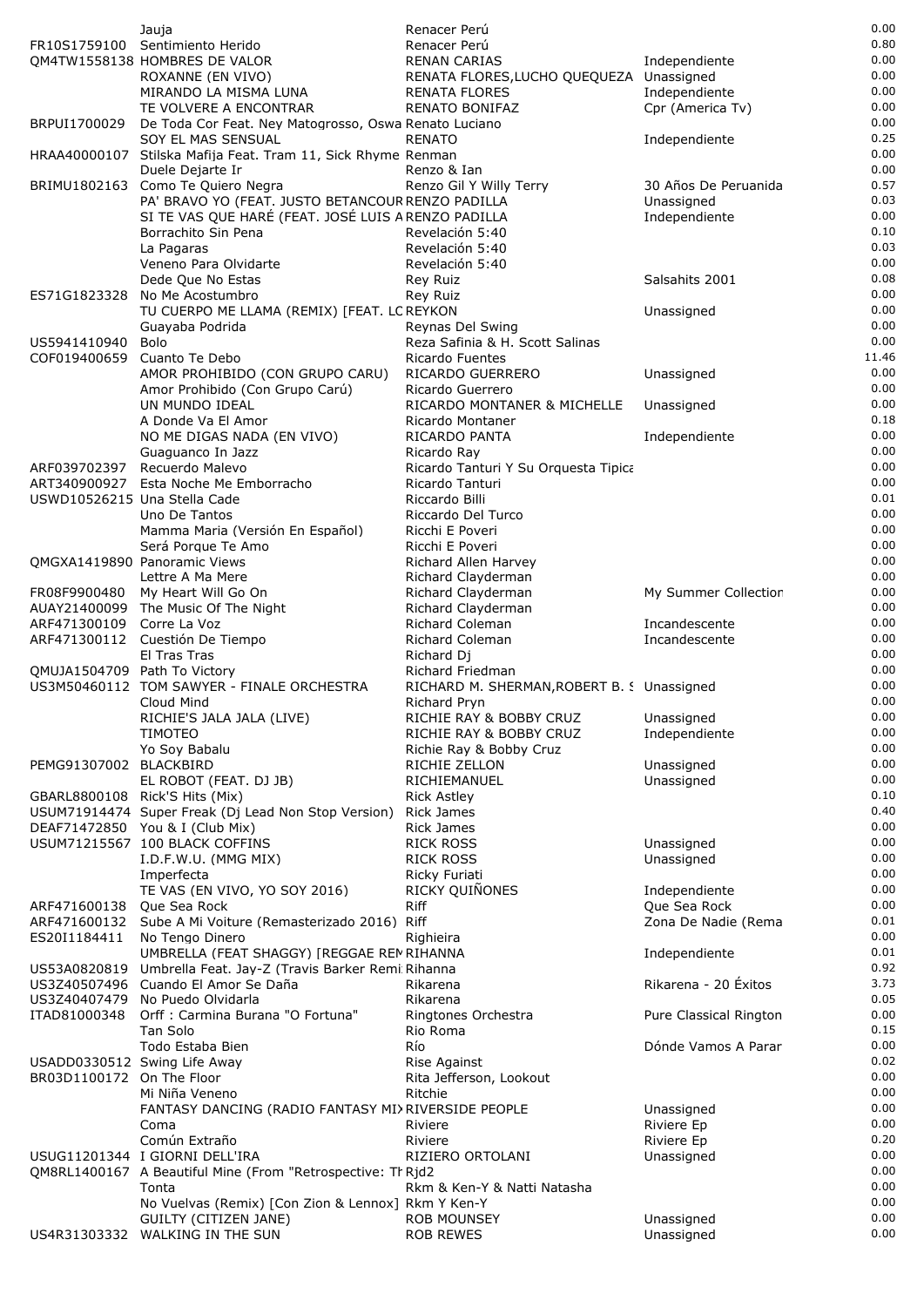|                                | Jauja                                                                                                    | Renacer Perú                                                     |                               | 0.00         |
|--------------------------------|----------------------------------------------------------------------------------------------------------|------------------------------------------------------------------|-------------------------------|--------------|
|                                | FR10S1759100 Sentimiento Herido                                                                          | Renacer Perú                                                     |                               | 0.80         |
|                                | QM4TW1558138 HOMBRES DE VALOR                                                                            | <b>RENAN CARIAS</b>                                              | Independiente                 | 0.00<br>0.00 |
|                                | ROXANNE (EN VIVO)<br>MIRANDO LA MISMA LUNA                                                               | RENATA FLORES, LUCHO QUEQUEZA Unassigned<br><b>RENATA FLORES</b> | Independiente                 | 0.00         |
|                                | TE VOLVERE A ENCONTRAR                                                                                   | <b>RENATO BONIFAZ</b>                                            | Cpr (America Tv)              | 0.00         |
| BRPUI1700029                   | De Toda Cor Feat. Ney Matogrosso, Oswa Renato Luciano                                                    |                                                                  |                               | 0.00         |
|                                | SOY EL MAS SENSUAL                                                                                       | <b>RENATO</b>                                                    | Independiente                 | 0.25         |
|                                | HRAA40000107 Stilska Mafija Feat. Tram 11, Sick Rhyme Renman                                             |                                                                  |                               | 0.00         |
|                                | Duele Dejarte Ir                                                                                         | Renzo & Ian                                                      |                               | 0.00         |
|                                | BRIMU1802163 Como Te Quiero Negra                                                                        | Renzo Gil Y Willy Terry                                          | 30 Años De Peruanida          | 0.57         |
|                                | PA' BRAVO YO (FEAT. JUSTO BETANCOUR RENZO PADILLA<br>SI TE VAS QUE HARÉ (FEAT. JOSÉ LUIS A RENZO PADILLA |                                                                  | Unassigned<br>Independiente   | 0.03<br>0.00 |
|                                | Borrachito Sin Pena                                                                                      | Revelación 5:40                                                  |                               | 0.10         |
|                                | La Pagaras                                                                                               | Revelación 5:40                                                  |                               | 0.03         |
|                                | Veneno Para Olvidarte                                                                                    | Revelación 5:40                                                  |                               | 0.00         |
|                                | Dede Que No Estas                                                                                        | <b>Rey Ruiz</b>                                                  | Salsahits 2001                | 0.08         |
| ES71G1823328                   | No Me Acostumbro                                                                                         | Rey Ruiz                                                         |                               | 0.00         |
|                                | TU CUERPO ME LLAMA (REMIX) [FEAT. LC REYKON                                                              |                                                                  | Unassigned                    | 0.00         |
| US5941410940                   | Guayaba Podrida<br>Bolo                                                                                  | Reynas Del Swing<br>Reza Safinia & H. Scott Salinas              |                               | 0.00<br>0.00 |
| COF019400659                   | Cuanto Te Debo                                                                                           | Ricardo Fuentes                                                  |                               | 11.46        |
|                                | AMOR PROHIBIDO (CON GRUPO CARU)                                                                          | RICARDO GUERRERO                                                 | Unassigned                    | 0.00         |
|                                | Amor Prohibido (Con Grupo Carú)                                                                          | Ricardo Guerrero                                                 |                               | 0.00         |
|                                | UN MUNDO IDEAL                                                                                           | RICARDO MONTANER & MICHELLE                                      | Unassigned                    | 0.00         |
|                                | A Donde Va El Amor                                                                                       | Ricardo Montaner                                                 |                               | 0.18         |
|                                | NO ME DIGAS NADA (EN VIVO)                                                                               | RICARDO PANTA                                                    | Independiente                 | 0.00<br>0.00 |
| ARF039702397                   | Guaguanco In Jazz<br>Recuerdo Malevo                                                                     | Ricardo Ray<br>Ricardo Tanturi Y Su Orquesta Tipica              |                               | 0.00         |
| ART340900927                   | Esta Noche Me Emborracho                                                                                 | Ricardo Tanturi                                                  |                               | 0.00         |
| USWD10526215 Una Stella Cade   |                                                                                                          | Riccardo Billi                                                   |                               | 0.01         |
|                                | Uno De Tantos                                                                                            | Riccardo Del Turco                                               |                               | 0.00         |
|                                | Mamma Maria (Versión En Español)                                                                         | Ricchi E Poveri                                                  |                               | 0.00         |
|                                | Será Porque Te Amo                                                                                       | Ricchi E Poveri                                                  |                               | 0.00         |
|                                | QMGXA1419890 Panoramic Views<br>Lettre A Ma Mere                                                         | Richard Allen Harvey<br>Richard Clayderman                       |                               | 0.00<br>0.00 |
| FR08F9900480                   | My Heart Will Go On                                                                                      | Richard Clayderman                                               | My Summer Collectior          | 0.00         |
|                                | AUAY21400099 The Music Of The Night                                                                      | Richard Clayderman                                               |                               | 0.00         |
| ARF471300109                   | Corre La Voz                                                                                             | Richard Coleman                                                  | Incandescente                 | 0.00         |
|                                | ARF471300112 Cuestión De Tiempo                                                                          | Richard Coleman                                                  | Incandescente                 | 0.00         |
|                                | El Tras Tras                                                                                             | Richard Dj                                                       |                               | 0.00<br>0.00 |
| QMUJA1504709 Path To Victory   | US3M50460112 TOM SAWYER - FINALE ORCHESTRA                                                               | Richard Friedman<br>RICHARD M. SHERMAN, ROBERT B. S Unassigned   |                               | 0.00         |
|                                | Cloud Mind                                                                                               | Richard Pryn                                                     |                               | 0.00         |
|                                | RICHIE'S JALA JALA (LIVE)                                                                                | RICHIE RAY & BOBBY CRUZ                                          | Unassigned                    | 0.00         |
|                                | <b>TIMOTEO</b>                                                                                           | RICHIE RAY & BOBBY CRUZ                                          | Independiente                 | 0.00         |
|                                | Yo Soy Babalu                                                                                            | Richie Ray & Bobby Cruz                                          |                               | 0.00         |
| PEMG91307002 BLACKBIRD         | EL ROBOT (FEAT. DJ JB)                                                                                   | RICHIE ZELLON<br>RICHIEMANUEL                                    | Unassigned<br>Unassigned      | 0.00<br>0.00 |
| GBARL8800108 Rick'S Hits (Mix) |                                                                                                          | <b>Rick Astley</b>                                               |                               | 0.10         |
|                                | USUM71914474 Super Freak (Dj Lead Non Stop Version)                                                      | <b>Rick James</b>                                                |                               | 0.40         |
|                                | DEAF71472850 You & I (Club Mix)                                                                          | <b>Rick James</b>                                                |                               | 0.00         |
|                                | USUM71215567 100 BLACK COFFINS                                                                           | <b>RICK ROSS</b>                                                 | Unassigned                    | 0.00         |
|                                | I.D.F.W.U. (MMG MIX)                                                                                     | <b>RICK ROSS</b>                                                 | Unassigned                    | 0.00         |
|                                | Imperfecta                                                                                               | Ricky Furiati                                                    |                               | 0.00<br>0.00 |
| ARF471600138                   | TE VAS (EN VIVO, YO SOY 2016)<br>Que Sea Rock                                                            | RICKY QUIÑONES<br><b>Riff</b>                                    | Independiente<br>Que Sea Rock | 0.00         |
| ARF471600132                   | Sube A Mi Voiture (Remasterizado 2016) Riff                                                              |                                                                  | Zona De Nadie (Rema           | 0.01         |
| ES20I1184411                   | No Tengo Dinero                                                                                          | Righieira                                                        |                               | 0.00         |
|                                | UMBRELLA (FEAT SHAGGY) [REGGAE REM RIHANNA                                                               |                                                                  | Independiente                 | 0.01         |
|                                | US53A0820819 Umbrella Feat. Jay-Z (Travis Barker Remi: Rihanna                                           |                                                                  |                               | 0.92         |
|                                | US3Z40507496 Cuando El Amor Se Daña                                                                      | Rikarena                                                         | Rikarena - 20 Éxitos          | 3.73         |
| ITAD81000348                   | US3Z40407479 No Puedo Olvidarla<br>Orff : Carmina Burana "O Fortuna"                                     | Rikarena<br>Ringtones Orchestra                                  | Pure Classical Rington        | 0.05<br>0.00 |
|                                | Tan Solo                                                                                                 | Rio Roma                                                         |                               | 0.15         |
|                                | Todo Estaba Bien                                                                                         | Río                                                              | Dónde Vamos A Parar           | 0.00         |
| USADD0330512 Swing Life Away   |                                                                                                          | Rise Against                                                     |                               | 0.02         |
| BR03D1100172 On The Floor      |                                                                                                          | Rita Jefferson, Lookout                                          |                               | 0.00         |
|                                | Mi Niña Veneno                                                                                           | Ritchie                                                          |                               | 0.00<br>0.00 |
|                                | FANTASY DANCING (RADIO FANTASY MIX RIVERSIDE PEOPLE<br>Coma                                              | Riviere                                                          | Unassigned<br>Riviere Ep      | 0.00         |
|                                | Común Extraño                                                                                            | Riviere                                                          | Riviere Ep                    | 0.20         |
|                                | USUG11201344 I GIORNI DELL'IRA                                                                           | RIZIERO ORTOLANI                                                 | Unassigned                    | 0.00         |
|                                | QM8RL1400167 A Beautiful Mine (From "Retrospective: Th Rjd2                                              |                                                                  |                               | 0.00         |
|                                | Tonta                                                                                                    | Rkm & Ken-Y & Natti Natasha                                      |                               | 0.00<br>0.00 |
|                                | No Vuelvas (Remix) [Con Zion & Lennox] Rkm Y Ken-Y<br>GUILTY (CITIZEN JANE)                              | <b>ROB MOUNSEY</b>                                               | Unassigned                    | 0.00         |
|                                | US4R31303332 WALKING IN THE SUN                                                                          | <b>ROB REWES</b>                                                 | Unassigned                    | 0.00         |
|                                |                                                                                                          |                                                                  |                               |              |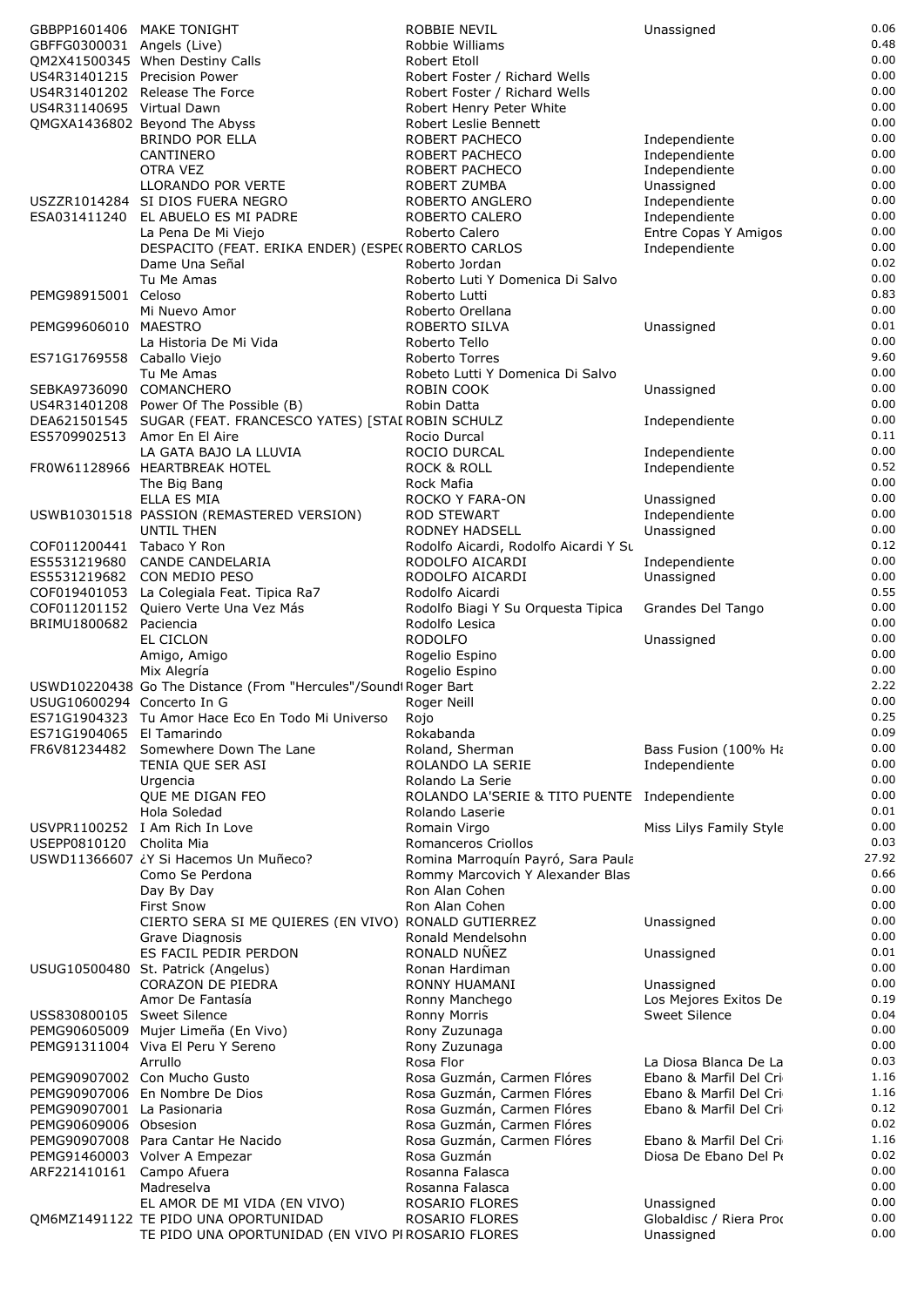|                              | GBBPP1601406 MAKE TONIGHT                                                                 | <b>ROBBIE NEVIL</b>                            | Unassigned                            | 0.06         |
|------------------------------|-------------------------------------------------------------------------------------------|------------------------------------------------|---------------------------------------|--------------|
| GBFFG0300031 Angels (Live)   |                                                                                           | Robbie Williams                                |                                       | 0.48         |
|                              | QM2X41500345 When Destiny Calls                                                           | Robert Etoll                                   |                                       | 0.00         |
| US4R31401215 Precision Power |                                                                                           | Robert Foster / Richard Wells                  |                                       | 0.00         |
|                              | US4R31401202 Release The Force                                                            | Robert Foster / Richard Wells                  |                                       | 0.00         |
| US4R31140695 Virtual Dawn    |                                                                                           | Robert Henry Peter White                       |                                       | 0.00<br>0.00 |
|                              | QMGXA1436802 Beyond The Abyss<br><b>BRINDO POR ELLA</b>                                   | Robert Leslie Bennett<br>ROBERT PACHECO        | Independiente                         | 0.00         |
|                              | CANTINERO                                                                                 | ROBERT PACHECO                                 | Independiente                         | 0.00         |
|                              | OTRA VEZ                                                                                  | ROBERT PACHECO                                 | Independiente                         | 0.00         |
|                              | <b>LLORANDO POR VERTE</b>                                                                 | <b>ROBERT ZUMBA</b>                            | Unassigned                            | 0.00         |
|                              | USZZR1014284 SI DIOS FUERA NEGRO                                                          | ROBERTO ANGLERO                                | Independiente                         | 0.00         |
|                              | ESA031411240 EL ABUELO ES MI PADRE                                                        | ROBERTO CALERO                                 | Independiente                         | 0.00         |
|                              | La Pena De Mi Viejo                                                                       | Roberto Calero                                 | Entre Copas Y Amigos                  | 0.00         |
|                              | DESPACITO (FEAT. ERIKA ENDER) (ESPE(ROBERTO CARLOS                                        |                                                | Independiente                         | 0.00         |
|                              | Dame Una Señal                                                                            | Roberto Jordan                                 |                                       | 0.02         |
|                              | Tu Me Amas                                                                                | Roberto Luti Y Domenica Di Salvo               |                                       | 0.00         |
| PEMG98915001 Celoso          |                                                                                           | Roberto Lutti                                  |                                       | 0.83         |
|                              | Mi Nuevo Amor                                                                             | Roberto Orellana                               |                                       | 0.00         |
| PEMG99606010 MAESTRO         |                                                                                           | <b>ROBERTO SILVA</b>                           | Unassigned                            | 0.01         |
|                              | La Historia De Mi Vida                                                                    | Roberto Tello                                  |                                       | 0.00         |
| ES71G1769558 Caballo Viejo   |                                                                                           | Roberto Torres                                 |                                       | 9.60<br>0.00 |
| SEBKA9736090 COMANCHERO      | Tu Me Amas                                                                                | Robeto Lutti Y Domenica Di Salvo<br>ROBIN COOK | Unassigned                            | 0.00         |
|                              | US4R31401208 Power Of The Possible (B)                                                    | Robin Datta                                    |                                       | 0.00         |
|                              | DEA621501545 SUGAR (FEAT. FRANCESCO YATES) [STAI ROBIN SCHULZ                             |                                                | Independiente                         | 0.00         |
| ES5709902513 Amor En El Aire |                                                                                           | Rocio Durcal                                   |                                       | 0.11         |
|                              | LA GATA BAJO LA LLUVIA                                                                    | ROCIO DURCAL                                   | Independiente                         | 0.00         |
|                              | FROW61128966 HEARTBREAK HOTEL                                                             | <b>ROCK &amp; ROLL</b>                         | Independiente                         | 0.52         |
|                              | The Big Bang                                                                              | Rock Mafia                                     |                                       | 0.00         |
|                              | ELLA ES MIA                                                                               | ROCKO Y FARA-ON                                | Unassigned                            | 0.00         |
|                              | USWB10301518 PASSION (REMASTERED VERSION)                                                 | <b>ROD STEWART</b>                             | Independiente                         | 0.00         |
|                              | UNTIL THEN                                                                                | RODNEY HADSELL                                 | Unassigned                            | 0.00         |
| COF011200441 Tabaco Y Ron    |                                                                                           | Rodolfo Aicardi, Rodolfo Aicardi Y Su          |                                       | 0.12         |
|                              | ES5531219680 CANDE CANDELARIA                                                             | RODOLFO AICARDI                                | Independiente                         | 0.00         |
|                              | ES5531219682 CON MEDIO PESO                                                               | RODOLFO AICARDI                                | Unassigned                            | 0.00         |
|                              | COF019401053 La Colegiala Feat. Tipica Ra7                                                | Rodolfo Aicardi                                |                                       | 0.55         |
|                              | COF011201152 Quiero Verte Una Vez Más                                                     | Rodolfo Biagi Y Su Orquesta Tipica             | Grandes Del Tango                     | 0.00<br>0.00 |
| BRIMU1800682 Paciencia       | EL CICLON                                                                                 | Rodolfo Lesica<br><b>RODOLFO</b>               | Unassigned                            | 0.00         |
|                              | Amigo, Amigo                                                                              | Rogelio Espino                                 |                                       | 0.00         |
|                              | Mix Alegría                                                                               | Rogelio Espino                                 |                                       | 0.00         |
|                              |                                                                                           |                                                |                                       | 2.22         |
|                              |                                                                                           |                                                |                                       |              |
| USUG10600294 Concerto In G   | USWD10220438 Go The Distance (From "Hercules"/Sound Roger Bart                            | Roger Neill                                    |                                       | 0.00         |
|                              | ES71G1904323 Tu Amor Hace Eco En Todo Mi Universo                                         |                                                |                                       | 0.25         |
| ES71G1904065 El Tamarindo    |                                                                                           | Rojo<br>Rokabanda                              |                                       | 0.09         |
|                              | FR6V81234482 Somewhere Down The Lane                                                      | Roland, Sherman                                | Bass Fusion (100% Hi                  | 0.00         |
|                              | TENIA QUE SER ASI                                                                         | ROLANDO LA SERIE                               | Independiente                         | 0.00         |
|                              | Urgencia                                                                                  | Rolando La Serie                               |                                       | 0.00         |
|                              | QUE ME DIGAN FEO                                                                          | ROLANDO LA'SERIE & TITO PUENTE Independiente   |                                       | 0.00         |
|                              | Hola Soledad                                                                              | Rolando Laserie                                |                                       | 0.01         |
|                              | USVPR1100252 I Am Rich In Love                                                            | Romain Virgo                                   | Miss Lilys Family Style               | 0.00         |
| USEPP0810120                 | Cholita Mia                                                                               | Romanceros Criollos                            |                                       | 0.03         |
|                              | USWD11366607 ¿Y Si Hacemos Un Muñeco?                                                     | Romina Marroquín Payró, Sara Paula             |                                       | 27.92        |
|                              | Como Se Perdona                                                                           | Rommy Marcovich Y Alexander Blas               |                                       | 0.66         |
|                              | Day By Day                                                                                | Ron Alan Cohen<br>Ron Alan Cohen               |                                       | 0.00<br>0.00 |
|                              | <b>First Snow</b>                                                                         |                                                | Unassigned                            | 0.00         |
|                              | CIERTO SERA SI ME QUIERES (EN VIVO) RONALD GUTIERREZ                                      | Ronald Mendelsohn                              |                                       | 0.00         |
|                              | Grave Diagnosis<br>ES FACIL PEDIR PERDON                                                  | RONALD NUÑEZ                                   | Unassigned                            | 0.01         |
|                              | USUG10500480 St. Patrick (Angelus)                                                        | Ronan Hardiman                                 |                                       | 0.00         |
|                              | CORAZON DE PIEDRA                                                                         | RONNY HUAMANI                                  | Unassigned                            | 0.00         |
|                              | Amor De Fantasía                                                                          | Ronny Manchego                                 | Los Mejores Exitos De                 | 0.19         |
| USS830800105 Sweet Silence   |                                                                                           | Ronny Morris                                   | <b>Sweet Silence</b>                  | 0.04         |
|                              | PEMG90605009 Mujer Limeña (En Vivo)                                                       | Rony Zuzunaga                                  |                                       | 0.00         |
|                              | PEMG91311004 Viva El Peru Y Sereno                                                        | Rony Zuzunaga                                  |                                       | 0.00         |
|                              | Arrullo                                                                                   | Rosa Flor                                      | La Diosa Blanca De La                 | 0.03         |
|                              | PEMG90907002 Con Mucho Gusto                                                              | Rosa Guzmán, Carmen Flóres                     | Ebano & Marfil Del Cri                | 1.16         |
|                              | PEMG90907006 En Nombre De Dios                                                            | Rosa Guzmán, Carmen Flóres                     | Ebano & Marfil Del Cri                | 1.16         |
| PEMG90907001 La Pasionaria   |                                                                                           | Rosa Guzmán, Carmen Flóres                     | Ebano & Marfil Del Cri                | 0.12<br>0.02 |
| PEMG90609006 Obsesion        |                                                                                           | Rosa Guzmán, Carmen Flóres                     | Ebano & Marfil Del Cri                | 1.16         |
|                              | PEMG90907008 Para Cantar He Nacido                                                        | Rosa Guzmán, Carmen Flóres<br>Rosa Guzmán      | Diosa De Ebano Del Po                 | 0.02         |
| ARF221410161 Campo Afuera    | PEMG91460003 Volver A Empezar                                                             | Rosanna Falasca                                |                                       | 0.00         |
|                              | Madreselva                                                                                | Rosanna Falasca                                |                                       | 0.00         |
|                              | EL AMOR DE MI VIDA (EN VIVO)                                                              | ROSARIO FLORES                                 | Unassigned                            | 0.00         |
|                              | QM6MZ1491122 TE PIDO UNA OPORTUNIDAD<br>TE PIDO UNA OPORTUNIDAD (EN VIVO PIROSARIO FLORES | ROSARIO FLORES                                 | Globaldisc / Riera Prod<br>Unassigned | 0.00<br>0.00 |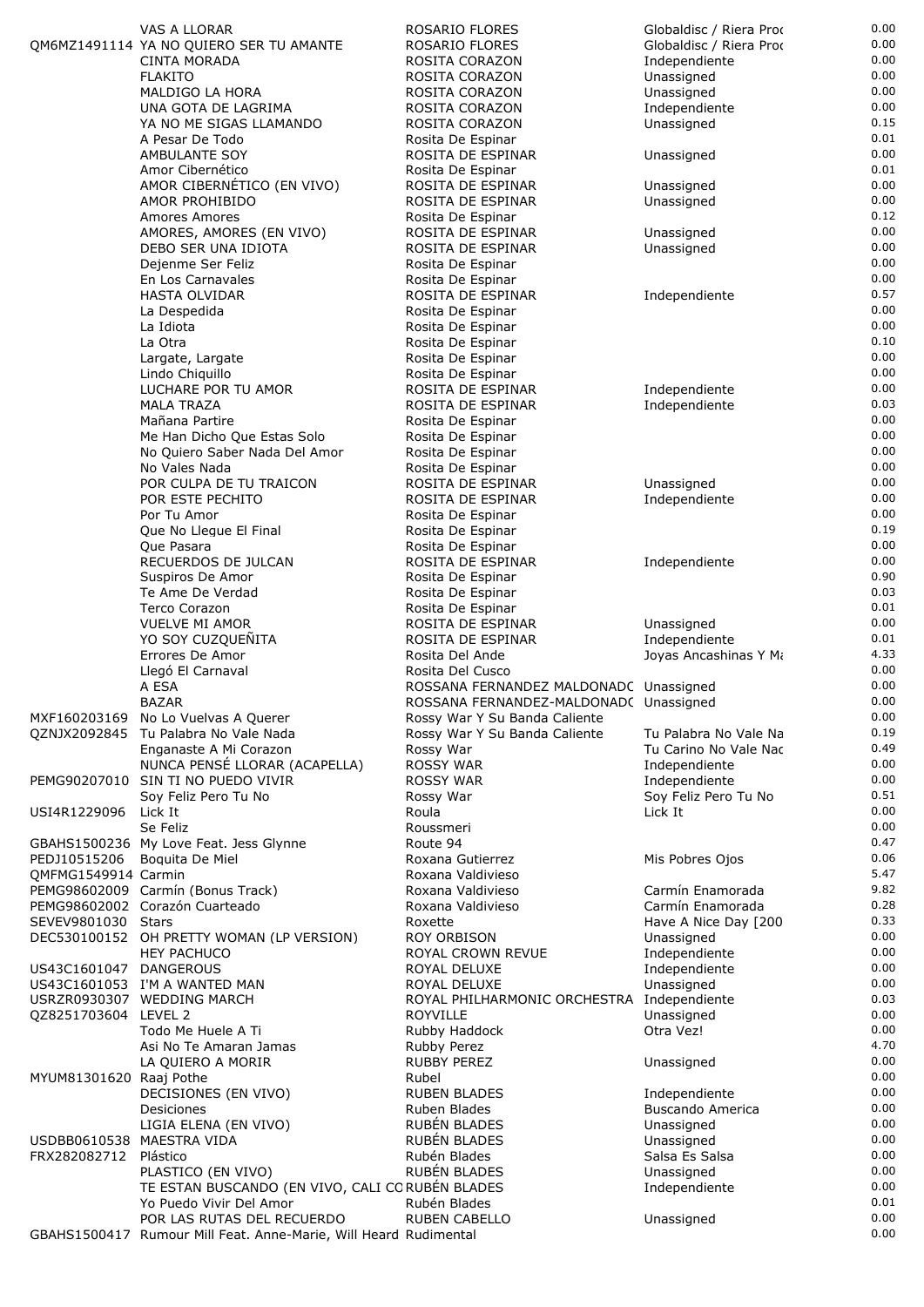|                           | VAS A LLORAR                                                                                   | ROSARIO FLORES                             | Globaldisc / Riera Prod | 0.00         |
|---------------------------|------------------------------------------------------------------------------------------------|--------------------------------------------|-------------------------|--------------|
|                           | QM6MZ1491114 YA NO QUIERO SER TU AMANTE                                                        | ROSARIO FLORES                             | Globaldisc / Riera Prod | 0.00         |
|                           | <b>CINTA MORADA</b>                                                                            |                                            |                         | 0.00         |
|                           |                                                                                                | ROSITA CORAZON                             | Independiente           |              |
|                           | <b>FLAKITO</b>                                                                                 | ROSITA CORAZON                             | Unassigned              | 0.00         |
|                           | MALDIGO LA HORA                                                                                | ROSITA CORAZON                             | Unassigned              | 0.00         |
|                           | UNA GOTA DE LAGRIMA                                                                            | ROSITA CORAZON                             | Independiente           | 0.00         |
|                           |                                                                                                |                                            |                         |              |
|                           | YA NO ME SIGAS LLAMANDO                                                                        | ROSITA CORAZON                             | Unassigned              | 0.15         |
|                           | A Pesar De Todo                                                                                | Rosita De Espinar                          |                         | 0.01         |
|                           | AMBULANTE SOY                                                                                  |                                            |                         | 0.00         |
|                           |                                                                                                | ROSITA DE ESPINAR                          | Unassigned              |              |
|                           | Amor Cibernético                                                                               | Rosita De Espinar                          |                         | 0.01         |
|                           | AMOR CIBERNÉTICO (EN VIVO)                                                                     | ROSITA DE ESPINAR                          | Unassigned              | 0.00         |
|                           |                                                                                                |                                            |                         |              |
|                           | AMOR PROHIBIDO                                                                                 | ROSITA DE ESPINAR                          | Unassigned              | 0.00         |
|                           | Amores Amores                                                                                  | Rosita De Espinar                          |                         | 0.12         |
|                           |                                                                                                | ROSITA DE ESPINAR                          | Unassigned              | 0.00         |
|                           | AMORES, AMORES (EN VIVO)                                                                       |                                            |                         |              |
|                           | DEBO SER UNA IDIOTA                                                                            | ROSITA DE ESPINAR                          | Unassigned              | 0.00         |
|                           | Dejenme Ser Feliz                                                                              | Rosita De Espinar                          |                         | 0.00         |
|                           | En Los Carnavales                                                                              |                                            |                         | 0.00         |
|                           |                                                                                                | Rosita De Espinar                          |                         |              |
|                           | HASTA OLVIDAR                                                                                  | ROSITA DE ESPINAR                          | Independiente           | 0.57         |
|                           | La Despedida                                                                                   | Rosita De Espinar                          |                         | 0.00         |
|                           |                                                                                                |                                            |                         | 0.00         |
|                           | La Idiota                                                                                      | Rosita De Espinar                          |                         |              |
|                           | La Otra                                                                                        | Rosita De Espinar                          |                         | 0.10         |
|                           | Largate, Largate                                                                               | Rosita De Espinar                          |                         | 0.00         |
|                           |                                                                                                |                                            |                         |              |
|                           | Lindo Chiquillo                                                                                | Rosita De Espinar                          |                         | 0.00         |
|                           | LUCHARE POR TU AMOR                                                                            | ROSITA DE ESPINAR                          | Independiente           | 0.00         |
|                           | <b>MALA TRAZA</b>                                                                              | ROSITA DE ESPINAR                          | Independiente           | 0.03         |
|                           |                                                                                                |                                            |                         | 0.00         |
|                           | Mañana Partire                                                                                 | Rosita De Espinar                          |                         |              |
|                           | Me Han Dicho Que Estas Solo                                                                    | Rosita De Espinar                          |                         | 0.00         |
|                           | No Quiero Saber Nada Del Amor                                                                  | Rosita De Espinar                          |                         | 0.00         |
|                           |                                                                                                |                                            |                         |              |
|                           | No Vales Nada                                                                                  | Rosita De Espinar                          |                         | 0.00         |
|                           | POR CULPA DE TU TRAICON                                                                        | ROSITA DE ESPINAR                          | Unassigned              | 0.00         |
|                           | POR ESTE PECHITO                                                                               | ROSITA DE ESPINAR                          | Independiente           | 0.00         |
|                           |                                                                                                |                                            |                         |              |
|                           | Por Tu Amor                                                                                    | Rosita De Espinar                          |                         | 0.00         |
|                           | Que No Llegue El Final                                                                         | Rosita De Espinar                          |                         | 0.19         |
|                           |                                                                                                |                                            |                         | 0.00         |
|                           | Que Pasara                                                                                     | Rosita De Espinar                          |                         |              |
|                           | RECUERDOS DE JULCAN                                                                            | ROSITA DE ESPINAR                          | Independiente           | 0.00         |
|                           | Suspiros De Amor                                                                               | Rosita De Espinar                          |                         | 0.90         |
|                           |                                                                                                |                                            |                         |              |
|                           | Te Ame De Verdad                                                                               | Rosita De Espinar                          |                         | 0.03         |
|                           | Terco Corazon                                                                                  | Rosita De Espinar                          |                         | 0.01         |
|                           | <b>VUELVE MI AMOR</b>                                                                          | ROSITA DE ESPINAR                          | Unassigned              | 0.00         |
|                           |                                                                                                |                                            |                         |              |
|                           | YO SOY CUZQUEÑITA                                                                              | ROSITA DE ESPINAR                          | Independiente           | 0.01         |
|                           |                                                                                                | Rosita Del Ande                            |                         |              |
|                           |                                                                                                |                                            |                         |              |
|                           | Errores De Amor                                                                                |                                            | Joyas Ancashinas Y Mi   | 4.33         |
|                           | Llegó El Carnaval                                                                              | Rosita Del Cusco                           |                         | 0.00         |
|                           | A ESA                                                                                          | ROSSANA FERNANDEZ MALDONADC Unassigned     |                         | 0.00         |
|                           |                                                                                                |                                            |                         |              |
|                           | <b>BAZAR</b>                                                                                   | ROSSANA FERNANDEZ-MALDONAD( Unassigned     |                         | 0.00         |
|                           | MXF160203169 No Lo Vuelvas A Querer                                                            | Rossy War Y Su Banda Caliente              |                         | 0.00         |
|                           | QZNJX2092845 Tu Palabra No Vale Nada                                                           |                                            | Tu Palabra No Vale Na   | 0.19         |
|                           |                                                                                                | Rossy War Y Su Banda Caliente              |                         |              |
|                           | Enganaste A Mi Corazon                                                                         | Rossy War                                  | Tu Carino No Vale Nac   | 0.49         |
|                           | NUNCA PENSÉ LLORAR (ACAPELLA)                                                                  | ROSSY WAR                                  | Independiente           | 0.00         |
|                           |                                                                                                | <b>ROSSY WAR</b>                           |                         | 0.00         |
|                           | PEMG90207010 SIN TI NO PUEDO VIVIR                                                             |                                            | Independiente           |              |
|                           | Soy Feliz Pero Tu No                                                                           | Rossy War                                  | Soy Feliz Pero Tu No    | 0.51         |
| USI4R1229096              | Lick It                                                                                        | Roula                                      | Lick It                 | 0.00         |
|                           | Se Feliz                                                                                       |                                            |                         | 0.00         |
|                           |                                                                                                | Roussmeri                                  |                         |              |
|                           | GBAHS1500236 My Love Feat. Jess Glynne                                                         | Route 94                                   |                         | 0.47         |
| PEDJ10515206              | Boquita De Miel                                                                                | Roxana Gutierrez                           | Mis Pobres Ojos         | 0.06         |
| QMFMG1549914 Carmin       |                                                                                                | Roxana Valdivieso                          |                         | 5.47         |
|                           |                                                                                                |                                            |                         |              |
|                           | PEMG98602009 Carmín (Bonus Track)                                                              | Roxana Valdivieso                          | Carmín Enamorada        | 9.82         |
|                           | PEMG98602002 Corazón Cuarteado                                                                 | Roxana Valdivieso                          | Carmín Enamorada        | 0.28         |
| SEVEV9801030 Stars        |                                                                                                | Roxette                                    |                         | 0.33         |
|                           |                                                                                                |                                            | Have A Nice Day [200    |              |
|                           | DEC530100152 OH PRETTY WOMAN (LP VERSION)                                                      | <b>ROY ORBISON</b>                         | Unassigned              | 0.00         |
|                           | <b>HEY PACHUCO</b>                                                                             | ROYAL CROWN REVUE                          | Independiente           | 0.00         |
|                           |                                                                                                |                                            |                         | 0.00         |
| US43C1601047 DANGEROUS    |                                                                                                | ROYAL DELUXE                               | Independiente           |              |
|                           | US43C1601053 I'M A WANTED MAN                                                                  | ROYAL DELUXE                               | Unassigned              | 0.00         |
|                           | USRZR0930307 WEDDING MARCH                                                                     | ROYAL PHILHARMONIC ORCHESTRA Independiente |                         | 0.03         |
|                           |                                                                                                | <b>ROYVILLE</b>                            |                         | 0.00         |
| QZ8251703604 LEVEL 2      |                                                                                                |                                            | Unassigned              |              |
|                           | Todo Me Huele A Ti                                                                             | Rubby Haddock                              | Otra Vez!               | 0.00         |
|                           | Asi No Te Amaran Jamas                                                                         | Rubby Perez                                |                         | 4.70         |
|                           |                                                                                                |                                            |                         | 0.00         |
|                           | LA QUIERO A MORIR                                                                              | RUBBY PEREZ                                | Unassigned              |              |
| MYUM81301620 Raaj Pothe   |                                                                                                | Rubel                                      |                         | 0.00         |
|                           | DECISIONES (EN VIVO)                                                                           | <b>RUBEN BLADES</b>                        | Independiente           | 0.00         |
|                           |                                                                                                |                                            |                         |              |
|                           | Desiciones                                                                                     | Ruben Blades                               | <b>Buscando America</b> | 0.00         |
|                           | LIGIA ELENA (EN VIVO)                                                                          | RUBÉN BLADES                               | Unassigned              | 0.00         |
| USDBB0610538 MAESTRA VIDA |                                                                                                | RUBÉN BLADES                               | Unassigned              | 0.00         |
|                           |                                                                                                |                                            |                         |              |
| FRX282082712              | Plástico                                                                                       | Rubén Blades                               | Salsa Es Salsa          | 0.00         |
|                           | PLASTICO (EN VIVO)                                                                             | RUBÉN BLADES                               | Unassigned              | 0.00         |
|                           |                                                                                                |                                            | Independiente           | 0.00         |
|                           | TE ESTAN BUSCANDO (EN VIVO, CALI CORUBÉN BLADES                                                |                                            |                         |              |
|                           | Yo Puedo Vivir Del Amor                                                                        | Rubén Blades                               |                         | 0.01         |
|                           | POR LAS RUTAS DEL RECUERDO<br>GBAHS1500417 Rumour Mill Feat. Anne-Marie, Will Heard Rudimental | <b>RUBEN CABELLO</b>                       | Unassigned              | 0.00<br>0.00 |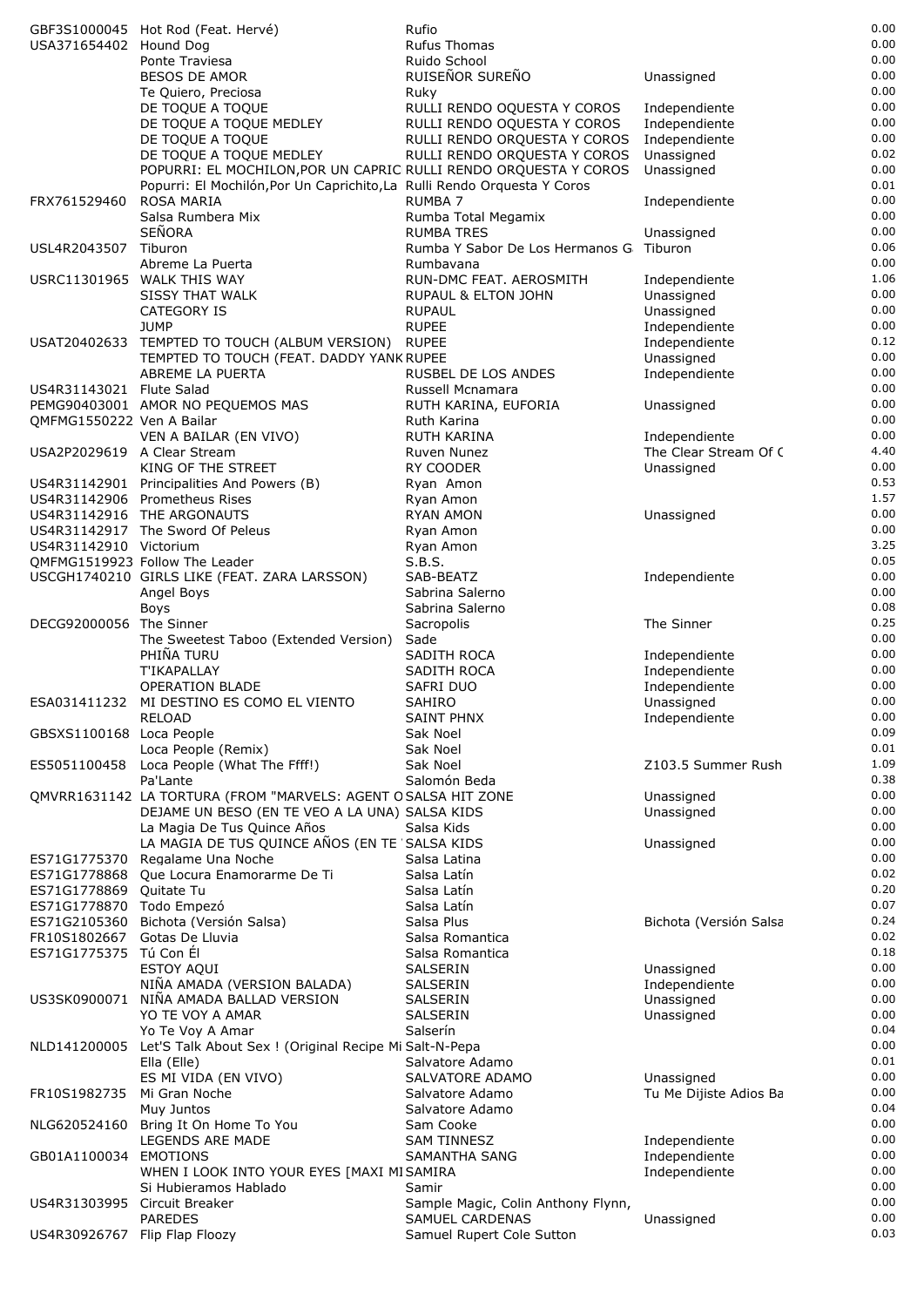|                               | GBF3S1000045 Hot Rod (Feat. Hervé)                                       | Rufio                                                        |                          | 0.00         |
|-------------------------------|--------------------------------------------------------------------------|--------------------------------------------------------------|--------------------------|--------------|
| USA371654402 Hound Dog        |                                                                          | <b>Rufus Thomas</b>                                          |                          | 0.00         |
|                               | Ponte Traviesa                                                           | Ruido School                                                 |                          | 0.00         |
|                               | <b>BESOS DE AMOR</b>                                                     | RUISEÑOR SUREÑO                                              | Unassigned               | 0.00         |
|                               | Te Quiero, Preciosa                                                      | Ruky                                                         |                          | 0.00         |
|                               | DE TOQUE A TOQUE                                                         | RULLI RENDO OQUESTA Y COROS                                  | Independiente            | 0.00         |
|                               | DE TOQUE A TOQUE MEDLEY                                                  | RULLI RENDO OQUESTA Y COROS                                  | Independiente            | 0.00         |
|                               | DE TOQUE A TOQUE                                                         | RULLI RENDO ORQUESTA Y COROS                                 | Independiente            | 0.00         |
|                               | DE TOQUE A TOQUE MEDLEY                                                  | RULLI RENDO ORQUESTA Y COROS                                 | Unassigned               | 0.02         |
|                               | POPURRI: EL MOCHILON, POR UN CAPRIC RULLI RENDO ORQUESTA Y COROS         |                                                              | Unassigned               | 0.00         |
|                               | Popurri: El Mochilón, Por Un Caprichito, La Rulli Rendo Orquesta Y Coros |                                                              |                          | 0.01         |
| FRX761529460                  | <b>ROSA MARIA</b>                                                        | <b>RUMBA 7</b>                                               | Independiente            | 0.00         |
|                               | Salsa Rumbera Mix                                                        | Rumba Total Megamix                                          |                          | 0.00         |
|                               | <b>SEÑORA</b>                                                            | <b>RUMBA TRES</b>                                            | Unassigned               | 0.00         |
| USL4R2043507 Tiburon          |                                                                          | Rumba Y Sabor De Los Hermanos G                              | Tiburon                  | 0.06<br>0.00 |
|                               | Abreme La Puerta                                                         | Rumbavana                                                    |                          | 1.06         |
|                               | USRC11301965 WALK THIS WAY                                               | RUN-DMC FEAT. AEROSMITH                                      | Independiente            | 0.00         |
|                               | SISSY THAT WALK<br>CATEGORY IS                                           | RUPAUL & ELTON JOHN<br><b>RUPAUL</b>                         | Unassigned<br>Unassigned | 0.00         |
|                               | <b>JUMP</b>                                                              | <b>RUPEE</b>                                                 | Independiente            | 0.00         |
|                               | USAT20402633 TEMPTED TO TOUCH (ALBUM VERSION) RUPEE                      |                                                              | Independiente            | 0.12         |
|                               | TEMPTED TO TOUCH (FEAT. DADDY YANK RUPEE                                 |                                                              | Unassigned               | 0.00         |
|                               | ABREME LA PUERTA                                                         | <b>RUSBEL DE LOS ANDES</b>                                   | Independiente            | 0.00         |
| US4R31143021 Flute Salad      |                                                                          | Russell Mcnamara                                             |                          | 0.00         |
|                               | PEMG90403001 AMOR NO PEQUEMOS MAS                                        | RUTH KARINA, EUFORIA                                         | Unassigned               | 0.00         |
| QMFMG1550222 Ven A Bailar     |                                                                          | Ruth Karina                                                  |                          | 0.00         |
|                               | VEN A BAILAR (EN VIVO)                                                   | RUTH KARINA                                                  | Independiente            | 0.00         |
| USA2P2029619 A Clear Stream   |                                                                          | Ruven Nunez                                                  | The Clear Stream Of C    | 4.40         |
|                               | KING OF THE STREET                                                       | RY COODER                                                    | Unassigned               | 0.00         |
|                               | US4R31142901 Principalities And Powers (B)                               | Ryan Amon                                                    |                          | 0.53         |
|                               | US4R31142906 Prometheus Rises                                            | Ryan Amon                                                    |                          | 1.57         |
|                               | US4R31142916 THE ARGONAUTS                                               | <b>RYAN AMON</b>                                             | Unassigned               | 0.00         |
|                               | US4R31142917 The Sword Of Peleus                                         | Ryan Amon                                                    |                          | 0.00         |
| US4R31142910 Victorium        |                                                                          | Ryan Amon                                                    |                          | 3.25         |
|                               | OMFMG1519923 Follow The Leader                                           | S.B.S.                                                       |                          | 0.05         |
|                               | USCGH1740210 GIRLS LIKE (FEAT. ZARA LARSSON)                             | SAB-BEATZ                                                    | Independiente            | 0.00         |
|                               | Angel Boys                                                               | Sabrina Salerno                                              |                          | 0.00         |
|                               | <b>Boys</b>                                                              | Sabrina Salerno                                              |                          | 0.08         |
| DECG92000056 The Sinner       |                                                                          | Sacropolis                                                   | The Sinner               | 0.25         |
|                               | The Sweetest Taboo (Extended Version)                                    | Sade                                                         |                          | 0.00         |
|                               | PHIÑA TURU                                                               | SADITH ROCA                                                  | Independiente            | 0.00         |
|                               | <b>T'IKAPALLAY</b>                                                       | SADITH ROCA                                                  | Independiente            | 0.00         |
|                               | <b>OPERATION BLADE</b>                                                   | SAFRI DUO                                                    | Independiente            | 0.00         |
|                               | ESA031411232 MI DESTINO ES COMO EL VIENTO                                | <b>SAHIRO</b>                                                | Unassigned               | 0.00         |
|                               | RELOAD                                                                   | SAINT PHNX                                                   | Independiente            | 0.00         |
| GBSXS1100168 Loca People      |                                                                          | Sak Noel                                                     |                          | 0.09<br>0.01 |
|                               | Loca People (Remix)                                                      | Sak Noel                                                     | Z103.5 Summer Rush       | 1.09         |
| ES5051100458                  | Loca People (What The Ffff!)<br>Pa'Lante                                 | Sak Noel<br>Salomón Beda                                     |                          | 0.38         |
|                               | QMVRR1631142 LA TORTURA (FROM "MARVELS: AGENT OSALSA HIT ZONE            |                                                              | Unassigned               | 0.00         |
|                               | DEJAME UN BESO (EN TE VEO A LA UNA) SALSA KIDS                           |                                                              | Unassigned               | 0.00         |
|                               | La Magia De Tus Quince Años                                              | Salsa Kids                                                   |                          | 0.00         |
|                               | LA MAGIA DE TUS QUINCE AÑOS (EN TE 'SALSA KIDS                           |                                                              | Unassigned               | 0.00         |
| ES71G1775370                  | Regalame Una Noche                                                       | Salsa Latina                                                 |                          | 0.00         |
| ES71G1778868                  | Que Locura Enamorarme De Ti                                              | Salsa Latín                                                  |                          | 0.02         |
| ES71G1778869 Ouitate Tu       |                                                                          | Salsa Latín                                                  |                          | 0.20         |
| ES71G1778870 Todo Empezó      |                                                                          | Salsa Latín                                                  |                          | 0.07         |
| ES71G2105360                  | Bichota (Versión Salsa)                                                  | Salsa Plus                                                   | Bichota (Versión Salsa   | 0.24         |
| FR10S1802667 Gotas De Lluvia  |                                                                          | Salsa Romantica                                              |                          | 0.02         |
| ES71G1775375 Tú Con Él        |                                                                          | Salsa Romantica                                              |                          | 0.18         |
|                               | <b>ESTOY AQUI</b>                                                        | SALSERIN                                                     | Unassigned               | 0.00         |
|                               | NIÑA AMADA (VERSION BALADA)                                              | SALSERIN                                                     | Independiente            | 0.00         |
| US3SK0900071                  | NIÑA AMADA BALLAD VERSION                                                | SALSERIN                                                     | Unassigned               | 0.00         |
|                               | YO TE VOY A AMAR                                                         | SALSERIN                                                     | Unassigned               | 0.00         |
|                               | Yo Te Voy A Amar                                                         | Salserín                                                     |                          | 0.04         |
| NLD141200005                  | Let'S Talk About Sex ! (Original Recipe Mi Salt-N-Pepa                   |                                                              |                          | 0.00         |
|                               | Ella (Elle)                                                              | Salvatore Adamo                                              |                          | 0.01         |
|                               | ES MI VIDA (EN VIVO)                                                     | SALVATORE ADAMO                                              | Unassigned               | 0.00         |
| FR10S1982735                  | Mi Gran Noche                                                            | Salvatore Adamo                                              | Tu Me Dijiste Adios Ba   | 0.00         |
|                               | Muy Juntos                                                               | Salvatore Adamo                                              |                          | 0.04         |
|                               | NLG620524160 Bring It On Home To You                                     | Sam Cooke                                                    |                          | 0.00         |
|                               | LEGENDS ARE MADE                                                         | <b>SAM TINNESZ</b>                                           | Independiente            | 0.00         |
| GB01A1100034                  | <b>EMOTIONS</b>                                                          | SAMANTHA SANG                                                | Independiente            | 0.00         |
|                               | WHEN I LOOK INTO YOUR EYES [MAXI MISAMIRA                                |                                                              | Independiente            | 0.00         |
|                               | Si Hubieramos Hablado                                                    | Samir                                                        |                          | 0.00<br>0.00 |
| US4R31303995                  | Circuit Breaker<br><b>PAREDES</b>                                        | Sample Magic, Colin Anthony Flynn,<br><b>SAMUEL CARDENAS</b> | Unassigned               | 0.00         |
| US4R30926767 Flip Flap Floozy |                                                                          | Samuel Rupert Cole Sutton                                    |                          | 0.03         |
|                               |                                                                          |                                                              |                          |              |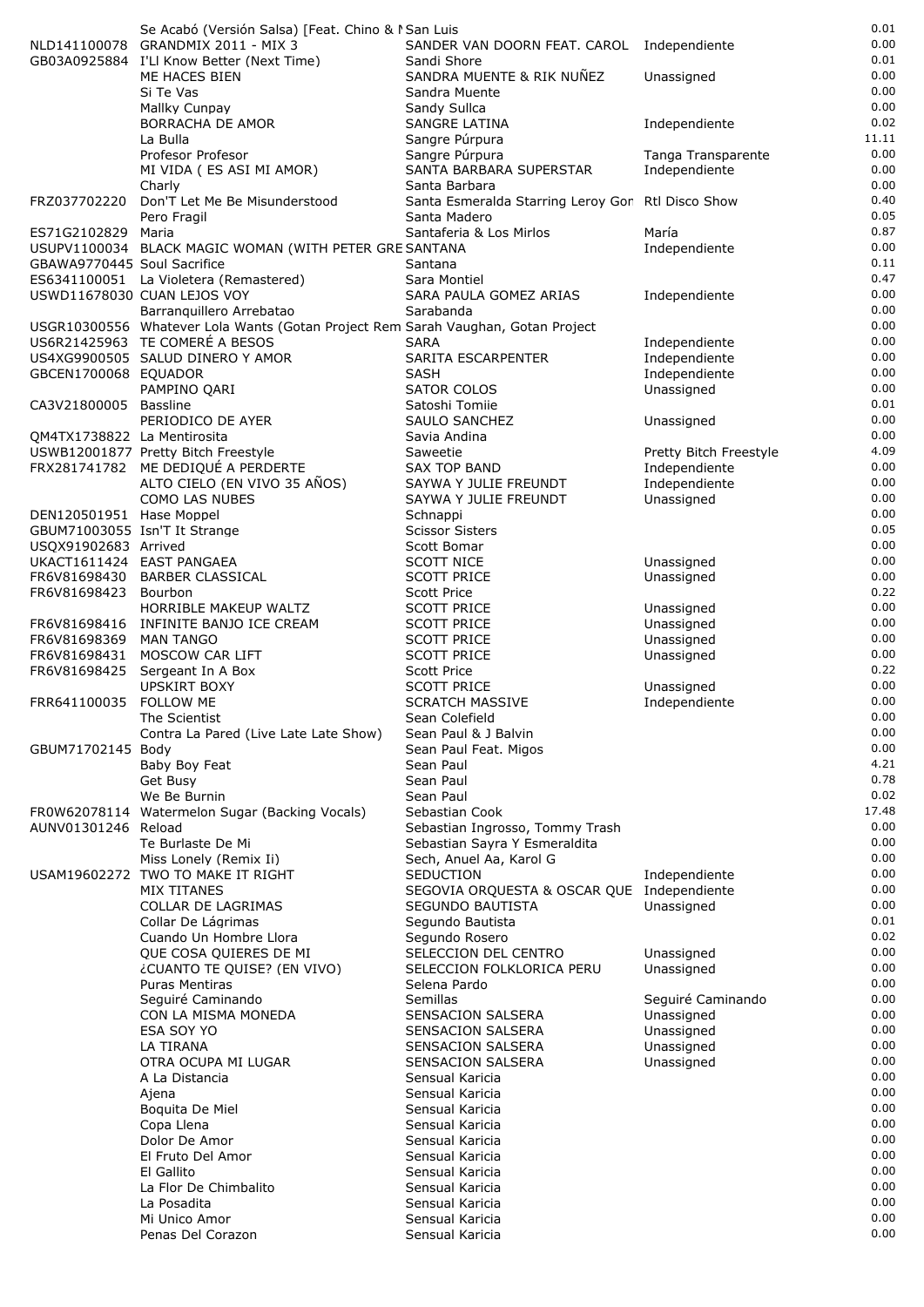|                                                           | Se Acabó (Versión Salsa) [Feat. Chino & I San Luis                               |                                                                   |                                | 0.01<br>0.00  |
|-----------------------------------------------------------|----------------------------------------------------------------------------------|-------------------------------------------------------------------|--------------------------------|---------------|
|                                                           | NLD141100078 GRANDMIX 2011 - MIX 3<br>GB03A0925884 I'Ll Know Better (Next Time)  | SANDER VAN DOORN FEAT. CAROL Independiente<br>Sandi Shore         |                                | 0.01          |
|                                                           | ME HACES BIEN                                                                    | SANDRA MUENTE & RIK NUÑEZ                                         | Unassigned                     | 0.00          |
|                                                           | Si Te Vas                                                                        | Sandra Muente                                                     |                                | 0.00          |
|                                                           | Mallky Cunpay                                                                    | Sandy Sullca                                                      |                                | 0.00          |
|                                                           | <b>BORRACHA DE AMOR</b>                                                          | SANGRE LATINA                                                     | Independiente                  | 0.02          |
|                                                           | La Bulla                                                                         | Sangre Púrpura                                                    |                                | 11.11         |
|                                                           | Profesor Profesor                                                                | Sangre Púrpura                                                    | Tanga Transparente             | 0.00          |
|                                                           | MI VIDA (ES ASI MI AMOR)                                                         | SANTA BARBARA SUPERSTAR                                           | Independiente                  | 0.00          |
|                                                           | Charly                                                                           | Santa Barbara                                                     |                                | 0.00<br>0.40  |
| FRZ037702220                                              | Don'T Let Me Be Misunderstood<br>Pero Fragil                                     | Santa Esmeralda Starring Leroy Gor Rtl Disco Show<br>Santa Madero |                                | 0.05          |
| ES71G2102829 Maria                                        |                                                                                  | Santaferia & Los Mirlos                                           | María                          | 0.87          |
|                                                           | USUPV1100034 BLACK MAGIC WOMAN (WITH PETER GRE SANTANA                           |                                                                   | Independiente                  | 0.00          |
| GBAWA9770445 Soul Sacrifice                               |                                                                                  | Santana                                                           |                                | 0.11          |
|                                                           | ES6341100051 La Violetera (Remastered)                                           | Sara Montiel                                                      |                                | 0.47          |
|                                                           | USWD11678030 CUAN LEJOS VOY                                                      | SARA PAULA GOMEZ ARIAS                                            | Independiente                  | 0.00          |
|                                                           | Barranquillero Arrebatao                                                         | Sarabanda                                                         |                                | 0.00          |
|                                                           | USGR10300556 Whatever Lola Wants (Gotan Project Rem Sarah Vaughan, Gotan Project |                                                                   |                                | 0.00          |
|                                                           | US6R21425963 TE COMERÉ A BESOS                                                   | <b>SARA</b><br><b>SARITA ESCARPENTER</b>                          | Independiente                  | 0.00<br>0.00  |
| GBCEN1700068 EQUADOR                                      | US4XG9900505 SALUD DINERO Y AMOR                                                 | <b>SASH</b>                                                       | Independiente<br>Independiente | 0.00          |
|                                                           | PAMPINO QARI                                                                     | <b>SATOR COLOS</b>                                                | Unassigned                     | 0.00          |
| CA3V21800005                                              | Bassline                                                                         | Satoshi Tomije                                                    |                                | 0.01          |
|                                                           | PERIODICO DE AYER                                                                | SAULO SANCHEZ                                                     | Unassigned                     | 0.00          |
| QM4TX1738822 La Mentirosita                               |                                                                                  | Savia Andina                                                      |                                | 0.00          |
|                                                           | USWB12001877 Pretty Bitch Freestyle                                              | Saweetie                                                          | Pretty Bitch Freestyle         | 4.09          |
|                                                           | FRX281741782 ME DEDIQUÉ A PERDERTE                                               | <b>SAX TOP BAND</b>                                               | Independiente                  | 0.00          |
|                                                           | ALTO CIELO (EN VIVO 35 AÑOS)                                                     | SAYWA Y JULIE FREUNDT                                             | Independiente                  | 0.00          |
|                                                           | <b>COMO LAS NUBES</b>                                                            | SAYWA Y JULIE FREUNDT                                             | Unassigned                     | 0.00<br>0.00  |
| DEN120501951 Hase Moppel<br>GBUM71003055 Isn'T It Strange |                                                                                  | Schnappi<br><b>Scissor Sisters</b>                                |                                | 0.05          |
| USQX91902683 Arrived                                      |                                                                                  | Scott Bomar                                                       |                                | 0.00          |
| UKACT1611424 EAST PANGAEA                                 |                                                                                  | <b>SCOTT NICE</b>                                                 | Unassigned                     | 0.00          |
|                                                           | FR6V81698430 BARBER CLASSICAL                                                    | <b>SCOTT PRICE</b>                                                | Unassigned                     | 0.00          |
| FR6V81698423                                              | Bourbon                                                                          | <b>Scott Price</b>                                                |                                | 0.22          |
|                                                           | HORRIBLE MAKEUP WALTZ                                                            | <b>SCOTT PRICE</b>                                                | Unassigned                     | 0.00          |
|                                                           | FR6V81698416 INFINITE BANJO ICE CREAM                                            | <b>SCOTT PRICE</b>                                                | Unassigned                     | 0.00          |
| FR6V81698369                                              | <b>MAN TANGO</b>                                                                 | <b>SCOTT PRICE</b>                                                | Unassigned                     | 0.00          |
| FR6V81698431                                              | MOSCOW CAR LIFT                                                                  | <b>SCOTT PRICE</b>                                                | Unassigned                     | 0.00<br>0.22  |
| FR6V81698425                                              | Sergeant In A Box<br>UPSKIRT BOXY                                                | <b>Scott Price</b><br><b>SCOTT PRICE</b>                          | Unassigned                     | 0.00          |
| FRR641100035 FOLLOW ME                                    |                                                                                  | <b>SCRATCH MASSIVE</b>                                            | Independiente                  | 0.00          |
|                                                           | The Scientist                                                                    | Sean Colefield                                                    |                                | 0.00          |
|                                                           | Contra La Pared (Live Late Late Show)                                            | Sean Paul & J Balvin                                              |                                | 0.00          |
| GBUM71702145 Body                                         |                                                                                  | Sean Paul Feat. Migos                                             |                                | 0.00          |
|                                                           | Baby Boy Feat                                                                    | Sean Paul                                                         |                                | 4.21          |
|                                                           | Get Busy                                                                         | Sean Paul                                                         |                                | 0.78          |
|                                                           | We Be Burnin                                                                     | Sean Paul                                                         |                                | 0.02<br>17.48 |
| AUNV01301246 Reload                                       | FR0W62078114 Watermelon Sugar (Backing Vocals)                                   | Sebastian Cook<br>Sebastian Ingrosso, Tommy Trash                 |                                | 0.00          |
|                                                           | Te Burlaste De Mi                                                                | Sebastian Sayra Y Esmeraldita                                     |                                | 0.00          |
|                                                           | Miss Lonely (Remix Ii)                                                           | Sech, Anuel Aa, Karol G                                           |                                | 0.00          |
|                                                           | USAM19602272 TWO TO MAKE IT RIGHT                                                | SEDUCTION                                                         | Independiente                  | 0.00          |
|                                                           | MIX TITANES                                                                      | SEGOVIA ORQUESTA & OSCAR QUE Independiente                        |                                | 0.00          |
|                                                           | COLLAR DE LAGRIMAS                                                               | SEGUNDO BAUTISTA                                                  | Unassigned                     | 0.00          |
|                                                           | Collar De Lágrimas                                                               | Segundo Bautista                                                  |                                | 0.01          |
|                                                           | Cuando Un Hombre Llora                                                           | Segundo Rosero                                                    |                                | 0.02<br>0.00  |
|                                                           | QUE COSA QUIERES DE MI<br>¿CUANTO TE QUISE? (EN VIVO)                            | SELECCION DEL CENTRO<br>SELECCION FOLKLORICA PERU                 | Unassigned<br>Unassigned       | 0.00          |
|                                                           | <b>Puras Mentiras</b>                                                            | Selena Pardo                                                      |                                | 0.00          |
|                                                           | Seguiré Caminando                                                                | Semillas                                                          | Seguiré Caminando              | 0.00          |
|                                                           | CON LA MISMA MONEDA                                                              | SENSACION SALSERA                                                 | Unassigned                     | 0.00          |
|                                                           | ESA SOY YO                                                                       | SENSACION SALSERA                                                 | Unassigned                     | 0.00          |
|                                                           | LA TIRANA                                                                        | SENSACION SALSERA                                                 | Unassigned                     | 0.00          |
|                                                           | OTRA OCUPA MI LUGAR                                                              | SENSACION SALSERA                                                 | Unassigned                     | 0.00          |
|                                                           | A La Distancia                                                                   | Sensual Karicia                                                   |                                | 0.00<br>0.00  |
|                                                           | Ajena<br>Boquita De Miel                                                         | Sensual Karicia<br>Sensual Karicia                                |                                | 0.00          |
|                                                           | Copa Llena                                                                       | Sensual Karicia                                                   |                                | 0.00          |
|                                                           | Dolor De Amor                                                                    | Sensual Karicia                                                   |                                | 0.00          |
|                                                           | El Fruto Del Amor                                                                | Sensual Karicia                                                   |                                | 0.00          |
|                                                           | El Gallito                                                                       | Sensual Karicia                                                   |                                | 0.00          |
|                                                           | La Flor De Chimbalito                                                            | Sensual Karicia                                                   |                                | 0.00          |
|                                                           | La Posadita                                                                      | Sensual Karicia                                                   |                                | 0.00          |
|                                                           | Mi Unico Amor                                                                    | Sensual Karicia                                                   |                                | 0.00          |
|                                                           | Penas Del Corazon                                                                | Sensual Karicia                                                   |                                | 0.00          |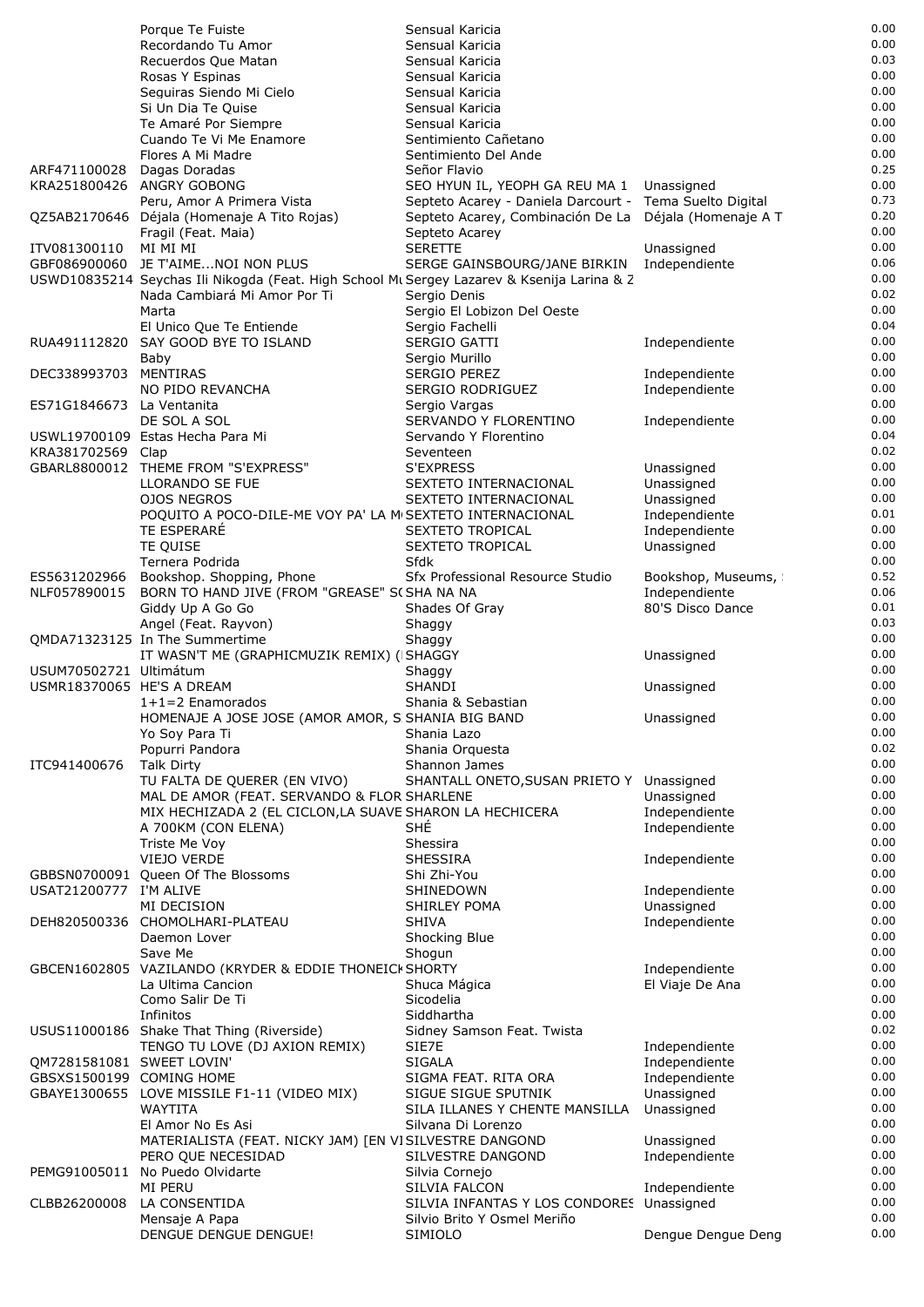|                                                     | Porque Te Fuiste                                                                                        | Sensual Karicia                                                                                      |                                | 0.00         |
|-----------------------------------------------------|---------------------------------------------------------------------------------------------------------|------------------------------------------------------------------------------------------------------|--------------------------------|--------------|
|                                                     | Recordando Tu Amor                                                                                      | Sensual Karicia                                                                                      |                                | 0.00<br>0.03 |
|                                                     | Recuerdos Que Matan<br>Rosas Y Espinas                                                                  | Sensual Karicia<br>Sensual Karicia                                                                   |                                | 0.00         |
|                                                     | Seguiras Siendo Mi Cielo                                                                                | Sensual Karicia                                                                                      |                                | 0.00         |
|                                                     | Si Un Dia Te Quise                                                                                      | Sensual Karicia                                                                                      |                                | 0.00         |
|                                                     | Te Amaré Por Siempre                                                                                    | Sensual Karicia                                                                                      |                                | 0.00         |
|                                                     | Cuando Te Vi Me Enamore                                                                                 | Sentimiento Cañetano                                                                                 |                                | 0.00         |
|                                                     | Flores A Mi Madre                                                                                       | Sentimiento Del Ande                                                                                 |                                | 0.00         |
| ARF471100028                                        | Dagas Doradas                                                                                           | Señor Flavio                                                                                         |                                | 0.25<br>0.00 |
|                                                     | KRA251800426 ANGRY GOBONG<br>Peru, Amor A Primera Vista                                                 | SEO HYUN IL, YEOPH GA REU MA 1 Unassigned<br>Septeto Acarey - Daniela Darcourt - Tema Suelto Digital |                                | 0.73         |
|                                                     | QZ5AB2170646 Déjala (Homenaje A Tito Rojas)                                                             | Septeto Acarey, Combinación De La Déjala (Homenaje A T                                               |                                | 0.20         |
|                                                     | Fragil (Feat. Maia)                                                                                     | Septeto Acarey                                                                                       |                                | 0.00         |
| ITV081300110                                        | MI MI MI                                                                                                | <b>SERETTE</b>                                                                                       | Unassigned                     | 0.00         |
|                                                     | GBF086900060 JE T'AIME NOI NON PLUS                                                                     | SERGE GAINSBOURG/JANE BIRKIN                                                                         | Independiente                  | 0.06         |
|                                                     | USWD10835214 Seychas Ili Nikogda (Feat. High School Mu Sergey Lazarev & Ksenija Larina & Z              |                                                                                                      |                                | 0.00         |
|                                                     | Nada Cambiará Mi Amor Por Ti<br>Marta                                                                   | Sergio Denis                                                                                         |                                | 0.02<br>0.00 |
|                                                     | El Unico Que Te Entiende                                                                                | Sergio El Lobizon Del Oeste<br>Sergio Fachelli                                                       |                                | 0.04         |
| RUA491112820                                        | SAY GOOD BYE TO ISLAND                                                                                  | SERGIO GATTI                                                                                         | Independiente                  | 0.00         |
|                                                     | Baby                                                                                                    | Sergio Murillo                                                                                       |                                | 0.00         |
| DEC338993703 MENTIRAS                               |                                                                                                         | <b>SERGIO PEREZ</b>                                                                                  | Independiente                  | 0.00         |
|                                                     | NO PIDO REVANCHA                                                                                        | SERGIO RODRIGUEZ                                                                                     | Independiente                  | 0.00         |
| ES71G1846673 La Ventanita                           |                                                                                                         | Sergio Vargas                                                                                        |                                | 0.00<br>0.00 |
|                                                     | DE SOL A SOL<br>USWL19700109 Estas Hecha Para Mi                                                        | SERVANDO Y FLORENTINO<br>Servando Y Florentino                                                       | Independiente                  | 0.04         |
| KRA381702569 Clap                                   |                                                                                                         | Seventeen                                                                                            |                                | 0.02         |
|                                                     | GBARL8800012 THEME FROM "S'EXPRESS"                                                                     | S'EXPRESS                                                                                            | Unassigned                     | 0.00         |
|                                                     | LLORANDO SE FUE                                                                                         | SEXTETO INTERNACIONAL                                                                                | Unassigned                     | 0.00         |
|                                                     | <b>OJOS NEGROS</b>                                                                                      | SEXTETO INTERNACIONAL                                                                                | Unassigned                     | 0.00         |
|                                                     | POOUITO A POCO-DILE-ME VOY PA' LA MISEXTETO INTERNACIONAL                                               |                                                                                                      | Independiente                  | 0.01         |
|                                                     | <b>TE ESPERARE</b>                                                                                      | <b>SEXTETO TROPICAL</b>                                                                              | Independiente                  | 0.00<br>0.00 |
|                                                     | TE QUISE<br>Ternera Podrida                                                                             | SEXTETO TROPICAL<br>Sfdk                                                                             | Unassigned                     | 0.00         |
| ES5631202966                                        | Bookshop. Shopping, Phone                                                                               | Sfx Professional Resource Studio                                                                     | Bookshop, Museums,             | 0.52         |
| NLF057890015                                        | BORN TO HAND JIVE (FROM "GREASE" S(SHA NA NA                                                            |                                                                                                      | Independiente                  | 0.06         |
|                                                     | Giddy Up A Go Go                                                                                        | Shades Of Gray                                                                                       | 80'S Disco Dance               | 0.01         |
|                                                     | Angel (Feat. Rayvon)                                                                                    | Shaggy                                                                                               |                                | 0.03         |
|                                                     | QMDA71323125 In The Summertime                                                                          | Shaggy                                                                                               |                                | 0.00         |
|                                                     | IT WASN'T ME (GRAPHICMUZIK REMIX) (ISHAGGY                                                              |                                                                                                      | Unassigned                     | 0.00<br>0.00 |
| USUM70502721 Ultimátum<br>USMR18370065 HE'S A DREAM |                                                                                                         | Shaggy<br><b>SHANDI</b>                                                                              | Unassigned                     | 0.00         |
|                                                     | $1+1=2$ Enamorados                                                                                      | Shania & Sebastian                                                                                   |                                | 0.00         |
|                                                     | HOMENAJE A JOSE JOSE (AMOR AMOR, S SHANIA BIG BAND                                                      |                                                                                                      | Unassigned                     | 0.00         |
|                                                     | Yo Soy Para Ti                                                                                          | Shania Lazo                                                                                          |                                | 0.00         |
|                                                     | Popurri Pandora                                                                                         | Shania Orquesta                                                                                      |                                | 0.02         |
| ITC941400676                                        | <b>Talk Dirty</b>                                                                                       | Shannon James                                                                                        |                                | 0.00         |
|                                                     | TU FALTA DE QUERER (EN VIVO)                                                                            | SHANTALL ONETO, SUSAN PRIETO Y Unassigned                                                            |                                | 0.00<br>0.00 |
|                                                     | MAL DE AMOR (FEAT. SERVANDO & FLOR SHARLENE<br>MIX HECHIZADA 2 (EL CICLON, LA SUAVE SHARON LA HECHICERA |                                                                                                      | Unassigned<br>Independiente    | 0.00         |
|                                                     | A 700KM (CON ELENA)                                                                                     | <b>SHÉ</b>                                                                                           | Independiente                  | 0.00         |
|                                                     | Triste Me Voy                                                                                           | Shessira                                                                                             |                                | 0.00         |
|                                                     | VIEJO VERDE                                                                                             | <b>SHESSIRA</b>                                                                                      | Independiente                  | 0.00         |
|                                                     | GBBSN0700091 Queen Of The Blossoms                                                                      | Shi Zhi-You                                                                                          |                                | 0.00         |
| USAT21200777 I'M ALIVE                              |                                                                                                         | SHINEDOWN                                                                                            | Independiente                  | 0.00         |
|                                                     | MI DECISION                                                                                             | SHIRLEY POMA<br><b>SHIVA</b>                                                                         | Unassigned<br>Independiente    | 0.00<br>0.00 |
|                                                     | DEH820500336 CHOMOLHARI-PLATEAU<br>Daemon Lover                                                         | Shocking Blue                                                                                        |                                | 0.00         |
|                                                     | Save Me                                                                                                 | Shogun                                                                                               |                                | 0.00         |
|                                                     | GBCEN1602805 VAZILANDO (KRYDER & EDDIE THONEICI SHORTY                                                  |                                                                                                      | Independiente                  | 0.00         |
|                                                     | La Ultima Cancion                                                                                       | Shuca Mágica                                                                                         | El Viaje De Ana                | 0.00         |
|                                                     | Como Salir De Ti                                                                                        | Sicodelia                                                                                            |                                | 0.00         |
|                                                     | Infinitos                                                                                               | Siddhartha                                                                                           |                                | 0.00         |
|                                                     | USUS11000186 Shake That Thing (Riverside)                                                               | Sidney Samson Feat. Twista                                                                           |                                | 0.02<br>0.00 |
| QM7281581081 SWEET LOVIN'                           | TENGO TU LOVE (DJ AXION REMIX)                                                                          | SIE7E<br><b>SIGALA</b>                                                                               | Independiente<br>Independiente | 0.00         |
| GBSXS1500199 COMING HOME                            |                                                                                                         | SIGMA FEAT. RITA ORA                                                                                 | Independiente                  | 0.00         |
|                                                     | GBAYE1300655 LOVE MISSILE F1-11 (VIDEO MIX)                                                             | SIGUE SIGUE SPUTNIK                                                                                  | Unassigned                     | 0.00         |
|                                                     | WAYTITA                                                                                                 | SILA ILLANES Y CHENTE MANSILLA                                                                       | Unassigned                     | 0.00         |
|                                                     | El Amor No Es Asi                                                                                       | Silvana Di Lorenzo                                                                                   |                                | 0.00         |
|                                                     | MATERIALISTA (FEAT. NICKY JAM) [EN VISILVESTRE DANGOND                                                  |                                                                                                      | Unassigned                     | 0.00         |
| PEMG91005011                                        | PERO QUE NECESIDAD                                                                                      | SILVESTRE DANGOND                                                                                    | Independiente                  | 0.00<br>0.00 |
|                                                     | No Puedo Olvidarte<br>MI PERU                                                                           | Silvia Cornejo<br>SILVIA FALCON                                                                      | Independiente                  | 0.00         |
| CLBB26200008                                        | LA CONSENTIDA                                                                                           | SILVIA INFANTAS Y LOS CONDORES Unassigned                                                            |                                | 0.00         |
|                                                     | Mensaje A Papa                                                                                          | Silvio Brito Y Osmel Meriño                                                                          |                                | 0.00         |
|                                                     | DENGUE DENGUE DENGUE!                                                                                   | SIMIOLO                                                                                              | Dengue Dengue Deng             | 0.00         |
|                                                     |                                                                                                         |                                                                                                      |                                |              |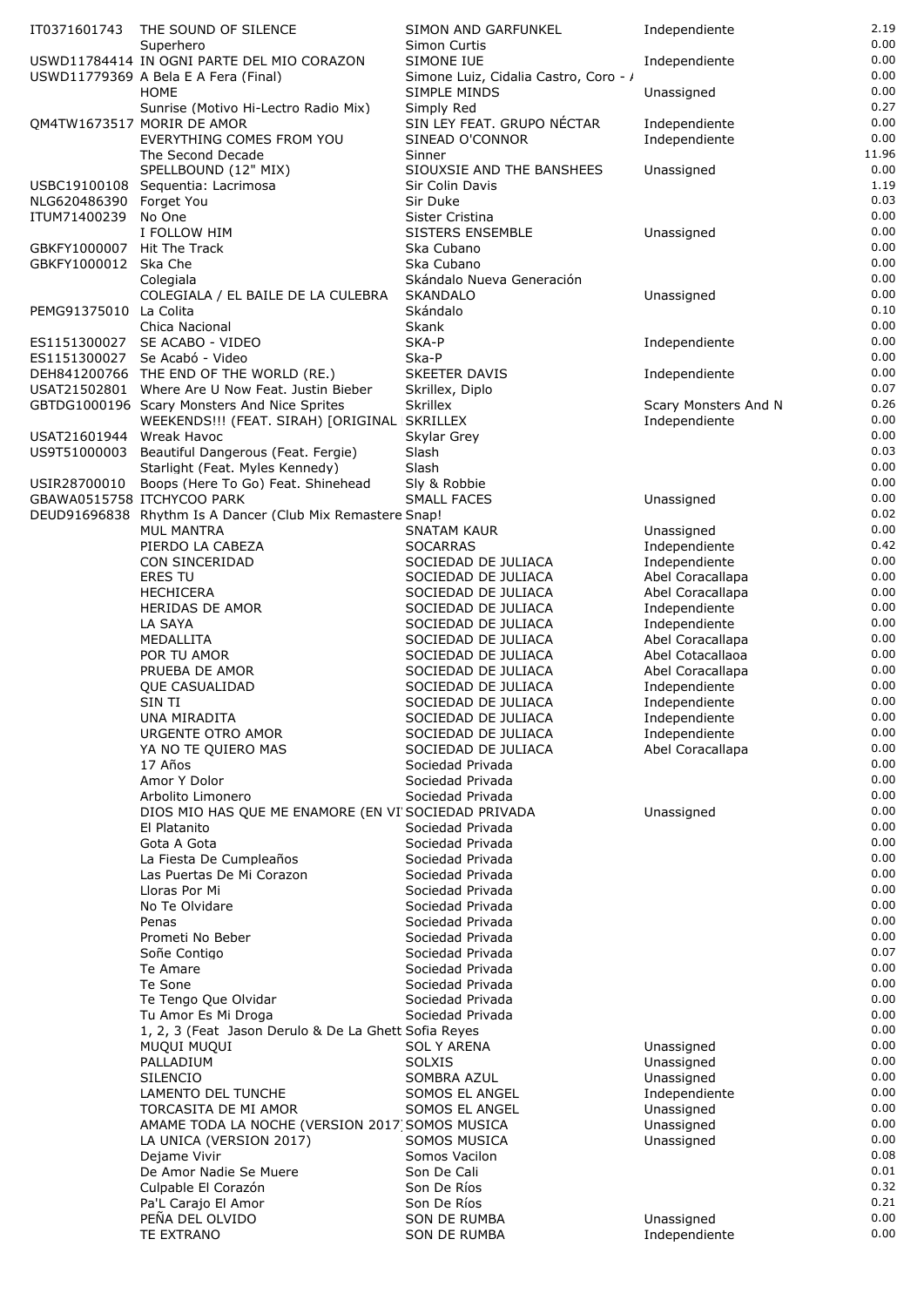|                            | IT0371601743 THE SOUND OF SILENCE                                                  | SIMON AND GARFUNKEL                                 | Independiente                        | 2.19          |
|----------------------------|------------------------------------------------------------------------------------|-----------------------------------------------------|--------------------------------------|---------------|
|                            | Superhero                                                                          | Simon Curtis                                        |                                      | 0.00<br>0.00  |
|                            | USWD11784414 IN OGNI PARTE DEL MIO CORAZON<br>USWD11779369 A Bela E A Fera (Final) | SIMONE IUE<br>Simone Luiz, Cidalia Castro, Coro - / | Independiente                        | 0.00          |
|                            | HOME                                                                               | SIMPLE MINDS                                        | Unassigned                           | 0.00          |
|                            | Sunrise (Motivo Hi-Lectro Radio Mix)                                               | Simply Red                                          |                                      | 0.27          |
|                            | QM4TW1673517 MORIR DE AMOR                                                         | SIN LEY FEAT. GRUPO NÉCTAR                          | Independiente                        | 0.00          |
|                            | EVERYTHING COMES FROM YOU                                                          | SINEAD O'CONNOR                                     | Independiente                        | 0.00          |
|                            | The Second Decade                                                                  | Sinner                                              |                                      | 11.96<br>0.00 |
|                            | SPELLBOUND (12" MIX)<br>USBC19100108 Sequentia: Lacrimosa                          | SIOUXSIE AND THE BANSHEES<br>Sir Colin Davis        | Unassigned                           | 1.19          |
| NLG620486390 Forget You    |                                                                                    | Sir Duke                                            |                                      | 0.03          |
| ITUM71400239               | No One                                                                             | Sister Cristina                                     |                                      | 0.00          |
|                            | I FOLLOW HIM                                                                       | SISTERS ENSEMBLE                                    | Unassigned                           | 0.00          |
| GBKFY1000007 Hit The Track |                                                                                    | Ska Cubano                                          |                                      | 0.00<br>0.00  |
| GBKFY1000012 Ska Che       | Colegiala                                                                          | Ska Cubano<br>Skándalo Nueva Generación             |                                      | 0.00          |
|                            | COLEGIALA / EL BAILE DE LA CULEBRA                                                 | <b>SKANDALO</b>                                     | Unassigned                           | 0.00          |
| PEMG91375010 La Colita     |                                                                                    | Skándalo                                            |                                      | 0.10          |
|                            | Chica Nacional                                                                     | Skank                                               |                                      | 0.00          |
|                            | ES1151300027 SE ACABO - VIDEO                                                      | SKA-P                                               | Independiente                        | 0.00          |
|                            | ES1151300027 Se Acabó - Video<br>DEH841200766 THE END OF THE WORLD (RE.)           | Ska-P<br><b>SKEETER DAVIS</b>                       |                                      | 0.00<br>0.00  |
|                            | USAT21502801 Where Are U Now Feat. Justin Bieber                                   | Skrillex, Diplo                                     | Independiente                        | 0.07          |
|                            | GBTDG1000196 Scary Monsters And Nice Sprites                                       | <b>Skrillex</b>                                     | Scary Monsters And N                 | 0.26          |
|                            | WEEKENDS !!! (FEAT. SIRAH) [ORIGINAL   SKRILLEX                                    |                                                     | Independiente                        | 0.00          |
| USAT21601944 Wreak Havoc   |                                                                                    | Skylar Grey                                         |                                      | 0.00          |
| US9T51000003               | Beautiful Dangerous (Feat. Fergie)                                                 | Slash                                               |                                      | 0.03<br>0.00  |
|                            | Starlight (Feat. Myles Kennedy)<br>USIR28700010 Boops (Here To Go) Feat. Shinehead | Slash<br>Sly & Robbie                               |                                      | 0.00          |
|                            | GBAWA0515758 ITCHYCOO PARK                                                         | <b>SMALL FACES</b>                                  | Unassigned                           | 0.00          |
|                            | DEUD91696838 Rhythm Is A Dancer (Club Mix Remastere Snap!                          |                                                     |                                      | 0.02          |
|                            | <b>MUL MANTRA</b>                                                                  | <b>SNATAM KAUR</b>                                  | Unassigned                           | 0.00          |
|                            | PIERDO LA CABEZA                                                                   | <b>SOCARRAS</b>                                     | Independiente                        | 0.42          |
|                            | CON SINCERIDAD                                                                     | SOCIEDAD DE JULIACA                                 | Independiente                        | 0.00<br>0.00  |
|                            | <b>ERES TU</b><br><b>HECHICERA</b>                                                 | SOCIEDAD DE JULIACA<br>SOCIEDAD DE JULIACA          | Abel Coracallapa<br>Abel Coracallapa | 0.00          |
|                            | HERIDAS DE AMOR                                                                    | SOCIEDAD DE JULIACA                                 | Independiente                        | 0.00          |
|                            | LA SAYA                                                                            | SOCIEDAD DE JULIACA                                 | Independiente                        | 0.00          |
|                            | MEDALLITA                                                                          | SOCIEDAD DE JULIACA                                 | Abel Coracallapa                     | 0.00          |
|                            | POR TU AMOR                                                                        | SOCIEDAD DE JULIACA                                 | Abel Cotacallaoa                     | 0.00          |
|                            | PRUEBA DE AMOR                                                                     | SOCIEDAD DE JULIACA                                 | Abel Coracallapa                     | 0.00<br>0.00  |
|                            | <b>QUE CASUALIDAD</b><br>SIN TI                                                    | SOCIEDAD DE JULIACA<br>SOCIEDAD DE JULIACA          | Independiente<br>Independiente       | 0.00          |
|                            | UNA MIRADITA                                                                       | SOCIEDAD DE JULIACA                                 | Independiente                        | 0.00          |
|                            | URGENTE OTRO AMOR                                                                  | SOCIEDAD DE JULIACA                                 | Independiente                        | 0.00          |
|                            | YA NO TE QUIERO MAS                                                                | SOCIEDAD DE JULIACA                                 | Abel Coracallapa                     | 0.00          |
|                            | 17 Años                                                                            | Sociedad Privada                                    |                                      | 0.00          |
|                            | Amor Y Dolor<br>Arbolito Limonero                                                  | Sociedad Privada<br>Sociedad Privada                |                                      | 0.00<br>0.00  |
|                            | DIOS MIO HAS QUE ME ENAMORE (EN VI'SOCIEDAD PRIVADA                                |                                                     | Unassigned                           | 0.00          |
|                            | El Platanito                                                                       | Sociedad Privada                                    |                                      | 0.00          |
|                            | Gota A Gota                                                                        | Sociedad Privada                                    |                                      | 0.00          |
|                            | La Fiesta De Cumpleaños                                                            | Sociedad Privada                                    |                                      | 0.00          |
|                            | Las Puertas De Mi Corazon                                                          | Sociedad Privada                                    |                                      | 0.00          |
|                            | Lloras Por Mi<br>No Te Olvidare                                                    | Sociedad Privada<br>Sociedad Privada                |                                      | 0.00<br>0.00  |
|                            | Penas                                                                              | Sociedad Privada                                    |                                      | 0.00          |
|                            | Prometi No Beber                                                                   | Sociedad Privada                                    |                                      | 0.00          |
|                            | Soñe Contigo                                                                       | Sociedad Privada                                    |                                      | 0.07          |
|                            | Te Amare                                                                           | Sociedad Privada                                    |                                      | 0.00          |
|                            | Te Sone<br>Te Tengo Que Olvidar                                                    | Sociedad Privada<br>Sociedad Privada                |                                      | 0.00<br>0.00  |
|                            | Tu Amor Es Mi Droga                                                                | Sociedad Privada                                    |                                      | 0.00          |
|                            | 1, 2, 3 (Feat Jason Derulo & De La Ghett Sofia Reyes                               |                                                     |                                      | 0.00          |
|                            | MUQUI MUQUI                                                                        | <b>SOL Y ARENA</b>                                  | Unassigned                           | 0.00          |
|                            | PALLADIUM                                                                          | <b>SOLXIS</b>                                       | Unassigned                           | 0.00          |
|                            | <b>SILENCIO</b>                                                                    | SOMBRA AZUL                                         | Unassigned                           | 0.00<br>0.00  |
|                            | LAMENTO DEL TUNCHE<br>TORCASITA DE MI AMOR                                         | SOMOS EL ANGEL<br>SOMOS EL ANGEL                    | Independiente<br>Unassigned          | 0.00          |
|                            | AMAME TODA LA NOCHE (VERSION 2017 SOMOS MUSICA                                     |                                                     | Unassigned                           | 0.00          |
|                            | LA UNICA (VERSION 2017)                                                            | SOMOS MUSICA                                        | Unassigned                           | 0.00          |
|                            | Dejame Vivir                                                                       | Somos Vacilon                                       |                                      | 0.08          |
|                            | De Amor Nadie Se Muere                                                             | Son De Cali                                         |                                      | 0.01          |
|                            | Culpable El Corazón                                                                | Son De Ríos<br>Son De Ríos                          |                                      | 0.32<br>0.21  |
|                            | Pa'L Carajo El Amor<br>PEÑA DEL OLVIDO                                             | <b>SON DE RUMBA</b>                                 | Unassigned                           | 0.00          |
|                            | TE EXTRANO                                                                         | SON DE RUMBA                                        | Independiente                        | 0.00          |
|                            |                                                                                    |                                                     |                                      |               |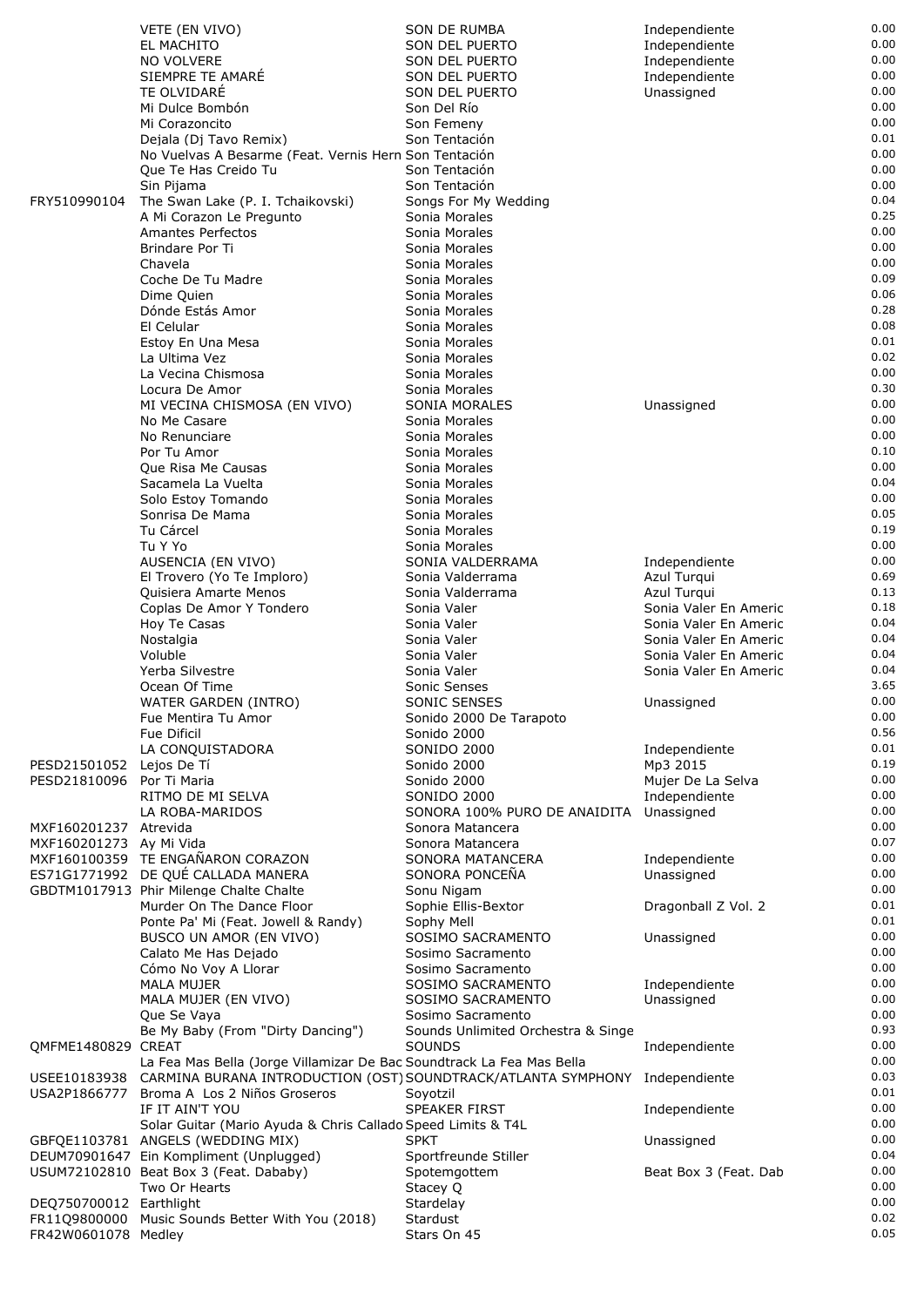|                         | VETE (EN VIVO)                                                                           | SON DE RUMBA                       | Independiente         | 0.00 |
|-------------------------|------------------------------------------------------------------------------------------|------------------------------------|-----------------------|------|
|                         | EL MACHITO                                                                               | SON DEL PUERTO                     | Independiente         | 0.00 |
|                         | <b>NO VOLVERE</b>                                                                        | <b>SON DEL PUERTO</b>              | Independiente         | 0.00 |
|                         | SIEMPRE TE AMARÉ                                                                         | SON DEL PUERTO                     | Independiente         | 0.00 |
|                         | TE OLVIDARE                                                                              | SON DEL PUERTO                     | Unassigned            | 0.00 |
|                         | Mi Dulce Bombón                                                                          |                                    |                       | 0.00 |
|                         |                                                                                          | Son Del Río                        |                       |      |
|                         | Mi Corazoncito                                                                           | Son Femeny                         |                       | 0.00 |
|                         | Dejala (Dj Tavo Remix)                                                                   | Son Tentación                      |                       | 0.01 |
|                         | No Vuelvas A Besarme (Feat. Vernis Hern Son Tentación                                    |                                    |                       | 0.00 |
|                         | Que Te Has Creido Tu                                                                     | Son Tentación                      |                       | 0.00 |
|                         | Sin Pijama                                                                               | Son Tentación                      |                       | 0.00 |
| FRY510990104            |                                                                                          |                                    |                       | 0.04 |
|                         | The Swan Lake (P. I. Tchaikovski)                                                        | Songs For My Wedding               |                       |      |
|                         | A Mi Corazon Le Pregunto                                                                 | Sonia Morales                      |                       | 0.25 |
|                         | Amantes Perfectos                                                                        | Sonia Morales                      |                       | 0.00 |
|                         | Brindare Por Ti                                                                          | Sonia Morales                      |                       | 0.00 |
|                         | Chavela                                                                                  | Sonia Morales                      |                       | 0.00 |
|                         | Coche De Tu Madre                                                                        | Sonia Morales                      |                       | 0.09 |
|                         | Dime Quien                                                                               | Sonia Morales                      |                       | 0.06 |
|                         | Dónde Estás Amor                                                                         | Sonia Morales                      |                       | 0.28 |
|                         |                                                                                          |                                    |                       | 0.08 |
|                         | El Celular                                                                               | Sonia Morales                      |                       |      |
|                         | Estoy En Una Mesa                                                                        | Sonia Morales                      |                       | 0.01 |
|                         | La Ultima Vez                                                                            | Sonia Morales                      |                       | 0.02 |
|                         | La Vecina Chismosa                                                                       | Sonia Morales                      |                       | 0.00 |
|                         | Locura De Amor                                                                           | Sonia Morales                      |                       | 0.30 |
|                         | MI VECINA CHISMOSA (EN VIVO)                                                             | <b>SONIA MORALES</b>               | Unassigned            | 0.00 |
|                         | No Me Casare                                                                             | Sonia Morales                      |                       | 0.00 |
|                         | No Renunciare                                                                            | Sonia Morales                      |                       | 0.00 |
|                         |                                                                                          |                                    |                       |      |
|                         | Por Tu Amor                                                                              | Sonia Morales                      |                       | 0.10 |
|                         | Que Risa Me Causas                                                                       | Sonia Morales                      |                       | 0.00 |
|                         | Sacamela La Vuelta                                                                       | Sonia Morales                      |                       | 0.04 |
|                         | Solo Estoy Tomando                                                                       | Sonia Morales                      |                       | 0.00 |
|                         | Sonrisa De Mama                                                                          | Sonia Morales                      |                       | 0.05 |
|                         | Tu Cárcel                                                                                | Sonia Morales                      |                       | 0.19 |
|                         |                                                                                          |                                    |                       | 0.00 |
|                         | Tu Y Yo                                                                                  | Sonia Morales                      |                       |      |
|                         | AUSENCIA (EN VIVO)                                                                       | SONIA VALDERRAMA                   | Independiente         | 0.00 |
|                         | El Trovero (Yo Te Imploro)                                                               | Sonia Valderrama                   | Azul Turqui           | 0.69 |
|                         | Quisiera Amarte Menos                                                                    | Sonia Valderrama                   | Azul Turqui           | 0.13 |
|                         | Coplas De Amor Y Tondero                                                                 | Sonia Valer                        | Sonia Valer En Americ | 0.18 |
|                         | Hoy Te Casas                                                                             | Sonia Valer                        | Sonia Valer En Americ | 0.04 |
|                         | Nostalgia                                                                                | Sonia Valer                        | Sonia Valer En Americ | 0.04 |
|                         | Voluble                                                                                  | Sonia Valer                        | Sonia Valer En Americ | 0.04 |
|                         |                                                                                          |                                    |                       |      |
|                         | Yerba Silvestre                                                                          | Sonia Valer                        | Sonia Valer En Americ | 0.04 |
|                         | Ocean Of Time                                                                            | Sonic Senses                       |                       | 3.65 |
|                         | WATER GARDEN (INTRO)                                                                     | SONIC SENSES                       | Unassigned            | 0.00 |
|                         | Fue Mentira Tu Amor                                                                      | Sonido 2000 De Tarapoto            |                       | 0.00 |
|                         | <b>Fue Dificil</b>                                                                       | Sonido 2000                        |                       | 0.56 |
|                         | LA CONQUISTADORA                                                                         | <b>SONIDO 2000</b>                 | Independiente         | 0.01 |
| PESD21501052            | Lejos De Tí                                                                              | Sonido 2000                        | Mp3 2015              | 0.19 |
|                         |                                                                                          |                                    |                       |      |
| PESD21810096            | Por Ti Maria                                                                             | Sonido 2000                        | Mujer De La Selva     | 0.00 |
|                         | RITMO DE MI SELVA                                                                        | <b>SONIDO 2000</b>                 | Independiente         | 0.00 |
|                         | LA ROBA-MARIDOS                                                                          | SONORA 100% PURO DE ANAIDITA       | Unassigned            | 0.00 |
| MXF160201237 Atrevida   |                                                                                          | Sonora Matancera                   |                       | 0.00 |
| MXF160201273 Ay Mi Vida |                                                                                          | Sonora Matancera                   |                       | 0.07 |
|                         | MXF160100359 TE ENGAÑARON CORAZON                                                        | SONORA MATANCERA                   | Independiente         | 0.00 |
|                         | ES71G1771992 DE QUÉ CALLADA MANERA                                                       | SONORA PONCEÑA                     | Unassigned            | 0.00 |
|                         | GBDTM1017913 Phir Milenge Chalte Chalte                                                  | Sonu Nigam                         |                       | 0.00 |
|                         |                                                                                          |                                    |                       |      |
|                         | Murder On The Dance Floor                                                                | Sophie Ellis-Bextor                | Dragonball Z Vol. 2   | 0.01 |
|                         | Ponte Pa' Mi (Feat. Jowell & Randy)                                                      | Sophy Mell                         |                       | 0.01 |
|                         | BUSCO UN AMOR (EN VIVO)                                                                  | SOSIMO SACRAMENTO                  | Unassigned            | 0.00 |
|                         | Calato Me Has Dejado                                                                     | Sosimo Sacramento                  |                       | 0.00 |
|                         | Cómo No Voy A Llorar                                                                     | Sosimo Sacramento                  |                       | 0.00 |
|                         | <b>MALA MUJER</b>                                                                        | SOSIMO SACRAMENTO                  | Independiente         | 0.00 |
|                         | MALA MUJER (EN VIVO)                                                                     | SOSIMO SACRAMENTO                  | Unassigned            | 0.00 |
|                         |                                                                                          |                                    |                       | 0.00 |
|                         | Que Se Vaya                                                                              | Sosimo Sacramento                  |                       |      |
|                         | Be My Baby (From "Dirty Dancing")                                                        | Sounds Unlimited Orchestra & Singe |                       | 0.93 |
| QMFME1480829 CREAT      |                                                                                          | SOUNDS                             | Independiente         | 0.00 |
|                         | La Fea Mas Bella (Jorge Villamizar De Bac Soundtrack La Fea Mas Bella                    |                                    |                       | 0.00 |
|                         | USEE10183938 CARMINA BURANA INTRODUCTION (OST) SOUNDTRACK/ATLANTA SYMPHONY Independiente |                                    |                       | 0.03 |
| USA2P1866777            | Broma A Los 2 Niños Groseros                                                             | Soyotzil                           |                       | 0.01 |
|                         | IF IT AIN'T YOU                                                                          | <b>SPEAKER FIRST</b>               | Independiente         | 0.00 |
|                         |                                                                                          |                                    |                       | 0.00 |
|                         | Solar Guitar (Mario Ayuda & Chris Callado Speed Limits & T4L                             |                                    |                       |      |
|                         | GBFQE1103781 ANGELS (WEDDING MIX)                                                        | <b>SPKT</b>                        | Unassigned            | 0.00 |
|                         | DEUM70901647 Ein Kompliment (Unplugged)                                                  | Sportfreunde Stiller               |                       | 0.04 |
|                         | USUM72102810 Beat Box 3 (Feat. Dababy)                                                   | Spotemgottem                       | Beat Box 3 (Feat. Dab | 0.00 |
|                         | Two Or Hearts                                                                            | Stacey Q                           |                       | 0.00 |
| DEQ750700012 Earthlight |                                                                                          | Stardelay                          |                       | 0.00 |
|                         | FR11Q9800000 Music Sounds Better With You (2018)                                         | Stardust                           |                       | 0.02 |
|                         |                                                                                          |                                    |                       | 0.05 |
| FR42W0601078 Medley     |                                                                                          | Stars On 45                        |                       |      |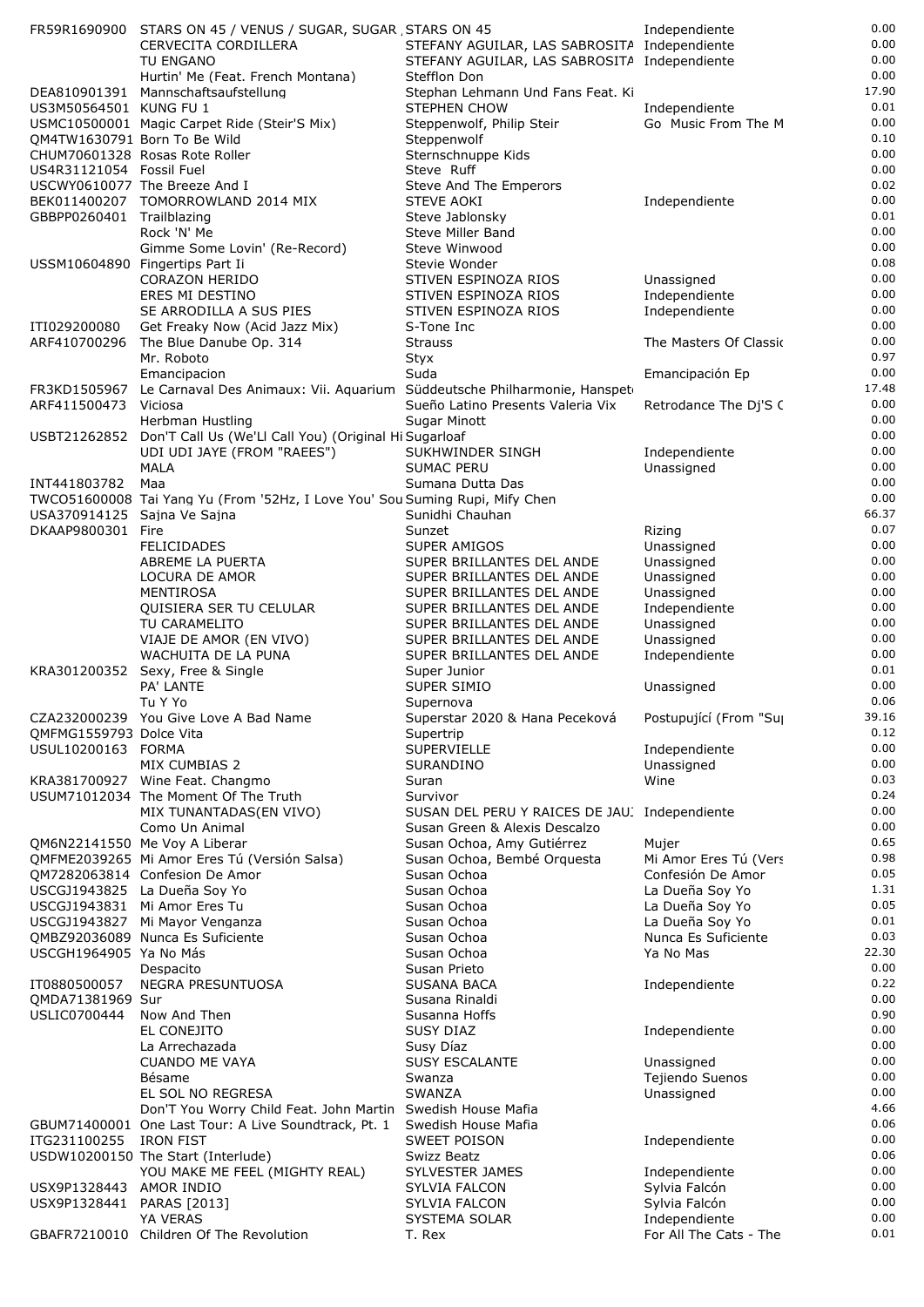|                              | FR59R1690900 STARS ON 45 / VENUS / SUGAR, SUGAR , STARS ON 45                         |                                                              | Independiente                        | 0.00         |
|------------------------------|---------------------------------------------------------------------------------------|--------------------------------------------------------------|--------------------------------------|--------------|
|                              | <b>CERVECITA CORDILLERA</b>                                                           | STEFANY AGUILAR, LAS SABROSITA Independiente                 |                                      | 0.00         |
|                              | TU ENGANO<br>Hurtin' Me (Feat. French Montana)                                        | STEFANY AGUILAR, LAS SABROSITA Independiente<br>Stefflon Don |                                      | 0.00<br>0.00 |
|                              | DEA810901391 Mannschaftsaufstellung                                                   | Stephan Lehmann Und Fans Feat. Ki                            |                                      | 17.90        |
| US3M50564501 KUNG FU 1       |                                                                                       | <b>STEPHEN CHOW</b>                                          | Independiente                        | 0.01         |
|                              | USMC10500001 Magic Carpet Ride (Steir'S Mix)                                          | Steppenwolf, Philip Steir                                    | Go Music From The M                  | 0.00         |
| QM4TW1630791 Born To Be Wild |                                                                                       | Steppenwolf                                                  |                                      | 0.10         |
| US4R31121054 Fossil Fuel     | CHUM70601328 Rosas Rote Roller                                                        | Sternschnuppe Kids<br>Steve Ruff                             |                                      | 0.00<br>0.00 |
|                              | USCWY0610077 The Breeze And I                                                         | Steve And The Emperors                                       |                                      | 0.02         |
|                              | BEK011400207 TOMORROWLAND 2014 MIX                                                    | <b>STEVE AOKI</b>                                            | Independiente                        | 0.00         |
| GBBPP0260401 Trailblazing    |                                                                                       | Steve Jablonsky                                              |                                      | 0.01         |
|                              | Rock 'N' Me                                                                           | Steve Miller Band                                            |                                      | 0.00         |
|                              | Gimme Some Lovin' (Re-Record)                                                         | Steve Winwood                                                |                                      | 0.00<br>0.08 |
|                              | USSM10604890 Fingertips Part Ii<br><b>CORAZON HERIDO</b>                              | Stevie Wonder<br>STIVEN ESPINOZA RIOS                        | Unassigned                           | 0.00         |
|                              | ERES MI DESTINO                                                                       | STIVEN ESPINOZA RIOS                                         | Independiente                        | 0.00         |
|                              | SE ARRODILLA A SUS PIES                                                               | STIVEN ESPINOZA RIOS                                         | Independiente                        | 0.00         |
| ITI029200080                 | Get Freaky Now (Acid Jazz Mix)                                                        | S-Tone Inc                                                   |                                      | 0.00         |
| ARF410700296                 | The Blue Danube Op. 314                                                               | <b>Strauss</b>                                               | The Masters Of Classic               | 0.00         |
|                              | Mr. Roboto<br>Emancipacion                                                            | Styx<br>Suda                                                 | Emancipación Ep                      | 0.97<br>0.00 |
|                              | FR3KD1505967 Le Carnaval Des Animaux: Vii. Aquarium Süddeutsche Philharmonie, Hanspet |                                                              |                                      | 17.48        |
| ARF411500473                 | Viciosa                                                                               | Sueño Latino Presents Valeria Vix                            | Retrodance The Dj'S (                | 0.00         |
|                              | Herbman Hustling                                                                      | <b>Sugar Minott</b>                                          |                                      | 0.00         |
|                              | USBT21262852 Don'T Call Us (We'Ll Call You) (Original Hi Sugarloaf                    |                                                              |                                      | 0.00         |
|                              | UDI UDI JAYE (FROM "RAEES")                                                           | SUKHWINDER SINGH<br><b>SUMAC PERU</b>                        | Independiente                        | 0.00<br>0.00 |
| INT441803782                 | <b>MALA</b><br>Maa                                                                    | Sumana Dutta Das                                             | Unassigned                           | 0.00         |
|                              | TWCO51600008 Tai Yang Yu (From '52Hz, I Love You' Sou Suming Rupi, Mify Chen          |                                                              |                                      | 0.00         |
| USA370914125 Sajna Ve Sajna  |                                                                                       | Sunidhi Chauhan                                              |                                      | 66.37        |
| DKAAP9800301 Fire            |                                                                                       | Sunzet                                                       | Rizing                               | 0.07         |
|                              | <b>FELICIDADES</b>                                                                    | SUPER AMIGOS                                                 | Unassigned                           | 0.00         |
|                              | ABREME LA PUERTA<br>LOCURA DE AMOR                                                    | SUPER BRILLANTES DEL ANDE<br>SUPER BRILLANTES DEL ANDE       | Unassigned<br>Unassigned             | 0.00<br>0.00 |
|                              | MENTIROSA                                                                             | SUPER BRILLANTES DEL ANDE                                    | Unassigned                           | 0.00         |
|                              | QUISIERA SER TU CELULAR                                                               | SUPER BRILLANTES DEL ANDE                                    | Independiente                        | 0.00         |
|                              | TU CARAMELITO                                                                         | SUPER BRILLANTES DEL ANDE                                    | Unassigned                           | 0.00         |
|                              | VIAJE DE AMOR (EN VIVO)                                                               | SUPER BRILLANTES DEL ANDE                                    | Unassigned                           | 0.00         |
|                              | WACHUITA DE LA PUNA                                                                   | SUPER BRILLANTES DEL ANDE                                    | Independiente                        | 0.00<br>0.01 |
|                              | KRA301200352 Sexy, Free & Single<br>PA' LANTE                                         | Super Junior<br>SUPER SIMIO                                  | Unassigned                           | 0.00         |
|                              | Tu Y Yo                                                                               | Supernova                                                    |                                      | 0.06         |
|                              | CZA232000239 You Give Love A Bad Name                                                 | Superstar 2020 & Hana Peceková                               | Postupující (From "Su                | 39.16        |
| QMFMG1559793 Dolce Vita      |                                                                                       | Supertrip                                                    |                                      | 0.12         |
| USUL10200163 FORMA           |                                                                                       | <b>SUPERVIELLE</b>                                           | Independiente                        | 0.00<br>0.00 |
|                              | MIX CUMBIAS 2<br>KRA381700927 Wine Feat. Changmo                                      | SURANDINO<br>Suran                                           | Unassigned<br>Wine                   | 0.03         |
|                              | USUM71012034 The Moment Of The Truth                                                  | Survivor                                                     |                                      | 0.24         |
|                              | MIX TUNANTADAS(EN VIVO)                                                               | SUSAN DEL PERU Y RAICES DE JAU. Independiente                |                                      | 0.00         |
|                              | Como Un Animal                                                                        | Susan Green & Alexis Descalzo                                |                                      | 0.00         |
|                              | QM6N22141550 Me Voy A Liberar                                                         | Susan Ochoa, Amy Gutiérrez                                   | Mujer                                | 0.65         |
|                              | QMFME2039265 Mi Amor Eres Tú (Versión Salsa)                                          | Susan Ochoa, Bembé Orquesta<br>Susan Ochoa                   | Mi Amor Eres Tú (Vers                | 0.98<br>0.05 |
|                              | QM7282063814 Confesion De Amor<br>USCGJ1943825 La Dueña Soy Yo                        | Susan Ochoa                                                  | Confesión De Amor<br>La Dueña Soy Yo | 1.31         |
|                              | USCGJ1943831 Mi Amor Eres Tu                                                          | Susan Ochoa                                                  | La Dueña Soy Yo                      | 0.05         |
|                              | USCGJ1943827 Mi Mayor Venganza                                                        | Susan Ochoa                                                  | La Dueña Soy Yo                      | 0.01         |
|                              | QMBZ92036089 Nunca Es Suficiente                                                      | Susan Ochoa                                                  | Nunca Es Suficiente                  | 0.03         |
| USCGH1964905 Ya No Más       |                                                                                       | Susan Ochoa                                                  | Ya No Mas                            | 22.30        |
| IT0880500057                 | Despacito<br>NEGRA PRESUNTUOSA                                                        | Susan Prieto<br>SUSANA BACA                                  | Independiente                        | 0.00<br>0.22 |
| OMDA71381969 Sur             |                                                                                       | Susana Rinaldi                                               |                                      | 0.00         |
| USLIC0700444                 | Now And Then                                                                          | Susanna Hoffs                                                |                                      | 0.90         |
|                              | EL CONEJITO                                                                           | SUSY DIAZ                                                    | Independiente                        | 0.00         |
|                              | La Arrechazada                                                                        | Susy Díaz                                                    |                                      | 0.00         |
|                              | <b>CUANDO ME VAYA</b>                                                                 | <b>SUSY ESCALANTE</b>                                        | Unassigned                           | 0.00<br>0.00 |
|                              | Bésame<br>EL SOL NO REGRESA                                                           | Swanza<br><b>SWANZA</b>                                      | Tejiendo Suenos<br>Unassigned        | 0.00         |
|                              | Don'T You Worry Child Feat. John Martin Swedish House Mafia                           |                                                              |                                      | 4.66         |
|                              | GBUM71400001 One Last Tour: A Live Soundtrack, Pt. 1                                  | Swedish House Mafia                                          |                                      | 0.06         |
| ITG231100255 IRON FIST       |                                                                                       | SWEET POISON                                                 | Independiente                        | 0.00         |
|                              | USDW10200150 The Start (Interlude)                                                    | Swizz Beatz                                                  |                                      | 0.06         |
| USX9P1328443 AMOR INDIO      | YOU MAKE ME FEEL (MIGHTY REAL)                                                        | SYLVESTER JAMES<br>SYLVIA FALCON                             | Independiente<br>Sylvia Falcón       | 0.00<br>0.00 |
| USX9P1328441 PARAS [2013]    |                                                                                       | SYLVIA FALCON                                                | Sylvia Falcón                        | 0.00         |
|                              | YA VERAS                                                                              | SYSTEMA SOLAR                                                | Independiente                        | 0.00         |
|                              | GBAFR7210010 Children Of The Revolution                                               | T. Rex                                                       | For All The Cats - The               | 0.01         |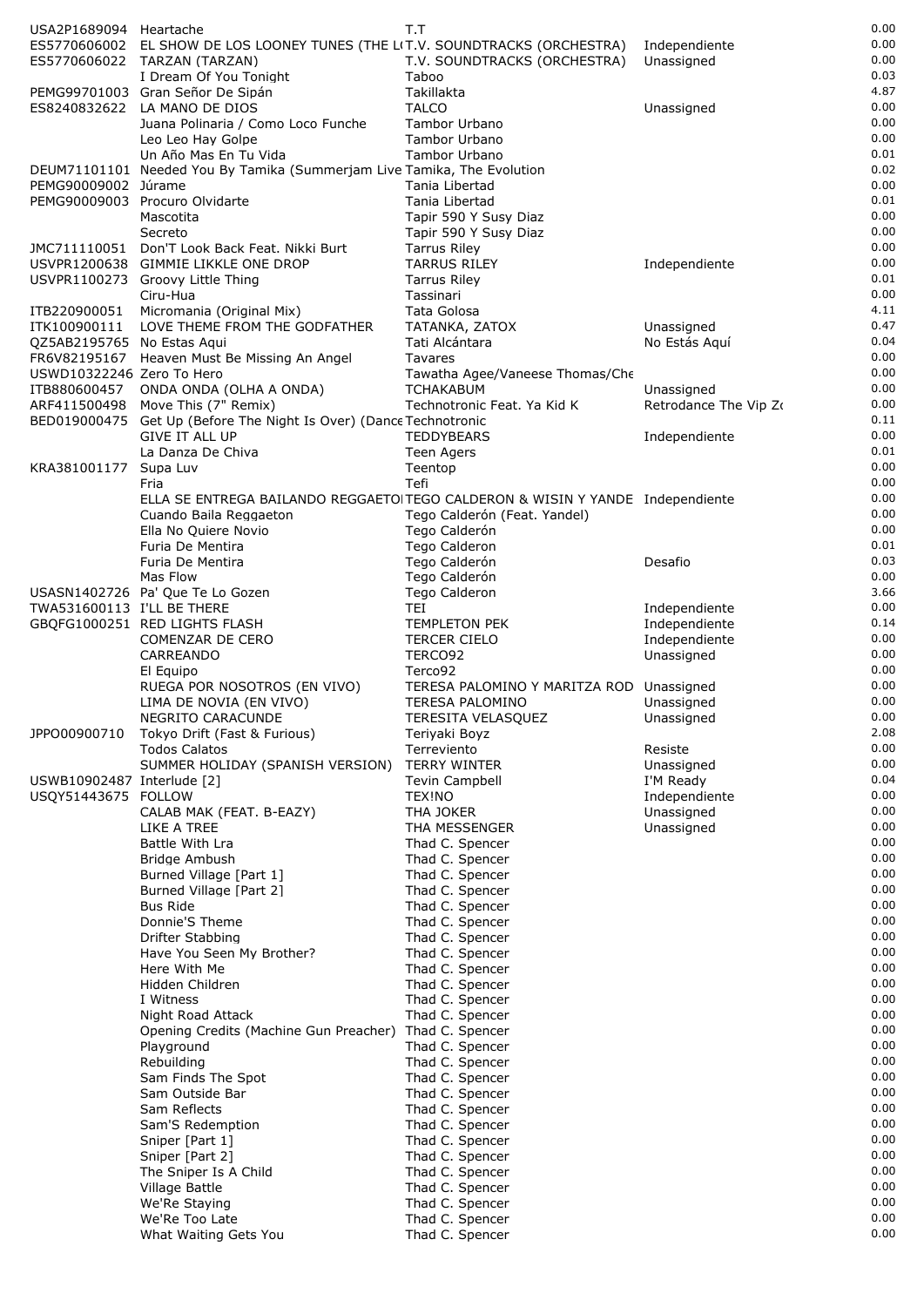| USA2P1689094 Heartache     |                                                                               | T.T                                                                |                             | 0.00         |
|----------------------------|-------------------------------------------------------------------------------|--------------------------------------------------------------------|-----------------------------|--------------|
|                            | ES5770606002 EL SHOW DE LOS LOONEY TUNES (THE LIT.V. SOUNDTRACKS (ORCHESTRA)  |                                                                    | Independiente               | 0.00         |
|                            | ES5770606022 TARZAN (TARZAN)                                                  | T.V. SOUNDTRACKS (ORCHESTRA)                                       | Unassigned                  | 0.00<br>0.03 |
|                            | I Dream Of You Tonight<br>PEMG99701003 Gran Señor De Sipán                    | Taboo<br>Takillakta                                                |                             | 4.87         |
| ES8240832622               | LA MANO DE DIOS                                                               | <b>TALCO</b>                                                       | Unassigned                  | 0.00         |
|                            | Juana Polinaria / Como Loco Funche                                            | Tambor Urbano                                                      |                             | 0.00         |
|                            | Leo Leo Hay Golpe                                                             | Tambor Urbano                                                      |                             | 0.00         |
|                            | Un Año Mas En Tu Vida                                                         | Tambor Urbano                                                      |                             | 0.01         |
|                            | DEUM71101101 Needed You By Tamika (Summerjam Live Tamika, The Evolution       |                                                                    |                             | 0.02         |
| PEMG90009002 Júrame        | PEMG90009003 Procuro Olvidarte                                                | Tania Libertad<br>Tania Libertad                                   |                             | 0.00<br>0.01 |
|                            | Mascotita                                                                     | Tapir 590 Y Susy Diaz                                              |                             | 0.00         |
|                            | Secreto                                                                       | Tapir 590 Y Susy Diaz                                              |                             | 0.00         |
|                            | JMC711110051 Don'T Look Back Feat. Nikki Burt                                 | <b>Tarrus Riley</b>                                                |                             | 0.00         |
|                            | USVPR1200638 GIMMIE LIKKLE ONE DROP                                           | <b>TARRUS RILEY</b>                                                | Independiente               | 0.00         |
|                            | USVPR1100273 Groovy Little Thing                                              | <b>Tarrus Riley</b>                                                |                             | 0.01         |
|                            | Ciru-Hua                                                                      | Tassinari                                                          |                             | 0.00         |
| ITB220900051               | Micromania (Original Mix)                                                     | Tata Golosa                                                        |                             | 4.11<br>0.47 |
| QZ5AB2195765 No Estas Agui | ITK100900111 LOVE THEME FROM THE GODFATHER                                    | TATANKA, ZATOX<br>Tati Alcántara                                   | Unassigned<br>No Estás Aquí | 0.04         |
|                            | FR6V82195167 Heaven Must Be Missing An Angel                                  | Tavares                                                            |                             | 0.00         |
| USWD10322246 Zero To Hero  |                                                                               | Tawatha Agee/Vaneese Thomas/Che                                    |                             | 0.00         |
|                            | ITB880600457 ONDA ONDA (OLHA A ONDA)                                          | <b>TCHAKABUM</b>                                                   | Unassigned                  | 0.00         |
|                            | ARF411500498 Move This (7" Remix)                                             | Technotronic Feat. Ya Kid K                                        | Retrodance The Vip Zo       | 0.00         |
|                            | BED019000475 Get Up (Before The Night Is Over) (Dance Technotronic            |                                                                    |                             | 0.11         |
|                            | <b>GIVE IT ALL UP</b>                                                         | <b>TEDDYBEARS</b>                                                  | Independiente               | 0.00<br>0.01 |
| KRA381001177               | La Danza De Chiva<br>Supa Luv                                                 | Teen Agers<br>Teentop                                              |                             | 0.00         |
|                            | Fria                                                                          | Tefi                                                               |                             | 0.00         |
|                            | ELLA SE ENTREGA BAILANDO REGGAETOITEGO CALDERON & WISIN Y YANDE Independiente |                                                                    |                             | 0.00         |
|                            | Cuando Baila Reggaeton                                                        | Tego Calderón (Feat. Yandel)                                       |                             | 0.00         |
|                            | Ella No Quiere Novio                                                          | Tego Calderón                                                      |                             | 0.00         |
|                            | Furia De Mentira                                                              | Tego Calderon                                                      |                             | 0.01         |
|                            | Furia De Mentira                                                              | Tego Calderón                                                      | Desafio                     | 0.03<br>0.00 |
|                            | Mas Flow<br>USASN1402726 Pa' Que Te Lo Gozen                                  | Tego Calderón<br>Tego Calderon                                     |                             | 3.66         |
| TWA531600113 I'LL BE THERE |                                                                               | TEI                                                                | Independiente               | 0.00         |
|                            | GBQFG1000251 RED LIGHTS FLASH                                                 | <b>TEMPLETON PEK</b>                                               | Independiente               | 0.14         |
|                            | COMENZAR DE CERO                                                              | <b>TERCER CIELO</b>                                                | Independiente               | 0.00         |
|                            | CARREANDO                                                                     | TERCO92                                                            | Unassigned                  | 0.00         |
|                            | El Equipo                                                                     | Terco92                                                            |                             | 0.00         |
|                            | RUEGA POR NOSOTROS (EN VIVO)<br>LIMA DE NOVIA (EN VIVO)                       | TERESA PALOMINO Y MARITZA ROD Unassigned<br><b>TERESA PALOMINO</b> | Unassigned                  | 0.00<br>0.00 |
|                            | NEGRITO CARACUNDE                                                             | TERESITA VELASQUEZ                                                 | Unassigned                  | 0.00         |
| JPPO00900710               | Tokyo Drift (Fast & Furious)                                                  | Teriyaki Boyz                                                      |                             | 2.08         |
|                            | <b>Todos Calatos</b>                                                          | Terreviento                                                        | Resiste                     | 0.00         |
|                            | SUMMER HOLIDAY (SPANISH VERSION)                                              | <b>TERRY WINTER</b>                                                | Unassigned                  | 0.00         |
| USWB10902487 Interlude [2] |                                                                               | <b>Tevin Campbell</b>                                              | I'M Ready                   | 0.04         |
| USQY51443675 FOLLOW        |                                                                               | TEX!NO                                                             | Independiente               | 0.00         |
|                            | CALAB MAK (FEAT. B-EAZY)<br>LIKE A TREE                                       | THA JOKER<br>THA MESSENGER                                         | Unassigned<br>Unassigned    | 0.00<br>0.00 |
|                            | Battle With Lra                                                               | Thad C. Spencer                                                    |                             | 0.00         |
|                            | Bridge Ambush                                                                 | Thad C. Spencer                                                    |                             | 0.00         |
|                            | Burned Village [Part 1]                                                       | Thad C. Spencer                                                    |                             | 0.00         |
|                            | Burned Village [Part 2]                                                       | Thad C. Spencer                                                    |                             | 0.00         |
|                            | <b>Bus Ride</b>                                                               | Thad C. Spencer                                                    |                             | 0.00         |
|                            | Donnie'S Theme                                                                | Thad C. Spencer                                                    |                             | 0.00         |
|                            | Drifter Stabbing<br>Have You Seen My Brother?                                 | Thad C. Spencer<br>Thad C. Spencer                                 |                             | 0.00<br>0.00 |
|                            | Here With Me                                                                  | Thad C. Spencer                                                    |                             | 0.00         |
|                            | Hidden Children                                                               | Thad C. Spencer                                                    |                             | 0.00         |
|                            | I Witness                                                                     | Thad C. Spencer                                                    |                             | 0.00         |
|                            | Night Road Attack                                                             | Thad C. Spencer                                                    |                             | 0.00         |
|                            | Opening Credits (Machine Gun Preacher)                                        | Thad C. Spencer                                                    |                             | 0.00         |
|                            | Playground<br>Rebuilding                                                      | Thad C. Spencer                                                    |                             | 0.00<br>0.00 |
|                            | Sam Finds The Spot                                                            | Thad C. Spencer<br>Thad C. Spencer                                 |                             | 0.00         |
|                            | Sam Outside Bar                                                               | Thad C. Spencer                                                    |                             | 0.00         |
|                            | Sam Reflects                                                                  | Thad C. Spencer                                                    |                             | 0.00         |
|                            | Sam'S Redemption                                                              | Thad C. Spencer                                                    |                             | 0.00         |
|                            | Sniper [Part 1]                                                               | Thad C. Spencer                                                    |                             | 0.00         |
|                            | Sniper [Part 2]                                                               | Thad C. Spencer                                                    |                             | 0.00         |
|                            | The Sniper Is A Child<br>Village Battle                                       | Thad C. Spencer                                                    |                             | 0.00<br>0.00 |
|                            | We'Re Staying                                                                 | Thad C. Spencer<br>Thad C. Spencer                                 |                             | 0.00         |
|                            | We'Re Too Late                                                                | Thad C. Spencer                                                    |                             | 0.00         |
|                            | What Waiting Gets You                                                         | Thad C. Spencer                                                    |                             | 0.00         |
|                            |                                                                               |                                                                    |                             |              |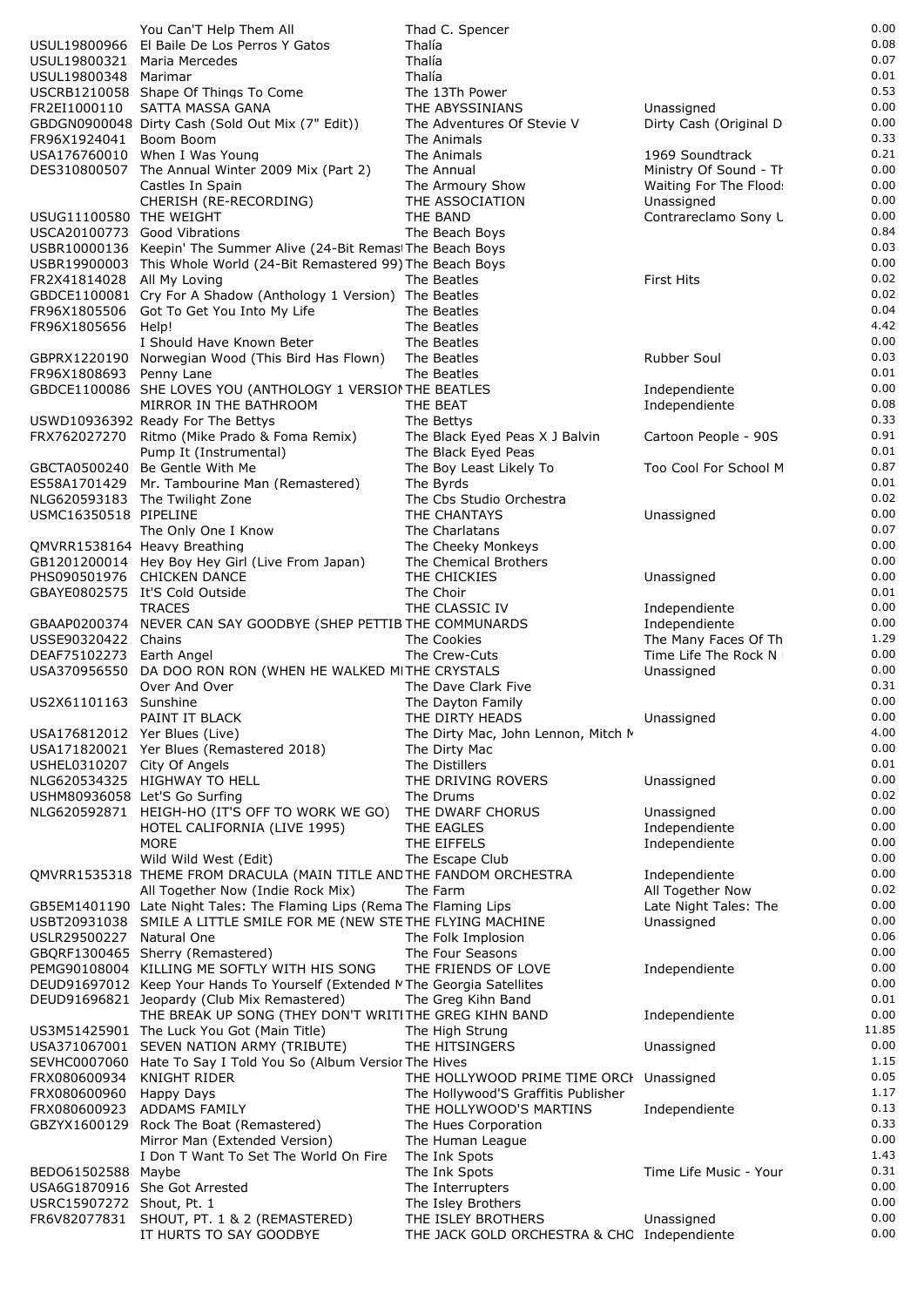|                                                         | You Can'T Help Them All                                                                                                                       | Thad C. Spencer                             |                                              | 0.00          |
|---------------------------------------------------------|-----------------------------------------------------------------------------------------------------------------------------------------------|---------------------------------------------|----------------------------------------------|---------------|
|                                                         | USUL19800966 El Baile De Los Perros Y Gatos                                                                                                   | Thalía                                      |                                              | 0.08          |
| USUL19800321                                            | Maria Mercedes                                                                                                                                | Thalía                                      |                                              | 0.07<br>0.01  |
| USUL19800348 Marimar                                    | USCRB1210058 Shape Of Things To Come                                                                                                          | Thalía<br>The 13Th Power                    |                                              | 0.53          |
| FR2EI1000110                                            | SATTA MASSA GANA                                                                                                                              | THE ABYSSINIANS                             | Unassigned                                   | 0.00          |
|                                                         | GBDGN0900048 Dirty Cash (Sold Out Mix (7" Edit))                                                                                              | The Adventures Of Stevie V                  | Dirty Cash (Original D                       | 0.00          |
| FR96X1924041 Boom Boom                                  |                                                                                                                                               | The Animals                                 |                                              | 0.33          |
|                                                         | USA176760010 When I Was Young                                                                                                                 | The Animals                                 | 1969 Soundtrack                              | 0.21          |
|                                                         | DES310800507 The Annual Winter 2009 Mix (Part 2)                                                                                              | The Annual                                  | Ministry Of Sound - Th                       | 0.00          |
|                                                         | Castles In Spain                                                                                                                              | The Armoury Show                            | Waiting For The Flood:                       | 0.00          |
|                                                         | CHERISH (RE-RECORDING)                                                                                                                        | THE ASSOCIATION                             | Unassigned                                   | 0.00          |
| USUG11100580 THE WEIGHT<br>USCA20100773 Good Vibrations |                                                                                                                                               | THE BAND<br>The Beach Boys                  | Contrareclamo Sony L                         | 0.00<br>0.84  |
|                                                         | USBR10000136 Keepin' The Summer Alive (24-Bit Remast The Beach Boys                                                                           |                                             |                                              | 0.03          |
|                                                         | USBR19900003 This Whole World (24-Bit Remastered 99) The Beach Boys                                                                           |                                             |                                              | 0.00          |
| FR2X41814028 All My Loving                              |                                                                                                                                               | The Beatles                                 | <b>First Hits</b>                            | 0.02          |
|                                                         | GBDCE1100081 Cry For A Shadow (Anthology 1 Version) The Beatles                                                                               |                                             |                                              | 0.02          |
|                                                         | FR96X1805506 Got To Get You Into My Life                                                                                                      | The Beatles                                 |                                              | 0.04          |
| FR96X1805656 Help!                                      |                                                                                                                                               | The Beatles                                 |                                              | 4.42          |
|                                                         | I Should Have Known Beter                                                                                                                     | The Beatles                                 |                                              | 0.00<br>0.03  |
| FR96X1808693 Penny Lane                                 | GBPRX1220190 Norwegian Wood (This Bird Has Flown)                                                                                             | The Beatles<br>The Beatles                  | <b>Rubber Soul</b>                           | 0.01          |
|                                                         | GBDCE1100086 SHE LOVES YOU (ANTHOLOGY 1 VERSION THE BEATLES                                                                                   |                                             | Independiente                                | 0.00          |
|                                                         | MIRROR IN THE BATHROOM                                                                                                                        | THE BEAT                                    | Independiente                                | 0.08          |
|                                                         | USWD10936392 Ready For The Bettys                                                                                                             | The Bettys                                  |                                              | 0.33          |
|                                                         | FRX762027270 Ritmo (Mike Prado & Foma Remix)                                                                                                  | The Black Eyed Peas X J Balvin              | Cartoon People - 90S                         | 0.91          |
|                                                         | Pump It (Instrumental)                                                                                                                        | The Black Eyed Peas                         |                                              | 0.01          |
|                                                         | GBCTA0500240 Be Gentle With Me                                                                                                                | The Boy Least Likely To                     | Too Cool For School M                        | 0.87          |
|                                                         | ES58A1701429 Mr. Tambourine Man (Remastered)                                                                                                  | The Byrds                                   |                                              | 0.01          |
| USMC16350518 PIPELINE                                   | NLG620593183 The Twilight Zone                                                                                                                | The Cbs Studio Orchestra<br>THE CHANTAYS    |                                              | 0.02<br>0.00  |
|                                                         | The Only One I Know                                                                                                                           | The Charlatans                              | Unassigned                                   | 0.07          |
|                                                         | QMVRR1538164 Heavy Breathing                                                                                                                  | The Cheeky Monkeys                          |                                              | 0.00          |
|                                                         | GB1201200014 Hey Boy Hey Girl (Live From Japan)                                                                                               | The Chemical Brothers                       |                                              | 0.00          |
|                                                         | PHS090501976 CHICKEN DANCE                                                                                                                    | THE CHICKIES                                | Unassigned                                   | 0.00          |
|                                                         | GBAYE0802575 It'S Cold Outside                                                                                                                | The Choir                                   |                                              | 0.01          |
|                                                         | <b>TRACES</b>                                                                                                                                 | THE CLASSIC IV                              | Independiente                                | 0.00          |
|                                                         | GBAAP0200374 NEVER CAN SAY GOODBYE (SHEP PETTIB THE COMMUNARDS                                                                                |                                             | Independiente                                | 0.00          |
| USSE90320422 Chains<br>DEAF75102273                     | Earth Angel                                                                                                                                   | The Cookies<br>The Crew-Cuts                | The Many Faces Of Th<br>Time Life The Rock N | 1.29<br>0.00  |
|                                                         | USA370956550 DA DOO RON RON (WHEN HE WALKED MITHE CRYSTALS                                                                                    |                                             | Unassigned                                   | 0.00          |
|                                                         | Over And Over                                                                                                                                 | The Dave Clark Five                         |                                              | 0.31          |
| US2X61101163 Sunshine                                   |                                                                                                                                               | The Dayton Family                           |                                              | 0.00          |
|                                                         | PAINT IT BLACK                                                                                                                                | THE DIRTY HEADS                             | Unassigned                                   | 0.00          |
| USA176812012 Yer Blues (Live)                           |                                                                                                                                               | The Dirty Mac, John Lennon, Mitch M         |                                              | 4.00          |
|                                                         | USA171820021 Yer Blues (Remastered 2018)                                                                                                      | The Dirty Mac                               |                                              | 0.00          |
| USHEL0310207 City Of Angels                             |                                                                                                                                               | The Distillers                              |                                              | 0.01<br>0.00  |
| USHM80936058 Let'S Go Surfing                           | NLG620534325 HIGHWAY TO HELL                                                                                                                  | THE DRIVING ROVERS<br>The Drums             | Unassigned                                   | 0.02          |
|                                                         | NLG620592871 HEIGH-HO (IT'S OFF TO WORK WE GO)                                                                                                | THE DWARF CHORUS                            | Unassigned                                   | 0.00          |
|                                                         | HOTEL CALIFORNIA (LIVE 1995)                                                                                                                  | THE EAGLES                                  | Independiente                                | 0.00          |
|                                                         | <b>MORE</b>                                                                                                                                   | THE EIFFELS                                 | Independiente                                | 0.00          |
|                                                         | Wild Wild West (Edit)                                                                                                                         | The Escape Club                             |                                              | 0.00          |
|                                                         | QMVRR1535318 THEME FROM DRACULA (MAIN TITLE AND THE FANDOM ORCHESTRA                                                                          |                                             | Independiente                                | 0.00          |
|                                                         | All Together Now (Indie Rock Mix)                                                                                                             | The Farm                                    | All Together Now                             | 0.02<br>0.00  |
|                                                         | GB5EM1401190 Late Night Tales: The Flaming Lips (Rema The Flaming Lips<br>USBT20931038 SMILE A LITTLE SMILE FOR ME (NEW STETHE FLYING MACHINE |                                             | Late Night Tales: The<br>Unassigned          | 0.00          |
| USLR29500227 Natural One                                |                                                                                                                                               | The Folk Implosion                          |                                              | 0.06          |
|                                                         | GBQRF1300465 Sherry (Remastered)                                                                                                              | The Four Seasons                            |                                              | 0.00          |
|                                                         | PEMG90108004 KILLING ME SOFTLY WITH HIS SONG                                                                                                  | THE FRIENDS OF LOVE                         | Independiente                                | 0.00          |
|                                                         | DEUD91697012 Keep Your Hands To Yourself (Extended MThe Georgia Satellites                                                                    |                                             |                                              | 0.00          |
|                                                         | DEUD91696821 Jeopardy (Club Mix Remastered)                                                                                                   | The Greg Kihn Band                          |                                              | 0.01          |
|                                                         | THE BREAK UP SONG (THEY DON'T WRITITHE GREG KIHN BAND                                                                                         |                                             | Independiente                                | 0.00          |
|                                                         | US3M51425901 The Luck You Got (Main Title)                                                                                                    | The High Strung<br>THE HITSINGERS           |                                              | 11.85<br>0.00 |
|                                                         | USA371067001 SEVEN NATION ARMY (TRIBUTE)<br>SEVHC0007060 Hate To Say I Told You So (Album Versior The Hives                                   |                                             | Unassigned                                   | 1.15          |
| FRX080600934                                            | <b>KNIGHT RIDER</b>                                                                                                                           | THE HOLLYWOOD PRIME TIME ORCH Unassigned    |                                              | 0.05          |
| FRX080600960                                            | Happy Days                                                                                                                                    | The Hollywood'S Graffitis Publisher         |                                              | 1.17          |
| FRX080600923                                            | <b>ADDAMS FAMILY</b>                                                                                                                          | THE HOLLYWOOD'S MARTINS                     | Independiente                                | 0.13          |
| GBZYX1600129                                            | Rock The Boat (Remastered)                                                                                                                    | The Hues Corporation                        |                                              | 0.33          |
|                                                         | Mirror Man (Extended Version)                                                                                                                 | The Human League                            |                                              | 0.00          |
|                                                         | I Don T Want To Set The World On Fire                                                                                                         | The Ink Spots                               |                                              | 1.43          |
| BED061502588 Maybe                                      | USA6G1870916 She Got Arrested                                                                                                                 | The Ink Spots<br>The Interrupters           | Time Life Music - Your                       | 0.31<br>0.00  |
| USRC15907272 Shout, Pt. 1                               |                                                                                                                                               | The Isley Brothers                          |                                              | 0.00          |
| FR6V82077831                                            | SHOUT, PT. 1 & 2 (REMASTERED)                                                                                                                 | THE ISLEY BROTHERS                          | Unassigned                                   | 0.00          |
|                                                         | IT HURTS TO SAY GOODBYE                                                                                                                       | THE JACK GOLD ORCHESTRA & CHC Independiente |                                              | 0.00          |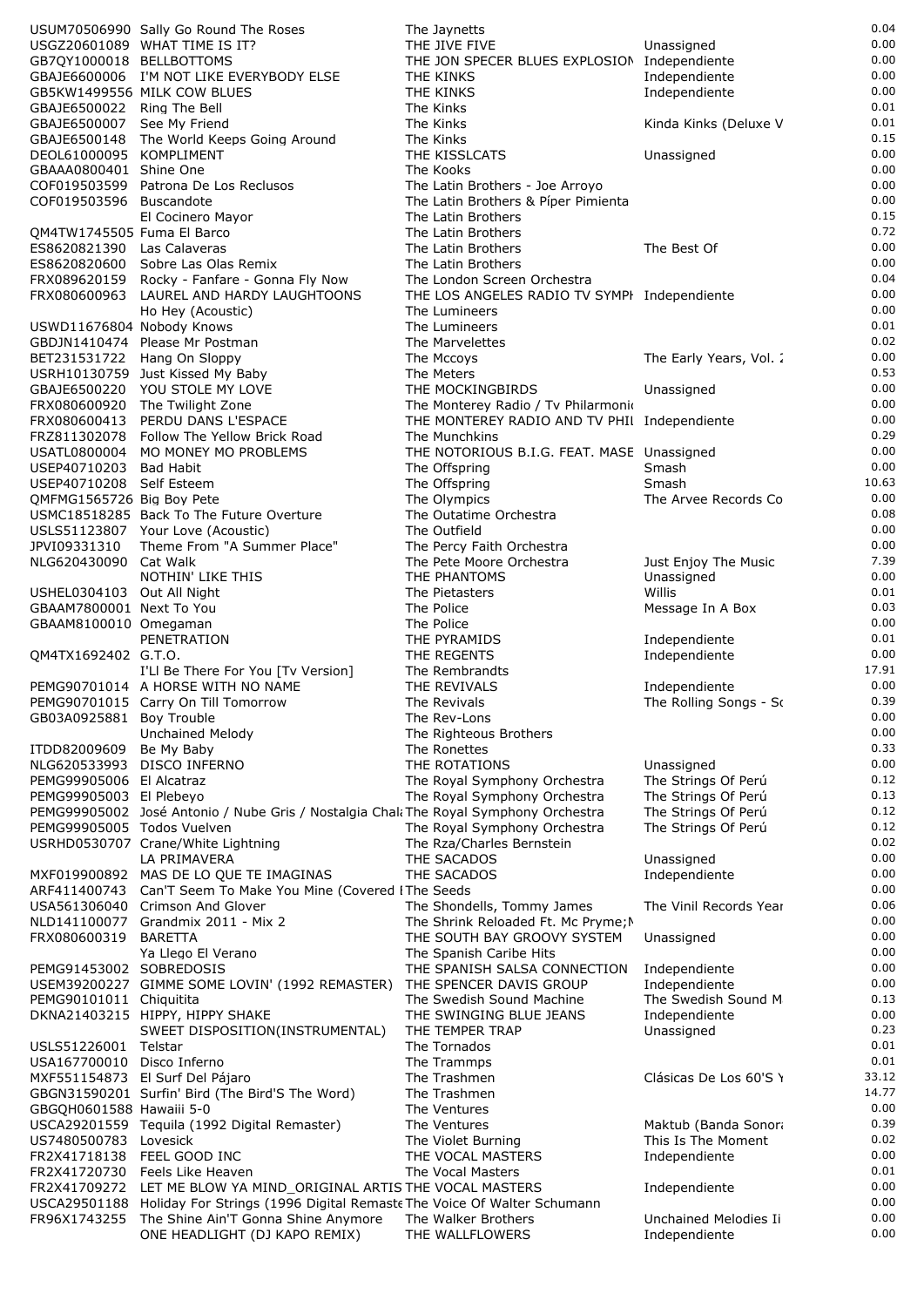|                                                    | USUM70506990 Sally Go Round The Roses                                                                                                       | The Jaynetts                                                                        |                         | 0.04         |
|----------------------------------------------------|---------------------------------------------------------------------------------------------------------------------------------------------|-------------------------------------------------------------------------------------|-------------------------|--------------|
|                                                    | USGZ20601089 WHAT TIME IS IT?                                                                                                               | THE JIVE FIVE                                                                       | Unassigned              | 0.00         |
| GB7QY1000018 BELLBOTTOMS                           |                                                                                                                                             | THE JON SPECER BLUES EXPLOSION Independiente                                        |                         | 0.00         |
|                                                    | GBAJE6600006 I'M NOT LIKE EVERYBODY ELSE                                                                                                    | THE KINKS                                                                           | Independiente           | 0.00<br>0.00 |
| GBAJE6500022 Ring The Bell                         | GB5KW1499556 MILK COW BLUES                                                                                                                 | THE KINKS<br>The Kinks                                                              | Independiente           | 0.01         |
| GBAJE6500007 See My Friend                         |                                                                                                                                             | The Kinks                                                                           | Kinda Kinks (Deluxe V   | 0.01         |
|                                                    | GBAJE6500148 The World Keeps Going Around                                                                                                   | The Kinks                                                                           |                         | 0.15         |
| DEOL61000095 KOMPLIMENT                            |                                                                                                                                             | THE KISSLCATS                                                                       | Unassigned              | 0.00         |
| GBAAA0800401 Shine One                             |                                                                                                                                             | The Kooks                                                                           |                         | 0.00         |
|                                                    | COF019503599 Patrona De Los Reclusos                                                                                                        | The Latin Brothers - Joe Arroyo                                                     |                         | 0.00         |
| COF019503596 Buscandote                            |                                                                                                                                             | The Latin Brothers & Píper Pimienta                                                 |                         | 0.00         |
|                                                    | El Cocinero Mayor                                                                                                                           | The Latin Brothers                                                                  |                         | 0.15         |
| QM4TW1745505 Fuma El Barco                         |                                                                                                                                             | The Latin Brothers                                                                  |                         | 0.72         |
| ES8620821390 Las Calaveras<br>ES8620820600         | Sobre Las Olas Remix                                                                                                                        | The Latin Brothers<br>The Latin Brothers                                            | The Best Of             | 0.00<br>0.00 |
| FRX089620159                                       | Rocky - Fanfare - Gonna Fly Now                                                                                                             | The London Screen Orchestra                                                         |                         | 0.04         |
| FRX080600963                                       | LAUREL AND HARDY LAUGHTOONS                                                                                                                 | THE LOS ANGELES RADIO TV SYMPI Independiente                                        |                         | 0.00         |
|                                                    | Ho Hey (Acoustic)                                                                                                                           | The Lumineers                                                                       |                         | 0.00         |
| USWD11676804 Nobody Knows                          |                                                                                                                                             | The Lumineers                                                                       |                         | 0.01         |
|                                                    | GBDJN1410474 Please Mr Postman                                                                                                              | The Marvelettes                                                                     |                         | 0.02         |
| BET231531722 Hang On Sloppy                        |                                                                                                                                             | The Mccoys                                                                          | The Early Years, Vol. 2 | 0.00         |
|                                                    | USRH10130759 Just Kissed My Baby                                                                                                            | The Meters                                                                          |                         | 0.53         |
|                                                    | GBAJE6500220 YOU STOLE MY LOVE                                                                                                              | THE MOCKINGBIRDS                                                                    | Unassigned              | 0.00<br>0.00 |
| FRX080600413                                       | FRX080600920 The Twilight Zone<br>PERDU DANS L'ESPACE                                                                                       | The Monterey Radio / Tv Philarmonio<br>THE MONTEREY RADIO AND TV PHII Independiente |                         | 0.00         |
|                                                    | FRZ811302078 Follow The Yellow Brick Road                                                                                                   | The Munchkins                                                                       |                         | 0.29         |
| USATL0800004                                       | MO MONEY MO PROBLEMS                                                                                                                        | THE NOTORIOUS B.I.G. FEAT. MASE Unassigned                                          |                         | 0.00         |
| USEP40710203 Bad Habit                             |                                                                                                                                             | The Offspring                                                                       | Smash                   | 0.00         |
| USEP40710208 Self Esteem                           |                                                                                                                                             | The Offspring                                                                       | Smash                   | 10.63        |
| QMFMG1565726 Big Boy Pete                          |                                                                                                                                             | The Olympics                                                                        | The Arvee Records Co    | 0.00         |
|                                                    | USMC18518285 Back To The Future Overture                                                                                                    | The Outatime Orchestra                                                              |                         | 0.08         |
|                                                    | USLS51123807 Your Love (Acoustic)                                                                                                           | The Outfield                                                                        |                         | 0.00         |
| JPVI09331310                                       | Theme From "A Summer Place"                                                                                                                 | The Percy Faith Orchestra                                                           |                         | 0.00         |
| NLG620430090 Cat Walk                              |                                                                                                                                             | The Pete Moore Orchestra                                                            | Just Enjoy The Music    | 7.39<br>0.00 |
| USHEL0304103 Out All Night                         | NOTHIN' LIKE THIS                                                                                                                           | THE PHANTOMS<br>The Pietasters                                                      | Unassigned<br>Willis    | 0.01         |
| GBAAM7800001 Next To You                           |                                                                                                                                             | The Police                                                                          | Message In A Box        | 0.03         |
| GBAAM8100010 Omegaman                              |                                                                                                                                             | The Police                                                                          |                         | 0.00         |
|                                                    | PENETRATION                                                                                                                                 | THE PYRAMIDS                                                                        | Independiente           | 0.01         |
| QM4TX1692402 G.T.O.                                |                                                                                                                                             | THE REGENTS                                                                         | Independiente           | 0.00         |
|                                                    | I'Ll Be There For You [Tv Version]                                                                                                          | The Rembrandts                                                                      |                         | 17.91        |
|                                                    | PEMG90701014 A HORSE WITH NO NAME                                                                                                           | THE REVIVALS                                                                        | Independiente           | 0.00         |
|                                                    | PEMG90701015 Carry On Till Tomorrow                                                                                                         | The Revivals                                                                        | The Rolling Songs - So  | 0.39         |
| GB03A0925881 Boy Trouble                           |                                                                                                                                             | The Rev-Lons                                                                        |                         | 0.00         |
| ITDD82009609                                       | Unchained Melody<br>Be My Baby                                                                                                              | The Righteous Brothers<br>The Ronettes                                              |                         | 0.00<br>0.33 |
| NLG620533993                                       | <b>DISCO INFERNO</b>                                                                                                                        | THE ROTATIONS                                                                       | Unassigned              | 0.00         |
| PEMG99905006 El Alcatraz                           |                                                                                                                                             | The Royal Symphony Orchestra                                                        | The Strings Of Perú     | 0.12         |
| PEMG99905003 El Plebeyo                            |                                                                                                                                             | The Royal Symphony Orchestra                                                        | The Strings Of Perú     | 0.13         |
|                                                    | PEMG99905002 José Antonio / Nube Gris / Nostalgia Chala The Royal Symphony Orchestra                                                        |                                                                                     | The Strings Of Perú     | 0.12         |
| PEMG99905005 Todos Vuelven                         |                                                                                                                                             | The Royal Symphony Orchestra                                                        | The Strings Of Perú     | 0.12         |
|                                                    | USRHD0530707 Crane/White Lightning                                                                                                          | The Rza/Charles Bernstein                                                           |                         | 0.02         |
|                                                    | LA PRIMAVERA                                                                                                                                | THE SACADOS                                                                         | Unassigned              | 0.00         |
|                                                    | MXF019900892 MAS DE LO QUE TE IMAGINAS                                                                                                      | THE SACADOS                                                                         | Independiente           | 0.00<br>0.00 |
| ARF411400743<br>USA561306040                       | Can'T Seem To Make You Mine (Covered I The Seeds<br>Crimson And Glover                                                                      | The Shondells, Tommy James                                                          | The Vinil Records Year  | 0.06         |
| NLD141100077                                       | Grandmix 2011 - Mix 2                                                                                                                       | The Shrink Reloaded Ft. Mc Pryme; N                                                 |                         | 0.00         |
| FRX080600319                                       | <b>BARETTA</b>                                                                                                                              | THE SOUTH BAY GROOVY SYSTEM                                                         | Unassigned              | 0.00         |
|                                                    | Ya Llego El Verano                                                                                                                          | The Spanish Caribe Hits                                                             |                         | 0.00         |
| PEMG91453002 SOBREDOSIS                            |                                                                                                                                             | THE SPANISH SALSA CONNECTION                                                        | Independiente           | 0.00         |
|                                                    | USEM39200227 GIMME SOME LOVIN' (1992 REMASTER)                                                                                              | THE SPENCER DAVIS GROUP                                                             | Independiente           | 0.00         |
| PEMG90101011 Chiquitita                            |                                                                                                                                             | The Swedish Sound Machine                                                           | The Swedish Sound M     | 0.13         |
|                                                    | DKNA21403215 HIPPY, HIPPY SHAKE                                                                                                             | THE SWINGING BLUE JEANS                                                             | Independiente           | 0.00         |
|                                                    | SWEET DISPOSITION(INSTRUMENTAL)                                                                                                             | THE TEMPER TRAP                                                                     | Unassigned              | 0.23<br>0.01 |
| USLS51226001 Telstar<br>USA167700010 Disco Inferno |                                                                                                                                             | The Tornados<br>The Trammps                                                         |                         | 0.01         |
|                                                    | MXF551154873 El Surf Del Pájaro                                                                                                             | The Trashmen                                                                        | Clásicas De Los 60'S \  | 33.12        |
|                                                    | GBGN31590201 Surfin' Bird (The Bird'S The Word)                                                                                             | The Trashmen                                                                        |                         | 14.77        |
| GBGQH0601588 Hawaiii 5-0                           |                                                                                                                                             | The Ventures                                                                        |                         | 0.00         |
|                                                    | USCA29201559 Tequila (1992 Digital Remaster)                                                                                                | The Ventures                                                                        | Maktub (Banda Sonora    | 0.39         |
| US7480500783 Lovesick                              |                                                                                                                                             | The Violet Burning                                                                  | This Is The Moment      | 0.02         |
| FR2X41718138                                       | FEEL GOOD INC                                                                                                                               | THE VOCAL MASTERS                                                                   | Independiente           | 0.00         |
|                                                    | FR2X41720730 Feels Like Heaven                                                                                                              | The Vocal Masters                                                                   |                         | 0.01         |
| FR2X41709272                                       | LET ME BLOW YA MIND ORIGINAL ARTIS THE VOCAL MASTERS<br>USCA29501188 Holiday For Strings (1996 Digital Remaste The Voice Of Walter Schumann |                                                                                     | Independiente           | 0.00<br>0.00 |
|                                                    | FR96X1743255 The Shine Ain'T Gonna Shine Anymore                                                                                            | The Walker Brothers                                                                 | Unchained Melodies Ii   | 0.00         |
|                                                    | ONE HEADLIGHT (DJ KAPO REMIX)                                                                                                               | THE WALLFLOWERS                                                                     | Independiente           | 0.00         |
|                                                    |                                                                                                                                             |                                                                                     |                         |              |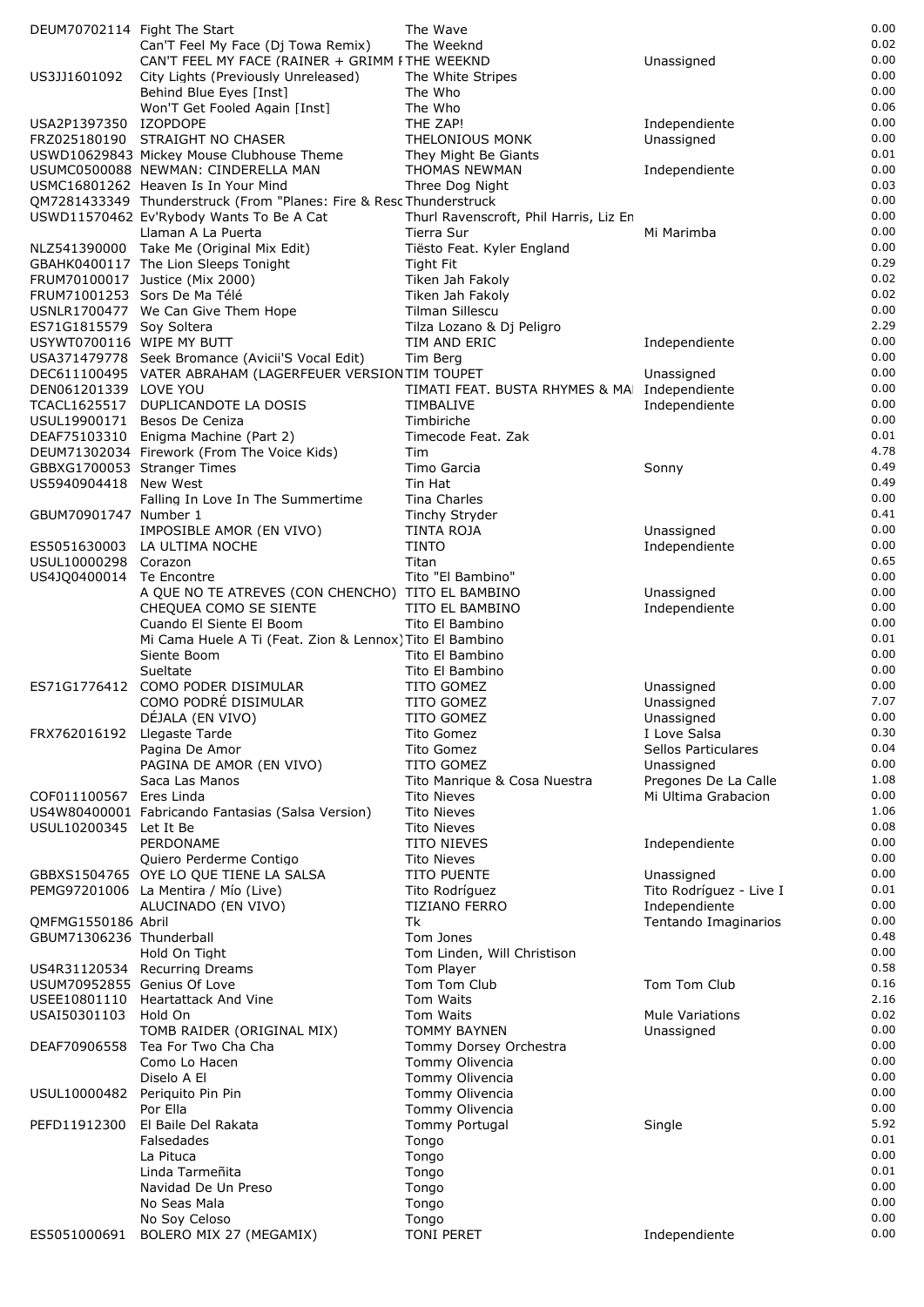| DEUM70702114 Fight The Start                          |                                                                                                                 | The Wave                                     |                                       | 0.00         |
|-------------------------------------------------------|-----------------------------------------------------------------------------------------------------------------|----------------------------------------------|---------------------------------------|--------------|
|                                                       | Can'T Feel My Face (Dj Towa Remix)                                                                              | The Weeknd                                   |                                       | 0.02         |
|                                                       | CAN'T FEEL MY FACE (RAINER + GRIMM FTHE WEEKND                                                                  |                                              | Unassigned                            | 0.00<br>0.00 |
| US3JJ1601092                                          | City Lights (Previously Unreleased)<br>Behind Blue Eyes [Inst]                                                  | The White Stripes<br>The Who                 |                                       | 0.00         |
|                                                       | Won'T Get Fooled Again [Inst]                                                                                   | The Who                                      |                                       | 0.06         |
| USA2P1397350 IZOPDOPE                                 |                                                                                                                 | THE ZAP!                                     | Independiente                         | 0.00         |
|                                                       | FRZ025180190 STRAIGHT NO CHASER                                                                                 | THELONIOUS MONK                              | Unassigned                            | 0.00         |
|                                                       | USWD10629843 Mickey Mouse Clubhouse Theme                                                                       | They Might Be Giants                         |                                       | 0.01         |
|                                                       | USUMC0500088 NEWMAN: CINDERELLA MAN                                                                             | THOMAS NEWMAN                                | Independiente                         | 0.00         |
|                                                       | USMC16801262 Heaven Is In Your Mind                                                                             | Three Dog Night                              |                                       | 0.03         |
|                                                       | QM7281433349 Thunderstruck (From "Planes: Fire & Resc Thunderstruck<br>USWD11570462 Ev'Rybody Wants To Be A Cat | Thurl Ravenscroft, Phil Harris, Liz En       |                                       | 0.00<br>0.00 |
|                                                       | Llaman A La Puerta                                                                                              | Tierra Sur                                   | Mi Marimba                            | 0.00         |
|                                                       | NLZ541390000 Take Me (Original Mix Edit)                                                                        | Tiësto Feat. Kyler England                   |                                       | 0.00         |
|                                                       | GBAHK0400117 The Lion Sleeps Tonight                                                                            | <b>Tight Fit</b>                             |                                       | 0.29         |
|                                                       | FRUM70100017 Justice (Mix 2000)                                                                                 | Tiken Jah Fakoly                             |                                       | 0.02         |
| FRUM71001253 Sors De Ma Télé                          |                                                                                                                 | Tiken Jah Fakoly                             |                                       | 0.02         |
|                                                       | USNLR1700477 We Can Give Them Hope                                                                              | Tilman Sillescu                              |                                       | 0.00<br>2.29 |
| ES71G1815579 Soy Soltera<br>USYWT0700116 WIPE MY BUTT |                                                                                                                 | Tilza Lozano & Dj Peligro<br>TIM AND ERIC    | Independiente                         | 0.00         |
|                                                       | USA371479778 Seek Bromance (Avicii'S Vocal Edit)                                                                | Tim Berg                                     |                                       | 0.00         |
|                                                       | DEC611100495 VATER ABRAHAM (LAGERFEUER VERSION TIM TOUPET                                                       |                                              | Unassigned                            | 0.00         |
| DEN061201339 LOVE YOU                                 |                                                                                                                 | TIMATI FEAT. BUSTA RHYMES & MA Independiente |                                       | 0.00         |
|                                                       | TCACL1625517 DUPLICANDOTE LA DOSIS                                                                              | TIMBALIVE                                    | Independiente                         | 0.00         |
|                                                       | USUL19900171 Besos De Ceniza                                                                                    | Timbiriche                                   |                                       | 0.00         |
|                                                       | DEAF75103310 Enigma Machine (Part 2)                                                                            | Timecode Feat. Zak                           |                                       | 0.01<br>4.78 |
| GBBXG1700053 Stranger Times                           | DEUM71302034 Firework (From The Voice Kids)                                                                     | Tim<br>Timo Garcia                           | Sonny                                 | 0.49         |
| US5940904418 New West                                 |                                                                                                                 | Tin Hat                                      |                                       | 0.49         |
|                                                       | Falling In Love In The Summertime                                                                               | Tina Charles                                 |                                       | 0.00         |
| GBUM70901747 Number 1                                 |                                                                                                                 | Tinchy Stryder                               |                                       | 0.41         |
|                                                       | IMPOSIBLE AMOR (EN VIVO)                                                                                        | <b>TINTA ROJA</b>                            | Unassigned                            | 0.00         |
| ES5051630003                                          | LA ULTIMA NOCHE                                                                                                 | <b>TINTO</b>                                 | Independiente                         | 0.00<br>0.65 |
| USUL10000298 Corazon<br>US4JQ0400014 Te Encontre      |                                                                                                                 | Titan<br>Tito "El Bambino"                   |                                       | 0.00         |
|                                                       | A QUE NO TE ATREVES (CON CHENCHO)   TITO EL BAMBINO                                                             |                                              | Unassigned                            | 0.00         |
|                                                       | CHEQUEA COMO SE SIENTE                                                                                          | TITO EL BAMBINO                              | Independiente                         | 0.00         |
|                                                       | Cuando El Siente El Boom                                                                                        | Tito El Bambino                              |                                       | 0.00         |
|                                                       | Mi Cama Huele A Ti (Feat. Zion & Lennox) Tito El Bambino                                                        |                                              |                                       | 0.01         |
|                                                       | Siente Boom<br>Sueltate                                                                                         | Tito El Bambino<br>Tito El Bambino           |                                       | 0.00<br>0.00 |
| ES71G1776412                                          | COMO PODER DISIMULAR                                                                                            | TITO GOMEZ                                   | Unassigned                            | 0.00         |
|                                                       | COMO PODRÉ DISIMULAR                                                                                            | TITO GOMEZ                                   | Unassigned                            | 7.07         |
|                                                       | DÉJALA (EN VIVO)                                                                                                | TITO GOMEZ                                   | Unassigned                            | 0.00         |
| FRX762016192 Llegaste Tarde                           |                                                                                                                 | <b>Tito Gomez</b>                            | I Love Salsa                          | 0.30         |
|                                                       | Pagina De Amor                                                                                                  | Tito Gomez                                   | Sellos Particulares                   | 0.04<br>0.00 |
|                                                       | PAGINA DE AMOR (EN VIVO)<br>Saca Las Manos                                                                      | TITO GOMEZ<br>Tito Manrique & Cosa Nuestra   | Unassigned<br>Pregones De La Calle    | 1.08         |
| COF011100567                                          | Eres Linda                                                                                                      | <b>Tito Nieves</b>                           | Mi Ultima Grabacion                   | 0.00         |
|                                                       | US4W80400001 Fabricando Fantasias (Salsa Version)                                                               | <b>Tito Nieves</b>                           |                                       | 1.06         |
| USUL10200345 Let It Be                                |                                                                                                                 | <b>Tito Nieves</b>                           |                                       | 0.08         |
|                                                       | PERDONAME                                                                                                       | <b>TITO NIEVES</b>                           | Independiente                         | 0.00         |
|                                                       | Quiero Perderme Contigo                                                                                         | <b>Tito Nieves</b>                           |                                       | 0.00         |
|                                                       | GBBXS1504765 OYE LO QUE TIENE LA SALSA<br>PEMG97201006 La Mentira / Mío (Live)                                  | TITO PUENTE<br>Tito Rodríguez                | Unassigned<br>Tito Rodríguez - Live I | 0.00<br>0.01 |
|                                                       | ALUCINADO (EN VIVO)                                                                                             | TIZIANO FERRO                                | Independiente                         | 0.00         |
| QMFMG1550186 Abril                                    |                                                                                                                 | Tk                                           | Tentando Imaginarios                  | 0.00         |
| GBUM71306236 Thunderball                              |                                                                                                                 | Tom Jones                                    |                                       | 0.48         |
|                                                       | Hold On Tight                                                                                                   | Tom Linden, Will Christison                  |                                       | 0.00         |
|                                                       | US4R31120534 Recurring Dreams                                                                                   | Tom Player                                   |                                       | 0.58         |
| USUM70952855 Genius Of Love                           | USEE10801110 Heartattack And Vine                                                                               | Tom Tom Club<br>Tom Waits                    | Tom Tom Club                          | 0.16<br>2.16 |
| USAI50301103                                          | Hold On                                                                                                         | Tom Waits                                    | <b>Mule Variations</b>                | 0.02         |
|                                                       | TOMB RAIDER (ORIGINAL MIX)                                                                                      | <b>TOMMY BAYNEN</b>                          | Unassigned                            | 0.00         |
| DEAF70906558                                          | Tea For Two Cha Cha                                                                                             | Tommy Dorsey Orchestra                       |                                       | 0.00         |
|                                                       | Como Lo Hacen                                                                                                   | Tommy Olivencia                              |                                       | 0.00         |
|                                                       | Diselo A El                                                                                                     | Tommy Olivencia                              |                                       | 0.00         |
| USUL10000482                                          | Periguito Pin Pin<br>Por Ella                                                                                   | Tommy Olivencia<br>Tommy Olivencia           |                                       | 0.00<br>0.00 |
| PEFD11912300                                          | El Baile Del Rakata                                                                                             | Tommy Portugal                               | Single                                | 5.92         |
|                                                       | Falsedades                                                                                                      | Tongo                                        |                                       | 0.01         |
|                                                       | La Pituca                                                                                                       | Tongo                                        |                                       | 0.00         |
|                                                       | Linda Tarmeñita                                                                                                 | Tongo                                        |                                       | 0.01         |
|                                                       | Navidad De Un Preso                                                                                             | Tongo                                        |                                       | 0.00         |
|                                                       | No Seas Mala<br>No Soy Celoso                                                                                   | Tongo<br>Tongo                               |                                       | 0.00<br>0.00 |
| ES5051000691                                          | BOLERO MIX 27 (MEGAMIX)                                                                                         | <b>TONI PERET</b>                            | Independiente                         | 0.00         |
|                                                       |                                                                                                                 |                                              |                                       |              |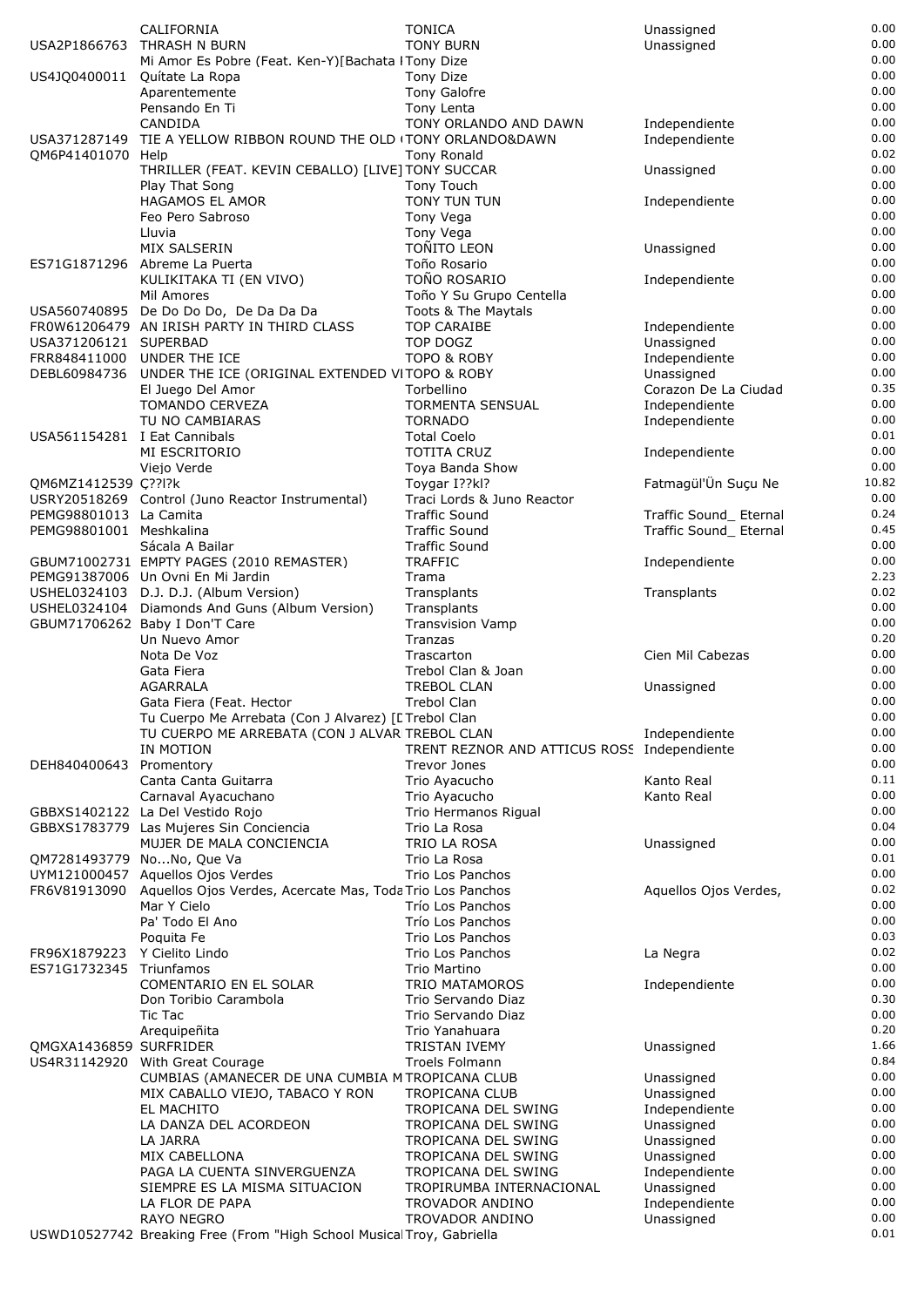|                              | CALIFORNIA                                                            | <b>TONICA</b>                               | Unassigned             | 0.00  |
|------------------------------|-----------------------------------------------------------------------|---------------------------------------------|------------------------|-------|
|                              |                                                                       |                                             |                        | 0.00  |
| USA2P1866763                 | THRASH N BURN                                                         | <b>TONY BURN</b>                            | Unassigned             |       |
|                              | Mi Amor Es Pobre (Feat. Ken-Y)[Bachata ITony Dize                     |                                             |                        | 0.00  |
| US4JQ0400011                 | Quítate La Ropa                                                       | Tony Dize                                   |                        | 0.00  |
|                              | Aparentemente                                                         | Tony Galofre                                |                        | 0.00  |
|                              | Pensando En Ti                                                        | Tony Lenta                                  |                        | 0.00  |
|                              | CANDIDA                                                               | TONY ORLANDO AND DAWN                       | Independiente          | 0.00  |
| USA371287149                 | TIE A YELLOW RIBBON ROUND THE OLD (TONY ORLANDO&DAWN                  |                                             | Independiente          | 0.00  |
| QM6P41401070 Help            |                                                                       | <b>Tony Ronald</b>                          |                        | 0.02  |
|                              | THRILLER (FEAT. KEVIN CEBALLO) [LIVE] TONY SUCCAR                     |                                             | Unassigned             | 0.00  |
|                              | Play That Song                                                        | Tony Touch                                  |                        | 0.00  |
|                              | <b>HAGAMOS EL AMOR</b>                                                | <b>TONY TUN TUN</b>                         | Independiente          | 0.00  |
|                              |                                                                       |                                             |                        | 0.00  |
|                              | Feo Pero Sabroso                                                      | Tony Vega                                   |                        |       |
|                              | Lluvia                                                                | Tony Vega                                   |                        | 0.00  |
|                              | <b>MIX SALSERIN</b>                                                   | <b>TOÑITO LEON</b>                          | Unassigned             | 0.00  |
|                              | ES71G1871296 Abreme La Puerta                                         | Toño Rosario                                |                        | 0.00  |
|                              | KULIKITAKA TI (EN VIVO)                                               | TOÑO ROSARIO                                | Independiente          | 0.00  |
|                              | Mil Amores                                                            | Toño Y Su Grupo Centella                    |                        | 0.00  |
|                              | USA560740895 De Do Do Do, De Da Da Da                                 | Toots & The Maytals                         |                        | 0.00  |
|                              | FROW61206479 AN IRISH PARTY IN THIRD CLASS                            | <b>TOP CARAIBE</b>                          | Independiente          | 0.00  |
| USA371206121 SUPERBAD        |                                                                       | TOP DOGZ                                    | Unassigned             | 0.00  |
| FRR848411000                 | UNDER THE ICE                                                         | <b>TOPO &amp; ROBY</b>                      | Independiente          | 0.00  |
| DEBL60984736                 | UNDER THE ICE (ORIGINAL EXTENDED VITOPO & ROBY                        |                                             | Unassigned             | 0.00  |
|                              | El Juego Del Amor                                                     | Torbellino                                  | Corazon De La Ciudad   | 0.35  |
|                              | <b>TOMANDO CERVEZA</b>                                                | <b>TORMENTA SENSUAL</b>                     | Independiente          | 0.00  |
|                              | TU NO CAMBIARAS                                                       | <b>TORNADO</b>                              | Independiente          | 0.00  |
| USA561154281 I Eat Cannibals |                                                                       | <b>Total Coelo</b>                          |                        | 0.01  |
|                              | MI ESCRITORIO                                                         | <b>TOTITA CRUZ</b>                          | Independiente          | 0.00  |
|                              | Viejo Verde                                                           | Toya Banda Show                             |                        | 0.00  |
|                              |                                                                       |                                             | Fatmagül'Ün Suçu Ne    | 10.82 |
| QM6MZ1412539 Ç??l?k          |                                                                       | Toygar I??kl?                               |                        | 0.00  |
|                              | USRY20518269 Control (Juno Reactor Instrumental)                      | Traci Lords & Juno Reactor                  |                        |       |
| PEMG98801013 La Camita       |                                                                       | <b>Traffic Sound</b>                        | Traffic Sound_ Eternal | 0.24  |
| PEMG98801001 Meshkalina      |                                                                       | <b>Traffic Sound</b>                        | Traffic Sound_ Eternal | 0.45  |
|                              | Sácala A Bailar                                                       | <b>Traffic Sound</b>                        |                        | 0.00  |
|                              | GBUM71002731 EMPTY PAGES (2010 REMASTER)                              | <b>TRAFFIC</b>                              | Independiente          | 0.00  |
|                              | PEMG91387006 Un Ovni En Mi Jardin                                     | Trama                                       |                        | 2.23  |
|                              | USHEL0324103 D.J. D.J. (Album Version)                                | Transplants                                 | Transplants            | 0.02  |
|                              | USHEL0324104 Diamonds And Guns (Album Version)                        | Transplants                                 |                        | 0.00  |
|                              | GBUM71706262 Baby I Don'T Care                                        | <b>Transvision Vamp</b>                     |                        | 0.00  |
|                              | Un Nuevo Amor                                                         | Tranzas                                     |                        | 0.20  |
|                              | Nota De Voz                                                           | Trascarton                                  | Cien Mil Cabezas       | 0.00  |
|                              | Gata Fiera                                                            | Trebol Clan & Joan                          |                        | 0.00  |
|                              | <b>AGARRALA</b>                                                       | <b>TREBOL CLAN</b>                          | Unassigned             | 0.00  |
|                              | Gata Fiera (Feat. Hector                                              | <b>Trebol Clan</b>                          |                        | 0.00  |
|                              | Tu Cuerpo Me Arrebata (Con J Alvarez) [E Trebol Clan                  |                                             |                        | 0.00  |
|                              | TU CUERPO ME ARREBATA (CON J ALVARITREBOL CLAN                        |                                             | Independiente          | 0.00  |
|                              |                                                                       |                                             |                        | 0.00  |
|                              | IN MOTION                                                             | TRENT REZNOR AND ATTICUS ROSS Independiente |                        |       |
| DEH840400643                 | Promentory                                                            | Trevor Jones                                |                        | 0.00  |
|                              | Canta Canta Guitarra                                                  | Trio Ayacucho                               | Kanto Real             | 0.11  |
|                              | Carnaval Ayacuchano                                                   | Trio Ayacucho                               | Kanto Real             | 0.00  |
|                              | GBBXS1402122 La Del Vestido Rojo                                      | Trio Hermanos Rigual                        |                        | 0.00  |
|                              | GBBXS1783779 Las Mujeres Sin Conciencia                               | Trio La Rosa                                |                        | 0.04  |
|                              | MUJER DE MALA CONCIENCIA                                              | TRIO LA ROSA                                | Unassigned             | 0.00  |
|                              | QM7281493779 NoNo, Que Va                                             | Trio La Rosa                                |                        | 0.01  |
| UYM121000457                 | Aquellos Ojos Verdes                                                  | Trio Los Panchos                            |                        | 0.00  |
| FR6V81913090                 | Aquellos Ojos Verdes, Acercate Mas, Toda Trio Los Panchos             |                                             | Aquellos Ojos Verdes,  | 0.02  |
|                              | Mar Y Cielo                                                           | Trío Los Panchos                            |                        | 0.00  |
|                              | Pa' Todo El Ano                                                       | Trío Los Panchos                            |                        | 0.00  |
|                              | Poquita Fe                                                            | Trio Los Panchos                            |                        | 0.03  |
| FR96X1879223                 | Y Cielito Lindo                                                       | Trio Los Panchos                            | La Negra               | 0.02  |
| ES71G1732345                 | Triunfamos                                                            | Trio Martino                                |                        | 0.00  |
|                              | COMENTARIO EN EL SOLAR                                                | TRIO MATAMOROS                              | Independiente          | 0.00  |
|                              | Don Toribio Carambola                                                 | Trio Servando Diaz                          |                        | 0.30  |
|                              |                                                                       | Trio Servando Diaz                          |                        | 0.00  |
|                              | Tic Tac                                                               |                                             |                        |       |
|                              | Arequipeñita                                                          | Trio Yanahuara                              |                        | 0.20  |
| OMGXA1436859 SURFRIDER       |                                                                       | <b>TRISTAN IVEMY</b>                        | Unassigned             | 1.66  |
| US4R31142920                 | With Great Courage                                                    | Troels Folmann                              |                        | 0.84  |
|                              | CUMBIAS (AMANECER DE UNA CUMBIA M TROPICANA CLUB                      |                                             | Unassigned             | 0.00  |
|                              | MIX CABALLO VIEJO, TABACO Y RON                                       | <b>TROPICANA CLUB</b>                       | Unassigned             | 0.00  |
|                              | EL MACHITO                                                            | TROPICANA DEL SWING                         | Independiente          | 0.00  |
|                              | LA DANZA DEL ACORDEON                                                 | TROPICANA DEL SWING                         | Unassigned             | 0.00  |
|                              | LA JARRA                                                              | TROPICANA DEL SWING                         | Unassigned             | 0.00  |
|                              | MIX CABELLONA                                                         | TROPICANA DEL SWING                         | Unassigned             | 0.00  |
|                              | PAGA LA CUENTA SINVERGUENZA                                           | TROPICANA DEL SWING                         | Independiente          | 0.00  |
|                              | SIEMPRE ES LA MISMA SITUACION                                         | TROPIRUMBA INTERNACIONAL                    | Unassigned             | 0.00  |
|                              | LA FLOR DE PAPA                                                       | TROVADOR ANDINO                             | Independiente          | 0.00  |
|                              | <b>RAYO NEGRO</b>                                                     | TROVADOR ANDINO                             | Unassigned             | 0.00  |
|                              | USWD10527742 Breaking Free (From "High School Musical Troy, Gabriella |                                             |                        | 0.01  |
|                              |                                                                       |                                             |                        |       |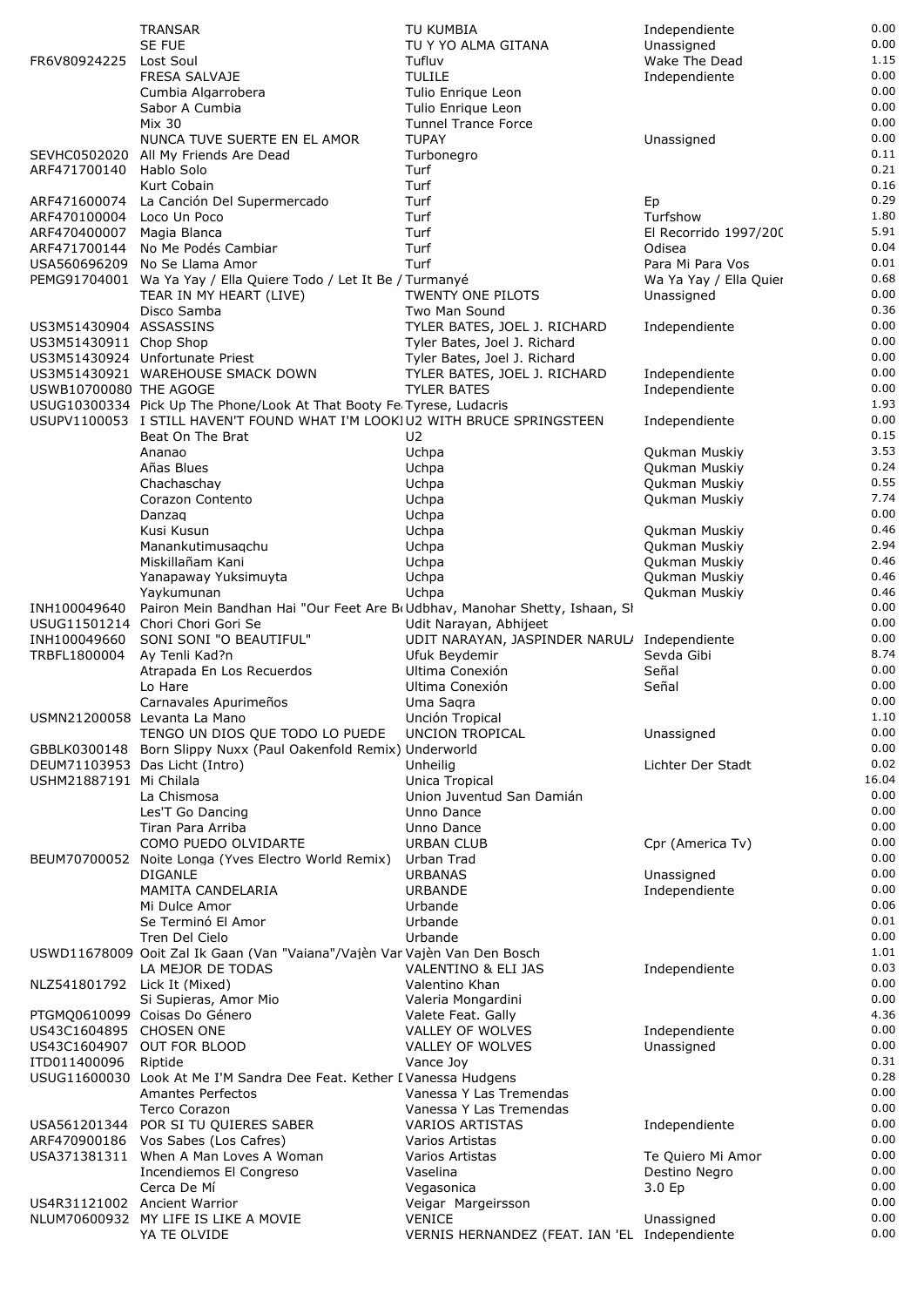|                              | <b>TRANSAR</b>                                                                                 | TU KUMBIA                                     | Independiente                  | 0.00         |
|------------------------------|------------------------------------------------------------------------------------------------|-----------------------------------------------|--------------------------------|--------------|
|                              | <b>SE FUE</b>                                                                                  | TU Y YO ALMA GITANA                           | Unassigned                     | 0.00         |
| FR6V80924225                 | Lost Soul                                                                                      | Tufluv                                        | Wake The Dead                  | 1.15         |
|                              | <b>FRESA SALVAJE</b><br>Cumbia Algarrobera                                                     | <b>TULILE</b><br>Tulio Enrique Leon           | Independiente                  | 0.00<br>0.00 |
|                              | Sabor A Cumbia                                                                                 | Tulio Enrique Leon                            |                                | 0.00         |
|                              | <b>Mix 30</b>                                                                                  | <b>Tunnel Trance Force</b>                    |                                | 0.00         |
|                              | NUNCA TUVE SUERTE EN EL AMOR                                                                   | <b>TUPAY</b>                                  | Unassigned                     | 0.00         |
| SEVHC0502020                 | All My Friends Are Dead                                                                        | Turbonegro                                    |                                | 0.11         |
| ARF471700140                 | Hablo Solo                                                                                     | Turf                                          |                                | 0.21         |
| ARF471600074                 | Kurt Cobain<br>La Canción Del Supermercado                                                     | Turf<br>Turf                                  | Ep                             | 0.16<br>0.29 |
| ARF470100004                 | Loco Un Poco                                                                                   | Turf                                          | Turfshow                       | 1.80         |
| ARF470400007                 | Magia Blanca                                                                                   | Turf                                          | El Recorrido 1997/200          | 5.91         |
| ARF471700144                 | No Me Podés Cambiar                                                                            | Turf                                          | Odisea                         | 0.04         |
| USA560696209                 | No Se Llama Amor                                                                               | Turf                                          | Para Mi Para Vos               | 0.01         |
|                              | PEMG91704001 Wa Ya Yay / Ella Quiere Todo / Let It Be / Turmanyé                               |                                               | Wa Ya Yay / Ella Quier         | 0.68         |
|                              | TEAR IN MY HEART (LIVE)                                                                        | TWENTY ONE PILOTS                             | Unassigned                     | 0.00<br>0.36 |
| US3M51430904 ASSASSINS       | Disco Samba                                                                                    | Two Man Sound<br>TYLER BATES, JOEL J. RICHARD | Independiente                  | 0.00         |
| US3M51430911 Chop Shop       |                                                                                                | Tyler Bates, Joel J. Richard                  |                                | 0.00         |
|                              | US3M51430924 Unfortunate Priest                                                                | Tyler Bates, Joel J. Richard                  |                                | 0.00         |
|                              | US3M51430921 WAREHOUSE SMACK DOWN                                                              | TYLER BATES, JOEL J. RICHARD                  | Independiente                  | 0.00         |
| USWB10700080 THE AGOGE       |                                                                                                | <b>TYLER BATES</b>                            | Independiente                  | 0.00         |
|                              | USUG10300334 Pick Up The Phone/Look At That Booty Fe Tyrese, Ludacris                          |                                               |                                | 1.93         |
|                              | USUPV1100053 I STILL HAVEN'T FOUND WHAT I'M LOOKIU2 WITH BRUCE SPRINGSTEEN<br>Beat On The Brat | U2                                            | Independiente                  | 0.00<br>0.15 |
|                              | Ananao                                                                                         | Uchpa                                         | Qukman Muskiy                  | 3.53         |
|                              | Añas Blues                                                                                     | Uchpa                                         | Qukman Muskiy                  | 0.24         |
|                              | Chachaschay                                                                                    | Uchpa                                         | Qukman Muskiy                  | 0.55         |
|                              | Corazon Contento                                                                               | Uchpa                                         | Qukman Muskiy                  | 7.74         |
|                              | Danzag                                                                                         | Uchpa                                         |                                | 0.00         |
|                              | Kusi Kusun                                                                                     | Uchpa                                         | Qukman Muskiy                  | 0.46         |
|                              | Manankutimusagchu                                                                              | Uchpa                                         | Qukman Muskiy                  | 2.94         |
|                              | Miskillañam Kani                                                                               | Uchpa                                         | Qukman Muskiy                  | 0.46<br>0.46 |
|                              | Yanapaway Yuksimuyta<br>Yaykumunan                                                             | Uchpa<br>Uchpa                                | Qukman Muskiy<br>Qukman Muskiy | 0.46         |
| INH100049640                 | Pairon Mein Bandhan Hai "Our Feet Are B(Udbhav, Manohar Shetty, Ishaan, SI                     |                                               |                                | 0.00         |
|                              | USUG11501214 Chori Chori Gori Se                                                               | Udit Narayan, Abhijeet                        |                                | 0.00         |
| INH100049660                 | SONI SONI "O BEAUTIFUL"                                                                        | UDIT NARAYAN, JASPINDER NARUL/ Independiente  |                                | 0.00         |
| TRBFL1800004                 | Ay Tenli Kad?n                                                                                 | Ufuk Beydemir                                 | Sevda Gibi                     | 8.74         |
|                              | Atrapada En Los Recuerdos                                                                      | Ultima Conexión                               | Señal                          | 0.00         |
|                              | Lo Hare                                                                                        | Ultima Conexión                               | Señal                          | 0.00         |
|                              | Carnavales Apurimeños<br>USMN21200058 Levanta La Mano                                          | Uma Sagra<br>Unción Tropical                  |                                | 0.00<br>1.10 |
|                              | TENGO UN DIOS QUE TODO LO PUEDE                                                                | UNCION TROPICAL                               | Unassigned                     | 0.00         |
|                              | GBBLK0300148 Born Slippy Nuxx (Paul Oakenfold Remix) Underworld                                |                                               |                                | 0.00         |
|                              | DEUM71103953 Das Licht (Intro)                                                                 | Unheilig                                      | Lichter Der Stadt              | 0.02         |
| USHM21887191 Mi Chilala      |                                                                                                | Unica Tropical                                |                                | 16.04        |
|                              | La Chismosa                                                                                    | Union Juventud San Damián                     |                                | 0.00         |
|                              | Les'T Go Dancing                                                                               | Unno Dance                                    |                                | 0.00         |
|                              | Tiran Para Arriba                                                                              | Unno Dance                                    |                                | 0.00         |
|                              | COMO PUEDO OLVIDARTE<br>BEUM70700052 Noite Longa (Yves Electro World Remix)                    | <b>URBAN CLUB</b><br>Urban Trad               | Cpr (America Tv)               | 0.00<br>0.00 |
|                              | <b>DIGANLE</b>                                                                                 | <b>URBANAS</b>                                | Unassigned                     | 0.00         |
|                              | MAMITA CANDELARIA                                                                              | <b>URBANDE</b>                                | Independiente                  | 0.00         |
|                              | Mi Dulce Amor                                                                                  | Urbande                                       |                                | 0.06         |
|                              | Se Terminó El Amor                                                                             | Urbande                                       |                                | 0.01         |
|                              | Tren Del Cielo                                                                                 | Urbande                                       |                                | 0.00         |
|                              | USWD11678009 Ooit Zal Ik Gaan (Van "Vaiana"/Vajèn Var Vajèn Van Den Bosch                      |                                               |                                | 1.01         |
|                              | LA MEJOR DE TODAS                                                                              | VALENTINO & ELI JAS                           | Independiente                  | 0.03<br>0.00 |
| NLZ541801792 Lick It (Mixed) | Si Supieras, Amor Mio                                                                          | Valentino Khan<br>Valeria Mongardini          |                                | 0.00         |
|                              | PTGMQ0610099 Coisas Do Género                                                                  | Valete Feat. Gally                            |                                | 4.36         |
| US43C1604895 CHOSEN ONE      |                                                                                                | VALLEY OF WOLVES                              | Independiente                  | 0.00         |
|                              | US43C1604907 OUT FOR BLOOD                                                                     | VALLEY OF WOLVES                              | Unassigned                     | 0.00         |
| ITD011400096                 | Riptide                                                                                        | Vance Joy                                     |                                | 0.31         |
|                              | USUG11600030 Look At Me I'M Sandra Dee Feat. Kether I Vanessa Hudgens                          |                                               |                                | 0.28         |
|                              | <b>Amantes Perfectos</b>                                                                       | Vanessa Y Las Tremendas                       |                                | 0.00         |
|                              | Terco Corazon                                                                                  | Vanessa Y Las Tremendas                       |                                | 0.00<br>0.00 |
|                              | USA561201344 POR SI TU QUIERES SABER<br>ARF470900186 Vos Sabes (Los Cafres)                    | <b>VARIOS ARTISTAS</b><br>Varios Artistas     | Independiente                  | 0.00         |
| USA371381311                 | When A Man Loves A Woman                                                                       | Varios Artistas                               | Te Quiero Mi Amor              | 0.00         |
|                              | Incendiemos El Congreso                                                                        | Vaselina                                      | Destino Negro                  | 0.00         |
|                              | Cerca De Mí                                                                                    | Vegasonica                                    | 3.0 Ep                         | 0.00         |
| US4R31121002 Ancient Warrior |                                                                                                | Veigar Margeirsson                            |                                | 0.00         |
|                              | NLUM70600932 MY LIFE IS LIKE A MOVIE                                                           | <b>VENICE</b>                                 | Unassigned                     | 0.00         |
|                              | YA TE OLVIDE                                                                                   | VERNIS HERNANDEZ (FEAT. IAN 'EL Independiente |                                | 0.00         |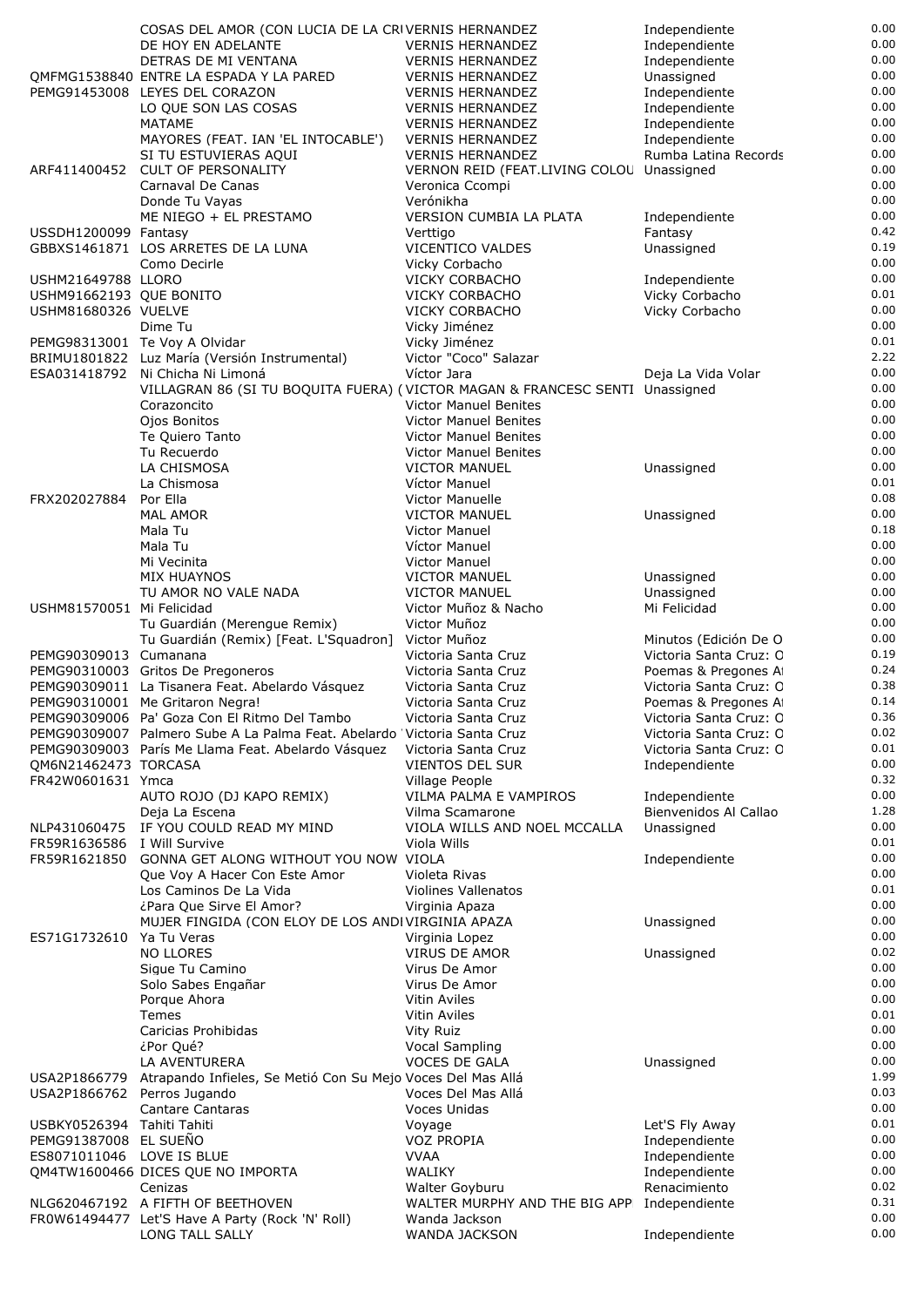|                                                     | COSAS DEL AMOR (CON LUCIA DE LA CRIVERNIS HERNANDEZ                                         |                                                    | Independiente                                 | 0.00         |
|-----------------------------------------------------|---------------------------------------------------------------------------------------------|----------------------------------------------------|-----------------------------------------------|--------------|
|                                                     | DE HOY EN ADELANTE                                                                          | <b>VERNIS HERNANDEZ</b>                            | Independiente                                 | 0.00         |
|                                                     | DETRAS DE MI VENTANA                                                                        | <b>VERNIS HERNANDEZ</b>                            | Independiente                                 | 0.00         |
|                                                     | OMFMG1538840 ENTRE LA ESPADA Y LA PARED                                                     | <b>VERNIS HERNANDEZ</b>                            | Unassigned                                    | 0.00         |
|                                                     | PEMG91453008 LEYES DEL CORAZON                                                              | <b>VERNIS HERNANDEZ</b>                            | Independiente                                 | 0.00<br>0.00 |
|                                                     | LO QUE SON LAS COSAS<br><b>MATAME</b>                                                       | <b>VERNIS HERNANDEZ</b><br><b>VERNIS HERNANDEZ</b> | Independiente                                 | 0.00         |
|                                                     | MAYORES (FEAT. IAN 'EL INTOCABLE')                                                          | <b>VERNIS HERNANDEZ</b>                            | Independiente<br>Independiente                | 0.00         |
|                                                     | SI TU ESTUVIERAS AQUI                                                                       | <b>VERNIS HERNANDEZ</b>                            | Rumba Latina Records                          | 0.00         |
| ARF411400452                                        | <b>CULT OF PERSONALITY</b>                                                                  | VERNON REID (FEAT.LIVING COLOU Unassigned          |                                               | 0.00         |
|                                                     | Carnaval De Canas                                                                           | Veronica Ccompi                                    |                                               | 0.00         |
|                                                     | Donde Tu Vayas                                                                              | Verónikha                                          |                                               | 0.00         |
|                                                     | ME NIEGO + EL PRESTAMO                                                                      | <b>VERSION CUMBIA LA PLATA</b>                     | Independiente                                 | 0.00         |
| USSDH1200099 Fantasy                                |                                                                                             | Verttigo                                           | Fantasy                                       | 0.42         |
|                                                     | GBBXS1461871 LOS ARRETES DE LA LUNA                                                         | VICENTICO VALDES                                   | Unassigned                                    | 0.19         |
|                                                     | Como Decirle                                                                                | Vicky Corbacho                                     |                                               | 0.00         |
| USHM21649788 LLORO                                  |                                                                                             | <b>VICKY CORBACHO</b>                              | Independiente                                 | 0.00         |
| USHM91662193 QUE BONITO                             |                                                                                             | <b>VICKY CORBACHO</b>                              | Vicky Corbacho                                | 0.01         |
| USHM81680326 VUELVE                                 |                                                                                             | <b>VICKY CORBACHO</b>                              | Vicky Corbacho                                | 0.00         |
|                                                     | Dime Tu                                                                                     | Vicky Jiménez                                      |                                               | 0.00         |
|                                                     | PEMG98313001 Te Voy A Olvidar                                                               | Vicky Jiménez                                      |                                               | 0.01         |
|                                                     | BRIMU1801822 Luz María (Versión Instrumental)                                               | Victor "Coco" Salazar                              |                                               | 2.22         |
|                                                     | ESA031418792 Ni Chicha Ni Limoná                                                            | Víctor Jara                                        | Deja La Vida Volar                            | 0.00<br>0.00 |
|                                                     | VILLAGRAN 86 (SI TU BOQUITA FUERA) (VICTOR MAGAN & FRANCESC SENTI Unassigned<br>Corazoncito | <b>Victor Manuel Benites</b>                       |                                               | 0.00         |
|                                                     | Ojos Bonitos                                                                                | <b>Victor Manuel Benites</b>                       |                                               | 0.00         |
|                                                     | Te Quiero Tanto                                                                             | <b>Victor Manuel Benites</b>                       |                                               | 0.00         |
|                                                     | Tu Recuerdo                                                                                 | <b>Victor Manuel Benites</b>                       |                                               | 0.00         |
|                                                     | LA CHISMOSA                                                                                 | <b>VICTOR MANUEL</b>                               | Unassigned                                    | 0.00         |
|                                                     | La Chismosa                                                                                 | Víctor Manuel                                      |                                               | 0.01         |
| FRX202027884                                        | Por Ella                                                                                    | Victor Manuelle                                    |                                               | 0.08         |
|                                                     | <b>MAL AMOR</b>                                                                             | <b>VICTOR MANUEL</b>                               | Unassigned                                    | 0.00         |
|                                                     | Mala Tu                                                                                     | <b>Victor Manuel</b>                               |                                               | 0.18         |
|                                                     | Mala Tu                                                                                     | Víctor Manuel                                      |                                               | 0.00         |
|                                                     | Mi Vecinita                                                                                 | <b>Victor Manuel</b>                               |                                               | 0.00         |
|                                                     | MIX HUAYNOS                                                                                 | <b>VICTOR MANUEL</b>                               | Unassigned                                    | 0.00         |
|                                                     | TU AMOR NO VALE NADA                                                                        | <b>VICTOR MANUEL</b>                               | Unassigned                                    | 0.00         |
| USHM81570051 Mi Felicidad                           |                                                                                             | Victor Muñoz & Nacho                               | Mi Felicidad                                  | 0.00         |
|                                                     | Tu Guardián (Merengue Remix)                                                                | Victor Muñoz                                       |                                               | 0.00         |
|                                                     | Tu Guardián (Remix) [Feat. L'Squadron]                                                      | Victor Muñoz                                       | Minutos (Edición De O                         | 0.00<br>0.19 |
| PEMG90309013 Cumanana                               | PEMG90310003 Gritos De Pregoneros                                                           | Victoria Santa Cruz<br>Victoria Santa Cruz         | Victoria Santa Cruz: C<br>Poemas & Pregones A | 0.24         |
|                                                     | PEMG90309011 La Tisanera Feat. Abelardo Vásquez                                             | Victoria Santa Cruz                                | Victoria Santa Cruz: C                        | 0.38         |
|                                                     | PEMG90310001 Me Gritaron Negra!                                                             | Victoria Santa Cruz                                | Poemas & Pregones A                           | 0.14         |
|                                                     | PEMG90309006 Pa' Goza Con El Ritmo Del Tambo                                                | Victoria Santa Cruz                                | Victoria Santa Cruz: C                        | 0.36         |
|                                                     | PEMG90309007 Palmero Sube A La Palma Feat. Abelardo 'Victoria Santa Cruz                    |                                                    | Victoria Santa Cruz: C                        | 0.02         |
|                                                     | PEMG90309003 París Me Llama Feat. Abelardo Vásquez                                          | Victoria Santa Cruz                                | Victoria Santa Cruz: C                        | 0.01         |
| OM6N21462473 TORCASA                                |                                                                                             | VIENTOS DEL SUR                                    | Independiente                                 | 0.00         |
| FR42W0601631 Ymca                                   |                                                                                             | Village People                                     |                                               | 0.32         |
|                                                     | AUTO ROJO (DJ KAPO REMIX)                                                                   | VILMA PALMA E VAMPIROS                             | Independiente                                 | 0.00         |
|                                                     | Deja La Escena                                                                              | Vilma Scamarone                                    | Bienvenidos Al Callao                         | 1.28         |
|                                                     | NLP431060475 IF YOU COULD READ MY MIND                                                      | VIOLA WILLS AND NOEL MCCALLA                       | Unassigned                                    | 0.00         |
| FR59R1636586 I Will Survive                         |                                                                                             | Viola Wills                                        |                                               | 0.01         |
| FR59R1621850                                        | GONNA GET ALONG WITHOUT YOU NOW VIOLA                                                       |                                                    | Independiente                                 | 0.00         |
|                                                     | Que Voy A Hacer Con Este Amor                                                               | Violeta Rivas                                      |                                               | 0.00<br>0.01 |
|                                                     | Los Caminos De La Vida                                                                      | <b>Violines Vallenatos</b>                         |                                               | 0.00         |
|                                                     | ¿Para Que Sirve El Amor?<br>MUJER FINGIDA (CON ELOY DE LOS ANDIVIRGINIA APAZA               | Virginia Apaza                                     | Unassigned                                    | 0.00         |
| ES71G1732610                                        | Ya Tu Veras                                                                                 | Virginia Lopez                                     |                                               | 0.00         |
|                                                     | <b>NO LLORES</b>                                                                            | <b>VIRUS DE AMOR</b>                               | Unassigned                                    | 0.02         |
|                                                     | Sigue Tu Camino                                                                             | Virus De Amor                                      |                                               | 0.00         |
|                                                     | Solo Sabes Engañar                                                                          | Virus De Amor                                      |                                               | 0.00         |
|                                                     | Porque Ahora                                                                                | Vitin Aviles                                       |                                               | 0.00         |
|                                                     | Temes                                                                                       | Vitin Aviles                                       |                                               | 0.01         |
|                                                     | Caricias Prohibidas                                                                         | Vity Ruiz                                          |                                               | 0.00         |
|                                                     | ¿Por Qué?                                                                                   | <b>Vocal Sampling</b>                              |                                               | 0.00         |
|                                                     | LA AVENTURERA                                                                               | <b>VOCES DE GALA</b>                               | Unassigned                                    | 0.00         |
| USA2P1866779                                        | Atrapando Infieles, Se Metió Con Su Mejo Voces Del Mas Allá                                 |                                                    |                                               | 1.99         |
| USA2P1866762 Perros Jugando                         |                                                                                             | Voces Del Mas Allá                                 |                                               | 0.03         |
|                                                     | <b>Cantare Cantaras</b>                                                                     | Voces Unidas                                       |                                               | 0.00         |
| USBKY0526394 Tahiti Tahiti<br>PEMG91387008 EL SUEÑO |                                                                                             | Voyage<br><b>VOZ PROPIA</b>                        | Let'S Fly Away<br>Independiente               | 0.01<br>0.00 |
| ES8071011046 LOVE IS BLUE                           |                                                                                             | <b>VVAA</b>                                        | Independiente                                 | 0.00         |
|                                                     | QM4TW1600466 DICES QUE NO IMPORTA                                                           | <b>WALIKY</b>                                      | Independiente                                 | 0.00         |
|                                                     | Cenizas                                                                                     | Walter Goyburu                                     | Renacimiento                                  | 0.02         |
|                                                     | NLG620467192 A FIFTH OF BEETHOVEN                                                           | WALTER MURPHY AND THE BIG APP Independiente        |                                               | 0.31         |
|                                                     | FR0W61494477 Let'S Have A Party (Rock 'N' Roll)                                             | Wanda Jackson                                      |                                               | 0.00         |
|                                                     | LONG TALL SALLY                                                                             | WANDA JACKSON                                      | Independiente                                 | 0.00         |
|                                                     |                                                                                             |                                                    |                                               |              |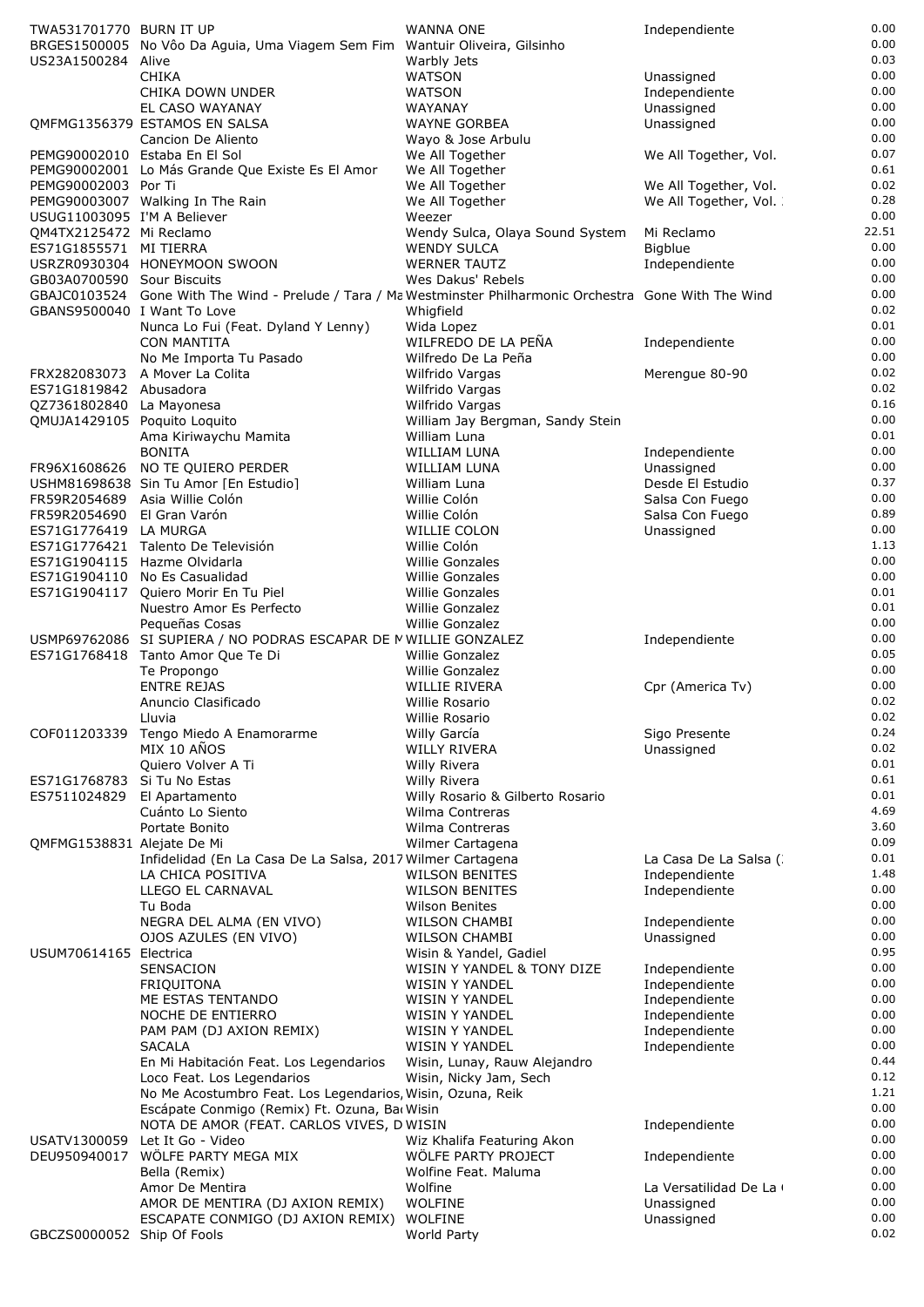| TWA531701770 BURN IT UP                           | BRGES1500005 No Vôo Da Aguia, Uma Viagem Sem Fim Wantuir Oliveira, Gilsinho                                 | WANNA ONE                                             | Independiente                  | 0.00<br>0.00  |
|---------------------------------------------------|-------------------------------------------------------------------------------------------------------------|-------------------------------------------------------|--------------------------------|---------------|
| US23A1500284 Alive                                |                                                                                                             | Warbly Jets                                           |                                | 0.03<br>0.00  |
|                                                   | <b>CHIKA</b><br>CHIKA DOWN UNDER                                                                            | <b>WATSON</b><br><b>WATSON</b>                        | Unassigned<br>Independiente    | 0.00          |
|                                                   | EL CASO WAYANAY                                                                                             | WAYANAY                                               | Unassigned                     | 0.00          |
|                                                   | OMFMG1356379 ESTAMOS EN SALSA                                                                               | <b>WAYNE GORBEA</b>                                   | Unassigned                     | 0.00          |
|                                                   | Cancion De Aliento                                                                                          | Wayo & Jose Arbulu                                    |                                | 0.00          |
|                                                   | PEMG90002010 Estaba En El Sol                                                                               | We All Together                                       | We All Together, Vol.          | 0.07          |
|                                                   | PEMG90002001 Lo Más Grande Que Existe Es El Amor                                                            | We All Together                                       |                                | 0.61          |
| PEMG90002003 Por Ti                               |                                                                                                             | We All Together                                       | We All Together, Vol.          | 0.02          |
|                                                   | PEMG90003007 Walking In The Rain                                                                            | We All Together                                       | We All Together, Vol.          | 0.28          |
| USUG11003095 I'M A Believer                       |                                                                                                             | Weezer                                                |                                | 0.00          |
| QM4TX2125472 Mi Reclamo<br>ES71G1855571 MI TIERRA |                                                                                                             | Wendy Sulca, Olaya Sound System<br><b>WENDY SULCA</b> | Mi Reclamo<br>Bigblue          | 22.51<br>0.00 |
|                                                   | USRZR0930304 HONEYMOON SWOON                                                                                | <b>WERNER TAUTZ</b>                                   | Independiente                  | 0.00          |
| GB03A0700590 Sour Biscuits                        |                                                                                                             | Wes Dakus' Rebels                                     |                                | 0.00          |
|                                                   | GBAJC0103524 Gone With The Wind - Prelude / Tara / Ma Westminster Philharmonic Orchestra Gone With The Wind |                                                       |                                | 0.00          |
| GBANS9500040 I Want To Love                       |                                                                                                             | Whigfield                                             |                                | 0.02          |
|                                                   | Nunca Lo Fui (Feat. Dyland Y Lenny)                                                                         | Wida Lopez                                            |                                | 0.01          |
|                                                   | <b>CON MANTITA</b>                                                                                          | WILFREDO DE LA PEÑA                                   | Independiente                  | 0.00          |
|                                                   | No Me Importa Tu Pasado                                                                                     | Wilfredo De La Peña                                   |                                | 0.00          |
| FRX282083073<br>ES71G1819842 Abusadora            | A Mover La Colita                                                                                           | Wilfrido Vargas                                       | Merengue 80-90                 | 0.02<br>0.02  |
| QZ7361802840 La Mayonesa                          |                                                                                                             | Wilfrido Vargas<br>Wilfrido Vargas                    |                                | 0.16          |
| QMUJA1429105 Poquito Loquito                      |                                                                                                             | William Jay Bergman, Sandy Stein                      |                                | 0.00          |
|                                                   | Ama Kiriwaychu Mamita                                                                                       | William Luna                                          |                                | 0.01          |
|                                                   | <b>BONITA</b>                                                                                               | WILLIAM LUNA                                          | Independiente                  | 0.00          |
|                                                   | FR96X1608626 NO TE QUIERO PERDER                                                                            | WILLIAM LUNA                                          | Unassigned                     | 0.00          |
|                                                   | USHM81698638 Sin Tu Amor [En Estudio]                                                                       | William Luna                                          | Desde El Estudio               | 0.37          |
|                                                   | FR59R2054689 Asia Willie Colón                                                                              | Willie Colón                                          | Salsa Con Fuego                | 0.00          |
| FR59R2054690                                      | El Gran Varón                                                                                               | Willie Colón                                          | Salsa Con Fuego                | 0.89          |
| ES71G1776419 LA MURGA                             |                                                                                                             | WILLIE COLON                                          | Unassigned                     | 0.00          |
|                                                   | ES71G1776421 Talento De Televisión<br>ES71G1904115 Hazme Olvidarla                                          | Willie Colón<br><b>Willie Gonzales</b>                |                                | 1.13<br>0.00  |
| ES71G1904110                                      | No Es Casualidad                                                                                            | Willie Gonzales                                       |                                | 0.00          |
| ES71G1904117                                      | Quiero Morir En Tu Piel                                                                                     | <b>Willie Gonzales</b>                                |                                | 0.01          |
|                                                   | Nuestro Amor Es Perfecto                                                                                    | Willie Gonzalez                                       |                                | 0.01          |
|                                                   | Pequeñas Cosas                                                                                              | <b>Willie Gonzalez</b>                                |                                | 0.00          |
|                                                   | USMP69762086 SI SUPIERA / NO PODRAS ESCAPAR DE MWILLIE GONZALEZ                                             |                                                       | Independiente                  | 0.00          |
|                                                   | ES71G1768418 Tanto Amor Que Te Di                                                                           | Willie Gonzalez                                       |                                | 0.05          |
|                                                   | Te Propongo                                                                                                 | Willie Gonzalez                                       |                                | 0.00          |
|                                                   | <b>ENTRE REJAS</b>                                                                                          | WILLIE RIVERA                                         | Cpr (America Tv)               | 0.00<br>0.02  |
|                                                   | Anuncio Clasificado<br>Lluvia                                                                               | Willie Rosario<br>Willie Rosario                      |                                | 0.02          |
| COF011203339                                      | Tengo Miedo A Enamorarme                                                                                    | Willy García                                          | Sigo Presente                  | 0.24          |
|                                                   | MIX 10 AÑOS                                                                                                 | <b>WILLY RIVERA</b>                                   | Unassigned                     | 0.02          |
|                                                   | Quiero Volver A Ti                                                                                          | Willy Rivera                                          |                                | 0.01          |
| ES71G1768783                                      | Si Tu No Estas                                                                                              | Willy Rivera                                          |                                | 0.61          |
| ES7511024829                                      | El Apartamento                                                                                              | Willy Rosario & Gilberto Rosario                      |                                | 0.01          |
|                                                   | Cuánto Lo Siento                                                                                            | Wilma Contreras                                       |                                | 4.69          |
|                                                   | Portate Bonito                                                                                              | Wilma Contreras                                       |                                | 3.60          |
| QMFMG1538831 Alejate De Mi                        | Infidelidad (En La Casa De La Salsa, 2017 Wilmer Cartagena                                                  | Wilmer Cartagena                                      | La Casa De La Salsa (          | 0.09<br>0.01  |
|                                                   | LA CHICA POSITIVA                                                                                           | <b>WILSON BENITES</b>                                 | Independiente                  | 1.48          |
|                                                   | LLEGO EL CARNAVAL                                                                                           | <b>WILSON BENITES</b>                                 | Independiente                  | 0.00          |
|                                                   | Tu Boda                                                                                                     | <b>Wilson Benites</b>                                 |                                | 0.00          |
|                                                   | NEGRA DEL ALMA (EN VIVO)                                                                                    | <b>WILSON CHAMBI</b>                                  | Independiente                  | 0.00          |
|                                                   | OJOS AZULES (EN VIVO)                                                                                       | <b>WILSON CHAMBI</b>                                  | Unassigned                     | 0.00          |
| USUM70614165 Electrica                            |                                                                                                             | Wisin & Yandel, Gadiel                                |                                | 0.95          |
|                                                   | SENSACION                                                                                                   | WISIN Y YANDEL & TONY DIZE                            | Independiente                  | 0.00          |
|                                                   | FRIQUITONA                                                                                                  | WISIN Y YANDEL                                        | Independiente                  | 0.00<br>0.00  |
|                                                   | ME ESTAS TENTANDO<br>NOCHE DE ENTIERRO                                                                      | WISIN Y YANDEL<br>WISIN Y YANDEL                      | Independiente<br>Independiente | 0.00          |
|                                                   | PAM PAM (DJ AXION REMIX)                                                                                    | WISIN Y YANDEL                                        | Independiente                  | 0.00          |
|                                                   | <b>SACALA</b>                                                                                               | WISIN Y YANDEL                                        | Independiente                  | 0.00          |
|                                                   | En Mi Habitación Feat. Los Legendarios                                                                      | Wisin, Lunay, Rauw Alejandro                          |                                | 0.44          |
|                                                   | Loco Feat. Los Legendarios                                                                                  | Wisin, Nicky Jam, Sech                                |                                | 0.12          |
|                                                   | No Me Acostumbro Feat. Los Legendarios, Wisin, Ozuna, Reik                                                  |                                                       |                                | 1.21          |
|                                                   | Escápate Conmigo (Remix) Ft. Ozuna, Bac Wisin                                                               |                                                       |                                | 0.00          |
|                                                   | NOTA DE AMOR (FEAT. CARLOS VIVES, D WISIN                                                                   |                                                       | Independiente                  | 0.00          |
| USATV1300059<br>DEU950940017                      | Let It Go - Video<br>WÖLFE PARTY MEGA MIX                                                                   | Wiz Khalifa Featuring Akon<br>WÖLFE PARTY PROJECT     |                                | 0.00<br>0.00  |
|                                                   | Bella (Remix)                                                                                               | Wolfine Feat. Maluma                                  | Independiente                  | 0.00          |
|                                                   | Amor De Mentira                                                                                             | Wolfine                                               | La Versatilidad De La          | 0.00          |
|                                                   | AMOR DE MENTIRA (DJ AXION REMIX)                                                                            | <b>WOLFINE</b>                                        | Unassigned                     | 0.00          |
|                                                   | ESCAPATE CONMIGO (DJ AXION REMIX)                                                                           | <b>WOLFINE</b>                                        | Unassigned                     | 0.00          |
| GBCZS0000052 Ship Of Fools                        |                                                                                                             | World Party                                           |                                | 0.02          |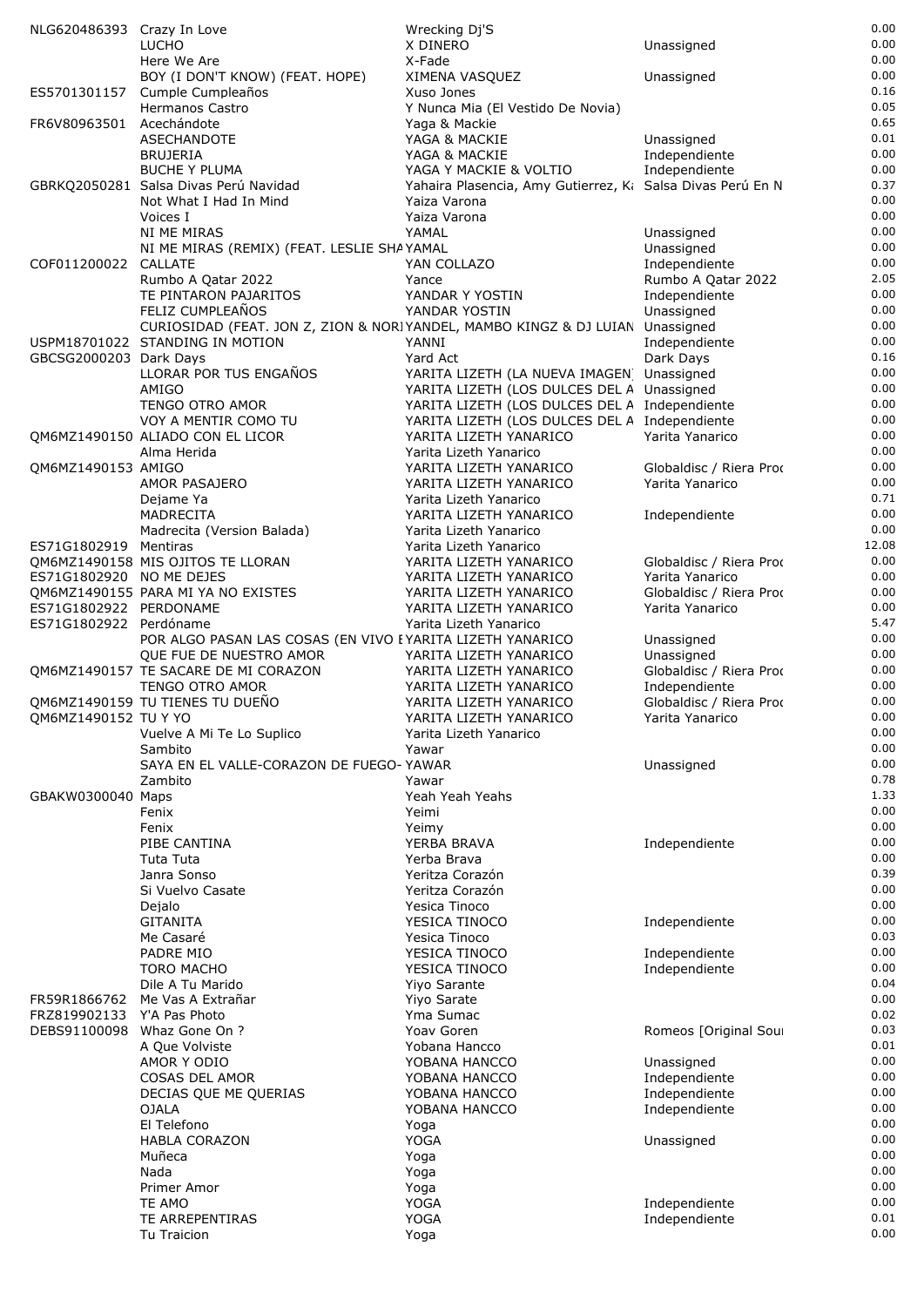| NLG620486393 Crazy In Love |                                                                               | Wrecking Dj'S                                                           |                                            | 0.00         |
|----------------------------|-------------------------------------------------------------------------------|-------------------------------------------------------------------------|--------------------------------------------|--------------|
|                            | <b>LUCHO</b>                                                                  | X DINERO                                                                | Unassigned                                 | 0.00         |
|                            | Here We Are                                                                   | X-Fade                                                                  |                                            | 0.00         |
|                            | BOY (I DON'T KNOW) (FEAT. HOPE)                                               | XIMENA VASQUEZ                                                          | Unassigned                                 | 0.00<br>0.16 |
| ES5701301157               | Cumple Cumpleaños<br>Hermanos Castro                                          | Xuso Jones<br>Y Nunca Mia (El Vestido De Novia)                         |                                            | 0.05         |
| FR6V80963501 Acechándote   |                                                                               | Yaga & Mackie                                                           |                                            | 0.65         |
|                            | <b>ASECHANDOTE</b>                                                            | YAGA & MACKIE                                                           | Unassigned                                 | 0.01         |
|                            | <b>BRUJERIA</b>                                                               | YAGA & MACKIE                                                           | Independiente                              | 0.00         |
|                            | <b>BUCHE Y PLUMA</b>                                                          | YAGA Y MACKIE & VOLTIO                                                  | Independiente                              | 0.00         |
|                            | GBRKQ2050281 Salsa Divas Perú Navidad                                         | Yahaira Plasencia, Amy Gutierrez, K: Salsa Divas Perú En N              |                                            | 0.37         |
|                            | Not What I Had In Mind                                                        | Yaiza Varona                                                            |                                            | 0.00         |
|                            | Voices I                                                                      | Yaiza Varona                                                            |                                            | 0.00         |
|                            | NI ME MIRAS                                                                   | YAMAL                                                                   | Unassigned                                 | 0.00         |
|                            | NI ME MIRAS (REMIX) (FEAT. LESLIE SHAYAMAL                                    | YAN COLLAZO                                                             | Unassigned                                 | 0.00<br>0.00 |
| COF011200022 CALLATE       | Rumbo A Qatar 2022                                                            | Yance                                                                   | Independiente<br>Rumbo A Qatar 2022        | 2.05         |
|                            | TE PINTARON PAJARITOS                                                         | YANDAR Y YOSTIN                                                         | Independiente                              | 0.00         |
|                            | FELIZ CUMPLEAÑOS                                                              | YANDAR YOSTIN                                                           | Unassigned                                 | 0.00         |
|                            | CURIOSIDAD (FEAT. JON Z, ZION & NORIYANDEL, MAMBO KINGZ & DJ LUIAN Unassigned |                                                                         |                                            | 0.00         |
|                            | USPM18701022 STANDING IN MOTION                                               | YANNI                                                                   | Independiente                              | 0.00         |
| GBCSG2000203 Dark Days     |                                                                               | Yard Act                                                                | Dark Days                                  | 0.16         |
|                            | LLORAR POR TUS ENGAÑOS                                                        | YARITA LIZETH (LA NUEVA IMAGEN Unassigned                               |                                            | 0.00         |
|                            | AMIGO                                                                         | YARITA LIZETH (LOS DULCES DEL A Unassigned                              |                                            | 0.00         |
|                            | <b>TENGO OTRO AMOR</b>                                                        | YARITA LIZETH (LOS DULCES DEL A Independiente                           |                                            | 0.00<br>0.00 |
|                            | VOY A MENTIR COMO TU<br>OM6MZ1490150 ALIADO CON EL LICOR                      | YARITA LIZETH (LOS DULCES DEL A Independiente<br>YARITA LIZETH YANARICO | Yarita Yanarico                            | 0.00         |
|                            | Alma Herida                                                                   | Yarita Lizeth Yanarico                                                  |                                            | 0.00         |
| QM6MZ1490153 AMIGO         |                                                                               | YARITA LIZETH YANARICO                                                  | Globaldisc / Riera Prod                    | 0.00         |
|                            | AMOR PASAJERO                                                                 | YARITA LIZETH YANARICO                                                  | Yarita Yanarico                            | 0.00         |
|                            | Dejame Ya                                                                     | Yarita Lizeth Yanarico                                                  |                                            | 0.71         |
|                            | <b>MADRECITA</b>                                                              | YARITA LIZETH YANARICO                                                  | Independiente                              | 0.00         |
|                            | Madrecita (Version Balada)                                                    | Yarita Lizeth Yanarico                                                  |                                            | 0.00         |
| ES71G1802919 Mentiras      |                                                                               | Yarita Lizeth Yanarico                                                  |                                            | 12.08        |
|                            | QM6MZ1490158 MIS OJITOS TE LLORAN                                             | YARITA LIZETH YANARICO                                                  | Globaldisc / Riera Prod                    | 0.00         |
| ES71G1802920 NO ME DEJES   |                                                                               | YARITA LIZETH YANARICO                                                  | Yarita Yanarico                            | 0.00<br>0.00 |
| ES71G1802922 PERDONAME     | QM6MZ1490155 PARA MI YA NO EXISTES                                            | YARITA LIZETH YANARICO<br>YARITA LIZETH YANARICO                        | Globaldisc / Riera Prod<br>Yarita Yanarico | 0.00         |
| ES71G1802922 Perdóname     |                                                                               | Yarita Lizeth Yanarico                                                  |                                            | 5.47         |
|                            | POR ALGO PASAN LAS COSAS (EN VIVO EYARITA LIZETH YANARICO                     |                                                                         | Unassigned                                 | 0.00         |
|                            | QUE FUE DE NUESTRO AMOR                                                       | YARITA LIZETH YANARICO                                                  | Unassigned                                 | 0.00         |
|                            | QM6MZ1490157 TE SACARE DE MI CORAZON                                          | YARITA LIZETH YANARICO                                                  | Globaldisc / Riera Prod                    | 0.00         |
|                            | TENGO OTRO AMOR                                                               | YARITA LIZETH YANARICO                                                  | Independiente                              | 0.00         |
|                            | QM6MZ1490159 TU TIENES TU DUEÑO                                               | YARITA LIZETH YANARICO                                                  | Globaldisc / Riera Prod                    | 0.00         |
| QM6MZ1490152 TU Y YO       |                                                                               | YARITA LIZETH YANARICO                                                  | Yarita Yanarico                            | 0.00         |
|                            | Vuelve A Mi Te Lo Suplico                                                     | Yarita Lizeth Yanarico                                                  |                                            | 0.00         |
|                            | Sambito<br>SAYA EN EL VALLE-CORAZON DE FUEGO- YAWAR                           | Yawar                                                                   |                                            | 0.00<br>0.00 |
|                            | Zambito                                                                       | Yawar                                                                   | Unassigned                                 | 0.78         |
| GBAKW0300040 Maps          |                                                                               | Yeah Yeah Yeahs                                                         |                                            | 1.33         |
|                            | Fenix                                                                         | Yeimi                                                                   |                                            | 0.00         |
|                            | Fenix                                                                         | Yeimv                                                                   |                                            | 0.00         |
|                            | PIBE CANTINA                                                                  | YERBA BRAVA                                                             | Independiente                              | 0.00         |
|                            | Tuta Tuta                                                                     | Yerba Brava                                                             |                                            | 0.00         |
|                            | Janra Sonso                                                                   | Yeritza Corazón                                                         |                                            | 0.39         |
|                            | Si Vuelvo Casate                                                              | Yeritza Corazón                                                         |                                            | 0.00         |
|                            | Dejalo                                                                        | Yesica Tinoco                                                           |                                            | 0.00<br>0.00 |
|                            | <b>GITANITA</b><br>Me Casaré                                                  | YESICA TINOCO<br>Yesica Tinoco                                          | Independiente                              | 0.03         |
|                            | PADRE MIO                                                                     | YESICA TINOCO                                                           | Independiente                              | 0.00         |
|                            | <b>TORO MACHO</b>                                                             | YESICA TINOCO                                                           | Independiente                              | 0.00         |
|                            | Dile A Tu Marido                                                              | Yiyo Sarante                                                            |                                            | 0.04         |
| FR59R1866762               | Me Vas A Extrañar                                                             | Yiyo Sarate                                                             |                                            | 0.00         |
| FRZ819902133 Y'A Pas Photo |                                                                               | Yma Sumac                                                               |                                            | 0.02         |
|                            | DEBS91100098 Whaz Gone On?                                                    | Yoav Goren                                                              | Romeos [Original Soul                      | 0.03         |
|                            | A Que Volviste                                                                | Yobana Hancco                                                           |                                            | 0.01         |
|                            | AMOR Y ODIO                                                                   | YOBANA HANCCO                                                           | Unassigned                                 | 0.00<br>0.00 |
|                            | COSAS DEL AMOR<br>DECIAS QUE ME QUERIAS                                       | YOBANA HANCCO<br>YOBANA HANCCO                                          | Independiente<br>Independiente             | 0.00         |
|                            | <b>OJALA</b>                                                                  | YOBANA HANCCO                                                           | Independiente                              | 0.00         |
|                            | El Telefono                                                                   | Yoga                                                                    |                                            | 0.00         |
|                            | HABLA CORAZON                                                                 | <b>YOGA</b>                                                             | Unassigned                                 | 0.00         |
|                            | Muñeca                                                                        | Yoga                                                                    |                                            | 0.00         |
|                            | Nada                                                                          | Yoga                                                                    |                                            | 0.00         |
|                            | Primer Amor                                                                   | Yoga                                                                    |                                            | 0.00         |
|                            | TE AMO                                                                        | <b>YOGA</b>                                                             | Independiente                              | 0.00         |
|                            | TE ARREPENTIRAS                                                               | <b>YOGA</b>                                                             | Independiente                              | 0.01<br>0.00 |
|                            | Tu Traicion                                                                   | Yoga                                                                    |                                            |              |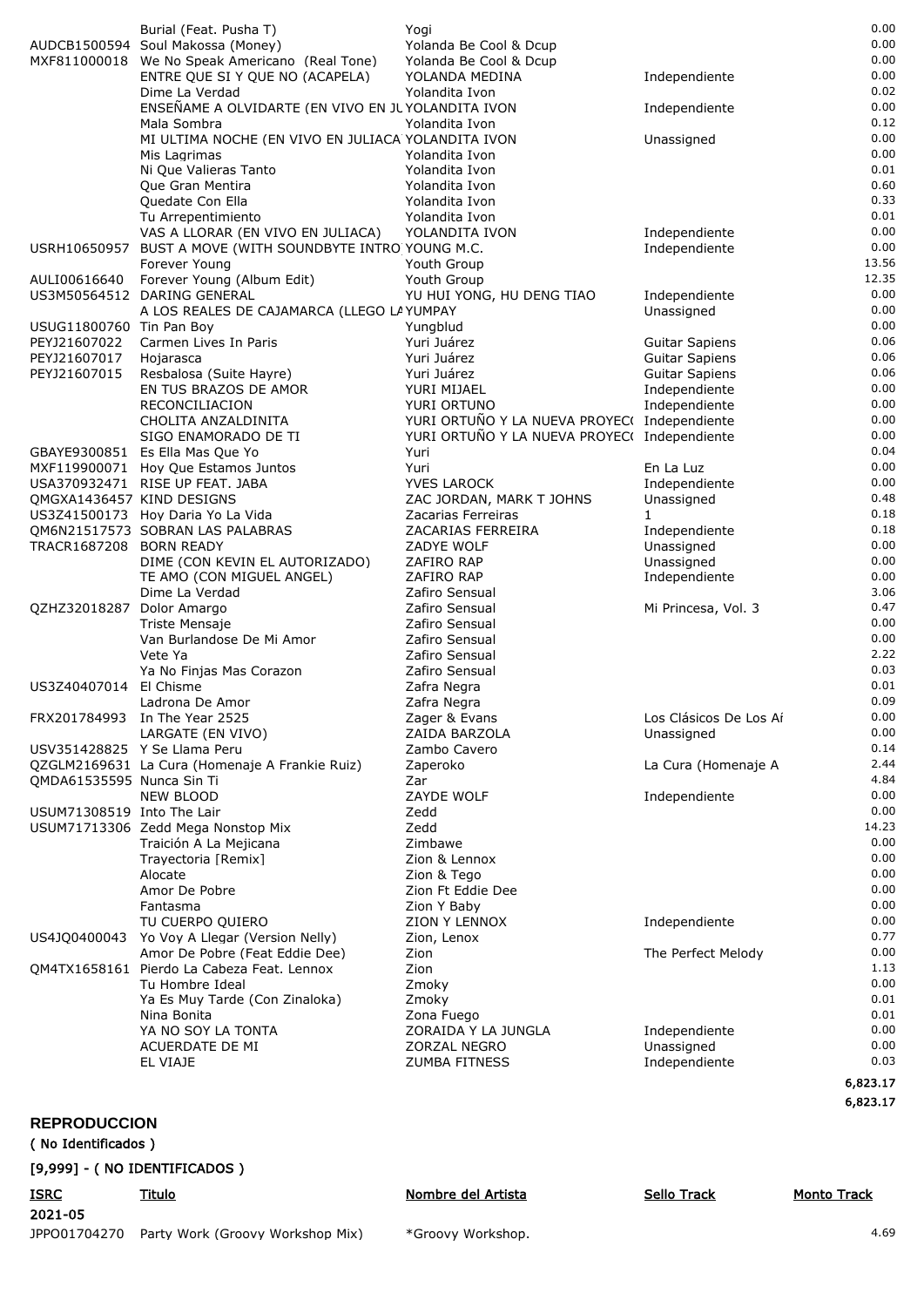|                            | Burial (Feat. Pusha T)                                    | Yogi                                           |                                | 0.00               |
|----------------------------|-----------------------------------------------------------|------------------------------------------------|--------------------------------|--------------------|
|                            | AUDCB1500594 Soul Makossa (Money)                         | Yolanda Be Cool & Dcup                         |                                | 0.00               |
|                            | MXF811000018 We No Speak Americano (Real Tone)            | Yolanda Be Cool & Dcup                         |                                | 0.00<br>0.00       |
|                            | ENTRE QUE SI Y QUE NO (ACAPELA)<br>Dime La Verdad         | YOLANDA MEDINA<br>Yolandita Ivon               | Independiente                  | 0.02               |
|                            | ENSEÑAME A OLVIDARTE (EN VIVO EN JUYOLANDITA IVON         |                                                | Independiente                  | 0.00               |
|                            | Mala Sombra                                               | Yolandita Ivon                                 |                                | 0.12               |
|                            | MI ULTIMA NOCHE (EN VIVO EN JULIACA YOLANDITA IVON        |                                                | Unassigned                     | 0.00               |
|                            | Mis Lagrimas                                              | Yolandita Ivon                                 |                                | 0.00               |
|                            | Ni Que Valieras Tanto<br>Que Gran Mentira                 | Yolandita Ivon<br>Yolandita Ivon               |                                | 0.01<br>0.60       |
|                            | Quedate Con Ella                                          | Yolandita Ivon                                 |                                | 0.33               |
|                            | Tu Arrepentimiento                                        | Yolandita Ivon                                 |                                | 0.01               |
|                            | VAS A LLORAR (EN VIVO EN JULIACA)                         | YOLANDITA IVON                                 | Independiente                  | 0.00               |
|                            | USRH10650957 BUST A MOVE (WITH SOUNDBYTE INTRO YOUNG M.C. |                                                | Independiente                  | 0.00               |
| AULI00616640               | Forever Young                                             | Youth Group                                    |                                | 13.56<br>12.35     |
|                            | Forever Young (Album Edit)<br>US3M50564512 DARING GENERAL | Youth Group<br>YU HUI YONG, HU DENG TIAO       | Independiente                  | 0.00               |
|                            | A LOS REALES DE CAJAMARCA (LLEGO LA YUMPAY                |                                                | Unassigned                     | 0.00               |
| USUG11800760 Tin Pan Boy   |                                                           | Yungblud                                       |                                | 0.00               |
| PEYJ21607022               | Carmen Lives In Paris                                     | Yuri Juárez                                    | <b>Guitar Sapiens</b>          | 0.06               |
| PEYJ21607017               | Hojarasca                                                 | Yuri Juárez                                    | <b>Guitar Sapiens</b>          | 0.06               |
| PEYJ21607015               | Resbalosa (Suite Hayre)<br>EN TUS BRAZOS DE AMOR          | Yuri Juárez<br>YURI MIJAEL                     | <b>Guitar Sapiens</b>          | 0.06<br>0.00       |
|                            | RECONCILIACION                                            | YURI ORTUNO                                    | Independiente<br>Independiente | 0.00               |
|                            | CHOLITA ANZALDINITA                                       | YURI ORTUÑO Y LA NUEVA PROYEC( Independiente   |                                | 0.00               |
|                            | SIGO ENAMORADO DE TI                                      | YURI ORTUÑO Y LA NUEVA PROYEC( Independiente   |                                | 0.00               |
|                            | GBAYE9300851 Es Ella Mas Que Yo                           | Yuri                                           |                                | 0.04               |
|                            | MXF119900071 Hoy Que Estamos Juntos                       | Yuri                                           | En La Luz                      | 0.00               |
| QMGXA1436457 KIND DESIGNS  | USA370932471 RISE UP FEAT. JABA                           | <b>YVES LAROCK</b><br>ZAC JORDAN, MARK T JOHNS | Independiente<br>Unassigned    | 0.00<br>0.48       |
|                            | US3Z41500173 Hoy Daria Yo La Vida                         | Zacarias Ferreiras                             | 1                              | 0.18               |
|                            | OM6N21517573 SOBRAN LAS PALABRAS                          | ZACARIAS FERREIRA                              | Independiente                  | 0.18               |
| TRACR1687208 BORN READY    |                                                           | ZADYE WOLF                                     | Unassigned                     | 0.00               |
|                            | DIME (CON KEVIN EL AUTORIZADO)                            | ZAFIRO RAP                                     | Unassigned                     | 0.00               |
|                            | TE AMO (CON MIGUEL ANGEL)                                 | ZAFIRO RAP                                     | Independiente                  | 0.00<br>3.06       |
| QZHZ32018287 Dolor Amargo  | Dime La Verdad                                            | Zafiro Sensual<br>Zafiro Sensual               | Mi Princesa, Vol. 3            | 0.47               |
|                            | Triste Mensaje                                            | Zafiro Sensual                                 |                                | 0.00               |
|                            | Van Burlandose De Mi Amor                                 | Zafiro Sensual                                 |                                | 0.00               |
|                            | Vete Ya                                                   | Zafiro Sensual                                 |                                | 2.22               |
|                            | Ya No Finjas Mas Corazon                                  | Zafiro Sensual                                 |                                | 0.03<br>0.01       |
| US3Z40407014               | El Chisme<br>Ladrona De Amor                              | Zafra Negra<br>Zafra Negra                     |                                | 0.09               |
|                            | FRX201784993 In The Year 2525                             | Zager & Evans                                  | Los Clásicos De Los Aí         | 0.0C               |
|                            | LARGATE (EN VIVO)                                         | ZAIDA BARZOLA                                  | Unassigned                     | 0.00               |
|                            | USV351428825 Y Se Llama Peru                              | Zambo Cavero                                   |                                | 0.14               |
|                            | QZGLM2169631 La Cura (Homenaje A Frankie Ruiz)            | Zaperoko                                       | La Cura (Homenaje A            | 2.44               |
| QMDA61535595 Nunca Sin Ti  | <b>NEW BLOOD</b>                                          | Zar<br>ZAYDE WOLF                              | Independiente                  | 4.84<br>0.00       |
| USUM71308519 Into The Lair |                                                           | Zedd                                           |                                | 0.00               |
|                            | USUM71713306 Zedd Mega Nonstop Mix                        | Zedd                                           |                                | 14.23              |
|                            | Traición A La Mejicana                                    | Zimbawe                                        |                                | 0.00               |
|                            | Trayectoria [Remix]                                       | Zion & Lennox                                  |                                | 0.00               |
|                            | Alocate                                                   | Zion & Tego                                    |                                | 0.00               |
|                            | Amor De Pobre<br>Fantasma                                 | Zion Ft Eddie Dee<br>Zion Y Baby               |                                | 0.00<br>0.00       |
|                            | TU CUERPO QUIERO                                          | ZION Y LENNOX                                  | Independiente                  | 0.00               |
| US4JQ0400043               | Yo Voy A Llegar (Version Nelly)                           | Zion, Lenox                                    |                                | 0.77               |
|                            | Amor De Pobre (Feat Eddie Dee)                            | Zion                                           | The Perfect Melody             | 0.00               |
|                            | QM4TX1658161 Pierdo La Cabeza Feat. Lennox                | Zion                                           |                                | 1.13               |
|                            | Tu Hombre Ideal                                           | Zmoky<br>Zmoky                                 |                                | 0.00<br>0.01       |
|                            | Ya Es Muy Tarde (Con Zinaloka)<br>Nina Bonita             | Zona Fuego                                     |                                | 0.01               |
|                            | YA NO SOY LA TONTA                                        | ZORAIDA Y LA JUNGLA                            | Independiente                  | 0.00               |
|                            | ACUERDATE DE MI                                           | ZORZAL NEGRO                                   | Unassigned                     | 0.00               |
|                            | EL VIAJE                                                  | <b>ZUMBA FITNESS</b>                           | Independiente                  | 0.03               |
|                            |                                                           |                                                |                                | 6,823.17           |
|                            |                                                           |                                                |                                | 6,823.17           |
| <b>REPRODUCCION</b>        |                                                           |                                                |                                |                    |
| (No Identificados)         |                                                           |                                                |                                |                    |
|                            | [9,999] - ( NO IDENTIFICADOS )                            |                                                |                                |                    |
| <b>ISRC</b>                | Titulo                                                    | Nombre del Artista                             | <b>Sello Track</b>             | <b>Monto Track</b> |
|                            |                                                           |                                                |                                |                    |

JPPO01704270 Party Work (Groovy Workshop Mix) 4.69 \*Groovy Workshop.

2021-05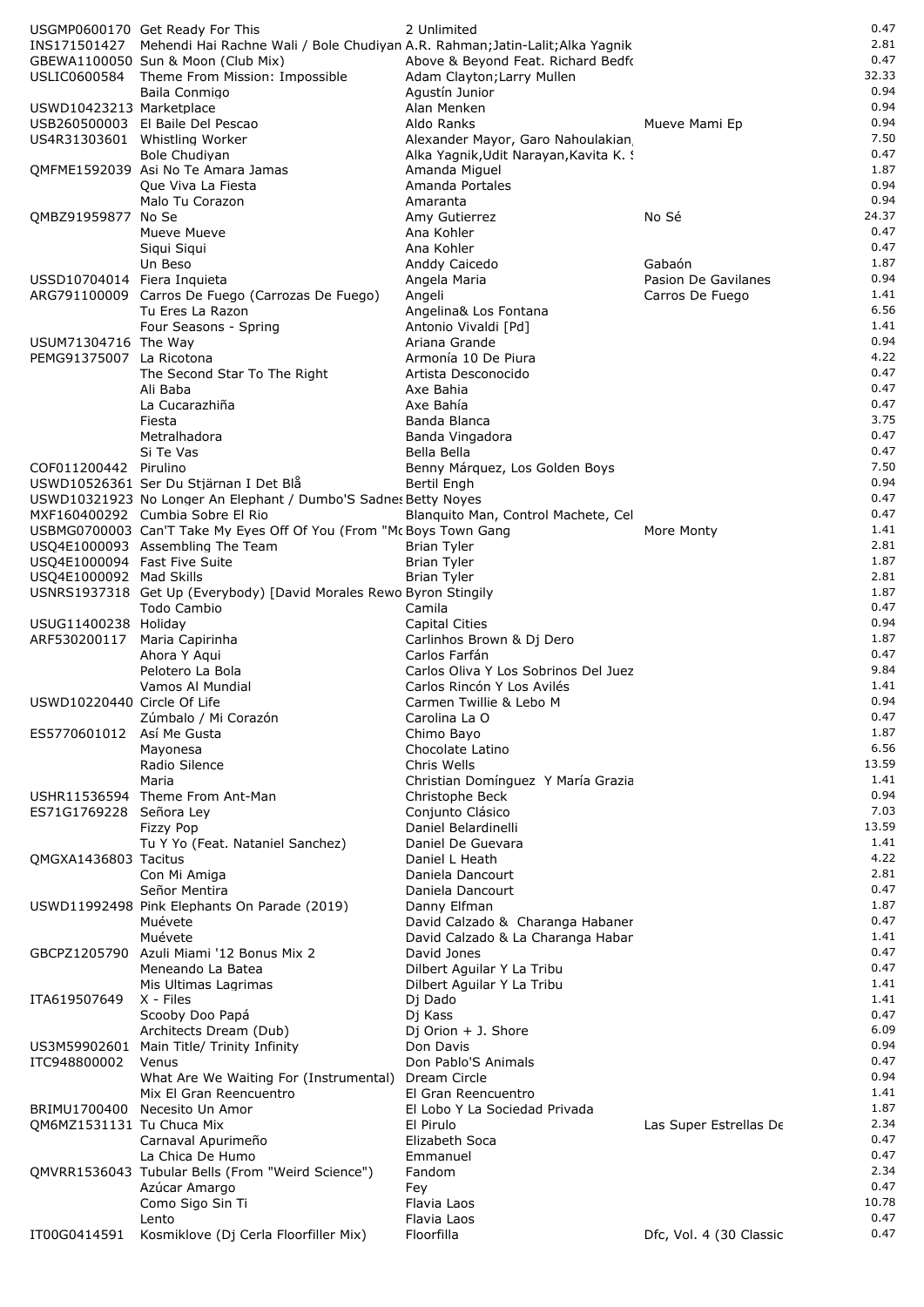|                              | USGMP0600170 Get Ready For This                                                            | 2 Unlimited                                          |                         | 0.47         |
|------------------------------|--------------------------------------------------------------------------------------------|------------------------------------------------------|-------------------------|--------------|
|                              | INS171501427 Mehendi Hai Rachne Wali / Bole Chudiyan A.R. Rahman; Jatin-Lalit; Alka Yagnik |                                                      |                         | 2.81         |
|                              | GBEWA1100050 Sun & Moon (Club Mix)                                                         | Above & Beyond Feat. Richard Bedfo                   |                         | 0.47         |
|                              | USLIC0600584 Theme From Mission: Impossible                                                | Adam Clayton; Larry Mullen                           |                         | 32.33        |
|                              | Baila Conmigo                                                                              | Agustín Junior                                       |                         | 0.94         |
| USWD10423213 Marketplace     |                                                                                            | Alan Menken                                          |                         | 0.94         |
|                              | USB260500003 El Baile Del Pescao                                                           | Aldo Ranks                                           | Mueve Mami Ep           | 0.94         |
|                              | US4R31303601 Whistling Worker                                                              | Alexander Mayor, Garo Nahoulakian                    |                         | 7.50         |
|                              | <b>Bole Chudiyan</b>                                                                       | Alka Yagnik, Udit Narayan, Kavita K. !               |                         | 0.47         |
|                              | QMFME1592039 Asi No Te Amara Jamas                                                         | Amanda Miguel                                        |                         | 1.87         |
|                              | Que Viva La Fiesta                                                                         | Amanda Portales                                      |                         | 0.94         |
|                              | Malo Tu Corazon                                                                            | Amaranta                                             |                         | 0.94         |
| QMBZ91959877 No Se           |                                                                                            | Amy Gutierrez                                        | No Sé                   | 24.37        |
|                              | Mueve Mueve                                                                                | Ana Kohler                                           |                         | 0.47         |
|                              | Siqui Siqui                                                                                | Ana Kohler                                           |                         | 0.47         |
|                              | Un Beso                                                                                    | Anddy Caicedo                                        | Gabaón                  | 1.87<br>0.94 |
| USSD10704014 Fiera Inquieta  |                                                                                            | Angela Maria                                         | Pasion De Gavilanes     | 1.41         |
|                              | ARG791100009 Carros De Fuego (Carrozas De Fuego)                                           | Angeli<br>Angelina& Los Fontana                      | Carros De Fuego         | 6.56         |
|                              | Tu Eres La Razon<br>Four Seasons - Spring                                                  | Antonio Vivaldi [Pd]                                 |                         | 1.41         |
| USUM71304716 The Way         |                                                                                            | Ariana Grande                                        |                         | 0.94         |
| PEMG91375007 La Ricotona     |                                                                                            | Armonía 10 De Piura                                  |                         | 4.22         |
|                              | The Second Star To The Right                                                               | Artista Desconocido                                  |                         | 0.47         |
|                              | Ali Baba                                                                                   | Axe Bahia                                            |                         | 0.47         |
|                              | La Cucarazhiña                                                                             | Axe Bahía                                            |                         | 0.47         |
|                              | Fiesta                                                                                     | Banda Blanca                                         |                         | 3.75         |
|                              | Metralhadora                                                                               | Banda Vingadora                                      |                         | 0.47         |
|                              | Si Te Vas                                                                                  | Bella Bella                                          |                         | 0.47         |
| COF011200442 Pirulino        |                                                                                            | Benny Márquez, Los Golden Boys                       |                         | 7.50         |
|                              | USWD10526361 Ser Du Stjärnan I Det Blå                                                     | Bertil Engh                                          |                         | 0.94         |
|                              | USWD10321923 No Longer An Elephant / Dumbo'S Sadnes Betty Noyes                            |                                                      |                         | 0.47         |
|                              | MXF160400292 Cumbia Sobre El Rio                                                           | Blanquito Man, Control Machete, Cel                  |                         | 0.47         |
|                              | USBMG0700003 Can'T Take My Eyes Off Of You (From "Mc Boys Town Gang                        |                                                      | More Monty              | 1.41         |
|                              | USQ4E1000093 Assembling The Team                                                           | <b>Brian Tyler</b>                                   |                         | 2.81         |
| USQ4E1000094 Fast Five Suite |                                                                                            | <b>Brian Tyler</b>                                   |                         | 1.87         |
| USQ4E1000092 Mad Skills      |                                                                                            | <b>Brian Tyler</b>                                   |                         | 2.81         |
|                              | USNRS1937318 Get Up (Everybody) [David Morales Rewo Byron Stingily                         |                                                      |                         | 1.87         |
|                              | Todo Cambio                                                                                | Camila                                               |                         | 0.47         |
| USUG11400238 Holiday         |                                                                                            | <b>Capital Cities</b>                                |                         | 0.94         |
| ARF530200117                 | Maria Capirinha                                                                            | Carlinhos Brown & Dj Dero                            |                         | 1.87         |
|                              | Ahora Y Agui                                                                               | Carlos Farfán                                        |                         | 0.47         |
|                              | Pelotero La Bola                                                                           | Carlos Oliva Y Los Sobrinos Del Juez                 |                         | 9.84         |
|                              | Vamos Al Mundial                                                                           | Carlos Rincón Y Los Avilés                           |                         | 1.41<br>0.94 |
| USWD10220440 Circle Of Life  |                                                                                            | Carmen Twillie & Lebo M                              |                         | 0.47         |
| ES5770601012 Así Me Gusta    | Zúmbalo / Mi Corazón                                                                       | Carolina La O<br>Chimo Bayo                          |                         | 1.87         |
|                              | Mayonesa                                                                                   | Chocolate Latino                                     |                         | 6.56         |
|                              | Radio Silence                                                                              | Chris Wells                                          |                         | 13.59        |
|                              | Maria                                                                                      | Christian Domínguez Y María Grazia                   |                         | 1.41         |
|                              | USHR11536594 Theme From Ant-Man                                                            | Christophe Beck                                      |                         | 0.94         |
| ES71G1769228 Señora Ley      |                                                                                            | Conjunto Clásico                                     |                         | 7.03         |
|                              | <b>Fizzy Pop</b>                                                                           | Daniel Belardinelli                                  |                         | 13.59        |
|                              | Tu Y Yo (Feat. Nataniel Sanchez)                                                           | Daniel De Guevara                                    |                         | 1.41         |
| QMGXA1436803 Tacitus         |                                                                                            | Daniel L Heath                                       |                         | 4.22         |
|                              | Con Mi Amiga                                                                               | Daniela Dancourt                                     |                         | 2.81         |
|                              | Señor Mentira                                                                              | Daniela Dancourt                                     |                         | 0.47         |
|                              | USWD11992498 Pink Elephants On Parade (2019)                                               | Danny Elfman                                         |                         | 1.87         |
|                              | Muévete                                                                                    | David Calzado & Charanga Habaner                     |                         | 0.47         |
|                              | Muévete                                                                                    | David Calzado & La Charanga Habar                    |                         | 1.41         |
|                              | GBCPZ1205790 Azuli Miami '12 Bonus Mix 2                                                   | David Jones                                          |                         | 0.47         |
|                              | Meneando La Batea                                                                          | Dilbert Aguilar Y La Tribu                           |                         | 0.47         |
|                              | Mis Ultimas Lagrimas                                                                       | Dilbert Aguilar Y La Tribu                           |                         | 1.41         |
| ITA619507649                 | X - Files                                                                                  | Dj Dado                                              |                         | 1.41         |
|                              | Scooby Doo Papá                                                                            | Dj Kass                                              |                         | 0.47         |
|                              | Architects Dream (Dub)                                                                     | Dj Orion + J. Shore                                  |                         | 6.09         |
| US3M59902601                 | Main Title/ Trinity Infinity                                                               | Don Davis                                            |                         | 0.94         |
| ITC948800002                 | Venus                                                                                      | Don Pablo'S Animals                                  |                         | 0.47<br>0.94 |
|                              | What Are We Waiting For (Instrumental)                                                     | Dream Circle                                         |                         | 1.41         |
| BRIMU1700400                 | Mix El Gran Reencuentro<br>Necesito Un Amor                                                | El Gran Reencuentro<br>El Lobo Y La Sociedad Privada |                         | 1.87         |
| QM6MZ1531131 Tu Chuca Mix    |                                                                                            | El Pirulo                                            | Las Super Estrellas De  | 2.34         |
|                              | Carnaval Apurimeño                                                                         | Elizabeth Soca                                       |                         | 0.47         |
|                              | La Chica De Humo                                                                           | Emmanuel                                             |                         | 0.47         |
|                              | QMVRR1536043 Tubular Bells (From "Weird Science")                                          | Fandom                                               |                         | 2.34         |
|                              | Azúcar Amargo                                                                              | Fey                                                  |                         | 0.47         |
|                              | Como Sigo Sin Ti                                                                           | Flavia Laos                                          |                         | 10.78        |
|                              | Lento                                                                                      | Flavia Laos                                          |                         | 0.47         |
| IT00G0414591                 | Kosmiklove (Dj Cerla Floorfiller Mix)                                                      | Floorfilla                                           | Dfc, Vol. 4 (30 Classic | 0.47         |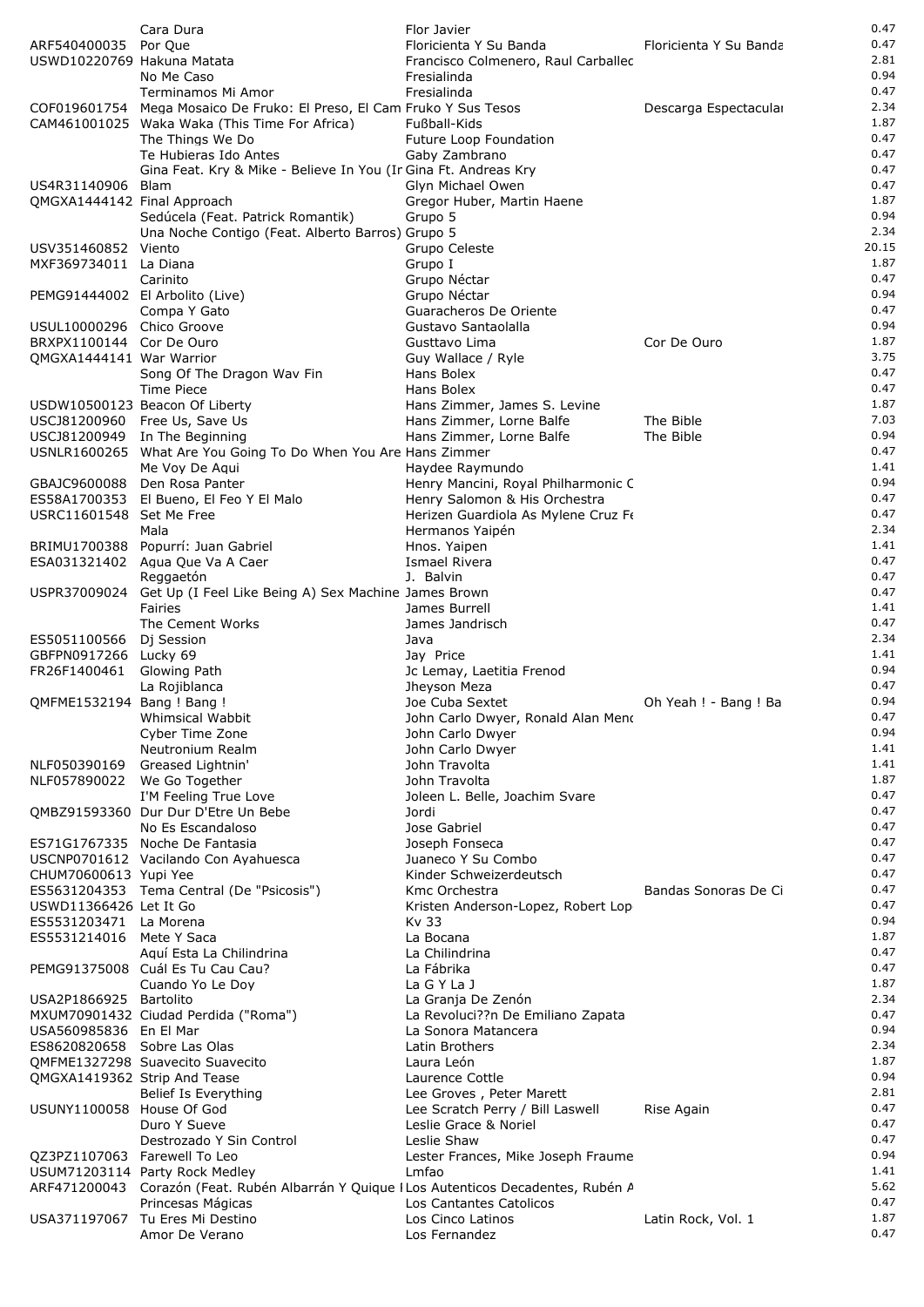|                              | Cara Dura                                                                                | Flor Javier                                 |                        | 0.47  |
|------------------------------|------------------------------------------------------------------------------------------|---------------------------------------------|------------------------|-------|
| ARF540400035 Por Que         |                                                                                          | Floricienta Y Su Banda                      | Floricienta Y Su Banda | 0.47  |
| USWD10220769 Hakuna Matata   |                                                                                          | Francisco Colmenero, Raul Carballec         |                        | 2.81  |
|                              | No Me Caso                                                                               | Fresialinda                                 |                        | 0.94  |
|                              | Terminamos Mi Amor                                                                       | Fresialinda                                 |                        | 0.47  |
|                              | COF019601754 Mega Mosaico De Fruko: El Preso, El Cam Fruko Y Sus Tesos                   |                                             | Descarga Espectacular  | 2.34  |
|                              | CAM461001025 Waka Waka (This Time For Africa)                                            | Fußball-Kids                                |                        | 1.87  |
|                              | The Things We Do                                                                         | Future Loop Foundation                      |                        | 0.47  |
|                              | Te Hubieras Ido Antes                                                                    | Gaby Zambrano                               |                        | 0.47  |
|                              | Gina Feat. Kry & Mike - Believe In You (In Gina Ft. Andreas Kry                          |                                             |                        | 0.47  |
| US4R31140906 Blam            |                                                                                          | Glyn Michael Owen                           |                        | 0.47  |
| QMGXA1444142 Final Approach  |                                                                                          | Gregor Huber, Martin Haene                  |                        | 1.87  |
|                              | Sedúcela (Feat. Patrick Romantik)                                                        | Grupo 5                                     |                        | 0.94  |
|                              | Una Noche Contigo (Feat. Alberto Barros) Grupo 5                                         |                                             |                        | 2.34  |
| USV351460852 Viento          |                                                                                          | Grupo Celeste                               |                        | 20.15 |
| MXF369734011 La Diana        |                                                                                          | Grupo I                                     |                        | 1.87  |
|                              | Carinito                                                                                 | Grupo Néctar                                |                        | 0.47  |
|                              | PEMG91444002 El Arbolito (Live)                                                          | Grupo Néctar                                |                        | 0.94  |
|                              | Compa Y Gato                                                                             | Guaracheros De Oriente                      |                        | 0.47  |
| USUL10000296 Chico Groove    |                                                                                          | Gustavo Santaolalla                         |                        | 0.94  |
| BRXPX1100144 Cor De Ouro     |                                                                                          | Gusttavo Lima                               | Cor De Ouro            | 1.87  |
| QMGXA1444141 War Warrior     |                                                                                          | Guy Wallace / Ryle                          |                        | 3.75  |
|                              | Song Of The Dragon Wav Fin                                                               | Hans Bolex                                  |                        | 0.47  |
|                              | Time Piece                                                                               | Hans Bolex                                  |                        | 0.47  |
|                              | USDW10500123 Beacon Of Liberty                                                           | Hans Zimmer, James S. Levine                |                        | 1.87  |
|                              | USCJ81200960 Free Us, Save Us                                                            | Hans Zimmer, Lorne Balfe                    | The Bible              | 7.03  |
|                              | USCJ81200949 In The Beginning                                                            | Hans Zimmer, Lorne Balfe                    | The Bible              | 0.94  |
|                              |                                                                                          |                                             |                        | 0.47  |
|                              | USNLR1600265 What Are You Going To Do When You Are Hans Zimmer<br>Me Voy De Aqui         | Haydee Raymundo                             |                        | 1.41  |
|                              |                                                                                          |                                             |                        | 0.94  |
|                              | GBAJC9600088 Den Rosa Panter                                                             | Henry Mancini, Royal Philharmonic C         |                        |       |
| ES58A1700353                 | El Bueno, El Feo Y El Malo                                                               | Henry Salomon & His Orchestra               |                        | 0.47  |
| USRC11601548 Set Me Free     |                                                                                          | Herizen Guardiola As Mylene Cruz Fe         |                        | 0.47  |
|                              | Mala                                                                                     | Hermanos Yaipén                             |                        | 2.34  |
|                              | BRIMU1700388 Popurrí: Juan Gabriel                                                       | Hnos. Yaipen                                |                        | 1.41  |
|                              | ESA031321402 Agua Que Va A Caer                                                          | Ismael Rivera                               |                        | 0.47  |
|                              | Reggaetón                                                                                | J. Balvin                                   |                        | 0.47  |
| USPR37009024                 | Get Up (I Feel Like Being A) Sex Machine James Brown                                     |                                             |                        | 0.47  |
|                              | Fairies                                                                                  | James Burrell                               |                        | 1.41  |
|                              | The Cement Works                                                                         | James Jandrisch                             |                        | 0.47  |
| ES5051100566 Di Session      |                                                                                          | Java                                        |                        | 2.34  |
| GBFPN0917266 Lucky 69        |                                                                                          | Jay Price                                   |                        | 1.41  |
| FR26F1400461 Glowing Path    |                                                                                          | Jc Lemay, Laetitia Frenod                   |                        | 0.94  |
|                              | La Rojiblanca                                                                            | Jheyson Meza                                |                        | 0.47  |
| OMFME1532194 Bang ! Bang !   |                                                                                          | Joe Cuba Sextet                             | Oh Yeah ! - Bang ! Ba  | 0.94  |
|                              | Whimsical Wabbit                                                                         | John Carlo Dwyer, Ronald Alan Meno          |                        | 0.47  |
|                              | Cyber Time Zone                                                                          | John Carlo Dwyer                            |                        | 0.94  |
|                              | Neutronium Realm                                                                         | John Carlo Dwyer                            |                        | 1.41  |
| NLF050390169                 | Greased Lightnin'                                                                        | John Travolta                               |                        | 1.41  |
| NLF057890022 We Go Together  |                                                                                          | John Travolta                               |                        | 1.87  |
|                              | I'M Feeling True Love                                                                    | Joleen L. Belle, Joachim Svare              |                        | 0.47  |
|                              | OMBZ91593360 Dur Dur D'Etre Un Bebe                                                      | Jordi                                       |                        | 0.47  |
|                              | No Es Escandaloso                                                                        | Jose Gabriel                                |                        | 0.47  |
|                              | ES71G1767335 Noche De Fantasia                                                           | Joseph Fonseca                              |                        | 0.47  |
|                              | USCNP0701612 Vacilando Con Ayahuesca                                                     | Juaneco Y Su Combo                          |                        | 0.47  |
| CHUM70600613 Yupi Yee        |                                                                                          | Kinder Schweizerdeutsch                     |                        | 0.47  |
|                              | ES5631204353 Tema Central (De "Psicosis")                                                | Kmc Orchestra                               | Bandas Sonoras De Ci   | 0.47  |
| USWD11366426 Let It Go       |                                                                                          | Kristen Anderson-Lopez, Robert Lop          |                        | 0.47  |
| ES5531203471 La Morena       |                                                                                          | Kv 33                                       |                        | 0.94  |
| ES5531214016 Mete Y Saca     |                                                                                          | La Bocana                                   |                        | 1.87  |
|                              | Aquí Esta La Chilindrina                                                                 | La Chilindrina                              |                        | 0.47  |
|                              | PEMG91375008 Cuál Es Tu Cau Cau?                                                         | La Fábrika                                  |                        | 0.47  |
|                              | Cuando Yo Le Doy                                                                         | La G Y La J                                 |                        | 1.87  |
| USA2P1866925 Bartolito       |                                                                                          | La Granja De Zenón                          |                        | 2.34  |
|                              | MXUM70901432 Ciudad Perdida ("Roma")                                                     | La Revoluci??n De Emiliano Zapata           |                        | 0.47  |
| USA560985836 En El Mar       |                                                                                          | La Sonora Matancera                         |                        | 0.94  |
| ES8620820658 Sobre Las Olas  |                                                                                          | Latin Brothers                              |                        | 2.34  |
|                              | OMFME1327298 Suavecito Suavecito                                                         | Laura León                                  |                        | 1.87  |
| QMGXA1419362 Strip And Tease |                                                                                          | Laurence Cottle                             |                        | 0.94  |
|                              | Belief Is Everything                                                                     | Lee Groves, Peter Marett                    |                        | 2.81  |
| USUNY1100058 House Of God    |                                                                                          | Lee Scratch Perry / Bill Laswell            | Rise Again             | 0.47  |
|                              | Duro Y Sueve                                                                             | Leslie Grace & Noriel                       |                        | 0.47  |
|                              | Destrozado Y Sin Control                                                                 | Leslie Shaw                                 |                        | 0.47  |
| QZ3PZ1107063 Farewell To Leo |                                                                                          |                                             |                        | 0.94  |
|                              | USUM71203114 Party Rock Medley                                                           | Lester Frances, Mike Joseph Fraume<br>Lmfao |                        | 1.41  |
|                              | ARF471200043 Corazón (Feat. Rubén Albarrán Y Quique I Los Autenticos Decadentes, Rubén A |                                             |                        | 5.62  |
|                              | Princesas Mágicas                                                                        | Los Cantantes Catolicos                     |                        | 0.47  |
|                              | USA371197067 Tu Eres Mi Destino                                                          |                                             |                        | 1.87  |
|                              | Amor De Verano                                                                           | Los Cinco Latinos<br>Los Fernandez          | Latin Rock, Vol. 1     | 0.47  |
|                              |                                                                                          |                                             |                        |       |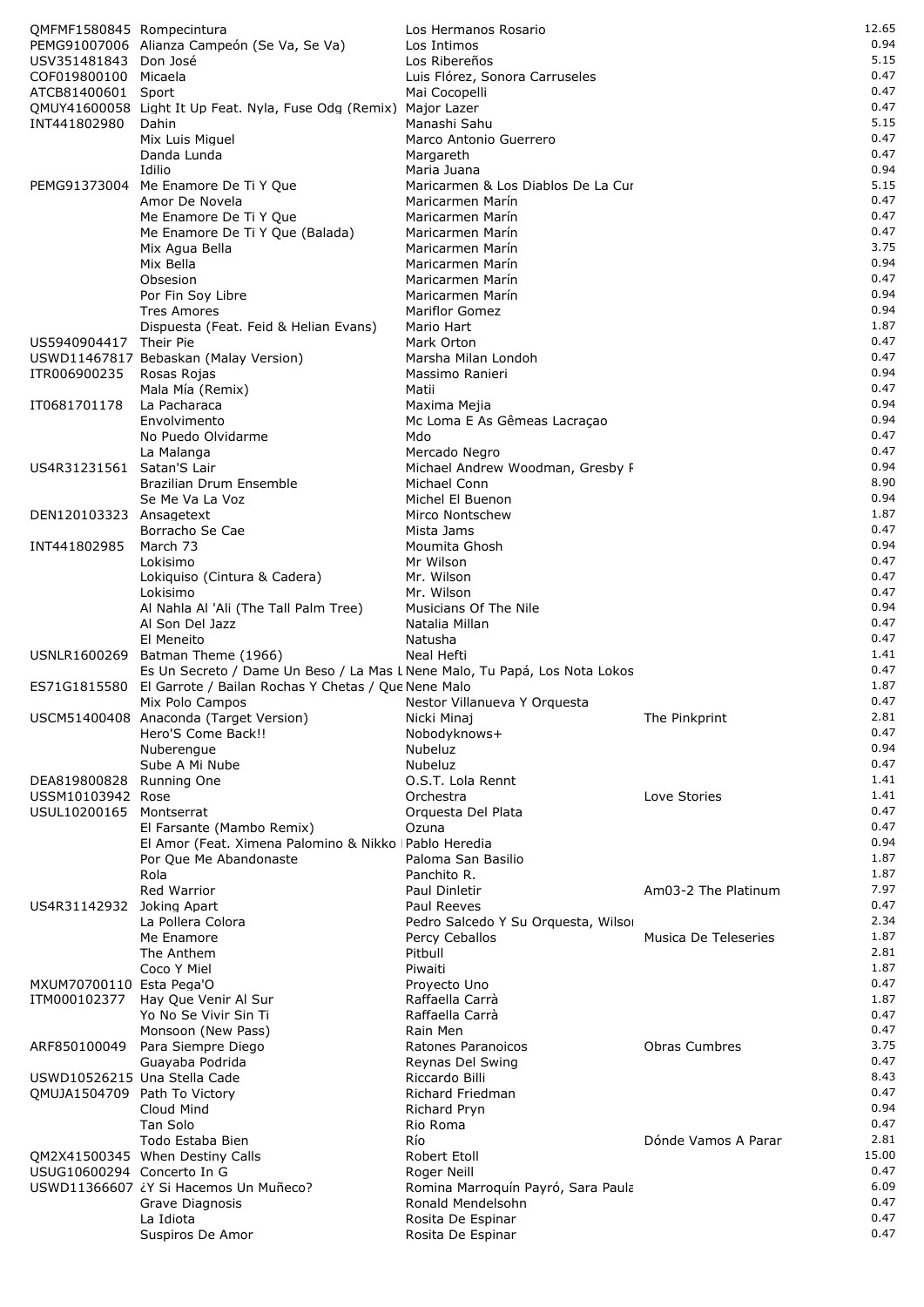| QMFMF1580845 Rompecintura                     |                                                                                                                | Los Hermanos Rosario                               |                      | 12.65         |
|-----------------------------------------------|----------------------------------------------------------------------------------------------------------------|----------------------------------------------------|----------------------|---------------|
|                                               | PEMG91007006 Alianza Campeón (Se Va, Se Va)                                                                    | Los Intimos                                        |                      | 0.94          |
| USV351481843 Don José                         |                                                                                                                | Los Ribereños                                      |                      | 5.15          |
| COF019800100 Micaela                          |                                                                                                                | Luis Flórez, Sonora Carruseles                     |                      | 0.47          |
| ATCB81400601 Sport                            | QMUY41600058 Light It Up Feat. Nyla, Fuse Odg (Remix) Major Lazer                                              | Mai Cocopelli                                      |                      | 0.47<br>0.47  |
| INT441802980                                  | Dahin                                                                                                          | Manashi Sahu                                       |                      | 5.15          |
|                                               | Mix Luis Miguel                                                                                                | Marco Antonio Guerrero                             |                      | 0.47          |
|                                               | Danda Lunda                                                                                                    | Margareth                                          |                      | 0.47          |
|                                               | Idilio                                                                                                         | Maria Juana                                        |                      | 0.94          |
|                                               | PEMG91373004 Me Enamore De Ti Y Que                                                                            | Maricarmen & Los Diablos De La Cur                 |                      | 5.15          |
|                                               | Amor De Novela                                                                                                 | Maricarmen Marín                                   |                      | 0.47          |
|                                               | Me Enamore De Ti Y Que                                                                                         | Maricarmen Marín                                   |                      | 0.47          |
|                                               | Me Enamore De Ti Y Que (Balada)<br>Mix Agua Bella                                                              | Maricarmen Marín<br>Maricarmen Marín               |                      | 0.47<br>3.75  |
|                                               | Mix Bella                                                                                                      | Maricarmen Marín                                   |                      | 0.94          |
|                                               | Obsesion                                                                                                       | Maricarmen Marín                                   |                      | 0.47          |
|                                               | Por Fin Soy Libre                                                                                              | Maricarmen Marín                                   |                      | 0.94          |
|                                               | <b>Tres Amores</b>                                                                                             | <b>Mariflor Gomez</b>                              |                      | 0.94          |
|                                               | Dispuesta (Feat. Feid & Helian Evans)                                                                          | Mario Hart                                         |                      | 1.87          |
| US5940904417 Their Pie                        |                                                                                                                | Mark Orton                                         |                      | 0.47          |
|                                               | USWD11467817 Bebaskan (Malay Version)                                                                          | Marsha Milan Londoh                                |                      | 0.47<br>0.94  |
| ITR006900235                                  | Rosas Rojas<br>Mala Mía (Remix)                                                                                | Massimo Ranieri<br>Matii                           |                      | 0.47          |
| IT0681701178                                  | La Pacharaca                                                                                                   | Maxima Mejia                                       |                      | 0.94          |
|                                               | Envolvimento                                                                                                   | Mc Loma E As Gêmeas Lacraçao                       |                      | 0.94          |
|                                               | No Puedo Olvidarme                                                                                             | Mdo                                                |                      | 0.47          |
|                                               | La Malanga                                                                                                     | Mercado Negro                                      |                      | 0.47          |
| US4R31231561                                  | Satan'S Lair                                                                                                   | Michael Andrew Woodman, Gresby F                   |                      | 0.94          |
|                                               | Brazilian Drum Ensemble                                                                                        | Michael Conn                                       |                      | 8.90          |
|                                               | Se Me Va La Voz                                                                                                | Michel El Buenon                                   |                      | 0.94<br>1.87  |
| DEN120103323 Ansagetext                       | Borracho Se Cae                                                                                                | Mirco Nontschew<br>Mista Jams                      |                      | 0.47          |
| INT441802985                                  | March 73                                                                                                       | Moumita Ghosh                                      |                      | 0.94          |
|                                               | Lokisimo                                                                                                       | Mr Wilson                                          |                      | 0.47          |
|                                               | Lokiquiso (Cintura & Cadera)                                                                                   | Mr. Wilson                                         |                      | 0.47          |
|                                               | Lokisimo                                                                                                       | Mr. Wilson                                         |                      | 0.47          |
|                                               | Al Nahla Al 'Ali (The Tall Palm Tree)                                                                          | Musicians Of The Nile                              |                      | 0.94          |
|                                               | Al Son Del Jazz                                                                                                | Natalia Millan                                     |                      | 0.47          |
|                                               | El Meneito                                                                                                     | Natusha<br>Neal Hefti                              |                      | 0.47<br>1.41  |
|                                               | USNLR1600269 Batman Theme (1966)<br>Es Un Secreto / Dame Un Beso / La Mas L Nene Malo, Tu Papá, Los Nota Lokos |                                                    |                      | 0.47          |
|                                               | ES71G1815580 El Garrote / Bailan Rochas Y Chetas / Que Nene Malo                                               |                                                    |                      | 1.87          |
|                                               | Mix Polo Campos                                                                                                | Nestor Villanueva Y Orquesta                       |                      | 0.47          |
|                                               | USCM51400408 Anaconda (Target Version)                                                                         | Nicki Minaj                                        | The Pinkprint        | 2.81          |
|                                               | Hero'S Come Back!!                                                                                             | Nobodyknows+                                       |                      | 0.47          |
|                                               | Nuberengue                                                                                                     | <b>Nubeluz</b>                                     |                      | 0.94          |
|                                               | Sube A Mi Nube                                                                                                 | Nubeluz<br>O.S.T. Lola Rennt                       |                      | 0.47<br>1.41  |
| DEA819800828 Running One<br>USSM10103942 Rose |                                                                                                                | Orchestra                                          | Love Stories         | 1.41          |
| USUL10200165                                  | Montserrat                                                                                                     | Orquesta Del Plata                                 |                      | 0.47          |
|                                               | El Farsante (Mambo Remix)                                                                                      | Ozuna                                              |                      | 0.47          |
|                                               | El Amor (Feat. Ximena Palomino & Nikko   Pablo Heredia                                                         |                                                    |                      | 0.94          |
|                                               | Por Que Me Abandonaste                                                                                         | Paloma San Basilio                                 |                      | 1.87          |
|                                               | Rola                                                                                                           | Panchito R.                                        |                      | 1.87          |
|                                               | Red Warrior                                                                                                    | Paul Dinletir                                      | Am03-2 The Platinum  | 7.97          |
| US4R31142932                                  | Joking Apart<br>La Pollera Colora                                                                              | Paul Reeves<br>Pedro Salcedo Y Su Orquesta, Wilsor |                      | 0.47<br>2.34  |
|                                               | Me Enamore                                                                                                     | Percy Ceballos                                     | Musica De Teleseries | 1.87          |
|                                               | The Anthem                                                                                                     | Pitbull                                            |                      | 2.81          |
|                                               | Coco Y Miel                                                                                                    | Piwaiti                                            |                      | 1.87          |
| MXUM70700110 Esta Pega'O                      |                                                                                                                | Proyecto Uno                                       |                      | 0.47          |
| ITM000102377                                  | Hay Que Venir Al Sur                                                                                           | Raffaella Carrà                                    |                      | 1.87          |
|                                               | Yo No Se Vivir Sin Ti                                                                                          | Raffaella Carrà                                    |                      | 0.47          |
| ARF850100049                                  | Monsoon (New Pass)<br>Para Siempre Diego                                                                       | Rain Men<br>Ratones Paranoicos                     | <b>Obras Cumbres</b> | 0.47<br>3.75  |
|                                               | Guayaba Podrida                                                                                                | Reynas Del Swing                                   |                      | 0.47          |
| USWD10526215 Una Stella Cade                  |                                                                                                                | Riccardo Billi                                     |                      | 8.43          |
| QMUJA1504709 Path To Victory                  |                                                                                                                | Richard Friedman                                   |                      | 0.47          |
|                                               | Cloud Mind                                                                                                     | Richard Pryn                                       |                      | 0.94          |
|                                               | Tan Solo                                                                                                       | Rio Roma                                           |                      | 0.47          |
|                                               | Todo Estaba Bien                                                                                               | Río                                                | Dónde Vamos A Parar  | 2.81          |
|                                               | QM2X41500345 When Destiny Calls                                                                                | Robert Etoll                                       |                      | 15.00<br>0.47 |
| USUG10600294 Concerto In G                    | USWD11366607 ¿Y Si Hacemos Un Muñeco?                                                                          | Roger Neill<br>Romina Marroquín Payró, Sara Paula  |                      | 6.09          |
|                                               | Grave Diagnosis                                                                                                | Ronald Mendelsohn                                  |                      | 0.47          |
|                                               | La Idiota                                                                                                      | Rosita De Espinar                                  |                      | 0.47          |
|                                               | Suspiros De Amor                                                                                               | Rosita De Espinar                                  |                      | 0.47          |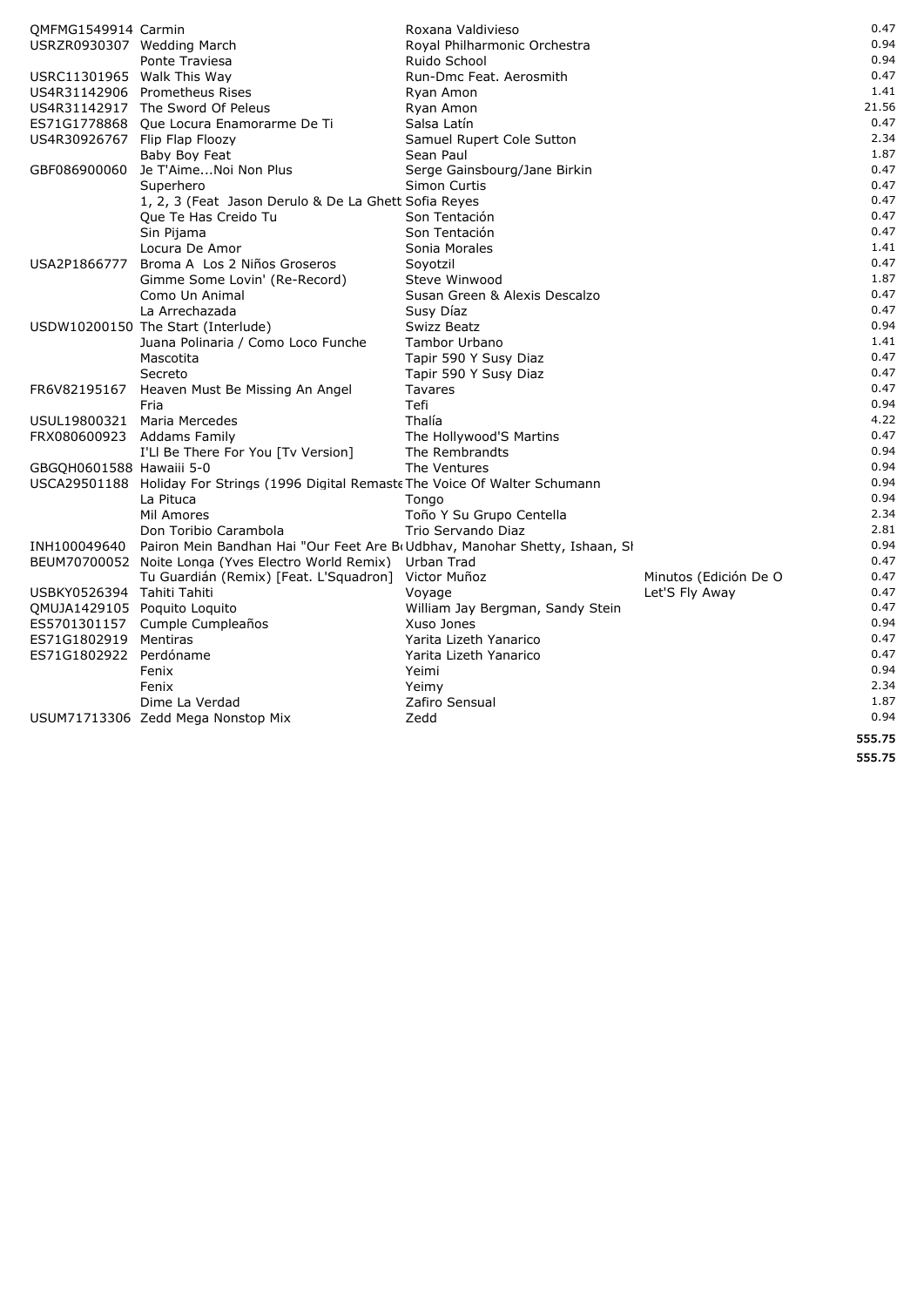|                               | BEUM70700052 Noite Longa (Yves Electro World Remix) Urban Trad                      |                               |                       | 0.47  |
|-------------------------------|-------------------------------------------------------------------------------------|-------------------------------|-----------------------|-------|
|                               | Tu Guardián (Remix) [Feat. L'Squadron] Victor Muñoz                                 |                               | Minutos (Edición De O | 0.47  |
|                               |                                                                                     |                               |                       |       |
| INH100049640                  | Pairon Mein Bandhan Hai "Our Feet Are B(Udbhav, Manohar Shetty, Ishaan, SI          |                               |                       | 0.94  |
|                               | Don Toribio Carambola                                                               | Trio Servando Diaz            |                       | 2.81  |
|                               | Mil Amores                                                                          | Toño Y Su Grupo Centella      |                       | 2.34  |
|                               | La Pituca                                                                           | Tongo                         |                       | 0.94  |
|                               | USCA29501188 Holiday For Strings (1996 Digital Remaste The Voice Of Walter Schumann |                               |                       | 0.94  |
| GBGOH0601588 Hawaiii 5-0      |                                                                                     | The Ventures                  |                       | 0.94  |
|                               | I'Ll Be There For You [Tv Version]                                                  | The Rembrandts                |                       | 0.94  |
| FRX080600923 Addams Family    |                                                                                     | The Hollywood'S Martins       |                       | 0.47  |
| USUL19800321 Maria Mercedes   |                                                                                     | Thalía                        |                       | 4.22  |
|                               | Fria                                                                                | Tefi                          |                       | 0.94  |
| FR6V82195167                  | Heaven Must Be Missing An Angel                                                     | <b>Tavares</b>                |                       |       |
|                               |                                                                                     |                               |                       | 0.47  |
|                               | Secreto                                                                             | Tapir 590 Y Susy Diaz         |                       | 0.47  |
|                               | Mascotita                                                                           | Tapir 590 Y Susy Diaz         |                       | 0.47  |
|                               | Juana Polinaria / Como Loco Funche                                                  | <b>Tambor Urbano</b>          |                       | 1.41  |
|                               | USDW10200150 The Start (Interlude)                                                  | Swizz Beatz                   |                       | 0.94  |
|                               | La Arrechazada                                                                      | Susy Díaz                     |                       | 0.47  |
|                               | Como Un Animal                                                                      | Susan Green & Alexis Descalzo |                       | 0.47  |
|                               | Gimme Some Lovin' (Re-Record)                                                       | Steve Winwood                 |                       | 1.87  |
|                               | USA2P1866777 Broma A Los 2 Niños Groseros                                           | Soyotzil                      |                       | 0.47  |
|                               | Locura De Amor                                                                      | Sonia Morales                 |                       | 1.41  |
|                               | Sin Pijama                                                                          | Son Tentación                 |                       | 0.47  |
|                               | Que Te Has Creido Tu                                                                | Son Tentación                 |                       | 0.47  |
|                               | 1, 2, 3 (Feat Jason Derulo & De La Ghett Sofia Reyes                                |                               |                       | 0.47  |
|                               | Superhero                                                                           | Simon Curtis                  |                       | 0.47  |
| GBF086900060                  | Je T'AimeNoi Non Plus                                                               | Serge Gainsbourg/Jane Birkin  |                       | 0.47  |
|                               | Baby Boy Feat                                                                       | Sean Paul                     |                       | 1.87  |
|                               |                                                                                     | Samuel Rupert Cole Sutton     |                       |       |
| US4R30926767 Flip Flap Floozy |                                                                                     |                               |                       | 2.34  |
|                               | ES71G1778868 Que Locura Enamorarme De Ti                                            | Salsa Latín                   |                       | 0.47  |
|                               | US4R31142917 The Sword Of Peleus                                                    | Ryan Amon                     |                       | 21.56 |
|                               | US4R31142906 Prometheus Rises                                                       | Ryan Amon                     |                       | 1.41  |
| USRC11301965 Walk This Way    |                                                                                     | Run-Dmc Feat. Aerosmith       |                       | 0.47  |
|                               | Ponte Traviesa                                                                      | Ruido School                  |                       | 0.94  |
| USRZR0930307 Wedding March    |                                                                                     | Royal Philharmonic Orchestra  |                       | 0.94  |
| QMFMG1549914 Carmin           |                                                                                     | Roxana Valdivieso             |                       | 0.47  |
|                               |                                                                                     |                               |                       |       |